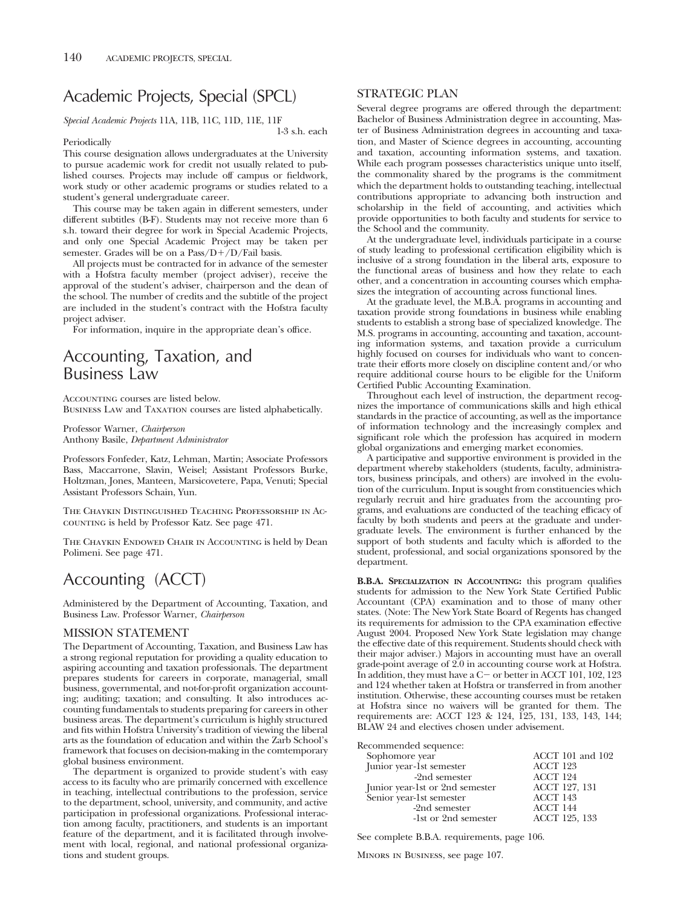# Academic Projects, Special (SPCL)

*Special Academic Projects* 11A, 11B, 11C, 11D, 11E, 11F

#### Periodically

1-3 s.h. each

This course designation allows undergraduates at the University to pursue academic work for credit not usually related to published courses. Projects may include off campus or fieldwork, work study or other academic programs or studies related to a student's general undergraduate career.

This course may be taken again in different semesters, under different subtitles (B-F). Students may not receive more than 6 s.h. toward their degree for work in Special Academic Projects, and only one Special Academic Project may be taken per semester. Grades will be on a  $Pass/D+/D/Fall$  basis.

All projects must be contracted for in advance of the semester with a Hofstra faculty member (project adviser), receive the approval of the student's adviser, chairperson and the dean of the school. The number of credits and the subtitle of the project are included in the student's contract with the Hofstra faculty project adviser.

For information, inquire in the appropriate dean's office.

## Accounting, Taxation, and Business Law

ACCOUNTING courses are listed below.

Business Law and Taxation courses are listed alphabetically.

Professor Warner, *Chairperson* Anthony Basile, *Department Administrator*

Professors Fonfeder, Katz, Lehman, Martin; Associate Professors Bass, Maccarrone, Slavin, Weisel; Assistant Professors Burke, Holtzman, Jones, Manteen, Marsicovetere, Papa, Venuti; Special Assistant Professors Schain, Yun.

The Chaykin Distinguished Teaching Professorship in Accounting is held by Professor Katz. See page 471.

The Chaykin Endowed Chair in Accounting is held by Dean Polimeni. See page 471.

# Accounting (ACCT)

Administered by the Department of Accounting, Taxation, and Business Law. Professor Warner, *Chairperson*

### MISSION STATEMENT

The Department of Accounting, Taxation, and Business Law has a strong regional reputation for providing a quality education to aspiring accounting and taxation professionals. The department prepares students for careers in corporate, managerial, small business, governmental, and not-for-profit organization accounting; auditing; taxation; and consulting. It also introduces accounting fundamentals to students preparing for careers in other business areas. The department's curriculum is highly structured and fits within Hofstra University's tradition of viewing the liberal arts as the foundation of education and within the Zarb School's framework that focuses on decision-making in the comtemporary global business environment.

The department is organized to provide student's with easy access to its faculty who are primarily concerned with excellence in teaching, intellectual contributions to the profession, service to the department, school, university, and community, and active participation in professional organizations. Professional interaction among faculty, practitioners, and students is an important feature of the department, and it is facilitated through involvement with local, regional, and national professional organizations and student groups.

## STRATEGIC PLAN

Several degree programs are offered through the department: Bachelor of Business Administration degree in accounting, Master of Business Administration degrees in accounting and taxation, and Master of Science degrees in accounting, accounting and taxation, accounting information systems, and taxation. While each program possesses characteristics unique unto itself, the commonality shared by the programs is the commitment which the department holds to outstanding teaching, intellectual contributions appropriate to advancing both instruction and scholarship in the field of accounting, and activities which provide opportunities to both faculty and students for service to the School and the community.

At the undergraduate level, individuals participate in a course of study leading to professional certification eligibility which is inclusive of a strong foundation in the liberal arts, exposure to the functional areas of business and how they relate to each other, and a concentration in accounting courses which emphasizes the integration of accounting across functional lines.

At the graduate level, the M.B.A. programs in accounting and taxation provide strong foundations in business while enabling students to establish a strong base of specialized knowledge. The M.S. programs in accounting, accounting and taxation, accounting information systems, and taxation provide a curriculum highly focused on courses for individuals who want to concentrate their efforts more closely on discipline content and/or who require additional course hours to be eligible for the Uniform Certified Public Accounting Examination.

Throughout each level of instruction, the department recognizes the importance of communications skills and high ethical standards in the practice of accounting, as well as the importance of information technology and the increasingly complex and significant role which the profession has acquired in modern global organizations and emerging market economies.

A participative and supportive environment is provided in the department whereby stakeholders (students, faculty, administrators, business principals, and others) are involved in the evolution of the curriculum. Input is sought from constituencies which regularly recruit and hire graduates from the accounting programs, and evaluations are conducted of the teaching efficacy of faculty by both students and peers at the graduate and undergraduate levels. The environment is further enhanced by the support of both students and faculty which is afforded to the student, professional, and social organizations sponsored by the department.

**B.B.A. SPECIALIZATION IN ACCOUNTING:** this program qualifies students for admission to the New York State Certified Public Accountant (CPA) examination and to those of many other states. (Note: The New York State Board of Regents has changed its requirements for admission to the CPA examination effective August 2004. Proposed New York State legislation may change the effective date of this requirement. Students should check with their major adviser.) Majors in accounting must have an overall grade-point average of 2.0 in accounting course work at Hofstra. In addition, they must have a C- or better in ACCT 101, 102, 123 and 124 whether taken at Hofstra or transferred in from another institution. Otherwise, these accounting courses must be retaken at Hofstra since no waivers will be granted for them. The requirements are: ACCT 123 & 124, 125, 131, 133, 143, 144; BLAW 24 and electives chosen under advisement.

Recommended sequence:

| Sophomore year                  | ACCT 101 and 102 |
|---------------------------------|------------------|
| Junior year-1st semester        | ACCT 123         |
| -2nd semester                   | ACCT 124         |
| Junior year-1st or 2nd semester | ACCT 127, 131    |
| Senior year-1st semester        | ACCT 143         |
| -2nd semester                   | ACCT 144         |
| -1st or 2nd semester            | ACCT 125, 133    |

See complete B.B.A. requirements, page 106.

Minors in Business, see page 107.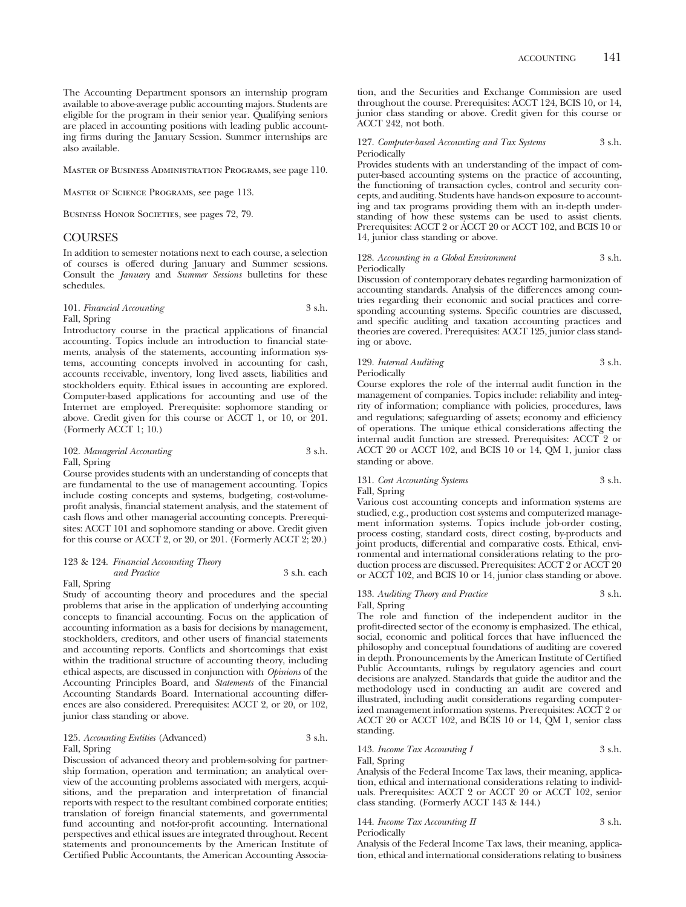The Accounting Department sponsors an internship program available to above-average public accounting majors. Students are eligible for the program in their senior year. Qualifying seniors are placed in accounting positions with leading public accounting firms during the January Session. Summer internships are also available.

Master of Business Administration Programs, see page 110.

Master of Science Programs, see page 113.

BUSINESS HONOR SOCIETIES, see pages 72, 79.

### **COURSES**

In addition to semester notations next to each course, a selection of courses is offered during January and Summer sessions. Consult the *January* and *Summer Sessions* bulletins for these schedules.

### 101. *Financial Accounting* 3 s.h. Fall, Spring

Introductory course in the practical applications of financial accounting. Topics include an introduction to financial statements, analysis of the statements, accounting information systems, accounting concepts involved in accounting for cash, accounts receivable, inventory, long lived assets, liabilities and stockholders equity. Ethical issues in accounting are explored. Computer-based applications for accounting and use of the Internet are employed. Prerequisite: sophomore standing or above. Credit given for this course or ACCT 1, or 10, or 201. (Formerly ACCT 1; 10.)

#### 102. *Managerial Accounting* 3 s.h. Fall, Spring

Course provides students with an understanding of concepts that are fundamental to the use of management accounting. Topics include costing concepts and systems, budgeting, cost-volumeprofit analysis, financial statement analysis, and the statement of cash flows and other managerial accounting concepts. Prerequisites: ACCT 101 and sophomore standing or above. Credit given for this course or ACCT 2, or 20, or 201. (Formerly ACCT 2; 20.)

#### 123 & 124. *Financial Accounting Theory and Practice* 3 s.h. each Fall, Spring

Study of accounting theory and procedures and the special problems that arise in the application of underlying accounting concepts to financial accounting. Focus on the application of accounting information as a basis for decisions by management, stockholders, creditors, and other users of financial statements and accounting reports. Conflicts and shortcomings that exist within the traditional structure of accounting theory, including ethical aspects, are discussed in conjunction with *Opinions* of the Accounting Principles Board, and *Statements* of the Financial Accounting Standards Board. International accounting differences are also considered. Prerequisites: ACCT 2, or 20, or 102, junior class standing or above.

#### 125. *Accounting Entities* (Advanced) 3 s.h. Fall, Spring

Discussion of advanced theory and problem-solving for partnership formation, operation and termination; an analytical overview of the accounting problems associated with mergers, acquisitions, and the preparation and interpretation of financial reports with respect to the resultant combined corporate entities; translation of foreign financial statements, and governmental fund accounting and not-for-profit accounting. International perspectives and ethical issues are integrated throughout. Recent statements and pronouncements by the American Institute of Certified Public Accountants, the American Accounting Association, and the Securities and Exchange Commission are used throughout the course. Prerequisites: ACCT 124, BCIS 10, or 14, junior class standing or above. Credit given for this course or ACCT 242, not both.

127. *Computer-based Accounting and Tax Systems* 3 s.h. Periodically

Provides students with an understanding of the impact of computer-based accounting systems on the practice of accounting, the functioning of transaction cycles, control and security concepts, and auditing. Students have hands-on exposure to accounting and tax programs providing them with an in-depth understanding of how these systems can be used to assist clients. Prerequisites: ACCT 2 or ACCT 20 or ACCT 102, and BCIS 10 or 14, junior class standing or above.

#### 128. *Accounting in a Global Environment* 3 s.h. Periodically

Discussion of contemporary debates regarding harmonization of accounting standards. Analysis of the differences among countries regarding their economic and social practices and corresponding accounting systems. Specific countries are discussed, and specific auditing and taxation accounting practices and theories are covered. Prerequisites: ACCT 125, junior class standing or above.

#### 129. *Internal Auditing* 3 s.h. Periodically

Course explores the role of the internal audit function in the management of companies. Topics include: reliability and integrity of information; compliance with policies, procedures, laws and regulations; safeguarding of assets; economy and efficiency of operations. The unique ethical considerations affecting the internal audit function are stressed. Prerequisites: ACCT 2 or ACCT 20 or ACCT 102, and BCIS 10 or 14, QM 1, junior class standing or above.

## 131. *Cost Accounting Systems* 3 s.h. Fall, Spring

Various cost accounting concepts and information systems are studied, e.g., production cost systems and computerized management information systems. Topics include job-order costing, process costing, standard costs, direct costing, by-products and joint products, differential and comparative costs. Ethical, environmental and international considerations relating to the production process are discussed. Prerequisites: ACCT 2 or ACCT 20 or ACCT 102, and BCIS 10 or 14, junior class standing or above.

### 133. *Auditing Theory and Practice* 3 s.h. Fall, Spring

The role and function of the independent auditor in the profit-directed sector of the economy is emphasized. The ethical, social, economic and political forces that have influenced the philosophy and conceptual foundations of auditing are covered in depth. Pronouncements by the American Institute of Certified Public Accountants, rulings by regulatory agencies and court decisions are analyzed. Standards that guide the auditor and the methodology used in conducting an audit are covered and illustrated, including audit considerations regarding computerized management information systems. Prerequisites: ACCT 2 or ACCT 20 or ACCT 102, and BCIS 10 or 14, QM 1, senior class standing.

#### 143. *Income Tax Accounting I* 3 s.h. Fall, Spring

Analysis of the Federal Income Tax laws, their meaning, application, ethical and international considerations relating to individuals. Prerequisites: ACCT 2 or ACCT 20 or ACCT 102, senior class standing. (Formerly ACCT 143 & 144.)

| 144. Income Tax Accounting II | 3 s.h. |
|-------------------------------|--------|
| Periodically                  |        |

Analysis of the Federal Income Tax laws, their meaning, application, ethical and international considerations relating to business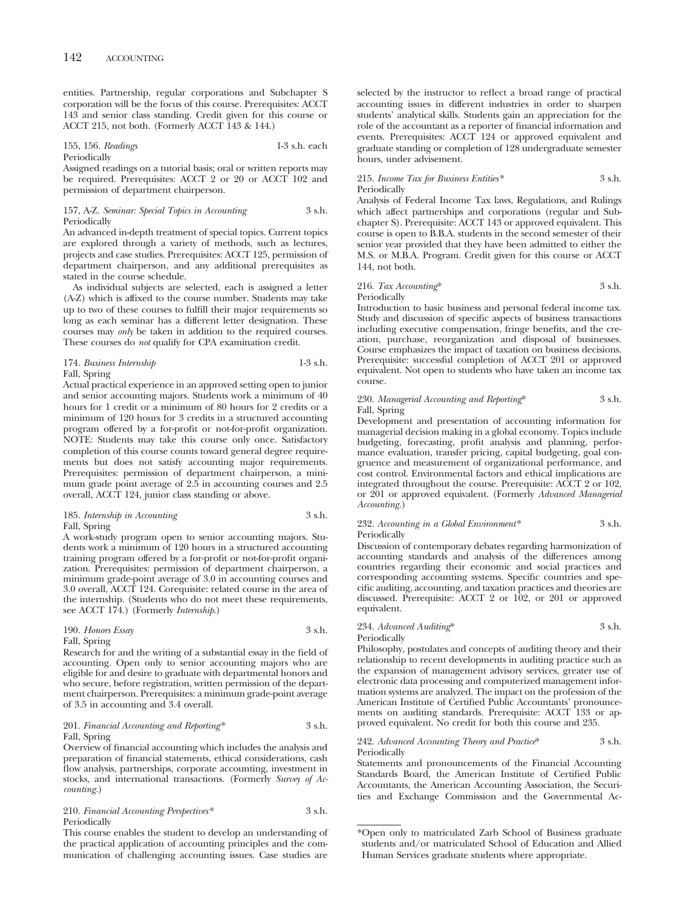entities. Partnership, regular corporations and Subchapter S corporation will be the focus of this course. Prerequisites: ACCT 143 and senior class standing. Credit given for this course or ACCT 215, not both. (Formerly ACCT 143 & 144.)

#### 155, 156. *Readings* 1-3 s.h. each Periodically

Assigned readings on a tutorial basis; oral or written reports may be required. Prerequisites: ACCT 2 or 20 or ACCT 102 and permission of department chairperson.

#### 157, A-Z. *Seminar: Special Topics in Accounting* 3 s.h. **Periodically**

An advanced in-depth treatment of special topics. Current topics are explored through a variety of methods, such as lectures, projects and case studies. Prerequisites: ACCT 125, permission of department chairperson, and any additional prerequisites as stated in the course schedule.

As individual subjects are selected, each is assigned a letter (A-Z) which is affixed to the course number. Students may take up to two of these courses to fulfill their major requirements so long as each seminar has a different letter designation. These courses may *only* be taken in addition to the required courses. These courses do *not* qualify for CPA examination credit.

#### 174. *Business Internship* 1-3 s.h. Fall, Spring

Actual practical experience in an approved setting open to junior and senior accounting majors. Students work a minimum of 40 hours for 1 credit or a minimum of 80 hours for 2 credits or a minimum of 120 hours for 3 credits in a structured accounting program offered by a for-profit or not-for-profit organization. NOTE: Students may take this course only once. Satisfactory completion of this course counts toward general degree requirements but does not satisfy accounting major requirements. Prerequisites: permission of department chairperson, a minimum grade point average of 2.5 in accounting courses and 2.5 overall, ACCT 124, junior class standing or above.

#### 185. *Internship in Accounting* 3 s.h. Fall, Spring

A work-study program open to senior accounting majors. Students work a minimum of 120 hours in a structured accounting training program offered by a for-profit or not-for-profit organization. Prerequisites: permission of department chairperson, a minimum grade-point average of 3.0 in accounting courses and 3.0 overall, ACCT 124. Corequisite: related course in the area of the internship. (Students who do not meet these requirements, see ACCT 174.) (Formerly *Internship*.)

| 190. Honors Essay | 3 s.h. |
|-------------------|--------|
| Fall, Spring      |        |

Research for and the writing of a substantial essay in the field of accounting. Open only to senior accounting majors who are eligible for and desire to graduate with departmental honors and who secure, before registration, written permission of the department chairperson. Prerequisites: a minimum grade-point average of 3.5 in accounting and 3.4 overall.

#### 201. *Financial Accounting and Reporting\** 3 s.h. Fall, Spring

Overview of financial accounting which includes the analysis and preparation of financial statements, ethical considerations, cash flow analysis, partnerships, corporate accounting, investment in stocks, and international transactions. (Formerly *Survey of Accounting.*)

### 210. *Financial Accounting Perspectives\** 3 s.h. Periodically

This course enables the student to develop an understanding of the practical application of accounting principles and the communication of challenging accounting issues. Case studies are selected by the instructor to reflect a broad range of practical accounting issues in different industries in order to sharpen students' analytical skills. Students gain an appreciation for the role of the accountant as a reporter of financial information and events. Prerequisites: ACCT 124 or approved equivalent and graduate standing or completion of 128 undergraduate semester hours, under advisement.

### 215. *Income Tax for Business Entities\** 3 s.h. Periodically

Analysis of Federal Income Tax laws, Regulations, and Rulings which affect partnerships and corporations (regular and Subchapter S). Prerequisite: ACCT 143 or approved equivalent. This course is open to B.B.A. students in the second semester of their senior year provided that they have been admitted to either the M.S. or M.B.A. Program. Credit given for this course or ACCT 144, not both.

## 216. *Tax Accounting*\* 3 s.h. Periodically

Introduction to basic business and personal federal income tax. Study and discussion of specific aspects of business transactions including executive compensation, fringe benefits, and the creation, purchase, reorganization and disposal of businesses. Course emphasizes the impact of taxation on business decisions. Prerequisite: successful completion of ACCT 201 or approved equivalent. Not open to students who have taken an income tax course.

#### 230. *Managerial Accounting and Reporting*\* 3 s.h. Fall, Spring

Development and presentation of accounting information for managerial decision making in a global economy. Topics include budgeting, forecasting, profit analysis and planning, performance evaluation, transfer pricing, capital budgeting, goal congruence and measurement of organizational performance, and cost control. Environmental factors and ethical implications are integrated throughout the course. Prerequisite: ACCT 2 or 102, or 201 or approved equivalent. (Formerly *Advanced Managerial Accounting.*)

### 232. *Accounting in a Global Environment\** 3 s.h. Periodically

Discussion of contemporary debates regarding harmonization of accounting standards and analysis of the differences among countries regarding their economic and social practices and corresponding accounting systems. Specific countries and specific auditing, accounting, and taxation practices and theories are discussed. Prerequisite: ACCT 2 or 102, or 201 or approved equivalent.

## 234. *Advanced Auditing*\* 3 s.h. Periodically

Philosophy, postulates and concepts of auditing theory and their relationship to recent developments in auditing practice such as the expansion of management advisory services, greater use of electronic data processing and computerized management information systems are analyzed. The impact on the profession of the American Institute of Certified Public Accountants' pronouncements on auditing standards. Prerequisite: ACCT 133 or approved equivalent. No credit for both this course and 235.

#### 242. *Advanced Accounting Theory and Practice*\* 3 s.h. Periodically

Statements and pronouncements of the Financial Accounting Standards Board, the American Institute of Certified Public Accountants, the American Accounting Association, the Securities and Exchange Commission and the Governmental Ac-

<sup>\*</sup>Open only to matriculated Zarb School of Business graduate students and/or matriculated School of Education and Allied Human Services graduate students where appropriate.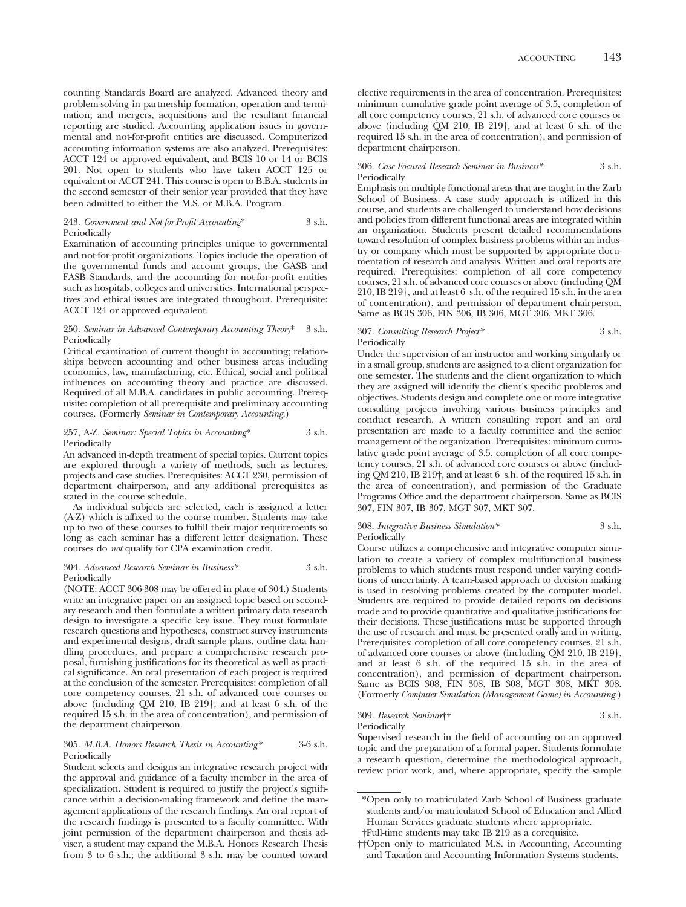counting Standards Board are analyzed. Advanced theory and problem-solving in partnership formation, operation and termination; and mergers, acquisitions and the resultant financial reporting are studied. Accounting application issues in governmental and not-for-profit entities are discussed. Computerized accounting information systems are also analyzed. Prerequisites: ACCT 124 or approved equivalent, and BCIS 10 or 14 or BCIS 201. Not open to students who have taken ACCT 125 or equivalent or ACCT 241. This course is open to B.B.A. students in the second semester of their senior year provided that they have been admitted to either the M.S. or M.B.A. Program.

#### 243. *Government and Not-for-Profit Accounting*\* 3 s.h. Periodically

Examination of accounting principles unique to governmental and not-for-profit organizations. Topics include the operation of the governmental funds and account groups, the GASB and FASB Standards, and the accounting for not-for-profit entities such as hospitals, colleges and universities. International perspectives and ethical issues are integrated throughout. Prerequisite: ACCT 124 or approved equivalent.

#### 250. *Seminar in Advanced Contemporary Accounting Theory*\* 3 s.h. Periodically

Critical examination of current thought in accounting; relationships between accounting and other business areas including economics, law, manufacturing, etc. Ethical, social and political influences on accounting theory and practice are discussed. Required of all M.B.A. candidates in public accounting. Prerequisite: completion of all prerequisite and preliminary accounting courses. (Formerly *Seminar in Contemporary Accounting*.)

#### 257, A-Z. *Seminar: Special Topics in Accounting*\* 3 s.h. Periodically

An advanced in-depth treatment of special topics. Current topics are explored through a variety of methods, such as lectures, projects and case studies. Prerequisites: ACCT 230, permission of department chairperson, and any additional prerequisites as stated in the course schedule.

As individual subjects are selected, each is assigned a letter (A-Z) which is affixed to the course number. Students may take up to two of these courses to fulfill their major requirements so long as each seminar has a different letter designation. These courses do *not* qualify for CPA examination credit.

#### 304. *Advanced Research Seminar in Business\** 3 s.h. Periodically

(NOTE: ACCT 306-308 may be offered in place of 304.) Students write an integrative paper on an assigned topic based on secondary research and then formulate a written primary data research design to investigate a specific key issue. They must formulate research questions and hypotheses, construct survey instruments and experimental designs, draft sample plans, outline data handling procedures, and prepare a comprehensive research proposal, furnishing justifications for its theoretical as well as practical significance. An oral presentation of each project is required at the conclusion of the semester. Prerequisites: completion of all core competency courses, 21 s.h. of advanced core courses or above (including QM 210, IB 219†, and at least 6 s.h. of the required 15 s.h. in the area of concentration), and permission of the department chairperson.

#### 305. *M.B.A. Honors Research Thesis in Accounting\** 3-6 s.h. Periodically

Student selects and designs an integrative research project with the approval and guidance of a faculty member in the area of specialization. Student is required to justify the project's significance within a decision-making framework and define the management applications of the research findings. An oral report of the research findings is presented to a faculty committee. With joint permission of the department chairperson and thesis adviser, a student may expand the M.B.A. Honors Research Thesis from 3 to 6 s.h.; the additional 3 s.h. may be counted toward

elective requirements in the area of concentration. Prerequisites: minimum cumulative grade point average of 3.5, completion of all core competency courses, 21 s.h. of advanced core courses or above (including QM 210, IB 219†, and at least 6 s.h. of the required 15 s.h. in the area of concentration), and permission of department chairperson.

#### 306. *Case Focused Research Seminar in Business\** 3 s.h. Periodically

Emphasis on multiple functional areas that are taught in the Zarb School of Business. A case study approach is utilized in this course, and students are challenged to understand how decisions and policies from different functional areas are integrated within an organization. Students present detailed recommendations toward resolution of complex business problems within an industry or company which must be supported by appropriate documentation of research and analysis. Written and oral reports are required. Prerequisites: completion of all core competency courses, 21 s.h. of advanced core courses or above (including QM 210, IB 219†, and at least 6 s.h. of the required 15 s.h. in the area of concentration), and permission of department chairperson. Same as BCIS 306, FIN 306, IB 306, MGT 306, MKT 306.

#### 307. *Consulting Research Project\** 3 s.h. **Periodically**

Under the supervision of an instructor and working singularly or in a small group, students are assigned to a client organization for one semester. The students and the client organization to which they are assigned will identify the client's specific problems and objectives. Students design and complete one or more integrative consulting projects involving various business principles and conduct research. A written consulting report and an oral presentation are made to a faculty committee and the senior management of the organization. Prerequisites: minimum cumulative grade point average of 3.5, completion of all core competency courses, 21 s.h. of advanced core courses or above (including QM 210, IB 219†, and at least 6 s.h. of the required 15 s.h. in the area of concentration), and permission of the Graduate Programs Office and the department chairperson. Same as BCIS 307, FIN 307, IB 307, MGT 307, MKT 307.

#### 308. *Integrative Business Simulation\** 3 s.h. Periodically

Course utilizes a comprehensive and integrative computer simulation to create a variety of complex multifunctional business problems to which students must respond under varying conditions of uncertainty. A team-based approach to decision making is used in resolving problems created by the computer model. Students are required to provide detailed reports on decisions made and to provide quantitative and qualitative justifications for their decisions. These justifications must be supported through the use of research and must be presented orally and in writing. Prerequisites: completion of all core competency courses, 21 s.h. of advanced core courses or above (including QM 210, IB 219†, and at least 6 s.h. of the required 15 s.h. in the area of concentration), and permission of department chairperson. Same as BCIS 308, FIN 308, IB 308, MGT 308, MKT 308. (Formerly *Computer Simulation (Management Game) in Accounting*.)

#### 309. *Research Seminar*†† 3 s.h. Periodically

Supervised research in the field of accounting on an approved topic and the preparation of a formal paper. Students formulate a research question, determine the methodological approach, review prior work, and, where appropriate, specify the sample

<sup>\*</sup>Open only to matriculated Zarb School of Business graduate students and/or matriculated School of Education and Allied Human Services graduate students where appropriate.

<sup>†</sup>Full-time students may take IB 219 as a corequisite.

<sup>††</sup>Open only to matriculated M.S. in Accounting, Accounting and Taxation and Accounting Information Systems students.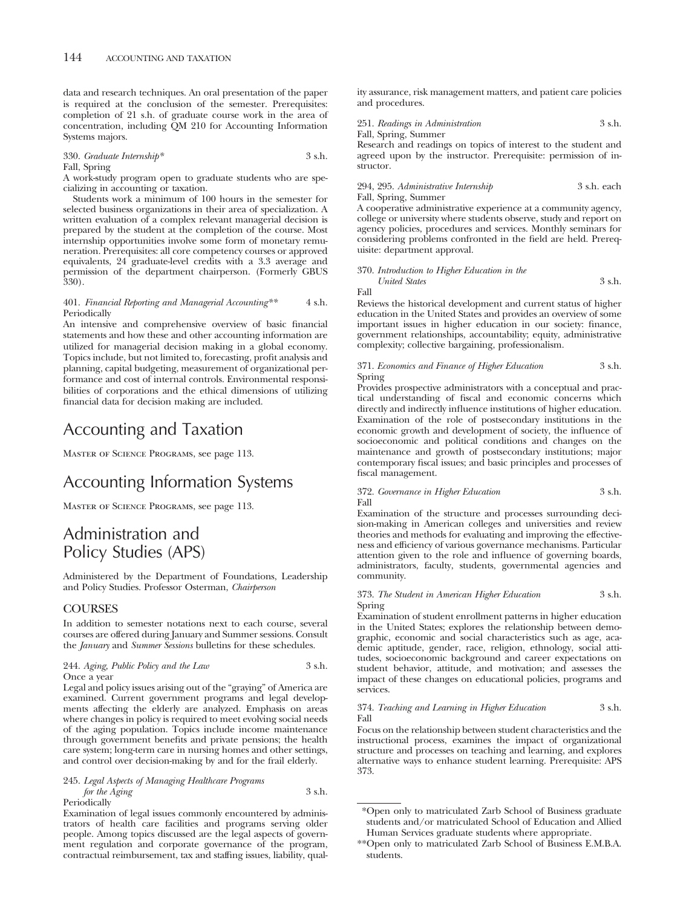data and research techniques. An oral presentation of the paper is required at the conclusion of the semester. Prerequisites: completion of 21 s.h. of graduate course work in the area of concentration, including QM 210 for Accounting Information Systems majors.

330. *Graduate Internship\** 3 s.h.

Fall, Spring

A work-study program open to graduate students who are specializing in accounting or taxation.

Students work a minimum of 100 hours in the semester for selected business organizations in their area of specialization. A written evaluation of a complex relevant managerial decision is prepared by the student at the completion of the course. Most internship opportunities involve some form of monetary remuneration. Prerequisites: all core competency courses or approved equivalents, 24 graduate-level credits with a 3.3 average and permission of the department chairperson. (Formerly GBUS 330).

#### 401. *Financial Reporting and Managerial Accounting\*\** 4 s.h. Periodically

An intensive and comprehensive overview of basic financial statements and how these and other accounting information are utilized for managerial decision making in a global economy. Topics include, but not limited to, forecasting, profit analysis and planning, capital budgeting, measurement of organizational performance and cost of internal controls. Environmental responsibilities of corporations and the ethical dimensions of utilizing financial data for decision making are included.

## Accounting and Taxation

Master of Science Programs, see page 113.

## Accounting Information Systems

Master of Science Programs, see page 113.

## Administration and Policy Studies (APS)

Administered by the Department of Foundations, Leadership and Policy Studies. Professor Osterman, *Chairperson*

## **COURSES**

In addition to semester notations next to each course, several courses are offered during January and Summer sessions. Consult the *January* and *Summer Sessions* bulletins for these schedules.

#### 244. *Aging, Public Policy and the Law* 3 s.h. Once a year

Legal and policy issues arising out of the "graying" of America are examined. Current government programs and legal developments affecting the elderly are analyzed. Emphasis on areas where changes in policy is required to meet evolving social needs of the aging population. Topics include income maintenance through government benefits and private pensions; the health care system; long-term care in nursing homes and other settings, and control over decision-making by and for the frail elderly.

245. *Legal Aspects of Managing Healthcare Programs for the Aging* 3 s.h. Periodically

Examination of legal issues commonly encountered by administrators of health care facilities and programs serving older people. Among topics discussed are the legal aspects of government regulation and corporate governance of the program, contractual reimbursement, tax and staffing issues, liability, quality assurance, risk management matters, and patient care policies and procedures.

| 251. Readings in Administration | 3 s.h. |
|---------------------------------|--------|
| Fall, Spring, Summer            |        |

Research and readings on topics of interest to the student and agreed upon by the instructor. Prerequisite: permission of instructor.

294, 295. *Administrative Internship* 3 s.h. each Fall, Spring, Summer

A cooperative administrative experience at a community agency, college or university where students observe, study and report on agency policies, procedures and services. Monthly seminars for considering problems confronted in the field are held. Prerequisite: department approval.

370. *Introduction to Higher Education in the*

*United States* 3 s.h. Fall

Reviews the historical development and current status of higher education in the United States and provides an overview of some important issues in higher education in our society: finance, government relationships, accountability; equity, administrative complexity; collective bargaining, professionalism.

#### 371. *Economics and Finance of Higher Education* 3 s.h. Spring

Provides prospective administrators with a conceptual and practical understanding of fiscal and economic concerns which directly and indirectly influence institutions of higher education. Examination of the role of postsecondary institutions in the economic growth and development of society, the influence of socioeconomic and political conditions and changes on the maintenance and growth of postsecondary institutions; major contemporary fiscal issues; and basic principles and processes of fiscal management.

372. *Governance in Higher Education* 3 s.h. Fall

Examination of the structure and processes surrounding decision-making in American colleges and universities and review theories and methods for evaluating and improving the effectiveness and efficiency of various governance mechanisms. Particular attention given to the role and influence of governing boards, administrators, faculty, students, governmental agencies and community.

#### 373. *The Student in American Higher Education* 3 s.h. Spring

Examination of student enrollment patterns in higher education in the United States; explores the relationship between demographic, economic and social characteristics such as age, academic aptitude, gender, race, religion, ethnology, social attitudes, socioeconomic background and career expectations on student behavior, attitude, and motivation; and assesses the impact of these changes on educational policies, programs and services.

#### 374. *Teaching and Learning in Higher Education* 3 s.h. Fall

Focus on the relationship between student characteristics and the instructional process, examines the impact of organizational structure and processes on teaching and learning, and explores alternative ways to enhance student learning. Prerequisite: APS 373.

<sup>\*</sup>Open only to matriculated Zarb School of Business graduate students and/or matriculated School of Education and Allied Human Services graduate students where appropriate.

<sup>\*\*</sup>Open only to matriculated Zarb School of Business E.M.B.A. students.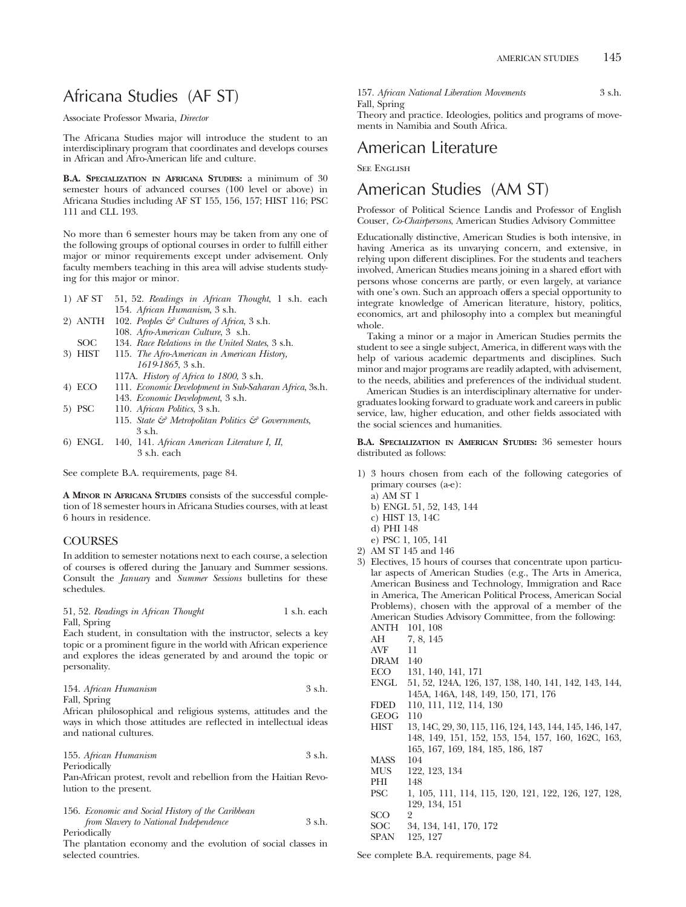# Africana Studies (AF ST)

Associate Professor Mwaria, *Director*

The Africana Studies major will introduce the student to an interdisciplinary program that coordinates and develops courses in African and Afro-American life and culture.

**B.A. SPECIALIZATION IN AFRICANA STUDIES:** a minimum of 30 semester hours of advanced courses (100 level or above) in Africana Studies including AF ST 155, 156, 157; HIST 116; PSC 111 and CLL 193.

No more than 6 semester hours may be taken from any one of the following groups of optional courses in order to fulfill either major or minor requirements except under advisement. Only faculty members teaching in this area will advise students studying for this major or minor.

| 1) AF ST 51, 52. Readings in African Thought, 1 s.h. each     |  |
|---------------------------------------------------------------|--|
| 154. African Humanism, 3 s.h.                                 |  |
| 2) ANTH 102. Peoples $\mathcal{C}$ Cultures of Africa, 3 s.h. |  |
| 108. Afro-American Culture, 3 s.h.                            |  |

- 
- SOC 134. *Race Relations in the United States*, 3 s.h.<br>3) HIST 115. *The Afro-American in American History*, 115. *The Afro-American in American History*,
	- *1619-1865*, 3 s.h. 117A. *History of Africa to 1800*, 3 s.h.
- 4) ECO 111. *Economic Development in Sub-Saharan Africa*, 3s.h.
- 143. *Economic Development*, 3 s.h.
- 5) PSC 110. *African Politics*, 3 s.h. 115. *State & Metropolitan Politics & Governments*, 3 s.h.
- 6) ENGL 140, 141. *African American Literature I, II*, 3 s.h. each

See complete B.A. requirements, page 84.

**A MINOR IN AFRICANA STUDIES** consists of the successful completion of 18 semester hours in Africana Studies courses, with at least 6 hours in residence.

## **COURSES**

In addition to semester notations next to each course, a selection of courses is offered during the January and Summer sessions. Consult the *January* and *Summer Sessions* bulletins for these schedules.

| 51, 52. Readings in African Thought |  | 1 s.h. each |
|-------------------------------------|--|-------------|
| Fall, Spring                        |  |             |

Each student, in consultation with the instructor, selects a key topic or a prominent figure in the world with African experience and explores the ideas generated by and around the topic or personality.

|      | 154. African Humanism | 3 s.h. |
|------|-----------------------|--------|
| ____ |                       |        |

Fall, Spring

African philosophical and religious systems, attitudes and the ways in which those attitudes are reflected in intellectual ideas and national cultures.

| 155. African Humanism | 3 s.h. |
|-----------------------|--------|
| Periodically          |        |

Pan-African protest, revolt and rebellion from the Haitian Revolution to the present.

156. *Economic and Social History of the Caribbean from Slavery to National Independence* 3 s.h.

Periodically

The plantation economy and the evolution of social classes in selected countries.

157. *African National Liberation Movements* 3 s.h. Fall, Spring

Theory and practice. Ideologies, politics and programs of movements in Namibia and South Africa.

## American Literature

See English

## American Studies (AM ST)

Professor of Political Science Landis and Professor of English Couser, *Co-Chairpersons*, American Studies Advisory Committee

Educationally distinctive, American Studies is both intensive, in having America as its unvarying concern, and extensive, in relying upon different disciplines. For the students and teachers involved, American Studies means joining in a shared effort with persons whose concerns are partly, or even largely, at variance with one's own. Such an approach offers a special opportunity to integrate knowledge of American literature, history, politics, economics, art and philosophy into a complex but meaningful whole.

Taking a minor or a major in American Studies permits the student to see a single subject, America, in different ways with the help of various academic departments and disciplines. Such minor and major programs are readily adapted, with advisement, to the needs, abilities and preferences of the individual student.

American Studies is an interdisciplinary alternative for undergraduates looking forward to graduate work and careers in public service, law, higher education, and other fields associated with the social sciences and humanities.

**B.A. SPECIALIZATION IN AMERICAN STUDIES:** 36 semester hours distributed as follows:

- 1) 3 hours chosen from each of the following categories of primary courses (a-e):
	- a) AM ST 1
	- b) ENGL 51, 52, 143, 144
	- c) HIST 13, 14C
	- d) PHI 148
- e) PSC 1, 105, 141
- 2) AM ST 145 and 146
- 3) Electives, 15 hours of courses that concentrate upon particular aspects of American Studies (e.g., The Arts in America, American Business and Technology, Immigration and Race in America, The American Political Process, American Social Problems), chosen with the approval of a member of the American Studies Advisory Committee, from the following: ANTH 101, 108
	- AH 7, 8, 145<br>AVF 11
	- $\operatorname{AVF}$
	- DRAM 140
	- ECO 131, 140, 141, 171
	- ENGL 51, 52, 124A, 126, 137, 138, 140, 141, 142, 143, 144, 145A, 146A, 148, 149, 150, 171, 176
	- FDED 110, 111, 112, 114, 130
	- GEOG 110
	- HIST 13, 14C, 29, 30, 115, 116, 124, 143, 144, 145, 146, 147, 148, 149, 151, 152, 153, 154, 157, 160, 162C, 163, 165, 167, 169, 184, 185, 186, 187
	- MASS 104<br>MUS 122
	- 122, 123, 134
	- PHI 148
	- PSC 1, 105, 111, 114, 115, 120, 121, 122, 126, 127, 128, 129, 134, 151
	- SCO 2<br>SOC 3 SOC 34, 134, 141, 170, 172
	- SPAN 125, 127

See complete B.A. requirements, page 84.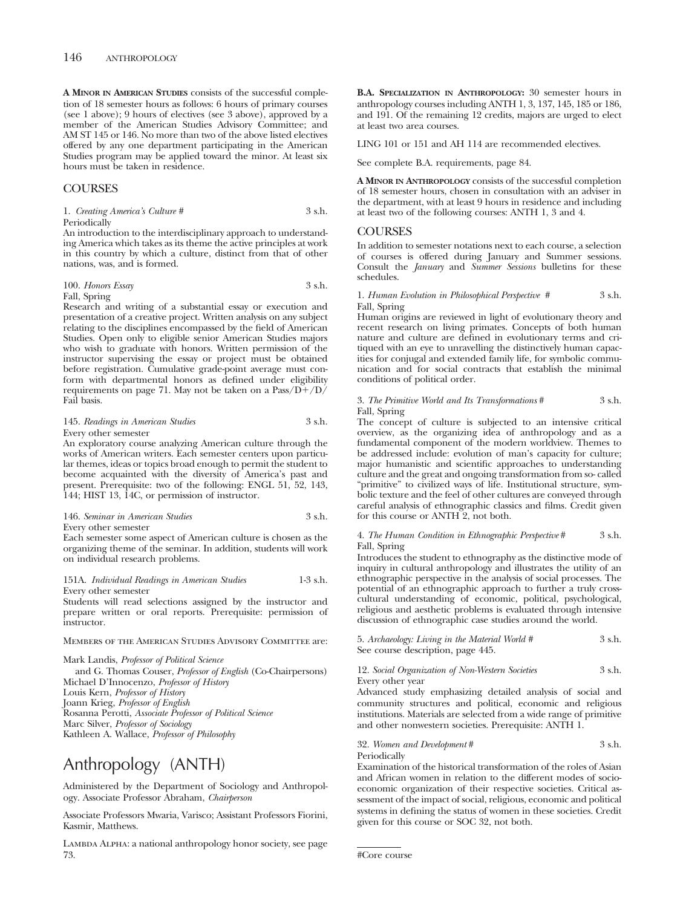**A MINOR IN AMERICAN STUDIES** consists of the successful completion of 18 semester hours as follows: 6 hours of primary courses (see 1 above); 9 hours of electives (see 3 above), approved by a member of the American Studies Advisory Committee; and AM ST 145 or 146. No more than two of the above listed electives offered by any one department participating in the American Studies program may be applied toward the minor. At least six hours must be taken in residence.

## **COURSES**

1. *Creating America's Culture* # 3 s.h. Periodically

An introduction to the interdisciplinary approach to understanding America which takes as its theme the active principles at work in this country by which a culture, distinct from that of other nations, was, and is formed.

100. *Honors Essay* 3 s.h. Fall, Spring

Research and writing of a substantial essay or execution and presentation of a creative project. Written analysis on any subject relating to the disciplines encompassed by the field of American Studies. Open only to eligible senior American Studies majors who wish to graduate with honors. Written permission of the instructor supervising the essay or project must be obtained before registration. Cumulative grade-point average must conform with departmental honors as defined under eligibility requirements on page 71. May not be taken on a  $Pass/D+/D/$ Fail basis.

#### 145. *Readings in American Studies* 3 s.h. Every other semester

An exploratory course analyzing American culture through the works of American writers. Each semester centers upon particular themes, ideas or topics broad enough to permit the student to become acquainted with the diversity of America's past and present. Prerequisite: two of the following: ENGL 51, 52, 143, 144; HIST 13, 14C, or permission of instructor.

#### 146. *Seminar in American Studies* 3 s.h.

Every other semester

Each semester some aspect of American culture is chosen as the organizing theme of the seminar. In addition, students will work on individual research problems.

151A. *Individual Readings in American Studies* 1-3 s.h. Every other semester

Students will read selections assigned by the instructor and prepare written or oral reports. Prerequisite: permission of instructor.

Members of the American Studies Advisory Committee are:

Mark Landis, *Professor of Political Science* and G. Thomas Couser, *Professor of English* (Co-Chairpersons) Michael D'Innocenzo, *Professor of History* Louis Kern, *Professor of History* Joann Krieg, *Professor of English* Rosanna Perotti, *Associate Professor of Political Science* Marc Silver, *Professor of Sociology* Kathleen A. Wallace, *Professor of Philosophy*

# Anthropology (ANTH)

Administered by the Department of Sociology and Anthropology. Associate Professor Abraham, *Chairperson*

Associate Professors Mwaria, Varisco; Assistant Professors Fiorini, Kasmir, Matthews.

LAMBDA ALPHA: a national anthropology honor society, see page 73.

**B.A. SPECIALIZATION IN ANTHROPOLOGY:** 30 semester hours in anthropology courses including ANTH 1, 3, 137, 145, 185 or 186, and 191. Of the remaining 12 credits, majors are urged to elect at least two area courses.

LING 101 or 151 and AH 114 are recommended electives.

See complete B.A. requirements, page 84.

**A MINOR IN ANTHROPOLOGY** consists of the successful completion of 18 semester hours, chosen in consultation with an adviser in the department, with at least 9 hours in residence and including at least two of the following courses: ANTH 1, 3 and 4.

#### COURSES

In addition to semester notations next to each course, a selection of courses is offered during January and Summer sessions. Consult the *January* and *Summer Sessions* bulletins for these schedules.

#### 1. *Human Evolution in Philosophical Perspective #* 3 s.h. Fall, Spring

Human origins are reviewed in light of evolutionary theory and recent research on living primates. Concepts of both human nature and culture are defined in evolutionary terms and critiqued with an eye to unravelling the distinctively human capacities for conjugal and extended family life, for symbolic communication and for social contracts that establish the minimal conditions of political order.

#### 3. *The Primitive World and Its Transformations* # 3 s.h. Fall, Spring

The concept of culture is subjected to an intensive critical overview, as the organizing idea of anthropology and as a fundamental component of the modern worldview. Themes to be addressed include: evolution of man's capacity for culture; major humanistic and scientific approaches to understanding culture and the great and ongoing transformation from so- called "primitive" to civilized ways of life. Institutional structure, symbolic texture and the feel of other cultures are conveyed through careful analysis of ethnographic classics and films. Credit given for this course or ANTH 2, not both.

#### 4. *The Human Condition in Ethnographic Perspective* # 3 s.h. Fall, Spring

Introduces the student to ethnography as the distinctive mode of inquiry in cultural anthropology and illustrates the utility of an ethnographic perspective in the analysis of social processes. The potential of an ethnographic approach to further a truly crosscultural understanding of economic, political, psychological, religious and aesthetic problems is evaluated through intensive discussion of ethnographic case studies around the world.

|                                   | 5. Archaeology: Living in the Material World # | 3 s.h. |
|-----------------------------------|------------------------------------------------|--------|
| See course description, page 445. |                                                |        |

#### 12. *Social Organization of Non-Western Societies* 3 s.h. Every other year

Advanced study emphasizing detailed analysis of social and community structures and political, economic and religious institutions. Materials are selected from a wide range of primitive and other nonwestern societies. Prerequisite: ANTH 1.

#### 32. *Women and Development* # 3 s.h. Periodically

Examination of the historical transformation of the roles of Asian and African women in relation to the different modes of socioeconomic organization of their respective societies. Critical assessment of the impact of social, religious, economic and political systems in defining the status of women in these societies. Credit given for this course or SOC 32, not both.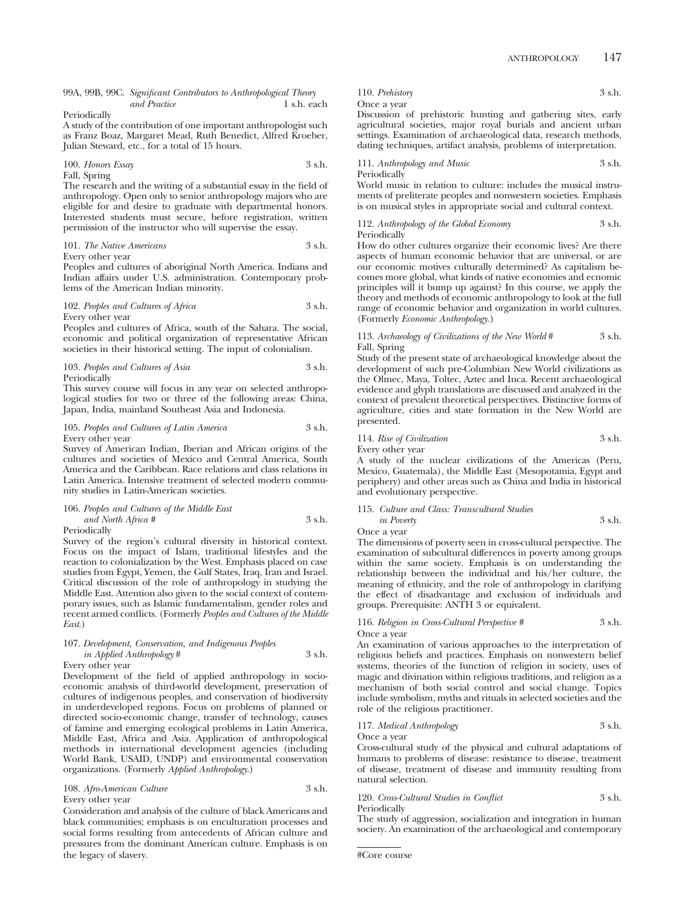#### 99A, 99B, 99C. *Significant Contributors to Anthropological Theory and Practice* 1 s.h. each

Periodically

A study of the contribution of one important anthropologist such as Franz Boaz, Margaret Mead, Ruth Benedict, Alfred Kroeber, Julian Steward, etc., for a total of 15 hours.

#### 100. *Honors Essay* 3 s.h. Fall, Spring

The research and the writing of a substantial essay in the field of anthropology. Open only to senior anthropology majors who are eligible for and desire to graduate with departmental honors. Interested students must secure, before registration, written permission of the instructor who will supervise the essay.

101. *The Native Americans* 3 s.h.

Every other year

Peoples and cultures of aboriginal North America. Indians and Indian affairs under U.S. administration. Contemporary problems of the American Indian minority.

#### 102. *Peoples and Cultures of Africa* 3 s.h. Every other year

Peoples and cultures of Africa, south of the Sahara. The social, economic and political organization of representative African societies in their historical setting. The input of colonialism.

|                                        | 103. Peoples and Cultures of Asia |  | 3 s.h. |
|----------------------------------------|-----------------------------------|--|--------|
| $\mathbf{r}$ $\mathbf{r}$ $\mathbf{r}$ |                                   |  |        |

Periodically

This survey course will focus in any year on selected anthropological studies for two or three of the following areas: China, Japan, India, mainland Southeast Asia and Indonesia.

105. *Peoples and Cultures of Latin America* 3 s.h. Every other year

Survey of American Indian, Iberian and African origins of the cultures and societies of Mexico and Central America, South America and the Caribbean. Race relations and class relations in Latin America. Intensive treatment of selected modern community studies in Latin-American societies.

106. *Peoples and Cultures of the Middle East and North Africa #* 3 s.h.

Periodically

Survey of the region's cultural diversity in historical context. Focus on the impact of Islam, traditional lifestyles and the reaction to colonialization by the West. Emphasis placed on case studies from Egypt, Yemen, the Gulf States, Iraq, Iran and Israel. Critical discussion of the role of anthropology in studying the Middle East. Attention also given to the social context of contemporary issues, such as Islamic fundamentalism, gender roles and recent armed conflicts. (Formerly *Peoples and Cultures of the Middle East*.)

#### 107. *Development, Conservation, and Indigenous Peoples in Applied Anthropology* # 3 s.h.

Every other year

Development of the field of applied anthropology in socioeconomic analysis of third-world development, preservation of cultures of indigenous peoples, and conservation of biodiversity in underdeveloped regions. Focus on problems of planned or directed socio-economic change, transfer of technology, causes of famine and emerging ecological problems in Latin America, Middle East, Africa and Asia. Application of anthropological methods in international development agencies (including World Bank, USAID, UNDP) and environmental conservation organizations. (Formerly *Applied Anthropology*.)

108. *Afro-American Culture* 3 s.h. Every other year

Consideration and analysis of the culture of black Americans and black communities; emphasis is on enculturation processes and social forms resulting from antecedents of African culture and pressures from the dominant American culture. Emphasis is on the legacy of slavery.

110. *Prehistory* 3 s.h.

## Once a year

Discussion of prehistoric hunting and gathering sites, early agricultural societies, major royal burials and ancient urban settings. Examination of archaeological data, research methods, dating techniques, artifact analysis, problems of interpretation.

111. *Anthropology and Music* 3 s.h. Periodically

World music in relation to culture: includes the musical instruments of preliterate peoples and nonwestern societies. Emphasis is on musical styles in appropriate social and cultural context.

112. *Anthropology of the Global Economy* 3 s.h. Periodically

How do other cultures organize their economic lives? Are there aspects of human economic behavior that are universal, or are our economic motives culturally determined? As capitalism becomes more global, what kinds of native economies and ecnomic principles will it bump up against? In this course, we apply the theory and methods of economic anthropology to look at the full range of economic behavior and organization in world cultures. (Formerly *Economic Anthropology.*)

#### 113. *Archaeology of Civilizations of the New World* # 3 s.h. Fall, Spring

Study of the present state of archaeological knowledge about the development of such pre-Columbian New World civilizations as the Olmec, Maya, Toltec, Aztec and Inca. Recent archaeological evidence and glyph translations are discussed and analyzed in the context of prevalent theoretical perspectives. Distinctive forms of agriculture, cities and state formation in the New World are presented.

## 114. *Rise of Civilization* 3 s.h. Every other year

A study of the nuclear civilizations of the Americas (Peru, Mexico, Guatemala), the Middle East (Mesopotamia, Egypt and periphery) and other areas such as China and India in historical and evolutionary perspective.

## 115. *Culture and Class: Transcultural Studies in Poverty* 3 s.h.

Once a year

The dimensions of poverty seen in cross-cultural perspective. The examination of subcultural differences in poverty among groups within the same society. Emphasis is on understanding the relationship between the individual and his/her culture, the meaning of ethnicity, and the role of anthropology in clarifying the effect of disadvantage and exclusion of individuals and groups. Prerequisite: ANTH 3 or equivalent.

#### 116. *Religion in Cross-Cultural Perspective* # 3 s.h. Once a year

An examination of various approaches to the interpretation of religious beliefs and practices. Emphasis on nonwestern belief systems, theories of the function of religion in society, uses of magic and divination within religious traditions, and religion as a mechanism of both social control and social change. Topics include symbolism, myths and rituals in selected societies and the role of the religious practitioner.

117. *Medical Anthropology* 3 s.h. Once a year

Cross-cultural study of the physical and cultural adaptations of humans to problems of disease: resistance to disease, treatment of disease, treatment of disease and immunity resulting from natural selection.

120. *Cross-Cultural Studies in Conflict* 3 s.h.

Periodically

The study of aggression, socialization and integration in human society. An examination of the archaeological and contemporary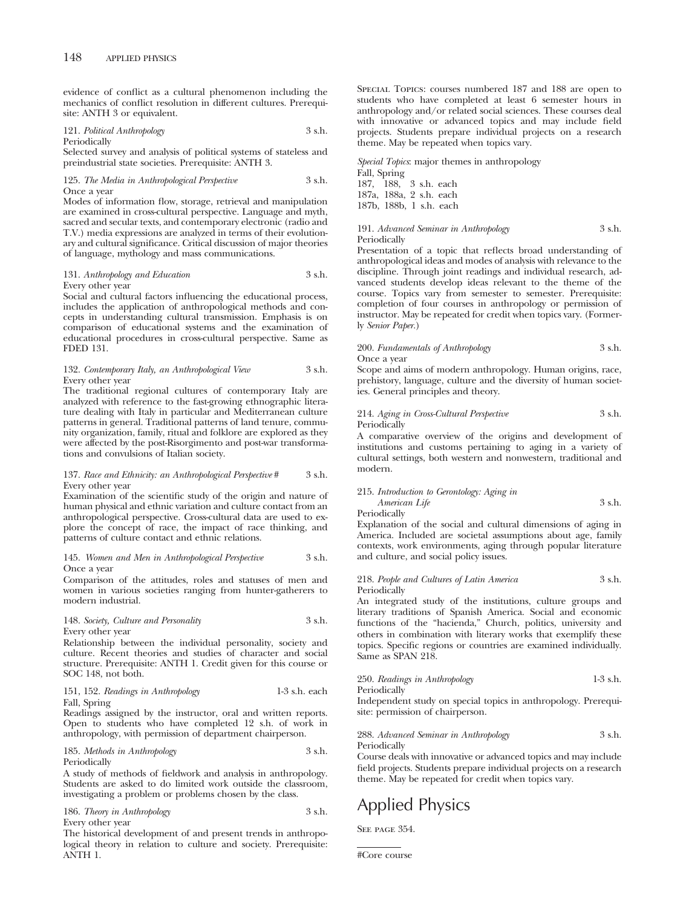evidence of conflict as a cultural phenomenon including the mechanics of conflict resolution in different cultures. Prerequisite: ANTH 3 or equivalent.

121. *Political Anthropology* 3 s.h. Periodically

Selected survey and analysis of political systems of stateless and preindustrial state societies. Prerequisite: ANTH 3.

#### 125. *The Media in Anthropological Perspective* 3 s.h. Once a year

Modes of information flow, storage, retrieval and manipulation are examined in cross-cultural perspective. Language and myth, sacred and secular texts, and contemporary electronic (radio and T.V.) media expressions are analyzed in terms of their evolutionary and cultural significance. Critical discussion of major theories of language, mythology and mass communications.

### 131. *Anthropology and Education* 3 s.h. Every other year

Social and cultural factors influencing the educational process, includes the application of anthropological methods and concepts in understanding cultural transmission. Emphasis is on comparison of educational systems and the examination of educational procedures in cross-cultural perspective. Same as FDED 131.

#### 132. *Contemporary Italy, an Anthropological View* 3 s.h. Every other year

The traditional regional cultures of contemporary Italy are analyzed with reference to the fast-growing ethnographic literature dealing with Italy in particular and Mediterranean culture patterns in general. Traditional patterns of land tenure, community organization, family, ritual and folklore are explored as they were affected by the post-Risorgimento and post-war transformations and convulsions of Italian society.

#### 137. *Race and Ethnicity: an Anthropological Perspective* # 3 s.h. Every other year

Examination of the scientific study of the origin and nature of human physical and ethnic variation and culture contact from an anthropological perspective. Cross-cultural data are used to explore the concept of race, the impact of race thinking, and patterns of culture contact and ethnic relations.

#### 145. *Women and Men in Anthropological Perspective* 3 s.h. Once a year

Comparison of the attitudes, roles and statuses of men and women in various societies ranging from hunter-gatherers to modern industrial.

#### 148. *Society, Culture and Personality* 3 s.h. Every other year

Relationship between the individual personality, society and culture. Recent theories and studies of character and social structure. Prerequisite: ANTH 1. Credit given for this course or SOC 148, not both.

#### 151, 152. *Readings in Anthropology* 1-3 s.h. each Fall, Spring

Readings assigned by the instructor, oral and written reports. Open to students who have completed 12 s.h. of work in anthropology, with permission of department chairperson.

185. *Methods in Anthropology* 3 s.h. Periodically

A study of methods of fieldwork and analysis in anthropology. Students are asked to do limited work outside the classroom, investigating a problem or problems chosen by the class.

186. *Theory in Anthropology* 3 s.h. Every other year

The historical development of and present trends in anthropological theory in relation to culture and society. Prerequisite: ANTH 1.

Special Topics: courses numbered 187 and 188 are open to students who have completed at least 6 semester hours in anthropology and/or related social sciences. These courses deal with innovative or advanced topics and may include field projects. Students prepare individual projects on a research theme. May be repeated when topics vary.

*Special Topics*: major themes in anthropology Fall, Spring 187, 188, 3 s.h. each 187a, 188a, 2 s.h. each 187b, 188b, 1 s.h. each

#### 191. *Advanced Seminar in Anthropology* 3 s.h. Periodically

Presentation of a topic that reflects broad understanding of anthropological ideas and modes of analysis with relevance to the discipline. Through joint readings and individual research, advanced students develop ideas relevant to the theme of the course. Topics vary from semester to semester. Prerequisite: completion of four courses in anthropology or permission of instructor. May be repeated for credit when topics vary. (Formerly *Senior Paper.*)

## 200. *Fundamentals of Anthropology* 3 s.h. Once a year

Scope and aims of modern anthropology. Human origins, race, prehistory, language, culture and the diversity of human societies. General principles and theory.

#### 214. *Aging in Cross-Cultural Perspective* 3 s.h. **Periodically**

A comparative overview of the origins and development of institutions and customs pertaining to aging in a variety of cultural settings, both western and nonwestern, traditional and modern.

#### 215. *Introduction to Gerontology: Aging in American Life* 3 s.h. Periodically

Explanation of the social and cultural dimensions of aging in America. Included are societal assumptions about age, family contexts, work environments, aging through popular literature and culture, and social policy issues.

#### 218. *People and Cultures of Latin America* 3 s.h. Periodically

An integrated study of the institutions, culture groups and literary traditions of Spanish America. Social and economic functions of the "hacienda," Church, politics, university and others in combination with literary works that exemplify these topics. Specific regions or countries are examined individually. Same as SPAN 218.

250. *Readings in Anthropology* 1-3 s.h. Periodically

Independent study on special topics in anthropology. Prerequisite: permission of chairperson.

288. *Advanced Seminar in Anthropology* 3 s.h. Periodically

Course deals with innovative or advanced topics and may include field projects. Students prepare individual projects on a research theme. May be repeated for credit when topics vary.

# Applied Physics

SEE PAGE 354.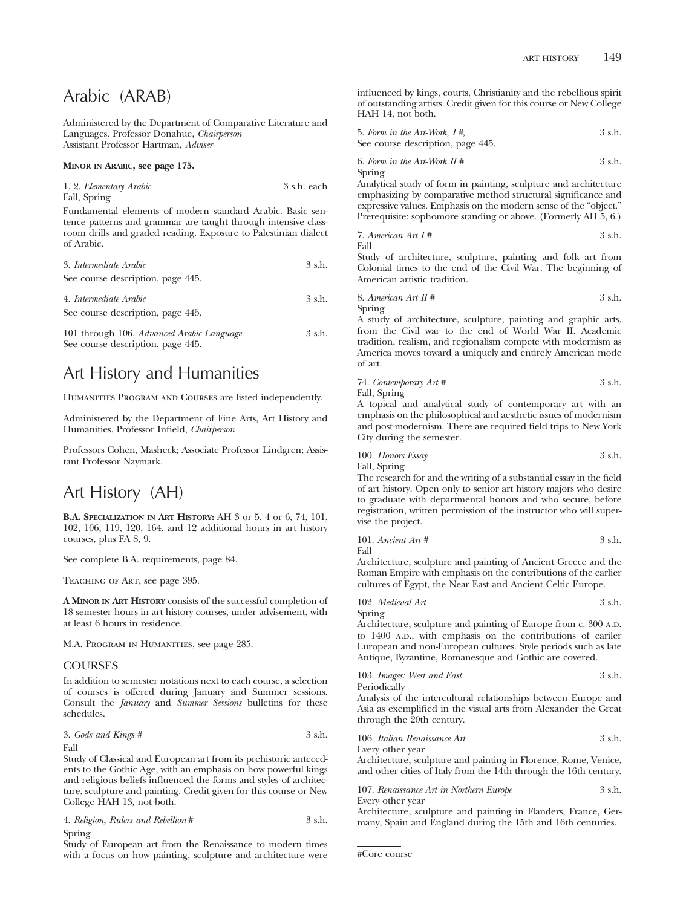## Arabic (ARAB)

Administered by the Department of Comparative Literature and Languages. Professor Donahue, *Chairperson* Assistant Professor Hartman, *Adviser*

#### **MINOR IN ARABIC, see page 175.**

| 1, 2. Elementary Arabic | 3 s.h. each |  |
|-------------------------|-------------|--|
| Fall, Spring            |             |  |

Fundamental elements of modern standard Arabic. Basic sentence patterns and grammar are taught through intensive classroom drills and graded reading. Exposure to Palestinian dialect of Arabic.

| 3. Intermediate Arabic                    | 3 s.h.   |  |
|-------------------------------------------|----------|--|
| See course description, page 445.         |          |  |
| 4. Intermediate Arabic                    | $3$ s.h. |  |
| See course description, page 445.         |          |  |
| 101 through 106. Advanced Arabic Language | 3 s.h.   |  |

# Art History and Humanities

See course description, page 445.

HUMANITIES PROGRAM AND COURSES are listed independently.

Administered by the Department of Fine Arts, Art History and Humanities. Professor Infield, *Chairperson*

Professors Cohen, Masheck; Associate Professor Lindgren; Assistant Professor Naymark.

## Art History (AH)

**B.A. SPECIALIZATION IN ART HISTORY:** AH 3 or 5, 4 or 6, 74, 101, 102, 106, 119, 120, 164, and 12 additional hours in art history courses, plus FA 8, 9.

See complete B.A. requirements, page 84.

Teaching of Art, see page 395.

**A MINOR IN ART HISTORY** consists of the successful completion of 18 semester hours in art history courses, under advisement, with at least 6 hours in residence.

M.A. Program in Humanities, see page 285.

### COURSES

In addition to semester notations next to each course, a selection of courses is offered during January and Summer sessions. Consult the *January* and *Summer Sessions* bulletins for these schedules.

3. Gods and Kings 
$$
\#
$$

\n3 s.h.

Fall

Study of Classical and European art from its prehistoric antecedents to the Gothic Age, with an emphasis on how powerful kings and religious beliefs influenced the forms and styles of architecture, sculpture and painting. Credit given for this course or New College HAH 13, not both.

|        | 4. Religion, Rulers and Rebellion # | 3 s.h. |
|--------|-------------------------------------|--------|
| Spring |                                     |        |

Study of European art from the Renaissance to modern times with a focus on how painting, sculpture and architecture were influenced by kings, courts, Christianity and the rebellious spirit of outstanding artists. Credit given for this course or New College HAH 14, not both.

| 5. Form in the Art-Work, $I \#$ , | 3 s.h. |
|-----------------------------------|--------|
| See course description, page 445. |        |
| 6. Form in the Art-Work $\Pi$ #   | 3 s.h. |

Spring

Analytical study of form in painting, sculpture and architecture emphasizing by comparative method structural significance and expressive values. Emphasis on the modern sense of the "object." Prerequisite: sophomore standing or above. (Formerly AH 5, 6.)

7. American Art 
$$
I \#
$$
 3 s.h.

Fall

Study of architecture, sculpture, painting and folk art from Colonial times to the end of the Civil War. The beginning of American artistic tradition.

8. *American Art II* # 
$$
3 \, \text{s.h.}
$$
 Spring

A study of architecture, sculpture, painting and graphic arts, from the Civil war to the end of World War II. Academic tradition, realism, and regionalism compete with modernism as America moves toward a uniquely and entirely American mode of art.

74. *Contemporary Art #* 3 s.h. Fall, Spring

A topical and analytical study of contemporary art with an emphasis on the philosophical and aesthetic issues of modernism and post-modernism. There are required field trips to New York City during the semester.

100. *Honors Essay* 3 s.h. Fall, Spring

The research for and the writing of a substantial essay in the field of art history. Open only to senior art history majors who desire to graduate with departmental honors and who secure, before registration, written permission of the instructor who will supervise the project.

101. *Ancient Art #* 3 s.h. Fall

Architecture, sculpture and painting of Ancient Greece and the Roman Empire with emphasis on the contributions of the earlier cultures of Egypt, the Near East and Ancient Celtic Europe.

102. *Medieval Art* 3 s.h. Spring

Architecture, sculpture and painting of Europe from c. 300 A.D. to 1400 A.D., with emphasis on the contributions of eariler European and non-European cultures. Style periods such as late Antique, Byzantine, Romanesque and Gothic are covered.

103. *Images: West and East* 3 s.h. Periodically

Analysis of the intercultural relationships between Europe and Asia as exemplified in the visual arts from Alexander the Great through the 20th century.

106. *Italian Renaissance Art* 3 s.h. Every other year

Architecture, sculpture and painting in Florence, Rome, Venice, and other cities of Italy from the 14th through the 16th century.

107. *Renaissance Art in Northern Europe* 3 s.h. Every other year

Architecture, sculpture and painting in Flanders, France, Germany, Spain and England during the 15th and 16th centuries.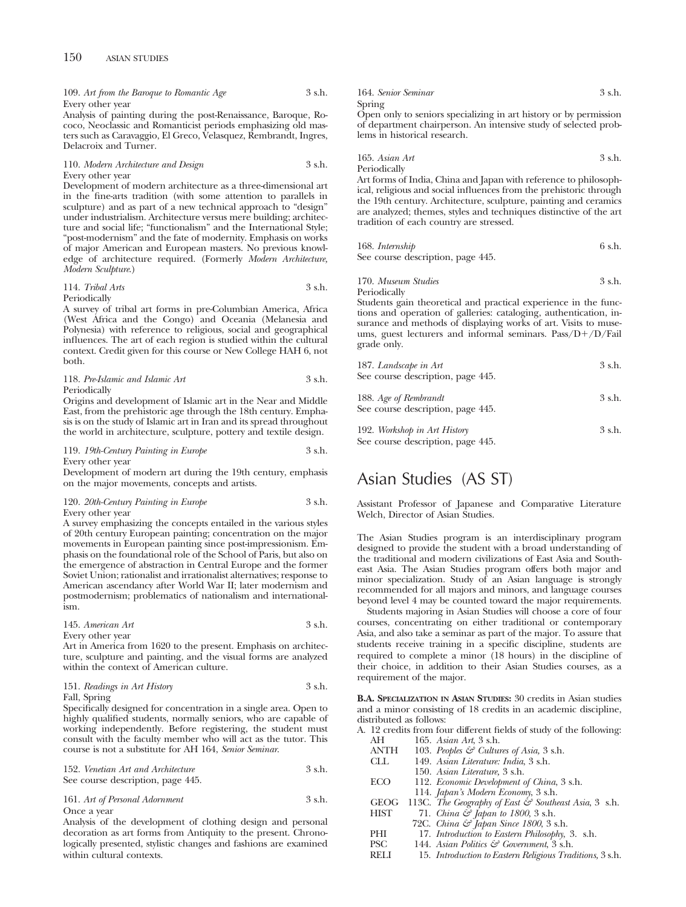| 109. Art from the Baroque to Romantic Age | 3 s.h. |
|-------------------------------------------|--------|
| Every other year                          |        |

Analysis of painting during the post-Renaissance, Baroque, Rococo, Neoclassic and Romanticist periods emphasizing old masters such as Caravaggio, El Greco, Velasquez, Rembrandt, Ingres, Delacroix and Turner.

#### 110. *Modern Architecture and Design* 3 s.h. Every other year

Development of modern architecture as a three-dimensional art in the fine-arts tradition (with some attention to parallels in sculpture) and as part of a new technical approach to "design" under industrialism. Architecture versus mere building; architecture and social life; "functionalism" and the International Style; "post-modernism" and the fate of modernity. Emphasis on works of major American and European masters. No previous knowledge of architecture required. (Formerly *Modern Architecture, Modern Sculpture*.)

#### 114. *Tribal Arts* 3 s.h. Periodically

A survey of tribal art forms in pre-Columbian America, Africa (West Africa and the Congo) and Oceania (Melanesia and Polynesia) with reference to religious, social and geographical influences. The art of each region is studied within the cultural context. Credit given for this course or New College HAH 6, not both.

#### 118. *Pre-Islamic and Islamic Art* 3 s.h. **Periodically**

Origins and development of Islamic art in the Near and Middle East, from the prehistoric age through the 18th century. Emphasis is on the study of Islamic art in Iran and its spread throughout the world in architecture, sculpture, pottery and textile design.

#### 119. *19th-Century Painting in Europe* 3 s.h. Every other year

Development of modern art during the 19th century, emphasis on the major movements, concepts and artists.

#### 120. *20th-Century Painting in Europe* 3 s.h. Every other year

A survey emphasizing the concepts entailed in the various styles of 20th century European painting; concentration on the major movements in European painting since post-impressionism. Emphasis on the foundational role of the School of Paris, but also on the emergence of abstraction in Central Europe and the former Soviet Union; rationalist and irrationalist alternatives; response to American ascendancy after World War II; later modernism and postmodernism; problematics of nationalism and internationalism.

| 145. American Art | 3 s.h. |
|-------------------|--------|
| Every other year  |        |

Art in America from 1620 to the present. Emphasis on architecture, sculpture and painting, and the visual forms are analyzed within the context of American culture.

### 151. *Readings in Art History* 3 s.h. Fall, Spring

Specifically designed for concentration in a single area. Open to highly qualified students, normally seniors, who are capable of working independently. Before registering, the student must consult with the faculty member who will act as the tutor. This course is not a substitute for AH 164, *Senior Seminar*.

| 152. Venetian Art and Architecture | 3 s.h. |
|------------------------------------|--------|
| See course description, page 445.  |        |

#### 161. *Art of Personal Adornment* 3 s.h. Once a year

Analysis of the development of clothing design and personal decoration as art forms from Antiquity to the present. Chronologically presented, stylistic changes and fashions are examined within cultural contexts.

| 164. Senior Seminar                                               | $3$ s.h. |
|-------------------------------------------------------------------|----------|
| Spring                                                            |          |
| Open only to seniors specializing in art history or by permission |          |

of department chairperson. An intensive study of selected problems in historical research.

165. *Asian Art* 3 s.h. Periodically

Art forms of India, China and Japan with reference to philosophical, religious and social influences from the prehistoric through the 19th century. Architecture, sculpture, painting and ceramics are analyzed; themes, styles and techniques distinctive of the art tradition of each country are stressed.

| 168. Internship                   | 6 s.h. |
|-----------------------------------|--------|
| See course description, page 445. |        |

170. *Museum Studies* 3 s.h. Periodically

Students gain theoretical and practical experience in the functions and operation of galleries: cataloging, authentication, insurance and methods of displaying works of art. Visits to museums, guest lecturers and informal seminars.  $Pass/D+/D/Fail$ grade only.

| 187. Landscape in Art<br>See course description, page 445. | $3 \text{ s.h.}$ |
|------------------------------------------------------------|------------------|
| 188. Age of Rembrandt<br>See course description, page 445. | 3 s.h.           |
| 109 Workshop in Art History                                |                  |

192. *Workshop in Art History* 3 s.h. See course description, page 445.

## Asian Studies (AS ST)

Assistant Professor of Japanese and Comparative Literature Welch, Director of Asian Studies.

The Asian Studies program is an interdisciplinary program designed to provide the student with a broad understanding of the traditional and modern civilizations of East Asia and Southeast Asia. The Asian Studies program offers both major and minor specialization. Study of an Asian language is strongly recommended for all majors and minors, and language courses beyond level 4 may be counted toward the major requirements.

Students majoring in Asian Studies will choose a core of four courses, concentrating on either traditional or contemporary Asia, and also take a seminar as part of the major. To assure that students receive training in a specific discipline, students are required to complete a minor (18 hours) in the discipline of their choice, in addition to their Asian Studies courses, as a requirement of the major.

**B.A. SPECIALIZATION IN ASIAN STUDIES:** 30 credits in Asian studies and a minor consisting of 18 credits in an academic discipline, distributed as follows:

A. 12 credits from four different fields of study of the following:<br> $\Delta H = 165$  degree  $4st$ ,  $3 \text{ s}$  b AH 165. *Asian Art*, 3 s.h.

| $\bigcap$   | 100. тошн ти, э э.н.                                             |
|-------------|------------------------------------------------------------------|
| <b>ANTH</b> | 103. Peoples $\mathcal{C}$ Cultures of Asia, 3 s.h.              |
| CLL         | 149. Asian Literature: India, 3 s.h.                             |
|             | 150. Asian Literature, 3 s.h.                                    |
| <b>ECO</b>  | 112. Economic Development of China, 3 s.h.                       |
|             | 114. Japan's Modern Economy, 3 s.h.                              |
| <b>GEOG</b> | 113C. The Geography of East $\mathcal{C}$ Southeast Asia, 3 s.h. |
| <b>HIST</b> | 71. China $\mathcal{C}$ Japan to 1800, 3 s.h.                    |
|             | 72C. China & Japan Since 1800, 3 s.h.                            |
| PHI         | 17. Introduction to Eastern Philosophy, 3. s.h.                  |
| <b>PSC</b>  | 144. Asian Politics $\mathcal G$ Government, 3 s.h.              |
|             |                                                                  |

RELI 15. *Introduction to Eastern Religious Traditions,* 3 s.h.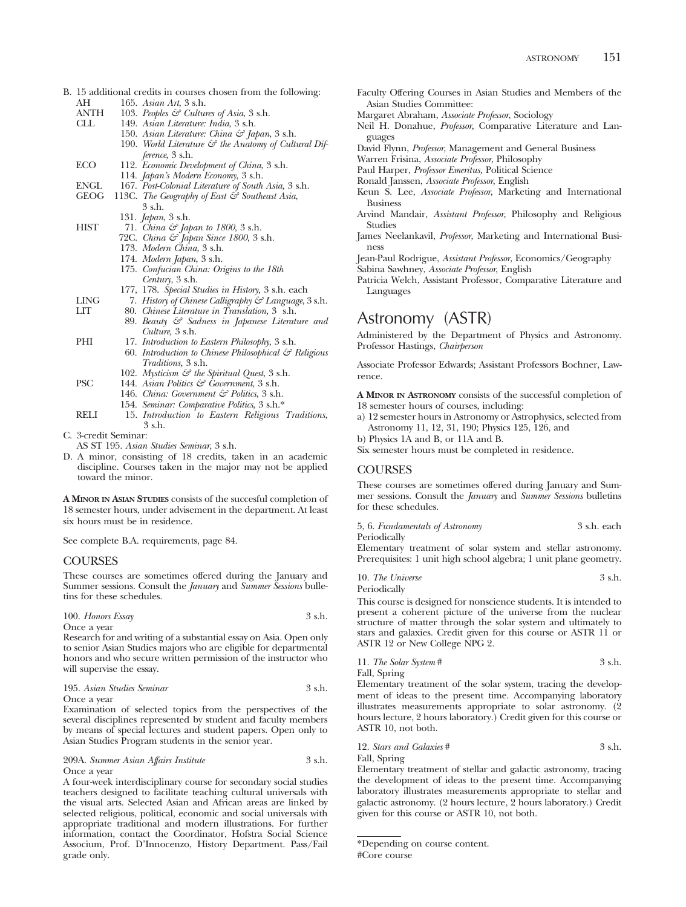- B. 15 additional credits in courses chosen from the following:<br>AH 165. Asian Art. 3 s.h. AH 165. *Asian Art*, 3 s.h.
	- ANTH 103. *Peoples & Cultures of Asia*, 3 s.h.<br>CLL 149. *Asian Literature: India*, 3 s.h.
	- CLL 149. *Asian Literature: India*, 3 s.h.
	- 150. *Asian Literature: China & Japan*, 3 s.h.
		- 190. World Literature  $\mathcal{F}$  the Anatomy of Cultural Dif*ference*, 3 s.h.
	- ECO 112. *Economic Development of China*, 3 s.h.
		- 114. *Japan's Modern Economy*, 3 s.h.
	- ENGL 167. *Post-Colonial Literature of South Asia,* 3 s.h.
	- 113C. *The Geography of East & Southeast Asia*, 3 s.h.
		- 131. *Japan*, 3 s.h.
		-
	- HIST 71. *China & Japan to 1800*, 3 s.h. 72C. *China & Japan Since 1800*, 3 s.h.
		- 173. *Modern China*, 3 s.h.
		- 174. *Modern Japan*, 3 s.h.
		- 175. *Confucian China: Origins to the 18th Century*, 3 s.h.
		- 177, 178. *Special Studies in History,* 3 s.h. each
	- LING 7. *History of Chinese Calligraphy & Language*, 3 s.h.
		- LIT 80. *Chinese Literature in Translation,* 3 s.h.
			- 89. *Beauty & Sadness in Japanese Literature and Culture,* 3 s.h.
	- PHI 17. *Introduction to Eastern Philosophy*, 3 s.h.
		- 60. *Introduction to Chinese Philosophical & Religious Traditions,* 3 s.h.
		- 102. *Mysticism & the Spiritual Quest*, 3 s.h.
	- PSC 144. *Asian Politics & Government*, 3 s.h.
		- 146. *China: Government & Politics*, 3 s.h.
		- 154. *Seminar: Comparative Politics*, 3 s.h.\*
	- RELI 15. *Introduction to Eastern Religious Traditions*, 3 s.h.
- C. 3-credit Seminar:
	- AS ST 195. *Asian Studies Seminar*, 3 s.h.
- D. A minor, consisting of 18 credits, taken in an academic discipline. Courses taken in the major may not be applied toward the minor.

**A MINOR IN ASIAN STUDIES** consists of the succesful completion of 18 semester hours, under advisement in the department. At least six hours must be in residence.

See complete B.A. requirements, page 84.

## **COURSES**

These courses are sometimes offered during the January and Summer sessions. Consult the *January* and *Summer Sessions* bulletins for these schedules.

| 100. Honors Essay | 3 s.h. |
|-------------------|--------|
| Once a vear       |        |

Research for and writing of a substantial essay on Asia. Open only to senior Asian Studies majors who are eligible for departmental honors and who secure written permission of the instructor who will supervise the essay.

| 195. Asian Studies Seminar | 3 s.h. |
|----------------------------|--------|
| Once a vear                |        |

Examination of selected topics from the perspectives of the several disciplines represented by student and faculty members by means of special lectures and student papers. Open only to Asian Studies Program students in the senior year.

209A. *Summer Asian Affairs Institute* 3 s.h. Once a year

A four-week interdisciplinary course for secondary social studies teachers designed to facilitate teaching cultural universals with the visual arts. Selected Asian and African areas are linked by selected religious, political, economic and social universals with appropriate traditional and modern illustrations. For further information, contact the Coordinator, Hofstra Social Science Associum, Prof. D'Innocenzo, History Department. Pass/Fail grade only.

- Faculty Offering Courses in Asian Studies and Members of the Asian Studies Committee:
- Margaret Abraham, *Associate Professor*, Sociology
- Neil H. Donahue, *Professor*, Comparative Literature and Languages
- David Flynn, *Professor*, Management and General Business
- Warren Frisina, *Associate Professor*, Philosophy
- Paul Harper, *Professor Emeritus,* Political Science
- Ronald Janssen, *Associate Professor*, English
- Keun S. Lee, *Associate Professor*, Marketing and International Business
- Arvind Mandair, *Assistant Professor*, Philosophy and Religious Studies
- James Neelankavil, *Professor*, Marketing and International Business
- Jean-Paul Rodrigue, *Assistant Professor*, Economics/Geography
- Sabina Sawhney, *Associate Professor*, English

Patricia Welch, Assistant Professor, Comparative Literature and Languages

# Astronomy (ASTR)

Administered by the Department of Physics and Astronomy. Professor Hastings, *Chairperson*

Associate Professor Edwards; Assistant Professors Bochner, Lawrence.

**A MINOR IN ASTRONOMY** consists of the successful completion of 18 semester hours of courses, including:

a) 12 semester hours in Astronomy or Astrophysics, selected from Astronomy 11, 12, 31, 190; Physics 125, 126, and

b) Physics 1A and B, or 11A and B.

Six semester hours must be completed in residence.

## COURSES

These courses are sometimes offered during January and Summer sessions. Consult the *January* and *Summer Sessions* bulletins for these schedules.

5, 6. *Fundamentals of Astronomy* 3 s.h. each Periodically

Elementary treatment of solar system and stellar astronomy. Prerequisites: 1 unit high school algebra; 1 unit plane geometry.

| 10. The Universe | 3 s.h. |
|------------------|--------|
| Periodically     |        |

This course is designed for nonscience students. It is intended to present a coherent picture of the universe from the nuclear structure of matter through the solar system and ultimately to stars and galaxies. Credit given for this course or ASTR 11 or ASTR 12 or New College NPG 2.

| 11. The Solar System # | 3 s.h. |
|------------------------|--------|
| Fall, Spring           |        |

Elementary treatment of the solar system, tracing the development of ideas to the present time. Accompanying laboratory illustrates measurements appropriate to solar astronomy. (2 hours lecture, 2 hours laboratory.) Credit given for this course or ASTR 10, not both.

12. *Stars and Galaxies* # 3 s.h. Fall, Spring

Elementary treatment of stellar and galactic astronomy, tracing the development of ideas to the present time. Accompanying laboratory illustrates measurements appropriate to stellar and galactic astronomy. (2 hours lecture, 2 hours laboratory.) Credit given for this course or ASTR 10, not both.

<sup>\*</sup>Depending on course content. #Core course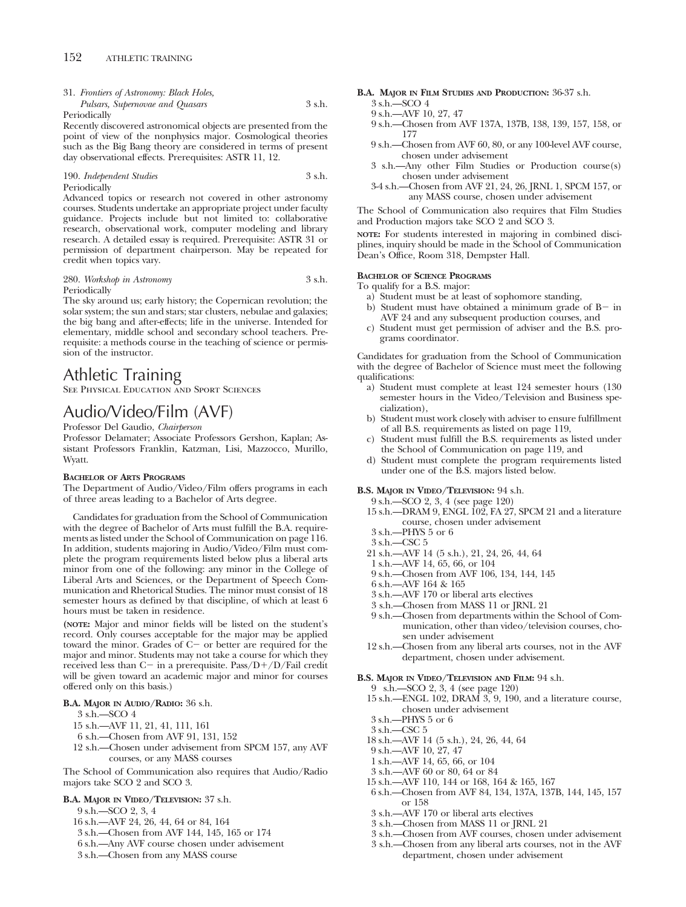31. *Frontiers of Astronomy: Black Holes, Pulsars, Supernovae and Quasars* 3 s.h.

Periodically

Recently discovered astronomical objects are presented from the point of view of the nonphysics major. Cosmological theories such as the Big Bang theory are considered in terms of present day observational effects. Prerequisites: ASTR 11, 12.

190. *Independent Studies* 3 s.h. Periodically

Advanced topics or research not covered in other astronomy courses. Students undertake an appropriate project under faculty guidance. Projects include but not limited to: collaborative research, observational work, computer modeling and library research. A detailed essay is required. Prerequisite: ASTR 31 or permission of department chairperson. May be repeated for credit when topics vary.

280. *Workshop in Astronomy* 3 s.h. Periodically

The sky around us; early history; the Copernican revolution; the solar system; the sun and stars; star clusters, nebulae and galaxies; the big bang and after-effects; life in the universe. Intended for elementary, middle school and secondary school teachers. Prerequisite: a methods course in the teaching of science or permission of the instructor.

## Athletic Training

See Physical Education and Sport Sciences

## Audio/Video/Film (AVF)

Professor Del Gaudio, *Chairperson*

Professor Delamater; Associate Professors Gershon, Kaplan; Assistant Professors Franklin, Katzman, Lisi, Mazzocco, Murillo, Wyatt.

#### **BACHELOR OF ARTS PROGRAMS**

The Department of Audio/Video/Film offers programs in each of three areas leading to a Bachelor of Arts degree.

Candidates for graduation from the School of Communication with the degree of Bachelor of Arts must fulfill the B.A. requirements as listed under the School of Communication on page 116. In addition, students majoring in Audio/Video/Film must complete the program requirements listed below plus a liberal arts minor from one of the following: any minor in the College of Liberal Arts and Sciences, or the Department of Speech Communication and Rhetorical Studies. The minor must consist of 18 semester hours as defined by that discipline, of which at least 6 hours must be taken in residence.

**(NOTE:** Major and minor fields will be listed on the student's record. Only courses acceptable for the major may be applied toward the minor. Grades of C- or better are required for the major and minor. Students may not take a course for which they received less than  $C-$  in a prerequisite. Pass/ $D+/D/F$ ail credit will be given toward an academic major and minor for courses offered only on this basis.)

#### **B.A. MAJOR IN AUDIO/RADIO:** 36 s.h.

- $3$  s.h.—SCO  $4$
- 15 s.h.—AVF 11, 21, 41, 111, 161
- 6 s.h.—Chosen from AVF 91, 131, 152
- 12 s.h.—Chosen under advisement from SPCM 157, any AVF courses, or any MASS courses

The School of Communication also requires that Audio/Radio majors take SCO 2 and SCO 3.

#### **B.A. MAJOR IN VIDEO/TELEVISION:** 37 s.h.

9 s.h.—SCO 2, 3, 4

- 16 s.h.—AVF 24, 26, 44, 64 or 84, 164
- 3 s.h.—Chosen from AVF 144, 145, 165 or 174
- 6 s.h.—Any AVF course chosen under advisement
- 3 s.h.—Chosen from any MASS course

**B.A. MAJOR IN FILM STUDIES AND PRODUCTION:** 36-37 s.h.

- 3 s.h.—SCO 4
- 9 s.h.—AVF 10, 27, 47
- 9 s.h.—Chosen from AVF 137A, 137B, 138, 139, 157, 158, or 177
- 9 s.h.—Chosen from AVF 60, 80, or any 100-level AVF course, chosen under advisement
- 3 s.h.—Any other Film Studies or Production course(s) chosen under advisement
- 3-4 s.h.—Chosen from AVF 21, 24, 26, JRNL 1, SPCM 157, or any MASS course, chosen under advisement

The School of Communication also requires that Film Studies and Production majors take SCO 2 and SCO 3.

**NOTE:** For students interested in majoring in combined disciplines, inquiry should be made in the School of Communication Dean's Office, Room 318, Dempster Hall.

#### **BACHELOR OF SCIENCE PROGRAMS**

To qualify for a B.S. major:

- a) Student must be at least of sophomore standing,
- b) Student must have obtained a minimum grade of B- in AVF 24 and any subsequent production courses, and
- c) Student must get permission of adviser and the B.S. programs coordinator.

Candidates for graduation from the School of Communication with the degree of Bachelor of Science must meet the following qualifications:

- a) Student must complete at least 124 semester hours (130 semester hours in the Video/Television and Business specialization),
- b) Student must work closely with adviser to ensure fulfillment of all B.S. requirements as listed on page 119,
- Student must fulfill the B.S. requirements as listed under the School of Communication on page 119, and
- d) Student must complete the program requirements listed under one of the B.S. majors listed below.

### **B.S. MAJOR IN VIDEO/TELEVISION:** 94 s.h.

9 s.h.—SCO 2, 3, 4 (see page 120)

- 15 s.h.—DRAM 9, ENGL 102, FA 27, SPCM 21 and a literature course, chosen under advisement
- 3 s.h.—PHYS 5 or 6
- 3 s.h.—CSC 5
- 21 s.h.—AVF 14 (5 s.h.), 21, 24, 26, 44, 64
- 1 s.h.—AVF 14, 65, 66, or 104
- 9 s.h.—Chosen from AVF 106, 134, 144, 145
- 6 s.h.—AVF 164 & 165
- 3 s.h.—AVF 170 or liberal arts electives
- 3 s.h.—Chosen from MASS 11 or JRNL 21
- 9 s.h.—Chosen from departments within the School of Communication, other than video/television courses, chosen under advisement
- 12 s.h.—Chosen from any liberal arts courses, not in the AVF department, chosen under advisement.

## **B.S. MAJOR IN VIDEO/TELEVISION AND FILM:** 94 s.h.

- 9 s.h.—SCO 2, 3, 4 (see page 120)
- 15 s.h.—ENGL 102, DRAM 3, 9, 190, and a literature course, chosen under advisement
- 3 s.h.—PHYS 5 or 6
- 3 s.h.—CSC 5
- 18 s.h.—AVF 14 (5 s.h.), 24, 26, 44, 64
- 9 s.h.—AVF 10, 27, 47
- 1 s.h.—AVF 14, 65, 66, or 104
- 3 s.h.—AVF 60 or 80, 64 or 84
- 15 s.h.—AVF 110, 144 or 168, 164 & 165, 167
- 6 s.h.—Chosen from AVF 84, 134, 137A, 137B, 144, 145, 157 or 158
- 3 s.h.—AVF 170 or liberal arts electives
- 3 s.h.—Chosen from MASS 11 or JRNL 21
- 3 s.h.—Chosen from AVF courses, chosen under advisement
- 3 s.h.—Chosen from any liberal arts courses, not in the AVF department, chosen under advisement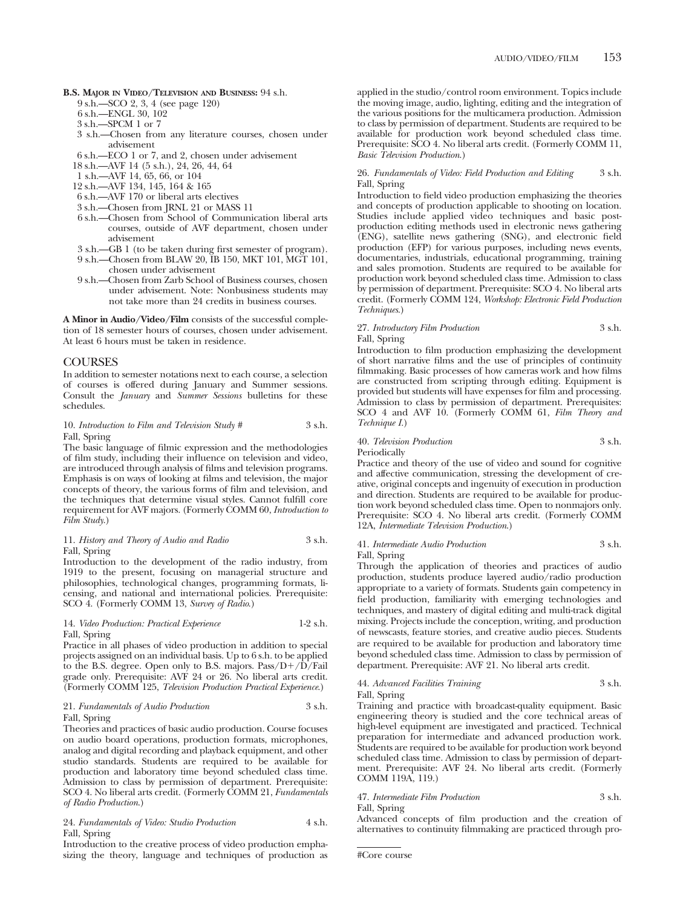**B.S. MAJOR IN VIDEO/TELEVISION AND BUSINESS:** 94 s.h.

- 9 s.h.—SCO 2, 3, 4 (see page 120)
- 6 s.h.—ENGL 30, 102
- 3 s.h.—SPCM 1 or 7
- 3 s.h.—Chosen from any literature courses, chosen under advisement
- 6 s.h.—ECO 1 or 7, and 2, chosen under advisement
- 18 s.h.—AVF 14 (5 s.h.), 24, 26, 44, 64
- 1 s.h.—AVF 14, 65, 66, or 104
- 12 s.h.—AVF 134, 145, 164 & 165
- 6 s.h.—AVF 170 or liberal arts electives
- 3 s.h.—Chosen from JRNL 21 or MASS 11
- 6 s.h.—Chosen from School of Communication liberal arts courses, outside of AVF department, chosen under advisement
- 3 s.h.—GB 1 (to be taken during first semester of program).
- 9 s.h.—Chosen from BLAW 20, IB 150, MKT 101, MGT 101, chosen under advisement
- 9 s.h.—Chosen from Zarb School of Business courses, chosen under advisement. Note: Nonbusiness students may not take more than 24 credits in business courses.

**A Minor in Audio/Video/Film** consists of the successful completion of 18 semester hours of courses, chosen under advisement. At least 6 hours must be taken in residence.

### COURSES

In addition to semester notations next to each course, a selection of courses is offered during January and Summer sessions. Consult the *January* and *Summer Sessions* bulletins for these schedules.

#### 10. *Introduction to Film and Television Study* # 3 s.h. Fall, Spring

The basic language of filmic expression and the methodologies of film study, including their influence on television and video, are introduced through analysis of films and television programs. Emphasis is on ways of looking at films and television, the major concepts of theory, the various forms of film and television, and the techniques that determine visual styles. Cannot fulfill core requirement for AVF majors. (Formerly COMM 60, *Introduction to Film Study*.)

#### 11. *History and Theory of Audio and Radio* 3 s.h. Fall, Spring

Introduction to the development of the radio industry, from 1919 to the present, focusing on managerial structure and philosophies, technological changes, programming formats, licensing, and national and international policies. Prerequisite: SCO 4. (Formerly COMM 13, *Survey of Radio*.)

#### 14. *Video Production: Practical Experience* 1-2 s.h. Fall, Spring

Practice in all phases of video production in addition to special projects assigned on an individual basis. Up to 6 s.h. to be applied to the B.S. degree. Open only to B.S. majors.  $Pass/D+/D/Fall$ grade only. Prerequisite: AVF 24 or 26. No liberal arts credit. (Formerly COMM 125, *Television Production Practical Experience*.)

#### 21. *Fundamentals of Audio Production* 3 s.h. Fall, Spring

Theories and practices of basic audio production. Course focuses on audio board operations, production formats, microphones, analog and digital recording and playback equipment, and other studio standards. Students are required to be available for production and laboratory time beyond scheduled class time. Admission to class by permission of department. Prerequisite: SCO 4. No liberal arts credit. (Formerly COMM 21, *Fundamentals of Radio Production*.)

24. *Fundamentals of Video: Studio Production* 4 s.h. Fall, Spring

Introduction to the creative process of video production emphasizing the theory, language and techniques of production as applied in the studio/control room environment. Topics include the moving image, audio, lighting, editing and the integration of the various positions for the multicamera production. Admission to class by permission of department. Students are required to be available for production work beyond scheduled class time. Prerequisite: SCO 4. No liberal arts credit. (Formerly COMM 11, *Basic Television Production*.)

#### 26. *Fundamentals of Video: Field Production and Editing* 3 s.h. Fall, Spring

Introduction to field video production emphasizing the theories and concepts of production applicable to shooting on location. Studies include applied video techniques and basic postproduction editing methods used in electronic news gathering (ENG), satellite news gathering (SNG), and electronic field production (EFP) for various purposes, including news events, documentaries, industrials, educational programming, training and sales promotion. Students are required to be available for production work beyond scheduled class time. Admission to class by permission of department. Prerequisite: SCO 4. No liberal arts credit. (Formerly COMM 124, *Workshop: Electronic Field Production Techniques*.)

## 27. *Introductory Film Production* 3 s.h. Fall, Spring

Introduction to film production emphasizing the development of short narrative films and the use of principles of continuity filmmaking. Basic processes of how cameras work and how films are constructed from scripting through editing. Equipment is provided but students will have expenses for film and processing. Admission to class by permission of department. Prerequisites: SCO 4 and AVF 10. (Formerly COMM 61, *Film Theory and Technique I.*)

## 40. *Television Production* 3 s.h. **Periodically**

Practice and theory of the use of video and sound for cognitive and affective communication, stressing the development of creative, original concepts and ingenuity of execution in production and direction. Students are required to be available for production work beyond scheduled class time. Open to nonmajors only. Prerequisite: SCO 4. No liberal arts credit. (Formerly COMM 12A, *Intermediate Television Production*.)

41. *Intermediate Audio Production* 3 s.h. Fall, Spring

Through the application of theories and practices of audio production, students produce layered audio/radio production appropriate to a variety of formats. Students gain competency in field production, familiarity with emerging technologies and techniques, and mastery of digital editing and multi-track digital mixing. Projects include the conception, writing, and production of newscasts, feature stories, and creative audio pieces. Students are required to be available for production and laboratory time beyond scheduled class time. Admission to class by permission of department. Prerequisite: AVF 21. No liberal arts credit.

#### 44. *Advanced Facilities Training* 3 s.h. Fall, Spring

Training and practice with broadcast-quality equipment. Basic engineering theory is studied and the core technical areas of high-level equipment are investigated and practiced. Technical preparation for intermediate and advanced production work. Students are required to be available for production work beyond scheduled class time. Admission to class by permission of department. Prerequisite: AVF 24. No liberal arts credit. (Formerly COMM 119A, 119.)

## 47. *Intermediate Film Production* 3 s.h.

Fall, Spring

Advanced concepts of film production and the creation of alternatives to continuity filmmaking are practiced through pro-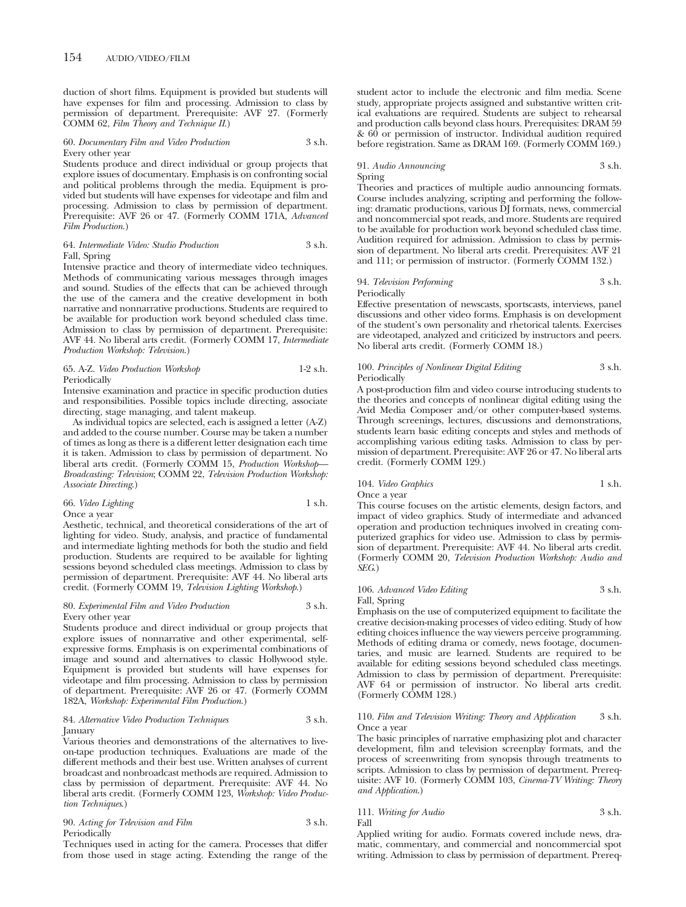duction of short films. Equipment is provided but students will have expenses for film and processing. Admission to class by permission of department. Prerequisite: AVF 27. (Formerly COMM 62, *Film Theory and Technique II*.)

#### 60. *Documentary Film and Video Production* 3 s.h. Every other year

Students produce and direct individual or group projects that explore issues of documentary. Emphasis is on confronting social and political problems through the media. Equipment is provided but students will have expenses for videotape and film and processing. Admission to class by permission of department. Prerequisite: AVF 26 or 47. (Formerly COMM 171A, *Advanced Film Production*.)

#### 64. *Intermediate Video: Studio Production* 3 s.h. Fall, Spring

Intensive practice and theory of intermediate video techniques. Methods of communicating various messages through images and sound. Studies of the effects that can be achieved through the use of the camera and the creative development in both narrative and nonnarrative productions. Students are required to be available for production work beyond scheduled class time. Admission to class by permission of department. Prerequisite: AVF 44. No liberal arts credit. (Formerly COMM 17, *Intermediate Production Workshop: Television*.)

#### 65. A-Z. *Video Production Workshop* 1-2 s.h. Periodically

Intensive examination and practice in specific production duties and responsibilities. Possible topics include directing, associate directing, stage managing, and talent makeup.

As individual topics are selected, each is assigned a letter (A-Z) and added to the course number. Course may be taken a number of times as long as there is a different letter designation each time it is taken. Admission to class by permission of department. No liberal arts credit. (Formerly COMM 15, *Production Workshop— Broadcasting: Television*; COMM 22, *Television Production Workshop: Associate Directing*.)

#### 66. *Video Lighting* 1 s.h. Once a year

Aesthetic, technical, and theoretical considerations of the art of lighting for video. Study, analysis, and practice of fundamental and intermediate lighting methods for both the studio and field production. Students are required to be available for lighting sessions beyond scheduled class meetings. Admission to class by permission of department. Prerequisite: AVF 44. No liberal arts credit. (Formerly COMM 19, *Television Lighting Workshop*.)

#### 80. *Experimental Film and Video Production* 3 s.h. Every other year

Students produce and direct individual or group projects that explore issues of nonnarrative and other experimental, selfexpressive forms. Emphasis is on experimental combinations of image and sound and alternatives to classic Hollywood style. Equipment is provided but students will have expenses for videotape and film processing. Admission to class by permission of department. Prerequisite: AVF 26 or 47. (Formerly COMM 182A, *Workshop: Experimental Film Production*.)

#### 84. *Alternative Video Production Techniques* 3 s.h. **January**

Various theories and demonstrations of the alternatives to liveon-tape production techniques. Evaluations are made of the different methods and their best use. Written analyses of current broadcast and nonbroadcast methods are required. Admission to class by permission of department. Prerequisite: AVF 44. No liberal arts credit. (Formerly COMM 123, *Workshop: Video Production Techniques*.)

90. *Acting for Television and Film* 3 s.h. Periodically

Techniques used in acting for the camera. Processes that differ from those used in stage acting. Extending the range of the

student actor to include the electronic and film media. Scene study, appropriate projects assigned and substantive written critical evaluations are required. Students are subject to rehearsal and production calls beyond class hours. Prerequisites: DRAM 59 & 60 or permission of instructor. Individual audition required before registration. Same as DRAM 169. (Formerly COMM 169.)

### 91. *Audio Announcing* 3 s.h. Spring

Theories and practices of multiple audio announcing formats. Course includes analyzing, scripting and performing the following: dramatic productions, various DJ formats, news, commercial and noncommercial spot reads, and more. Students are required to be available for production work beyond scheduled class time. Audition required for admission. Admission to class by permission of department. No liberal arts credit. Prerequisites: AVF 21 and 111; or permission of instructor. (Formerly COMM 132.)

### 94. *Television Performing* 3 s.h. Periodically

Effective presentation of newscasts, sportscasts, interviews, panel discussions and other video forms. Emphasis is on development of the student's own personality and rhetorical talents. Exercises are videotaped, analyzed and criticized by instructors and peers. No liberal arts credit. (Formerly COMM 18.)

#### 100. *Principles of Nonlinear Digital Editing* 3 s.h. **Periodically**

A post-production film and video course introducing students to the theories and concepts of nonlinear digital editing using the Avid Media Composer and/or other computer-based systems. Through screenings, lectures, discussions and demonstrations, students learn basic editing concepts and styles and methods of accomplishing various editing tasks. Admission to class by permission of department. Prerequisite: AVF 26 or 47. No liberal arts credit. (Formerly COMM 129.)

### 104. *Video Graphics* 1 s.h. Once a year

This course focuses on the artistic elements, design factors, and impact of video graphics. Study of intermediate and advanced operation and production techniques involved in creating computerized graphics for video use. Admission to class by permission of department. Prerequisite: AVF 44. No liberal arts credit. (Formerly COMM 20, *Television Production Workshop: Audio and SEG*.)

## 106. *Advanced Video Editing* 3 s.h. Fall, Spring

Emphasis on the use of computerized equipment to facilitate the creative decision-making processes of video editing. Study of how editing choices influence the way viewers perceive programming. Methods of editing drama or comedy, news footage, documentaries, and music are learned. Students are required to be available for editing sessions beyond scheduled class meetings. Admission to class by permission of department. Prerequisite: AVF 64 or permission of instructor. No liberal arts credit. (Formerly COMM 128.)

110. *Film and Television Writing: Theory and Application* 3 s.h. Once a year

The basic principles of narrative emphasizing plot and character development, film and television screenplay formats, and the process of screenwriting from synopsis through treatments to scripts. Admission to class by permission of department. Prerequisite: AVF 10. (Formerly COMM 103, *Cinema-TV Writing: Theory and Application*.)

#### 111. *Writing for Audio* 3 s.h. Fall

Applied writing for audio. Formats covered include news, dramatic, commentary, and commercial and noncommercial spot writing. Admission to class by permission of department. Prereq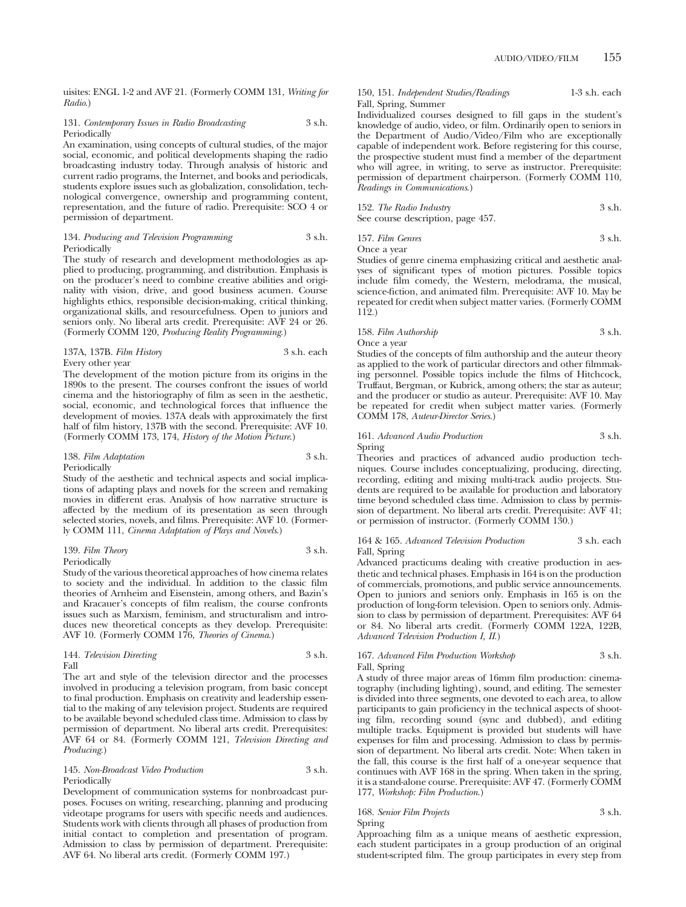uisites: ENGL 1-2 and AVF 21. (Formerly COMM 131, *Writing for Radio*.)

#### 131. *Contemporary Issues in Radio Broadcasting* 3 s.h. Periodically

An examination, using concepts of cultural studies, of the major social, economic, and political developments shaping the radio broadcasting industry today. Through analysis of historic and current radio programs, the Internet, and books and periodicals, students explore issues such as globalization, consolidation, technological convergence, ownership and programming content, representation, and the future of radio. Prerequisite: SCO 4 or permission of department.

#### 134. *Producing and Television Programming* 3 s.h. Periodically

The study of research and development methodologies as applied to producing, programming, and distribution. Emphasis is on the producer's need to combine creative abilities and originality with vision, drive, and good business acumen. Course highlights ethics, responsible decision-making, critical thinking, organizational skills, and resourcefulness. Open to juniors and seniors only. No liberal arts credit. Prerequisite: AVF 24 or 26. (Formerly COMM 120, *Producing Reality Programming*.)

| 137A, 137B. Film History |  |
|--------------------------|--|
| Every other year         |  |

The development of the motion picture from its origins in the 1890s to the present. The courses confront the issues of world cinema and the historiography of film as seen in the aesthetic, social, economic, and technological forces that influence the development of movies. 137A deals with approximately the first half of film history, 137B with the second. Prerequisite: AVF 10. (Formerly COMM 173, 174, *History of the Motion Picture*.)

137A, 137B. *Film History* 3 s.h. each

## 138. *Film Adaptation* 3 s.h.

Periodically

Study of the aesthetic and technical aspects and social implications of adapting plays and novels for the screen and remaking movies in different eras. Analysis of how narrative structure is affected by the medium of its presentation as seen through selected stories, novels, and films. Prerequisite: AVF 10. (Formerly COMM 111, *Cinema Adaptation of Plays and Novels*.)

| 139. Film Theory | 3 s.h. |
|------------------|--------|
| Periodically     |        |

Study of the various theoretical approaches of how cinema relates to society and the individual. In addition to the classic film theories of Arnheim and Eisenstein, among others, and Bazin's and Kracauer's concepts of film realism, the course confronts issues such as Marxism, feminism, and structuralism and introduces new theoretical concepts as they develop. Prerequisite: AVF 10. (Formerly COMM 176, *Theories of Cinema*.)

|      | 144. Television Directing | 3 s.h. |
|------|---------------------------|--------|
| Fall |                           |        |

The art and style of the television director and the processes involved in producing a television program, from basic concept to final production. Emphasis on creativity and leadership essential to the making of any television project. Students are required to be available beyond scheduled class time. Admission to class by permission of department. No liberal arts credit. Prerequisites: AVF 64 or 84. (Formerly COMM 121, *Television Directing and Producing*.)

145. *Non-Broadcast Video Production* 3 s.h. Periodically

Development of communication systems for nonbroadcast purposes. Focuses on writing, researching, planning and producing videotape programs for users with specific needs and audiences. Students work with clients through all phases of production from initial contact to completion and presentation of program. Admission to class by permission of department. Prerequisite: AVF 64. No liberal arts credit. (Formerly COMM 197.)

150, 151. *Independent Studies/Readings* 1-3 s.h. each Fall, Spring, Summer

Individualized courses designed to fill gaps in the student's knowledge of audio, video, or film. Ordinarily open to seniors in the Department of Audio/Video/Film who are exceptionally capable of independent work. Before registering for this course, the prospective student must find a member of the department who will agree, in writing, to serve as instructor. Prerequisite: permission of department chairperson. (Formerly COMM 110, *Readings in Communications*.)

| 152. The Radio Industry           | 3 s.h. |
|-----------------------------------|--------|
| See course description, page 457. |        |

157. *Film Genres* 3 s.h.

Once a year Studies of genre cinema emphasizing critical and aesthetic analyses of significant types of motion pictures. Possible topics include film comedy, the Western, melodrama, the musical, science-fiction, and animated film. Prerequisite: AVF 10. May be repeated for credit when subject matter varies. (Formerly COMM 112.)

## 158. *Film Authorship* 3 s.h. Once a year

Studies of the concepts of film authorship and the auteur theory as applied to the work of particular directors and other filmmaking personnel. Possible topics include the films of Hitchcock, Truffaut, Bergman, or Kubrick, among others; the star as auteur; and the producer or studio as auteur. Prerequisite: AVF 10. May be repeated for credit when subject matter varies. (Formerly COMM 178, *Auteur-Director Series*.)

161. *Advanced Audio Production* 3 s.h. Spring

Theories and practices of advanced audio production techniques. Course includes conceptualizing, producing, directing, recording, editing and mixing multi-track audio projects. Students are required to be available for production and laboratory time beyond scheduled class time. Admission to class by permission of department. No liberal arts credit. Prerequisite: AVF 41; or permission of instructor. (Formerly COMM 130.)

164 & 165. *Advanced Television Production* 3 s.h. each Fall, Spring

Advanced practicums dealing with creative production in aesthetic and technical phases. Emphasis in 164 is on the production of commercials, promotions, and public service announcements. Open to juniors and seniors only. Emphasis in 165 is on the production of long-form television. Open to seniors only. Admission to class by permission of department. Prerequisites: AVF 64 or 84. No liberal arts credit. (Formerly COMM 122A, 122B, *Advanced Television Production I, II*.)

#### 167. *Advanced Film Production Workshop* 3 s.h. Fall, Spring

A study of three major areas of 16mm film production: cinematography (including lighting), sound, and editing. The semester is divided into three segments, one devoted to each area, to allow participants to gain proficiency in the technical aspects of shooting film, recording sound (sync and dubbed), and editing multiple tracks. Equipment is provided but students will have expenses for film and processing. Admission to class by permission of department. No liberal arts credit. Note: When taken in the fall, this course is the first half of a one-year sequence that continues with AVF 168 in the spring. When taken in the spring, it is a stand-alone course. Prerequisite: AVF 47. (Formerly COMM 177, *Workshop: Film Production*.)

168. *Senior Film Projects* 3 s.h. Spring

Approaching film as a unique means of aesthetic expression, each student participates in a group production of an original student-scripted film. The group participates in every step from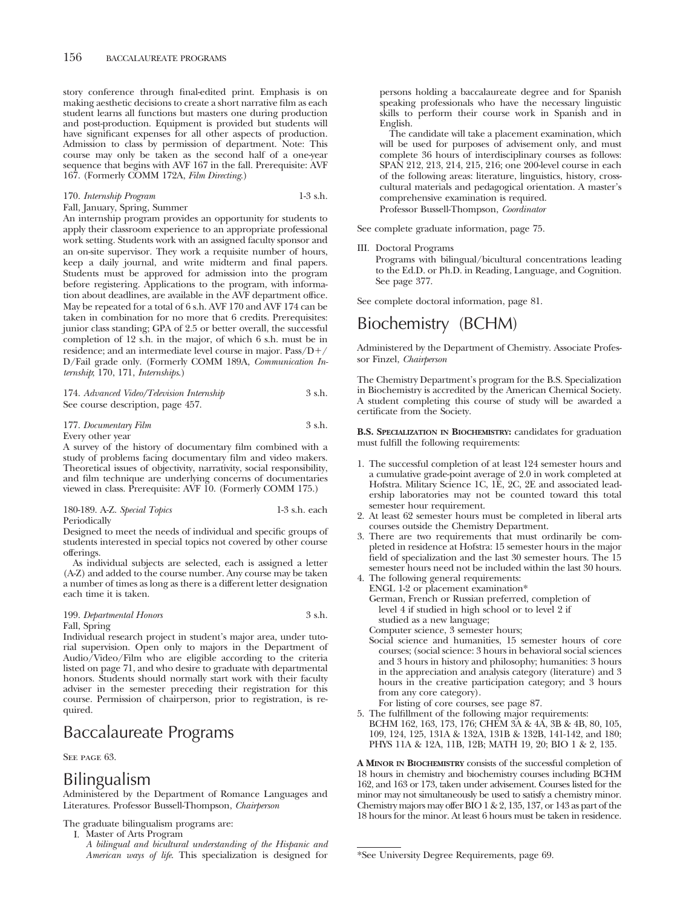story conference through final-edited print. Emphasis is on making aesthetic decisions to create a short narrative film as each student learns all functions but masters one during production and post-production. Equipment is provided but students will have significant expenses for all other aspects of production. Admission to class by permission of department. Note: This course may only be taken as the second half of a one-year sequence that begins with AVF 167 in the fall. Prerequisite: AVF 167. (Formerly COMM 172A, *Film Directing*.)

|  | 170. Internship Program | $1-3$ s.h. |
|--|-------------------------|------------|
|  |                         |            |

Fall, January, Spring, Summer An internship program provides an opportunity for students to apply their classroom experience to an appropriate professional work setting. Students work with an assigned faculty sponsor and an on-site supervisor. They work a requisite number of hours, keep a daily journal, and write midterm and final papers. Students must be approved for admission into the program before registering. Applications to the program, with information about deadlines, are available in the AVF department office. May be repeated for a total of 6 s.h. AVF 170 and AVF 174 can be taken in combination for no more that 6 credits. Prerequisites: junior class standing; GPA of 2.5 or better overall, the successful completion of 12 s.h. in the major, of which 6 s.h. must be in residence; and an intermediate level course in major.  $Pass/D+$ D/Fail grade only. (Formerly COMM 189A, *Communication Internship*; 170, 171, *Internships*.)

| 174. Advanced Video/Television Internship | 3 s.h. |
|-------------------------------------------|--------|
| See course description, page 457.         |        |

177. *Documentary Film* 3 s.h. Every other year

A survey of the history of documentary film combined with a study of problems facing documentary film and video makers. Theoretical issues of objectivity, narrativity, social responsibility, and film technique are underlying concerns of documentaries viewed in class. Prerequisite: AVF 10. (Formerly COMM 175.)

| 180-189. A-Z. Special Topics | $1-3$ s.h. each |
|------------------------------|-----------------|
| Periodically                 |                 |

Designed to meet the needs of individual and specific groups of students interested in special topics not covered by other course offerings.

As individual subjects are selected, each is assigned a letter (A-Z) and added to the course number. Any course may be taken a number of times as long as there is a different letter designation each time it is taken.

#### 199. *Departmental Honors* 3 s.h. Fall, Spring

Individual research project in student's major area, under tutorial supervision. Open only to majors in the Department of Audio/Video/Film who are eligible according to the criteria listed on page 71, and who desire to graduate with departmental honors. Students should normally start work with their faculty adviser in the semester preceding their registration for this course. Permission of chairperson, prior to registration, is required.

## Baccalaureate Programs

SEE PAGE 63.

## Bilingualism

Administered by the Department of Romance Languages and Literatures. Professor Bussell-Thompson, *Chairperson*

The graduate bilingualism programs are:

I. Master of Arts Program

*A bilingual and bicultural understanding of the Hispanic and American ways of life*. This specialization is designed for

persons holding a baccalaureate degree and for Spanish speaking professionals who have the necessary linguistic skills to perform their course work in Spanish and in English.

The candidate will take a placement examination, which will be used for purposes of advisement only, and must complete 36 hours of interdisciplinary courses as follows: SPAN 212, 213, 214, 215, 216; one 200-level course in each of the following areas: literature, linguistics, history, crosscultural materials and pedagogical orientation. A master's comprehensive examination is required. Professor Bussell-Thompson, *Coordinator*

See complete graduate information, page 75.

### III. Doctoral Programs

Programs with bilingual/bicultural concentrations leading to the Ed.D. or Ph.D. in Reading, Language, and Cognition. See page 377.

See complete doctoral information, page 81.

# Biochemistry (BCHM)

Administered by the Department of Chemistry. Associate Professor Finzel, *Chairperson*

The Chemistry Department's program for the B.S. Specialization in Biochemistry is accredited by the American Chemical Society. A student completing this course of study will be awarded a certificate from the Society.

**B.S. SPECIALIZATION IN BIOCHEMISTRY:** candidates for graduation must fulfill the following requirements:

- 1. The successful completion of at least 124 semester hours and a cumulative grade-point average of 2.0 in work completed at Hofstra. Military Science 1C, 1E, 2C, 2E and associated leadership laboratories may not be counted toward this total semester hour requirement.
- 2. At least 62 semester hours must be completed in liberal arts courses outside the Chemistry Department.
- 3. There are two requirements that must ordinarily be completed in residence at Hofstra: 15 semester hours in the major field of specialization and the last 30 semester hours. The 15 semester hours need not be included within the last 30 hours.
- 4. The following general requirements: ENGL 1-2 or placement examination\* German, French or Russian preferred, completion of level 4 if studied in high school or to level 2 if studied as a new language; Computer science, 3 semester hours;
- Social science and humanities, 15 semester hours of core courses; (social science: 3 hours in behavioral social sciences and 3 hours in history and philosophy; humanities: 3 hours in the appreciation and analysis category (literature) and 3 hours in the creative participation category; and 3 hours from any core category). For listing of core courses, see page 87.
- 5. The fulfillment of the following major requirements: BCHM 162, 163, 173, 176; CHEM 3A & 4A, 3B & 4B, 80, 105, 109, 124, 125, 131A & 132A, 131B & 132B, 141-142, and 180; PHYS 11A & 12A, 11B, 12B; MATH 19, 20; BIO 1 & 2, 135.

**A MINOR IN BIOCHEMISTRY** consists of the successful completion of 18 hours in chemistry and biochemistry courses including BCHM 162, and 163 or 173, taken under advisement. Courses listed for the minor may not simultaneously be used to satisfy a chemistry minor. Chemistry majors may offer BIO 1 & 2, 135, 137, or 143 as part of the 18 hours for the minor. At least 6 hours must be taken in residence.

<sup>\*</sup>See University Degree Requirements, page 69.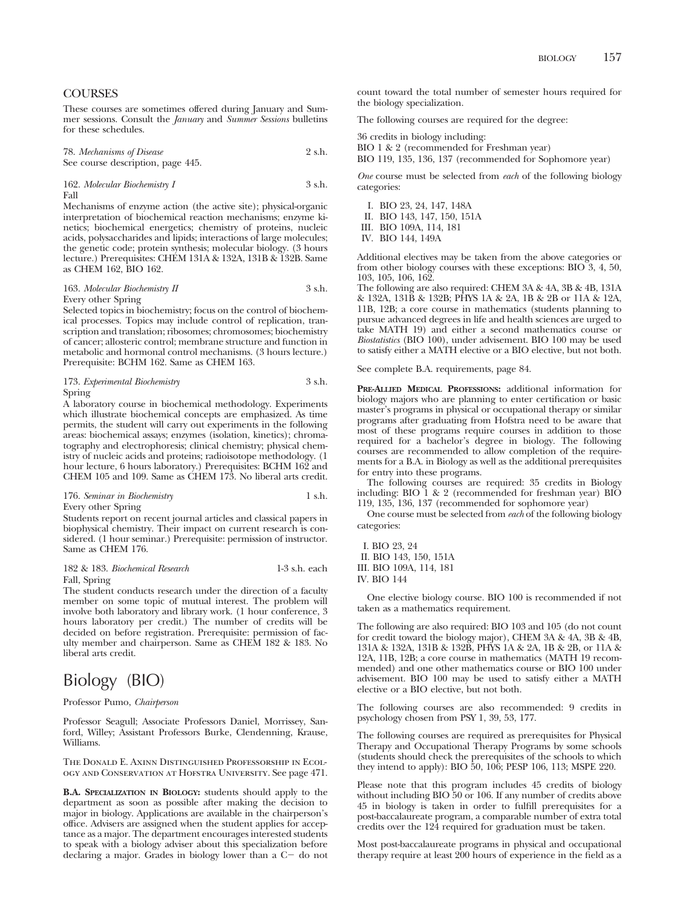## **COURSES**

These courses are sometimes offered during January and Summer sessions. Consult the *January* and *Summer Sessions* bulletins for these schedules.

78. *Mechanisms of Disease* 2 s.h. See course description, page 445.

162. *Molecular Biochemistry I* 3 s.h. Fall

Mechanisms of enzyme action (the active site); physical-organic interpretation of biochemical reaction mechanisms; enzyme kinetics; biochemical energetics; chemistry of proteins, nucleic acids, polysaccharides and lipids; interactions of large molecules; the genetic code; protein synthesis; molecular biology. (3 hours lecture.) Prerequisites: CHEM 131A & 132A, 131B & 132B. Same as CHEM 162, BIO 162.

#### 163. *Molecular Biochemistry II* 3 s.h. Every other Spring

Selected topics in biochemistry; focus on the control of biochemical processes. Topics may include control of replication, transcription and translation; ribosomes; chromosomes; biochemistry of cancer; allosteric control; membrane structure and function in metabolic and hormonal control mechanisms. (3 hours lecture.) Prerequisite: BCHM 162. Same as CHEM 163.

| 173. Experimental Biochemistry | 3 s.h. |
|--------------------------------|--------|
| Spring                         |        |

A laboratory course in biochemical methodology. Experiments which illustrate biochemical concepts are emphasized. As time permits, the student will carry out experiments in the following areas: biochemical assays; enzymes (isolation, kinetics); chromatography and electrophoresis; clinical chemistry; physical chemistry of nucleic acids and proteins; radioisotope methodology. (1 hour lecture, 6 hours laboratory.) Prerequisites: BCHM 162 and CHEM 105 and 109. Same as CHEM 173. No liberal arts credit.

176. *Seminar in Biochemistry* 1 s.h.

Every other Spring

Students report on recent journal articles and classical papers in biophysical chemistry. Their impact on current research is considered. (1 hour seminar.) Prerequisite: permission of instructor. Same as CHEM 176.

182 & 183. *Biochemical Research* 1-3 s.h. each Fall, Spring The student conducts research under the direction of a faculty

member on some topic of mutual interest. The problem will involve both laboratory and library work. (1 hour conference, 3 hours laboratory per credit.) The number of credits will be decided on before registration. Prerequisite: permission of faculty member and chairperson. Same as CHEM 182 & 183. No liberal arts credit.

## Biology (BIO)

Professor Pumo, *Chairperson*

Professor Seagull; Associate Professors Daniel, Morrissey, Sanford, Willey; Assistant Professors Burke, Clendenning, Krause, Williams.

The Donald E. Axinn Distinguished Professorship in Ecology and Conservation at Hofstra University. See page 471.

**B.A. SPECIALIZATION IN BIOLOGY:** students should apply to the department as soon as possible after making the decision to major in biology. Applications are available in the chairperson's office. Advisers are assigned when the student applies for acceptance as a major. The department encourages interested students to speak with a biology adviser about this specialization before declaring a major. Grades in biology lower than a C- do not

count toward the total number of semester hours required for the biology specialization.

The following courses are required for the degree:

36 credits in biology including:

BIO 1 & 2 (recommended for Freshman year)

BIO 119, 135, 136, 137 (recommended for Sophomore year)

*One* course must be selected from *each* of the following biology categories:

I. BIO 23, 24, 147, 148A II. BIO 143, 147, 150, 151A III. BIO 109A, 114, 181

IV. BIO 144, 149A

Additional electives may be taken from the above categories or from other biology courses with these exceptions: BIO 3, 4, 50, 103, 105, 106, 162.

The following are also required: CHEM 3A & 4A, 3B & 4B, 131A & 132A, 131B & 132B; PHYS 1A & 2A, 1B & 2B or 11A & 12A, 11B, 12B; a core course in mathematics (students planning to pursue advanced degrees in life and health sciences are urged to take MATH 19) and either a second mathematics course or *Biostatistics* (BIO 100), under advisement. BIO 100 may be used to satisfy either a MATH elective or a BIO elective, but not both.

See complete B.A. requirements, page 84.

**PRE-ALLIED MEDICAL PROFESSIONS:** additional information for biology majors who are planning to enter certification or basic master's programs in physical or occupational therapy or similar programs after graduating from Hofstra need to be aware that most of these programs require courses in addition to those required for a bachelor's degree in biology. The following courses are recommended to allow completion of the requirements for a B.A. in Biology as well as the additional prerequisites for entry into these programs.

The following courses are required: 35 credits in Biology including: BIO  $\overline{1}$  & 2 (recommended for freshman year) BIO 119, 135, 136, 137 (recommended for sophomore year)

One course must be selected from *each* of the following biology categories:

I. BIO 23, 24 II. BIO 143, 150, 151A III. BIO 109A, 114, 181 IV. BIO 144

One elective biology course. BIO 100 is recommended if not taken as a mathematics requirement.

The following are also required: BIO 103 and 105 (do not count for credit toward the biology major), CHEM 3A & 4A, 3B & 4B, 131A & 132A, 131B & 132B, PHYS 1A & 2A, 1B & 2B, or 11A & 12A, 11B, 12B; a core course in mathematics (MATH 19 recommended) and one other mathematics course or BIO 100 under advisement. BIO 100 may be used to satisfy either a MATH elective or a BIO elective, but not both.

The following courses are also recommended: 9 credits in psychology chosen from PSY 1, 39, 53, 177.

The following courses are required as prerequisites for Physical Therapy and Occupational Therapy Programs by some schools (students should check the prerequisites of the schools to which they intend to apply): BIO 50, 106; PESP 106, 113; MSPE 220.

Please note that this program includes 45 credits of biology without including BIO 50 or 106. If any number of credits above 45 in biology is taken in order to fulfill prerequisites for a post-baccalaureate program, a comparable number of extra total credits over the 124 required for graduation must be taken.

Most post-baccalaureate programs in physical and occupational therapy require at least 200 hours of experience in the field as a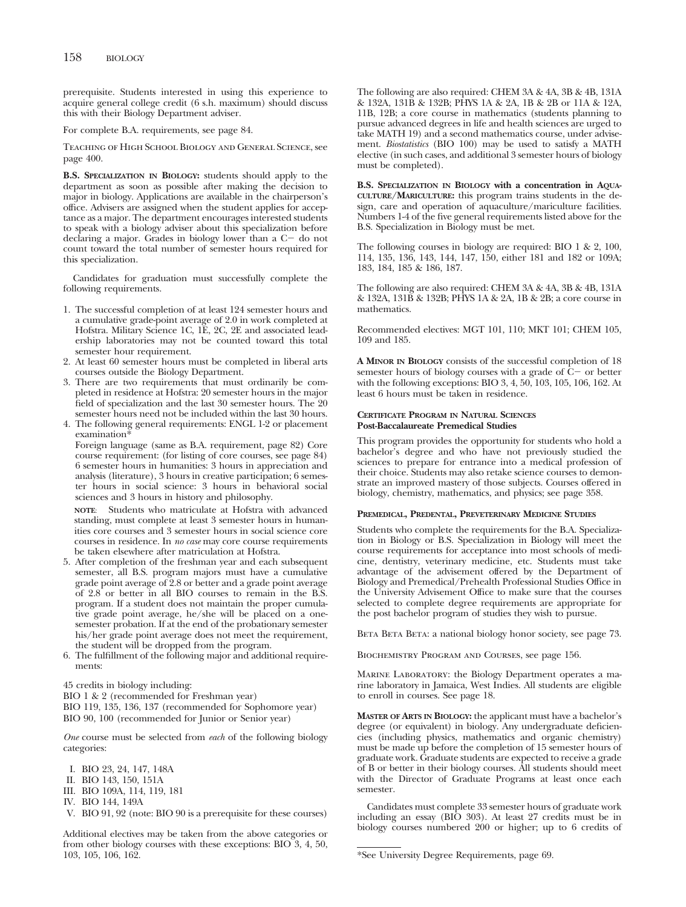prerequisite. Students interested in using this experience to acquire general college credit (6 s.h. maximum) should discuss this with their Biology Department adviser.

For complete B.A. requirements, see page 84.

Teaching of High School Biology and General Science, see page 400.

**B.S. SPECIALIZATION IN BIOLOGY:** students should apply to the department as soon as possible after making the decision to major in biology. Applications are available in the chairperson's office. Advisers are assigned when the student applies for acceptance as a major. The department encourages interested students to speak with a biology adviser about this specialization before declaring a major. Grades in biology lower than a C- do not count toward the total number of semester hours required for this specialization.

Candidates for graduation must successfully complete the following requirements.

- 1. The successful completion of at least 124 semester hours and a cumulative grade-point average of 2.0 in work completed at Hofstra. Military Science 1C, 1E, 2C, 2E and associated leadership laboratories may not be counted toward this total semester hour requirement.
- 2. At least 60 semester hours must be completed in liberal arts courses outside the Biology Department.
- 3. There are two requirements that must ordinarily be completed in residence at Hofstra: 20 semester hours in the major field of specialization and the last 30 semester hours. The 20 semester hours need not be included within the last 30 hours.
- 4. The following general requirements: ENGL 1-2 or placement examination\*

Foreign language (same as B.A. requirement, page 82) Core course requirement: (for listing of core courses, see page 84) 6 semester hours in humanities: 3 hours in appreciation and analysis (literature), 3 hours in creative participation; 6 semester hours in social science: 3 hours in behavioral social sciences and 3 hours in history and philosophy.

**NOTE**: Students who matriculate at Hofstra with advanced standing, must complete at least 3 semester hours in humanities core courses and 3 semester hours in social science core courses in residence. In *no case* may core course requirements be taken elsewhere after matriculation at Hofstra.

- 5. After completion of the freshman year and each subsequent semester, all B.S. program majors must have a cumulative grade point average of 2.8 or better and a grade point average of 2.8 or better in all BIO courses to remain in the B.S. program. If a student does not maintain the proper cumulative grade point average, he/she will be placed on a onesemester probation. If at the end of the probationary semester his/her grade point average does not meet the requirement, the student will be dropped from the program.
- 6. The fulfillment of the following major and additional requirements:

45 credits in biology including:

BIO 1 & 2 (recommended for Freshman year)

BIO 119, 135, 136, 137 (recommended for Sophomore year) BIO 90, 100 (recommended for Junior or Senior year)

*One* course must be selected from *each* of the following biology categories:

- I. BIO 23, 24, 147, 148A
- II. BIO 143, 150, 151A
- III. BIO 109A, 114, 119, 181
- IV. BIO 144, 149A
- V. BIO 91, 92 (note: BIO 90 is a prerequisite for these courses)

Additional electives may be taken from the above categories or from other biology courses with these exceptions: BIO 3, 4, 50, 103, 105, 106, 162.

The following are also required: CHEM 3A & 4A, 3B & 4B, 131A & 132A, 131B & 132B; PHYS 1A & 2A, 1B & 2B or 11A & 12A, 11B, 12B; a core course in mathematics (students planning to pursue advanced degrees in life and health sciences are urged to take MATH 19) and a second mathematics course, under advisement. *Biostatistics* (BIO 100) may be used to satisfy a MATH elective (in such cases, and additional 3 semester hours of biology must be completed).

**B.S. SPECIALIZATION IN BIOLOGY with a concentration in AQUA-CULTURE/MARICULTURE:** this program trains students in the design, care and operation of aquaculture/mariculture facilities. Numbers 1-4 of the five general requirements listed above for the B.S. Specialization in Biology must be met.

The following courses in biology are required: BIO 1 & 2, 100, 114, 135, 136, 143, 144, 147, 150, either 181 and 182 or 109A; 183, 184, 185 & 186, 187.

The following are also required: CHEM 3A & 4A, 3B & 4B, 131A & 132A, 131B & 132B; PHYS 1A & 2A, 1B & 2B; a core course in mathematics.

Recommended electives: MGT 101, 110; MKT 101; CHEM 105, 109 and 185.

**A MINOR IN BIOLOGY** consists of the successful completion of 18 semester hours of biology courses with a grade of C- or better with the following exceptions: BIO 3, 4, 50, 103, 105, 106, 162. At least 6 hours must be taken in residence.

#### **CERTIFICATE PROGRAM IN NATURAL SCIENCES Post-Baccalaureate Premedical Studies**

This program provides the opportunity for students who hold a bachelor's degree and who have not previously studied the sciences to prepare for entrance into a medical profession of their choice. Students may also retake science courses to demonstrate an improved mastery of those subjects. Courses offered in biology, chemistry, mathematics, and physics; see page 358.

#### **PREMEDICAL, PREDENTAL, PREVETERINARY MEDICINE STUDIES**

Students who complete the requirements for the B.A. Specialization in Biology or B.S. Specialization in Biology will meet the course requirements for acceptance into most schools of medicine, dentistry, veterinary medicine, etc. Students must take advantage of the advisement offered by the Department of Biology and Premedical/Prehealth Professional Studies Office in the University Advisement Office to make sure that the courses selected to complete degree requirements are appropriate for the post bachelor program of studies they wish to pursue.

BETA BETA: a national biology honor society, see page 73.

Biochemistry Program and Courses, see page 156.

Marine Laboratory: the Biology Department operates a marine laboratory in Jamaica, West Indies. All students are eligible to enroll in courses. See page 18.

**MASTER OF ARTS IN BIOLOGY:** the applicant must have a bachelor's degree (or equivalent) in biology. Any undergraduate deficiencies (including physics, mathematics and organic chemistry) must be made up before the completion of 15 semester hours of graduate work. Graduate students are expected to receive a grade of B or better in their biology courses. All students should meet with the Director of Graduate Programs at least once each semester.

Candidates must complete 33 semester hours of graduate work including an essay (BIO 303). At least 27 credits must be in biology courses numbered 200 or higher; up to 6 credits of

<sup>\*</sup>See University Degree Requirements, page 69.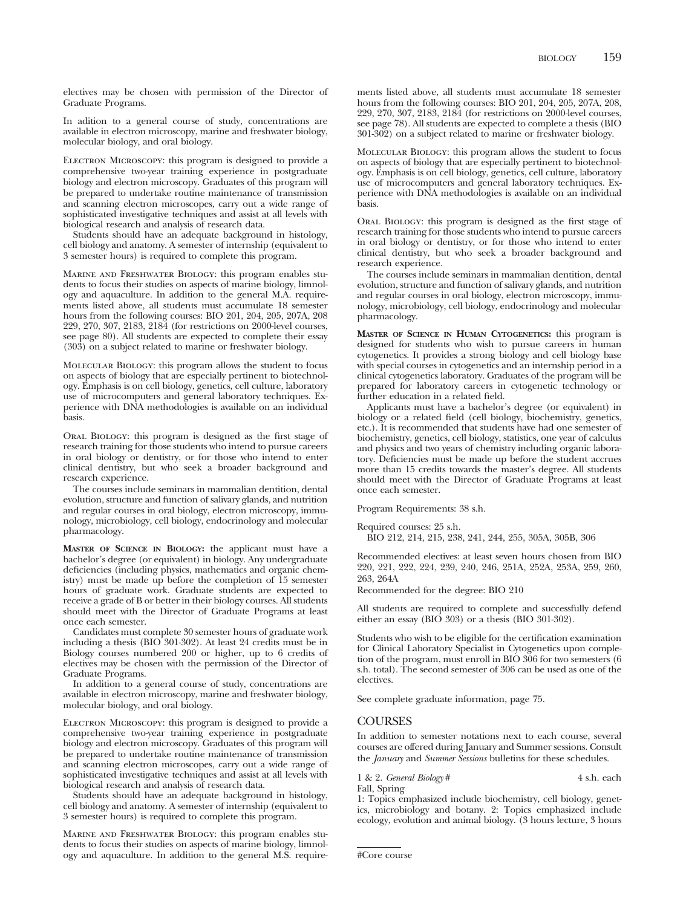electives may be chosen with permission of the Director of Graduate Programs.

In adition to a general course of study, concentrations are available in electron microscopy, marine and freshwater biology, molecular biology, and oral biology.

ELECTRON MICROSCOPY: this program is designed to provide a comprehensive two-year training experience in postgraduate biology and electron microscopy. Graduates of this program will be prepared to undertake routine maintenance of transmission and scanning electron microscopes, carry out a wide range of sophisticated investigative techniques and assist at all levels with biological research and analysis of research data.

Students should have an adequate background in histology, cell biology and anatomy. A semester of internship (equivalent to 3 semester hours) is required to complete this program.

Marine and Freshwater Biology: this program enables students to focus their studies on aspects of marine biology, limnology and aquaculture. In addition to the general M.A. requirements listed above, all students must accumulate 18 semester hours from the following courses: BIO 201, 204, 205, 207A, 208 229, 270, 307, 2183, 2184 (for restrictions on 2000-level courses, see page 80). All students are expected to complete their essay (303) on a subject related to marine or freshwater biology.

Molecular Biology: this program allows the student to focus on aspects of biology that are especially pertinent to biotechnology. Emphasis is on cell biology, genetics, cell culture, laboratory use of microcomputers and general laboratory techniques. Experience with DNA methodologies is available on an individual basis.

Oral Biology: this program is designed as the first stage of research training for those students who intend to pursue careers in oral biology or dentistry, or for those who intend to enter clinical dentistry, but who seek a broader background and research experience.

The courses include seminars in mammalian dentition, dental evolution, structure and function of salivary glands, and nutrition and regular courses in oral biology, electron microscopy, immunology, microbiology, cell biology, endocrinology and molecular pharmacology.

**MASTER OF SCIENCE IN BIOLOGY:** the applicant must have a bachelor's degree (or equivalent) in biology. Any undergraduate deficiencies (including physics, mathematics and organic chemistry) must be made up before the completion of 15 semester hours of graduate work. Graduate students are expected to receive a grade of B or better in their biology courses. All students should meet with the Director of Graduate Programs at least once each semester.

Candidates must complete 30 semester hours of graduate work including a thesis (BIO 301-302). At least 24 credits must be in Biology courses numbered 200 or higher, up to 6 credits of electives may be chosen with the permission of the Director of Graduate Programs.

In addition to a general course of study, concentrations are available in electron microscopy, marine and freshwater biology, molecular biology, and oral biology.

ELECTRON MICROSCOPY: this program is designed to provide a comprehensive two-year training experience in postgraduate biology and electron microscopy. Graduates of this program will be prepared to undertake routine maintenance of transmission and scanning electron microscopes, carry out a wide range of sophisticated investigative techniques and assist at all levels with biological research and analysis of research data.

Students should have an adequate background in histology, cell biology and anatomy. A semester of internship (equivalent to 3 semester hours) is required to complete this program.

Marine and Freshwater Biology: this program enables students to focus their studies on aspects of marine biology, limnology and aquaculture. In addition to the general M.S. requirements listed above, all students must accumulate 18 semester hours from the following courses: BIO 201, 204, 205, 207A, 208, 229, 270, 307, 2183, 2184 (for restrictions on 2000-level courses, see page 78). All students are expected to complete a thesis (BIO 301-302) on a subject related to marine or freshwater biology.

Molecular Biology: this program allows the student to focus on aspects of biology that are especially pertinent to biotechnology. Emphasis is on cell biology, genetics, cell culture, laboratory use of microcomputers and general laboratory techniques. Experience with DNA methodologies is available on an individual basis.

Oral Biology: this program is designed as the first stage of research training for those students who intend to pursue careers in oral biology or dentistry, or for those who intend to enter clinical dentistry, but who seek a broader background and research experience.

The courses include seminars in mammalian dentition, dental evolution, structure and function of salivary glands, and nutrition and regular courses in oral biology, electron microscopy, immunology, microbiology, cell biology, endocrinology and molecular pharmacology.

**MASTER OF SCIENCE IN HUMAN CYTOGENETICS:** this program is designed for students who wish to pursue careers in human cytogenetics. It provides a strong biology and cell biology base with special courses in cytogenetics and an internship period in a clinical cytogenetics laboratory. Graduates of the program will be prepared for laboratory careers in cytogenetic technology or further education in a related field.

Applicants must have a bachelor's degree (or equivalent) in biology or a related field (cell biology, biochemistry, genetics, etc.). It is recommended that students have had one semester of biochemistry, genetics, cell biology, statistics, one year of calculus and physics and two years of chemistry including organic laboratory. Deficiencies must be made up before the student accrues more than 15 credits towards the master's degree. All students should meet with the Director of Graduate Programs at least once each semester.

Program Requirements: 38 s.h.

Required courses: 25 s.h. BIO 212, 214, 215, 238, 241, 244, 255, 305A, 305B, 306

Recommended electives: at least seven hours chosen from BIO 220, 221, 222, 224, 239, 240, 246, 251A, 252A, 253A, 259, 260, 263, 264A

Recommended for the degree: BIO 210

All students are required to complete and successfully defend either an essay (BIO 303) or a thesis (BIO 301-302).

Students who wish to be eligible for the certification examination for Clinical Laboratory Specialist in Cytogenetics upon completion of the program, must enroll in BIO 306 for two semesters (6 s.h. total). The second semester of 306 can be used as one of the electives.

See complete graduate information, page 75.

#### COURSES

In addition to semester notations next to each course, several courses are offered during January and Summer sessions. Consult the *January* and *Summer Sessions* bulletins for these schedules.

1 & 2. *General Biology* # 4 s.h. each

Fall, Spring

1: Topics emphasized include biochemistry, cell biology, genetics, microbiology and botany. 2: Topics emphasized include ecology, evolution and animal biology. (3 hours lecture, 3 hours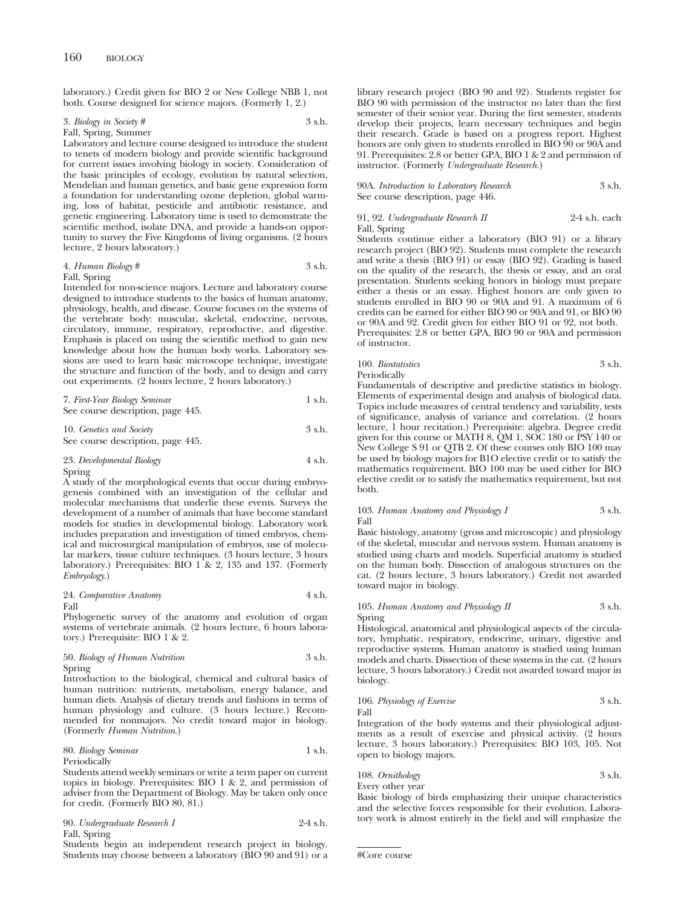laboratory.) Credit given for BIO 2 or New College NBB 1, not both. Course designed for science majors. (Formerly 1, 2.)

#### 3. *Biology in Society #* 3 s.h. Fall, Spring, Summer

Laboratory and lecture course designed to introduce the student to tenets of modern biology and provide scientific background for current issues involving biology in society. Consideration of the basic principles of ecology, evolution by natural selection, Mendelian and human genetics, and basic gene expression form a foundation for understanding ozone depletion, global warming, loss of habitat, pesticide and antibiotic resistance, and genetic engineering. Laboratory time is used to demonstrate the scientific method, isolate DNA, and provide a hands-on opportunity to survey the Five Kingdoms of living organisms. (2 hours lecture, 2 hours laboratory.)

## 4. *Human Biology* # 3 s.h.

#### Fall, Spring

Intended for non-science majors. Lecture and laboratory course designed to introduce students to the basics of human anatomy, physiology, health, and disease. Course focuses on the systems of the vertebrate body: muscular, skeletal, endocrine, nervous, circulatory, immune, respiratory, reproductive, and digestive. Emphasis is placed on using the scientific method to gain new knowledge about how the human body works. Laboratory sessions are used to learn basic microscope technique, investigate the structure and function of the body, and to design and carry out experiments. (2 hours lecture, 2 hours laboratory.)

7. *First-Year Biology Seminar* 1 s.h. See course description, page 445.

10. *Genetics and Society* 3 s.h. See course description, page 445.

#### 23. *Developmental Biology* 4 s.h. Spring

A study of the morphological events that occur during embryogenesis combined with an investigation of the cellular and molecular mechanisms that underlie these events. Surveys the development of a number of animals that have become standard models for studies in developmental biology. Laboratory work includes preparation and investigation of timed embryos, chemical and microsurgical manipulation of embryos, use of molecular markers, tissue culture techniques. (3 hours lecture, 3 hours laboratory.) Prerequisites: BIO  $1 \& 2$ , 135 and 137. (Formerly *Embryology*.)

#### 24. *Comparative Anatomy* 4 s.h. Fall

Phylogenetic survey of the anatomy and evolution of organ systems of vertebrate animals. (2 hours lecture, 6 hours laboratory.) Prerequisite: BIO 1 & 2.

#### 50. *Biology of Human Nutrition* 3 s.h. Spring

Introduction to the biological, chemical and cultural basics of human nutrition: nutrients, metabolism, energy balance, and human diets. Analysis of dietary trends and fashions in terms of human physiology and culture. (3 hours lecture.) Recommended for nonmajors. No credit toward major in biology. (Formerly *Human Nutrition*.)

#### 80. *Biology Seminar* 1 s.h. Periodically

Students attend weekly seminars or write a term paper on current topics in biology. Prerequisites: BIO 1 & 2, and permission of adviser from the Department of Biology. May be taken only once for credit. (Formerly BIO 80, 81.)

| 90. Undergraduate Research I | $2-4$ s.h. |
|------------------------------|------------|
| Fall, Spring                 |            |

Students begin an independent research project in biology. Students may choose between a laboratory (BIO 90 and 91) or a library research project (BIO 90 and 92). Students register for BIO 90 with permission of the instructor no later than the first semester of their senior year. During the first semester, students develop their projects, learn necessary techniques and begin their research. Grade is based on a progress report. Highest honors are only given to students enrolled in BIO 90 or 90A and 91. Prerequisites: 2.8 or better GPA, BIO 1 & 2 and permission of instructor. (Formerly *Undergraduate Research.*)

90A. *Introduction to Laboratory Research* 3 s.h. See course description, page 446.

91, 92. *Undergraduate Research II* 2-4 s.h. each Fall, Spring

Students continue either a laboratory (BIO 91) or a library research project (BIO 92). Students must complete the research and write a thesis (BIO 91) or essay (BIO 92). Grading is based on the quality of the research, the thesis or essay, and an oral presentation. Students seeking honors in biology must prepare either a thesis or an essay. Highest honors are only given to students enrolled in BIO 90 or 90A and 91. A maximum of 6 credits can be earned for either BIO 90 or 90A and 91, or BIO 90 or 90A and 92. Credit given for either BIO 91 or 92, not both. Prerequisites: 2.8 or better GPA, BIO 90 or 90A and permission of instructor.

100. *Biostatistics* 3 s.h. Periodically

Fundamentals of descriptive and predictive statistics in biology. Elements of experimental design and analysis of biological data. Topics include measures of central tendency and variability, tests of significance, analysis of variance and correlation. (2 hours lecture, 1 hour recitation.) Prerequisite: algebra. Degree credit given for this course or MATH 8, QM 1, SOC 180 or PSY 140 or New College S 91 or QTB 2. Of these courses only BIO 100 may be used by biology majors for B1O elective credit or to satisfy the mathematics requirement. BIO 100 may be used either for BIO elective credit or to satisfy the mathematics requirement, but not both.

#### 103. *Human Anatomy and Physiology I* 3 s.h. Fall

Basic histology, anatomy (gross and microscopic) and physiology of the skeletal, muscular and nervous system. Human anatomy is studied using charts and models. Superficial anatomy is studied on the human body. Dissection of analogous structures on the cat. (2 hours lecture, 3 hours laboratory.) Credit not awarded toward major in biology.

#### 105. *Human Anatomy and Physiology II* 3 s.h. Spring

Histological, anatomical and physiological aspects of the circulatory, lymphatic, respiratory, endocrine, urinary, digestive and reproductive systems. Human anatomy is studied using human models and charts. Dissection of these systems in the cat. (2 hours lecture, 3 hours laboratory.) Credit not awarded toward major in biology.

106. *Physiology of Exercise* 3 s.h. Fall

Integration of the body systems and their physiological adjustments as a result of exercise and physical activity. (2 hours lecture, 3 hours laboratory.) Prerequisites: BIO 103, 105. Not open to biology majors.

108. *Ornithology* 3 s.h. Every other year

Basic biology of birds emphasizing their unique characteristics and the selective forces responsible for their evolution. Laboratory work is almost entirely in the field and will emphasize the

<sup>#</sup>Core course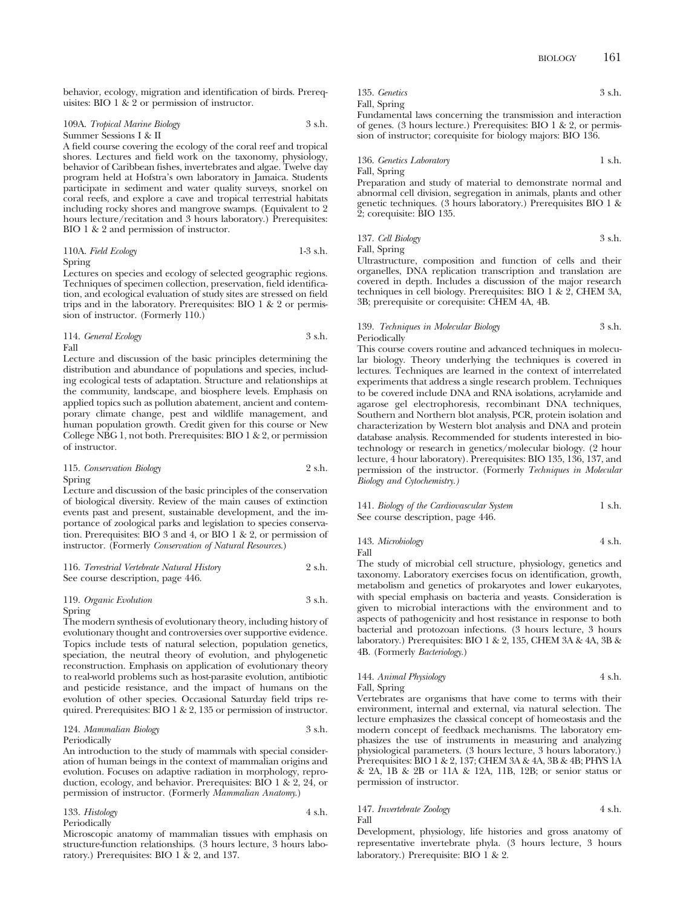behavior, ecology, migration and identification of birds. Prerequisites: BIO 1  $\&$  2 or permission of instructor.

109A. *Tropical Marine Biology* 3 s.h. Summer Sessions I & II

A field course covering the ecology of the coral reef and tropical shores. Lectures and field work on the taxonomy, physiology, behavior of Caribbean fishes, invertebrates and algae. Twelve day program held at Hofstra's own laboratory in Jamaica. Students participate in sediment and water quality surveys, snorkel on coral reefs, and explore a cave and tropical terrestrial habitats including rocky shores and mangrove swamps. (Equivalent to 2 hours lecture/recitation and 3 hours laboratory.) Prerequisites: BIO 1 & 2 and permission of instructor.

110A. *Field Ecology* 1-3 s.h.

Spring

Lectures on species and ecology of selected geographic regions. Techniques of specimen collection, preservation, field identification, and ecological evaluation of study sites are stressed on field trips and in the laboratory. Prerequisites: BIO 1 & 2 or permission of instructor. (Formerly 110.)

114. *General Ecology* 3 s.h. Fall

Lecture and discussion of the basic principles determining the distribution and abundance of populations and species, including ecological tests of adaptation. Structure and relationships at the community, landscape, and biosphere levels. Emphasis on applied topics such as pollution abatement, ancient and contemporary climate change, pest and wildlife management, and human population growth. Credit given for this course or New College NBG 1, not both. Prerequisites: BIO 1 & 2, or permission of instructor.

115. *Conservation Biology* 2 s.h. Spring

Lecture and discussion of the basic principles of the conservation of biological diversity. Review of the main causes of extinction events past and present, sustainable development, and the importance of zoological parks and legislation to species conservation. Prerequisites: BIO 3 and 4, or BIO 1 & 2, or permission of instructor. (Formerly *Conservation of Natural Resources*.)

|                                   | 116. Terrestrial Vertebrate Natural History | 2 s.h. |
|-----------------------------------|---------------------------------------------|--------|
| See course description, page 446. |                                             |        |

#### 119. *Organic Evolution* 3 s.h. Spring

The modern synthesis of evolutionary theory, including history of evolutionary thought and controversies over supportive evidence. Topics include tests of natural selection, population genetics, speciation, the neutral theory of evolution, and phylogenetic reconstruction. Emphasis on application of evolutionary theory to real-world problems such as host-parasite evolution, antibiotic and pesticide resistance, and the impact of humans on the evolution of other species. Occasional Saturday field trips required. Prerequisites: BIO 1 & 2, 135 or permission of instructor.

#### 124. *Mammalian Biology* 3 s.h. Periodically

An introduction to the study of mammals with special consideration of human beings in the context of mammalian origins and evolution. Focuses on adaptive radiation in morphology, reproduction, ecology, and behavior. Prerequisites: BIO 1 & 2, 24, or permission of instructor. (Formerly *Mammalian Anatomy*.)

| 133. Histology | 4 s.h. |
|----------------|--------|
| Periodically   |        |

Microscopic anatomy of mammalian tissues with emphasis on structure-function relationships. (3 hours lecture, 3 hours laboratory.) Prerequisites: BIO 1 & 2, and 137.

| 135. Genetics |  | 3 s.h. |
|---------------|--|--------|
| Fall, Spring  |  |        |
|               |  |        |

Fundamental laws concerning the transmission and interaction of genes. (3 hours lecture.) Prerequisites: BIO 1 & 2, or permission of instructor; corequisite for biology majors: BIO 136.

136. *Genetics Laboratory* 1 s.h. Fall, Spring

Preparation and study of material to demonstrate normal and abnormal cell division, segregation in animals, plants and other genetic techniques. (3 hours laboratory.) Prerequisites BIO 1 & 2; corequisite: BIO 135.

137. *Cell Biology* 3 s.h. Fall, Spring

Ultrastructure, composition and function of cells and their organelles, DNA replication transcription and translation are covered in depth. Includes a discussion of the major research techniques in cell biology. Prerequisites: BIO 1 & 2, CHEM 3A, 3B; prerequisite or corequisite: CHEM 4A, 4B.

### 139. *Techniques in Molecular Biology* 3 s.h. Periodically

This course covers routine and advanced techniques in molecular biology. Theory underlying the techniques is covered in lectures. Techniques are learned in the context of interrelated experiments that address a single research problem. Techniques to be covered include DNA and RNA isolations, acrylamide and agarose gel electrophoresis, recombinant DNA techniques, Southern and Northern blot analysis, PCR, protein isolation and characterization by Western blot analysis and DNA and protein database analysis. Recommended for students interested in biotechnology or research in genetics/molecular biology. (2 hour lecture, 4 hour laboratory). Prerequisites: BIO 135, 136, 137, and permission of the instructor. (Formerly *Techniques in Molecular Biology and Cytochemistry.)*

141. *Biology of the Cardiovascular System* 1 s.h. See course description, page 446.

143. *Microbiology* 4 s.h. Fall

The study of microbial cell structure, physiology, genetics and taxonomy. Laboratory exercises focus on identification, growth, metabolism and genetics of prokaryotes and lower eukaryotes, with special emphasis on bacteria and yeasts. Consideration is given to microbial interactions with the environment and to aspects of pathogenicity and host resistance in response to both bacterial and protozoan infections. (3 hours lecture, 3 hours laboratory.) Prerequisites: BIO 1 & 2, 135, CHEM 3A & 4A, 3B & 4B. (Formerly *Bacteriology.*)

144. *Animal Physiology* 4 s.h. Fall, Spring

Vertebrates are organisms that have come to terms with their environment, internal and external, via natural selection. The lecture emphasizes the classical concept of homeostasis and the modern concept of feedback mechanisms. The laboratory emphasizes the use of instruments in measuring and analyzing physiological parameters. (3 hours lecture, 3 hours laboratory.) Prerequisites: BIO 1 & 2, 137; CHEM 3A & 4A, 3B & 4B; PHYS 1A & 2A, 1B & 2B or 11A & 12A, 11B, 12B; or senior status or permission of instructor.

## 147. *Invertebrate Zoology* 4 s.h. Fall

Development, physiology, life histories and gross anatomy of representative invertebrate phyla. (3 hours lecture, 3 hours laboratory.) Prerequisite: BIO 1 & 2.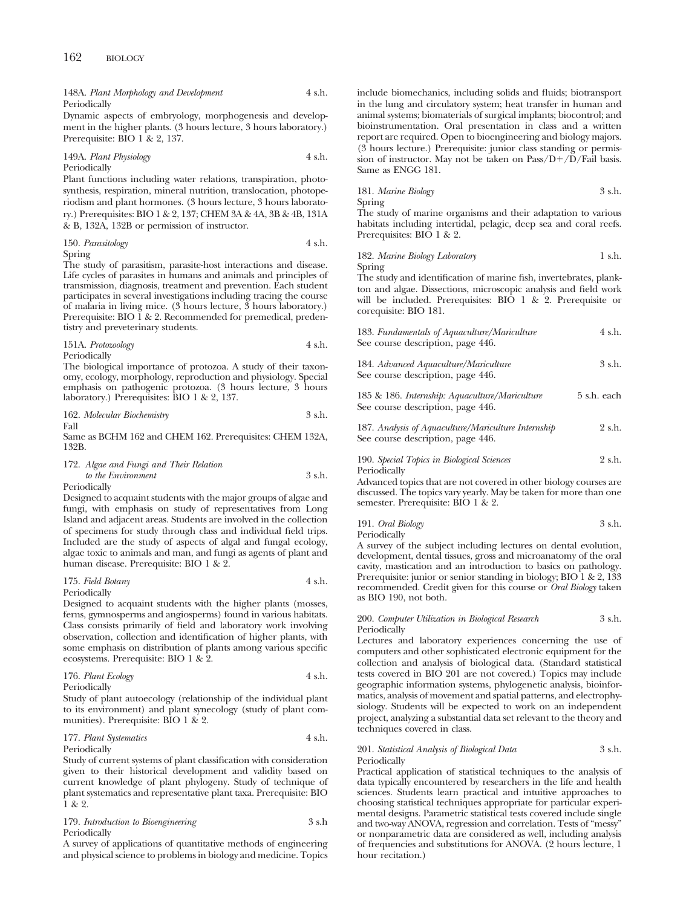#### 148A. *Plant Morphology and Development* 4 s.h. Periodically

Dynamic aspects of embryology, morphogenesis and development in the higher plants. (3 hours lecture, 3 hours laboratory.) Prerequisite: BIO 1 & 2, 137.

149A. *Plant Physiology* 4 s.h. Periodically

Plant functions including water relations, transpiration, photosynthesis, respiration, mineral nutrition, translocation, photoperiodism and plant hormones. (3 hours lecture, 3 hours laboratory.) Prerequisites: BIO 1 & 2, 137; CHEM 3A & 4A, 3B & 4B, 131A & B, 132A, 132B or permission of instructor.

#### 150. *Parasitology* 4 s.h. Spring

The study of parasitism, parasite-host interactions and disease. Life cycles of parasites in humans and animals and principles of transmission, diagnosis, treatment and prevention. Each student participates in several investigations including tracing the course of malaria in living mice. (3 hours lecture, 3 hours laboratory.) Prerequisite: BIO  $\check{1}$  & 2. Recommended for premedical, predentistry and preveterinary students.

151A. *Protozoology* 4 s.h.

Periodically The biological importance of protozoa. A study of their taxonomy, ecology, morphology, reproduction and physiology. Special emphasis on pathogenic protozoa. (3 hours lecture, 3 hours laboratory.) Prerequisites: BIO 1 & 2, 137.

|  |  | 162. Molecular Biochemistry | 3 s.h. |  |
|--|--|-----------------------------|--------|--|
|--|--|-----------------------------|--------|--|

Fall

Same as BCHM 162 and CHEM 162. Prerequisites: CHEM 132A, 132B.

#### 172. *Algae and Fungi and Their Relation to the Environment* 3 s.h. Periodically

Designed to acquaint students with the major groups of algae and fungi, with emphasis on study of representatives from Long Island and adjacent areas. Students are involved in the collection of specimens for study through class and individual field trips. Included are the study of aspects of algal and fungal ecology, algae toxic to animals and man, and fungi as agents of plant and human disease. Prerequisite: BIO 1 & 2.

#### 175. *Field Botany* 4 s.h. Periodically

Designed to acquaint students with the higher plants (mosses, ferns, gymnosperms and angiosperms) found in various habitats. Class consists primarily of field and laboratory work involving observation, collection and identification of higher plants, with some emphasis on distribution of plants among various specific ecosystems. Prerequisite: BIO 1 & 2.

176. *Plant Ecology* 4 s.h. Periodically

Study of plant autoecology (relationship of the individual plant to its environment) and plant synecology (study of plant communities). Prerequisite: BIO 1 & 2.

#### 177. *Plant Systematics* 4 s.h. Periodically

Study of current systems of plant classification with consideration given to their historical development and validity based on current knowledge of plant phylogeny. Study of technique of plant systematics and representative plant taxa. Prerequisite: BIO 1 & 2.

179. *Introduction to Bioengineering* 3 s.h Periodically

A survey of applications of quantitative methods of engineering and physical science to problems in biology and medicine. Topics include biomechanics, including solids and fluids; biotransport in the lung and circulatory system; heat transfer in human and animal systems; biomaterials of surgical implants; biocontrol; and bioinstrumentation. Oral presentation in class and a written report are required. Open to bioengineering and biology majors. (3 hours lecture.) Prerequisite: junior class standing or permission of instructor. May not be taken on  $Pass/D+/D/Fall$  basis. Same as ENGG 181.

181. *Marine Biology* 3 s.h. Spring

The study of marine organisms and their adaptation to various habitats including intertidal, pelagic, deep sea and coral reefs. Prerequisites: BIO 1 & 2.

| 182. Marine Biology Laboratory | 1 s.h. |  |
|--------------------------------|--------|--|
| $\sim$ $\sim$                  |        |  |

Spring

The study and identification of marine fish, invertebrates, plankton and algae. Dissections, microscopic analysis and field work will be included. Prerequisites: BIO 1 & 2. Prerequisite or corequisite: BIO 181.

| 183. Fundamentals of Aquaculture/Mariculture<br>See course description, page 446.           | 4 s.h.      |
|---------------------------------------------------------------------------------------------|-------------|
| 184. Advanced Aquaculture/Mariculture<br>See course description, page 446.                  | 3 s.h.      |
| 185 & 186. Internship: Aquaculture/Mariculture<br>See course description, page 446.         | 5 s.h. each |
| 187. Analysis of Aquaculture/Mariculture Internship<br>See course description, page 446.    | 2 s.h.      |
| 190. Special Topics in Biological Sciences<br>Periodically                                  | 2 s.h.      |
| لمسم ومستحدمه يستمل والملط سميطهم بمثل المستحصين لهمية ومسترقصاته ومتلقيهم الممتحدة المستلم |             |

Advanced topics that are not covered in other biology courses are discussed. The topics vary yearly. May be taken for more than one semester. Prerequisite: BIO 1 & 2.

| 191. Oral Biology | 3 s.h. |
|-------------------|--------|
| Periodically      |        |

A survey of the subject including lectures on dental evolution, development, dental tissues, gross and microanatomy of the oral cavity, mastication and an introduction to basics on pathology. Prerequisite: junior or senior standing in biology; BIO 1 & 2, 133 recommended. Credit given for this course or *Oral Biology* taken as BIO 190, not both.

#### 200. *Computer Utilization in Biological Research* 3 s.h. **Periodically**

Lectures and laboratory experiences concerning the use of computers and other sophisticated electronic equipment for the collection and analysis of biological data. (Standard statistical tests covered in BIO 201 are not covered.) Topics may include geographic information systems, phylogenetic analysis, bioinformatics, analysis of movement and spatial patterns, and electrophysiology. Students will be expected to work on an independent project, analyzing a substantial data set relevant to the theory and techniques covered in class.

#### 201. *Statistical Analysis of Biological Data* 3 s.h. Periodically

Practical application of statistical techniques to the analysis of data typically encountered by researchers in the life and health sciences. Students learn practical and intuitive approaches to choosing statistical techniques appropriate for particular experimental designs. Parametric statistical tests covered include single and two-way ANOVA, regression and correlation. Tests of "messy" or nonparametric data are considered as well, including analysis of frequencies and substitutions for ANOVA. (2 hours lecture, 1 hour recitation.)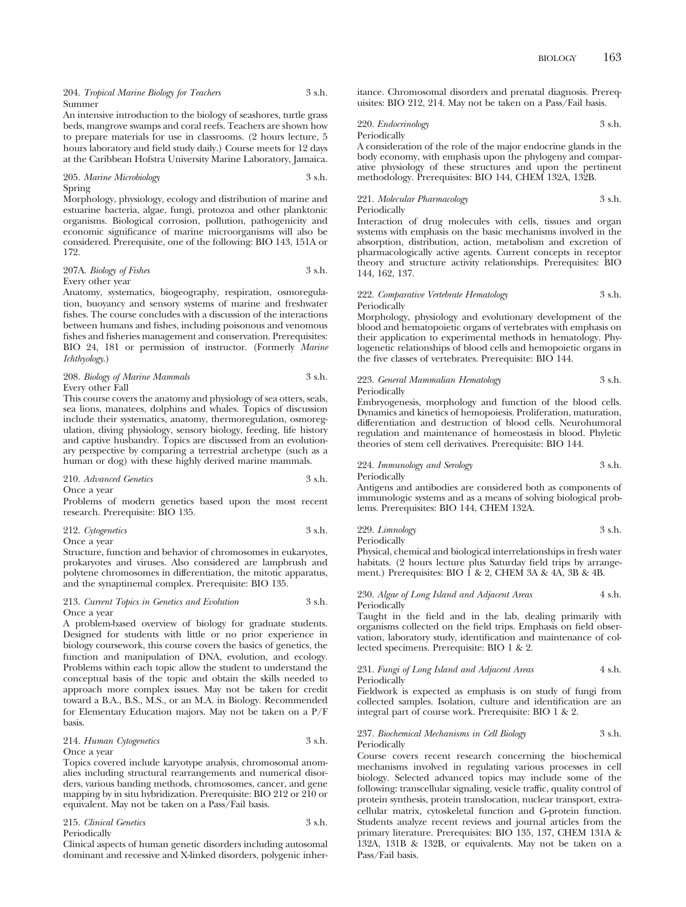An intensive introduction to the biology of seashores, turtle grass beds, mangrove swamps and coral reefs. Teachers are shown how to prepare materials for use in classrooms. (2 hours lecture, 5 hours laboratory and field study daily.) Course meets for 12 days at the Caribbean Hofstra University Marine Laboratory, Jamaica.

205. *Marine Microbiology* 3 s.h. Spring

Morphology, physiology, ecology and distribution of marine and estuarine bacteria, algae, fungi, protozoa and other planktonic organisms. Biological corrosion, pollution, pathogenicity and economic significance of marine microorganisms will also be considered. Prerequisite, one of the following: BIO 143, 151A or 172.

## 207A. *Biology of Fishes* 3 s.h.

#### Every other year

Anatomy, systematics, biogeography, respiration, osmoregulation, buoyancy and sensory systems of marine and freshwater fishes. The course concludes with a discussion of the interactions between humans and fishes, including poisonous and venomous fishes and fisheries management and conservation. Prerequisites: BIO 24, 181 or permission of instructor. (Formerly *Marine Ichthyology*.)

208. *Biology of Marine Mammals* 3 s.h. Every other Fall

This course covers the anatomy and physiology of sea otters, seals, sea lions, manatees, dolphins and whales. Topics of discussion include their systematics, anatomy, thermoregulation, osmoregulation, diving physiology, sensory biology, feeding, life history and captive husbandry. Topics are discussed from an evolutionary perspective by comparing a terrestrial archetype (such as a human or dog) with these highly derived marine mammals.

210. *Advanced Genetics* 3 s.h.

Once a year

Problems of modern genetics based upon the most recent research. Prerequisite: BIO 135.

#### 212. *Cytogenetics* 3 s.h. Once a year

Structure, function and behavior of chromosomes in eukaryotes, prokaryotes and viruses. Also considered are lampbrush and polytene chromosomes in differentiation, the mitotic apparatus, and the synaptinemal complex. Prerequisite: BIO 135.

#### 213. *Current Topics in Genetics and Evolution* 3 s.h. Once a year

A problem-based overview of biology for graduate students. Designed for students with little or no prior experience in biology coursework, this course covers the basics of genetics, the function and manipulation of DNA, evolution, and ecology. Problems within each topic allow the student to understand the conceptual basis of the topic and obtain the skills needed to approach more complex issues. May not be taken for credit toward a B.A., B.S., M.S., or an M.A. in Biology. Recommended for Elementary Education majors. May not be taken on a P/F basis.

#### 214. *Human Cytogenetics* 3 s.h. Once a year

Topics covered include karyotype analysis, chromosomal anomalies including structural rearrangements and numerical disorders, various banding methods, chromosomes, cancer, and gene mapping by in situ hybridization. Prerequisite: BIO 212 or 210 or equivalent. May not be taken on a Pass/Fail basis.

| 215. Clinical Genetics | 3 s.h. |
|------------------------|--------|
| Periodically           |        |

Clinical aspects of human genetic disorders including autosomal dominant and recessive and X-linked disorders, polygenic inheritance. Chromosomal disorders and prenatal diagnosis. Prerequisites: BIO 212, 214. May not be taken on a Pass/Fail basis.

220. *Endocrinology* 3 s.h. Periodically

A consideration of the role of the major endocrine glands in the body economy, with emphasis upon the phylogeny and comparative physiology of these structures and upon the pertinent methodology. Prerequisites: BIO 144, CHEM 132A, 132B.

## 221. *Molecular Pharmacology* 3 s.h. Periodically

Interaction of drug molecules with cells, tissues and organ systems with emphasis on the basic mechanisms involved in the absorption, distribution, action, metabolism and excretion of pharmacologically active agents. Current concepts in receptor theory and structure activity relationships. Prerequisites: BIO 144, 162, 137.

#### 222. *Comparative Vertebrate Hematology* 3 s.h. **Periodically**

Morphology, physiology and evolutionary development of the blood and hematopoietic organs of vertebrates with emphasis on their application to experimental methods in hematology. Phylogenetic relationships of blood cells and hemopoietic organs in the five classes of vertebrates. Prerequisite: BIO 144.

#### 223. *General Mammalian Hematology* 3 s.h. Periodically

Embryogenesis, morphology and function of the blood cells. Dynamics and kinetics of hemopoiesis. Proliferation, maturation, differentiation and destruction of blood cells. Neurohumoral regulation and maintenance of homeostasis in blood. Phyletic theories of stem cell derivatives. Prerequisite: BIO 144.

#### 224. *Immunology and Serology* 3 s.h. Periodically

Antigens and antibodies are considered both as components of immunologic systems and as a means of solving biological problems. Prerequisites: BIO 144, CHEM 132A.

229. *Limnology* 3 s.h.

Periodically

Physical, chemical and biological interrelationships in fresh water habitats. (2 hours lecture plus Saturday field trips by arrangement.) Prerequisites: BIO  $1 \& 2$ , CHEM  $3A \& 4A$ ,  $3B \& 4B$ .

#### 230. *Algae of Long Island and Adjacent Areas* 4 s.h. Periodically

Taught in the field and in the lab, dealing primarily with organisms collected on the field trips. Emphasis on field observation, laboratory study, identification and maintenance of collected specimens. Prerequisite: BIO 1 & 2.

#### 231. *Fungi of Long Island and Adjacent Areas* 4 s.h. **Periodically**

Fieldwork is expected as emphasis is on study of fungi from collected samples. Isolation, culture and identification are an integral part of course work. Prerequisite: BIO 1 & 2.

#### 237. *Biochemical Mechanisms in Cell Biology* 3 s.h. Periodically

Course covers recent research concerning the biochemical mechanisms involved in regulating various processes in cell biology. Selected advanced topics may include some of the following: transcellular signaling, vesicle traffic, quality control of protein synthesis, protein translocation, nuclear transport, extracellular matrix, cytoskeletal function and G-protein function. Students analyze recent reviews and journal articles from the primary literature. Prerequisites: BIO 135, 137, CHEM 131A & 132A, 131B & 132B, or equivalents. May not be taken on a Pass/Fail basis.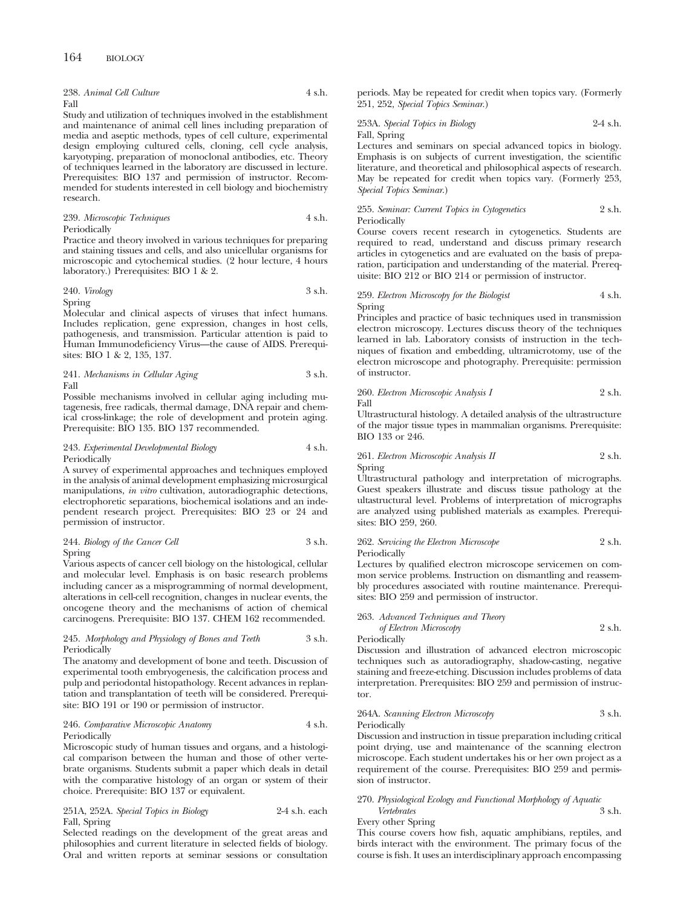238. *Animal Cell Culture* 4 s.h. Fall

Study and utilization of techniques involved in the establishment and maintenance of animal cell lines including preparation of media and aseptic methods, types of cell culture, experimental design employing cultured cells, cloning, cell cycle analysis, karyotyping, preparation of monoclonal antibodies, etc. Theory of techniques learned in the laboratory are discussed in lecture. Prerequisites: BIO 137 and permission of instructor. Recommended for students interested in cell biology and biochemistry research.

| 239. Microscopic Techniques | 4 s.h. |
|-----------------------------|--------|
| Periodically                |        |

Practice and theory involved in various techniques for preparing and staining tissues and cells, and also unicellular organisms for microscopic and cytochemical studies. (2 hour lecture, 4 hours laboratory.) Prerequisites: BIO 1 & 2.

## 240. *Virology* 3 s.h.

Spring

Molecular and clinical aspects of viruses that infect humans. Includes replication, gene expression, changes in host cells, pathogenesis, and transmission. Particular attention is paid to Human Immunodeficiency Virus—the cause of AIDS. Prerequisites: BIO 1 & 2, 135, 137.

241. *Mechanisms in Cellular Aging* 3 s.h. Fall

Possible mechanisms involved in cellular aging including mutagenesis, free radicals, thermal damage, DNA repair and chemical cross-linkage; the role of development and protein aging. Prerequisite: BIO 135. BIO 137 recommended.

#### 243. *Experimental Developmental Biology* 4 s.h. Periodically

A survey of experimental approaches and techniques employed in the analysis of animal development emphasizing microsurgical manipulations, *in vitro* cultivation, autoradiographic detections, electrophoretic separations, biochemical isolations and an independent research project. Prerequisites: BIO 23 or 24 and permission of instructor.

#### 244. *Biology of the Cancer Cell* 3 s.h. Spring

Various aspects of cancer cell biology on the histological, cellular and molecular level. Emphasis is on basic research problems including cancer as a misprogramming of normal development, alterations in cell-cell recognition, changes in nuclear events, the oncogene theory and the mechanisms of action of chemical carcinogens. Prerequisite: BIO 137. CHEM 162 recommended.

#### 245. *Morphology and Physiology of Bones and Teeth* 3 s.h. Periodically

The anatomy and development of bone and teeth. Discussion of experimental tooth embryogenesis, the calcification process and pulp and periodontal histopathology. Recent advances in replantation and transplantation of teeth will be considered. Prerequisite: BIO 191 or 190 or permission of instructor.

#### 246. *Comparative Microscopic Anatomy* 4 s.h. Periodically

Microscopic study of human tissues and organs, and a histological comparison between the human and those of other vertebrate organisms. Students submit a paper which deals in detail with the comparative histology of an organ or system of their choice. Prerequisite: BIO 137 or equivalent.

251A, 252A. *Special Topics in Biology* 2-4 s.h. each Fall, Spring

Selected readings on the development of the great areas and philosophies and current literature in selected fields of biology. Oral and written reports at seminar sessions or consultation periods. May be repeated for credit when topics vary. (Formerly 251, 252, *Special Topics Seminar*.)

## 253A. *Special Topics in Biology* 2-4 s.h. Fall, Spring

Lectures and seminars on special advanced topics in biology. Emphasis is on subjects of current investigation, the scientific literature, and theoretical and philosophical aspects of research. May be repeated for credit when topics vary. (Formerly 253, *Special Topics Seminar*.)

#### 255. *Seminar: Current Topics in Cytogenetics* 2 s.h. Periodically

Course covers recent research in cytogenetics. Students are required to read, understand and discuss primary research articles in cytogenetics and are evaluated on the basis of preparation, participation and understanding of the material. Prerequisite: BIO 212 or BIO 214 or permission of instructor.

#### 259. *Electron Microscopy for the Biologist* 4 s.h. Spring

Principles and practice of basic techniques used in transmission electron microscopy. Lectures discuss theory of the techniques learned in lab. Laboratory consists of instruction in the techniques of fixation and embedding, ultramicrotomy, use of the electron microscope and photography. Prerequisite: permission of instructor.

#### 260. *Electron Microscopic Analysis I* 2 s.h. Fall

Ultrastructural histology. A detailed analysis of the ultrastructure of the major tissue types in mammalian organisms. Prerequisite: BIO 133 or 246.

#### 261. *Electron Microscopic Analysis II* 2 s.h. Spring

Ultrastructural pathology and interpretation of micrographs. Guest speakers illustrate and discuss tissue pathology at the ultastructural level. Problems of interpretation of micrographs are analyzed using published materials as examples. Prerequisites: BIO 259, 260.

#### 262. *Servicing the Electron Microscope* 2 s.h. Periodically

Lectures by qualified electron microscope servicemen on common service problems. Instruction on dismantling and reassembly procedures associated with routine maintenance. Prerequisites: BIO 259 and permission of instructor.

## 263. *Advanced Techniques and Theory of Electron Microscopy* 2 s.h.

Periodically

Discussion and illustration of advanced electron microscopic techniques such as autoradiography, shadow-casting, negative staining and freeze-etching. Discussion includes problems of data interpretation. Prerequisites: BIO 259 and permission of instructor.

#### 264A. *Scanning Electron Microscopy* 3 s.h. Periodically

Discussion and instruction in tissue preparation including critical point drying, use and maintenance of the scanning electron microscope. Each student undertakes his or her own project as a requirement of the course. Prerequisites: BIO 259 and permission of instructor.

#### 270. *Physiological Ecology and Functional Morphology of Aquatic*  $Vert$ Every other Spring

This course covers how fish, aquatic amphibians, reptiles, and birds interact with the environment. The primary focus of the course is fish. It uses an interdisciplinary approach encompassing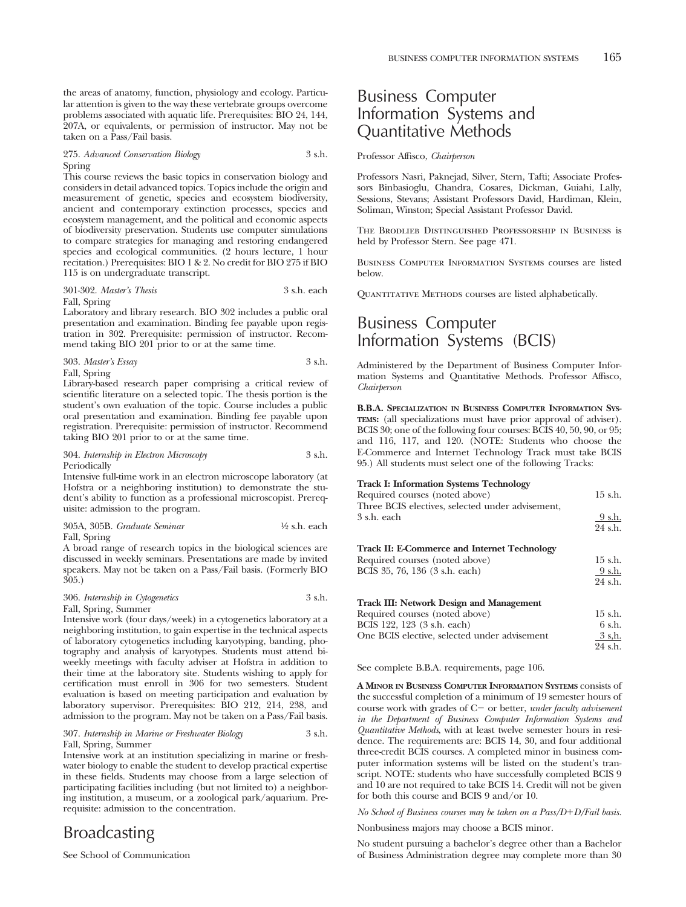the areas of anatomy, function, physiology and ecology. Particular attention is given to the way these vertebrate groups overcome problems associated with aquatic life. Prerequisites: BIO 24, 144, 207A, or equivalents, or permission of instructor. May not be taken on a Pass/Fail basis.

#### 275. *Advanced Conservation Biology* 3 s.h. Spring

This course reviews the basic topics in conservation biology and considers in detail advanced topics. Topics include the origin and measurement of genetic, species and ecosystem biodiversity, ancient and contemporary extinction processes, species and ecosystem management, and the political and economic aspects of biodiversity preservation. Students use computer simulations to compare strategies for managing and restoring endangered species and ecological communities. (2 hours lecture, 1 hour recitation.) Prerequisites: BIO 1 & 2. No credit for BIO 275 if BIO 115 is on undergraduate transcript.

#### 301-302. *Master's Thesis* 3 s.h. each

Fall, Spring

Laboratory and library research. BIO 302 includes a public oral presentation and examination. Binding fee payable upon registration in 302. Prerequisite: permission of instructor. Recommend taking BIO 201 prior to or at the same time.

| 303. Master's Essay | 3 s.h. |
|---------------------|--------|
|                     |        |

Fall, Spring

Library-based research paper comprising a critical review of scientific literature on a selected topic. The thesis portion is the student's own evaluation of the topic. Course includes a public oral presentation and examination. Binding fee payable upon registration. Prerequisite: permission of instructor. Recommend taking BIO 201 prior to or at the same time.

#### 304. *Internship in Electron Microscopy* 3 s.h. Periodically

Intensive full-time work in an electron microscope laboratory (at Hofstra or a neighboring institution) to demonstrate the student's ability to function as a professional microscopist. Prerequisite: admission to the program.

305A, 305B. *Graduate Seminar* 1⁄2 s.h. each Fall, Spring

A broad range of research topics in the biological sciences are discussed in weekly seminars. Presentations are made by invited speakers. May not be taken on a Pass/Fail basis. (Formerly BIO 305.)

#### 306. *Internship in Cytogenetics* 3 s.h. Fall, Spring, Summer

Intensive work (four days/week) in a cytogenetics laboratory at a neighboring institution, to gain expertise in the technical aspects of laboratory cytogenetics including karyotyping, banding, photography and analysis of karyotypes. Students must attend biweekly meetings with faculty adviser at Hofstra in addition to their time at the laboratory site. Students wishing to apply for certification must enroll in 306 for two semesters. Student evaluation is based on meeting participation and evaluation by laboratory supervisor. Prerequisites: BIO 212, 214, 238, and admission to the program. May not be taken on a Pass/Fail basis.

#### 307. *Internship in Marine or Freshwater Biology* 3 s.h. Fall, Spring, Summer

Intensive work at an institution specializing in marine or freshwater biology to enable the student to develop practical expertise in these fields. Students may choose from a large selection of participating facilities including (but not limited to) a neighboring institution, a museum, or a zoological park/aquarium. Prerequisite: admission to the concentration.

## Broadcasting

See School of Communication

## Business Computer Information Systems and Quantitative Methods

Professor Affisco, *Chairperson*

Professors Nasri, Paknejad, Silver, Stern, Tafti; Associate Professors Binbasioglu, Chandra, Cosares, Dickman, Guiahi, Lally, Sessions, Stevans; Assistant Professors David, Hardiman, Klein, Soliman, Winston; Special Assistant Professor David.

The Brodlieb Distinguished Professorship in Business is held by Professor Stern. See page 471.

Business Computer Information Systems courses are listed below.

QUANTITATIVE METHODS courses are listed alphabetically.

## Business Computer Information Systems (BCIS)

Administered by the Department of Business Computer Information Systems and Quantitative Methods. Professor Affisco, *Chairperson*

**B.B.A. SPECIALIZATION IN BUSINESS COMPUTER INFORMATION SYS-TEMS:** (all specializations must have prior approval of adviser). BCIS 30; one of the following four courses: BCIS 40, 50, 90, or 95; and 116, 117, and 120. (NOTE: Students who choose the E-Commerce and Internet Technology Track must take BCIS 95.) All students must select one of the following Tracks:

#### **Track I: Information Systems Technology**

| Required courses (noted above)                      | 15 s.h.   |
|-----------------------------------------------------|-----------|
| Three BCIS electives, selected under advisement,    |           |
| 3 s.h. each                                         | 9 s.h.    |
|                                                     | 24 s.h.   |
| <b>Track II: E-Commerce and Internet Technology</b> |           |
| Required courses (noted above)                      | $15$ s.h. |
| BCIS 35, 76, 136 (3 s.h. each)                      | 9 s.h.    |
|                                                     | 24 s.h.   |
| <b>Track III: Network Design and Management</b>     |           |
| Required courses (noted above)                      | $15$ s.h. |
| BCIS 122, 123 (3 s.h. each)                         | 6 s.h.    |
| One BCIS elective, selected under advisement        | 3 s.h.    |
|                                                     | 24 s.h.   |
|                                                     |           |

See complete B.B.A. requirements, page 106.

**A MINOR IN BUSINESS COMPUTER INFORMATION SYSTEMS** consists of the successful completion of a minimum of 19 semester hours of course work with grades of C- or better, *under faculty advisement in the Department of Business Computer Information Systems and Quantitative Methods*, with at least twelve semester hours in residence. The requirements are: BCIS 14, 30, and four additional three-credit BCIS courses. A completed minor in business computer information systems will be listed on the student's transcript. NOTE: students who have successfully completed BCIS 9 and 10 are not required to take BCIS 14. Credit will not be given for both this course and BCIS 9 and/or 10.

*No School of Business courses may be taken on a Pass/D+D/Fail basis.* 

Nonbusiness majors may choose a BCIS minor.

No student pursuing a bachelor's degree other than a Bachelor of Business Administration degree may complete more than 30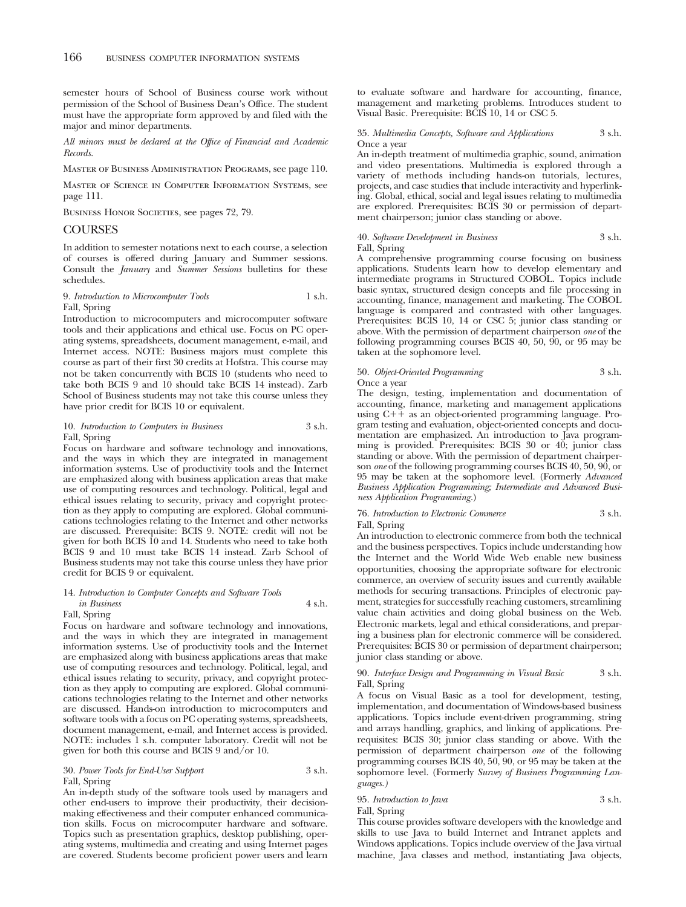semester hours of School of Business course work without permission of the School of Business Dean's Office. The student must have the appropriate form approved by and filed with the major and minor departments.

*All minors must be declared at the Office of Financial and Academic Records.*

Master of Business Administration Programs, see page 110.

Master of Science in Computer Information Systems, see page 111.

BUSINESS HONOR SOCIETIES, see pages 72, 79.

#### COURSES

In addition to semester notations next to each course, a selection of courses is offered during January and Summer sessions. Consult the *January* and *Summer Sessions* bulletins for these schedules.

#### 9. *Introduction to Microcomputer Tools* 1 s.h. Fall, Spring

Introduction to microcomputers and microcomputer software tools and their applications and ethical use. Focus on PC operating systems, spreadsheets, document management, e-mail, and Internet access. NOTE: Business majors must complete this course as part of their first 30 credits at Hofstra. This course may not be taken concurrently with BCIS 10 (students who need to take both BCIS 9 and 10 should take BCIS 14 instead). Zarb School of Business students may not take this course unless they have prior credit for BCIS 10 or equivalent.

#### 10. *Introduction to Computers in Business* 3 s.h. Fall, Spring

Focus on hardware and software technology and innovations, and the ways in which they are integrated in management information systems. Use of productivity tools and the Internet are emphasized along with business application areas that make use of computing resources and technology. Political, legal and ethical issues relating to security, privacy and copyright protection as they apply to computing are explored. Global communications technologies relating to the Internet and other networks are discussed. Prerequisite: BCIS 9. NOTE: credit will not be given for both BCIS 10 and 14. Students who need to take both BCIS 9 and 10 must take BCIS 14 instead. Zarb School of Business students may not take this course unless they have prior credit for BCIS 9 or equivalent.

#### 14. *Introduction to Computer Concepts and Software Tools in Business* 4 s.h.

## Fall, Spring

Focus on hardware and software technology and innovations, and the ways in which they are integrated in management information systems. Use of productivity tools and the Internet are emphasized along with business applications areas that make use of computing resources and technology. Political, legal, and ethical issues relating to security, privacy, and copyright protection as they apply to computing are explored. Global communications technologies relating to the Internet and other networks are discussed. Hands-on introduction to microcomputers and software tools with a focus on PC operating systems, spreadsheets, document management, e-mail, and Internet access is provided. NOTE: includes 1 s.h. computer laboratory. Credit will not be given for both this course and BCIS 9 and/or 10.

#### 30. *Power Tools for End-User Support* 3 s.h. Fall, Spring

An in-depth study of the software tools used by managers and other end-users to improve their productivity, their decisionmaking effectiveness and their computer enhanced communication skills. Focus on microcomputer hardware and software. Topics such as presentation graphics, desktop publishing, operating systems, multimedia and creating and using Internet pages are covered. Students become proficient power users and learn

to evaluate software and hardware for accounting, finance, management and marketing problems. Introduces student to Visual Basic. Prerequisite: BCIS 10, 14 or CSC 5.

#### 35. *Multimedia Concepts, Software and Applications* 3 s.h. Once a year

An in-depth treatment of multimedia graphic, sound, animation and video presentations. Multimedia is explored through a variety of methods including hands-on tutorials, lectures, projects, and case studies that include interactivity and hyperlinking. Global, ethical, social and legal issues relating to multimedia are explored. Prerequisites: BCIS 30 or permission of department chairperson; junior class standing or above.

### 40. *Software Development in Business* 3 s.h.

### Fall, Spring

A comprehensive programming course focusing on business applications. Students learn how to develop elementary and intermediate programs in Structured COBOL. Topics include basic syntax, structured design concepts and file processing in accounting, finance, management and marketing. The COBOL language is compared and contrasted with other languages. Prerequisites: BCIS 10, 14 or CSC 5; junior class standing or above. With the permission of department chairperson *one* of the following programming courses BCIS 40, 50, 90, or 95 may be taken at the sophomore level.

## 50. *Object-Oriented Programming* 3 s.h.

#### Once a year

The design, testing, implementation and documentation of accounting, finance, marketing and management applications using  $C++$  as an object-oriented programming language. Program testing and evaluation, object-oriented concepts and documentation are emphasized. An introduction to Java programming is provided. Prerequisites: BCIS 30 or 40; junior class standing or above. With the permission of department chairperson *one* of the following programming courses BCIS 40, 50, 90, or 95 may be taken at the sophomore level. (Formerly *Advanced Business Application Programming; Intermediate and Advanced Business Application Programming.*)

#### 76. *Introduction to Electronic Commerce* 3 s.h. Fall, Spring

An introduction to electronic commerce from both the technical and the business perspectives. Topics include understanding how the Internet and the World Wide Web enable new business opportunities, choosing the appropriate software for electronic commerce, an overview of security issues and currently available methods for securing transactions. Principles of electronic payment, strategies for successfully reaching customers, streamlining value chain activities and doing global business on the Web. Electronic markets, legal and ethical considerations, and preparing a business plan for electronic commerce will be considered. Prerequisites: BCIS 30 or permission of department chairperson; junior class standing or above.

#### 90. *Interface Design and Programming in Visual Basic* 3 s.h. Fall, Spring

A focus on Visual Basic as a tool for development, testing, implementation, and documentation of Windows-based business applications. Topics include event-driven programming, string and arrays handling, graphics, and linking of applications. Prerequisites: BCIS 30; junior class standing or above. With the permission of department chairperson *one* of the following programming courses BCIS 40, 50, 90, or 95 may be taken at the sophomore level. (Formerly *Survey of Business Programming Languages.)*

### 95. *Introduction to Java* 3 s.h. Fall, Spring

This course provides software developers with the knowledge and skills to use Java to build Internet and Intranet applets and Windows applications. Topics include overview of the Java virtual machine, Java classes and method, instantiating Java objects,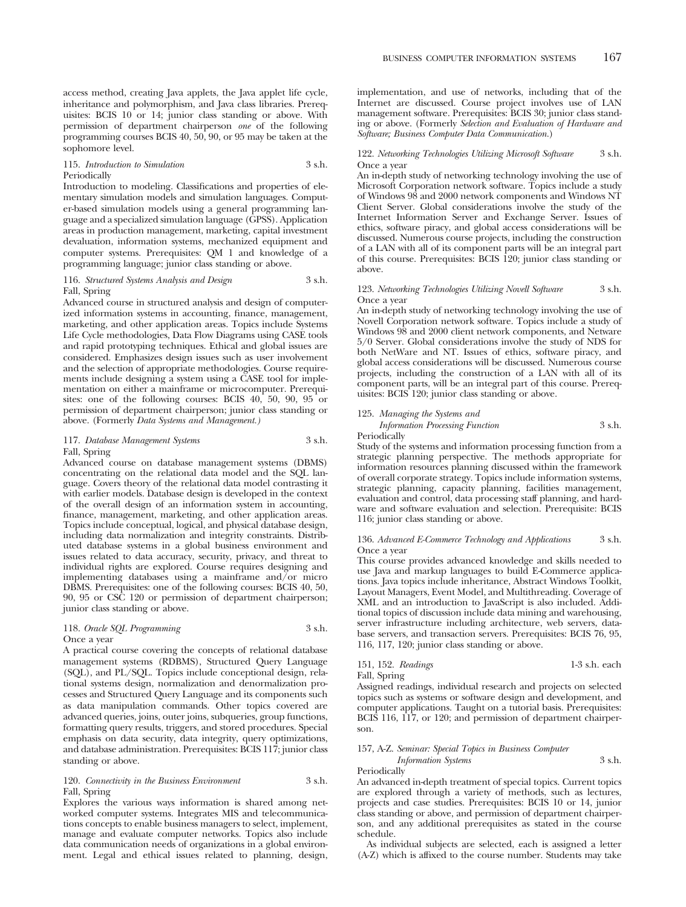access method, creating Java applets, the Java applet life cycle, inheritance and polymorphism, and Java class libraries. Prerequisites: BCIS 10 or 14; junior class standing or above. With permission of department chairperson *one* of the following programming courses BCIS 40, 50, 90, or 95 may be taken at the sophomore level.

#### 115. *Introduction to Simulation* 3 s.h. Periodically

Introduction to modeling. Classifications and properties of elementary simulation models and simulation languages. Computer-based simulation models using a general programming language and a specialized simulation language (GPSS). Application areas in production management, marketing, capital investment devaluation, information systems, mechanized equipment and computer systems. Prerequisites: QM 1 and knowledge of a programming language; junior class standing or above.

#### 116. *Structured Systems Analysis and Design* 3 s.h. Fall, Spring

Advanced course in structured analysis and design of computerized information systems in accounting, finance, management, marketing, and other application areas. Topics include Systems Life Cycle methodologies, Data Flow Diagrams using CASE tools and rapid prototyping techniques. Ethical and global issues are considered. Emphasizes design issues such as user involvement and the selection of appropriate methodologies. Course requirements include designing a system using a CASE tool for implementation on either a mainframe or microcomputer. Prerequisites: one of the following courses: BCIS 40, 50, 90, 95 or permission of department chairperson; junior class standing or above. (Formerly *Data Systems and Management.)*

#### 117. *Database Management Systems* 3 s.h. Fall, Spring

Advanced course on database management systems (DBMS) concentrating on the relational data model and the SQL language. Covers theory of the relational data model contrasting it with earlier models. Database design is developed in the context of the overall design of an information system in accounting, finance, management, marketing, and other application areas. Topics include conceptual, logical, and physical database design, including data normalization and integrity constraints. Distributed database systems in a global business environment and issues related to data accuracy, security, privacy, and threat to individual rights are explored. Course requires designing and implementing databases using a mainframe and/or micro DBMS. Prerequisites: one of the following courses: BCIS 40, 50, 90, 95 or CSC 120 or permission of department chairperson; junior class standing or above.

#### 118. *Oracle SQL Programming* 3 s.h. Once a year

A practical course covering the concepts of relational database management systems (RDBMS), Structured Query Language (SQL), and PL/SQL. Topics include conceptional design, relational systems design, normalization and denormalization processes and Structured Query Language and its components such as data manipulation commands. Other topics covered are advanced queries, joins, outer joins, subqueries, group functions, formatting query results, triggers, and stored procedures. Special emphasis on data security, data integrity, query optimizations, and database administration. Prerequisites: BCIS 117; junior class standing or above.

#### 120. *Connectivity in the Business Environment* 3 s.h. Fall, Spring

Explores the various ways information is shared among networked computer systems. Integrates MIS and telecommunications concepts to enable business managers to select, implement, manage and evaluate computer networks. Topics also include data communication needs of organizations in a global environment. Legal and ethical issues related to planning, design,

implementation, and use of networks, including that of the Internet are discussed. Course project involves use of LAN management software. Prerequisites: BCIS 30; junior class standing or above. (Formerly *Selection and Evaluation of Hardware and Software; Business Computer Data Communication.*)

#### 122. *Networking Technologies Utilizing Microsoft Software* 3 s.h. Once a year

An in-depth study of networking technology involving the use of Microsoft Corporation network software. Topics include a study of Windows 98 and 2000 network components and Windows NT Client Server. Global considerations involve the study of the Internet Information Server and Exchange Server. Issues of ethics, software piracy, and global access considerations will be discussed. Numerous course projects, including the construction of a LAN with all of its component parts will be an integral part of this course. Prerequisites: BCIS 120; junior class standing or above.

#### 123. *Networking Technologies Utilizing Novell Software* 3 s.h. Once a year

An in-depth study of networking technology involving the use of Novell Corporation network software. Topics include a study of Windows 98 and 2000 client network components, and Netware 5/0 Server. Global considerations involve the study of NDS for both NetWare and NT. Issues of ethics, software piracy, and global access considerations will be discussed. Numerous course projects, including the construction of a LAN with all of its component parts, will be an integral part of this course. Prerequisites: BCIS 120; junior class standing or above.

### 125. *Managing the Systems and*

*Information Processing Function* 3 s.h.

Periodically

Study of the systems and information processing function from a strategic planning perspective. The methods appropriate for information resources planning discussed within the framework of overall corporate strategy. Topics include information systems, strategic planning, capacity planning, facilities management, evaluation and control, data processing staff planning, and hardware and software evaluation and selection. Prerequisite: BCIS 116; junior class standing or above.

#### 136. *Advanced E-Commerce Technology and Applications* 3 s.h. Once a year

This course provides advanced knowledge and skills needed to use Java and markup languages to build E-Commerce applications. Java topics include inheritance, Abstract Windows Toolkit, Layout Managers, Event Model, and Multithreading. Coverage of XML and an introduction to JavaScript is also included. Additional topics of discussion include data mining and warehousing, server infrastructure including architecture, web servers, database servers, and transaction servers. Prerequisites: BCIS 76, 95, 116, 117, 120; junior class standing or above.

151, 152. *Readings* 1-3 s.h. each Fall, Spring

Assigned readings, individual research and projects on selected topics such as systems or software design and development, and computer applications. Taught on a tutorial basis. Prerequisites: BCIS 116, 117, or 120; and permission of department chairperson.

## 157, A-Z. *Seminar: Special Topics in Business Computer*

*Information Systems* 3 s.h. Periodically An advanced in-depth treatment of special topics. Current topics are explored through a variety of methods, such as lectures, projects and case studies. Prerequisites: BCIS 10 or 14, junior class standing or above, and permission of department chairper-

son, and any additional prerequisites as stated in the course schedule. As individual subjects are selected, each is assigned a letter (A-Z) which is affixed to the course number. Students may take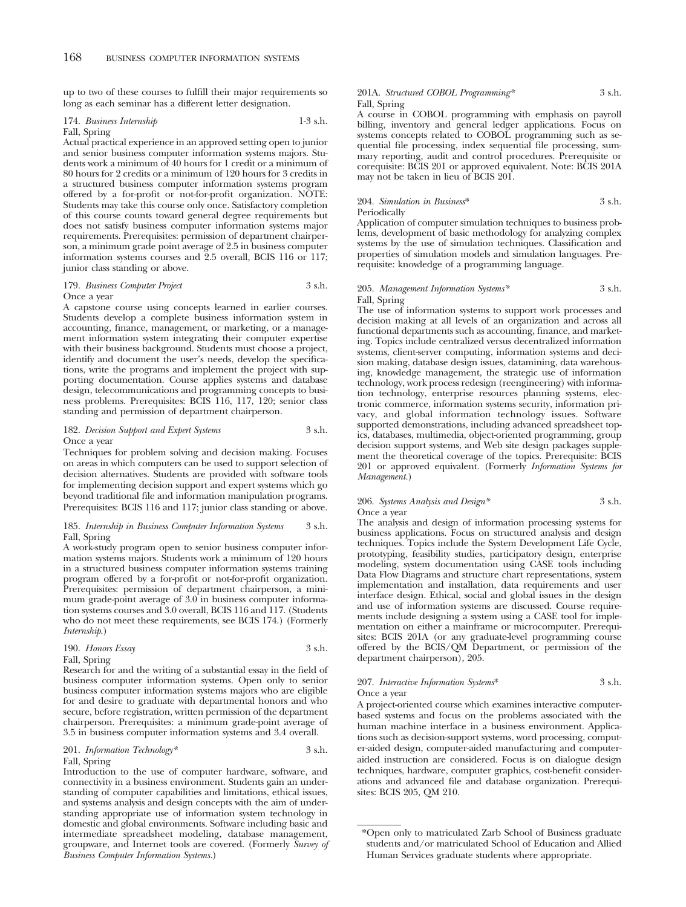up to two of these courses to fulfill their major requirements so long as each seminar has a different letter designation.

#### 174. *Business Internship* 1-3 s.h.

#### Fall, Spring

Actual practical experience in an approved setting open to junior and senior business computer information systems majors. Students work a minimum of 40 hours for 1 credit or a minimum of 80 hours for 2 credits or a minimum of 120 hours for 3 credits in a structured business computer information systems program offered by a for-profit or not-for-profit organization. NOTE: Students may take this course only once. Satisfactory completion of this course counts toward general degree requirements but does not satisfy business computer information systems major requirements. Prerequisites: permission of department chairperson, a minimum grade point average of 2.5 in business computer information systems courses and 2.5 overall, BCIS 116 or 117; junior class standing or above.

#### 179. *Business Computer Project* 3 s.h. Once a year

A capstone course using concepts learned in earlier courses. Students develop a complete business information system in accounting, finance, management, or marketing, or a management information system integrating their computer expertise with their business background. Students must choose a project, identify and document the user's needs, develop the specifications, write the programs and implement the project with supporting documentation. Course applies systems and database design, telecommunications and programming concepts to business problems. Prerequisites: BCIS 116, 117, 120; senior class standing and permission of department chairperson.

#### 182. *Decision Support and Expert Systems* 3 s.h. Once a year

Techniques for problem solving and decision making. Focuses on areas in which computers can be used to support selection of decision alternatives. Students are provided with software tools for implementing decision support and expert systems which go beyond traditional file and information manipulation programs. Prerequisites: BCIS 116 and 117; junior class standing or above.

#### 185. *Internship in Business Computer Information Systems* 3 s.h. Fall, Spring

A work-study program open to senior business computer information systems majors. Students work a minimum of 120 hours in a structured business computer information systems training program offered by a for-profit or not-for-profit organization. Prerequisites: permission of department chairperson, a minimum grade-point average of 3.0 in business computer information systems courses and 3.0 overall, BCIS 116 and 117. (Students who do not meet these requirements, see BCIS 174.) (Formerly *Internship*.)

#### 190. *Honors Essay* 3 s.h. Fall, Spring

Research for and the writing of a substantial essay in the field of business computer information systems. Open only to senior business computer information systems majors who are eligible for and desire to graduate with departmental honors and who secure, before registration, written permission of the department chairperson. Prerequisites: a minimum grade-point average of 3.5 in business computer information systems and 3.4 overall.

#### 201. *Information Technology*\* 3 s.h. Fall, Spring

Introduction to the use of computer hardware, software, and connectivity in a business environment. Students gain an understanding of computer capabilities and limitations, ethical issues, and systems analysis and design concepts with the aim of understanding appropriate use of information system technology in domestic and global environments. Software including basic and intermediate spreadsheet modeling, database management, groupware, and Internet tools are covered. (Formerly *Survey of Business Computer Information Systems.*)

#### 201A. *Structured COBOL Programming\** 3 s.h. Fall, Spring

A course in COBOL programming with emphasis on payroll billing, inventory and general ledger applications. Focus on systems concepts related to COBOL programming such as sequential file processing, index sequential file processing, summary reporting, audit and control procedures. Prerequisite or corequisite: BCIS 201 or approved equivalent. Note: BCIS 201A may not be taken in lieu of BCIS 201.

#### 204. *Simulation in Business*\* 3 s.h. Periodically

Application of computer simulation techniques to business problems, development of basic methodology for analyzing complex systems by the use of simulation techniques. Classification and properties of simulation models and simulation languages. Prerequisite: knowledge of a programming language.

#### 205. *Management Information Systems\** 3 s.h. Fall, Spring

The use of information systems to support work processes and decision making at all levels of an organization and across all functional departments such as accounting, finance, and marketing. Topics include centralized versus decentralized information systems, client-server computing, information systems and decision making, database design issues, datamining, data warehousing, knowledge management, the strategic use of information technology, work process redesign (reengineering) with information technology, enterprise resources planning systems, electronic commerce, information systems security, information privacy, and global information technology issues. Software supported demonstrations, including advanced spreadsheet topics, databases, multimedia, object-oriented programming, group decision support systems, and Web site design packages supplement the theoretical coverage of the topics. Prerequisite: BCIS 201 or approved equivalent. (Formerly *Information Systems for Management.*)

#### 206. *Systems Analysis and Design\** 3 s.h. Once a year

The analysis and design of information processing systems for business applications. Focus on structured analysis and design techniques. Topics include the System Development Life Cycle, prototyping, feasibility studies, participatory design, enterprise modeling, system documentation using CASE tools including Data Flow Diagrams and structure chart representations, system implementation and installation, data requirements and user interface design. Ethical, social and global issues in the design and use of information systems are discussed. Course requirements include designing a system using a CASE tool for implementation on either a mainframe or microcomputer. Prerequisites: BCIS 201A (or any graduate-level programming course offered by the BCIS/QM Department, or permission of the department chairperson), 205.

### 207. *Interactive Information Systems*\* 3 s.h. Once a year

A project-oriented course which examines interactive computerbased systems and focus on the problems associated with the human machine interface in a business environment. Applications such as decision-support systems, word processing, computer-aided design, computer-aided manufacturing and computeraided instruction are considered. Focus is on dialogue design techniques, hardware, computer graphics, cost-benefit considerations and advanced file and database organization. Prerequisites: BCIS 205, QM 210.

<sup>\*</sup>Open only to matriculated Zarb School of Business graduate students and/or matriculated School of Education and Allied Human Services graduate students where appropriate.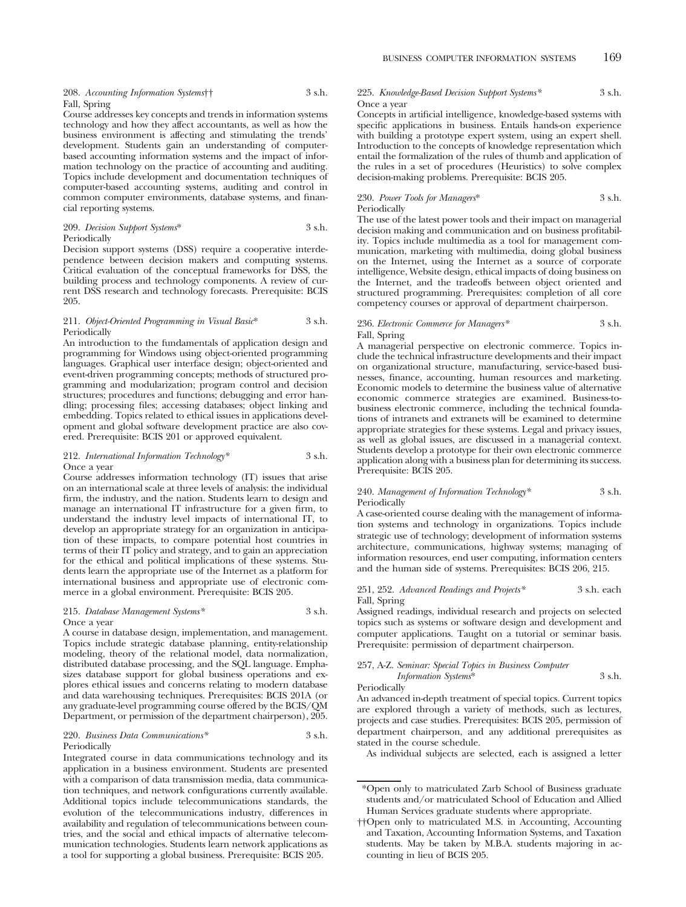Course addresses key concepts and trends in information systems technology and how they affect accountants, as well as how the business environment is affecting and stimulating the trends' development. Students gain an understanding of computerbased accounting information systems and the impact of information technology on the practice of accounting and auditing. Topics include development and documentation techniques of computer-based accounting systems, auditing and control in common computer environments, database systems, and financial reporting systems.

### 209. *Decision Support Systems*\* 3 s.h. Periodically

Decision support systems (DSS) require a cooperative interdependence between decision makers and computing systems. Critical evaluation of the conceptual frameworks for DSS, the building process and technology components. A review of current DSS research and technology forecasts. Prerequisite: BCIS 205.

#### 211. *Object-Oriented Programming in Visual Basic*\* 3 s.h. **Periodically**

An introduction to the fundamentals of application design and programming for Windows using object-oriented programming languages. Graphical user interface design; object-oriented and event-driven programming concepts; methods of structured programming and modularization; program control and decision structures; procedures and functions; debugging and error handling; processing files; accessing databases; object linking and embedding. Topics related to ethical issues in applications development and global software development practice are also covered. Prerequisite: BCIS 201 or approved equivalent.

#### 212. *International Information Technology\** 3 s.h. Once a year

Course addresses information technology (IT) issues that arise on an international scale at three levels of analysis: the individual firm, the industry, and the nation. Students learn to design and manage an international IT infrastructure for a given firm, to understand the industry level impacts of international IT, to develop an appropriate strategy for an organization in anticipation of these impacts, to compare potential host countries in terms of their IT policy and strategy, and to gain an appreciation for the ethical and political implications of these systems. Students learn the appropriate use of the Internet as a platform for international business and appropriate use of electronic commerce in a global environment. Prerequisite: BCIS 205.

#### 215. *Database Management Systems\** 3 s.h. Once a year

A course in database design, implementation, and management. Topics include strategic database planning, entity-relationship modeling, theory of the relational model, data normalization, distributed database processing, and the SQL language. Emphasizes database support for global business operations and explores ethical issues and concerns relating to modern database and data warehousing techniques. Prerequisites: BCIS 201A (or any graduate-level programming course offered by the BCIS/QM Department, or permission of the department chairperson), 205.

#### 220. *Business Data Communications\** 3 s.h. Periodically

Integrated course in data communications technology and its application in a business environment. Students are presented with a comparison of data transmission media, data communication techniques, and network configurations currently available. Additional topics include telecommunications standards, the evolution of the telecommunications industry, differences in availability and regulation of telecommunications between countries, and the social and ethical impacts of alternative telecommunication technologies. Students learn network applications as a tool for supporting a global business. Prerequisite: BCIS 205.

#### 225. *Knowledge-Based Decision Support Systems\** 3 s.h. Once a year

Concepts in artificial intelligence, knowledge-based systems with specific applications in business. Entails hands-on experience with building a prototype expert system, using an expert shell. Introduction to the concepts of knowledge representation which entail the formalization of the rules of thumb and application of the rules in a set of procedures (Heuristics) to solve complex decision-making problems. Prerequisite: BCIS 205.

#### 230. *Power Tools for Managers*\* 3 s.h. Periodically

The use of the latest power tools and their impact on managerial decision making and communication and on business profitability. Topics include multimedia as a tool for management communication, marketing with multimedia, doing global business on the Internet, using the Internet as a source of corporate intelligence, Website design, ethical impacts of doing business on the Internet, and the tradeoffs between object oriented and structured programming. Prerequisites: completion of all core competency courses or approval of department chairperson.

#### 236. *Electronic Commerce for Managers\** 3 s.h. Fall, Spring

A managerial perspective on electronic commerce. Topics include the technical infrastructure developments and their impact on organizational structure, manufacturing, service-based businesses, finance, accounting, human resources and marketing. Economic models to determine the business value of alternative economic commerce strategies are examined. Business-tobusiness electronic commerce, including the technical foundations of intranets and extranets will be examined to determine appropriate strategies for these systems. Legal and privacy issues, as well as global issues, are discussed in a managerial context. Students develop a prototype for their own electronic commerce application along with a business plan for determining its success. Prerequisite: BCIS 205.

#### 240. *Management of Information Technology*\* 3 s.h. Periodically

A case-oriented course dealing with the management of information systems and technology in organizations. Topics include strategic use of technology; development of information systems architecture, communications, highway systems; managing of information resources, end user computing, information centers and the human side of systems. Prerequisites: BCIS 206, 215.

#### 251, 252. *Advanced Readings and Projects\** 3 s.h. each Fall, Spring

Assigned readings, individual research and projects on selected topics such as systems or software design and development and computer applications. Taught on a tutorial or seminar basis. Prerequisite: permission of department chairperson.

| 257, A-Z. Seminar: Special Topics in Business Computer |        |
|--------------------------------------------------------|--------|
| Information Systems*                                   | 3 s.h. |
| Periodically                                           |        |

An advanced in-depth treatment of special topics. Current topics are explored through a variety of methods, such as lectures, projects and case studies. Prerequisites: BCIS 205, permission of department chairperson, and any additional prerequisites as stated in the course schedule.

As individual subjects are selected, each is assigned a letter

<sup>\*</sup>Open only to matriculated Zarb School of Business graduate students and/or matriculated School of Education and Allied Human Services graduate students where appropriate.

<sup>††</sup>Open only to matriculated M.S. in Accounting, Accounting and Taxation, Accounting Information Systems, and Taxation students. May be taken by M.B.A. students majoring in accounting in lieu of BCIS 205.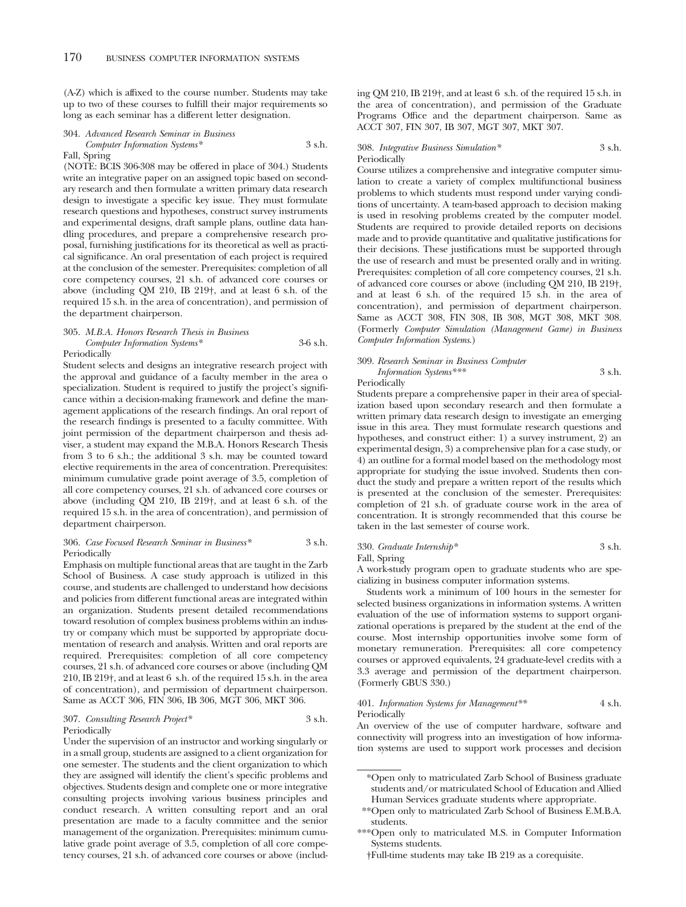(A-Z) which is affixed to the course number. Students may take up to two of these courses to fulfill their major requirements so long as each seminar has a different letter designation.

#### 304. *Advanced Research Seminar in Business Computer Information Systems\** 3 s.h. Fall, Spring

(NOTE: BCIS 306-308 may be offered in place of 304.) Students write an integrative paper on an assigned topic based on secondary research and then formulate a written primary data research design to investigate a specific key issue. They must formulate research questions and hypotheses, construct survey instruments and experimental designs, draft sample plans, outline data handling procedures, and prepare a comprehensive research proposal, furnishing justifications for its theoretical as well as practical significance. An oral presentation of each project is required at the conclusion of the semester. Prerequisites: completion of all core competency courses, 21 s.h. of advanced core courses or above (including QM 210, IB 219†, and at least 6 s.h. of the required 15 s.h. in the area of concentration), and permission of the department chairperson.

#### 305. *M.B.A. Honors Research Thesis in Business Computer Information Systems\** 3-6 s.h. Periodically

Student selects and designs an integrative research project with the approval and guidance of a faculty member in the area o specialization. Student is required to justify the project's significance within a decision-making framework and define the management applications of the research findings. An oral report of the research findings is presented to a faculty committee. With joint permission of the department chairperson and thesis adviser, a student may expand the M.B.A. Honors Research Thesis from 3 to 6 s.h.; the additional 3 s.h. may be counted toward elective requirements in the area of concentration. Prerequisites: minimum cumulative grade point average of 3.5, completion of all core competency courses, 21 s.h. of advanced core courses or above (including QM 210, IB 219†, and at least 6 s.h. of the required 15 s.h. in the area of concentration), and permission of department chairperson.

#### 306. *Case Focused Research Seminar in Business\** 3 s.h. Periodically

Emphasis on multiple functional areas that are taught in the Zarb School of Business. A case study approach is utilized in this course, and students are challenged to understand how decisions and policies from different functional areas are integrated within an organization. Students present detailed recommendations toward resolution of complex business problems within an industry or company which must be supported by appropriate documentation of research and analysis. Written and oral reports are required. Prerequisites: completion of all core competency courses, 21 s.h. of advanced core courses or above (including QM 210, IB 219†, and at least 6 s.h. of the required 15 s.h. in the area of concentration), and permission of department chairperson. Same as ACCT 306, FIN 306, IB 306, MGT 306, MKT 306.

#### 307. *Consulting Research Project\** 3 s.h. Periodically

Under the supervision of an instructor and working singularly or in a small group, students are assigned to a client organization for one semester. The students and the client organization to which they are assigned will identify the client's specific problems and objectives. Students design and complete one or more integrative consulting projects involving various business principles and conduct research. A written consulting report and an oral presentation are made to a faculty committee and the senior management of the organization. Prerequisites: minimum cumulative grade point average of 3.5, completion of all core competency courses, 21 s.h. of advanced core courses or above (including QM 210, IB 219†, and at least 6 s.h. of the required 15 s.h. in the area of concentration), and permission of the Graduate Programs Office and the department chairperson. Same as ACCT 307, FIN 307, IB 307, MGT 307, MKT 307.

#### 308. *Integrative Business Simulation\** 3 s.h. Periodically

Course utilizes a comprehensive and integrative computer simulation to create a variety of complex multifunctional business problems to which students must respond under varying conditions of uncertainty. A team-based approach to decision making is used in resolving problems created by the computer model. Students are required to provide detailed reports on decisions made and to provide quantitative and qualitative justifications for their decisions. These justifications must be supported through the use of research and must be presented orally and in writing. Prerequisites: completion of all core competency courses, 21 s.h. of advanced core courses or above (including QM 210, IB 219†, and at least 6 s.h. of the required 15 s.h. in the area of concentration), and permission of department chairperson. Same as ACCT 308, FIN 308, IB 308, MGT 308, MKT 308. (Formerly *Computer Simulation (Management Game) in Business Computer Information Systems*.)

## 309. *Research Seminar in Business Computer Information Systems\*\*\** 3 s.h.

Periodically

Students prepare a comprehensive paper in their area of specialization based upon secondary research and then formulate a written primary data research design to investigate an emerging issue in this area. They must formulate research questions and hypotheses, and construct either: 1) a survey instrument, 2) an experimental design, 3) a comprehensive plan for a case study, or 4) an outline for a formal model based on the methodology most appropriate for studying the issue involved. Students then conduct the study and prepare a written report of the results which is presented at the conclusion of the semester. Prerequisites: completion of 21 s.h. of graduate course work in the area of concentration. It is strongly recommended that this course be taken in the last semester of course work.

#### 330. *Graduate Internship\** 3 s.h. Fall, Spring

A work-study program open to graduate students who are specializing in business computer information systems.

Students work a minimum of 100 hours in the semester for selected business organizations in information systems. A written evaluation of the use of information systems to support organizational operations is prepared by the student at the end of the course. Most internship opportunities involve some form of monetary remuneration. Prerequisites: all core competency courses or approved equivalents, 24 graduate-level credits with a 3.3 average and permission of the department chairperson. (Formerly GBUS 330.)

#### 401. *Information Systems for Management\*\** 4 s.h. Periodically

An overview of the use of computer hardware, software and connectivity will progress into an investigation of how information systems are used to support work processes and decision

<sup>\*</sup>Open only to matriculated Zarb School of Business graduate students and/or matriculated School of Education and Allied Human Services graduate students where appropriate.

<sup>\*\*</sup>Open only to matriculated Zarb School of Business E.M.B.A. students.

<sup>\*\*\*</sup>Open only to matriculated M.S. in Computer Information Systems students.

<sup>†</sup>Full-time students may take IB 219 as a corequisite.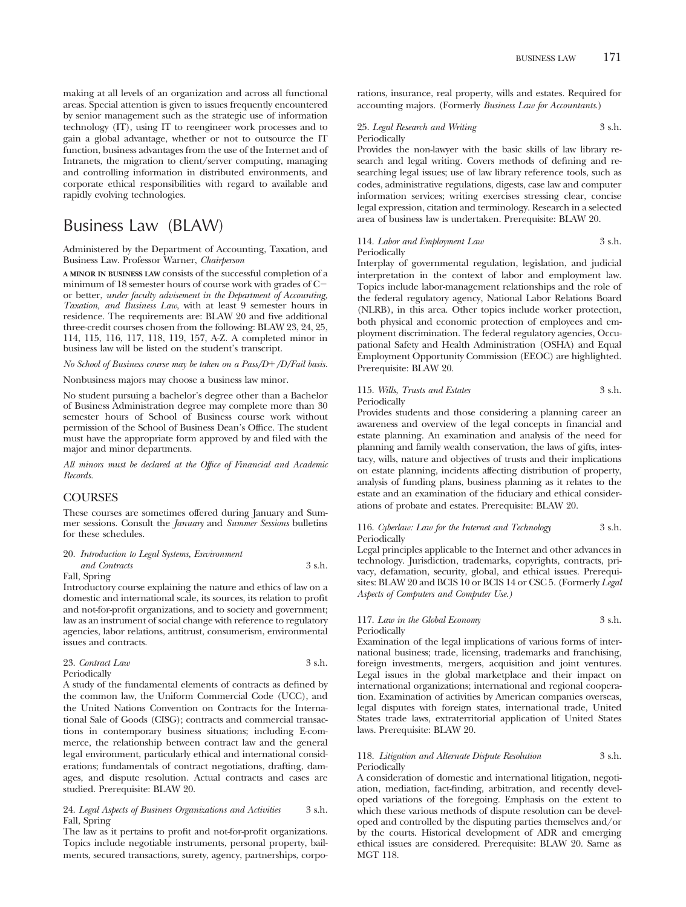making at all levels of an organization and across all functional areas. Special attention is given to issues frequently encountered by senior management such as the strategic use of information technology (IT), using IT to reengineer work processes and to gain a global advantage, whether or not to outsource the IT function, business advantages from the use of the Internet and of Intranets, the migration to client/server computing, managing and controlling information in distributed environments, and corporate ethical responsibilities with regard to available and rapidly evolving technologies.

## Business Law (BLAW)

Administered by the Department of Accounting, Taxation, and Business Law. Professor Warner, *Chairperson*

**A MINOR IN BUSINESS LAW** consists of the successful completion of a minimum of 18 semester hours of course work with grades of C or better, *under faculty advisement in the Department of Accounting, Taxation, and Business Law*, with at least 9 semester hours in residence. The requirements are: BLAW 20 and five additional three-credit courses chosen from the following: BLAW 23, 24, 25, 114, 115, 116, 117, 118, 119, 157, A-Z. A completed minor in business law will be listed on the student's transcript.

*No School of Business course may be taken on a Pass/D/D/Fail basis.*

Nonbusiness majors may choose a business law minor.

No student pursuing a bachelor's degree other than a Bachelor of Business Administration degree may complete more than 30 semester hours of School of Business course work without permission of the School of Business Dean's Office. The student must have the appropriate form approved by and filed with the major and minor departments.

*All minors must be declared at the Office of Financial and Academic Records.*

#### COURSES

These courses are sometimes offered during January and Summer sessions. Consult the *January* and *Summer Sessions* bulletins for these schedules.

### 20. *Introduction to Legal Systems, Environment*

*and Contracts* 3 s.h. Fall, Spring

Introductory course explaining the nature and ethics of law on a domestic and international scale, its sources, its relation to profit and not-for-profit organizations, and to society and government; law as an instrument of social change with reference to regulatory agencies, labor relations, antitrust, consumerism, environmental issues and contracts.

| 23. Contract Law | 3 s.h. |
|------------------|--------|
| Periodically     |        |

A study of the fundamental elements of contracts as defined by the common law, the Uniform Commercial Code (UCC), and the United Nations Convention on Contracts for the International Sale of Goods (CISG); contracts and commercial transactions in contemporary business situations; including E-commerce, the relationship between contract law and the general legal environment, particularly ethical and international considerations; fundamentals of contract negotiations, drafting, damages, and dispute resolution. Actual contracts and cases are studied. Prerequisite: BLAW 20.

#### 24. *Legal Aspects of Business Organizations and Activities* 3 s.h. Fall, Spring

The law as it pertains to profit and not-for-profit organizations. Topics include negotiable instruments, personal property, bailments, secured transactions, surety, agency, partnerships, corporations, insurance, real property, wills and estates. Required for accounting majors. (Formerly *Business Law for Accountants*.)

#### 25. *Legal Research and Writing* 3 s.h. Periodically

Provides the non-lawyer with the basic skills of law library research and legal writing. Covers methods of defining and researching legal issues; use of law library reference tools, such as codes, administrative regulations, digests, case law and computer information services; writing exercises stressing clear, concise legal expression, citation and terminology. Research in a selected area of business law is undertaken. Prerequisite: BLAW 20.

#### 114. *Labor and Employment Law* 3 s.h. Periodically

Interplay of governmental regulation, legislation, and judicial interpretation in the context of labor and employment law. Topics include labor-management relationships and the role of the federal regulatory agency, National Labor Relations Board (NLRB), in this area. Other topics include worker protection, both physical and economic protection of employees and employment discrimination. The federal regulatory agencies, Occupational Safety and Health Administration (OSHA) and Equal Employment Opportunity Commission (EEOC) are highlighted. Prerequisite: BLAW 20.

#### 115. *Wills, Trusts and Estates* 3 s.h. Periodically

Provides students and those considering a planning career an awareness and overview of the legal concepts in financial and estate planning. An examination and analysis of the need for planning and family wealth conservation, the laws of gifts, intestacy, wills, nature and objectives of trusts and their implications on estate planning, incidents affecting distribution of property, analysis of funding plans, business planning as it relates to the estate and an examination of the fiduciary and ethical considerations of probate and estates. Prerequisite: BLAW 20.

116. *Cyberlaw: Law for the Internet and Technology* 3 s.h. Periodically

Legal principles applicable to the Internet and other advances in technology. Jurisdiction, trademarks, copyrights, contracts, privacy, defamation, security, global, and ethical issues. Prerequisites: BLAW 20 and BCIS 10 or BCIS 14 or CSC 5. (Formerly *Legal Aspects of Computers and Computer Use.)*

### 117. *Law in the Global Economy* 3 s.h. Periodically

Examination of the legal implications of various forms of international business; trade, licensing, trademarks and franchising, foreign investments, mergers, acquisition and joint ventures. Legal issues in the global marketplace and their impact on international organizations; international and regional cooperation. Examination of activities by American companies overseas, legal disputes with foreign states, international trade, United States trade laws, extraterritorial application of United States laws. Prerequisite: BLAW 20.

#### 118. *Litigation and Alternate Dispute Resolution* 3 s.h. Periodically

A consideration of domestic and international litigation, negotiation, mediation, fact-finding, arbitration, and recently developed variations of the foregoing. Emphasis on the extent to which these various methods of dispute resolution can be developed and controlled by the disputing parties themselves and/or by the courts. Historical development of ADR and emerging ethical issues are considered. Prerequisite: BLAW 20. Same as MGT 118.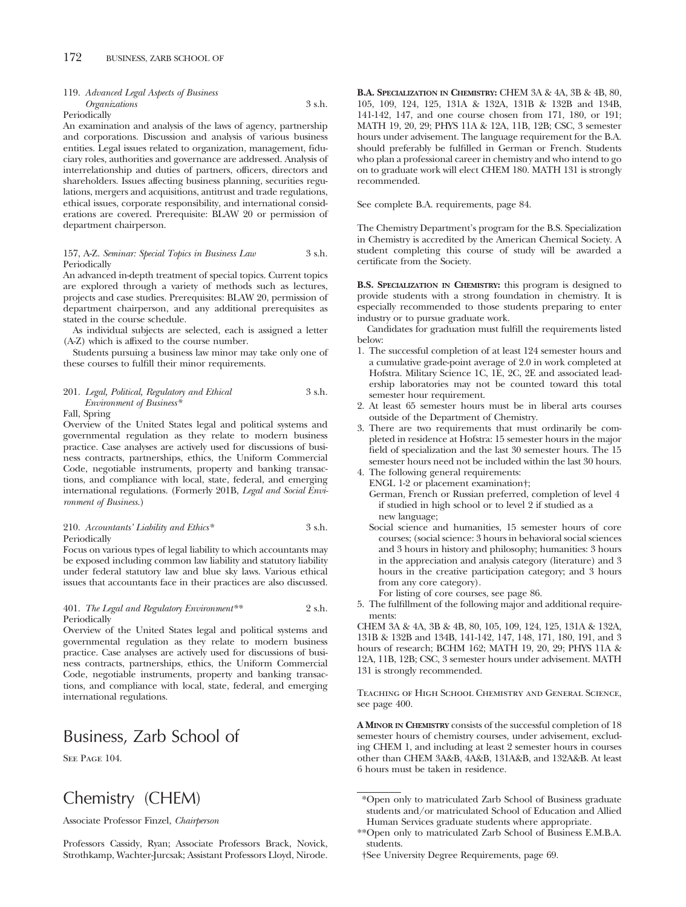## 119. *Advanced Legal Aspects of Business Organizations* 3 s.h.

Periodically

An examination and analysis of the laws of agency, partnership and corporations. Discussion and analysis of various business entities. Legal issues related to organization, management, fiduciary roles, authorities and governance are addressed. Analysis of interrelationship and duties of partners, officers, directors and shareholders. Issues affecting business planning, securities regulations, mergers and acquisitions, antitrust and trade regulations, ethical issues, corporate responsibility, and international considerations are covered. Prerequisite: BLAW 20 or permission of department chairperson.

#### 157, A-Z. *Seminar: Special Topics in Business Law* 3 s.h. Periodically

An advanced in-depth treatment of special topics. Current topics are explored through a variety of methods such as lectures, projects and case studies. Prerequisites: BLAW 20, permission of department chairperson, and any additional prerequisites as stated in the course schedule.

As individual subjects are selected, each is assigned a letter (A-Z) which is affixed to the course number.

Students pursuing a business law minor may take only one of these courses to fulfill their minor requirements.

#### 201. *Legal, Political, Regulatory and Ethical* 3 s.h. *Environment of Business\**

#### Fall, Spring

Overview of the United States legal and political systems and governmental regulation as they relate to modern business practice. Case analyses are actively used for discussions of business contracts, partnerships, ethics, the Uniform Commercial Code, negotiable instruments, property and banking transactions, and compliance with local, state, federal, and emerging international regulations. (Formerly 201B, *Legal and Social Environment of Business.*)

#### 210. *Accountants' Liability and Ethics\** 3 s.h. Periodically

Focus on various types of legal liability to which accountants may be exposed including common law liability and statutory liability under federal statutory law and blue sky laws. Various ethical issues that accountants face in their practices are also discussed.

#### 401. *The Legal and Regulatory Environment\*\** 2 s.h. Periodically

Overview of the United States legal and political systems and governmental regulation as they relate to modern business practice. Case analyses are actively used for discussions of business contracts, partnerships, ethics, the Uniform Commercial Code, negotiable instruments, property and banking transactions, and compliance with local, state, federal, and emerging international regulations.

# Business, Zarb School of

SEE PAGE 104.

# Chemistry (CHEM)

Associate Professor Finzel, *Chairperson*

Professors Cassidy, Ryan; Associate Professors Brack, Novick, Strothkamp, Wachter-Jurcsak; Assistant Professors Lloyd, Nirode. **B.A. SPECIALIZATION IN CHEMISTRY:** CHEM 3A & 4A, 3B & 4B, 80, 105, 109, 124, 125, 131A & 132A, 131B & 132B and 134B, 141-142, 147, and one course chosen from 171, 180, or 191; MATH 19, 20, 29; PHYS 11A & 12A, 11B, 12B; CSC, 3 semester hours under advisement. The language requirement for the B.A. should preferably be fulfilled in German or French. Students who plan a professional career in chemistry and who intend to go on to graduate work will elect CHEM 180. MATH 131 is strongly recommended.

See complete B.A. requirements, page 84.

The Chemistry Department's program for the B.S. Specialization in Chemistry is accredited by the American Chemical Society. A student completing this course of study will be awarded a certificate from the Society.

**B.S. SPECIALIZATION IN CHEMISTRY:** this program is designed to provide students with a strong foundation in chemistry. It is especially recommended to those students preparing to enter industry or to pursue graduate work.

Candidates for graduation must fulfill the requirements listed below:

- 1. The successful completion of at least 124 semester hours and a cumulative grade-point average of 2.0 in work completed at Hofstra. Military Science 1C, 1E, 2C, 2E and associated leadership laboratories may not be counted toward this total semester hour requirement.
- 2. At least 65 semester hours must be in liberal arts courses outside of the Department of Chemistry.
- 3. There are two requirements that must ordinarily be completed in residence at Hofstra: 15 semester hours in the major field of specialization and the last 30 semester hours. The 15 semester hours need not be included within the last 30 hours.
- 4. The following general requirements: ENGL 1-2 or placement examination†;
	- German, French or Russian preferred, completion of level 4 if studied in high school or to level 2 if studied as a new language;
	- Social science and humanities, 15 semester hours of core courses; (social science: 3 hours in behavioral social sciences and 3 hours in history and philosophy; humanities: 3 hours in the appreciation and analysis category (literature) and 3 hours in the creative participation category; and 3 hours from any core category).
	- For listing of core courses, see page 86.
- 5. The fulfillment of the following major and additional requirements:

CHEM 3A & 4A, 3B & 4B, 80, 105, 109, 124, 125, 131A & 132A, 131B & 132B and 134B, 141-142, 147, 148, 171, 180, 191, and 3 hours of research; BCHM 162; MATH 19, 20, 29; PHYS 11A & 12A, 11B, 12B; CSC, 3 semester hours under advisement. MATH 131 is strongly recommended.

Teaching of High School Chemistry and General Science, see page 400.

**A MINOR IN CHEMISTRY** consists of the successful completion of 18 semester hours of chemistry courses, under advisement, excluding CHEM 1, and including at least 2 semester hours in courses other than CHEM 3A&B, 4A&B, 131A&B, and 132A&B. At least 6 hours must be taken in residence.

<sup>\*</sup>Open only to matriculated Zarb School of Business graduate students and/or matriculated School of Education and Allied Human Services graduate students where appropriate.

<sup>\*\*</sup>Open only to matriculated Zarb School of Business E.M.B.A. students.

<sup>†</sup>See University Degree Requirements, page 69.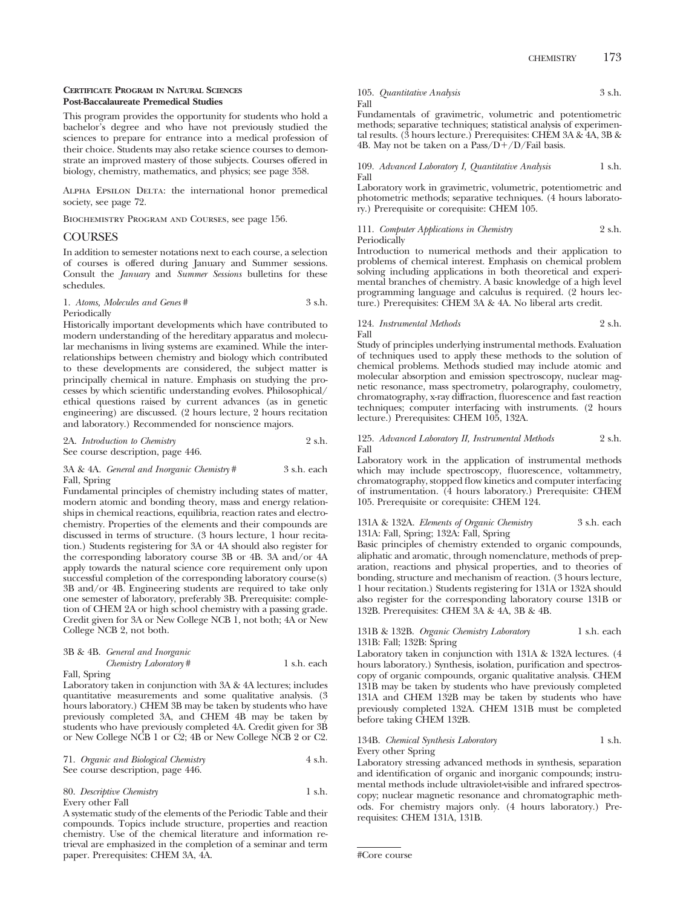### **CERTIFICATE PROGRAM IN NATURAL SCIENCES Post-Baccalaureate Premedical Studies**

This program provides the opportunity for students who hold a bachelor's degree and who have not previously studied the sciences to prepare for entrance into a medical profession of their choice. Students may also retake science courses to demonstrate an improved mastery of those subjects. Courses offered in biology, chemistry, mathematics, and physics; see page 358.

ALPHA EPSILON DELTA: the international honor premedical society, see page 72.

Biochemistry Program and Courses, see page 156.

### COURSES

In addition to semester notations next to each course, a selection of courses is offered during January and Summer sessions. Consult the *January* and *Summer Sessions* bulletins for these schedules.

1. *Atoms, Molecules and Genes* # 3 s.h. Periodically

Historically important developments which have contributed to modern understanding of the hereditary apparatus and molecular mechanisms in living systems are examined. While the interrelationships between chemistry and biology which contributed to these developments are considered, the subject matter is principally chemical in nature. Emphasis on studying the processes by which scientific understanding evolves. Philosophical/ ethical questions raised by current advances (as in genetic engineering) are discussed. (2 hours lecture, 2 hours recitation and laboratory.) Recommended for nonscience majors.

| 2A. Introduction to Chemistry     | 2 s.h. |
|-----------------------------------|--------|
| See course description, page 446. |        |

#### 3A & 4A. *General and Inorganic Chemistry* # 3 s.h. each Fall, Spring

Fundamental principles of chemistry including states of matter, modern atomic and bonding theory, mass and energy relationships in chemical reactions, equilibria, reaction rates and electrochemistry. Properties of the elements and their compounds are discussed in terms of structure. (3 hours lecture, 1 hour recitation.) Students registering for 3A or 4A should also register for the corresponding laboratory course 3B or 4B. 3A and/or 4A apply towards the natural science core requirement only upon successful completion of the corresponding laboratory course(s) 3B and/or 4B. Engineering students are required to take only one semester of laboratory, preferably 3B. Prerequisite: completion of CHEM 2A or high school chemistry with a passing grade. Credit given for 3A or New College NCB 1, not both; 4A or New College NCB 2, not both.

|       | 3B & 4B. General and Inorganic |             |
|-------|--------------------------------|-------------|
|       | Chemistry Laboratory $#$       | 1 s.h. each |
| $-11$ |                                |             |

#### Fall, Spring

Laboratory taken in conjunction with 3A & 4A lectures; includes quantitative measurements and some qualitative analysis. (3 hours laboratory.) CHEM 3B may be taken by students who have previously completed 3A, and CHEM 4B may be taken by students who have previously completed 4A. Credit given for 3B or New College NCB 1 or C2; 4B or New College NCB 2 or C2.

71. *Organic and Biological Chemistry* 4 s.h. See course description, page 446.

80. *Descriptive Chemistry* 1 s.h. Every other Fall

A systematic study of the elements of the Periodic Table and their compounds. Topics include structure, properties and reaction chemistry. Use of the chemical literature and information retrieval are emphasized in the completion of a seminar and term paper. Prerequisites: CHEM 3A, 4A.

#### 105. *Quantitative Analysis* 3 s.h. Fall

Fundamentals of gravimetric, volumetric and potentiometric methods; separative techniques; statistical analysis of experimental results. (3 hours lecture.) Prerequisites: CHEM 3A & 4A, 3B & 4B. May not be taken on a Pass/ $D+/D$ /Fail basis.

#### 109. *Advanced Laboratory I, Quantitative Analysis* 1 s.h. Fall

Laboratory work in gravimetric, volumetric, potentiometric and photometric methods; separative techniques. (4 hours laboratory.) Prerequisite or corequisite: CHEM 105.

#### 111. *Computer Applications in Chemistry* 2 s.h. Periodically

Introduction to numerical methods and their application to problems of chemical interest. Emphasis on chemical problem solving including applications in both theoretical and experimental branches of chemistry. A basic knowledge of a high level programming language and calculus is required. (2 hours lecture.) Prerequisites: CHEM 3A & 4A. No liberal arts credit.

### 124. *Instrumental Methods* 2 s.h. Fall

Study of principles underlying instrumental methods. Evaluation of techniques used to apply these methods to the solution of chemical problems. Methods studied may include atomic and molecular absorption and emission spectroscopy, nuclear magnetic resonance, mass spectrometry, polarography, coulometry, chromatography, x-ray diffraction, fluorescence and fast reaction techniques; computer interfacing with instruments. (2 hours lecture.) Prerequisites: CHEM 105, 132A.

#### 125. *Advanced Laboratory II, Instrumental Methods* 2 s.h. Fall

Laboratory work in the application of instrumental methods which may include spectroscopy, fluorescence, voltammetry, chromatography, stopped flow kinetics and computer interfacing of instrumentation. (4 hours laboratory.) Prerequisite: CHEM 105. Prerequisite or corequisite: CHEM 124.

#### 131A & 132A. *Elements of Organic Chemistry* 3 s.h. each 131A: Fall, Spring; 132A: Fall, Spring

Basic principles of chemistry extended to organic compounds, aliphatic and aromatic, through nomenclature, methods of preparation, reactions and physical properties, and to theories of bonding, structure and mechanism of reaction. (3 hours lecture, 1 hour recitation.) Students registering for 131A or 132A should also register for the corresponding laboratory course 131B or 132B. Prerequisites: CHEM 3A & 4A, 3B & 4B.

#### 131B & 132B. *Organic Chemistry Laboratory* 1 s.h. each 131B: Fall; 132B: Spring

Laboratory taken in conjunction with 131A & 132A lectures. (4 hours laboratory.) Synthesis, isolation, purification and spectroscopy of organic compounds, organic qualitative analysis. CHEM 131B may be taken by students who have previously completed 131A and CHEM 132B may be taken by students who have previously completed 132A. CHEM 131B must be completed before taking CHEM 132B.

### 134B. *Chemical Synthesis Laboratory* 1 s.h. Every other Spring

Laboratory stressing advanced methods in synthesis, separation and identification of organic and inorganic compounds; instrumental methods include ultraviolet-visible and infrared spectroscopy; nuclear magnetic resonance and chromatographic methods. For chemistry majors only. (4 hours laboratory.) Prerequisites: CHEM 131A, 131B.

<sup>#</sup>Core course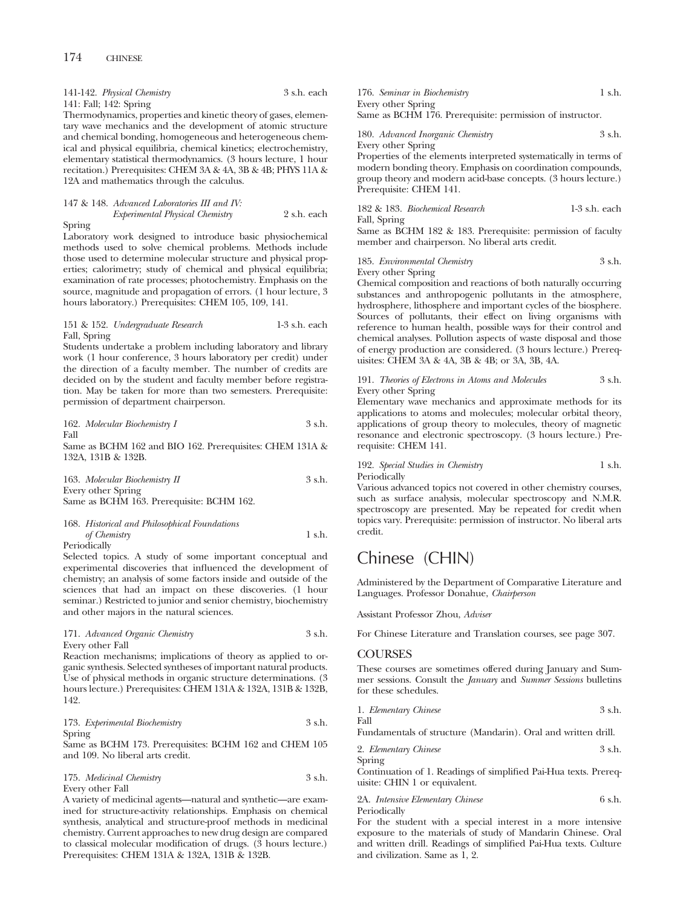141-142. *Physical Chemistry* 3 s.h. each 141: Fall; 142: Spring

Thermodynamics, properties and kinetic theory of gases, elementary wave mechanics and the development of atomic structure and chemical bonding, homogeneous and heterogeneous chemical and physical equilibria, chemical kinetics; electrochemistry, elementary statistical thermodynamics. (3 hours lecture, 1 hour recitation.) Prerequisites: CHEM 3A & 4A, 3B & 4B; PHYS 11A & 12A and mathematics through the calculus.

|        | 147 & 148. Advanced Laboratories III and IV: |             |
|--------|----------------------------------------------|-------------|
|        | Experimental Physical Chemistry              | 2 s.h. each |
| Spring |                                              |             |

Laboratory work designed to introduce basic physiochemical methods used to solve chemical problems. Methods include those used to determine molecular structure and physical properties; calorimetry; study of chemical and physical equilibria; examination of rate processes; photochemistry. Emphasis on the source, magnitude and propagation of errors. (1 hour lecture, 3 hours laboratory.) Prerequisites: CHEM 105, 109, 141.

#### 151 & 152. *Undergraduate Research* 1-3 s.h. each Fall, Spring

Students undertake a problem including laboratory and library work (1 hour conference, 3 hours laboratory per credit) under the direction of a faculty member. The number of credits are decided on by the student and faculty member before registration. May be taken for more than two semesters. Prerequisite: permission of department chairperson.

162. *Molecular Biochemistry I* 3 s.h. Fall

Same as BCHM 162 and BIO 162. Prerequisites: CHEM 131A & 132A, 131B & 132B.

163. *Molecular Biochemistry II* 3 s.h. Every other Spring Same as BCHM 163. Prerequisite: BCHM 162.

## 168. *Historical and Philosophical Foundations of Chemistry* 1 s.h.

Periodically

Selected topics. A study of some important conceptual and experimental discoveries that influenced the development of chemistry; an analysis of some factors inside and outside of the sciences that had an impact on these discoveries. (1 hour seminar.) Restricted to junior and senior chemistry, biochemistry and other majors in the natural sciences.

#### 171. *Advanced Organic Chemistry* 3 s.h. Every other Fall

Reaction mechanisms; implications of theory as applied to organic synthesis. Selected syntheses of important natural products. Use of physical methods in organic structure determinations. (3 hours lecture.) Prerequisites: CHEM 131A & 132A, 131B & 132B, 142.

| 173. Experimental Biochemistry |  | 3 s.h. |
|--------------------------------|--|--------|
|                                |  |        |

Spring Same as BCHM 173. Prerequisites: BCHM 162 and CHEM 105 and 109. No liberal arts credit.

175. *Medicinal Chemistry* 3 s.h. Every other Fall

A variety of medicinal agents—natural and synthetic—are examined for structure-activity relationships. Emphasis on chemical synthesis, analytical and structure-proof methods in medicinal chemistry. Current approaches to new drug design are compared to classical molecular modification of drugs. (3 hours lecture.) Prerequisites: CHEM 131A & 132A, 131B & 132B.

176. *Seminar in Biochemistry* 1 s.h. Every other Spring Same as BCHM 176. Prerequisite: permission of instructor.

180. *Advanced Inorganic Chemistry* 3 s.h. Every other Spring

Properties of the elements interpreted systematically in terms of modern bonding theory. Emphasis on coordination compounds, group theory and modern acid-base concepts. (3 hours lecture.) Prerequisite: CHEM 141.

182 & 183. *Biochemical Research* 1-3 s.h. each Fall, Spring

Same as BCHM 182 & 183. Prerequisite: permission of faculty member and chairperson. No liberal arts credit.

185. *Environmental Chemistry* 3 s.h. Every other Spring

Chemical composition and reactions of both naturally occurring substances and anthropogenic pollutants in the atmosphere, hydrosphere, lithosphere and important cycles of the biosphere. Sources of pollutants, their effect on living organisms with reference to human health, possible ways for their control and chemical analyses. Pollution aspects of waste disposal and those of energy production are considered. (3 hours lecture.) Prerequisites: CHEM 3A & 4A, 3B & 4B; or 3A, 3B, 4A.

191. *Theories of Electrons in Atoms and Molecules* 3 s.h. Every other Spring

Elementary wave mechanics and approximate methods for its applications to atoms and molecules; molecular orbital theory, applications of group theory to molecules, theory of magnetic resonance and electronic spectroscopy. (3 hours lecture.) Prerequisite: CHEM 141.

### 192. *Special Studies in Chemistry* 1 s.h. Periodically

Various advanced topics not covered in other chemistry courses, such as surface analysis, molecular spectroscopy and N.M.R. spectroscopy are presented. May be repeated for credit when topics vary. Prerequisite: permission of instructor. No liberal arts credit.

# Chinese (CHIN)

Administered by the Department of Comparative Literature and Languages. Professor Donahue, *Chairperson*

Assistant Professor Zhou, *Adviser*

For Chinese Literature and Translation courses, see page 307.

### COURSES

Fall

These courses are sometimes offered during January and Summer sessions. Consult the *January* and *Summer Sessions* bulletins for these schedules.

1. *Elementary Chinese* 3 s.h.

Fundamentals of structure (Mandarin). Oral and written drill.

| 2. Elementary Chinese | 3 s.h. |
|-----------------------|--------|
| Spring                |        |

Continuation of 1. Readings of simplified Pai-Hua texts. Prerequisite: CHIN 1 or equivalent.

2A. *Intensive Elementary Chinese* 6 s.h. Periodically

For the student with a special interest in a more intensive exposure to the materials of study of Mandarin Chinese. Oral and written drill. Readings of simplified Pai-Hua texts. Culture and civilization. Same as 1, 2.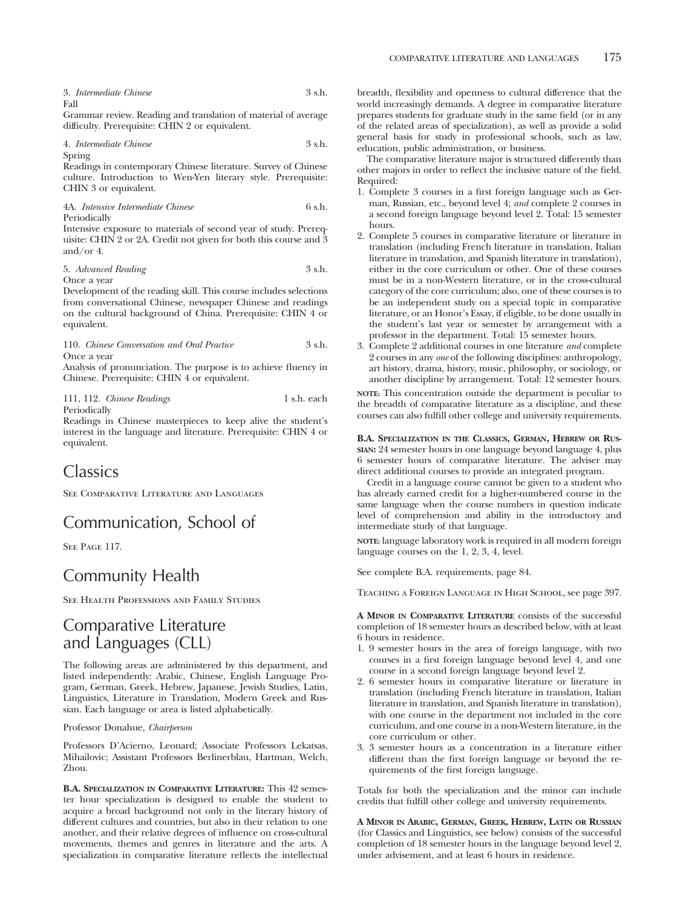3. *Intermediate Chinese* 3 s.h. Fall

Grammar review. Reading and translation of material of average difficulty. Prerequisite: CHIN 2 or equivalent.

4. *Intermediate Chinese* 3 s.h. Spring

Readings in contemporary Chinese literature. Survey of Chinese culture. Introduction to Wen-Yen literary style. Prerequisite: CHIN 3 or equivalent.

4A. *Intensive Intermediate Chinese* 6 s.h. Periodically

Intensive exposure to materials of second year of study. Prerequisite: CHIN 2 or 2A. Credit not given for both this course and 3 and/or 4.

#### 5. *Advanced Reading* 3 s.h. Once a year

Development of the reading skill. This course includes selections from conversational Chinese, newspaper Chinese and readings on the cultural background of China. Prerequisite: CHIN 4 or equivalent.

110. *Chinese Conversation and Oral Practice* 3 s.h. Once a year

Analysis of pronunciation. The purpose is to achieve fluency in Chinese. Prerequisite: CHIN 4 or equivalent.

111, 112. *Chinese Readings* 1 s.h. each Periodically

Readings in Chinese masterpieces to keep alive the student's interest in the language and literature. Prerequisite: CHIN 4 or equivalent.

## Classics

See Comparative Literature and Languages

# Communication, School of

SEE PAGE 117.

## Community Health

See Health Professions and Family Studies

# Comparative Literature and Languages (CLL)

The following areas are administered by this department, and listed independently: Arabic, Chinese, English Language Program, German, Greek, Hebrew, Japanese, Jewish Studies, Latin, Linguistics, Literature in Translation, Modern Greek and Russian. Each language or area is listed alphabetically.

Professor Donahue, *Chairperson*

Professors D'Acierno, Leonard; Associate Professors Lekatsas, Mihailovic; Assistant Professors Berlinerblau, Hartman, Welch, Zhou.

**B.A. SPECIALIZATION IN COMPARATIVE LITERATURE:** This 42 semester hour specialization is designed to enable the student to acquire a broad background not only in the literary history of different cultures and countries, but also in their relation to one another, and their relative degrees of influence on cross-cultural movements, themes and genres in literature and the arts. A specialization in comparative literature reflects the intellectual breadth, flexibility and openness to cultural difference that the world increasingly demands. A degree in comparative literature prepares students for graduate study in the same field (or in any of the related areas of specialization), as well as provide a solid general basis for study in professional schools, such as law, education, public administration, or business.

The comparative literature major is structured differently than other majors in order to reflect the inclusive nature of the field. Required:

- 1. Complete 3 courses in a first foreign language such as German, Russian, etc., beyond level 4; *and* complete 2 courses in a second foreign language beyond level 2. Total: 15 semester hours.
- 2. Complete 5 courses in comparative literature or literature in translation (including French literature in translation, Italian literature in translation, and Spanish literature in translation), either in the core curriculum or other. One of these courses must be in a non-Western literature, or in the cross-cultural category of the core curriculum; also, one of these courses is to be an independent study on a special topic in comparative literature, or an Honor's Essay, if eligible, to be done usually in the student's last year or semester by arrangement with a professor in the department. Total: 15 semester hours.
- 3. Complete 2 additional courses in one literature *and* complete 2 courses in any *one* of the following disciplines: anthropology, art history, drama, history, music, philosophy, or sociology, or another discipline by arrangement. Total: 12 semester hours.

**NOTE:** This concentration outside the department is peculiar to the breadth of comparative literature as a discipline, and these courses can also fulfill other college and university requirements.

#### **B.A. SPECIALIZATION IN THE CLASSICS, GERMAN, HEBREW OR RUS-SIAN:** 24 semester hours in one language beyond language 4, plus 6 semester hours of comparative literature. The adviser may direct additional courses to provide an integrated program.

Credit in a language course cannot be given to a student who has already earned credit for a higher-numbered course in the same language when the course numbers in question indicate level of comprehension and ability in the introductory and intermediate study of that language.

**NOTE:** language laboratory work is required in all modern foreign language courses on the 1, 2, 3, 4, level.

See complete B.A. requirements, page 84.

Teaching a Foreign Language in High School, see page 397.

**A MINOR IN COMPARATIVE LITERATURE** consists of the successful completion of 18 semester hours as described below, with at least 6 hours in residence.

- 1. 9 semester hours in the area of foreign language, with two courses in a first foreign language beyond level 4, and one course in a second foreign language beyond level 2.
- 2. 6 semester hours in comparative literature or literature in translation (including French literature in translation, Italian literature in translation, and Spanish literature in translation), with one course in the department not included in the core curriculum, and one course in a non-Western literature, in the core curriculum or other.
- 3. 3 semester hours as a concentration in a literature either different than the first foreign language or beyond the requirements of the first foreign language.

Totals for both the specialization and the minor can include credits that fulfill other college and university requirements.

**A MINOR IN ARABIC, GERMAN, GREEK, HEBREW, LATIN OR RUSSIAN** (for Classics and Linguistics, see below) consists of the successful completion of 18 semester hours in the language beyond level 2, under advisement, and at least 6 hours in residence.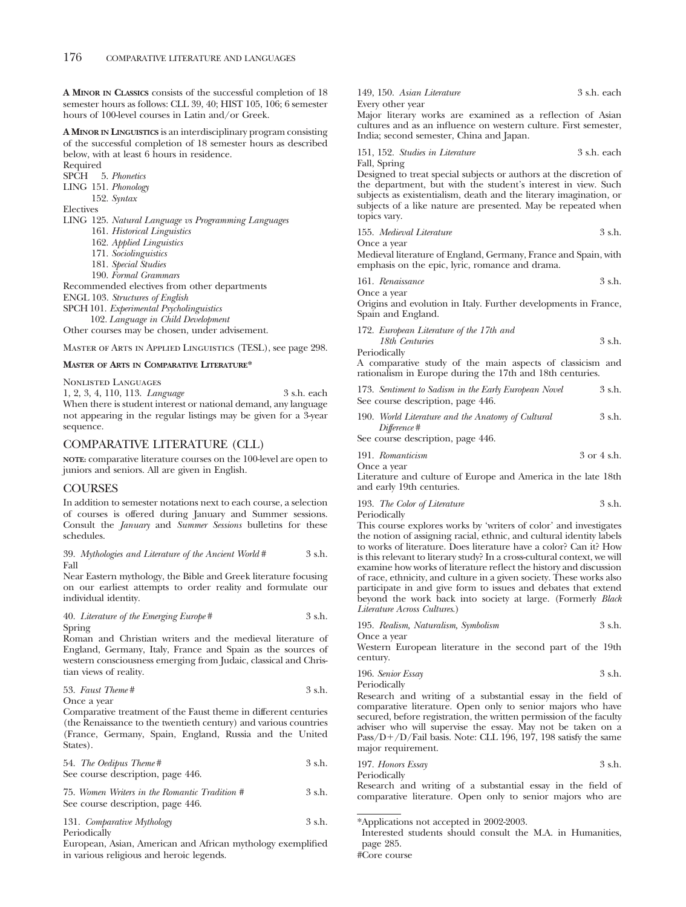**A MINOR IN CLASSICS** consists of the successful completion of 18 semester hours as follows: CLL 39, 40; HIST 105, 106; 6 semester hours of 100-level courses in Latin and/or Greek.

**A MINOR IN LINGUISTICS** is an interdisciplinary program consisting of the successful completion of 18 semester hours as described below, with at least 6 hours in residence.

Required

SPCH 5. *Phonetics*

LING 151. *Phonology* 152. *Syntax*

Electives

- LING 125. *Natural Language vs Programming Languages*
	- 161. *Historical Linguistics*
	- 162. *Applied Linguistics*
	- 171. *Sociolinguistics*
	- 181. *Special Studies*
	- 190. *Formal Grammars*

Recommended electives from other departments

ENGL 103. *Structures of English*

SPCH 101. *Experimental Psycholinguistics*

102. *Language in Child Development*

Other courses may be chosen, under advisement.

Master of Arts in Applied Linguistics (TESL), see page 298.

### **MASTER OF ARTS IN COMPARATIVE LITERATURE\***

Nonlisted Languages

1, 2, 3, 4, 110, 113. *Language* 3 s.h. each When there is student interest or national demand, any language not appearing in the regular listings may be given for a 3-year sequence.

## COMPARATIVE LITERATURE (CLL)

**NOTE:** comparative literature courses on the 100-level are open to juniors and seniors. All are given in English.

## **COURSES**

In addition to semester notations next to each course, a selection of courses is offered during January and Summer sessions. Consult the *January* and *Summer Sessions* bulletins for these schedules.

39. *Mythologies and Literature of the Ancient World* # 3 s.h. Fall

Near Eastern mythology, the Bible and Greek literature focusing on our earliest attempts to order reality and formulate our individual identity.

40. *Literature of the Emerging Europe* # 3 s.h. Spring

Roman and Christian writers and the medieval literature of England, Germany, Italy, France and Spain as the sources of western consciousness emerging from Judaic, classical and Christian views of reality.

53. *Faust Theme* # 3 s.h.

Once a year

Comparative treatment of the Faust theme in different centuries (the Renaissance to the twentieth century) and various countries (France, Germany, Spain, England, Russia and the United States).

| 54. The Oedipus Theme #           | 3 s.h. |
|-----------------------------------|--------|
| See course description, page 446. |        |

75. *Women Writers in the Romantic Tradition #* 3 s.h. See course description, page 446.

| 131. Comparative Mythology | 3 s.h. |
|----------------------------|--------|
| Periodically               |        |

European, Asian, American and African mythology exemplified in various religious and heroic legends.

149, 150. *Asian Literature* 3 s.h. each Every other year

Major literary works are examined as a reflection of Asian cultures and as an influence on western culture. First semester, India; second semester, China and Japan.

151, 152. *Studies in Literature* 3 s.h. each Fall, Spring

Designed to treat special subjects or authors at the discretion of the department, but with the student's interest in view. Such subjects as existentialism, death and the literary imagination, or subjects of a like nature are presented. May be repeated when topics vary.

155. *Medieval Literature* 3 s.h.

Once a year

Medieval literature of England, Germany, France and Spain, with emphasis on the epic, lyric, romance and drama.

| 161. Renaissance | 3 s.h. |
|------------------|--------|
| Once a year      |        |

Origins and evolution in Italy. Further developments in France, Spain and England.

172. *European Literature of the 17th and*

*18th Centuries* 3 s.h. Periodically

A comparative study of the main aspects of classicism and rationalism in Europe during the 17th and 18th centuries.

- 173. *Sentiment to Sadism in the Early European Novel* 3 s.h. See course description, page 446.
- 190. *World Literature and the Anatomy of Cultural* 3 s.h. *Difference* #

See course description, page 446.

| 191. Romanticism | 3 or 4 s.h. |
|------------------|-------------|
| Once a year      |             |

Literature and culture of Europe and America in the late 18th and early 19th centuries.

193. *The Color of Literature* 3 s.h. Periodically

This course explores works by 'writers of color' and investigates the notion of assigning racial, ethnic, and cultural identity labels to works of literature. Does literature have a color? Can it? How

is this relevant to literary study? In a cross-cultural context, we will examine how works of literature reflect the history and discussion of race, ethnicity, and culture in a given society. These works also participate in and give form to issues and debates that extend beyond the work back into society at large. (Formerly *Black Literature Across Cultures*.)

195. *Realism, Naturalism, Symbolism* 3 s.h. Once a year

Western European literature in the second part of the 19th century.

196. *Senior Essay* 3 s.h.

Periodically

Research and writing of a substantial essay in the field of comparative literature. Open only to senior majors who have secured, before registration, the written permission of the faculty adviser who will supervise the essay. May not be taken on a Pass/D+/D/Fail basis. Note: CLL 196, 197, 198 satisfy the same major requirement.

197. *Honors Essay* 3 s.h. Periodically Research and writing of a substantial essay in the field of comparative literature. Open only to senior majors who are

<sup>\*</sup>Applications not accepted in 2002-2003.

Interested students should consult the M.A. in Humanities, page 285.

<sup>#</sup>Core course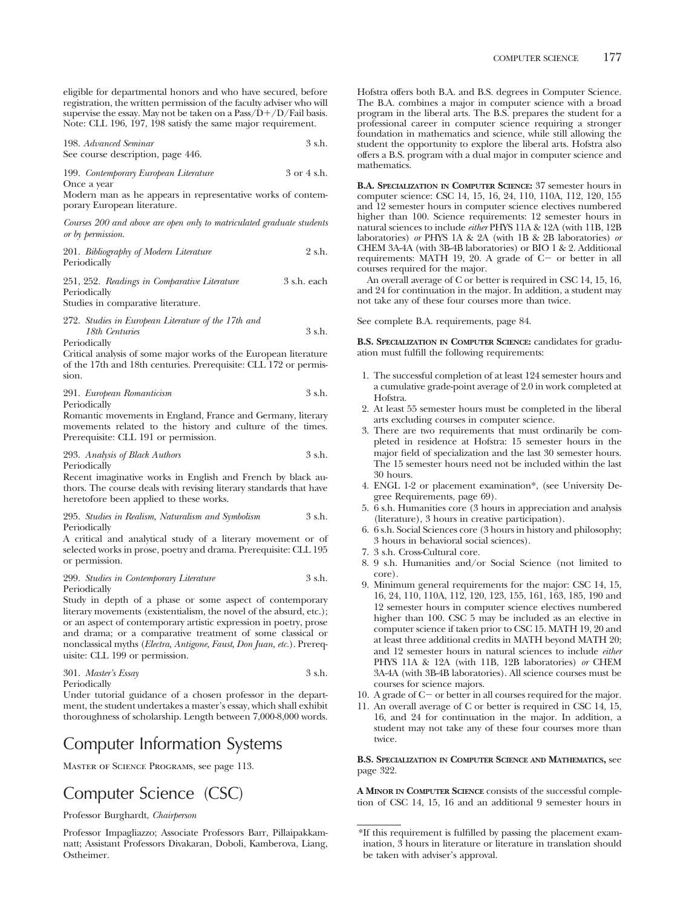198. *Advanced Seminar* 3 s.h. See course description, page 446.

199. *Contemporary European Literature* 3 or 4 s.h.

Once a year

Modern man as he appears in representative works of contemporary European literature.

*Courses 200 and above are open only to matriculated graduate students or by permission.*

| 201. Bibliography of Modern Literature | 2 s.h. |
|----------------------------------------|--------|
| Periodically                           |        |

251, 252. *Readings in Comparative Literature* 3 s.h. each Periodically

Studies in comparative literature.

# 272. *Studies in European Literature of the 17th and 18th Centuries* 3 s.h.

Periodically

Critical analysis of some major works of the European literature of the 17th and 18th centuries. Prerequisite: CLL 172 or permission.

291. *European Romanticism* 3 s.h. Periodically

Romantic movements in England, France and Germany, literary movements related to the history and culture of the times. Prerequisite: CLL 191 or permission.

293. *Analysis of Black Authors* 3 s.h. Periodically

Recent imaginative works in English and French by black authors. The course deals with revising literary standards that have heretofore been applied to these works.

### 295. *Studies in Realism, Naturalism and Symbolism* 3 s.h. Periodically

A critical and analytical study of a literary movement or of selected works in prose, poetry and drama. Prerequisite: CLL 195 or permission.

## 299. *Studies in Contemporary Literature* 3 s.h. Periodically

Study in depth of a phase or some aspect of contemporary literary movements (existentialism, the novel of the absurd, etc.); or an aspect of contemporary artistic expression in poetry, prose and drama; or a comparative treatment of some classical or nonclassical myths (*Electra, Antigone, Faust, Don Juan, etc.*). Prerequisite: CLL 199 or permission.

301. *Master's Essay* 3 s.h.

**Periodically** 

Under tutorial guidance of a chosen professor in the department, the student undertakes a master's essay, which shall exhibit thoroughness of scholarship. Length between 7,000-8,000 words.

# Computer Information Systems

Master of Science Programs, see page 113.

# Computer Science (CSC)

Professor Burghardt, *Chairperson*

Professor Impagliazzo; Associate Professors Barr, Pillaipakkamnatt; Assistant Professors Divakaran, Doboli, Kamberova, Liang, Ostheimer.

Hofstra offers both B.A. and B.S. degrees in Computer Science. The B.A. combines a major in computer science with a broad program in the liberal arts. The B.S. prepares the student for a professional career in computer science requiring a stronger foundation in mathematics and science, while still allowing the student the opportunity to explore the liberal arts. Hofstra also offers a B.S. program with a dual major in computer science and mathematics.

**B.A. SPECIALIZATION IN COMPUTER SCIENCE:** 37 semester hours in computer science: CSC 14, 15, 16, 24, 110, 110A, 112, 120, 155 and 12 semester hours in computer science electives numbered higher than 100. Science requirements: 12 semester hours in natural sciences to include *either* PHYS 11A & 12A (with 11B, 12B laboratories) *or* PHYS 1A & 2A (with 1B & 2B laboratories) *or* CHEM 3A-4A (with 3B-4B laboratories) or BIO 1 & 2. Additional requirements: MATH 19, 20. A grade of C- or better in all courses required for the major.

An overall average of C or better is required in CSC 14, 15, 16, and 24 for continuation in the major. In addition, a student may not take any of these four courses more than twice.

See complete B.A. requirements, page 84.

**B.S. SPECIALIZATION IN COMPUTER SCIENCE:** candidates for graduation must fulfill the following requirements:

- 1. The successful completion of at least 124 semester hours and a cumulative grade-point average of 2.0 in work completed at Hofstra.
- 2. At least 55 semester hours must be completed in the liberal arts excluding courses in computer science.
- 3. There are two requirements that must ordinarily be completed in residence at Hofstra: 15 semester hours in the major field of specialization and the last 30 semester hours. The 15 semester hours need not be included within the last 30 hours.
- 4. ENGL 1-2 or placement examination\*, (see University Degree Requirements, page 69).
- 5. 6 s.h. Humanities core (3 hours in appreciation and analysis (literature), 3 hours in creative participation).
- 6. 6 s.h. Social Sciences core (3 hours in history and philosophy; 3 hours in behavioral social sciences).
- 7. 3 s.h. Cross-Cultural core.
- 8. 9 s.h. Humanities and/or Social Science (not limited to core).
- 9. Minimum general requirements for the major: CSC 14, 15, 16, 24, 110, 110A, 112, 120, 123, 155, 161, 163, 185, 190 and 12 semester hours in computer science electives numbered higher than 100. CSC 5 may be included as an elective in computer science if taken prior to CSC 15. MATH 19, 20 and at least three additional credits in MATH beyond MATH 20; and 12 semester hours in natural sciences to include *either* PHYS 11A & 12A (with 11B, 12B laboratories) *or* CHEM 3A-4A (with 3B-4B laboratories). All science courses must be courses for science majors.
- 10. A grade of C- or better in all courses required for the major.
- 11. An overall average of C or better is required in CSC 14, 15, 16, and 24 for continuation in the major. In addition, a student may not take any of these four courses more than twice.

## **B.S. SPECIALIZATION IN COMPUTER SCIENCE AND MATHEMATICS,** see page 322.

**A MINOR IN COMPUTER SCIENCE** consists of the successful completion of CSC 14, 15, 16 and an additional 9 semester hours in

<sup>\*</sup>If this requirement is fulfilled by passing the placement examination, 3 hours in literature or literature in translation should be taken with adviser's approval.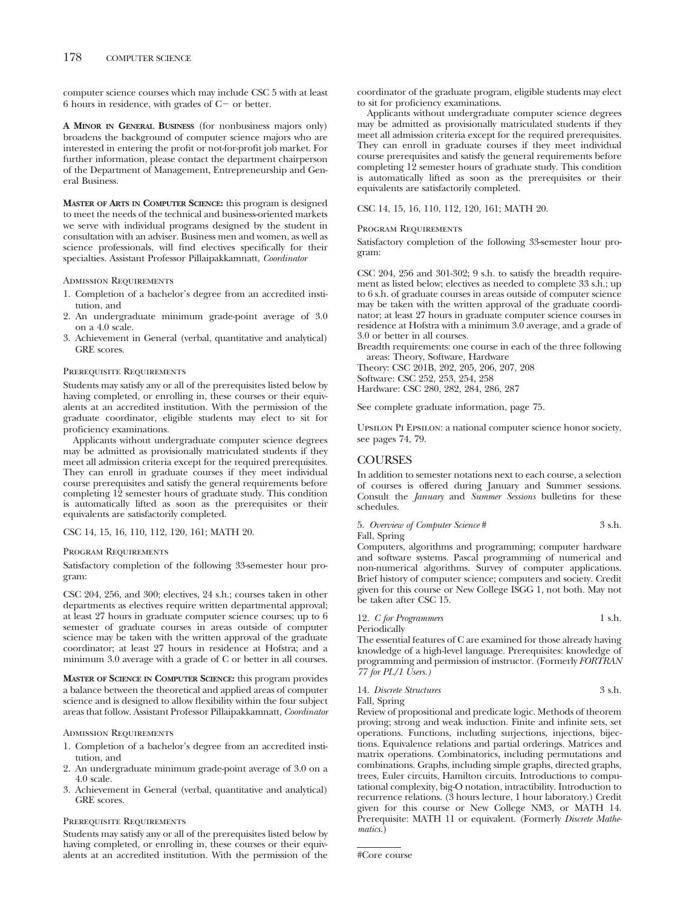computer science courses which may include CSC 5 with at least 6 hours in residence, with grades of C- or better.

**A MINOR IN GENERAL BUSINESS** (for nonbusiness majors only) broadens the background of computer science majors who are interested in entering the profit or not-for-profit job market. For further information, please contact the department chairperson of the Department of Management, Entrepreneurship and General Business.

**MASTER OF ARTS IN COMPUTER SCIENCE:** this program is designed to meet the needs of the technical and business-oriented markets we serve with individual programs designed by the student in consultation with an adviser. Business men and women, as well as science professionals, will find electives specifically for their specialties. Assistant Professor Pillaipakkamnatt, *Coordinator*

### Admission Requirements

- 1. Completion of a bachelor's degree from an accredited institution, and
- 2. An undergraduate minimum grade-point average of 3.0 on a 4.0 scale.
- 3. Achievement in General (verbal, quantitative and analytical) GRE scores.

### Prerequisite Requirements

Students may satisfy any or all of the prerequisites listed below by having completed, or enrolling in, these courses or their equivalents at an accredited institution. With the permission of the graduate coordinator, eligible students may elect to sit for proficiency examinations.

Applicants without undergraduate computer science degrees may be admitted as provisionally matriculated students if they meet all admission criteria except for the required prerequisites. They can enroll in graduate courses if they meet individual course prerequisites and satisfy the general requirements before completing 12 semester hours of graduate study. This condition is automatically lifted as soon as the prerequisites or their equivalents are satisfactorily completed.

## CSC 14, 15, 16, 110, 112, 120, 161; MATH 20.

### Program Requirements

Satisfactory completion of the following 33-semester hour program:

CSC 204, 256, and 300; electives, 24 s.h.; courses taken in other departments as electives require written departmental approval; at least 27 hours in graduate computer science courses; up to 6 semester of graduate courses in areas outside of computer science may be taken with the written approval of the graduate coordinator; at least 27 hours in residence at Hofstra; and a minimum 3.0 average with a grade of C or better in all courses.

**MASTER OF SCIENCE IN COMPUTER SCIENCE:** this program provides a balance between the theoretical and applied areas of computer science and is designed to allow flexibility within the four subject areas that follow. Assistant Professor Pillaipakkamnatt, *Coordinator*

#### Admission Requirements

- 1. Completion of a bachelor's degree from an accredited institution, and
- 2. An undergraduate minimum grade-point average of 3.0 on a 4.0 scale.
- 3. Achievement in General (verbal, quantitative and analytical) GRE scores.

### Prerequisite Requirements

Students may satisfy any or all of the prerequisites listed below by having completed, or enrolling in, these courses or their equivalents at an accredited institution. With the permission of the coordinator of the graduate program, eligible students may elect to sit for proficiency examinations.

Applicants without undergraduate computer science degrees may be admitted as provisionally matriculated students if they meet all admission criteria except for the required prerequisites. They can enroll in graduate courses if they meet individual course prerequisites and satisfy the general requirements before completing 12 semester hours of graduate study. This condition is automatically lifted as soon as the prerequisites or their equivalents are satisfactorily completed.

### CSC 14, 15, 16, 110, 112, 120, 161; MATH 20.

## Program Requirements

Satisfactory completion of the following 33-semester hour program:

CSC 204, 256 and 301-302; 9 s.h. to satisfy the breadth requirement as listed below; electives as needed to complete 33 s.h.; up to 6 s.h. of graduate courses in areas outside of computer science may be taken with the written approval of the graduate coordinator; at least 27 hours in graduate computer science courses in residence at Hofstra with a minimum 3.0 average, and a grade of 3.0 or better in all courses.

Breadth requirements: one course in each of the three following areas: Theory, Software, Hardware

Theory: CSC 201B, 202, 205, 206, 207, 208

Software: CSC 252, 253, 254, 258

Hardware: CSC 280, 282, 284, 286, 287

See complete graduate information, page 75.

Upsilon Pi Epsilon: a national computer science honor society, see pages 74, 79.

## COURSES

In addition to semester notations next to each course, a selection of courses is offered during January and Summer sessions. Consult the *January* and *Summer Sessions* bulletins for these schedules.

5. *Overview of Computer Science* # 3 s.h. Fall, Spring

Computers, algorithms and programming; computer hardware and software systems. Pascal programming of numerical and non-numerical algorithms. Survey of computer applications. Brief history of computer science; computers and society. Credit given for this course or New College ISGG 1, not both. May not be taken after CSC 15.

## 12. *C for Programmers* 1 s.h. Periodically

The essential features of C are examined for those already having knowledge of a high-level language. Prerequisites: knowledge of programming and permission of instructor. (Formerly *FORTRAN 77 for PL/1 Users.)*

14. *Discrete Structures* 3 s.h. Fall, Spring

Review of propositional and predicate logic. Methods of theorem proving; strong and weak induction. Finite and infinite sets, set operations. Functions, including surjections, injections, bijections. Equivalence relations and partial orderings. Matrices and matrix operations. Combinatorics, including permutations and combinations. Graphs, including simple graphs, directed graphs, trees, Euler circuits, Hamilton circuits. Introductions to computational complexity, big-O notation, intractibility. Introduction to recurrence relations. (3 hours lecture, 1 hour laboratory.) Credit given for this course or New College NM3, or MATH 14. Prerequisite: MATH 11 or equivalent. (Formerly *Discrete Mathematics.*)

#Core course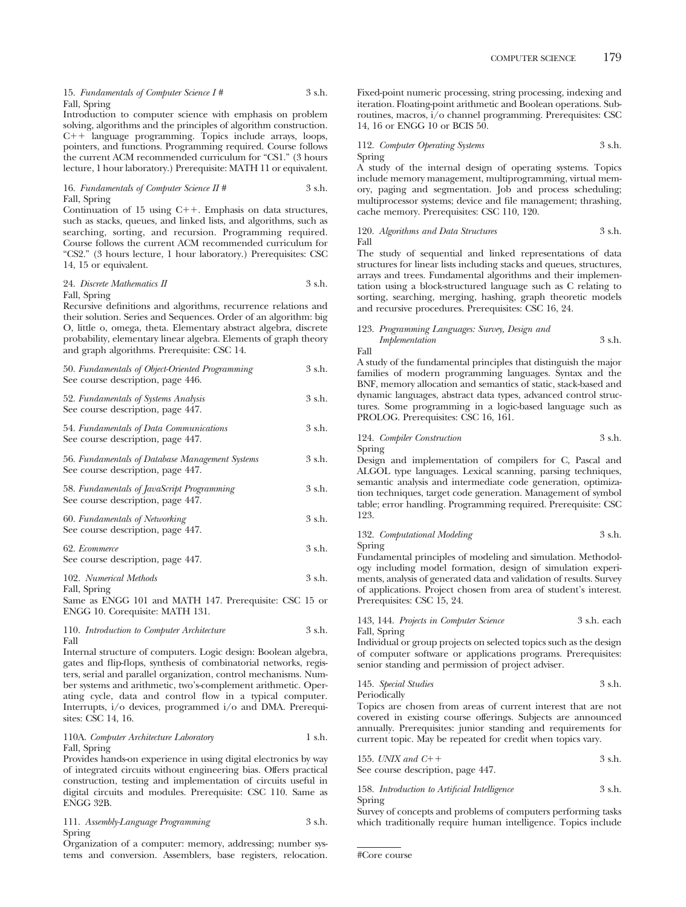15. *Fundamentals of Computer Science I #* 3 s.h. Fall, Spring

Introduction to computer science with emphasis on problem solving, algorithms and the principles of algorithm construction.  $C++$  language programming. Topics include arrays, loops, pointers, and functions. Programming required. Course follows the current ACM recommended curriculum for "CS1." (3 hours lecture, 1 hour laboratory.) Prerequisite: MATH 11 or equivalent.

### 16. *Fundamentals of Computer Science II* # 3 s.h. Fall, Spring

Continuation of 15 using  $C++$ . Emphasis on data structures, such as stacks, queues, and linked lists, and algorithms, such as searching, sorting, and recursion. Programming required. Course follows the current ACM recommended curriculum for "CS2." (3 hours lecture, 1 hour laboratory.) Prerequisites: CSC 14, 15 or equivalent.

### 24. *Discrete Mathematics II* 3 s.h. Fall, Spring

Recursive definitions and algorithms, recurrence relations and their solution. Series and Sequences. Order of an algorithm: big O, little o, omega, theta. Elementary abstract algebra, discrete probability, elementary linear algebra. Elements of graph theory and graph algorithms. Prerequisite: CSC 14.

| 50. Fundamentals of Object-Oriented Programming<br>See course description, page 446. | 3 s.h. |
|--------------------------------------------------------------------------------------|--------|
| 52. Fundamentals of Systems Analysis<br>See course description, page 447.            | 3 s.h. |
| 54. Fundamentals of Data Communications                                              | 3 s.h. |

See course description, page 447.

```
56. Fundamentals of Database Management Systems 3 s.h.
See course description, page 447.
```
58. *Fundamentals of JavaScript Programming* 3 s.h. See course description, page 447. 60. *Fundamentals of Networking* 3 s.h. See course description, page 447.

62. *Ecommerce* 3 s.h. See course description, page 447.

102. *Numerical Methods* 3 s.h. Fall, Spring

Same as ENGG 101 and MATH 147. Prerequisite: CSC 15 or ENGG 10. Corequisite: MATH 131.

110. *Introduction to Computer Architecture* 3 s.h. Fall

Internal structure of computers. Logic design: Boolean algebra, gates and flip-flops, synthesis of combinatorial networks, registers, serial and parallel organization, control mechanisms. Number systems and arithmetic, two's-complement arithmetic. Operating cycle, data and control flow in a typical computer. Interrupts, i/o devices, programmed i/o and DMA. Prerequisites: CSC 14, 16.

## 110A. *Computer Architecture Laboratory* 1 s.h. Fall, Spring

Provides hands-on experience in using digital electronics by way of integrated circuits without engineering bias. Offers practical construction, testing and implementation of circuits useful in digital circuits and modules. Prerequisite: CSC 110. Same as ENGG 32B.

111. *Assembly-Language Programming* 3 s.h. Spring

Organization of a computer: memory, addressing; number systems and conversion. Assemblers, base registers, relocation. Fixed-point numeric processing, string processing, indexing and iteration. Floating-point arithmetic and Boolean operations. Subroutines, macros, i/o channel programming. Prerequisites: CSC 14, 16 or ENGG 10 or BCIS 50.

112. *Computer Operating Systems* 3 s.h. Spring

A study of the internal design of operating systems. Topics include memory management, multiprogramming, virtual memory, paging and segmentation. Job and process scheduling; multiprocessor systems; device and file management; thrashing, cache memory. Prerequisites: CSC 110, 120.

### 120. *Algorithms and Data Structures* 3 s.h. Fall

The study of sequential and linked representations of data structures for linear lists including stacks and queues, structures, arrays and trees. Fundamental algorithms and their implementation using a block-structured language such as C relating to sorting, searching, merging, hashing, graph theoretic models and recursive procedures. Prerequisites: CSC 16, 24.

## 123. *Programming Languages: Survey, Design and Implementation* 3 s.h.

Fall

A study of the fundamental principles that distinguish the major families of modern programming languages. Syntax and the BNF, memory allocation and semantics of static, stack-based and dynamic languages, abstract data types, advanced control structures. Some programming in a logic-based language such as PROLOG. Prerequisites: CSC 16, 161.

## 124. *Compiler Construction* 3 s.h. Spring

Design and implementation of compilers for C, Pascal and ALGOL type languages. Lexical scanning, parsing techniques, semantic analysis and intermediate code generation, optimization techniques, target code generation. Management of symbol table; error handling. Programming required. Prerequisite: CSC 123.

```
132. Computational Modeling 3 s.h.
Spring
```
Fundamental principles of modeling and simulation. Methodology including model formation, design of simulation experiments, analysis of generated data and validation of results. Survey of applications. Project chosen from area of student's interest. Prerequisites: CSC 15, 24.

### 143, 144. *Projects in Computer Science* 3 s.h. each Fall, Spring

Individual or group projects on selected topics such as the design of computer software or applications programs. Prerequisites: senior standing and permission of project adviser.

145. *Special Studies* 3 s.h. Periodically

Topics are chosen from areas of current interest that are not covered in existing course offerings. Subjects are announced annually. Prerequisites: junior standing and requirements for current topic. May be repeated for credit when topics vary.

155. *UNIX and C* 3 s.h. See course description, page 447.

### 158. *Introduction to Artificial Intelligence* 3 s.h. Spring

Survey of concepts and problems of computers performing tasks which traditionally require human intelligence. Topics include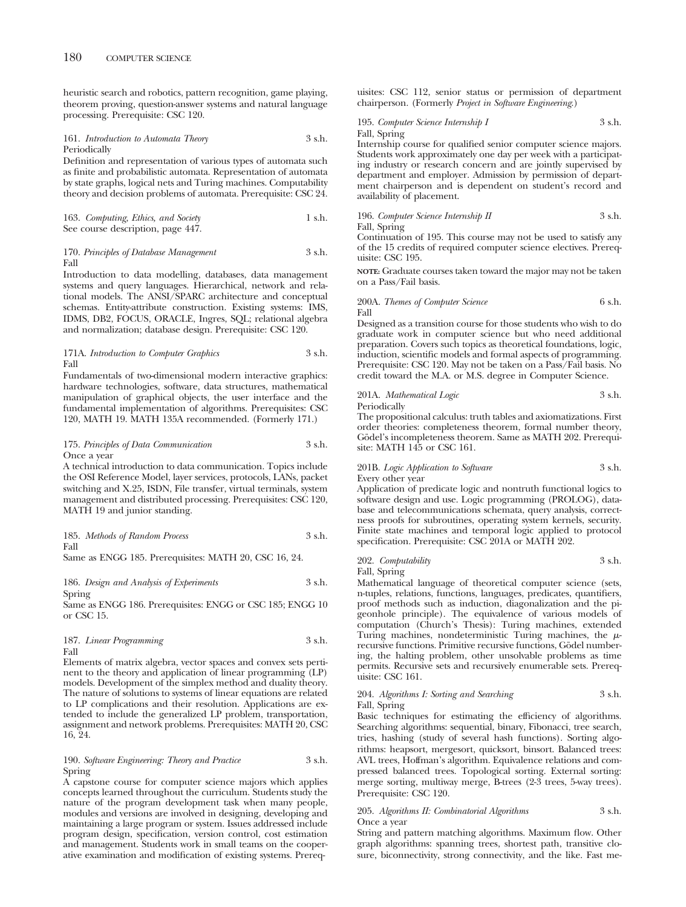heuristic search and robotics, pattern recognition, game playing, theorem proving, question-answer systems and natural language processing. Prerequisite: CSC 120.

## 161. *Introduction to Automata Theory* 3 s.h. Periodically

Definition and representation of various types of automata such as finite and probabilistic automata. Representation of automata by state graphs, logical nets and Turing machines. Computability theory and decision problems of automata. Prerequisite: CSC 24.

163. *Computing, Ethics, and Society* 1 s.h. See course description, page 447.

### 170. *Principles of Database Management* 3 s.h. Fall

Introduction to data modelling, databases, data management systems and query languages. Hierarchical, network and relational models. The ANSI/SPARC architecture and conceptual schemas. Entity-attribute construction. Existing systems: IMS, IDMS, DB2, FOCUS, ORACLE, Ingres, SQL; relational algebra and normalization; database design. Prerequisite: CSC 120.

171A. *Introduction to Computer Graphics* 3 s.h. Fall

Fundamentals of two-dimensional modern interactive graphics: hardware technologies, software, data structures, mathematical manipulation of graphical objects, the user interface and the fundamental implementation of algorithms. Prerequisites: CSC 120, MATH 19. MATH 135A recommended. (Formerly 171.)

### 175. *Principles of Data Communication* 3 s.h. Once a year

A technical introduction to data communication. Topics include the OSI Reference Model, layer services, protocols, LANs, packet switching and X.25, ISDN, File transfer, virtual terminals, system management and distributed processing. Prerequisites: CSC 120, MATH 19 and junior standing.

185. *Methods of Random Process* 3 s.h. Fall

Same as ENGG 185. Prerequisites: MATH 20, CSC 16, 24.

186. *Design and Analysis of Experiments* 3 s.h. Spring

Same as ENGG 186. Prerequisites: ENGG or CSC 185; ENGG 10 or CSC 15.

|      | 187. Linear Programming | 3 s.h. |
|------|-------------------------|--------|
| Fall |                         |        |

Elements of matrix algebra, vector spaces and convex sets pertinent to the theory and application of linear programming (LP) models. Development of the simplex method and duality theory. The nature of solutions to systems of linear equations are related to LP complications and their resolution. Applications are extended to include the generalized LP problem, transportation, assignment and network problems. Prerequisites: MATH 20, CSC 16, 24.

## 190. *Software Engineering: Theory and Practice* 3 s.h. Spring

A capstone course for computer science majors which applies concepts learned throughout the curriculum. Students study the nature of the program development task when many people, modules and versions are involved in designing, developing and maintaining a large program or system. Issues addressed include program design, specification, version control, cost estimation and management. Students work in small teams on the cooperative examination and modification of existing systems. Prerequisites: CSC 112, senior status or permission of department chairperson. (Formerly *Project in Software Engineering*.)

## 195. *Computer Science Internship I* 3 s.h. Fall, Spring

Internship course for qualified senior computer science majors. Students work approximately one day per week with a participating industry or research concern and are jointly supervised by department and employer. Admission by permission of department chairperson and is dependent on student's record and availability of placement.

196. *Computer Science Internship II* 
$$
3 \, \text{s.h.}
$$
 Fall, Spring

Continuation of 195. This course may not be used to satisfy any of the 15 credits of required computer science electives. Prerequisite: CSC 195.

**NOTE:** Graduate courses taken toward the major may not be taken on a Pass/Fail basis.

## 200A. *Themes of Computer Science* 6 s.h. Fall

Designed as a transition course for those students who wish to do graduate work in computer science but who need additional preparation. Covers such topics as theoretical foundations, logic, induction, scientific models and formal aspects of programming. Prerequisite: CSC 120. May not be taken on a Pass/Fail basis. No credit toward the M.A. or M.S. degree in Computer Science.

### 201A. *Mathematical Logic* 3 s.h. Periodically

The propositional calculus: truth tables and axiomatizations. First order theories: completeness theorem, formal number theory, Godel's incompleteness theorem. Same as MATH 202. Prerequisite: MATH 145 or CSC 161.

# 201B. *Logic Application to Software* 3 s.h.

Every other year

Application of predicate logic and nontruth functional logics to software design and use. Logic programming (PROLOG), database and telecommunications schemata, query analysis, correctness proofs for subroutines, operating system kernels, security. Finite state machines and temporal logic applied to protocol specification. Prerequisite: CSC 201A or MATH 202.

202. *Computability* 3 s.h. Fall, Spring

Mathematical language of theoretical computer science (sets, n-tuples, relations, functions, languages, predicates, quantifiers, proof methods such as induction, diagonalization and the pigeonhole principle). The equivalence of various models of computation (Church's Thesis): Turing machines, extended Turing machines, nondeterministic Turing machines, the  $\mu$ recursive functions. Primitive recursive functions, Godel numbering, the halting problem, other unsolvable problems as time permits. Recursive sets and recursively enumerable sets. Prerequisite: CSC 161.

### 204. *Algorithms I: Sorting and Searching* 3 s.h. Fall, Spring

Basic techniques for estimating the efficiency of algorithms. Searching algorithms: sequential, binary, Fibonacci, tree search, tries, hashing (study of several hash functions). Sorting algorithms: heapsort, mergesort, quicksort, binsort. Balanced trees: AVL trees, Hoffman's algorithm. Equivalence relations and compressed balanced trees. Topological sorting. External sorting: merge sorting, multiway merge, B-trees (2-3 trees, 5-way trees). Prerequisite: CSC 120.

## 205. *Algorithms II: Combinatorial Algorithms* 3 s.h. Once a year

String and pattern matching algorithms. Maximum flow. Other graph algorithms: spanning trees, shortest path, transitive closure, biconnectivity, strong connectivity, and the like. Fast me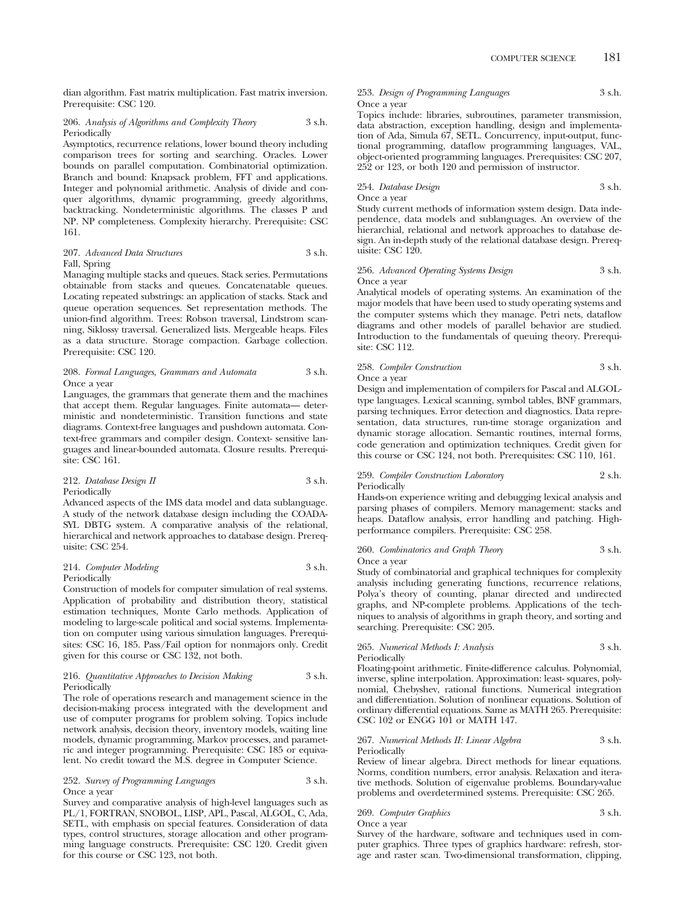dian algorithm. Fast matrix multiplication. Fast matrix inversion. Prerequisite: CSC 120.

### 206. *Analysis of Algorithms and Complexity Theory* 3 s.h. **Periodically**

Asymptotics, recurrence relations, lower bound theory including comparison trees for sorting and searching. Oracles. Lower bounds on parallel computation. Combinatorial optimization. Branch and bound: Knapsack problem, FFT and applications. Integer and polynomial arithmetic. Analysis of divide and conquer algorithms, dynamic programming, greedy algorithms, backtracking. Nondeterministic algorithms. The classes P and NP. NP completeness. Complexity hierarchy. Prerequisite: CSC 161.

## 207. *Advanced Data Structures* 3 s.h. Fall, Spring

Managing multiple stacks and queues. Stack series. Permutations obtainable from stacks and queues. Concatenatable queues. Locating repeated substrings: an application of stacks. Stack and queue operation sequences. Set representation methods. The union-find algorithm. Trees: Robson traversal, Lindstrom scanning, Siklossy traversal. Generalized lists. Mergeable heaps. Files as a data structure. Storage compaction. Garbage collection. Prerequisite: CSC 120.

## 208. *Formal Languages, Grammars and Automata* 3 s.h. Once a year

Languages, the grammars that generate them and the machines that accept them. Regular languages. Finite automata— deterministic and nondeterministic. Transition functions and state diagrams. Context-free languages and pushdown automata. Context-free grammars and compiler design. Context- sensitive languages and linear-bounded automata. Closure results. Prerequisite: CSC 161.

## 212. *Database Design II* 3 s.h. Periodically

Advanced aspects of the IMS data model and data sublanguage. A study of the network database design including the COADA-SYL DBTG system. A comparative analysis of the relational, hierarchical and network approaches to database design. Prerequisite: CSC 254.

### 214. *Computer Modeling* 3 s.h. Periodically

Construction of models for computer simulation of real systems. Application of probability and distribution theory, statistical estimation techniques, Monte Carlo methods. Application of modeling to large-scale political and social systems. Implementation on computer using various simulation languages. Prerequisites: CSC 16, 185. Pass/Fail option for nonmajors only. Credit given for this course or CSC 132, not both.

### 216. *Quantitative Approaches to Decision Making* 3 s.h. Periodically

The role of operations research and management science in the decision-making process integrated with the development and use of computer programs for problem solving. Topics include network analysis, decision theory, inventory models, waiting line models, dynamic programming, Markov processes, and parametric and integer programming. Prerequisite: CSC 185 or equivalent. No credit toward the M.S. degree in Computer Science.

### 252. *Survey of Programming Languages* 3 s.h. Once a year

Survey and comparative analysis of high-level languages such as PL/1, FORTRAN, SNOBOL, LISP, APL, Pascal, ALGOL, C, Ada, SETL, with emphasis on special features. Consideration of data types, control structures, storage allocation and other programming language constructs. Prerequisite: CSC 120. Credit given for this course or CSC 123, not both.

253. *Design of Programming Languages* 3 s.h. Once a year

Topics include: libraries, subroutines, parameter transmission, data abstraction, exception handling, design and implementation of Ada, Simula 67, SETL. Concurrency, input-output, functional programming, dataflow programming languages, VAL, object-oriented programming languages. Prerequisites: CSC 207, 252 or 123, or both 120 and permission of instructor.

## 254. *Database Design* 3 s.h. Once a year

Study current methods of information system design. Data independence, data models and sublanguages. An overview of the hierarchial, relational and network approaches to database design. An in-depth study of the relational database design. Prerequisite: CSC 120.

### 256. *Advanced Operating Systems Design* 3 s.h. Once a year

Analytical models of operating systems. An examination of the major models that have been used to study operating systems and the computer systems which they manage. Petri nets, dataflow diagrams and other models of parallel behavior are studied. Introduction to the fundamentals of queuing theory. Prerequisite: CSC 112.

### 258. *Compiler Construction* 3 s.h. Once a year

Design and implementation of compilers for Pascal and ALGOLtype languages. Lexical scanning, symbol tables, BNF grammars, parsing techniques. Error detection and diagnostics. Data representation, data structures, run-time storage organization and dynamic storage allocation. Semantic routines, internal forms, code generation and optimization techniques. Credit given for this course or CSC 124, not both. Prerequisites: CSC 110, 161.

### 259. *Compiler Construction Laboratory* 2 s.h. Periodically

Hands-on experience writing and debugging lexical analysis and parsing phases of compilers. Memory management: stacks and heaps. Dataflow analysis, error handling and patching. Highperformance compilers. Prerequisite: CSC 258.

### 260. *Combinatorics and Graph Theory* 3 s.h. Once a year

Study of combinatorial and graphical techniques for complexity analysis including generating functions, recurrence relations, Polya's theory of counting, planar directed and undirected graphs, and NP-complete problems. Applications of the techniques to analysis of algorithms in graph theory, and sorting and searching. Prerequisite: CSC 205.

## 265. *Numerical Methods I: Analysis* 3 s.h. Periodically

Floating-point arithmetic. Finite-difference calculus. Polynomial, inverse, spline interpolation. Approximation: least- squares, polynomial, Chebyshev, rational functions. Numerical integration and differentiation. Solution of nonlinear equations. Solution of ordinary differential equations. Same as MATH 265. Prerequisite: CSC 102 or ENGG 101 or MATH 147.

### 267. *Numerical Methods II: Linear Algebra* 3 s.h. Periodically

Review of linear algebra. Direct methods for linear equations. Norms, condition numbers, error analysis. Relaxation and iterative methods. Solution of eigenvalue problems. Boundary-value problems and overdetermined systems. Prerequisite: CSC 265.

269. *Computer Graphics* 3 s.h. Once a year

Survey of the hardware, software and techniques used in computer graphics. Three types of graphics hardware: refresh, storage and raster scan. Two-dimensional transformation, clipping,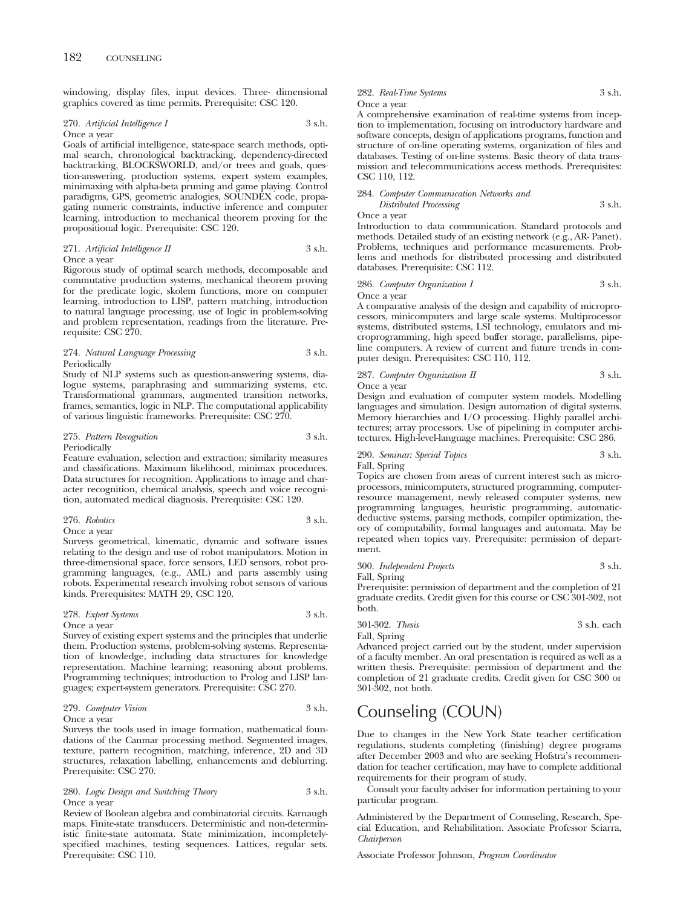windowing, display files, input devices. Three- dimensional graphics covered as time permits. Prerequisite: CSC 120.

#### 270. *Artificial Intelligence I* 3 s.h. Once a year

Goals of artificial intelligence, state-space search methods, optimal search, chronological backtracking, dependency-directed backtracking, BLOCKSWORLD, and/or trees and goals, question-answering, production systems, expert system examples, minimaxing with alpha-beta pruning and game playing. Control paradigms, GPS, geometric analogies, SOUNDEX code, propagating numeric constraints, inductive inference and computer learning, introduction to mechanical theorem proving for the propositional logic. Prerequisite: CSC 120.

## 271. *Artificial Intelligence II* 3 s.h. Once a year

Rigorous study of optimal search methods, decomposable and commutative production systems, mechanical theorem proving for the predicate logic, skolem functions, more on computer learning, introduction to LISP, pattern matching, introduction to natural language processing, use of logic in problem-solving and problem representation, readings from the literature. Prerequisite: CSC 270.

### 274. *Natural Language Processing* 3 s.h. Periodically

Study of NLP systems such as question-answering systems, dialogue systems, paraphrasing and summarizing systems, etc. Transformational grammars, augmented transition networks, frames, semantics, logic in NLP. The computational applicability of various linguistic frameworks. Prerequisite: CSC 270.

## 275. *Pattern Recognition* 3 s.h. Periodically

Feature evaluation, selection and extraction; similarity measures and classifications. Maximum likelihood, minimax procedures. Data structures for recognition. Applications to image and character recognition, chemical analysis, speech and voice recognition, automated medical diagnosis. Prerequisite: CSC 120.

## 276. *Robotics* 3 s.h.

Once a year

Surveys geometrical, kinematic, dynamic and software issues relating to the design and use of robot manipulators. Motion in three-dimensional space, force sensors, LED sensors, robot programming languages, (e.g., AML) and parts assembly using robots. Experimental research involving robot sensors of various kinds. Prerequisites: MATH 29, CSC 120.

### 278. *Expert Systems* 3 s.h.

Once a year

Survey of existing expert systems and the principles that underlie them. Production systems, problem-solving systems. Representation of knowledge, including data structures for knowledge representation. Machine learning; reasoning about problems. Programming techniques; introduction to Prolog and LISP languages; expert-system generators. Prerequisite: CSC 270.

## 279. *Computer Vision* 3 s.h.

Once a year

Surveys the tools used in image formation, mathematical foundations of the Canmar processing method. Segmented images, texture, pattern recognition, matching, inference, 2D and 3D structures, relaxation labelling, enhancements and deblurring. Prerequisite: CSC 270.

## 280. *Logic Design and Switching Theory* 3 s.h. Once a year

Review of Boolean algebra and combinatorial circuits. Karnaugh maps. Finite-state transducers. Deterministic and non-deterministic finite-state automata. State minimization, incompletelyspecified machines, testing sequences. Lattices, regular sets. Prerequisite: CSC 110.

## 282. *Real-Time Systems* 3 s.h. Once a year

A comprehensive examination of real-time systems from inception to implementation, focusing on introductory hardware and software concepts, design of applications programs, function and structure of on-line operating systems, organization of files and databases. Testing of on-line systems. Basic theory of data transmission and telecommunications access methods. Prerequisites: CSC 110, 112.

# 284. *Computer Communication Networks and Distributed Processing* 3 s.h.

Once a year

Introduction to data communication. Standard protocols and methods. Detailed study of an existing network (e.g., AR- Panet). Problems, techniques and performance measurements. Problems and methods for distributed processing and distributed databases. Prerequisite: CSC 112.

286. *Computer Organization I* 3 s.h. Once a year

A comparative analysis of the design and capability of microprocessors, minicomputers and large scale systems. Multiprocessor systems, distributed systems, LSI technology, emulators and microprogramming, high speed buffer storage, parallelisms, pipeline computers. A review of current and future trends in computer design. Prerequisites: CSC 110, 112.

287. *Computer Organization II* 3 s.h.

Once a year

Design and evaluation of computer system models. Modelling languages and simulation. Design automation of digital systems. Memory hierarchies and I/O processing. Highly parallel architectures; array processors. Use of pipelining in computer architectures. High-level-language machines. Prerequisite: CSC 286.

290. *Seminar: Special Topics* 3 s.h. Fall, Spring

Topics are chosen from areas of current interest such as microprocessors, minicomputers, structured programming, computerresource management, newly released computer systems, new programming languages, heuristic programming, automaticdeductive systems, parsing methods, compiler optimization, theory of computability, formal languages and automata. May be repeated when topics vary. Prerequisite: permission of department.

300. *Independent Projects* 3 s.h. Fall, Spring

Prerequisite: permission of department and the completion of 21 graduate credits. Credit given for this course or CSC 301-302, not both.

301-302. *Thesis* 3 s.h. each Fall, Spring

Advanced project carried out by the student, under supervision of a faculty member. An oral presentation is required as well as a written thesis. Prerequisite: permission of department and the completion of 21 graduate credits. Credit given for CSC 300 or 301-302, not both.

# Counseling (COUN)

Due to changes in the New York State teacher certification regulations, students completing (finishing) degree programs after December 2003 and who are seeking Hofstra's recommendation for teacher certification, may have to complete additional requirements for their program of study.

Consult your faculty adviser for information pertaining to your particular program.

Administered by the Department of Counseling, Research, Special Education, and Rehabilitation. Associate Professor Sciarra, *Chairperson*

Associate Professor Johnson, *Program Coordinator*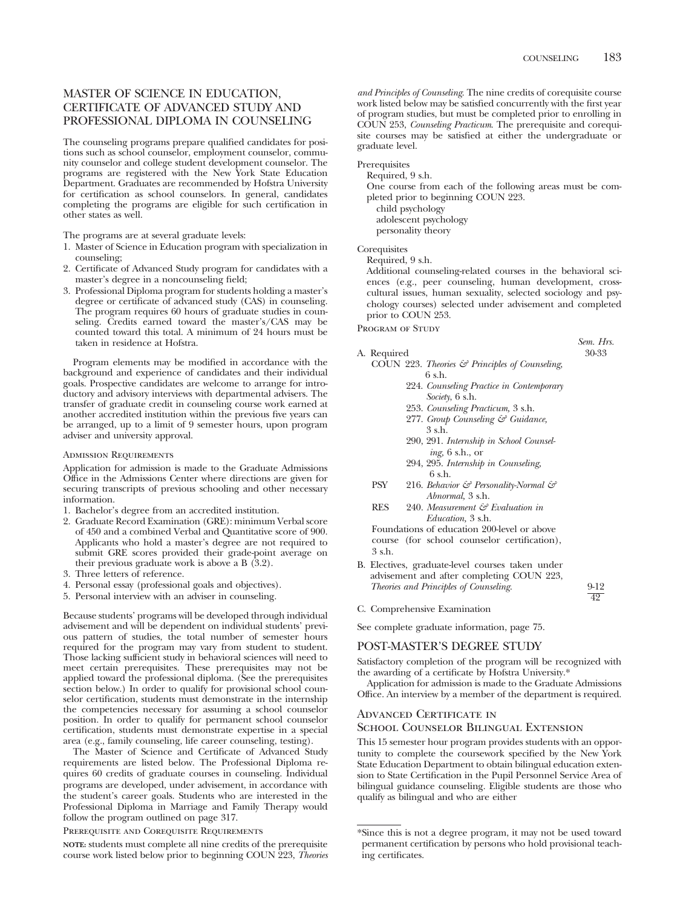*Sem. Hrs.*

49

# MASTER OF SCIENCE IN EDUCATION, CERTIFICATE OF ADVANCED STUDY AND PROFESSIONAL DIPLOMA IN COUNSELING

The counseling programs prepare qualified candidates for positions such as school counselor, employment counselor, community counselor and college student development counselor. The programs are registered with the New York State Education Department. Graduates are recommended by Hofstra University for certification as school counselors. In general, candidates completing the programs are eligible for such certification in other states as well.

The programs are at several graduate levels:

- 1. Master of Science in Education program with specialization in counseling;
- 2. Certificate of Advanced Study program for candidates with a master's degree in a noncounseling field;
- 3. Professional Diploma program for students holding a master's degree or certificate of advanced study (CAS) in counseling. The program requires 60 hours of graduate studies in counseling. Credits earned toward the master's/CAS may be counted toward this total. A minimum of 24 hours must be taken in residence at Hofstra.

Program elements may be modified in accordance with the background and experience of candidates and their individual goals. Prospective candidates are welcome to arrange for introductory and advisory interviews with departmental advisers. The transfer of graduate credit in counseling course work earned at another accredited institution within the previous five years can be arranged, up to a limit of 9 semester hours, upon program adviser and university approval.

### Admission Requirements

Application for admission is made to the Graduate Admissions Office in the Admissions Center where directions are given for securing transcripts of previous schooling and other necessary information.

- 1. Bachelor's degree from an accredited institution.
- 2. Graduate Record Examination (GRE): minimum Verbal score of 450 and a combined Verbal and Quantitative score of 900. Applicants who hold a master's degree are not required to submit GRE scores provided their grade-point average on their previous graduate work is above a B (3.2).
- 3. Three letters of reference.
- 4. Personal essay (professional goals and objectives).
- 5. Personal interview with an adviser in counseling.

Because students' programs will be developed through individual advisement and will be dependent on individual students' previous pattern of studies, the total number of semester hours required for the program may vary from student to student. Those lacking sufficient study in behavioral sciences will need to meet certain prerequisites. These prerequisites may not be applied toward the professional diploma. (See the prerequisites section below.) In order to qualify for provisional school counselor certification, students must demonstrate in the internship the competencies necessary for assuming a school counselor position. In order to qualify for permanent school counselor certification, students must demonstrate expertise in a special area (e.g., family counseling, life career counseling, testing).

The Master of Science and Certificate of Advanced Study requirements are listed below. The Professional Diploma requires 60 credits of graduate courses in counseling. Individual programs are developed, under advisement, in accordance with the student's career goals. Students who are interested in the Professional Diploma in Marriage and Family Therapy would follow the program outlined on page 317.

Prerequisite and Corequisite Requirements

**NOTE:** students must complete all nine credits of the prerequisite course work listed below prior to beginning COUN 223, *Theories* *and Principles of Counseling*. The nine credits of corequisite course work listed below may be satisfied concurrently with the first year of program studies, but must be completed prior to enrolling in COUN 253, *Counseling Practicum*. The prerequisite and corequisite courses may be satisfied at either the undergraduate or graduate level.

#### Prerequisites

Required, 9 s.h.

One course from each of the following areas must be completed prior to beginning COUN 223.

child psychology adolescent psychology

personality theory

## **Corequisites**

Required, 9 s.h.

Additional counseling-related courses in the behavioral sciences (e.g., peer counseling, human development, crosscultural issues, human sexuality, selected sociology and psychology courses) selected under advisement and completed prior to COUN 253.

PROGRAM OF STUDY

## A. Required

- COUN 223. *Theories & Principles of Counseling*, 6 s.h.
	- 224. *Counseling Practice in Contemporary Society*, 6 s.h.
	- 253. *Counseling Practicum,* 3 s.h.
	- 277. *Group Counseling & Guidance,* 3 s.h.
	- 290, 291. *Internship in School Counseling,* 6 s.h., or
	- 294, 295. *Internship in Counseling,* 6 s.h.
	- PSY 216. *Behavior & Personality-Normal & Abnormal,* 3 s.h.
	- RES 240. *Measurement & Evaluation in Education,* 3 s.h.

Foundations of education 200-level or above course (for school counselor certification), 3 s.h.

B. Electives, graduate-level courses taken under advisement and after completing COUN 223, *Theories and Principles of Counseling*. 9-12

C. Comprehensive Examination

See complete graduate information, page 75.

## POST-MASTER'S DEGREE STUDY

Satisfactory completion of the program will be recognized with the awarding of a certificate by Hofstra University.\*

Application for admission is made to the Graduate Admissions Office. An interview by a member of the department is required.

## Advanced Certificate in

## School Counselor Bilingual Extension

This 15 semester hour program provides students with an opportunity to complete the coursework specified by the New York State Education Department to obtain bilingual education extension to State Certification in the Pupil Personnel Service Area of bilingual guidance counseling. Eligible students are those who qualify as bilingual and who are either

<sup>\*</sup>Since this is not a degree program, it may not be used toward permanent certification by persons who hold provisional teaching certificates.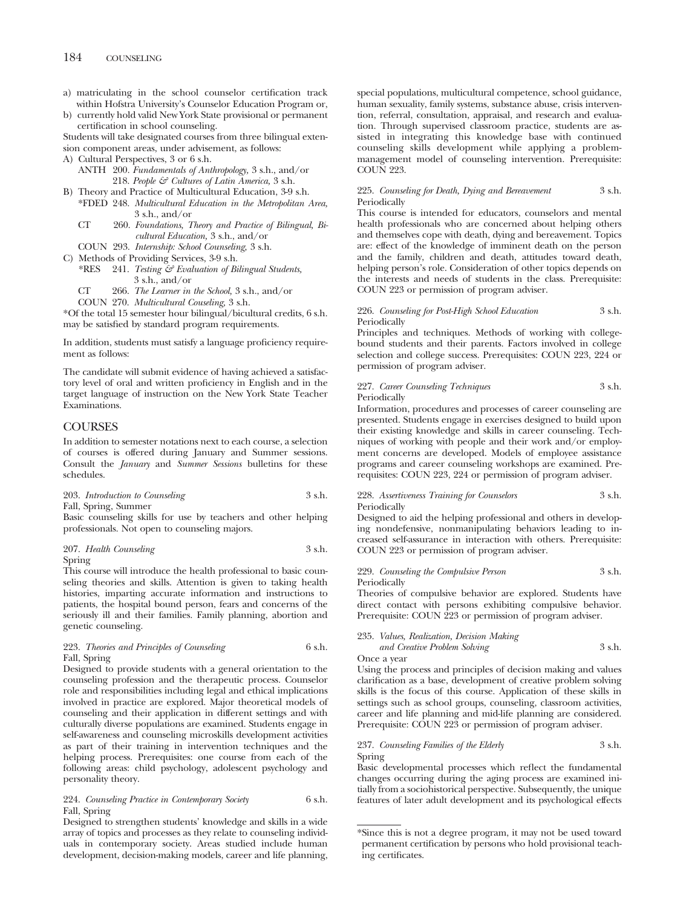- a) matriculating in the school counselor certification track within Hofstra University's Counselor Education Program or,
- b) currently hold valid New York State provisional or permanent certification in school counseling.

Students will take designated courses from three bilingual extension component areas, under advisement, as follows:

- A) Cultural Perspectives, 3 or 6 s.h.
	- ANTH 200. *Fundamentals of Anthropology,* 3 s.h., and/or 218. *People & Cultures of Latin America,* 3 s.h.
- B) Theory and Practice of Multicultural Education, 3-9 s.h. \*FDED 248. *Multicultural Education in the Metropolitan Area,* 3 s.h., and/or
	- CT 260. *Foundations, Theory and Practice of Bilingual, Bicultural Education,* 3 s.h., and/or
	- COUN 293. *Internship: School Counseling,* 3 s.h.
- C) Methods of Providing Services, 3-9 s.h.
	- \*RES 241. *Testing & Evaluation of Bilingual Students,* 3 s.h., and/or
		- *The Learner in the School,* 3 s.h., and/or CT 266.
	- *Multicultural Couseling,* 3 s.h. COUN 270.

\*Of the total 15 semester hour bilingual/bicultural credits, 6 s.h. may be satisfied by standard program requirements.

In addition, students must satisfy a language proficiency requirement as follows:

The candidate will submit evidence of having achieved a satisfactory level of oral and written proficiency in English and in the target language of instruction on the New York State Teacher Examinations.

## COURSES

In addition to semester notations next to each course, a selection of courses is offered during January and Summer sessions. Consult the *January* and *Summer Sessions* bulletins for these schedules.

203. *Introduction to Counseling* 3 s.h. Fall, Spring, Summer

Basic counseling skills for use by teachers and other helping professionals. Not open to counseling majors.

207. *Health Counseling* 3 s.h. Spring

This course will introduce the health professional to basic counseling theories and skills. Attention is given to taking health histories, imparting accurate information and instructions to patients, the hospital bound person, fears and concerns of the seriously ill and their families. Family planning, abortion and genetic counseling.

223. *Theories and Principles of Counseling* 6 s.h. Fall, Spring

Designed to provide students with a general orientation to the counseling profession and the therapeutic process. Counselor role and responsibilities including legal and ethical implications involved in practice are explored. Major theoretical models of counseling and their application in different settings and with culturally diverse populations are examined. Students engage in self-awareness and counseling microskills development activities as part of their training in intervention techniques and the helping process. Prerequisites: one course from each of the following areas: child psychology, adolescent psychology and personality theory.

## 224. *Counseling Practice in Contemporary Society* 6 s.h. Fall, Spring

Designed to strengthen students' knowledge and skills in a wide array of topics and processes as they relate to counseling individuals in contemporary society. Areas studied include human development, decision-making models, career and life planning,

special populations, multicultural competence, school guidance, human sexuality, family systems, substance abuse, crisis intervention, referral, consultation, appraisal, and research and evaluation. Through supervised classroom practice, students are assisted in integrating this knowledge base with continued counseling skills development while applying a problemmanagement model of counseling intervention. Prerequisite: COUN 223.

### 225. *Counseling for Death, Dying and Bereavement* 3 s.h. Periodically

This course is intended for educators, counselors and mental health professionals who are concerned about helping others and themselves cope with death, dying and bereavement. Topics are: effect of the knowledge of imminent death on the person and the family, children and death, attitudes toward death, helping person's role. Consideration of other topics depends on the interests and needs of students in the class. Prerequisite: COUN 223 or permission of program adviser.

## 226. *Counseling for Post-High School Education* 3 s.h. Periodically

Principles and techniques. Methods of working with collegebound students and their parents. Factors involved in college selection and college success. Prerequisites: COUN 223, 224 or permission of program adviser.

### 227. *Career Counseling Techniques* 3 s.h. Periodically

Information, procedures and processes of career counseling are presented. Students engage in exercises designed to build upon their existing knowledge and skills in career counseling. Techniques of working with people and their work and/or employment concerns are developed. Models of employee assistance programs and career counseling workshops are examined. Prerequisites: COUN 223, 224 or permission of program adviser.

## 228. *Assertiveness Training for Counselors* 3 s.h. Periodically

Designed to aid the helping professional and others in developing nondefensive, nonmanipulating behaviors leading to increased self-assurance in interaction with others. Prerequisite: COUN 223 or permission of program adviser.

### 229. *Counseling the Compulsive Person* 3 s.h. Periodically

Theories of compulsive behavior are explored. Students have direct contact with persons exhibiting compulsive behavior. Prerequisite: COUN 223 or permission of program adviser.

## 235. *Values, Realization, Decision Making and Creative Problem Solving* 3 s.h.

Once a year

Using the process and principles of decision making and values clarification as a base, development of creative problem solving skills is the focus of this course. Application of these skills in settings such as school groups, counseling, classroom activities, career and life planning and mid-life planning are considered. Prerequisite: COUN 223 or permission of program adviser.

## 237. *Counseling Families of the Elderly* 3 s.h. Spring

Basic developmental processes which reflect the fundamental changes occurring during the aging process are examined initially from a sociohistorical perspective. Subsequently, the unique features of later adult development and its psychological effects

<sup>\*</sup>Since this is not a degree program, it may not be used toward permanent certification by persons who hold provisional teaching certificates.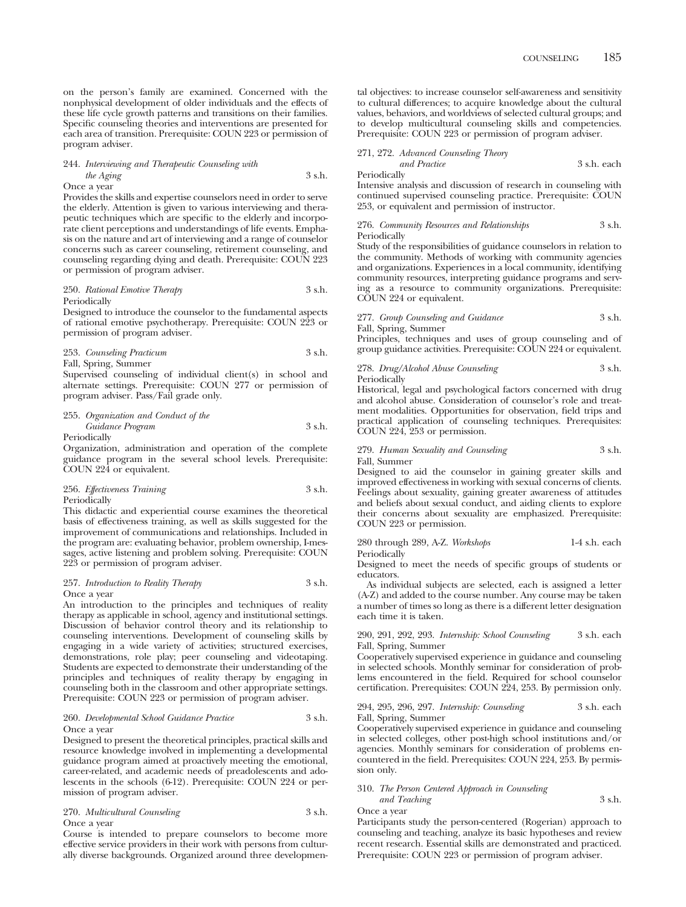on the person's family are examined. Concerned with the nonphysical development of older individuals and the effects of these life cycle growth patterns and transitions on their families. Specific counseling theories and interventions are presented for each area of transition. Prerequisite: COUN 223 or permission of program adviser.

## 244. *Interviewing and Therapeutic Counseling with the Aging* 3 s.h. Once a year

Provides the skills and expertise counselors need in order to serve the elderly. Attention is given to various interviewing and therapeutic techniques which are specific to the elderly and incorporate client perceptions and understandings of life events. Emphasis on the nature and art of interviewing and a range of counselor concerns such as career counseling, retirement counseling, and counseling regarding dying and death. Prerequisite: COUN 223 or permission of program adviser.

### 250. *Rational Emotive Therapy* 3 s.h. Periodically

Designed to introduce the counselor to the fundamental aspects of rational emotive psychotherapy. Prerequisite: COUN 223 or permission of program adviser.

253. *Counseling Practicum* 3 s.h. Fall, Spring, Summer

Supervised counseling of individual client(s) in school and alternate settings. Prerequisite: COUN 277 or permission of program adviser. Pass/Fail grade only.

## 255. *Organization and Conduct of the Guidance Program* 3 s.h. Periodically

Organization, administration and operation of the complete guidance program in the several school levels. Prerequisite: COUN 224 or equivalent.

### 256. *Effectiveness Training* 3 s.h. Periodically

This didactic and experiential course examines the theoretical basis of effectiveness training, as well as skills suggested for the improvement of communications and relationships. Included in the program are: evaluating behavior, problem ownership, I-messages, active listening and problem solving. Prerequisite: COUN 223 or permission of program adviser.

### 257. *Introduction to Reality Therapy* 3 s.h. Once a year

An introduction to the principles and techniques of reality therapy as applicable in school, agency and institutional settings. Discussion of behavior control theory and its relationship to counseling interventions. Development of counseling skills by engaging in a wide variety of activities; structured exercises, demonstrations, role play; peer counseling and videotaping. Students are expected to demonstrate their understanding of the principles and techniques of reality therapy by engaging in counseling both in the classroom and other appropriate settings. Prerequisite: COUN 223 or permission of program adviser.

### 260. *Developmental School Guidance Practice* 3 s.h. Once a year

Designed to present the theoretical principles, practical skills and resource knowledge involved in implementing a developmental guidance program aimed at proactively meeting the emotional, career-related, and academic needs of preadolescents and adolescents in the schools (6-12). Prerequisite: COUN 224 or permission of program adviser.

### 270. *Multicultural Counseling* 3 s.h. Once a year

Course is intended to prepare counselors to become more effective service providers in their work with persons from culturally diverse backgrounds. Organized around three developmental objectives: to increase counselor self-awareness and sensitivity to cultural differences; to acquire knowledge about the cultural values, behaviors, and worldviews of selected cultural groups; and to develop multicultural counseling skills and competencies. Prerequisite: COUN 223 or permission of program adviser.

### 271, 272. *Advanced Counseling Theory*

*and Practice* 3 s.h. each

Periodically

Intensive analysis and discussion of research in counseling with continued supervised counseling practice. Prerequisite: COUN 253, or equivalent and permission of instructor.

276. *Community Resources and Relationships* 3 s.h. Periodically

Study of the responsibilities of guidance counselors in relation to the community. Methods of working with community agencies and organizations. Experiences in a local community, identifying community resources, interpreting guidance programs and serving as a resource to community organizations. Prerequisite: COUN 224 or equivalent.

# 277. *Group Counseling and Guidance* 3 s.h.

Fall, Spring, Summer

Principles, techniques and uses of group counseling and of group guidance activities. Prerequisite: COUN 224 or equivalent.

278. *Drug/Alcohol Abuse Counseling* 3 s.h. Periodically

Historical, legal and psychological factors concerned with drug and alcohol abuse. Consideration of counselor's role and treatment modalities. Opportunities for observation, field trips and practical application of counseling techniques. Prerequisites: COUN 224, 253 or permission.

### 279. *Human Sexuality and Counseling* 3 s.h. Fall, Summer

Designed to aid the counselor in gaining greater skills and improved effectiveness in working with sexual concerns of clients. Feelings about sexuality, gaining greater awareness of attitudes and beliefs about sexual conduct, and aiding clients to explore their concerns about sexuality are emphasized. Prerequisite: COUN 223 or permission.

280 through 289, A-Z. *Workshops* 1-4 s.h. each Periodically

Designed to meet the needs of specific groups of students or educators.

As individual subjects are selected, each is assigned a letter (A-Z) and added to the course number. Any course may be taken a number of times so long as there is a different letter designation each time it is taken.

290, 291, 292, 293. *Internship: School Counseling* 3 s.h. each Fall, Spring, Summer

Cooperatively supervised experience in guidance and counseling in selected schools. Monthly seminar for consideration of problems encountered in the field. Required for school counselor certification. Prerequisites: COUN 224, 253. By permission only.

### 294, 295, 296, 297. *Internship: Counseling* 3 s.h. each Fall, Spring, Summer

Cooperatively supervised experience in guidance and counseling in selected colleges, other post-high school institutions and/or agencies. Monthly seminars for consideration of problems encountered in the field. Prerequisites: COUN 224, 253. By permission only.

### 310. *The Person Centered Approach in Counseling and Teaching* 3 s.h.

Once a year

Participants study the person-centered (Rogerian) approach to counseling and teaching, analyze its basic hypotheses and review recent research. Essential skills are demonstrated and practiced. Prerequisite: COUN 223 or permission of program adviser.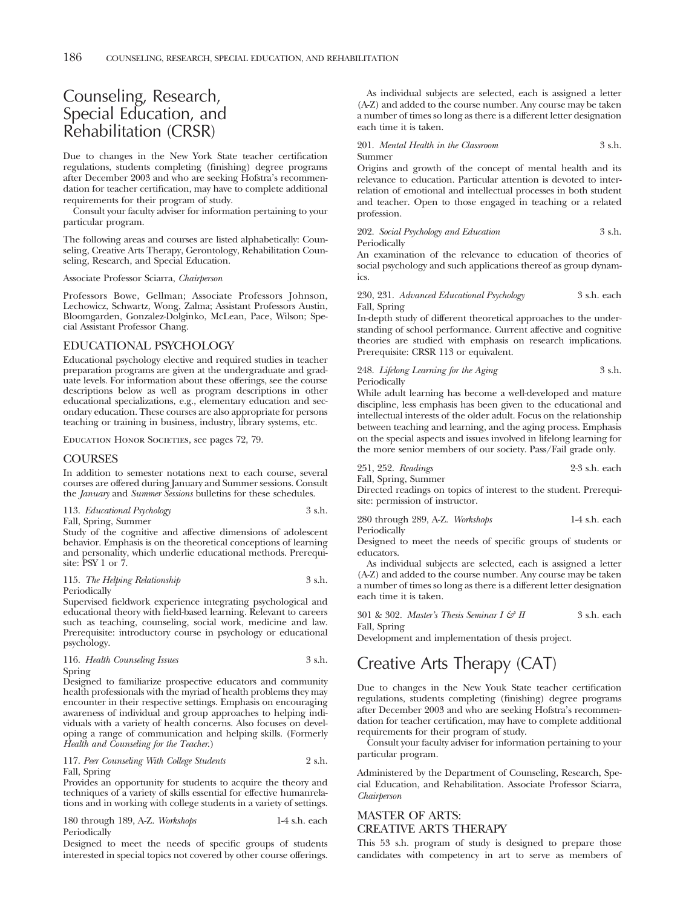# Counseling, Research, Special Education, and Rehabilitation (CRSR)

Due to changes in the New York State teacher certification regulations, students completing (finishing) degree programs after December 2003 and who are seeking Hofstra's recommendation for teacher certification, may have to complete additional requirements for their program of study.

Consult your faculty adviser for information pertaining to your particular program.

The following areas and courses are listed alphabetically: Counseling, Creative Arts Therapy, Gerontology, Rehabilitation Counseling, Research, and Special Education.

Associate Professor Sciarra, *Chairperson*

Professors Bowe, Gellman; Associate Professors Johnson, Lechowicz, Schwartz, Wong, Zalma; Assistant Professors Austin, Bloomgarden, Gonzalez-Dolginko, McLean, Pace, Wilson; Special Assistant Professor Chang.

## EDUCATIONAL PSYCHOLOGY

Educational psychology elective and required studies in teacher preparation programs are given at the undergraduate and graduate levels. For information about these offerings, see the course descriptions below as well as program descriptions in other educational specializations, e.g., elementary education and secondary education. These courses are also appropriate for persons teaching or training in business, industry, library systems, etc.

EDUCATION HONOR SOCIETIES, see pages 72, 79.

## COURSES

In addition to semester notations next to each course, several courses are offered during January and Summer sessions. Consult the *January* and *Summer Sessions* bulletins for these schedules.

113. *Educational Psychology* 3 s.h. Fall, Spring, Summer

Study of the cognitive and affective dimensions of adolescent behavior. Emphasis is on the theoretical conceptions of learning and personality, which underlie educational methods. Prerequisite: PSY 1 or 7.

115. *The Helping Relationship* 3 s.h. Periodically

Supervised fieldwork experience integrating psychological and educational theory with field-based learning. Relevant to careers such as teaching, counseling, social work, medicine and law. Prerequisite: introductory course in psychology or educational psychology.

|        | 116. Health Counseling Issues | 3 s.h. |
|--------|-------------------------------|--------|
| Spring |                               |        |

Designed to familiarize prospective educators and community health professionals with the myriad of health problems they may encounter in their respective settings. Emphasis on encouraging awareness of individual and group approaches to helping individuals with a variety of health concerns. Also focuses on developing a range of communication and helping skills. (Formerly *Health and Counseling for the Teacher*.)

## 117. *Peer Counseling With College Students* 2 s.h. Fall, Spring

Provides an opportunity for students to acquire the theory and techniques of a variety of skills essential for effective humanrelations and in working with college students in a variety of settings.

180 through 189, A-Z. *Workshops* 1-4 s.h. each Periodically

Designed to meet the needs of specific groups of students interested in special topics not covered by other course offerings.

As individual subjects are selected, each is assigned a letter (A-Z) and added to the course number. Any course may be taken a number of times so long as there is a different letter designation each time it is taken.

201. *Mental Health in the Classroom* 3 s.h. Summer

Origins and growth of the concept of mental health and its relevance to education. Particular attention is devoted to interrelation of emotional and intellectual processes in both student and teacher. Open to those engaged in teaching or a related profession.

202. *Social Psychology and Education* 3 s.h. Periodically

An examination of the relevance to education of theories of social psychology and such applications thereof as group dynamics.

230, 231. *Advanced Educational Psychology* 3 s.h. each Fall, Spring

In-depth study of different theoretical approaches to the understanding of school performance. Current affective and cognitive theories are studied with emphasis on research implications. Prerequisite: CRSR 113 or equivalent.

248. *Lifelong Learning for the Aging* 3 s.h. Periodically

While adult learning has become a well-developed and mature discipline, less emphasis has been given to the educational and intellectual interests of the older adult. Focus on the relationship between teaching and learning, and the aging process. Emphasis on the special aspects and issues involved in lifelong learning for the more senior members of our society. Pass/Fail grade only.

251, 252. *Readings* 2-3 s.h. each Fall, Spring, Summer

Directed readings on topics of interest to the student. Prerequisite: permission of instructor.

280 through 289, A-Z. *Workshops* 1-4 s.h. each **Periodically** 

Designed to meet the needs of specific groups of students or educators.

As individual subjects are selected, each is assigned a letter (A-Z) and added to the course number. Any course may be taken a number of times so long as there is a different letter designation each time it is taken.

301 & 302. *Master's Thesis Seminar I & II* 3 s.h. each Fall, Spring

Development and implementation of thesis project.

# Creative Arts Therapy (CAT)

Due to changes in the New Youk State teacher certification regulations, students completing (finishing) degree programs after December 2003 and who are seeking Hofstra's recommendation for teacher certification, may have to complete additional requirements for their program of study.

Consult your faculty adviser for information pertaining to your particular program.

Administered by the Department of Counseling, Research, Special Education, and Rehabilitation. Associate Professor Sciarra, *Chairperson*

## MASTER OF ARTS: CREATIVE ARTS THERAPY

This 53 s.h. program of study is designed to prepare those candidates with competency in art to serve as members of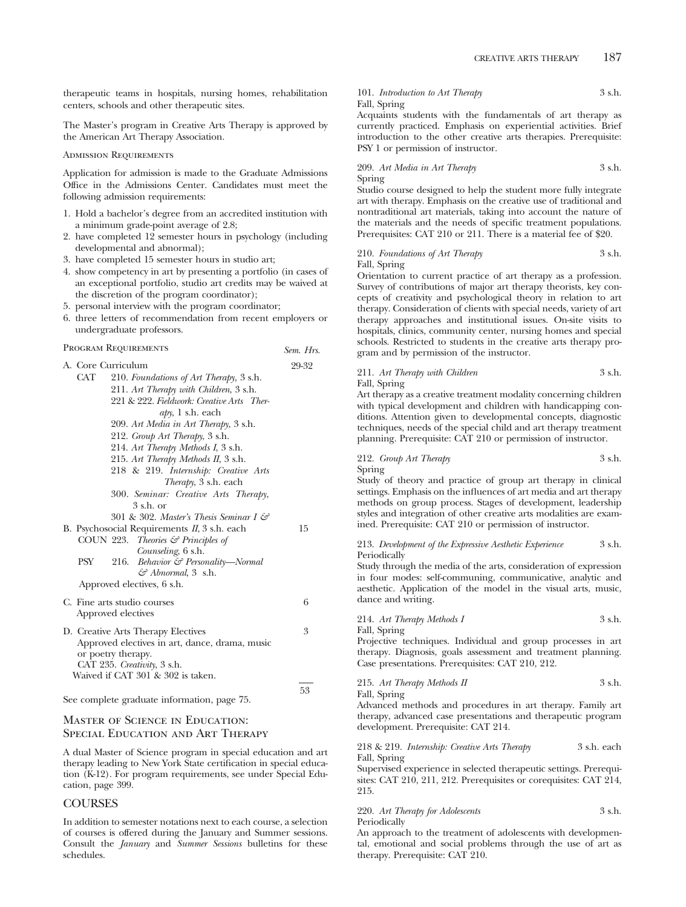therapeutic teams in hospitals, nursing homes, rehabilitation centers, schools and other therapeutic sites.

The Master's program in Creative Arts Therapy is approved by the American Art Therapy Association.

Admission Requirements

Application for admission is made to the Graduate Admissions Office in the Admissions Center. Candidates must meet the following admission requirements:

- 1. Hold a bachelor's degree from an accredited institution with a minimum grade-point average of 2.8;
- 2. have completed 12 semester hours in psychology (including developmental and abnormal);
- 3. have completed 15 semester hours in studio art;
- 4. show competency in art by presenting a portfolio (in cases of an exceptional portfolio, studio art credits may be waived at the discretion of the program coordinator);
- 5. personal interview with the program coordinator;
- 6. three letters of recommendation from recent employers or undergraduate professors.

# Program Requirements *Sem. Hrs.*

53

| 29-32 |
|-------|
|       |
|       |
|       |
|       |
|       |
|       |
|       |
|       |
|       |
|       |
|       |
|       |
|       |
| 15    |
|       |
|       |
|       |
|       |
|       |
| 6     |
|       |
|       |
| 3     |
|       |
|       |
|       |
|       |
|       |

See complete graduate information, page 75.

## Master of Science in Education: Special Education and Art Therapy

A dual Master of Science program in special education and art therapy leading to New York State certification in special education (K-12). For program requirements, see under Special Education, page 399.

## **COURSES**

In addition to semester notations next to each course, a selection of courses is offered during the January and Summer sessions. Consult the *January* and *Summer Sessions* bulletins for these schedules.

101. *Introduction to Art Therapy* 3 s.h. Fall, Spring

Acquaints students with the fundamentals of art therapy as currently practiced. Emphasis on experiential activities. Brief introduction to the other creative arts therapies. Prerequisite: PSY 1 or permission of instructor.

### 209. *Art Media in Art Therapy* 3 s.h. Spring

Studio course designed to help the student more fully integrate art with therapy. Emphasis on the creative use of traditional and nontraditional art materials, taking into account the nature of the materials and the needs of specific treatment populations. Prerequisites: CAT 210 or 211. There is a material fee of \$20.

### 210. *Foundations of Art Therapy* 3 s.h. Fall, Spring

Orientation to current practice of art therapy as a profession. Survey of contributions of major art therapy theorists, key concepts of creativity and psychological theory in relation to art therapy. Consideration of clients with special needs, variety of art therapy approaches and institutional issues. On-site visits to hospitals, clinics, community center, nursing homes and special schools. Restricted to students in the creative arts therapy program and by permission of the instructor.

| 211. Art Therapy with Children | 3 s.h. |
|--------------------------------|--------|
|                                |        |

Fall, Spring

Art therapy as a creative treatment modality concerning children with typical development and children with handicapping conditions. Attention given to developmental concepts, diagnostic techniques, needs of the special child and art therapy treatment planning. Prerequisite: CAT 210 or permission of instructor.

212. *Group Art Therapy* 3 s.h. Spring

Study of theory and practice of group art therapy in clinical settings. Emphasis on the influences of art media and art therapy methods on group process. Stages of development, leadership styles and integration of other creative arts modalities are examined. Prerequisite: CAT 210 or permission of instructor.

213. *Development of the Expressive Aesthetic Experience* 3 s.h. Periodically

Study through the media of the arts, consideration of expression in four modes: self-communing, communicative, analytic and aesthetic. Application of the model in the visual arts, music, dance and writing.

# 214. *Art Therapy Methods I* 3 s.h.

Fall, Spring

Projective techniques. Individual and group processes in art therapy. Diagnosis, goals assessment and treatment planning. Case presentations. Prerequisites: CAT 210, 212.

### 215. Art Therapy Methods II 3 s.h. Fall, Spring

Advanced methods and procedures in art therapy. Family art therapy, advanced case presentations and therapeutic program development. Prerequisite: CAT 214.

218 & 219. *Internship: Creative Arts Therapy* 3 s.h. each Fall, Spring

Supervised experience in selected therapeutic settings. Prerequisites: CAT 210, 211, 212. Prerequisites or corequisites: CAT 214, 215.

## 220. *Art Therapy for Adolescents* 3 s.h. Periodically

An approach to the treatment of adolescents with developmental, emotional and social problems through the use of art as therapy. Prerequisite: CAT 210.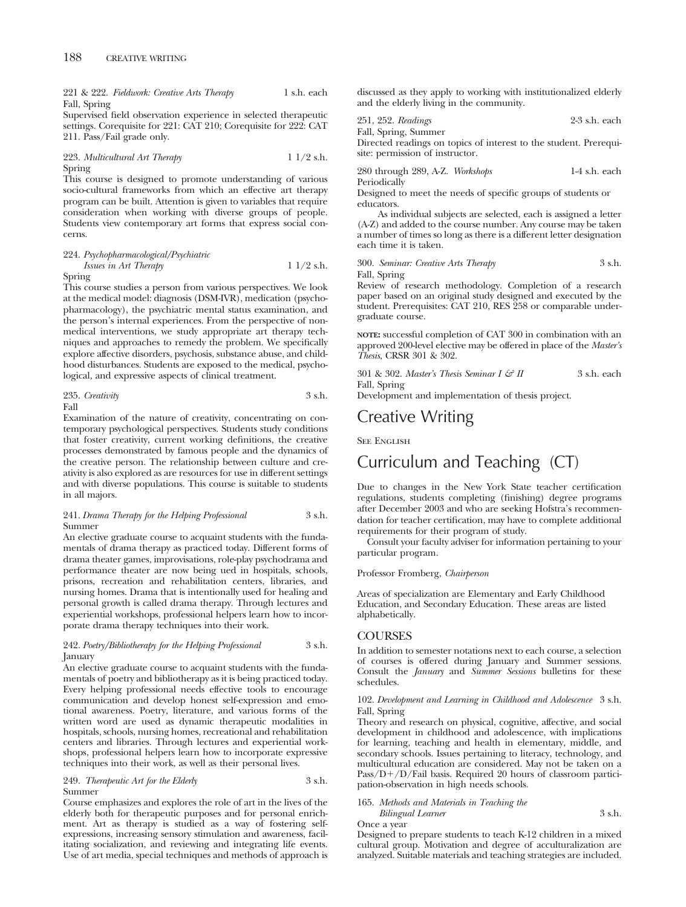221 & 222. *Fieldwork: Creative Arts Therapy* 1 s.h. each Fall, Spring

Supervised field observation experience in selected therapeutic settings. Corequisite for 221: CAT 210; Corequisite for 222: CAT 211. Pass/Fail grade only.

### 223. *Multicultural Art Therapy* 1 1/2 s.h. Spring

This course is designed to promote understanding of various socio-cultural frameworks from which an effective art therapy program can be built. Attention is given to variables that require consideration when working with diverse groups of people. Students view contemporary art forms that express social concerns.

## 224. *Psychopharmacological/Psychiatric Issues in Art Therapy* 1 1/2 s.h. Spring

This course studies a person from various perspectives. We look at the medical model: diagnosis (DSM-IVR), medication (psychopharmacology), the psychiatric mental status examination, and the person's internal experiences. From the perspective of nonmedical interventions, we study appropriate art therapy techniques and approaches to remedy the problem. We specifically explore affective disorders, psychosis, substance abuse, and childhood disturbances. Students are exposed to the medical, psychological, and expressive aspects of clinical treatment.

235. *Creativity* 3 s.h. Fall

Examination of the nature of creativity, concentrating on contemporary psychological perspectives. Students study conditions that foster creativity, current working definitions, the creative processes demonstrated by famous people and the dynamics of the creative person. The relationship between culture and creativity is also explored as are resources for use in different settings and with diverse populations. This course is suitable to students in all majors.

### 241. *Drama Therapy for the Helping Professional* 3 s.h. Summer

An elective graduate course to acquaint students with the fundamentals of drama therapy as practiced today. Different forms of drama theater games, improvisations, role-play psychodrama and performance theater are now being ued in hospitals, schools, prisons, recreation and rehabilitation centers, libraries, and nursing homes. Drama that is intentionally used for healing and personal growth is called drama therapy. Through lectures and experiential workshops, professional helpers learn how to incorporate drama therapy techniques into their work.

### 242. *Poetry/Bibliotherapy for the Helping Professional* 3 s.h. January

An elective graduate course to acquaint students with the fundamentals of poetry and bibliotherapy as it is being practiced today. Every helping professional needs effective tools to encourage communication and develop honest self-expression and emotional awareness. Poetry, literature, and various forms of the written word are used as dynamic therapeutic modalities in hospitals, schools, nursing homes, recreational and rehabilitation centers and libraries. Through lectures and experiential workshops, professional helpers learn how to incorporate expressive techniques into their work, as well as their personal lives.

### 249. *Therapeutic Art for the Elderly* 3 s.h. Summer

Course emphasizes and explores the role of art in the lives of the elderly both for therapeutic purposes and for personal enrichment. Art as therapy is studied as a way of fostering selfexpressions, increasing sensory stimulation and awareness, facilitating socialization, and reviewing and integrating life events. Use of art media, special techniques and methods of approach is

discussed as they apply to working with institutionalized elderly and the elderly living in the community.

251, 252. *Readings* 2-3 s.h. each

Fall, Spring, Summer Directed readings on topics of interest to the student. Prerequisite: permission of instructor.

280 through 289, A-Z. *Workshops* 1-4 s.h. each Periodically

Designed to meet the needs of specific groups of students or educators.

As individual subjects are selected, each is assigned a letter (A-Z) and added to the course number. Any course may be taken a number of times so long as there is a different letter designation each time it is taken.

300. *Seminar: Creative Arts Therapy* 3 s.h. Fall, Spring

Review of research methodology. Completion of a research paper based on an original study designed and executed by the student. Prerequisites: CAT 210, RES 258 or comparable undergraduate course.

**NOTE:** successful completion of CAT 300 in combination with an approved 200-level elective may be offered in place of the *Master's Thesis*, CRSR 301 & 302.

301 & 302. *Master's Thesis Seminar I & II* 3 s.h. each Fall, Spring

Development and implementation of thesis project.

# Creative Writing

**SEE ENGLISH** 

# Curriculum and Teaching (CT)

Due to changes in the New York State teacher certification regulations, students completing (finishing) degree programs after December 2003 and who are seeking Hofstra's recommendation for teacher certification, may have to complete additional requirements for their program of study.

Consult your faculty adviser for information pertaining to your particular program.

## Professor Fromberg, *Chairperson*

Areas of specialization are Elementary and Early Childhood Education, and Secondary Education. These areas are listed alphabetically.

## **COURSES**

In addition to semester notations next to each course, a selection of courses is offered during January and Summer sessions. Consult the *January* and *Summer Sessions* bulletins for these schedules.

### 102. *Development and Learning in Childhood and Adolescence* 3 s.h. Fall, Spring

Theory and research on physical, cognitive, affective, and social development in childhood and adolescence, with implications for learning, teaching and health in elementary, middle, and secondary schools. Issues pertaining to literacy, technology, and multicultural education are considered. May not be taken on a Pass/D+/D/Fail basis. Required 20 hours of classroom participation-observation in high needs schools.

## 165. *Methods and Materials in Teaching the*

*Bilingual Learner* 3 s.h. Once a year

Designed to prepare students to teach K-12 children in a mixed cultural group. Motivation and degree of acculturalization are analyzed. Suitable materials and teaching strategies are included.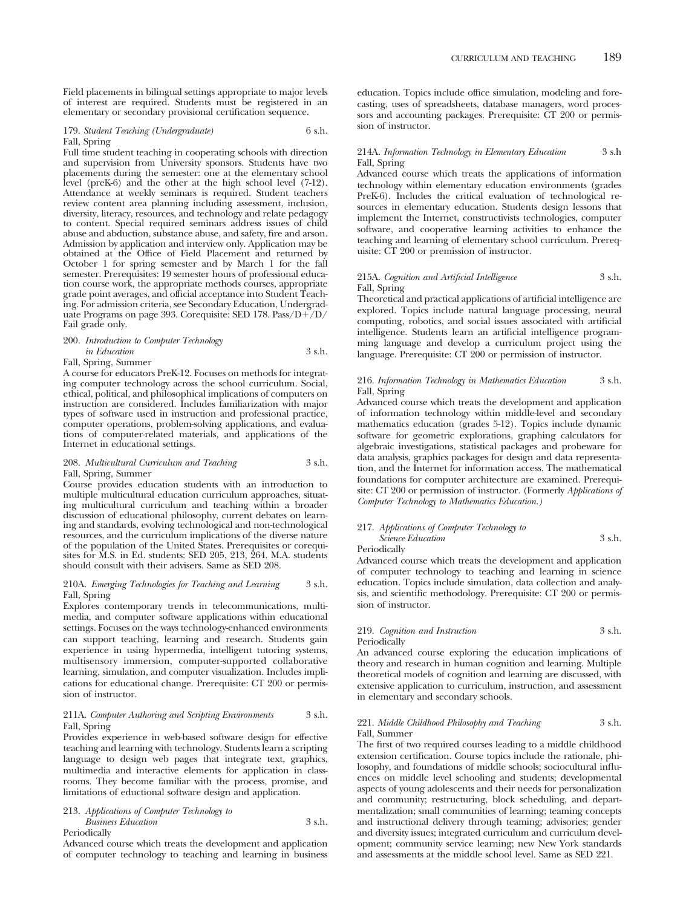Field placements in bilingual settings appropriate to major levels of interest are required. Students must be registered in an elementary or secondary provisional certification sequence.

179. *Student Teaching (Undergraduate)* 6 s.h. Fall, Spring

Full time student teaching in cooperating schools with direction and supervision from University sponsors. Students have two placements during the semester: one at the elementary school level (preK-6) and the other at the high school level (7-12). Attendance at weekly seminars is required. Student teachers review content area planning including assessment, inclusion, diversity, literacy, resources, and technology and relate pedagogy to content. Special required seminars address issues of child abuse and abduction, substance abuse, and safety, fire and arson. Admission by application and interview only. Application may be obtained at the Office of Field Placement and returned by October 1 for spring semester and by March 1 for the fall semester. Prerequisites: 19 semester hours of professional education course work, the appropriate methods courses, appropriate grade point averages, and official acceptance into Student Teaching. For admission criteria, see Secondary Education, Undergraduate Programs on page 393. Corequisite: SED 178. Pass/D+/D/ Fail grade only.

### 200. *Introduction to Computer Technology in Education* 3 s.h.

Fall, Spring, Summer

A course for educators PreK-12. Focuses on methods for integrating computer technology across the school curriculum. Social, ethical, political, and philosophical implications of computers on instruction are considered. Includes familiarization with major types of software used in instruction and professional practice, computer operations, problem-solving applications, and evaluations of computer-related materials, and applications of the Internet in educational settings.

## 208. *Multicultural Curriculum and Teaching* 3 s.h. Fall, Spring, Summer

Course provides education students with an introduction to multiple multicultural education curriculum approaches, situating multicultural curriculum and teaching within a broader discussion of educational philosophy, current debates on learning and standards, evolving technological and non-technological resources, and the curriculum implications of the diverse nature of the population of the United States. Prerequisites or corequisites for M.S. in Ed. students: SED 205, 213, 264. M.A. students should consult with their advisers. Same as SED 208.

## 210A. *Emerging Technologies for Teaching and Learning* 3 s.h. Fall, Spring

Explores contemporary trends in telecommunications, multimedia, and computer software applications within educational settings. Focuses on the ways technology-enhanced environments can support teaching, learning and research. Students gain experience in using hypermedia, intelligent tutoring systems, multisensory immersion, computer-supported collaborative learning, simulation, and computer visualization. Includes implications for educational change. Prerequisite: CT 200 or permission of instructor.

## 211A. *Computer Authoring and Scripting Environments* 3 s.h. Fall, Spring

Provides experience in web-based software design for effective teaching and learning with technology. Students learn a scripting language to design web pages that integrate text, graphics, multimedia and interactive elements for application in classrooms. They become familiar with the process, promise, and limitations of eductional software design and application.

213. *Applications of Computer Technology to Business Education* 3 s.h. Periodically

Advanced course which treats the development and application of computer technology to teaching and learning in business education. Topics include office simulation, modeling and forecasting, uses of spreadsheets, database managers, word processors and accounting packages. Prerequisite: CT 200 or permission of instructor.

### 214A. *Information Technology in Elementary Education* 3 s.h Fall, Spring

Advanced course which treats the applications of information technology within elementary education environments (grades PreK-6). Includes the critical evaluation of technological resources in elementary education. Students design lessons that implement the Internet, constructivists technologies, computer software, and cooperative learning activities to enhance the teaching and learning of elementary school curriculum. Prerequisite: CT 200 or premission of instructor.

## 215A. *Cognition and Artificial Intelligence* 3 s.h. Fall, Spring

Theoretical and practical applications of artificial intelligence are explored. Topics include natural language processing, neural computing, robotics, and social issues associated with artificial intelligence. Students learn an artificial intelligence programming language and develop a curriculum project using the language. Prerequisite: CT 200 or permission of instructor.

## 216. *Information Technology in Mathematics Education* 3 s.h. Fall, Spring

Advanced course which treats the development and application of information technology within middle-level and secondary mathematics education (grades 5-12). Topics include dynamic software for geometric explorations, graphing calculators for algebraic investigations, statistical packages and probeware for data analysis, graphics packages for design and data representation, and the Internet for information access. The mathematical foundations for computer architecture are examined. Prerequisite: CT 200 or permission of instructor. (Formerly *Applications of Computer Technology to Mathematics Education.)*

### 217. *Applications of Computer Technology to Science Education* 3 s.h. Periodically

Advanced course which treats the development and application of computer technology to teaching and learning in science education. Topics include simulation, data collection and analysis, and scientific methodology. Prerequisite: CT 200 or permission of instructor.

## 219. *Cognition and Instruction* 3 s.h. Periodically

An advanced course exploring the education implications of theory and research in human cognition and learning. Multiple theoretical models of cognition and learning are discussed, with extensive application to curriculum, instruction, and assessment in elementary and secondary schools.

## 221. *Middle Childhood Philosophy and Teaching* 3 s.h. Fall, Summer

The first of two required courses leading to a middle childhood extension certification. Course topics include the rationale, philosophy, and foundations of middle schools; sociocultural influences on middle level schooling and students; developmental aspects of young adolescents and their needs for personalization and community; restructuring, block scheduling, and departmentalization; small communities of learning; teaming concepts and instructional delivery through teaming; advisories; gender and diversity issues; integrated curriculum and curriculum development; community service learning; new New York standards and assessments at the middle school level. Same as SED 221.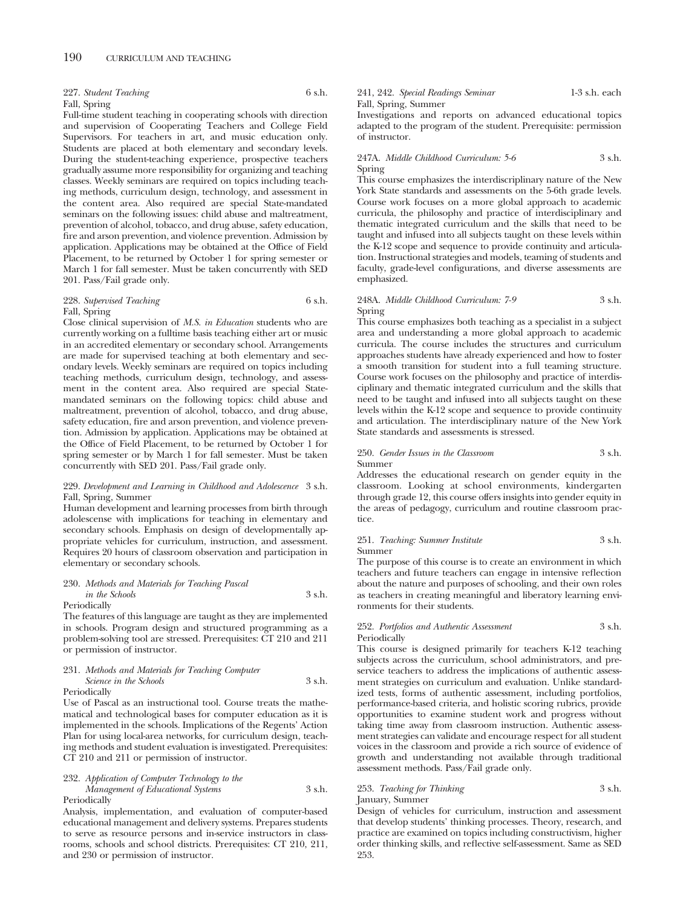227. *Student Teaching* 6 s.h. Fall, Spring

Full-time student teaching in cooperating schools with direction and supervision of Cooperating Teachers and College Field Supervisors. For teachers in art, and music education only. Students are placed at both elementary and secondary levels. During the student-teaching experience, prospective teachers gradually assume more responsibility for organizing and teaching classes. Weekly seminars are required on topics including teaching methods, curriculum design, technology, and assessment in the content area. Also required are special State-mandated seminars on the following issues: child abuse and maltreatment, prevention of alcohol, tobacco, and drug abuse, safety education, fire and arson prevention, and violence prevention. Admission by application. Applications may be obtained at the Office of Field Placement, to be returned by October 1 for spring semester or March 1 for fall semester. Must be taken concurrently with SED 201. Pass/Fail grade only.

## 228. Supervised Teaching 6 s.h. Fall, Spring

Close clinical supervision of *M.S. in Education* students who are currently working on a fulltime basis teaching either art or music in an accredited elementary or secondary school. Arrangements are made for supervised teaching at both elementary and secondary levels. Weekly seminars are required on topics including teaching methods, curriculum design, technology, and assessment in the content area. Also required are special Statemandated seminars on the following topics: child abuse and maltreatment, prevention of alcohol, tobacco, and drug abuse, safety education, fire and arson prevention, and violence prevention. Admission by application. Applications may be obtained at the Office of Field Placement, to be returned by October 1 for spring semester or by March 1 for fall semester. Must be taken concurrently with SED 201. Pass/Fail grade only.

## 229. *Development and Learning in Childhood and Adolescence* 3 s.h. Fall, Spring, Summer

Human development and learning processes from birth through adolescense with implications for teaching in elementary and secondary schools. Emphasis on design of developmentally appropriate vehicles for curriculum, instruction, and assessment. Requires 20 hours of classroom observation and participation in elementary or secondary schools.

230. *Methods and Materials for Teaching Pascal in the Schools* 3 s.h. Periodically

The features of this language are taught as they are implemented in schools. Program design and structured programming as a problem-solving tool are stressed. Prerequisites: CT 210 and 211 or permission of instructor.

## 231. *Methods and Materials for Teaching Computer Science in the Schools* 3 s.h.

Periodically

Use of Pascal as an instructional tool. Course treats the mathematical and technological bases for computer education as it is implemented in the schools. Implications of the Regents' Action Plan for using local-area networks, for curriculum design, teaching methods and student evaluation is investigated. Prerequisites: CT 210 and 211 or permission of instructor.

232. *Application of Computer Technology to the Management of Educational Systems* 3 s.h. Periodically

Analysis, implementation, and evaluation of computer-based educational management and delivery systems. Prepares students to serve as resource persons and in-service instructors in classrooms, schools and school districts. Prerequisites: CT 210, 211, and 230 or permission of instructor.

## 241, 242. *Special Readings Seminar* 1-3 s.h. each Fall, Spring, Summer

Investigations and reports on advanced educational topics adapted to the program of the student. Prerequisite: permission of instructor.

## 247A. *Middle Childhood Curriculum: 5-6* 3 s.h. Spring

This course emphasizes the interdiscriplinary nature of the New York State standards and assessments on the 5-6th grade levels. Course work focuses on a more global approach to academic curricula, the philosophy and practice of interdisciplinary and thematic integrated curriculum and the skills that need to be taught and infused into all subjects taught on these levels within the K-12 scope and sequence to provide continuity and articulation. Instructional strategies and models, teaming of students and faculty, grade-level configurations, and diverse assessments are emphasized.

## 248A. *Middle Childhood Curriculum: 7-9* 3 s.h. Spring

This course emphasizes both teaching as a specialist in a subject area and understanding a more global approach to academic curricula. The course includes the structures and curriculum approaches students have already experienced and how to foster a smooth transition for student into a full teaming structure. Course work focuses on the philosophy and practice of interdisciplinary and thematic integrated curriculum and the skills that need to be taught and infused into all subjects taught on these levels within the K-12 scope and sequence to provide continuity and articulation. The interdisciplinary nature of the New York State standards and assessments is stressed.

#### 250. *Gender Issues in the Classroom* 3 s.h. Summer

Addresses the educational research on gender equity in the classroom. Looking at school environments, kindergarten through grade 12, this course offers insights into gender equity in the areas of pedagogy, curriculum and routine classroom practice.

#### 251. *Teaching: Summer Institute* 3 s.h. Summer

The purpose of this course is to create an environment in which teachers and future teachers can engage in intensive reflection about the nature and purposes of schooling, and their own roles as teachers in creating meaningful and liberatory learning environments for their students.

### 252. *Portfolios and Authentic Assessment* 3 s.h. Periodically

This course is designed primarily for teachers K-12 teaching subjects across the curriculum, school administrators, and preservice teachers to address the implications of authentic assessment strategies on curriculum and evaluation. Unlike standardized tests, forms of authentic assessment, including portfolios, performance-based criteria, and holistic scoring rubrics, provide opportunities to examine student work and progress without taking time away from classroom instruction. Authentic assessment strategies can validate and encourage respect for all student voices in the classroom and provide a rich source of evidence of growth and understanding not available through traditional assessment methods. Pass/Fail grade only.

### 253. *Teaching for Thinking* 3 s.h. January, Summer

Design of vehicles for curriculum, instruction and assessment that develop students' thinking processes. Theory, research, and practice are examined on topics including constructivism, higher order thinking skills, and reflective self-assessment. Same as SED 253.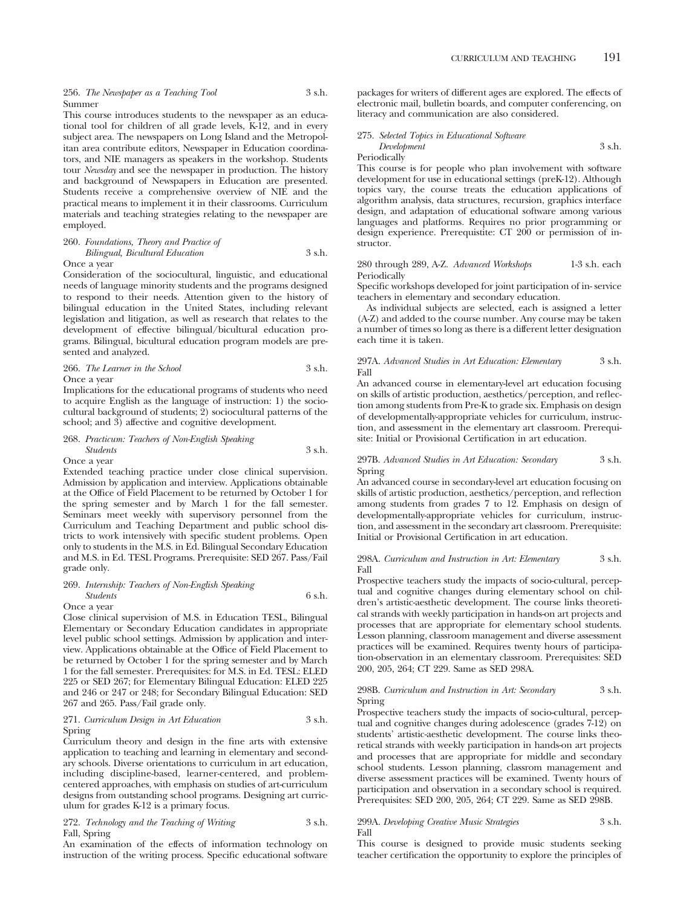256. *The Newspaper as a Teaching Tool* 3 s.h. Summer

This course introduces students to the newspaper as an educational tool for children of all grade levels, K-12, and in every subject area. The newspapers on Long Island and the Metropolitan area contribute editors, Newspaper in Education coordinators, and NIE managers as speakers in the workshop. Students tour *Newsday* and see the newspaper in production. The history and background of Newspapers in Education are presented. Students receive a comprehensive overview of NIE and the practical means to implement it in their classrooms. Curriculum materials and teaching strategies relating to the newspaper are employed.

260. *Foundations, Theory and Practice of Bilingual, Bicultural Education* 3 s.h.

### Once a year

Consideration of the sociocultural, linguistic, and educational needs of language minority students and the programs designed to respond to their needs. Attention given to the history of bilingual education in the United States, including relevant legislation and litigation, as well as research that relates to the development of effective bilingual/bicultural education programs. Bilingual, bicultural education program models are presented and analyzed.

266. *The Learner in the School* 3 s.h. Once a year

Implications for the educational programs of students who need to acquire English as the language of instruction: 1) the sociocultural background of students; 2) sociocultural patterns of the school; and 3) affective and cognitive development.

### 268. *Practicum: Teachers of Non-English Speaking Students* 3 s.h. Once a year

Extended teaching practice under close clinical supervision. Admission by application and interview. Applications obtainable at the Office of Field Placement to be returned by October 1 for the spring semester and by March 1 for the fall semester. Seminars meet weekly with supervisory personnel from the Curriculum and Teaching Department and public school districts to work intensively with specific student problems. Open only to students in the M.S. in Ed. Bilingual Secondary Education and M.S. in Ed. TESL Programs. Prerequisite: SED 267. Pass/Fail grade only.

## 269. *Internship: Teachers of Non-English Speaking Students* 6 s.h.

### Once a year

Close clinical supervision of M.S. in Education TESL, Bilingual Elementary or Secondary Education candidates in appropriate level public school settings. Admission by application and interview. Applications obtainable at the Office of Field Placement to be returned by October 1 for the spring semester and by March 1 for the fall semester. Prerequisites: for M.S. in Ed. TESL: ELED 225 or SED 267; for Elementary Bilingual Education: ELED 225 and 246 or 247 or 248; for Secondary Bilingual Education: SED 267 and 265. Pass/Fail grade only.

### 271. *Curriculum Design in Art Education* 3 s.h. Spring

Curriculum theory and design in the fine arts with extensive application to teaching and learning in elementary and secondary schools. Diverse orientations to curriculum in art education, including discipline-based, learner-centered, and problemcentered approaches, with emphasis on studies of art-curriculum designs from outstanding school programs. Designing art curriculum for grades K-12 is a primary focus.

272. *Technology and the Teaching of Writing* 3 s.h. Fall, Spring

An examination of the effects of information technology on instruction of the writing process. Specific educational software packages for writers of different ages are explored. The effects of electronic mail, bulletin boards, and computer conferencing, on literacy and communication are also considered.

### 275. *Selected Topics in Educational Software Development* 3 s.h. Periodically

This course is for people who plan involvement with software development for use in educational settings (preK-12). Although topics vary, the course treats the education applications of algorithm analysis, data structures, recursion, graphics interface design, and adaptation of educational software among various languages and platforms. Requires no prior programming or design experience. Prerequistite: CT 200 or permission of instructor.

280 through 289, A-Z. *Advanced Workshops* 1-3 s.h. each Periodically

Specific workshops developed for joint participation of in- service teachers in elementary and secondary education.

As individual subjects are selected, each is assigned a letter (A-Z) and added to the course number. Any course may be taken a number of times so long as there is a different letter designation each time it is taken.

### 297A. *Advanced Studies in Art Education: Elementary* 3 s.h. Fall

An advanced course in elementary-level art education focusing on skills of artistic production, aesthetics/perception, and reflection among students from Pre-K to grade six. Emphasis on design of developmentally-appropriate vehicles for curriculum, instruction, and assessment in the elementary art classroom. Prerequisite: Initial or Provisional Certification in art education.

### 297B. *Advanced Studies in Art Education: Secondary* 3 s.h. Spring

An advanced course in secondary-level art education focusing on skills of artistic production, aesthetics/perception, and reflection among students from grades 7 to 12. Emphasis on design of developmentally-appropriate vehicles for curriculum, instruction, and assessment in the secondary art classroom. Prerequisite: Initial or Provisional Certification in art education.

### 298A. *Curriculum and Instruction in Art: Elementary* 3 s.h. Fall

Prospective teachers study the impacts of socio-cultural, perceptual and cognitive changes during elementary school on children's artistic-aesthetic development. The course links theoretical strands with weekly participation in hands-on art projects and processes that are appropriate for elementary school students. Lesson planning, classroom management and diverse assessment practices will be examined. Requires twenty hours of participation-observation in an elementary classroom. Prerequisites: SED 200, 205, 264; CT 229. Same as SED 298A.

## 298B. *Curriculum and Instruction in Art: Secondary* 3 s.h. Spring

Prospective teachers study the impacts of socio-cultural, perceptual and cognitive changes during adolescence (grades 7-12) on students' artistic-aesthetic development. The course links theoretical strands with weekly participation in hands-on art projects and processes that are appropriate for middle and secondary school students. Lesson planning, classrom management and diverse assessment practices will be examined. Twenty hours of participation and observation in a secondary school is required. Prerequisites: SED 200, 205, 264; CT 229. Same as SED 298B.

### 299A. *Developing Creative Music Strategies* 3 s.h. Fall

This course is designed to provide music students seeking teacher certification the opportunity to explore the principles of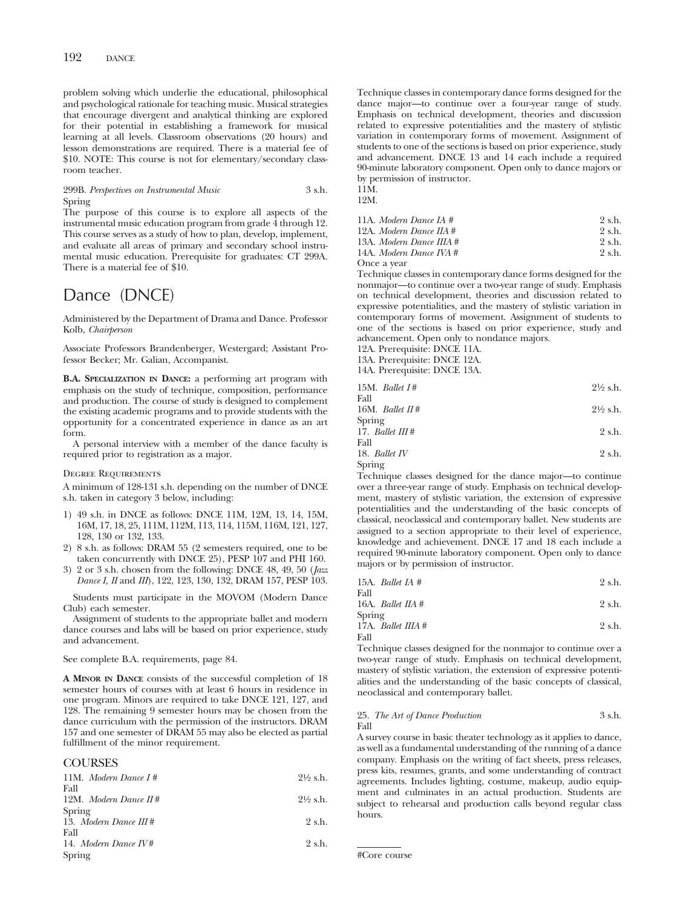problem solving which underlie the educational, philosophical and psychological rationale for teaching music. Musical strategies that encourage divergent and analytical thinking are explored for their potential in establishing a framework for musical learning at all levels. Classroom observations (20 hours) and lesson demonstrations are required. There is a material fee of \$10. NOTE: This course is not for elementary/secondary classroom teacher.

### 299B. *Perspectives on Instrumental Music* 3 s.h. Spring

The purpose of this course is to explore all aspects of the instrumental music education program from grade 4 through 12. This course serves as a study of how to plan, develop, implement, and evaluate all areas of primary and secondary school instrumental music education. Prerequisite for graduates: CT 299A. There is a material fee of \$10.

# Dance (DNCE)

Administered by the Department of Drama and Dance. Professor Kolb, *Chairperson*

Associate Professors Brandenberger, Westergard; Assistant Professor Becker; Mr. Galian, Accompanist.

**B.A. SPECIALIZATION IN DANCE:** a performing art program with emphasis on the study of technique, composition, performance and production. The course of study is designed to complement the existing academic programs and to provide students with the opportunity for a concentrated experience in dance as an art form.

A personal interview with a member of the dance faculty is required prior to registration as a major.

#### Degree Requirements

A minimum of 128-131 s.h. depending on the number of DNCE s.h. taken in category 3 below, including:

- 1) 49 s.h. in DNCE as follows: DNCE 11M, 12M, 13, 14, 15M, 16M, 17, 18, 25, 111M, 112M, 113, 114, 115M, 116M, 121, 127, 128, 130 or 132, 133.
- 2) 8 s.h. as follows: DRAM 55 (2 semesters required, one to be taken concurrently with DNCE 25), PESP 107 and PHI 160.
- 3) 2 or 3 s.h. chosen from the following: DNCE 48, 49, 50 (*Jazz Dance I, II* and *III*), 122, 123, 130, 132, DRAM 157, PESP 103.

Students must participate in the MOVOM (Modern Dance Club) each semester.

Assignment of students to the appropriate ballet and modern dance courses and labs will be based on prior experience, study and advancement.

See complete B.A. requirements, page 84.

**A MINOR IN DANCE** consists of the successful completion of 18 semester hours of courses with at least 6 hours in residence in one program. Minors are required to take DNCE 121, 127, and 128. The remaining 9 semester hours may be chosen from the dance curriculum with the permission of the instructors. DRAM 157 and one semester of DRAM 55 may also be elected as partial fulfillment of the minor requirement.

# **COURSES**

| 11M. Modern Dance $I#$  | $2\frac{1}{2}$ s.h. |
|-------------------------|---------------------|
| Fall                    |                     |
| 12M. Modern Dance $H#$  | $2\frac{1}{2}$ s.h. |
| Spring                  |                     |
| 13. Modern Dance III#   | 2 s.h.              |
| Fall                    |                     |
| 14. Modern Dance $I V#$ | 2 s.h.              |
| Spring                  |                     |

Technique classes in contemporary dance forms designed for the dance major—to continue over a four-year range of study. Emphasis on technical development, theories and discussion related to expressive potentialities and the mastery of stylistic variation in contemporary forms of movement. Assignment of students to one of the sections is based on prior experience, study and advancement. DNCE 13 and 14 each include a required 90-minute laboratory component. Open only to dance majors or by permission of instructor.

11M. 12M.

| 11A. Modern Dance IA $#$   | 2 s.h. |
|----------------------------|--------|
| 12A. Modern Dance IIA #    | 2 s.h. |
| 13A. Modern Dance IIIA $#$ | 2 s.h. |
| 14A. Modern Dance IVA $#$  | 2 s.h. |
| Once a vear                |        |

Technique classes in contemporary dance forms designed for the nonmajor—to continue over a two-year range of study. Emphasis on technical development, theories and discussion related to expressive potentialities, and the mastery of stylistic variation in contemporary forms of movement. Assignment of students to one of the sections is based on prior experience, study and advancement. Open only to nondance majors.

12A. Prerequisite: DNCE 11A. 13A. Prerequisite: DNCE 12A.

14A. Prerequisite: DNCE 13A.

|             | 15M. Ballet $I#$ | $2\frac{1}{2}$ s.h. |
|-------------|------------------|---------------------|
| $E \sim 11$ |                  |                     |

| r an             |                     |
|------------------|---------------------|
| 16M. Ballet $H#$ | $2\frac{1}{2}$ s.h. |
| Spring           |                     |

$$
17. \text{ Ballet III} \#
$$
 2 s.h.  $2 \text{ s.h.}$ 

18. *Ballet IV* 2 s.h. Spring

Technique classes designed for the dance major—to continue over a three-year range of study. Emphasis on technical development, mastery of stylistic variation, the extension of expressive potentialities and the understanding of the basic concepts of classical, neoclassical and contemporary ballet. New students are assigned to a section appropriate to their level of experience, knowledge and achievement. DNCE 17 and 18 each include a required 90-minute laboratory component. Open only to dance majors or by permission of instructor.

|      | 15A. <i>Ballet IA</i> $#$    | 2 s.h. |
|------|------------------------------|--------|
| Fall |                              |        |
|      | 16A. Ballet $\textit{IIA}$ # | 2 s.h. |

| Spring               |        |
|----------------------|--------|
| 17A. Ballet IIIA $#$ | 2 s.h. |
| Fall                 |        |

Technique classes designed for the nonmajor to continue over a two-year range of study. Emphasis on technical development, mastery of stylistic variation, the extension of expressive potentialities and the understanding of the basic concepts of classical, neoclassical and contemporary ballet.

#### 25. *The Art of Dance Production* 3 s.h. Fall

A survey course in basic theater technology as it applies to dance, as well as a fundamental understanding of the running of a dance company. Emphasis on the writing of fact sheets, press releases, press kits, resumes, grants, and some understanding of contract agreements. Includes lighting, costume, makeup, audio equipment and culminates in an actual production. Students are subject to rehearsal and production calls beyond regular class hours.

#Core course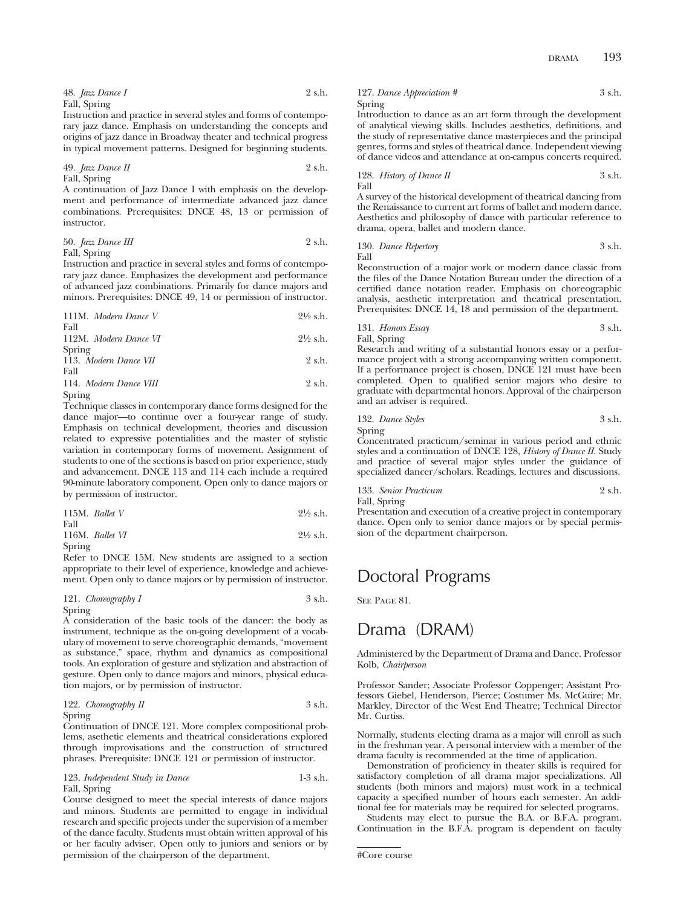Instruction and practice in several styles and forms of contemporary jazz dance. Emphasis on understanding the concepts and origins of jazz dance in Broadway theater and technical progress in typical movement patterns. Designed for beginning students.

49. *Jazz Dance II* 2 s.h. Fall, Spring

A continuation of Jazz Dance I with emphasis on the development and performance of intermediate advanced jazz dance combinations. Prerequisites: DNCE 48, 13 or permission of instructor.

50. *Jazz Dance III* 2 s.h. Fall, Spring

Instruction and practice in several styles and forms of contemporary jazz dance. Emphasizes the development and performance of advanced jazz combinations. Primarily for dance majors and minors. Prerequisites: DNCE 49, 14 or permission of instructor.

| 111M. Modern Dance V   | $2\frac{1}{2}$ s.h. |
|------------------------|---------------------|
| Fall                   |                     |
| 112M. Modern Dance VI  | $2\frac{1}{2}$ s.h. |
| Spring                 |                     |
| 113. Modern Dance VII  | 2 s.h.              |
| Fall                   |                     |
| 114. Modern Dance VIII | 2 s.h.              |
| Spring                 |                     |

Technique classes in contemporary dance forms designed for the dance major—to continue over a four-year range of study. Emphasis on technical development, theories and discussion related to expressive potentialities and the master of stylistic variation in contemporary forms of movement. Assignment of students to one of the sections is based on prior experience, study and advancement. DNCE 113 and 114 each include a required 90-minute laboratory component. Open only to dance majors or by permission of instructor.

|      | 115M. Ballet $V$ | $2\frac{1}{2}$ s.h. |
|------|------------------|---------------------|
| Fall |                  |                     |

| 116M. Ballet $VI$ | $2\frac{1}{2}$ s.h. |
|-------------------|---------------------|
| Spring            |                     |

Refer to DNCE 15M. New students are assigned to a section appropriate to their level of experience, knowledge and achievement. Open only to dance majors or by permission of instructor.

## 121. *Choreography I* 3 s.h. Spring

A consideration of the basic tools of the dancer: the body as instrument, technique as the on-going development of a vocabulary of movement to serve choreographic demands, "movement as substance," space, rhythm and dynamics as compositional tools. An exploration of gesture and stylization and abstraction of gesture. Open only to dance majors and minors, physical education majors, or by permission of instructor.

122. *Choreography II* 3 s.h. Spring

Continuation of DNCE 121. More complex compositional problems, asethetic elements and theatrical considerations explored through improvisations and the construction of structured phrases. Prerequisite: DNCE 121 or permission of instructor.

123. *Independent Study in Dance* 1-3 s.h. Fall, Spring

Course designed to meet the special interests of dance majors and minors. Students are permitted to engage in individual research and specific projects under the supervision of a member of the dance faculty. Students must obtain written approval of his or her faculty adviser. Open only to juniors and seniors or by permission of the chairperson of the department.

127. *Dance Appreciation #* 3 s.h. Spring

Introduction to dance as an art form through the development of analytical viewing skills. Includes aesthetics, definitions, and the study of representative dance masterpieces and the principal genres, forms and styles of theatrical dance. Independent viewing of dance videos and attendance at on-campus concerts required.

128. *History of Dance II* 
$$
3 \, \text{sh.}
$$
  $3 \, \text{sh.}$ 

A survey of the historical development of theatrical dancing from the Renaissance to current art forms of ballet and modern dance. Aesthetics and philosophy of dance with particular reference to drama, opera, ballet and modern dance.

130. *Dance Repertory* 3 s.h. Fall

Reconstruction of a major work or modern dance classic from the files of the Dance Notation Bureau under the direction of a certified dance notation reader. Emphasis on choreographic analysis, aesthetic interpretation and theatrical presentation. Prerequisites: DNCE 14, 18 and permission of the department.

131. *Honors Essay* 3 s.h. Fall, Spring

Research and writing of a substantial honors essay or a performance project with a strong accompanying written component. If a performance project is chosen, DNCE 121 must have been completed. Open to qualified senior majors who desire to graduate with departmental honors. Approval of the chairperson and an adviser is required.

132. *Dance Styles* 3 s.h.

Spring Concentrated practicum/seminar in various period and ethnic styles and a continuation of DNCE 128, *History of Dance II.* Study and practice of several major styles under the guidance of specialized dancer/scholars. Readings, lectures and discussions.

```
133. Senior Practicum 2 s.h.
Fall, Spring
```
Presentation and execution of a creative project in contemporary dance. Open only to senior dance majors or by special permission of the department chairperson.

# Doctoral Programs

SEE PAGE 81.

# Drama (DRAM)

## Administered by the Department of Drama and Dance. Professor Kolb, *Chairperson*

Professor Sander; Associate Professor Coppenger; Assistant Professors Giebel, Henderson, Pierce; Costumer Ms. McGuire; Mr. Markley, Director of the West End Theatre; Technical Director Mr. Curtiss.

Normally, students electing drama as a major will enroll as such in the freshman year. A personal interview with a member of the drama faculty is recommended at the time of application.

Demonstration of proficiency in theater skills is required for satisfactory completion of all drama major specializations. All students (both minors and majors) must work in a technical capacity a specified number of hours each semester. An additional fee for materials may be required for selected programs.

Students may elect to pursue the B.A. or B.F.A. program. Continuation in the B.F.A. program is dependent on faculty

<sup>#</sup>Core course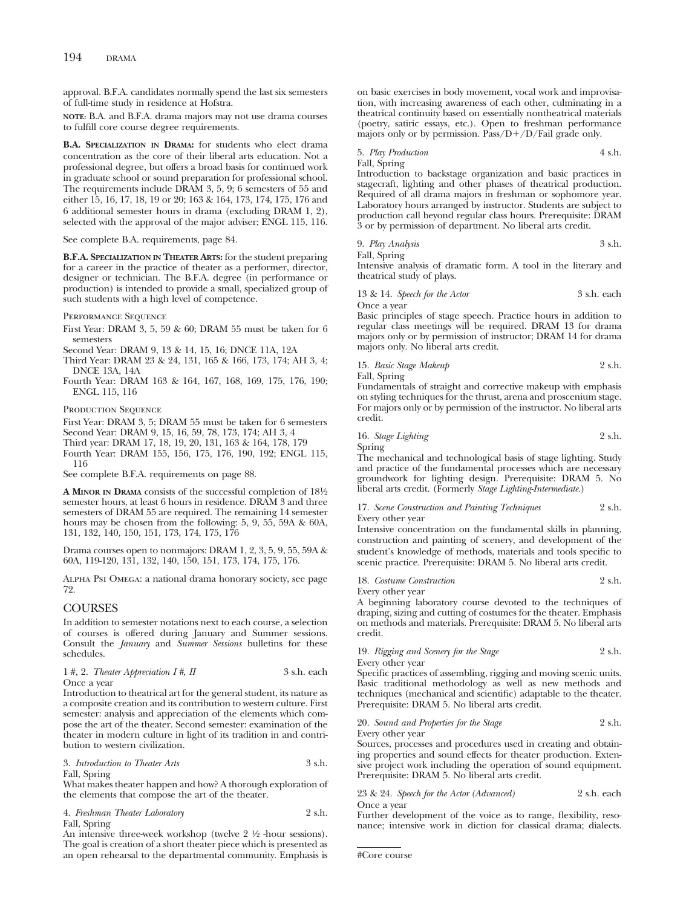## 194 DRAMA

approval. B.F.A. candidates normally spend the last six semesters of full-time study in residence at Hofstra.

**NOTE:** B.A. and B.F.A. drama majors may not use drama courses to fulfill core course degree requirements.

**B.A. SPECIALIZATION IN DRAMA:** for students who elect drama concentration as the core of their liberal arts education. Not a professional degree, but offers a broad basis for continued work in graduate school or sound preparation for professional school. The requirements include DRAM 3, 5, 9; 6 semesters of 55 and either 15, 16, 17, 18, 19 or 20; 163 & 164, 173, 174, 175, 176 and 6 additional semester hours in drama (excluding DRAM 1, 2), selected with the approval of the major adviser; ENGL 115, 116.

See complete B.A. requirements, page 84.

**B.F.A. SPECIALIZATION IN THEATER ARTS:** for the student preparing for a career in the practice of theater as a performer, director, designer or technician. The B.F.A. degree (in performance or production) is intended to provide a small, specialized group of such students with a high level of competence.

PERFORMANCE SEQUENCE

First Year: DRAM 3, 5, 59 & 60; DRAM 55 must be taken for 6 semesters

Second Year: DRAM 9, 13 & 14, 15, 16; DNCE 11A, 12A

Third Year: DRAM 23 & 24, 131, 165 & 166, 173, 174; AH 3, 4; DNCE 13A, 14A

Fourth Year: DRAM 163 & 164, 167, 168, 169, 175, 176, 190; ENGL 115, 116

PRODUCTION SEQUENCE

First Year: DRAM 3, 5; DRAM 55 must be taken for 6 semesters

Second Year: DRAM 9, 15, 16, 59, 78, 173, 174; AH 3, 4

Third year: DRAM 17, 18, 19, 20, 131, 163 & 164, 178, 179 Fourth Year: DRAM 155, 156, 175, 176, 190, 192; ENGL 115, 116

See complete B.F.A. requirements on page 88.

**A MINOR IN DRAMA** consists of the successful completion of 181⁄2 semester hours, at least 6 hours in residence. DRAM 3 and three semesters of DRAM 55 are required. The remaining 14 semester hours may be chosen from the following: 5, 9, 55, 59A & 60A, 131, 132, 140, 150, 151, 173, 174, 175, 176

Drama courses open to nonmajors: DRAM 1, 2, 3, 5, 9, 55, 59A & 60A, 119-120, 131, 132, 140, 150, 151, 173, 174, 175, 176.

Alpha Psi Omega: a national drama honorary society, see page 72.

## **COURSES**

In addition to semester notations next to each course, a selection of courses is offered during January and Summer sessions. Consult the *January* and *Summer Sessions* bulletins for these schedules.

1 #, 2. *Theater Appreciation I* #, *II* 3 s.h. each Once a year

Introduction to theatrical art for the general student, its nature as a composite creation and its contribution to western culture. First semester: analysis and appreciation of the elements which compose the art of the theater. Second semester: examination of the theater in modern culture in light of its tradition in and contribution to western civilization.

3. *Introduction to Theater Arts* 3 s.h. Fall, Spring

What makes theater happen and how? A thorough exploration of the elements that compose the art of the theater.

4. *Freshman Theater Laboratory* 2 s.h. Fall, Spring

An intensive three-week workshop (twelve  $2\frac{1}{2}$  -hour sessions). The goal is creation of a short theater piece which is presented as an open rehearsal to the departmental community. Emphasis is on basic exercises in body movement, vocal work and improvisation, with increasing awareness of each other, culminating in a theatrical continuity based on essentially nontheatrical materials (poetry, satiric essays, etc.). Open to freshman performance majors only or by permission. Pass/D+/D/Fail grade only.

5. *Play Production* 4 s.h. Fall, Spring Introduction to backstage organization and basic practices in stagecraft, lighting and other phases of theatrical production. Required of all drama majors in freshman or sophomore year.

Laboratory hours arranged by instructor. Students are subject to production call beyond regular class hours. Prerequisite: DRAM 3 or by permission of department. No liberal arts credit.

9. *Play Analysis* 3 s.h. Fall, Spring

Intensive analysis of dramatic form. A tool in the literary and theatrical study of plays.

13 & 14. *Speech for the Actor* 3 s.h. each Once a year

Basic principles of stage speech. Practice hours in addition to regular class meetings will be required. DRAM 13 for drama majors only or by permission of instructor; DRAM 14 for drama majors only. No liberal arts credit.

15. *Basic Stage Makeup* 2 s.h.

Fall, Spring

Fundamentals of straight and corrective makeup with emphasis on styling techniques for the thrust, arena and proscenium stage. For majors only or by permission of the instructor. No liberal arts credit.

16. *Stage Lighting* 2 s.h. Spring

The mechanical and technological basis of stage lighting. Study and practice of the fundamental processes which are necessary groundwork for lighting design. Prerequisite: DRAM 5. No liberal arts credit. (Formerly *Stage Lighting-Intermediate.*)

17. *Scene Construction and Painting Techniques* 2 s.h. Every other year

Intensive concentration on the fundamental skills in planning, construction and painting of scenery, and development of the student's knowledge of methods, materials and tools specific to scenic practice. Prerequisite: DRAM 5. No liberal arts credit.

18. *Costume Construction* 2 s.h.

Every other year A beginning laboratory course devoted to the techniques of draping, sizing and cutting of costumes for the theater. Emphasis on methods and materials. Prerequisite: DRAM 5. No liberal arts credit.

19. *Rigging and Scenery for the Stage* 2 s.h.

Every other year

Specific practices of assembling, rigging and moving scenic units. Basic traditional methodology as well as new methods and techniques (mechanical and scientific) adaptable to the theater. Prerequisite: DRAM 5. No liberal arts credit.

20. *Sound and Properties for the Stage* 2 s.h. Every other year

Sources, processes and procedures used in creating and obtaining properties and sound effects for theater production. Extensive project work including the operation of sound equipment. Prerequisite: DRAM 5. No liberal arts credit.

23 & 24. *Speech for the Actor (Advanced)* 2 s.h. each Once a year

Further development of the voice as to range, flexibility, resonance; intensive work in diction for classical drama; dialects.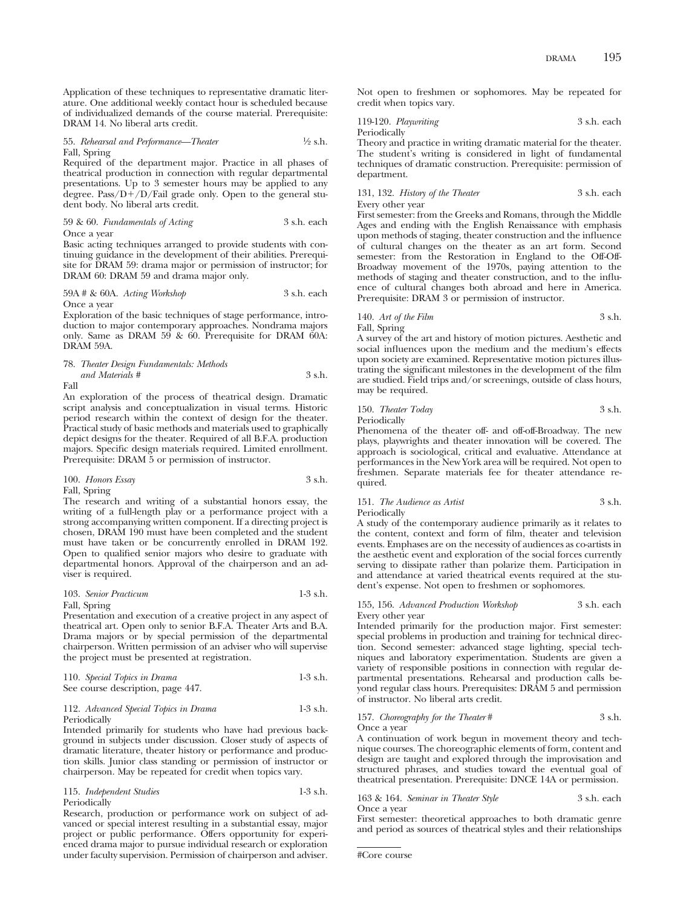Application of these techniques to representative dramatic literature. One additional weekly contact hour is scheduled because of individualized demands of the course material. Prerequisite: DRAM 14. No liberal arts credit.

## 55. *Rehearsal and Performance—Theater* 1/2 s.h. Fall, Spring

Required of the department major. Practice in all phases of theatrical production in connection with regular departmental presentations. Up to 3 semester hours may be applied to any degree. Pass/D+/D/Fail grade only. Open to the general student body. No liberal arts credit.

### 59 & 60. *Fundamentals of Acting* 3 s.h. each Once a year

Basic acting techniques arranged to provide students with continuing guidance in the development of their abilities. Prerequisite for DRAM 59: drama major or permission of instructor; for DRAM 60: DRAM 59 and drama major only.

### 59A # & 60A. *Acting Workshop* 3 s.h. each Once a year

Exploration of the basic techniques of stage performance, introduction to major contemporary approaches. Nondrama majors only. Same as DRAM 59 & 60. Prerequisite for DRAM 60A: DRAM 59A.

### 78. *Theater Design Fundamentals: Methods and Materials #* 3 s.h. Fall

An exploration of the process of theatrical design. Dramatic script analysis and conceptualization in visual terms. Historic period research within the context of design for the theater. Practical study of basic methods and materials used to graphically depict designs for the theater. Required of all B.F.A. production majors. Specific design materials required. Limited enrollment. Prerequisite: DRAM 5 or permission of instructor.

## 100. *Honors Essay* 3 s.h. Fall, Spring

The research and writing of a substantial honors essay, the writing of a full-length play or a performance project with a strong accompanying written component. If a directing project is chosen, DRAM 190 must have been completed and the student must have taken or be concurrently enrolled in DRAM 192. Open to qualified senior majors who desire to graduate with departmental honors. Approval of the chairperson and an adviser is required.

# 103. *Senior Practicum* 1-3 s.h.

# Fall, Spring

Presentation and execution of a creative project in any aspect of theatrical art. Open only to senior B.F.A. Theater Arts and B.A. Drama majors or by special permission of the departmental chairperson. Written permission of an adviser who will supervise the project must be presented at registration.

| 110. Special Topics in Drama      | $1-3$ s.h. |
|-----------------------------------|------------|
| See course description, page 447. |            |

## 112. *Advanced Special Topics in Drama* 1-3 s.h. Periodically

Intended primarily for students who have had previous background in subjects under discussion. Closer study of aspects of dramatic literature, theater history or performance and production skills. Junior class standing or permission of instructor or chairperson. May be repeated for credit when topics vary.

| 115. Independent Studies | $1-3$ s.h. |
|--------------------------|------------|
| Periodically             |            |

Research, production or performance work on subject of advanced or special interest resulting in a substantial essay, major project or public performance. Offers opportunity for experienced drama major to pursue individual research or exploration under faculty supervision. Permission of chairperson and adviser. Not open to freshmen or sophomores. May be repeated for credit when topics vary.

119-120. *Playwriting* 3 s.h. each Periodically

Theory and practice in writing dramatic material for the theater. The student's writing is considered in light of fundamental techniques of dramatic construction. Prerequisite: permission of department.

131, 132. *History of the Theater* 3 s.h. each Every other year

First semester: from the Greeks and Romans, through the Middle Ages and ending with the English Renaissance with emphasis upon methods of staging, theater construction and the influence of cultural changes on the theater as an art form. Second semester: from the Restoration in England to the Off-Off-Broadway movement of the 1970s, paying attention to the methods of staging and theater construction, and to the influence of cultural changes both abroad and here in America. Prerequisite: DRAM 3 or permission of instructor.

140. *Art of the Film* 3 s.h. Fall, Spring

A survey of the art and history of motion pictures. Aesthetic and social influences upon the medium and the medium's effects upon society are examined. Representative motion pictures illustrating the significant milestones in the development of the film are studied. Field trips and/or screenings, outside of class hours, may be required.

# 150. *Theater Today* 3 s.h.

Periodically

Phenomena of the theater off- and off-off-Broadway. The new plays, playwrights and theater innovation will be covered. The approach is sociological, critical and evaluative. Attendance at performances in the New York area will be required. Not open to freshmen. Separate materials fee for theater attendance required.

## 151. *The Audience as Artist* 3 s.h. Periodically

A study of the contemporary audience primarily as it relates to the content, context and form of film, theater and television events. Emphases are on the necessity of audiences as co-artists in the aesthetic event and exploration of the social forces currently serving to dissipate rather than polarize them. Participation in and attendance at varied theatrical events required at the student's expense. Not open to freshmen or sophomores.

### 155, 156. *Advanced Production Workshop* 3 s.h. each Every other year

Intended primarily for the production major. First semester: special problems in production and training for technical direction. Second semester: advanced stage lighting, special techniques and laboratory experimentation. Students are given a variety of responsible positions in connection with regular departmental presentations. Rehearsal and production calls beyond regular class hours. Prerequisites: DRAM 5 and permission of instructor. No liberal arts credit.

157. *Choreography for the Theater* # 3 s.h. Once a year

A continuation of work begun in movement theory and technique courses. The choreographic elements of form, content and design are taught and explored through the improvisation and structured phrases, and studies toward the eventual goal of theatrical presentation. Prerequisite: DNCE 14A or permission.

163 & 164. *Seminar in Theater Style* 3 s.h. each Once a year

First semester: theoretical approaches to both dramatic genre and period as sources of theatrical styles and their relationships

#Core course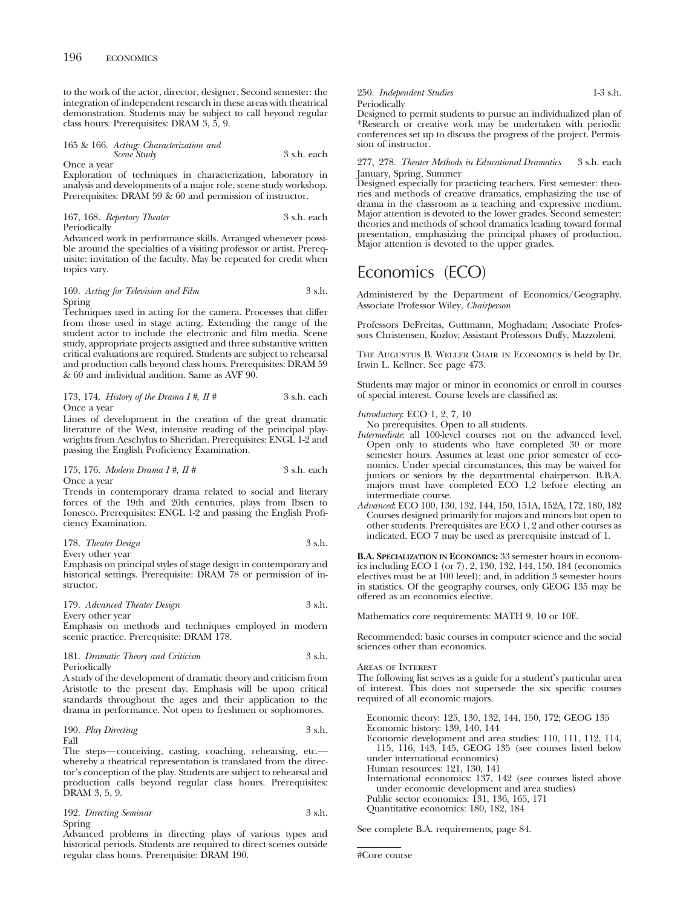to the work of the actor, director, designer. Second semester: the integration of independent research in these areas with theatrical demonstration. Students may be subject to call beyond regular class hours. Prerequisites: DRAM 3, 5, 9.

165 & 166. *Acting: Characterization and Scene Study* 3 s.h. each Once a year

Exploration of techniques in characterization, laboratory in analysis and developments of a major role, scene study workshop. Prerequisites: DRAM 59 & 60 and permission of instructor.

167, 168. *Repertory Theater* 3 s.h. each Periodically

Advanced work in performance skills. Arranged whenever possible around the specialties of a visiting professor or artist. Prerequisite: invitation of the faculty. May be repeated for credit when topics vary.

## 169. *Acting for Television and Film* 3 s.h. Spring

Techniques used in acting for the camera. Processes that differ from those used in stage acting. Extending the range of the student actor to include the electronic and film media. Scene study, appropriate projects assigned and three substantive written critical evaluations are required. Students are subject to rehearsal and production calls beyond class hours. Prerequisites: DRAM 59 & 60 and individual audition. Same as AVF 90.

173, 174. *History of the Drama I* 
$$
\#
$$
, *II*  $\#$  3 s.h. each Once a year

Lines of development in the creation of the great dramatic literature of the West, intensive reading of the principal playwrights from Aeschylus to Sheridan. Prerequisites: ENGL 1-2 and passing the English Proficiency Examination.

## 175, 176. *Modern Drama I #, II #* 3 s.h. each Once a year

Trends in contemporary drama related to social and literary forces of the 19th and 20th centuries, plays from Ibsen to Ionesco. Prerequisites: ENGL 1-2 and passing the English Proficiency Examination.

## 178. *Theater Design* 3 s.h. Every other year

Emphasis on principal styles of stage design in contemporary and historical settings. Prerequisite: DRAM 78 or permission of instructor.

179. *Advanced Theater Design* 3 s.h. Every other year

Emphasis on methods and techniques employed in modern scenic practice. Prerequisite: DRAM 178.

181. *Dramatic Theory and Criticism* 3 s.h. Periodically

A study of the development of dramatic theory and criticism from Aristotle to the present day. Emphasis will be upon critical standards throughout the ages and their application to the drama in performance. Not open to freshmen or sophomores.

190. *Play Directing* 3 s.h. Fall

The steps—conceiving, casting, coaching, rehearsing, etc. whereby a theatrical representation is translated from the director's conception of the play. Students are subject to rehearsal and production calls beyond regular class hours. Prerequisites: DRAM 3, 5, 9.

192. *Directing Seminar* 3 s.h. Spring

Advanced problems in directing plays of various types and historical periods. Students are required to direct scenes outside regular class hours. Prerequisite: DRAM 190.

250. *Independent Studies* 1-3 s.h. Periodically Designed to permit students to pursue an individualized plan of \*Research or creative work may be undertaken with periodic

conferences set up to discuss the progress of the project. Permission of instructor.

## 277, 278. *Theater Methods in Educational Dramatics* 3 s.h. each January, Spring, Summer

Designed especially for practicing teachers. First semester: theories and methods of creative dramatics, emphasizing the use of drama in the classroom as a teaching and expressive medium. Major attention is devoted to the lower grades. Second semester: theories and methods of school dramatics leading toward formal presentation, emphasizing the principal phases of production. Major attention is devoted to the upper grades.

# Economics (ECO)

Administered by the Department of Economics/Geography. Associate Professor Wiley, *Chairperson*

Professors DeFreitas, Guttmann, Moghadam; Associate Professors Christensen, Kozlov; Assistant Professors Duffy, Mazzoleni.

The Augustus B. Weller Chair in Economics is held by Dr. Irwin L. Kellner. See page 473.

Students may major or minor in economics or enroll in courses of special interest. Course levels are classified as:

- *Introductory*: ECO 1, 2, 7, 10
- No prerequisites. Open to all students.
- *Intermediate*: all 100-level courses not on the advanced level. Open only to students who have completed 30 or more semester hours. Assumes at least one prior semester of economics. Under special circumstances, this may be waived for juniors or seniors by the departmental chairperson. B.B.A. majors must have completed ECO 1,2 before electing an intermediate course.
- *Advanced*: ECO 100, 130, 132, 144, 150, 151A, 152A, 172, 180, 182 Courses designed primarily for majors and minors but open to other students. Prerequisites are ECO 1, 2 and other courses as indicated. ECO 7 may be used as prerequisite instead of 1.

**B.A. SPECIALIZATION IN ECONOMICS:** 33 semester hours in economics including ECO 1 (or 7), 2, 130, 132, 144, 150, 184 (economics electives must be at 100 level); and, in addition 3 semester hours in statistics. Of the geography courses, only GEOG 135 may be offered as an economics elective.

Mathematics core requirements: MATH 9, 10 or 10E.

Recommended: basic courses in computer science and the social sciences other than economics.

## Areas of Interest

The following list serves as a guide for a student's particular area of interest. This does not supersede the six specific courses required of all economic majors.

Economic theory: 125, 130, 132, 144, 150, 172; GEOG 135 Economic history: 139, 140, 144 Economic development and area studies: 110, 111, 112, 114, 115, 116, 143, 145, GEOG 135 (see courses listed below under international economics) Human resources: 121, 130, 141 International economics: 137, 142 (see courses listed above under economic development and area studies) Public sector economics: 131, 136, 165, 171 Quantitative economics: 180, 182, 184

See complete B.A. requirements, page 84.

#Core course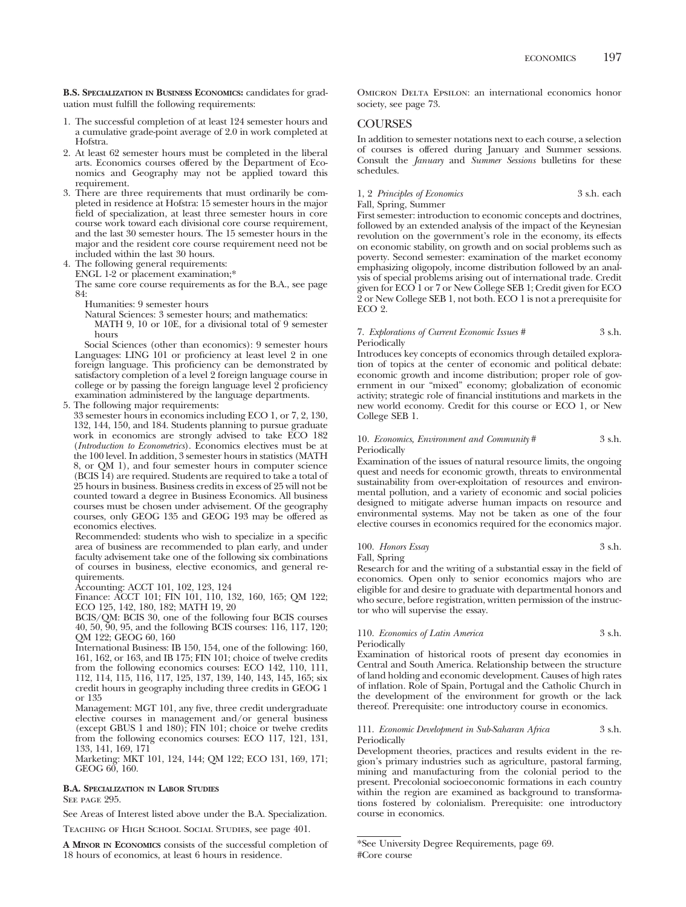**B.S. SPECIALIZATION IN BUSINESS ECONOMICS:** candidates for graduation must fulfill the following requirements:

- 1. The successful completion of at least 124 semester hours and a cumulative grade-point average of 2.0 in work completed at Hofstra.
- 2. At least 62 semester hours must be completed in the liberal arts. Economics courses offered by the Department of Economics and Geography may not be applied toward this requirement.
- 3. There are three requirements that must ordinarily be completed in residence at Hofstra: 15 semester hours in the major field of specialization, at least three semester hours in core course work toward each divisional core course requirement, and the last 30 semester hours. The 15 semester hours in the major and the resident core course requirement need not be included within the last 30 hours.

4. The following general requirements:

ENGL 1-2 or placement examination;\*

The same core course requirements as for the B.A., see page 84:

Humanities: 9 semester hours

Natural Sciences: 3 semester hours; and mathematics:

MATH 9, 10 or 10E, for a divisional total of 9 semester hours

Social Sciences (other than economics): 9 semester hours Languages: LING 101 or proficiency at least level 2 in one foreign language. This proficiency can be demonstrated by satisfactory completion of a level 2 foreign language course in college or by passing the foreign language level 2 proficiency examination administered by the language departments.

5. The following major requirements:

33 semester hours in economics including ECO 1, or 7, 2, 130, 132, 144, 150, and 184. Students planning to pursue graduate work in economics are strongly advised to take ECO 182 (*Introduction to Econometrics*). Economics electives must be at the 100 level. In addition, 3 semester hours in statistics (MATH 8, or QM 1), and four semester hours in computer science (BCIS 14) are required. Students are required to take a total of 25 hours in business. Business credits in excess of 25 will not be counted toward a degree in Business Economics. All business courses must be chosen under advisement. Of the geography courses, only GEOG 135 and GEOG 193 may be offered as economics electives.

Recommended: students who wish to specialize in a specific area of business are recommended to plan early, and under faculty advisement take one of the following six combinations of courses in business, elective economics, and general requirements.

Accounting: ACCT 101, 102, 123, 124

Finance: ACCT 101; FIN 101, 110, 132, 160, 165; QM 122; ECO 125, 142, 180, 182; MATH 19, 20

BCIS/QM: BCIS 30, one of the following four BCIS courses 40, 50, 90, 95, and the following BCIS courses: 116, 117, 120; QM 122; GEOG 60, 160

International Business: IB 150, 154, one of the following: 160, 161, 162, or 163, and IB 175; FIN 101; choice of twelve credits from the following economics courses: ECO 142, 110, 111, 112, 114, 115, 116, 117, 125, 137, 139, 140, 143, 145, 165; six credit hours in geography including three credits in GEOG 1 or 135

Management: MGT 101, any five, three credit undergraduate elective courses in management and/or general business (except GBUS 1 and 180); FIN 101; choice or twelve credits from the following economics courses: ECO 117, 121, 131, 133, 141, 169, 171

Marketing: MKT 101, 124, 144; QM 122; ECO 131, 169, 171; GEOG 60, 160.

### **B.A. SPECIALIZATION IN LABOR STUDIES**

SEE PAGE 995.

See Areas of Interest listed above under the B.A. Specialization.

Teaching of High School Social Studies, see page 401.

**A MINOR IN ECONOMICS** consists of the successful completion of 18 hours of economics, at least 6 hours in residence.

Omicron Delta Epsilon: an international economics honor society, see page 73.

## **COURSES**

In addition to semester notations next to each course, a selection of courses is offered during January and Summer sessions. Consult the *January* and *Summer Sessions* bulletins for these schedules.

## 1, 2 *Principles of Economics* 3 s.h. each

Fall, Spring, Summer

First semester: introduction to economic concepts and doctrines, followed by an extended analysis of the impact of the Keynesian revolution on the government's role in the economy, its effects on economic stability, on growth and on social problems such as poverty. Second semester: examination of the market economy emphasizing oligopoly, income distribution followed by an analysis of special problems arising out of international trade. Credit given for ECO 1 or 7 or New College SEB 1; Credit given for ECO 2 or New College SEB 1, not both. ECO 1 is not a prerequisite for ECO 2.

### 7. *Explorations of Current Economic Issues #* 3 s.h. Periodically

Introduces key concepts of economics through detailed exploration of topics at the center of economic and political debate: economic growth and income distribution; proper role of government in our "mixed" economy; globalization of economic activity; strategic role of financial institutions and markets in the new world economy. Credit for this course or ECO 1, or New College SEB 1.

### 10. *Economics, Environment and Community* # 3 s.h. Periodically

Examination of the issues of natural resource limits, the ongoing quest and needs for economic growth, threats to environmental sustainability from over-exploitation of resources and environmental pollution, and a variety of economic and social policies designed to mitigate adverse human impacts on resource and environmental systems. May not be taken as one of the four elective courses in economics required for the economics major.

## 100. *Honors Essay* 3 s.h. Fall, Spring

Research for and the writing of a substantial essay in the field of economics. Open only to senior economics majors who are eligible for and desire to graduate with departmental honors and who secure, before registration, written permission of the instructor who will supervise the essay.

## 110. *Economics of Latin America* 3 s.h. Periodically

Examination of historical roots of present day economies in Central and South America. Relationship between the structure of land holding and economic development. Causes of high rates of inflation. Role of Spain, Portugal and the Catholic Church in the development of the environment for growth or the lack

thereof. Prerequisite: one introductory course in economics.

### 111. *Economic Development in Sub-Saharan Africa* 3 s.h. Periodically

Development theories, practices and results evident in the region's primary industries such as agriculture, pastoral farming, mining and manufacturing from the colonial period to the present. Precolonial socioeconomic formations in each country within the region are examined as background to transformations fostered by colonialism. Prerequisite: one introductory course in economics.

<sup>\*</sup>See University Degree Requirements, page 69. #Core course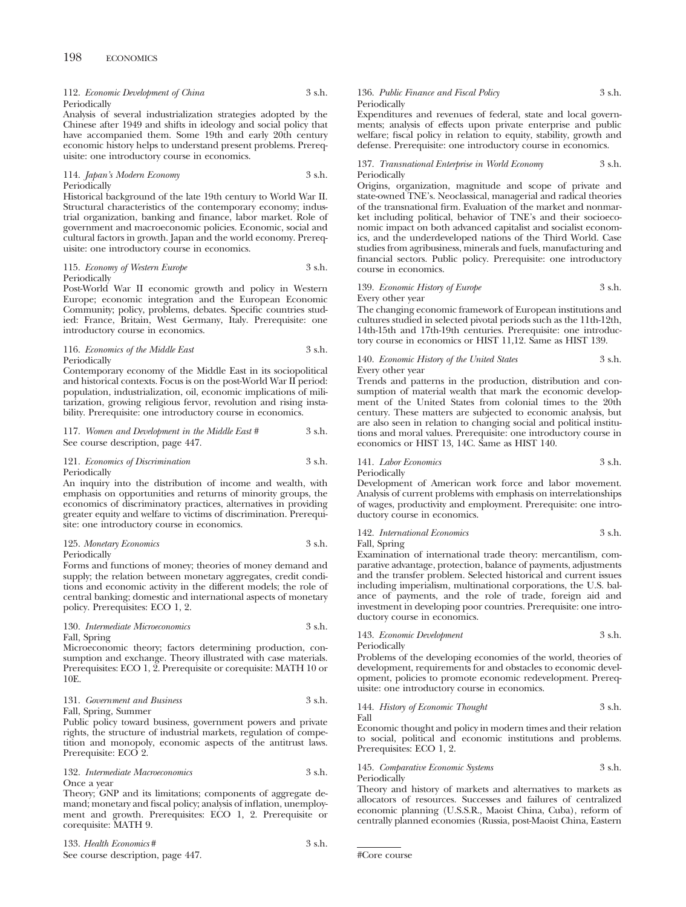112. *Economic Development of China* 3 s.h. Periodically

Analysis of several industrialization strategies adopted by the Chinese after 1949 and shifts in ideology and social policy that have accompanied them. Some 19th and early 20th century economic history helps to understand present problems. Prerequisite: one introductory course in economics.

114. *Japan's Modern Economy* 3 s.h. Periodically

Historical background of the late 19th century to World War II. Structural characteristics of the contemporary economy; industrial organization, banking and finance, labor market. Role of government and macroeconomic policies. Economic, social and cultural factors in growth. Japan and the world economy. Prerequisite: one introductory course in economics.

115. *Economy of Western Europe* 3 s.h. Periodically

Post-World War II economic growth and policy in Western Europe; economic integration and the European Economic Community; policy, problems, debates. Specific countries studied: France, Britain, West Germany, Italy. Prerequisite: one introductory course in economics.

116. *Economics of the Middle East* 3 s.h. Periodically

Contemporary economy of the Middle East in its sociopolitical and historical contexts. Focus is on the post-World War II period: population, industrialization, oil, economic implications of militarization, growing religious fervor, revolution and rising instability. Prerequisite: one introductory course in economics.

117. *Women and Development in the Middle East* # 3 s.h. See course description, page 447.

## 121. *Economics of Discrimination* 3 s.h. Periodically

An inquiry into the distribution of income and wealth, with emphasis on opportunities and returns of minority groups, the economics of discriminatory practices, alternatives in providing greater equity and welfare to victims of discrimination. Prerequisite: one introductory course in economics.

## 125. *Monetary Economics* 3 s.h. Periodically

Forms and functions of money; theories of money demand and supply; the relation between monetary aggregates, credit conditions and economic activity in the different models; the role of central banking; domestic and international aspects of monetary policy. Prerequisites: ECO 1, 2.

### 130. *Intermediate Microeconomics* 3 s.h. Fall, Spring

Microeconomic theory; factors determining production, consumption and exchange. Theory illustrated with case materials. Prerequisites: ECO 1, 2. Prerequisite or corequisite: MATH 10 or 10E.

## 131. *Government and Business* 3 s.h. Fall, Spring, Summer

Public policy toward business, government powers and private rights, the structure of industrial markets, regulation of competition and monopoly, economic aspects of the antitrust laws. Prerequisite: ECO 2.

132. *Intermediate Macroeconomics* 3 s.h. Once a year

Theory; GNP and its limitations; components of aggregate demand; monetary and fiscal policy; analysis of inflation, unemployment and growth. Prerequisites: ECO 1, 2. Prerequisite or corequisite: MATH 9.

133. *Health Economics#* 3 s.h. See course description, page 447.

## 136. *Public Finance and Fiscal Policy* 3 s.h. Periodically

Expenditures and revenues of federal, state and local governments; analysis of effects upon private enterprise and public welfare; fiscal policy in relation to equity, stability, growth and defense. Prerequisite: one introductory course in economics.

### 137. *Transnational Enterprise in World Economy* 3 s.h. Periodically

Origins, organization, magnitude and scope of private and state-owned TNE's. Neoclassical, managerial and radical theories of the transnational firm. Evaluation of the market and nonmarket including political, behavior of TNE's and their socioeconomic impact on both advanced capitalist and socialist economics, and the underdeveloped nations of the Third World. Case studies from agribusiness, minerals and fuels, manufacturing and financial sectors. Public policy. Prerequisite: one introductory course in economics.

## 139. *Economic History of Europe* 3 s.h. Every other year

The changing economic framework of European institutions and cultures studied in selected pivotal periods such as the 11th-12th, 14th-15th and 17th-19th centuries. Prerequisite: one introductory course in economics or HIST 11,12. Same as HIST 139.

## 140. *Economic History of the United States* 3 s.h. Every other year

Trends and patterns in the production, distribution and consumption of material wealth that mark the economic development of the United States from colonial times to the 20th century. These matters are subjected to economic analysis, but are also seen in relation to changing social and political institutions and moral values. Prerequisite: one introductory course in economics or HIST 13, 14C. Same as HIST 140.

# 141. *Labor Economics* 3 s.h.

Periodically

Development of American work force and labor movement. Analysis of current problems with emphasis on interrelationships of wages, productivity and employment. Prerequisite: one introductory course in economics.

### 142. *International Economics* 3 s.h. Fall, Spring

Examination of international trade theory: mercantilism, comparative advantage, protection, balance of payments, adjustments and the transfer problem. Selected historical and current issues including imperialism, multinational corporations, the U.S. balance of payments, and the role of trade, foreign aid and investment in developing poor countries. Prerequisite: one introductory course in economics.

# 143. *Economic Development* 3 s.h.

Periodically

Problems of the developing economies of the world, theories of development, requirements for and obstacles to economic development, policies to promote economic redevelopment. Prerequisite: one introductory course in economics.

# 144. *History of Economic Thought* 3 s.h.

Fall

Economic thought and policy in modern times and their relation to social, political and economic institutions and problems. Prerequisites: ECO 1, 2.

## 145. *Comparative Economic Systems* 3 s.h. Periodically

Theory and history of markets and alternatives to markets as allocators of resources. Successes and failures of centralized economic planning (U.S.S.R., Maoist China, Cuba), reform of centrally planned economies (Russia, post-Maoist China, Eastern

```
#Core course
```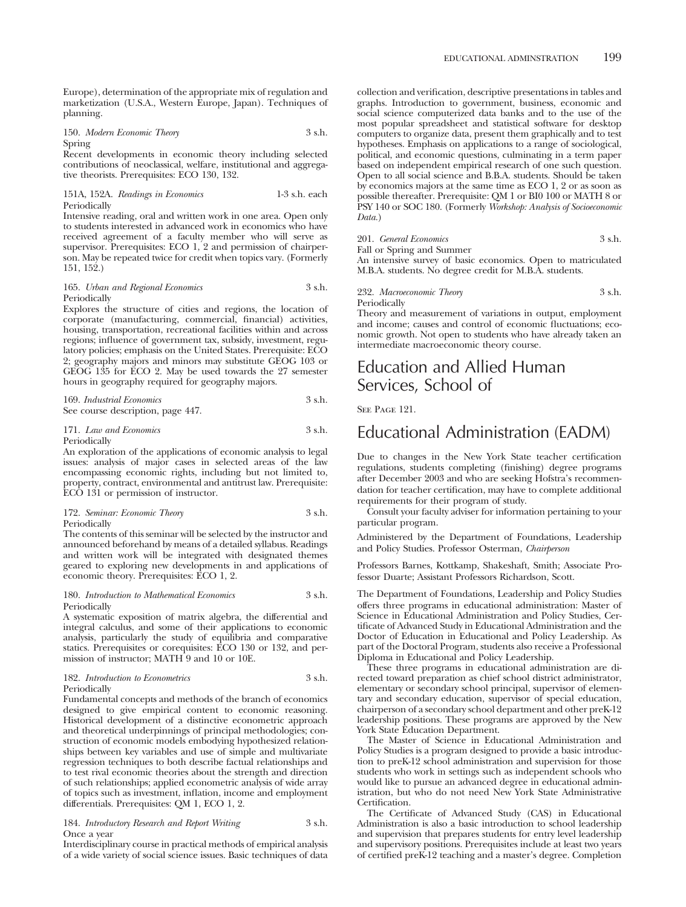Europe), determination of the appropriate mix of regulation and marketization (U.S.A., Western Europe, Japan). Techniques of planning.

150. *Modern Economic Theory* 3 s.h. Spring

Recent developments in economic theory including selected contributions of neoclassical, welfare, institutional and aggregative theorists. Prerequisites: ECO 130, 132.

151A, 152A. *Readings in Economics* 1-3 s.h. each Periodically

Intensive reading, oral and written work in one area. Open only to students interested in advanced work in economics who have received agreement of a faculty member who will serve as supervisor. Prerequisites: ECO 1, 2 and permission of chairperson. May be repeated twice for credit when topics vary. (Formerly 151, 152.)

### 165. *Urban and Regional Economics* 3 s.h. Periodically

Explores the structure of cities and regions, the location of corporate (manufacturing, commercial, financial) activities, housing, transportation, recreational facilities within and across regions; influence of government tax, subsidy, investment, regulatory policies; emphasis on the United States. Prerequisite: ECO 2; geography majors and minors may substitute GEOG 103 or GEOG 135 for ECO 2. May be used towards the 27 semester hours in geography required for geography majors.

| 169. Industrial Economics         | 3 s.h. |
|-----------------------------------|--------|
| See course description, page 447. |        |

## 171. *Law and Economics* 3 s.h. Periodically

An exploration of the applications of economic analysis to legal issues: analysis of major cases in selected areas of the law encompassing economic rights, including but not limited to, property, contract, environmental and antitrust law. Prerequisite: ECO 131 or permission of instructor.

172. *Seminar: Economic Theory* 3 s.h. Periodically

The contents of this seminar will be selected by the instructor and announced beforehand by means of a detailed syllabus. Readings and written work will be integrated with designated themes geared to exploring new developments in and applications of economic theory. Prerequisites: ECO 1, 2.

### 180. *Introduction to Mathematical Economics* 3 s.h. Periodically

A systematic exposition of matrix algebra, the differential and integral calculus, and some of their applications to economic analysis, particularly the study of equilibria and comparative statics. Prerequisites or corequisites: ECO 130 or 132, and permission of instructor; MATH 9 and 10 or 10E.

### 182. *Introduction to Econometrics* 3 s.h. Periodically

Fundamental concepts and methods of the branch of economics designed to give empirical content to economic reasoning. Historical development of a distinctive econometric approach and theoretical underpinnings of principal methodologies; construction of economic models embodying hypothesized relationships between key variables and use of simple and multivariate regression techniques to both describe factual relationships and to test rival economic theories about the strength and direction of such relationships; applied econometric analysis of wide array of topics such as investment, inflation, income and employment differentials. Prerequisites: QM 1, ECO 1, 2.

184. *Introductory Research and Report Writing* 3 s.h. Once a year

Interdisciplinary course in practical methods of empirical analysis of a wide variety of social science issues. Basic techniques of data collection and verification, descriptive presentations in tables and graphs. Introduction to government, business, economic and social science computerized data banks and to the use of the most popular spreadsheet and statistical software for desktop computers to organize data, present them graphically and to test hypotheses. Emphasis on applications to a range of sociological, political, and economic questions, culminating in a term paper based on independent empirical research of one such question. Open to all social science and B.B.A. students. Should be taken by economics majors at the same time as ECO 1, 2 or as soon as possible thereafter. Prerequisite: QM 1 or BI0 100 or MATH 8 or PSY 140 or SOC 180. (Formerly *Workshop: Analysis of Socioeconomic Data.*)

201. *General Economics* 3 s.h.

Fall or Spring and Summer

An intensive survey of basic economics. Open to matriculated M.B.A. students. No degree credit for M.B.A. students.

232. *Macroeconomic Theory* 3 s.h. Periodically

Theory and measurement of variations in output, employment and income; causes and control of economic fluctuations; economic growth. Not open to students who have already taken an intermediate macroeconomic theory course.

# Education and Allied Human Services, School of

SEE PAGE 121.

# Educational Administration (EADM)

Due to changes in the New York State teacher certification regulations, students completing (finishing) degree programs after December 2003 and who are seeking Hofstra's recommendation for teacher certification, may have to complete additional requirements for their program of study.

Consult your faculty adviser for information pertaining to your particular program.

Administered by the Department of Foundations, Leadership and Policy Studies. Professor Osterman, *Chairperson*

Professors Barnes, Kottkamp, Shakeshaft, Smith; Associate Professor Duarte; Assistant Professors Richardson, Scott.

The Department of Foundations, Leadership and Policy Studies offers three programs in educational administration: Master of Science in Educational Administration and Policy Studies, Certificate of Advanced Study in Educational Administration and the Doctor of Education in Educational and Policy Leadership. As part of the Doctoral Program, students also receive a Professional Diploma in Educational and Policy Leadership.

These three programs in educational administration are directed toward preparation as chief school district administrator, elementary or secondary school principal, supervisor of elementary and secondary education, supervisor of special education, chairperson of a secondary school department and other preK-12 leadership positions. These programs are approved by the New York State Education Department.

The Master of Science in Educational Administration and Policy Studies is a program designed to provide a basic introduction to preK-12 school administration and supervision for those students who work in settings such as independent schools who would like to pursue an advanced degree in educational administration, but who do not need New York State Administrative Certification.

The Certificate of Advanced Study (CAS) in Educational Administration is also a basic introduction to school leadership and supervision that prepares students for entry level leadership and supervisory positions. Prerequisites include at least two years of certified preK-12 teaching and a master's degree. Completion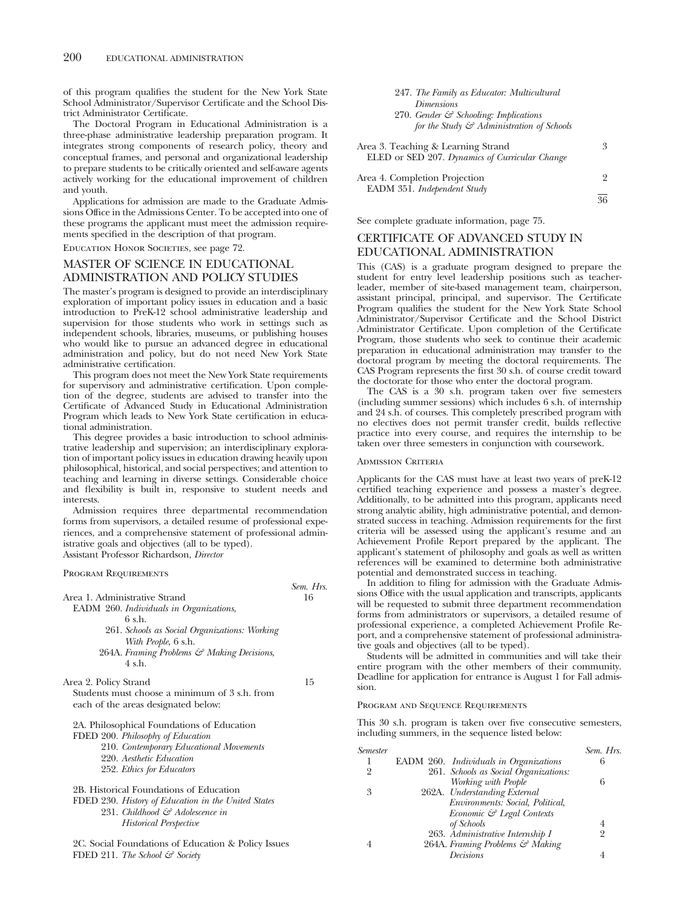of this program qualifies the student for the New York State School Administrator/Supervisor Certificate and the School District Administrator Certificate.

The Doctoral Program in Educational Administration is a three-phase administrative leadership preparation program. It integrates strong components of research policy, theory and conceptual frames, and personal and organizational leadership to prepare students to be critically oriented and self-aware agents actively working for the educational improvement of children and youth.

Applications for admission are made to the Graduate Admissions Office in the Admissions Center. To be accepted into one of these programs the applicant must meet the admission requirements specified in the description of that program.

Education Honor Societies, see page 72.

# MASTER OF SCIENCE IN EDUCATIONAL ADMINISTRATION AND POLICY STUDIES

The master's program is designed to provide an interdisciplinary exploration of important policy issues in education and a basic introduction to PreK-12 school administrative leadership and supervision for those students who work in settings such as independent schools, libraries, museums, or publishing houses who would like to pursue an advanced degree in educational administration and policy, but do not need New York State administrative certification.

This program does not meet the New York State requirements for supervisory and administrative certification. Upon completion of the degree, students are advised to transfer into the Certificate of Advanced Study in Educational Administration Program which leads to New York State certification in educational administration.

This degree provides a basic introduction to school administrative leadership and supervision; an interdisciplinary exploration of important policy issues in education drawing heavily upon philosophical, historical, and social perspectives; and attention to teaching and learning in diverse settings. Considerable choice and flexibility is built in, responsive to student needs and interests.

Admission requires three departmental recommendation forms from supervisors, a detailed resume of professional experiences, and a comprehensive statement of professional administrative goals and objectives (all to be typed). Assistant Professor Richardson, *Director*

Program Requirements

| Area 1. Administrative Strand                       | 16 |
|-----------------------------------------------------|----|
| EADM 260. Individuals in Organizations,             |    |
| 6sh.                                                |    |
| 261. Schools as Social Organizations: Working       |    |
| With People, 6 s.h.                                 |    |
| 264A. Framing Problems & Making Decisions,          |    |
| $4 \,$ s.h.                                         |    |
|                                                     |    |
| Area 2. Policy Strand                               | 15 |
| Students must choose a minimum of 3 s.h. from       |    |
| each of the areas designated below:                 |    |
|                                                     |    |
| 2A. Philosophical Foundations of Education          |    |
| FDED 200. Philosophy of Education                   |    |
| 210. Contemporary Educational Movements             |    |
| 220. Aesthetic Education                            |    |
| 252. Ethics for Educators                           |    |
|                                                     |    |
| 2B. Historical Foundations of Education             |    |
| FDED 230. History of Education in the United States |    |
| 231. Childhood & Adolescence in                     |    |
| <i>Historical Perspective</i>                       |    |
|                                                     |    |
| 2C. Social Foundations of Education & Policy Issues |    |
| FDED 211. The School $\mathcal{C}$ Society          |    |

| 247. The Family as Educator: Multicultural            |   |
|-------------------------------------------------------|---|
| <i>Dimensions</i>                                     |   |
| 270. Gender $\mathcal{F}$ Schooling: Implications     |   |
| for the Study $\mathcal{F}$ Administration of Schools |   |
|                                                       |   |
| Area 3. Teaching & Learning Strand                    | 3 |
| ELED or SED 207. Dynamics of Curricular Change        |   |
|                                                       |   |
| Area 4. Completion Projection                         | 9 |

36

See complete graduate information, page 75.

EADM 351. *Independent Study*

# CERTIFICATE OF ADVANCED STUDY IN EDUCATIONAL ADMINISTRATION

This (CAS) is a graduate program designed to prepare the student for entry level leadership positions such as teacherleader, member of site-based management team, chairperson, assistant principal, principal, and supervisor. The Certificate Program qualifies the student for the New York State School Administrator/Supervisor Certificate and the School District Administrator Certificate. Upon completion of the Certificate Program, those students who seek to continue their academic preparation in educational administration may transfer to the doctoral program by meeting the doctoral requirements. The CAS Program represents the first 30 s.h. of course credit toward the doctorate for those who enter the doctoral program.

The CAS is a 30 s.h. program taken over five semesters (including summer sessions) which includes 6 s.h. of internship and 24 s.h. of courses. This completely prescribed program with no electives does not permit transfer credit, builds reflective practice into every course, and requires the internship to be taken over three semesters in conjunction with coursework.

## Admission Criteria

*Sem. Hrs.*

Applicants for the CAS must have at least two years of preK-12 certified teaching experience and possess a master's degree. Additionally, to be admitted into this program, applicants need strong analytic ability, high administrative potential, and demonstrated success in teaching. Admission requirements for the first criteria will be assessed using the applicant's resume and an Achievement Profile Report prepared by the applicant. The applicant's statement of philosophy and goals as well as written references will be examined to determine both administrative potential and demonstrated success in teaching.

In addition to filing for admission with the Graduate Admissions Office with the usual application and transcripts, applicants will be requested to submit three department recommendation forms from administrators or supervisors, a detailed resume of professional experience, a completed Achievement Profile Report, and a comprehensive statement of professional administrative goals and objectives (all to be typed).

Students will be admitted in communities and will take their entire program with the other members of their community. Deadline for application for entrance is August 1 for Fall admission.

Program and Sequence Requirements

This 30 s.h. program is taken over five consecutive semesters, including summers, in the sequence listed below:

| Semester |                                        | Sem. Hrs. |
|----------|----------------------------------------|-----------|
|          | EADM 260. Individuals in Organizations | 6         |
| 2        | 261. Schools as Social Organizations:  |           |
|          | Working with People                    | 6         |
| 3        | 262A. Understanding External           |           |
|          | Environments: Social, Political,       |           |
|          | Economic & Legal Contexts              |           |
|          | of Schools                             |           |
|          | 263. Administrative Internship I       | 2         |
|          | 264A. Framing Problems & Making        |           |
|          | Decisions                              |           |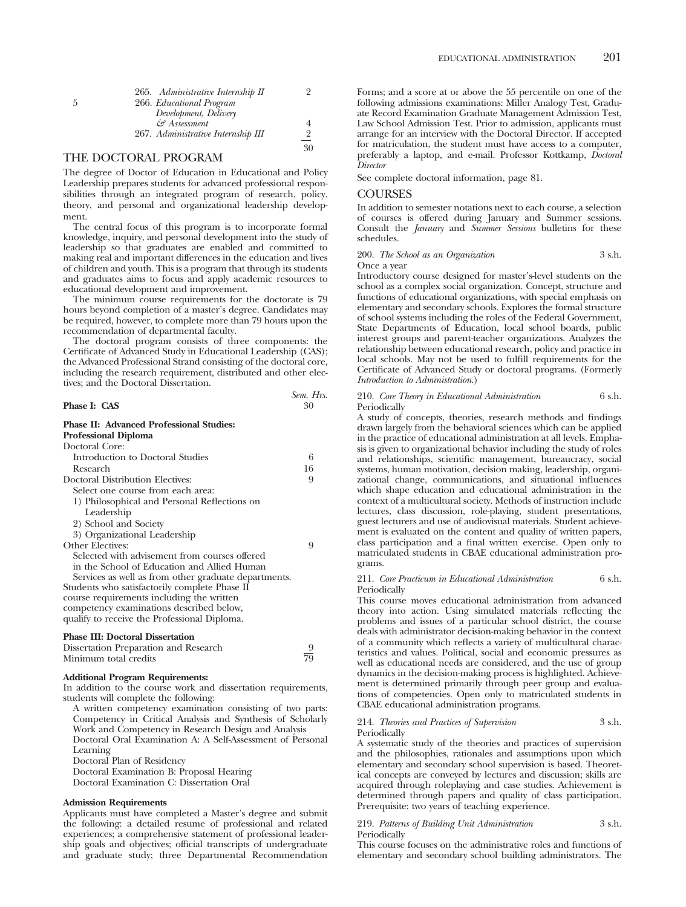## THE DOCTORAL PROGRAM

The degree of Doctor of Education in Educational and Policy Leadership prepares students for advanced professional responsibilities through an integrated program of research, policy, theory, and personal and organizational leadership development.

The central focus of this program is to incorporate formal knowledge, inquiry, and personal development into the study of leadership so that graduates are enabled and committed to making real and important differences in the education and lives of children and youth. This is a program that through its students and graduates aims to focus and apply academic resources to educational development and improvement.

The minimum course requirements for the doctorate is 79 hours beyond completion of a master's degree. Candidates may be required, however, to complete more than 79 hours upon the recommendation of departmental faculty.

The doctoral program consists of three components: the Certificate of Advanced Study in Educational Leadership (CAS); the Advanced Professional Strand consisting of the doctoral core, including the research requirement, distributed and other electives; and the Doctoral Dissertation.

|                                                                                | UUNU. 1113. |
|--------------------------------------------------------------------------------|-------------|
| Phase I: CAS                                                                   | 30          |
| <b>Phase II: Advanced Professional Studies:</b><br><b>Professional Diploma</b> |             |
| Doctoral Core:                                                                 |             |
| Introduction to Doctoral Studies                                               | 6           |
| Research                                                                       | 16          |
| Doctoral Distribution Electives:                                               | 9           |
| Select one course from each area:                                              |             |
| 1) Philosophical and Personal Reflections on                                   |             |
| Leadership                                                                     |             |
| 2) School and Society                                                          |             |
| 3) Organizational Leadership                                                   |             |
| Other Electives:                                                               | 9           |
| Selected with advisement from courses offered                                  |             |
| in the School of Education and Allied Human                                    |             |
| Services as well as from other graduate departments.                           |             |
| Students who satisfactorily complete Phase II                                  |             |
| course requirements including the written                                      |             |
| competency examinations described below,                                       |             |
| qualify to receive the Professional Diploma.                                   |             |
|                                                                                |             |

## **Phase III: Doctoral Dissertation**

| Dissertation Preparation and Research |    |
|---------------------------------------|----|
| Minimum total credits                 | 79 |

### **Additional Program Requirements:**

In addition to the course work and dissertation requirements, students will complete the following:

A written competency examination consisting of two parts: Competency in Critical Analysis and Synthesis of Scholarly Work and Competency in Research Design and Analysis Doctoral Oral Examination A: A Self-Assessment of Personal Learning

Doctoral Plan of Residency

Doctoral Examination B: Proposal Hearing

Doctoral Examination C: Dissertation Oral

#### **Admission Requirements**

Applicants must have completed a Master's degree and submit the following: a detailed resume of professional and related experiences; a comprehensive statement of professional leadership goals and objectives; official transcripts of undergraduate and graduate study; three Departmental Recommendation

Forms; and a score at or above the 55 percentile on one of the following admissions examinations: Miller Analogy Test, Graduate Record Examination Graduate Management Admission Test, Law School Admission Test. Prior to admission, applicants must arrange for an interview with the Doctoral Director. If accepted for matriculation, the student must have access to a computer, preferably a laptop, and e-mail. Professor Kottkamp, *Doctoral Director*

See complete doctoral information, page 81.

## COURSES

*Sem. Hrs.*

In addition to semester notations next to each course, a selection of courses is offered during January and Summer sessions. Consult the *January* and *Summer Sessions* bulletins for these schedules.

200. *The School as an Organization* 3 s.h. Once a year

Introductory course designed for master's-level students on the school as a complex social organization. Concept, structure and functions of educational organizations, with special emphasis on elementary and secondary schools. Explores the formal structure of school systems including the roles of the Federal Government, State Departments of Education, local school boards, public interest groups and parent-teacher organizations. Analyzes the relationship between educational research, policy and practice in local schools. May not be used to fulfill requirements for the Certificate of Advanced Study or doctoral programs. (Formerly *Introduction to Administration*.)

### 210. *Core Theory in Educational Administration* 6 s.h. Periodically

A study of concepts, theories, research methods and findings drawn largely from the behavioral sciences which can be applied in the practice of educational administration at all levels. Emphasis is given to organizational behavior including the study of roles and relationships, scientific management, bureaucracy, social systems, human motivation, decision making, leadership, organizational change, communications, and situational influences which shape education and educational administration in the context of a multicultural society. Methods of instruction include lectures, class discussion, role-playing, student presentations, guest lecturers and use of audiovisual materials. Student achievement is evaluated on the content and quality of written papers, class participation and a final written exercise. Open only to matriculated students in CBAE educational administration programs.

### 211. *Core Practicum in Educational Administration* 6 s.h. Periodically

This course moves educational administration from advanced theory into action. Using simulated materials reflecting the problems and issues of a particular school district, the course deals with administrator decision-making behavior in the context of a community which reflects a variety of multicultural characteristics and values. Political, social and economic pressures as well as educational needs are considered, and the use of group dynamics in the decision-making process is highlighted. Achievement is determined primarily through peer group and evaluations of competencies. Open only to matriculated students in CBAE educational administration programs.

### 214. *Theories and Practices of Supervision* 3 s.h. Periodically

A systematic study of the theories and practices of supervision and the philosophies, rationales and assumptions upon which elementary and secondary school supervision is based. Theoretical concepts are conveyed by lectures and discussion; skills are acquired through roleplaying and case studies. Achievement is determined through papers and quality of class participation. Prerequisite: two years of teaching experience.

219. *Patterns of Building Unit Administration* 3 s.h. Periodically

This course focuses on the administrative roles and functions of elementary and secondary school building administrators. The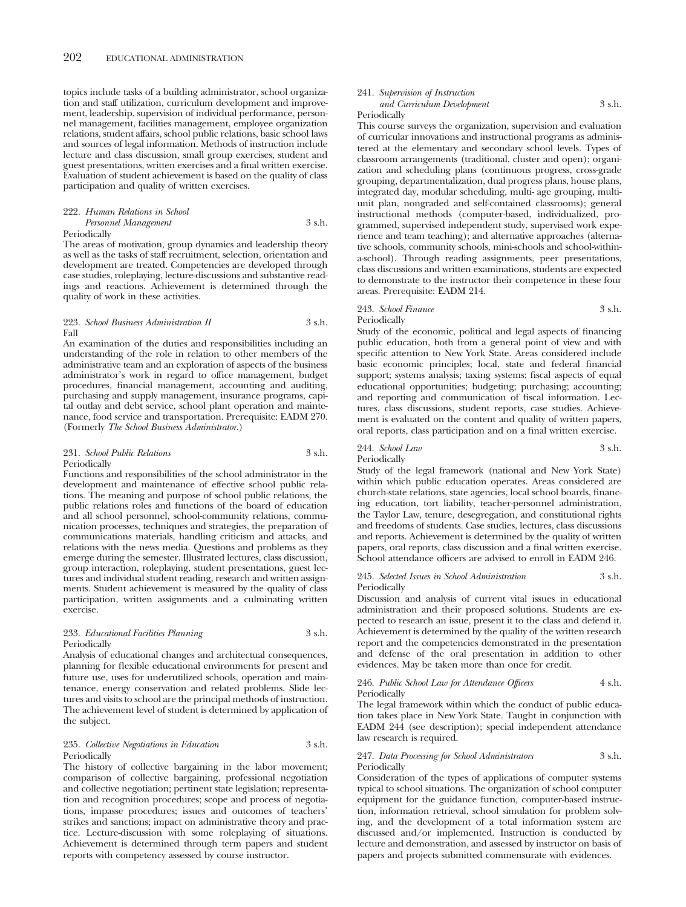topics include tasks of a building administrator, school organization and staff utilization, curriculum development and improvement, leadership, supervision of individual performance, personnel management, facilities management, employee organization relations, student affairs, school public relations, basic school laws and sources of legal information. Methods of instruction include lecture and class discussion, small group exercises, student and guest presentations, written exercises and a final written exercise. Evaluation of student achievement is based on the quality of class participation and quality of written exercises.

### 222. *Human Relations in School Personnel Management* 3 s.h. **Periodically**

The areas of motivation, group dynamics and leadership theory as well as the tasks of staff recruitment, selection, orientation and development are treated. Competencies are developed through case studies, roleplaying, lecture-discussions and substantive readings and reactions. Achievement is determined through the quality of work in these activities.

### 223. *School Business Administration II* 3 s.h. Fall

An examination of the duties and responsibilities including an understanding of the role in relation to other members of the administrative team and an exploration of aspects of the business administrator's work in regard to office management, budget procedures, financial management, accounting and auditing, purchasing and supply management, insurance programs, capital outlay and debt service, school plant operation and maintenance, food service and transportation. Prerequisite: EADM 270. (Formerly *The School Business Administrator.*)

### 231. *School Public Relations* 3 s.h. Periodically

Functions and responsibilities of the school administrator in the development and maintenance of effective school public relations. The meaning and purpose of school public relations, the public relations roles and functions of the board of education and all school personnel, school-community relations, communication processes, techniques and strategies, the preparation of communications materials, handling criticism and attacks, and relations with the news media. Questions and problems as they emerge during the semester. Illustrated lectures, class discussion, group interaction, roleplaying, student presentations, guest lectures and individual student reading, research and written assignments. Student achievement is measured by the quality of class participation, written assignments and a culminating written exercise.

## 233. *Educational Facilities Planning* 3 s.h. Periodically

Analysis of educational changes and architectual consequences, planning for flexible educational environments for present and future use, uses for underutilized schools, operation and maintenance, energy conservation and related problems. Slide lectures and visits to school are the principal methods of instruction. The achievement level of student is determined by application of the subject.

## 235. *Collective Negotiations in Education* 3 s.h. Periodically

The history of collective bargaining in the labor movement; comparison of collective bargaining, professional negotiation and collective negotiation; pertinent state legislation; representation and recognition procedures; scope and process of negotiations, impasse procedures; issues and outcomes of teachers' strikes and sanctions; impact on administrative theory and practice. Lecture-discussion with some roleplaying of situations. Achievement is determined through term papers and student reports with competency assessed by course instructor.

## 241. *Supervision of Instruction*

#### *and Curriculum Development* 3 s.h. Periodically

This course surveys the organization, supervision and evaluation of curricular innovations and instructional programs as administered at the elementary and secondary school levels. Types of classroom arrangements (traditional, cluster and open); organization and scheduling plans (continuous progress, cross-grade grouping, departmentalization, dual progress plans, house plans, integrated day, modular scheduling, multi- age grouping, multiunit plan, nongraded and self-contained classrooms); general instructional methods (computer-based, individualized, programmed, supervised independent study, supervised work experience and team teaching); and alternative approaches (alternative schools, community schools, mini-schools and school-withina-school). Through reading assignments, peer presentations, class discussions and written examinations, students are expected to demonstrate to the instructor their competence in these four areas. Prerequisite: EADM 214.

### 243. *School Finance* 3 s.h. Periodically

Study of the economic, political and legal aspects of financing public education, both from a general point of view and with specific attention to New York State. Areas considered include basic economic principles; local, state and federal financial support; systems analysis; taxing systems; fiscal aspects of equal educational opportunities; budgeting; purchasing; accounting; and reporting and communication of fiscal information. Lectures, class discussions, student reports, case studies. Achievement is evaluated on the content and quality of written papers, oral reports, class participation and on a final written exercise.

## 244. *School Law* 3 s.h. Periodically

Study of the legal framework (national and New York State) within which public education operates. Areas considered are church-state relations, state agencies, local school boards, financing education, tort liability, teacher-personnel administration, the Taylor Law, tenure, desegregation, and constitutional rights and freedoms of students. Case studies, lectures, class discussions and reports. Achievement is determined by the quality of written papers, oral reports, class discussion and a final written exercise. School attendance officers are advised to enroll in EADM 246.

### 245. *Selected Issues in School Administration* 3 s.h. Periodically

Discussion and analysis of current vital issues in educational administration and their proposed solutions. Students are expected to research an issue, present it to the class and defend it. Achievement is determined by the quality of the written research report and the competencies demonstrated in the presentation and defense of the oral presentation in addition to other evidences. May be taken more than once for credit.

### 246. *Public School Law for Attendance Officers* 4 s.h. Periodically

The legal framework within which the conduct of public education takes place in New York State. Taught in conjunction with EADM 244 (see description); special independent attendance law research is required.

### 247. *Data Processing for School Administrators* 3 s.h. Periodically

Consideration of the types of applications of computer systems typical to school situations. The organization of school computer equipment for the guidance function, computer-based instruction, information retrieval, school simulation for problem solving, and the development of a total information system are discussed and/or implemented. Instruction is conducted by lecture and demonstration, and assessed by instructor on basis of papers and projects submitted commensurate with evidences.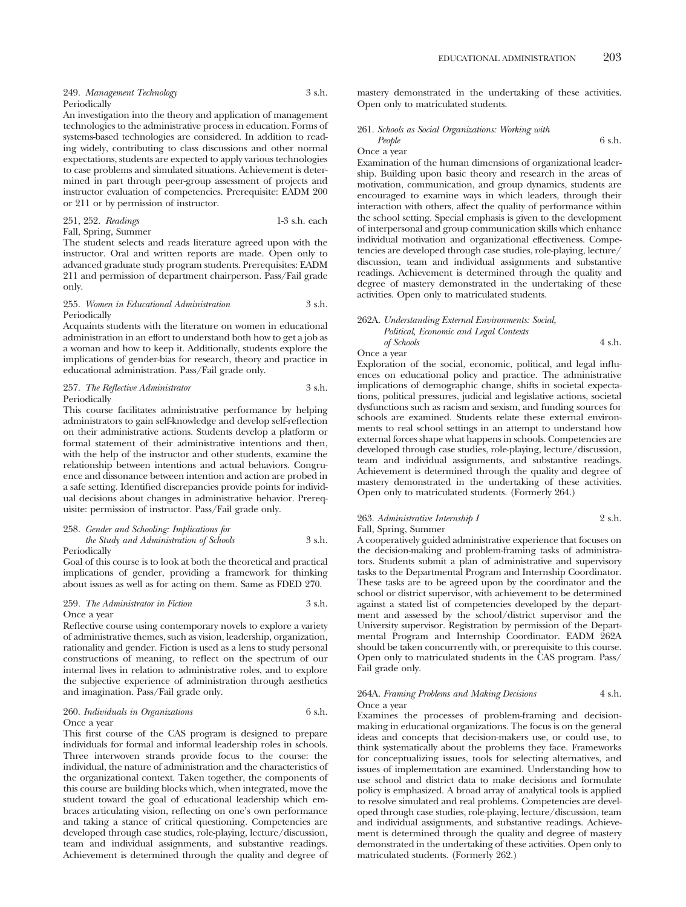| 249. Management Technology | 3 s.h. |
|----------------------------|--------|
| Periodically               |        |

An investigation into the theory and application of management technologies to the administrative process in education. Forms of systems-based technologies are considered. In addition to reading widely, contributing to class discussions and other normal expectations, students are expected to apply various technologies to case problems and simulated situations. Achievement is determined in part through peer-group assessment of projects and instructor evaluation of competencies. Prerequisite: EADM 200 or 211 or by permission of instructor.

251, 252. *Readings* 1-3 s.h. each Fall, Spring, Summer

The student selects and reads literature agreed upon with the instructor. Oral and written reports are made. Open only to advanced graduate study program students. Prerequisites: EADM 211 and permission of department chairperson. Pass/Fail grade only.

### 255. *Women in Educational Administration* 3 s.h. Periodically

Acquaints students with the literature on women in educational administration in an effort to understand both how to get a job as a woman and how to keep it. Additionally, students explore the implications of gender-bias for research, theory and practice in educational administration. Pass/Fail grade only.

### 257. *The Reflective Administrator* 3 s.h. Periodically

This course facilitates administrative performance by helping administrators to gain self-knowledge and develop self-reflection on their administrative actions. Students develop a platform or formal statement of their administrative intentions and then, with the help of the instructor and other students, examine the relationship between intentions and actual behaviors. Congruence and dissonance between intention and action are probed in a safe setting. Identified discrepancies provide points for individual decisions about changes in administrative behavior. Prerequisite: permission of instructor. Pass/Fail grade only.

## 258. *Gender and Schooling: Implications for*

*the Study and Administration of Schools* 3 s.h. Periodically

Goal of this course is to look at both the theoretical and practical implications of gender, providing a framework for thinking about issues as well as for acting on them. Same as FDED 270.

### 259. *The Administrator in Fiction* 3 s.h. Once a year

Reflective course using contemporary novels to explore a variety of administrative themes, such as vision, leadership, organization, rationality and gender. Fiction is used as a lens to study personal constructions of meaning, to reflect on the spectrum of our internal lives in relation to administrative roles, and to explore the subjective experience of administration through aesthetics and imagination. Pass/Fail grade only.

#### 260. *Individuals in Organizations* 6 s.h. Once a year

This first course of the CAS program is designed to prepare individuals for formal and informal leadership roles in schools. Three interwoven strands provide focus to the course: the individual, the nature of administration and the characteristics of the organizational context. Taken together, the components of this course are building blocks which, when integrated, move the student toward the goal of educational leadership which embraces articulating vision, reflecting on one's own performance and taking a stance of critical questioning. Competencies are developed through case studies, role-playing, lecture/discussion, team and individual assignments, and substantive readings. Achievement is determined through the quality and degree of

mastery demonstrated in the undertaking of these activities. Open only to matriculated students.

## 261. *Schools as Social Organizations: Working with People* 6 s.h.

Once a year

Examination of the human dimensions of organizational leadership. Building upon basic theory and research in the areas of motivation, communication, and group dynamics, students are encouraged to examine ways in which leaders, through their interaction with others, affect the quality of performance within the school setting. Special emphasis is given to the development of interpersonal and group communication skills which enhance individual motivation and organizational effectiveness. Competencies are developed through case studies, role-playing, lecture/ discussion, team and individual assignments and substantive readings. Achievement is determined through the quality and degree of mastery demonstrated in the undertaking of these activities. Open only to matriculated students.

## 262A. *Understanding External Environments: Social, Political, Economic and Legal Contexts*

*of Schools* 4 s.h. Once a year

Exploration of the social, economic, political, and legal influences on educational policy and practice. The administrative implications of demographic change, shifts in societal expectations, political pressures, judicial and legislative actions, societal dysfunctions such as racism and sexism, and funding sources for schools are examined. Students relate these external environments to real school settings in an attempt to understand how external forces shape what happens in schools. Competencies are developed through case studies, role-playing, lecture/discussion, team and individual assignments, and substantive readings. Achievement is determined through the quality and degree of mastery demonstrated in the undertaking of these activities. Open only to matriculated students. (Formerly 264.)

## 263. *Administrative Internship I* 2 s.h.

## Fall, Spring, Summer

A cooperatively guided administrative experience that focuses on the decision-making and problem-framing tasks of administrators. Students submit a plan of administrative and supervisory tasks to the Departmental Program and Internship Coordinator. These tasks are to be agreed upon by the coordinator and the school or district supervisor, with achievement to be determined against a stated list of competencies developed by the department and assessed by the school/district supervisor and the University supervisor. Registration by permission of the Departmental Program and Internship Coordinator. EADM 262A should be taken concurrently with, or prerequisite to this course. Open only to matriculated students in the CAS program. Pass/ Fail grade only.

### 264A. *Framing Problems and Making Decisions* 4 s.h. Once a year

Examines the processes of problem-framing and decisionmaking in educational organizations. The focus is on the general ideas and concepts that decision-makers use, or could use, to think systematically about the problems they face. Frameworks for conceptualizing issues, tools for selecting alternatives, and issues of implementation are examined. Understanding how to use school and district data to make decisions and formulate policy is emphasized. A broad array of analytical tools is applied to resolve simulated and real problems. Competencies are developed through case studies, role-playing, lecture/discussion, team and individual assignments, and substantive readings. Achievement is determined through the quality and degree of mastery demonstrated in the undertaking of these activities. Open only to matriculated students. (Formerly 262.)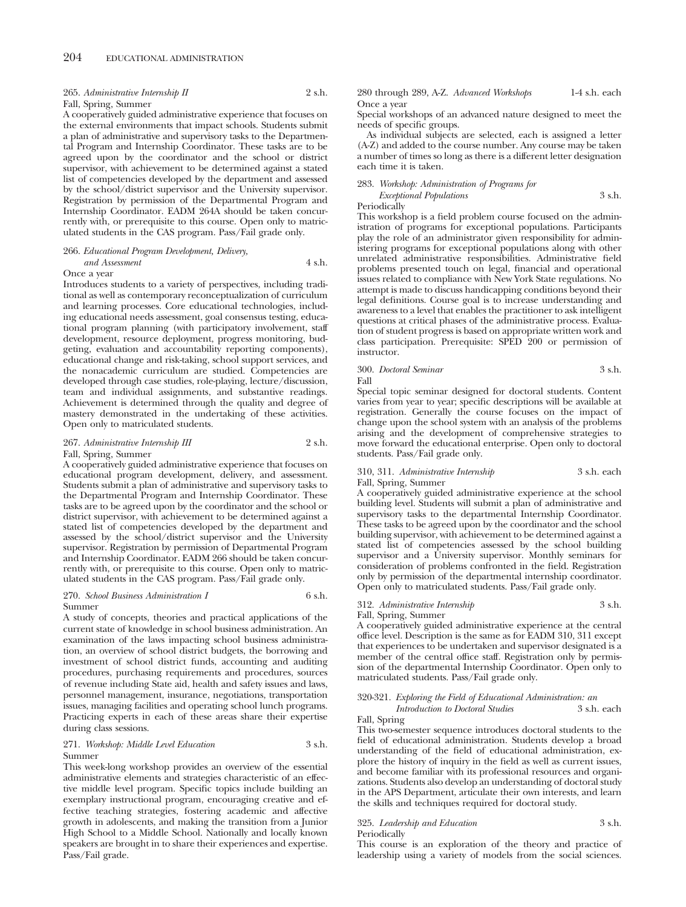## 265. *Administrative Internship II* 2 s.h.

## Fall, Spring, Summer

A cooperatively guided administrative experience that focuses on the external environments that impact schools. Students submit a plan of administrative and supervisory tasks to the Departmental Program and Internship Coordinator. These tasks are to be agreed upon by the coordinator and the school or district supervisor, with achievement to be determined against a stated list of competencies developed by the department and assessed by the school/district supervisor and the University supervisor. Registration by permission of the Departmental Program and Internship Coordinator. EADM 264A should be taken concurrently with, or prerequisite to this course. Open only to matriculated students in the CAS program. Pass/Fail grade only.

## 266. *Educational Program Development, Delivery,*

#### *and Assessment* 4 s.h. Once a year

Introduces students to a variety of perspectives, including traditional as well as contemporary reconceptualization of curriculum and learning processes. Core educational technologies, including educational needs assessment, goal consensus testing, educational program planning (with participatory involvement, staff development, resource deployment, progress monitoring, budgeting, evaluation and accountability reporting components), educational change and risk-taking, school support services, and the nonacademic curriculum are studied. Competencies are developed through case studies, role-playing, lecture/discussion, team and individual assignments, and substantive readings. Achievement is determined through the quality and degree of mastery demonstrated in the undertaking of these activities. Open only to matriculated students.

## 267. *Administrative Internship III* 2 s.h. Fall, Spring, Summer

A cooperatively guided administrative experience that focuses on educational program development, delivery, and assessment. Students submit a plan of administrative and supervisory tasks to the Departmental Program and Internship Coordinator. These tasks are to be agreed upon by the coordinator and the school or district supervisor, with achievement to be determined against a stated list of competencies developed by the department and assessed by the school/district supervisor and the University supervisor. Registration by permission of Departmental Program and Internship Coordinator. EADM 266 should be taken concurrently with, or prerequisite to this course. Open only to matriculated students in the CAS program. Pass/Fail grade only.

### 270. *School Business Administration I* 6 s.h. Summer

during class sessions.

A study of concepts, theories and practical applications of the current state of knowledge in school business administration. An examination of the laws impacting school business administration, an overview of school district budgets, the borrowing and investment of school district funds, accounting and auditing procedures, purchasing requirements and procedures, sources of revenue including State aid, health and safety issues and laws, personnel management, insurance, negotiations, transportation issues, managing facilities and operating school lunch programs. Practicing experts in each of these areas share their expertise

## 271. *Workshop: Middle Level Education* 3 s.h. Summer

This week-long workshop provides an overview of the essential administrative elements and strategies characteristic of an effective middle level program. Specific topics include building an exemplary instructional program, encouraging creative and effective teaching strategies, fostering academic and affective growth in adolescents, and making the transition from a Junior High School to a Middle School. Nationally and locally known speakers are brought in to share their experiences and expertise. Pass/Fail grade.

280 through 289, A-Z. *Advanced Workshops* 1-4 s.h. each Once a year

Special workshops of an advanced nature designed to meet the needs of specific groups.

As individual subjects are selected, each is assigned a letter (A-Z) and added to the course number. Any course may be taken a number of times so long as there is a different letter designation each time it is taken.

## 283. *Workshop: Administration of Programs for Exceptional Populations* 3 s.h.

Periodically

This workshop is a field problem course focused on the administration of programs for exceptional populations. Participants play the role of an administrator given responsibility for administering programs for exceptional populations along with other unrelated administrative responsibilities. Administrative field problems presented touch on legal, financial and operational issues related to compliance with New York State regulations. No attempt is made to discuss handicapping conditions beyond their legal definitions. Course goal is to increase understanding and awareness to a level that enables the practitioner to ask intelligent questions at critical phases of the administrative process. Evaluation of student progress is based on appropriate written work and class participation. Prerequisite: SPED 200 or permission of instructor.

|      | 300. Doctoral Seminar | 3 s.h. |
|------|-----------------------|--------|
| Fall |                       |        |

Special topic seminar designed for doctoral students. Content varies from year to year; specific descriptions will be available at registration. Generally the course focuses on the impact of change upon the school system with an analysis of the problems arising and the development of comprehensive strategies to move forward the educational enterprise. Open only to doctoral students. Pass/Fail grade only.

## 310, 311. *Administrative Internship* 3 s.h. each Fall, Spring, Summer

A cooperatively guided administrative experience at the school building level. Students will submit a plan of administrative and supervisory tasks to the departmental Internship Coordinator. These tasks to be agreed upon by the coordinator and the school building supervisor, with achievement to be determined against a stated list of competencies assessed by the school building supervisor and a University supervisor. Monthly seminars for consideration of problems confronted in the field. Registration only by permission of the departmental internship coordinator. Open only to matriculated students. Pass/Fail grade only.

# 312. *Administrative Internship* 3 s.h.

Fall, Spring, Summer

A cooperatively guided administrative experience at the central office level. Description is the same as for EADM 310, 311 except that experiences to be undertaken and supervisor designated is a member of the central office staff. Registration only by permission of the departmental Internship Coordinator. Open only to matriculated students. Pass/Fail grade only.

# 320-321. *Exploring the Field of Educational Administration: an*

*Introduction to Doctoral Studies* 3 s.h. each

Fall, Spring

This two-semester sequence introduces doctoral students to the field of educational administration. Students develop a broad understanding of the field of educational administration, explore the history of inquiry in the field as well as current issues, and become familiar with its professional resources and organizations. Students also develop an understanding of doctoral study in the APS Department, articulate their own interests, and learn the skills and techniques required for doctoral study.

## 325. *Leadership and Education* 3 s.h.

Periodically

This course is an exploration of the theory and practice of leadership using a variety of models from the social sciences.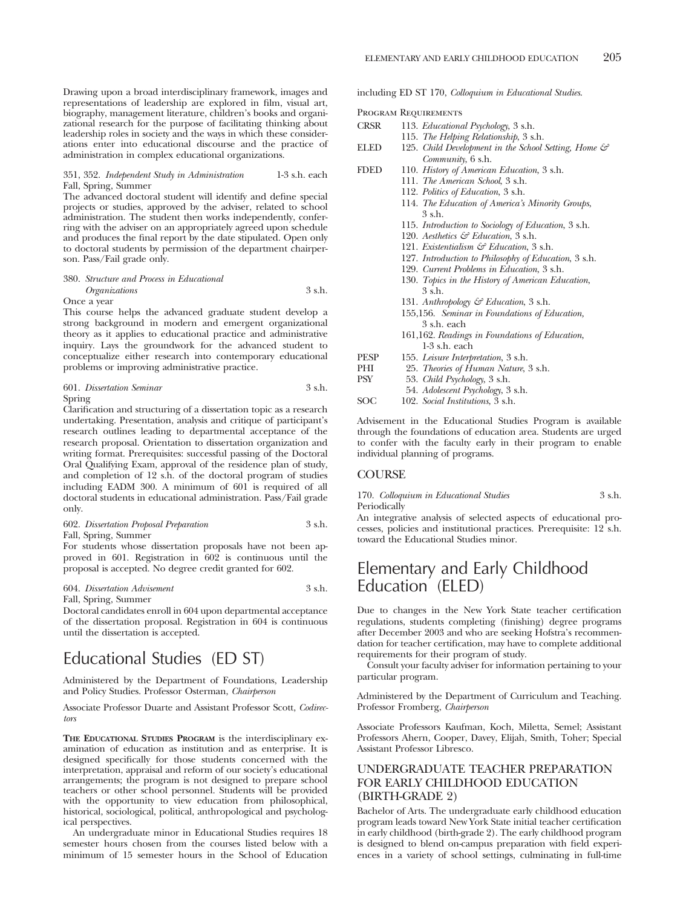Drawing upon a broad interdisciplinary framework, images and representations of leadership are explored in film, visual art, biography, management literature, children's books and organizational research for the purpose of facilitating thinking about leadership roles in society and the ways in which these considerations enter into educational discourse and the practice of administration in complex educational organizations.

## 351, 352. *Independent Study in Administration* 1-3 s.h. each Fall, Spring, Summer

The advanced doctoral student will identify and define special projects or studies, approved by the adviser, related to school administration. The student then works independently, conferring with the adviser on an appropriately agreed upon schedule and produces the final report by the date stipulated. Open only to doctoral students by permission of the department chairperson. Pass/Fail grade only.

## 380. *Structure and Process in Educational Organizations* 3 s.h. Once a year

This course helps the advanced graduate student develop a strong background in modern and emergent organizational theory as it applies to educational practice and administrative inquiry. Lays the groundwork for the advanced student to conceptualize either research into contemporary educational problems or improving administrative practice.

|        | 601. Dissertation Seminar | 3 s.h. |
|--------|---------------------------|--------|
| Spring |                           |        |

Clarification and structuring of a dissertation topic as a research undertaking. Presentation, analysis and critique of participant's research outlines leading to departmental acceptance of the research proposal. Orientation to dissertation organization and writing format. Prerequisites: successful passing of the Doctoral Oral Qualifying Exam, approval of the residence plan of study, and completion of 12 s.h. of the doctoral program of studies including EADM 300. A minimum of 601 is required of all doctoral students in educational administration. Pass/Fail grade only.

| 602. Dissertation Proposal Preparation | 3 s.h. |
|----------------------------------------|--------|
| Fall, Spring, Summer                   |        |

For students whose dissertation proposals have not been approved in 601. Registration in 602 is continuous until the proposal is accepted. No degree credit granted for 602.

604. *Dissertation Advisement* 3 s.h. Fall, Spring, Summer

Doctoral candidates enroll in 604 upon departmental acceptance of the dissertation proposal. Registration in 604 is continuous until the dissertation is accepted.

# Educational Studies (ED ST)

Administered by the Department of Foundations, Leadership and Policy Studies. Professor Osterman, *Chairperson*

Associate Professor Duarte and Assistant Professor Scott, *Codirectors*

**THE EDUCATIONAL STUDIES PROGRAM** is the interdisciplinary examination of education as institution and as enterprise. It is designed specifically for those students concerned with the interpretation, appraisal and reform of our society's educational arrangements; the program is not designed to prepare school teachers or other school personnel. Students will be provided with the opportunity to view education from philosophical, historical, sociological, political, anthropological and psychological perspectives.

An undergraduate minor in Educational Studies requires 18 semester hours chosen from the courses listed below with a minimum of 15 semester hours in the School of Education including ED ST 170, *Colloquium in Educational Studies*.

Program Requirements

| CRSR | 113. <i>Educational Psychology</i> , 3 s.h.                      |
|------|------------------------------------------------------------------|
|      | 115. The Helping Relationship, 3 s.h.                            |
| ELED | 125. Child Development in the School Setting, Home $\mathcal{F}$ |
|      | Community, 6 s.h.                                                |
| FDED | 110. History of American Education, 3 s.h.                       |
|      | 111. The American School, 3 s.h.                                 |
|      | .                                                                |

- 112. *Politics of Education*, 3 s.h.
- 114. *The Education of America's Minority Groups*, 3 s.h.
- 115. *Introduction to Sociology of Education*, 3 s.h.
- 120. *Aesthetics & Education*, 3 s.h.
- 121. *Existentialism & Education*, 3 s.h.
- 127. *Introduction to Philosophy of Education*, 3 s.h.
- 129. *Current Problems in Education*, 3 s.h.
- 130. *Topics in the History of American Education*, 3 s.h.
- 131. *Anthropology & Education*, 3 s.h.
- 155,156. *Seminar in Foundations of Education,* 3 s.h. each
- 161,162. *Readings in Foundations of Education*, 1-3 s.h. each
- PESP 155. *Leisure Interpretation*, 3 s.h.<br>PHI 25. *Theories of Human Nature*,
- 25. *Theories of Human Nature*, 3 s.h. PSY 53. *Child Psychology*, 3 s.h.
	- 54. *Adolescent Psychology*, 3 s.h.
- SOC 102. *Social Institutions*, 3 s.h.

Advisement in the Educational Studies Program is available through the foundations of education area. Students are urged to confer with the faculty early in their program to enable individual planning of programs.

## **COURSE**

170. *Colloquium in Educational Studies* 3 s.h. Periodically

An integrative analysis of selected aspects of educational processes, policies and institutional practices. Prerequisite: 12 s.h. toward the Educational Studies minor.

# Elementary and Early Childhood Education (ELED)

Due to changes in the New York State teacher certification regulations, students completing (finishing) degree programs after December 2003 and who are seeking Hofstra's recommendation for teacher certification, may have to complete additional requirements for their program of study.

Consult your faculty adviser for information pertaining to your particular program.

Administered by the Department of Curriculum and Teaching. Professor Fromberg, *Chairperson*

Associate Professors Kaufman, Koch, Miletta, Semel; Assistant Professors Ahern, Cooper, Davey, Elijah, Smith, Toher; Special Assistant Professor Libresco.

# UNDERGRADUATE TEACHER PREPARATION FOR EARLY CHILDHOOD EDUCATION (BIRTH-GRADE 2)

Bachelor of Arts. The undergraduate early childhood education program leads toward New York State initial teacher certification in early childhood (birth-grade 2). The early childhood program is designed to blend on-campus preparation with field experiences in a variety of school settings, culminating in full-time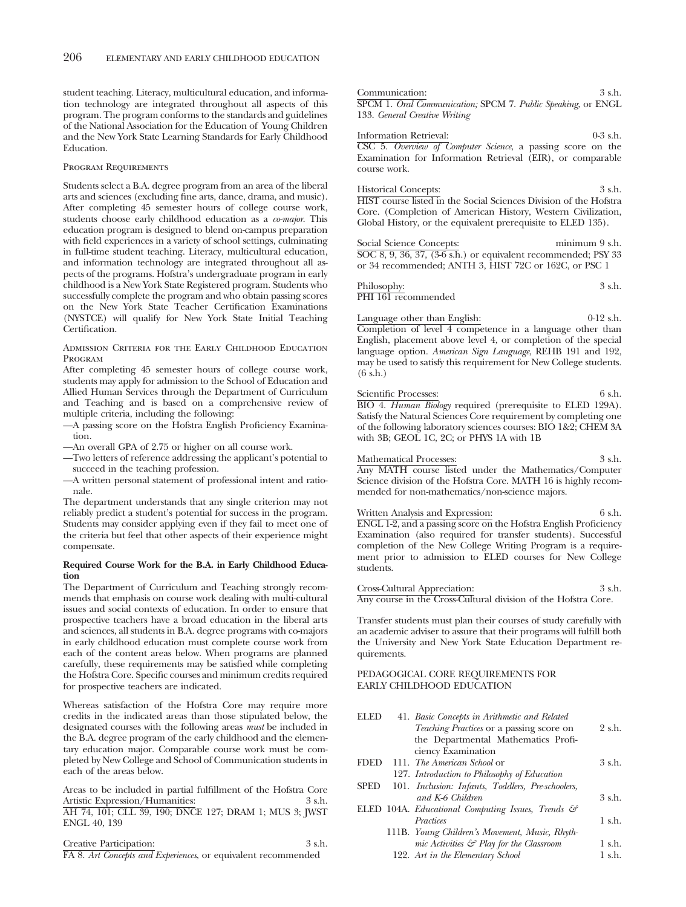student teaching. Literacy, multicultural education, and information technology are integrated throughout all aspects of this program. The program conforms to the standards and guidelines of the National Association for the Education of Young Children and the New York State Learning Standards for Early Childhood Education.

### Program Requirements

Students select a B.A. degree program from an area of the liberal arts and sciences (excluding fine arts, dance, drama, and music). After completing 45 semester hours of college course work, students choose early childhood education as a *co-major*. This education program is designed to blend on-campus preparation with field experiences in a variety of school settings, culminating in full-time student teaching. Literacy, multicultural education, and information technology are integrated throughout all aspects of the programs. Hofstra's undergraduate program in early childhood is a New York State Registered program. Students who successfully complete the program and who obtain passing scores on the New York State Teacher Certification Examinations (NYSTCE) will qualify for New York State Initial Teaching Certification.

Admission Criteria for the Early Childhood Education Program

After completing 45 semester hours of college course work, students may apply for admission to the School of Education and Allied Human Services through the Department of Curriculum and Teaching and is based on a comprehensive review of multiple criteria, including the following:

—A passing score on the Hofstra English Proficiency Examination.

—An overall GPA of 2.75 or higher on all course work.

—Two letters of reference addressing the applicant's potential to succeed in the teaching profession.

—A written personal statement of professional intent and rationale.

The department understands that any single criterion may not reliably predict a student's potential for success in the program. Students may consider applying even if they fail to meet one of the criteria but feel that other aspects of their experience might compensate.

## **Required Course Work for the B.A. in Early Childhood Education**

The Department of Curriculum and Teaching strongly recommends that emphasis on course work dealing with multi-cultural issues and social contexts of education. In order to ensure that prospective teachers have a broad education in the liberal arts and sciences, all students in B.A. degree programs with co-majors in early childhood education must complete course work from each of the content areas below. When programs are planned carefully, these requirements may be satisfied while completing the Hofstra Core. Specific courses and minimum credits required for prospective teachers are indicated.

Whereas satisfaction of the Hofstra Core may require more credits in the indicated areas than those stipulated below, the designated courses with the following areas *must* be included in the B.A. degree program of the early childhood and the elementary education major. Comparable course work must be completed by New College and School of Communication students in each of the areas below.

Areas to be included in partial fulfillment of the Hofstra Core<br>Artistic Expression/Humanities: 3 s.h. Artistic Expression/Humanities: AH 74, 101; CLL 39, 190; DNCE 127; DRAM 1; MUS 3; JWST ENGL 40, 139

Creative Participation: 3 s.h.

FA 8. *Art Concepts and Experiences*, or equivalent recommended

Communication: 3 s.h. SPCM 1. *Oral Communication;* SPCM 7. *Public Speaking*, or ENGL 133. *General Creative Writing*

Information Retrieval: 0-3 s.h. CSC 5. *Overview of Computer Science*, a passing score on the Examination for Information Retrieval (EIR), or comparable course work.

Historical Concepts: 3 s.h. HIST course listed in the Social Sciences Division of the Hofstra Core. (Completion of American History, Western Civilization, Global History, or the equivalent prerequisite to ELED 135).

Social Science Concepts: minimum 9 s.h. SOC 8, 9, 36, 37, (3-6 s.h.) or equivalent recommended; PSY 33 or 34 recommended; ANTH 3, HIST 72C or 162C, or PSC 1

Philosophy:  $3 \text{ s.h.}$ PHI 161 recommended

Language other than English: 0-12 s.h. Completion of level 4 competence in a language other than English, placement above level 4, or completion of the special language option. *American Sign Language*, REHB 191 and 192, may be used to satisfy this requirement for New College students.  $(6 \text{ }\mathrm{s.h.})$ 

## Scientific Processes: 6 s.h.

BIO 4. *Human Biology* required (prerequisite to ELED 129A). Satisfy the Natural Sciences Core requirement by completing one of the following laboratory sciences courses: BIO 1&2; CHEM 3A with 3B; GEOL 1C, 2C; or PHYS 1A with 1B

Mathematical Processes: 3 s.h. Any MATH course listed under the Mathematics/Computer Science division of the Hofstra Core. MATH 16 is highly recommended for non-mathematics/non-science majors.

## Written Analysis and Expression: 6 s.h.

ENGL 1-2, and a passing score on the Hofstra English Proficiency Examination (also required for transfer students). Successful completion of the New College Writing Program is a requirement prior to admission to ELED courses for New College students.

Cross-Cultural Appreciation: 3 s.h. Any course in the Cross-Cultural division of the Hofstra Core.

Transfer students must plan their courses of study carefully with an academic adviser to assure that their programs will fulfill both the University and New York State Education Department requirements.

## PEDAGOGICAL CORE REQUIREMENTS FOR EARLY CHILDHOOD EDUCATION

| ELED        | 41. Basic Concepts in Arithmetic and Related                                   |          |
|-------------|--------------------------------------------------------------------------------|----------|
|             | Teaching Practices or a passing score on                                       | 2 s.h.   |
|             | the Departmental Mathematics Profi-                                            |          |
|             | ciency Examination                                                             |          |
| <b>FDED</b> | 111. The American School or                                                    | 3 s.h.   |
|             | 127. Introduction to Philosophy of Education                                   |          |
| <b>SPED</b> | 101. Inclusion: Infants, Toddlers, Pre-schoolers,                              |          |
|             | and K-6 Children                                                               | $3$ s.h. |
|             | ELED 104A. <i>Educational Computing Issues</i> , <i>Trends</i> $\mathcal{C}^2$ |          |
|             | Practices                                                                      | 1 s.h.   |
|             | 111B. Young Children's Movement, Music, Rhyth-                                 |          |
|             | mic Activities $\mathcal{C}$ Play for the Classroom                            | 1 s.h.   |
|             | 122. Art in the Elementary School                                              | 1 s.h.   |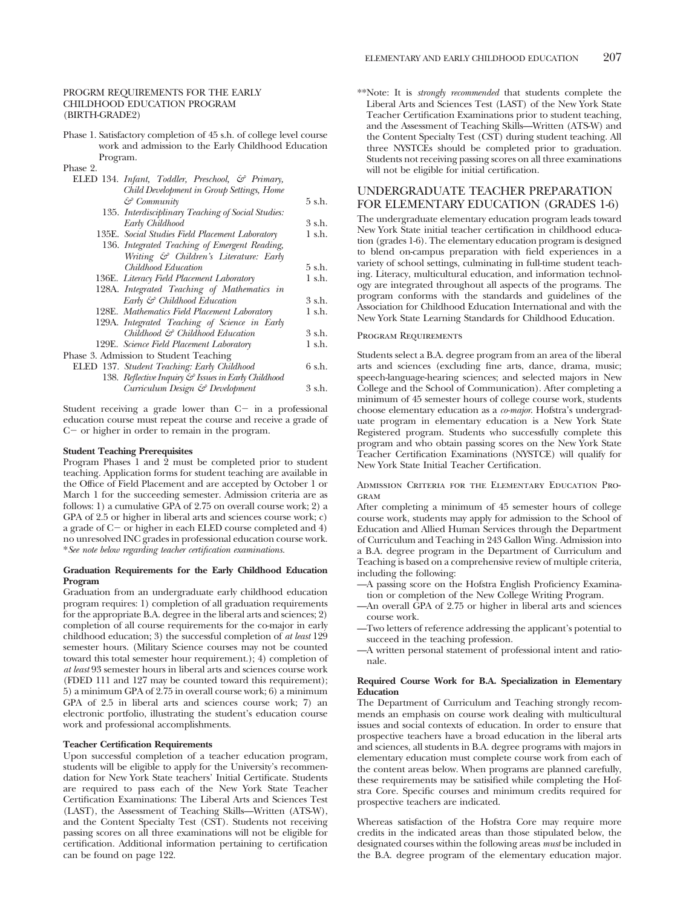# CHILDHOOD EDUCATION PROGRAM

(BIRTH-GRADE2)

Phase 1. Satisfactory completion of 45 s.h. of college level course work and admission to the Early Childhood Education Program.

Phase 2.

| ELED 134. Infant, Toddler, Preschool, & Primary,    |        |
|-----------------------------------------------------|--------|
| Child Development in Group Settings, Home           |        |
| & Community                                         | 5 s.h. |
| 135. Interdisciplinary Teaching of Social Studies:  |        |
| Early Childhood                                     | 3 s.h. |
| 135E. Social Studies Field Placement Laboratory     | 1 s.h. |
| 136. Integrated Teaching of Emergent Reading,       |        |
| Writing & Children's Literature: Early              |        |
| Childhood Education                                 | 5 s.h. |
| 136E. Literacy Field Placement Laboratory           | 1 s.h. |
| 128A. Integrated Teaching of Mathematics in         |        |
| Early & Childhood Education                         | 3 s.h. |
| 128E. Mathematics Field Placement Laboratory        | 1 s.h. |
| 129A. Integrated Teaching of Science in Early       |        |
| Childhood & Childhood Education                     | 3 s.h. |
| 129E. Science Field Placement Laboratory            | 1 s.h. |
| Phase 3. Admission to Student Teaching              |        |
| ELED 137. Student Teaching: Early Childhood         | 6 s.h. |
| 138. Reflective Inquiry & Issues in Early Childhood |        |
| Curriculum Design & Development                     | 3 s.h. |
|                                                     |        |

Student receiving a grade lower than C- in a professional education course must repeat the course and receive a grade of C- or higher in order to remain in the program.

### **Student Teaching Prerequisites**

Program Phases 1 and 2 must be completed prior to student teaching. Application forms for student teaching are available in the Office of Field Placement and are accepted by October 1 or March 1 for the succeeding semester. Admission criteria are as follows: 1) a cumulative GPA of 2.75 on overall course work; 2) a GPA of 2.5 or higher in liberal arts and sciences course work; c) a grade of C- or higher in each ELED course completed and 4) no unresolved INC grades in professional education course work. \**See note below regarding teacher certification examinations.*

## **Graduation Requirements for the Early Childhood Education Program**

Graduation from an undergraduate early childhood education program requires: 1) completion of all graduation requirements for the appropriate B.A. degree in the liberal arts and sciences; 2) completion of all course requirements for the co-major in early childhood education; 3) the successful completion of *at least* 129 semester hours. (Military Science courses may not be counted toward this total semester hour requirement.); 4) completion of *at least* 93 semester hours in liberal arts and sciences course work (FDED 111 and 127 may be counted toward this requirement); 5) a minimum GPA of 2.75 in overall course work; 6) a minimum GPA of 2.5 in liberal arts and sciences course work; 7) an electronic portfolio, illustrating the student's education course work and professional accomplishments.

## **Teacher Certification Requirements**

Upon successful completion of a teacher education program, students will be eligible to apply for the University's recommendation for New York State teachers' Initial Certificate. Students are required to pass each of the New York State Teacher Certification Examinations: The Liberal Arts and Sciences Test (LAST), the Assessment of Teaching Skills—Written (ATS-W), and the Content Specialty Test (CST). Students not receiving passing scores on all three examinations will not be eligible for certification. Additional information pertaining to certification can be found on page 122.

\*\*Note: It is *strongly recommended* that students complete the Liberal Arts and Sciences Test (LAST) of the New York State Teacher Certification Examinations prior to student teaching, and the Assessment of Teaching Skills—Written (ATS-W) and the Content Specialty Test (CST) during student teaching. All three NYSTCEs should be completed prior to graduation. Students not receiving passing scores on all three examinations will not be eligible for initial certification.

## UNDERGRADUATE TEACHER PREPARATION FOR ELEMENTARY EDUCATION (GRADES 1-6)

The undergraduate elementary education program leads toward New York State initial teacher certification in childhood education (grades 1-6). The elementary education program is designed to blend on-campus preparation with field experiences in a variety of school settings, culminating in full-time student teaching. Literacy, multicultural education, and information technology are integrated throughout all aspects of the programs. The program conforms with the standards and guidelines of the Association for Childhood Education International and with the New York State Learning Standards for Childhood Education.

## Program Requirements

Students select a B.A. degree program from an area of the liberal arts and sciences (excluding fine arts, dance, drama, music; speech-language-hearing sciences; and selected majors in New College and the School of Communication). After completing a minimum of 45 semester hours of college course work, students choose elementary education as a *co-major*. Hofstra's undergraduate program in elementary education is a New York State Registered program. Students who successfully complete this program and who obtain passing scores on the New York State Teacher Certification Examinations (NYSTCE) will qualify for New York State Initial Teacher Certification.

Admission Criteria for the Elementary Education Pro-GRAM

After completing a minimum of 45 semester hours of college course work, students may apply for admission to the School of Education and Allied Human Services through the Department of Curriculum and Teaching in 243 Gallon Wing. Admission into a B.A. degree program in the Department of Curriculum and Teaching is based on a comprehensive review of multiple criteria, including the following:

- —A passing score on the Hofstra English Proficiency Examination or completion of the New College Writing Program.
- —An overall GPA of 2.75 or higher in liberal arts and sciences course work.
- —Two letters of reference addressing the applicant's potential to succeed in the teaching profession.
- —A written personal statement of professional intent and rationale.

## **Required Course Work for B.A. Specialization in Elementary Education**

The Department of Curriculum and Teaching strongly recommends an emphasis on course work dealing with multicultural issues and social contexts of education. In order to ensure that prospective teachers have a broad education in the liberal arts and sciences, all students in B.A. degree programs with majors in elementary education must complete course work from each of the content areas below. When programs are planned carefully, these requirements may be satisified while completing the Hofstra Core. Specific courses and minimum credits required for prospective teachers are indicated.

Whereas satisfaction of the Hofstra Core may require more credits in the indicated areas than those stipulated below, the designated courses within the following areas *must* be included in the B.A. degree program of the elementary education major.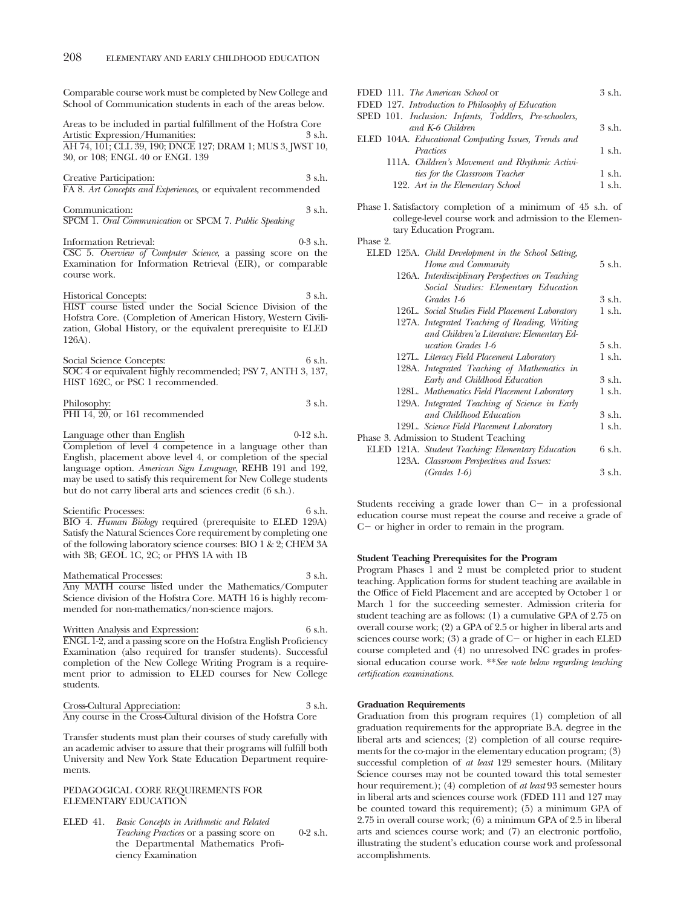Comparable course work must be completed by New College and School of Communication students in each of the areas below.

Areas to be included in partial fulfillment of the Hofstra Core Artistic Expression/Humanities: 3 s.h. AH 74, 101; CLL 39, 190; DNCE 127; DRAM 1; MUS 3, JWST 10, 30, or 108; ENGL 40 or ENGL 139

Creative Participation: 3 s.h. FA 8. *Art Concepts and Experiences,* or equivalent recommended

Communication: 3 s.h. SPCM 1. *Oral Communication* or SPCM 7. *Public Speaking*

Information Retrieval: 0-3 s.h. CSC 5. *Overview of Computer Science*, a passing score on the Examination for Information Retrieval (EIR), or comparable course work.

Historical Concepts: 3 s.h. HIST course listed under the Social Science Division of the Hofstra Core. (Completion of American History, Western Civilization, Global History, or the equivalent prerequisite to ELED 126A).

Social Science Concepts: 6 s.h. SOC 4 or equivalent highly recommended; PSY 7, ANTH 3, 137, HIST 162C, or PSC 1 recommended.

Philosophy: 3 s.h. PHI 14, 20, or 161 recommended

Language other than English 0-12 s.h. Completion of level 4 competence in a language other than English, placement above level 4, or completion of the special language option. *American Sign Language*, REHB 191 and 192, may be used to satisfy this requirement for New College students but do not carry liberal arts and sciences credit (6 s.h.).

Scientific Processes: 6 s.h. BIO 4. *Human Biology* required (prerequisite to ELED 129A) Satisfy the Natural Sciences Core requirement by completing one of the following laboratory science courses: BIO 1 & 2; CHEM 3A with 3B; GEOL 1C, 2C; or PHYS 1A with 1B

Mathematical Processes: 3 s.h. Any MATH course listed under the Mathematics/Computer Science division of the Hofstra Core. MATH 16 is highly recommended for non-mathematics/non-science majors.

Written Analysis and Expression: 6 s.h. ENGL 1-2, and a passing score on the Hofstra English Proficiency Examination (also required for transfer students). Successful completion of the New College Writing Program is a requirement prior to admission to ELED courses for New College students.

Cross-Cultural Appreciation: 3 s.h. Any course in the Cross-Cultural division of the Hofstra Core

Transfer students must plan their courses of study carefully with an academic adviser to assure that their programs will fulfill both University and New York State Education Department requirements.

## PEDAGOGICAL CORE REQUIREMENTS FOR ELEMENTARY EDUCATION

ELED 41. *Basic Concepts in Arithmetic and Related Teaching Practices* or a passing score on 0-2 s.h. the Departmental Mathematics Proficiency Examination

| FDED 111. The American School or                                   | $3$ s h     |
|--------------------------------------------------------------------|-------------|
| FDED 127. Introduction to Philosophy of Education                  |             |
| SPED 101. Inclusion: Infants, Toddlers, Pre-schoolers,             |             |
| and K-6 Children                                                   | 3 s.h.      |
| ELED 104A. <i>Educational Computing Issues</i> , <i>Trends and</i> |             |
| Practices                                                          | $1$ s.h.    |
| 111A. Children's Movement and Rhythmic Activi-                     |             |
| ties for the Classroom Teacher                                     | 1 s.h.      |
| 122. Art in the Elementary School                                  | $1 \,$ s.h. |
|                                                                    |             |

Phase 1. Satisfactory completion of a minimum of 45 s.h. of college-level course work and admission to the Elementary Education Program.

Phase 9.

|  | ELED 125A. Child Development in the School Setting, |        |
|--|-----------------------------------------------------|--------|
|  | Home and Community                                  | 5 s.h. |
|  | 126A. Interdisciplinary Perspectives on Teaching    |        |
|  | Social Studies: Elementary Education                |        |
|  | Grades 1-6                                          | 3 s.h. |
|  | 126L. Social Studies Field Placement Laboratory     | 1 s.h. |
|  | 127A. Integrated Teaching of Reading, Writing       |        |
|  | and Children'a Literature: Elementary Ed-           |        |
|  | ucation Grades 1-6                                  | 5 s.h. |
|  | 127L. Literacy Field Placement Laboratory           | 1 s.h. |
|  | 128A. Integrated Teaching of Mathematics in         |        |
|  | Early and Childhood Education                       | 3 s.h. |
|  | 128L. Mathematics Field Placement Laboratory        | 1 s.h. |
|  | 129A. Integrated Teaching of Science in Early       |        |
|  | and Childhood Education                             | 3 s.h. |
|  | 129L. Science Field Placement Laboratory            | 1 s.h. |
|  | Phase 3. Admission to Student Teaching              |        |
|  | ELED 121A. Student Teaching: Elementary Education   | 6 s.h. |
|  | 123A. Classroom Perspectives and Issues:            |        |
|  | $(Grades 1-6)$                                      | 3 s.h. |
|  |                                                     |        |

Students receiving a grade lower than C- in a professional education course must repeat the course and receive a grade of C- or higher in order to remain in the program.

## **Student Teaching Prerequisites for the Program**

Program Phases 1 and 2 must be completed prior to student teaching. Application forms for student teaching are available in the Office of Field Placement and are accepted by October 1 or March 1 for the succeeding semester. Admission criteria for student teaching are as follows: (1) a cumulative GPA of 2.75 on overall course work; (2) a GPA of 2.5 or higher in liberal arts and sciences course work; (3) a grade of C- or higher in each ELED course completed and (4) no unresolved INC grades in professional education course work. \*\**See note below regarding teaching certification examinations.*

### **Graduation Requirements**

Graduation from this program requires (1) completion of all graduation requirements for the appropriate B.A. degree in the liberal arts and sciences; (2) completion of all course requirements for the co-major in the elementary education program; (3) successful completion of *at least* 129 semester hours. (Military Science courses may not be counted toward this total semester hour requirement.); (4) completion of *at least* 93 semester hours in liberal arts and sciences course work (FDED 111 and 127 may be counted toward this requirement); (5) a minimum GPA of 2.75 in overall course work; (6) a minimum GPA of 2.5 in liberal arts and sciences course work; and (7) an electronic portfolio, illustrating the student's education course work and professonal accomplishments.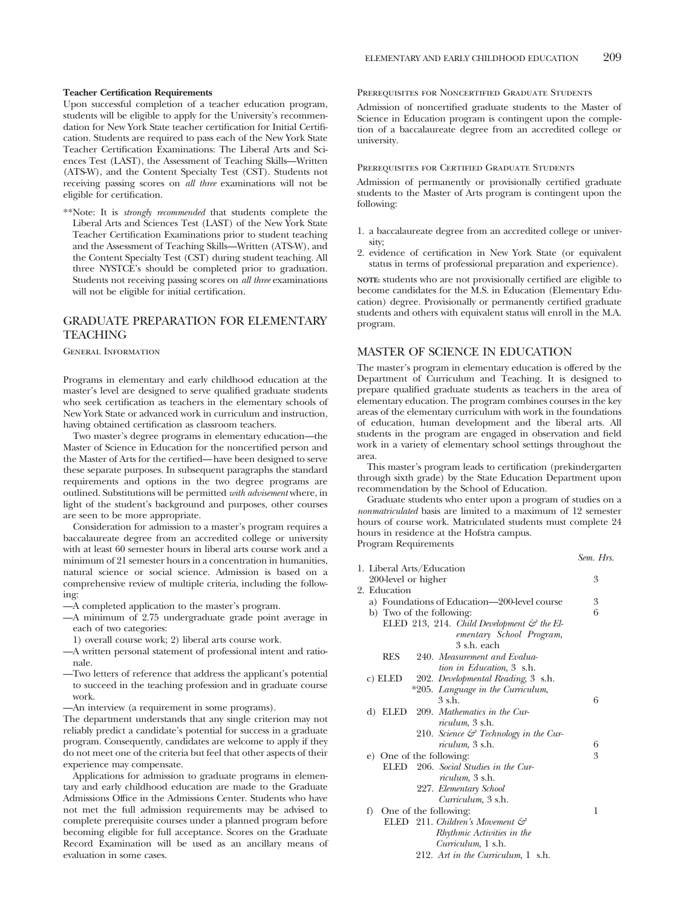## **Teacher Certification Requirements**

Upon successful completion of a teacher education program, students will be eligible to apply for the University's recommendation for New York State teacher certification for Initial Certification. Students are required to pass each of the New York State Teacher Certification Examinations: The Liberal Arts and Sciences Test (LAST), the Assessment of Teaching Skills—Written (ATS-W), and the Content Specialty Test (CST). Students not receiving passing scores on *all three* examinations will not be eligible for certification.

\*\*Note: It is *strongly recommended* that students complete the Liberal Arts and Sciences Test (LAST) of the New York State Teacher Certification Examinations prior to student teaching and the Assessment of Teaching Skills—Written (ATS-W), and the Content Specialty Test (CST) during student teaching. All three NYSTCE's should be completed prior to graduation. Students not receiving passing scores on *all three* examinations will not be eligible for initial certification.

# GRADUATE PREPARATION FOR ELEMENTARY TEACHING

General Information

Programs in elementary and early childhood education at the master's level are designed to serve qualified graduate students who seek certification as teachers in the elementary schools of New York State or advanced work in curriculum and instruction, having obtained certification as classroom teachers.

Two master's degree programs in elementary education—the Master of Science in Education for the noncertified person and the Master of Arts for the certified—have been designed to serve these separate purposes. In subsequent paragraphs the standard requirements and options in the two degree programs are outlined. Substitutions will be permitted *with advisement* where, in light of the student's background and purposes, other courses are seen to be more appropriate.

Consideration for admission to a master's program requires a baccalaureate degree from an accredited college or university with at least 60 semester hours in liberal arts course work and a minimum of 21 semester hours in a concentration in humanities natural science or social science. Admission is based on a comprehensive review of multiple criteria, including the following:

—A completed application to the master's program.

- —A minimum of 2.75 undergraduate grade point average in each of two categories:
- 1) overall course work; 2) liberal arts course work.
- —A written personal statement of professional intent and rationale.
- —Two letters of reference that address the applicant's potential to succeed in the teaching profession and in graduate course work.
- —An interview (a requirement in some programs).

The department understands that any single criterion may not reliably predict a candidate's potential for success in a graduate program. Consequently, candidates are welcome to apply if they do not meet one of the criteria but feel that other aspects of their experience may compensate.

Applications for admission to graduate programs in elementary and early childhood education are made to the Graduate Admissions Office in the Admissions Center. Students who have not met the full admission requirements may be advised to complete prerequisite courses under a planned program before becoming eligible for full acceptance. Scores on the Graduate Record Examination will be used as an ancillary means of evaluation in some cases.

Prerequisites for Noncertified Graduate Students

Admission of noncertified graduate students to the Master of Science in Education program is contingent upon the completion of a baccalaureate degree from an accredited college or university.

### Prerequisites for Certified Graduate Students

Admission of permanently or provisionally certified graduate students to the Master of Arts program is contingent upon the following:

- 1. a baccalaureate degree from an accredited college or university;
- 2. evidence of certification in New York State (or equivalent status in terms of professional preparation and experience).

**NOTE:** students who are not provisionally certified are eligible to become candidates for the M.S. in Education (Elementary Education) degree. Provisionally or permanently certified graduate students and others with equivalent status will enroll in the M.A. program.

## MASTER OF SCIENCE IN EDUCATION

The master's program in elementary education is offered by the Department of Curriculum and Teaching. It is designed to prepare qualified graduate students as teachers in the area of elementary education. The program combines courses in the key areas of the elementary curriculum with work in the foundations of education, human development and the liberal arts. All students in the program are engaged in observation and field work in a variety of elementary school settings throughout the area.

This master's program leads to certification (prekindergarten through sixth grade) by the State Education Department upon recommendation by the School of Education.

Graduate students who enter upon a program of studies on a *nonmatriculated* basis are limited to a maximum of 12 semester hours of course work. Matriculated students must complete 24 hours in residence at the Hofstra campus. Program Requirements

|                                                       | Sem. Hrs. |
|-------------------------------------------------------|-----------|
| 1. Liberal Arts/Education                             |           |
| 200-level or higher                                   | 3         |
| 2. Education                                          |           |
| a) Foundations of Education—200-level course          | 3         |
| b) Two of the following:                              | 6         |
| ELED 213, 214. Child Development $\mathcal G$ the El- |           |
| ementary School Program,                              |           |
| 3 s.h. each                                           |           |
| <b>RES</b><br>240. Measurement and Evalua-            |           |
| tion in Education, 3 s.h.                             |           |
| 202. Developmental Reading, 3 s.h.<br>c) ELED         |           |
| *205. Language in the Curriculum,                     |           |
| 3 s.h.                                                | 6         |
| 209. Mathematics in the Cur-<br>d) ELED               |           |
| <i>riculum</i> , 3 s.h.                               |           |
| 210. Science $\mathcal{C}$ Technology in the Cur-     |           |
| <i>riculum</i> , 3 s.h.                               | 6         |
| e) One of the following:                              | 3         |
| 206. Social Studies in the Cur-<br><b>ELED</b>        |           |
| <i>riculum</i> , 3 s.h.                               |           |
| 227. Elementary School                                |           |
| Curriculum, 3 s.h.                                    |           |
| f) One of the following:                              | 1         |
| ELED 211. Children's Movement $\mathcal{C}$           |           |
| Rhythmic Activities in the                            |           |
| Curriculum, 1 s.h.                                    |           |
| 212. Art in the Curriculum, 1 s.h.                    |           |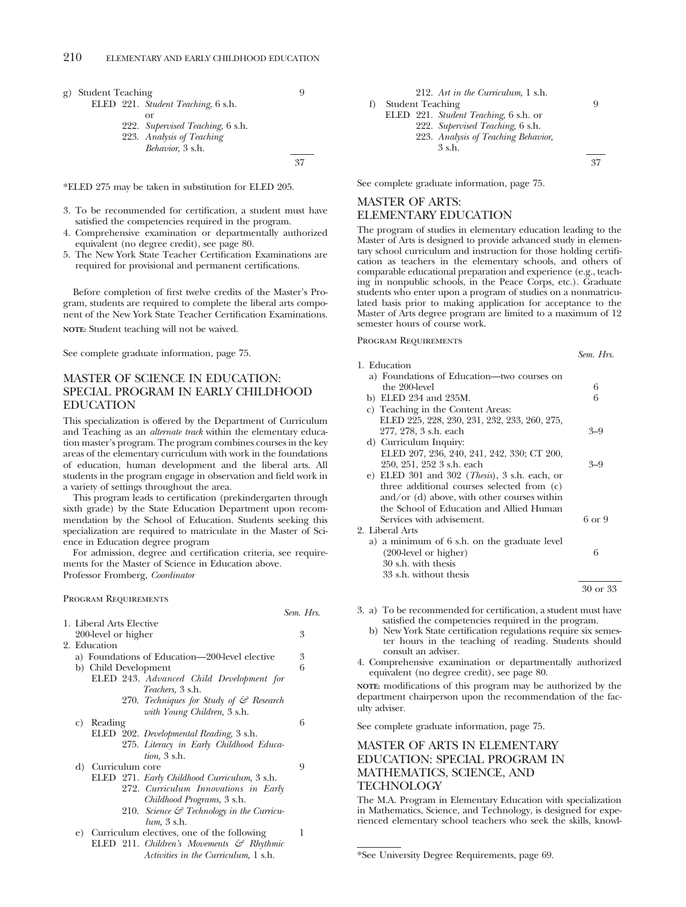g) Student Teaching 9 ELED 221. *Student Teaching*, 6 s.h. or 222. *Supervised Teaching*, 6 s.h. 223. *Analysis of Teaching Behavior*, 3 s.h.

\*ELED 275 may be taken in substitution for ELED 205.

3. To be recommended for certification, a student must have satisfied the competencies required in the program.

37

*Sem. Hrs.*

- 4. Comprehensive examination or departmentally authorized equivalent (no degree credit), see page 80.
- 5. The New York State Teacher Certification Examinations are required for provisional and permanent certifications.

Before completion of first twelve credits of the Master's Program, students are required to complete the liberal arts component of the New York State Teacher Certification Examinations.

**NOTE:** Student teaching will not be waived.

See complete graduate information, page 75.

# MASTER OF SCIENCE IN EDUCATION: SPECIAL PROGRAM IN EARLY CHILDHOOD EDUCATION

This specialization is offered by the Department of Curriculum and Teaching as an *alternate track* within the elementary education master's program. The program combines courses in the key areas of the elementary curriculum with work in the foundations of education, human development and the liberal arts. All students in the program engage in observation and field work in a variety of settings throughout the area.

This program leads to certification (prekindergarten through sixth grade) by the State Education Department upon recommendation by the School of Education. Students seeking this specialization are required to matriculate in the Master of Science in Education degree program

For admission, degree and certification criteria, see requirements for the Master of Science in Education above. Professor Fromberg, *Coordinator*

## Program Requirements

| 1. Liberal Arts Elective |         |  |                                                      |   |
|--------------------------|---------|--|------------------------------------------------------|---|
| 200-level or higher      |         |  | 3                                                    |   |
| 2. Education             |         |  |                                                      |   |
|                          |         |  | a) Foundations of Education—200-level elective       | 3 |
| b) Child Development     |         |  |                                                      |   |
|                          |         |  | ELED 243. Advanced Child Development for             |   |
|                          |         |  | <i>Teachers</i> , 3 s.h.                             |   |
|                          |         |  | 270. Techniques for Study of & Research              |   |
|                          |         |  | with Young Children, 3 s.h.                          |   |
| C)                       | Reading |  |                                                      | 6 |
|                          |         |  | ELED 202. Developmental Reading, 3 s.h.              |   |
|                          |         |  | 275. Literacy in Early Childhood Educa-              |   |
|                          |         |  | <i>tion</i> , 3 s.h.                                 |   |
| d) Curriculum core       |         |  | 9                                                    |   |
|                          |         |  | ELED 271. Early Childhood Curriculum, 3 s.h.         |   |
|                          |         |  | 272. Curriculum Innovations in Early                 |   |
|                          |         |  | Childhood Programs, 3 s.h.                           |   |
|                          |         |  | 210. Science $\mathcal G$ Technology in the Curricu- |   |
|                          |         |  | <i>lum</i> , 3 s.h.                                  |   |
| e)                       |         |  | Curriculum electives, one of the following           |   |
|                          |         |  |                                                      |   |

```
212. Art in the Curriculum, 1 s.h.
f) Student Teaching 9
   ELED 221. Student Teaching, 6 s.h. or
         222. Supervised Teaching, 6 s.h.
         223. Analysis of Teaching Behavior,
              3 s.h.
                                              37
```
See complete graduate information, page 75.

# MASTER OF ARTS: ELEMENTARY EDUCATION

The program of studies in elementary education leading to the Master of Arts is designed to provide advanced study in elementary school curriculum and instruction for those holding certification as teachers in the elementary schools, and others of comparable educational preparation and experience (e.g., teaching in nonpublic schools, in the Peace Corps, etc.). Graduate students who enter upon a program of studies on a nonmatriculated basis prior to making application for acceptance to the Master of Arts degree program are limited to a maximum of 12 semester hours of course work.

*Sem. Hrs.*

Program Requirements

- 1. Education a) Foundations of Education—two courses on the 200-level 6<br>ELED 234 and 235M. 6 b) ELED 234 and 235M. 6 c) Teaching in the Content Areas: ELED 225, 228, 230, 231, 232, 233, 260, 275, 277, 278, 3 s.h. each 3–9 d) Curriculum Inquiry: ELED 207, 236, 240, 241, 242, 330; CT 200, 250, 251, 252 3 s.h. each 3–9 e) ELED 301 and 302 (*Thesis*), 3 s.h. each, or three additional courses selected from (c) and/or (d) above, with other courses within the School of Education and Allied Human Services with advisement. 6 or 9 2. Liberal Arts a) a minimum of 6 s.h. on the graduate level (200-level or higher) 6 30 s.h. with thesis 33 s.h. without thesis 30 or 33
- 3. a) To be recommended for certification, a student must have satisfied the competencies required in the program.
	- b) New York State certification regulations require six semester hours in the teaching of reading. Students should consult an adviser.
- 4. Comprehensive examination or departmentally authorized equivalent (no degree credit), see page 80.

**NOTE:** modifications of this program may be authorized by the department chairperson upon the recommendation of the faculty adviser.

See complete graduate information, page 75.

# MASTER OF ARTS IN ELEMENTARY EDUCATION: SPECIAL PROGRAM IN MATHEMATICS, SCIENCE, AND **TECHNOLOGY**

The M.A. Program in Elementary Education with specialization in Mathematics, Science, and Technology, is designed for experienced elementary school teachers who seek the skills, knowl-

ELED 211. *Children's Movements & Rhythmic Activities in the Curriculum,* 1 s.h.

<sup>\*</sup>See University Degree Requirements, page 69.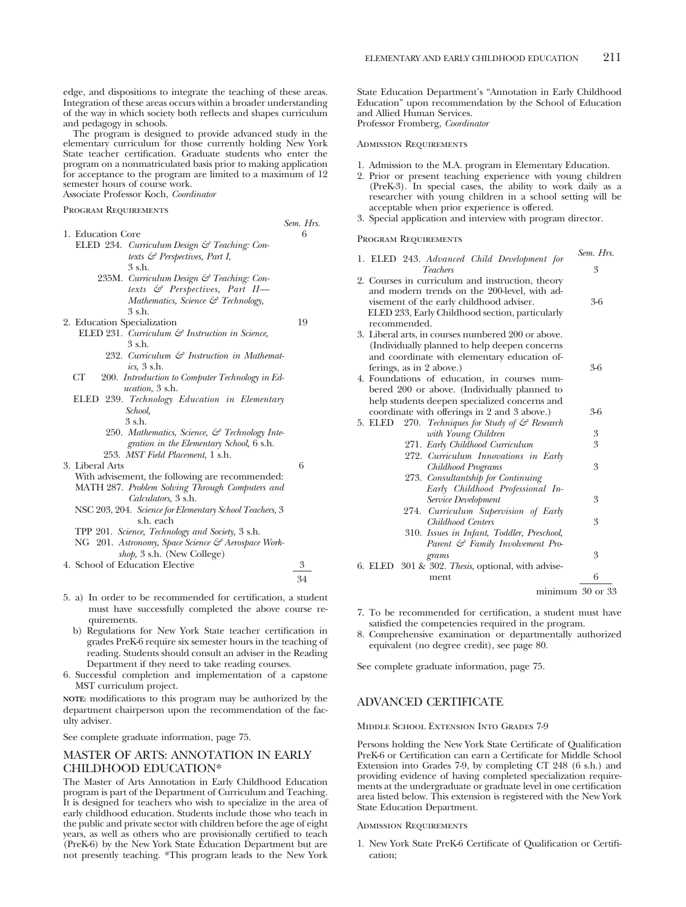edge, and dispositions to integrate the teaching of these areas. Integration of these areas occurs within a broader understanding of the way in which society both reflects and shapes curriculum and pedagogy in schools.

The program is designed to provide advanced study in the elementary curriculum for those currently holding New York State teacher certification. Graduate students who enter the program on a nonmatriculated basis prior to making application for acceptance to the program are limited to a maximum of 12 semester hours of course work.

Associate Professor Koch, *Coordinator*

Program Requirements

|                   |                                              | Sem. Hrs. |
|-------------------|----------------------------------------------|-----------|
| 1. Education Core |                                              | 6         |
|                   | ELED 234. Curriculum Design & Teaching: Con- |           |
|                   | texts $\mathcal{C}$ Perspectives, Part I,    |           |
|                   | $3$ s.h.                                     |           |

- 235M. *Curriculum Design & Teaching: Contexts & Perspectives, Part II— Mathematics, Science & Technology,* 3 s.h.
- 2. Education Specialization 19
- ELED 231. *Curriculum & Instruction in Science,* 3 s.h.
	- 232. *Curriculum & Instruction in Mathematics,* 3 s.h.
- CT 200. *Introduction to Computer Technology in Education,* 3 s.h.
- ELED 239. *Technology Education in Elementary School,* 3 s.h.
	- 250. *Mathematics, Science, & Technology Integration in the Elementary School,* 6 s.h. 253. *MST Field Placement*, 1 s.h.
- 3. Liberal Arts 6
	- With advisement, the following are recommended: MATH 287. *Problem Solving Through Computers and Calculators,* 3 s.h.
	- NSC 203, 204. *Science for Elementary School Teachers,* 3 s.h. each
	- TPP 201. *Science, Technology and Society,* 3 s.h.
	- NG 201. *Astronomy, Space Science & Aerospace Workshop,* 3 s.h. (New College)
- 4. School of Education Elective 3
	- 34
- 5. a) In order to be recommended for certification, a student must have successfully completed the above course requirements.
	- b) Regulations for New York State teacher certification in grades PreK-6 require six semester hours in the teaching of reading. Students should consult an adviser in the Reading Department if they need to take reading courses.
- 6. Successful completion and implementation of a capstone MST curriculum project.

**NOTE:** modifications to this program may be authorized by the department chairperson upon the recommendation of the faculty adviser.

See complete graduate information, page 75.

## MASTER OF ARTS: ANNOTATION IN EARLY CHILDHOOD EDUCATION\*

The Master of Arts Annotation in Early Childhood Education program is part of the Department of Curriculum and Teaching. It is designed for teachers who wish to specialize in the area of early childhood education. Students include those who teach in the public and private sector with children before the age of eight years, as well as others who are provisionally certified to teach (PreK-6) by the New York State Education Department but are not presently teaching. \*This program leads to the New York

State Education Department's "Annotation in Early Childhood Education" upon recommendation by the School of Education and Allied Human Services. Professor Fromberg, *Coordinator*

Admission Requirements

- 1. Admission to the M.A. program in Elementary Education.
- 2. Prior or present teaching experience with young children (PreK-3). In special cases, the ability to work daily as a researcher with young children in a school setting will be acceptable when prior experience is offered.
- 3. Special application and interview with program director.

Program Requirements

| 1. ELED 243. Advanced Child Development for                                                                                                                                                                     | Sem. Hrs. |
|-----------------------------------------------------------------------------------------------------------------------------------------------------------------------------------------------------------------|-----------|
| <b>Teachers</b>                                                                                                                                                                                                 | 3         |
| 2. Courses in curriculum and instruction, theory<br>and modern trends on the 200-level, with ad-<br>visement of the early childhood adviser.<br>ELED 233, Early Childhood section, particularly<br>recommended. | 3-6       |
| 3. Liberal arts, in courses numbered 200 or above.<br>(Individually planned to help deepen concerns)<br>and coordinate with elementary education of-<br>ferings, as in 2 above.)                                | $3-6$     |
| 4. Foundations of education, in courses num-<br>bered 200 or above. (Individually planned to<br>help students deepen specialized concerns and                                                                   |           |
| coordinate with offerings in 2 and 3 above.)                                                                                                                                                                    | 3-6       |
| 270. Techniques for Study of & Research<br>5. ELED<br>with Young Children                                                                                                                                       | 3         |
| 271. Early Childhood Curriculum                                                                                                                                                                                 | 3         |
| 272. Curriculum Innovations in Early                                                                                                                                                                            |           |
| Childhood Programs                                                                                                                                                                                              | 3         |
| 273. Consultantship for Continuing<br>Early Childhood Professional In-                                                                                                                                          |           |
| Service Development                                                                                                                                                                                             | 3         |
| 274. Curriculum Supervision of Early                                                                                                                                                                            |           |
| Childhood Centers                                                                                                                                                                                               | 3         |
| 310. Issues in Infant, Toddler, Preschool,<br>Parent & Family Involvement Pro-                                                                                                                                  |           |
| grams                                                                                                                                                                                                           | 3         |
| 6. ELED 301 & 302. Thesis, optional, with advise-                                                                                                                                                               |           |
| ment                                                                                                                                                                                                            | 6         |
| $minimum$ 30 or 33                                                                                                                                                                                              |           |

- 7. To be recommended for certification, a student must have satisfied the competencies required in the program.
- 8. Comprehensive examination or departmentally authorized equivalent (no degree credit), see page 80.

See complete graduate information, page 75.

## ADVANCED CERTIFICATE

Middle School Extension Into Grades 7-9

Persons holding the New York State Certificate of Qualification PreK-6 or Certification can earn a Certificate for Middle School Extension into Grades 7-9, by completing CT 248 (6 s.h.) and providing evidence of having completed specialization requirements at the undergraduate or graduate level in one certification area listed below. This extension is registered with the New York State Education Department.

## Admission Requirements

1. New York State PreK-6 Certificate of Qualification or Certification;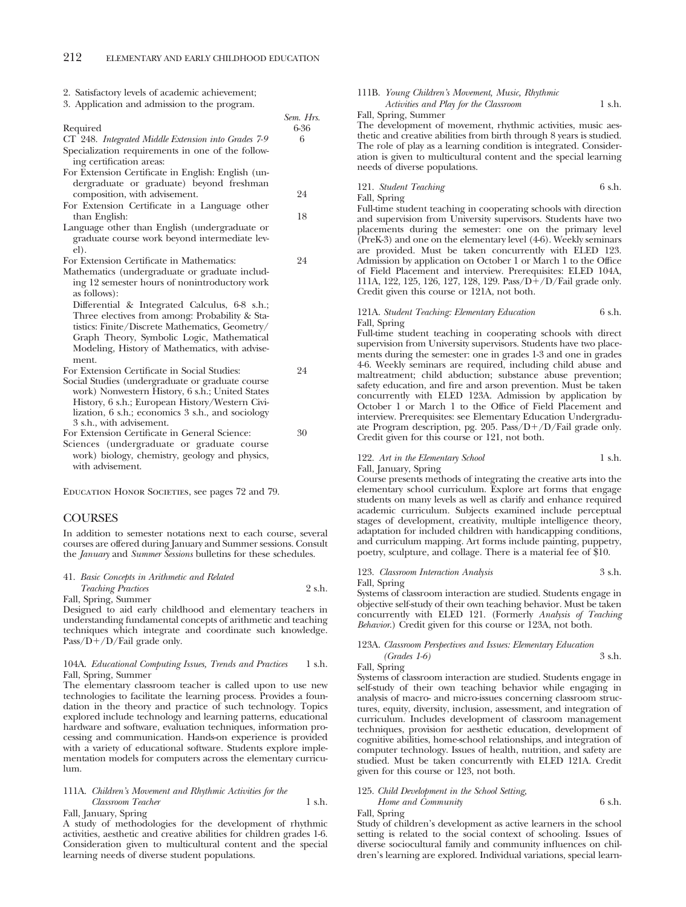|  | 2. Satisfactory levels of academic achievement; |  |  |  |  |  |
|--|-------------------------------------------------|--|--|--|--|--|
|--|-------------------------------------------------|--|--|--|--|--|

3. Application and admission to the program.

|                                                     | Sem. Hrs. |
|-----------------------------------------------------|-----------|
| Required                                            | 6-36      |
| CT 248. Integrated Middle Extension into Grades 7-9 | 6         |
| Specialization requirements in one of the follow-   |           |
| ing certification areas:                            |           |
| For Extension Certificate in English: English (un-  |           |

- dergraduate or graduate) beyond freshman composition, with advisement. 24
- For Extension Certificate in a Language other than English: 18
- Language other than English (undergraduate or graduate course work beyond intermediate level).

For Extension Certificate in Mathematics: 24

Mathematics (undergraduate or graduate including 12 semester hours of nonintroductory work as follows):

Differential & Integrated Calculus, 6-8 s.h.; Three electives from among: Probability & Statistics: Finite/Discrete Mathematics, Geometry/ Graph Theory, Symbolic Logic, Mathematical Modeling, History of Mathematics, with advisement.

For Extension Certificate in Social Studies: 24

Social Studies (undergraduate or graduate course work) Nonwestern History, 6 s.h.; United States History, 6 s.h.; European History/Western Civilization, 6 s.h.; economics 3 s.h., and sociology 3 s.h., with advisement.

For Extension Certificate in General Science: 30 Sciences (undergraduate or graduate course work) biology, chemistry, geology and physics, with advisement.

Education Honor Societies, see pages 72 and 79.

# **COURSES**

In addition to semester notations next to each course, several courses are offered during January and Summer sessions. Consult the *January* and *Summer Sessions* bulletins for these schedules.

| 41. Basic Concepts in Arithmetic and Related |        |
|----------------------------------------------|--------|
| <i>Teaching Practices</i>                    | 2 s.h. |
| Fall, Spring, Summer                         |        |

Designed to aid early childhood and elementary teachers in understanding fundamental concepts of arithmetic and teaching techniques which integrate and coordinate such knowledge. Pass/ $D+/D$ /Fail grade only.

### 104A. *Educational Computing Issues, Trends and Practices* 1 s.h. Fall, Spring, Summer

The elementary classroom teacher is called upon to use new technologies to facilitate the learning process. Provides a foundation in the theory and practice of such technology. Topics explored include technology and learning patterns, educational hardware and software, evaluation techniques, information processing and communication. Hands-on experience is provided with a variety of educational software. Students explore implementation models for computers across the elementary curriculum.

### 111A. *Children's Movement and Rhythmic Activities for the Classroom Teacher* 1 s.h. Fall, January, Spring

A study of methodologies for the development of rhythmic activities, aesthetic and creative abilities for children grades 1-6. Consideration given to multicultural content and the special learning needs of diverse student populations.

### 111B. *Young Children's Movement, Music, Rhythmic* Activities and Play for the Classroom 1 s.h.

Fall, Spring, Summer

The development of movement, rhythmic activities, music aesthetic and creative abilities from birth through 8 years is studied. The role of play as a learning condition is integrated. Consideration is given to multicultural content and the special learning needs of diverse populations.

121. *Student Teaching* 6 s.h.

Fall, Spring

Full-time student teaching in cooperating schools with direction and supervision from University supervisors. Students have two placements during the semester: one on the primary level (PreK-3) and one on the elementary level (4-6). Weekly seminars are provided. Must be taken concurrently with ELED 123. Admission by application on October 1 or March 1 to the Office of Field Placement and interview. Prerequisites: ELED 104A, 111A, 122, 125, 126, 127, 128, 129. Pass/ $D+/D$ /Fail grade only. Credit given this course or 121A, not both.

### 121A. *Student Teaching: Elementary Education* 6 s.h. Fall, Spring

Full-time student teaching in cooperating schools with direct supervision from University supervisors. Students have two placements during the semester: one in grades 1-3 and one in grades 4-6. Weekly seminars are required, including child abuse and maltreatment; child abduction; substance abuse prevention; safety education, and fire and arson prevention. Must be taken concurrently with ELED 123A. Admission by application by October 1 or March 1 to the Office of Field Placement and interview. Prerequisites: see Elementary Education Undergraduate Program description, pg. 205. Pass/ $D+/D$ /Fail grade only. Credit given for this course or 121, not both.

### 122. Art in the Elementary School 1 s.h. Fall, January, Spring

Course presents methods of integrating the creative arts into the elementary school curriculum. Explore art forms that engage students on many levels as well as clarify and enhance required academic curriculum. Subjects examined include perceptual stages of development, creativity, multiple intelligence theory, adaptation for included children with handicapping conditions, and curriculum mapping. Art forms include painting, puppetry, poetry, sculpture, and collage. There is a material fee of \$10.

## 123. *Classroom Interaction Analysis* 3 s.h.

Fall, Spring

Systems of classroom interaction are studied. Students engage in objective self-study of their own teaching behavior. Must be taken concurrently with ELED 121. (Formerly *Analysis of Teaching Behavior*.) Credit given for this course or 123A, not both.

### 123A. *Classroom Perspectives and Issues: Elementary Education (Grades 1-6)* 3 s.h.

Fall, Spring

Systems of classroom interaction are studied. Students engage in self-study of their own teaching behavior while engaging in analysis of macro- and micro-issues concerning classroom structures, equity, diversity, inclusion, assessment, and integration of curriculum. Includes development of classroom management techniques, provision for aesthetic education, development of cognitive abilities, home-school relationships, and integration of computer technology. Issues of health, nutrition, and safety are studied. Must be taken concurrently with ELED 121A. Credit given for this course or 123, not both.

# 125. *Child Development in the School Setting,*

# *Home and Community* 6 s.h.

Fall, Spring

Study of children's development as active learners in the school setting is related to the social context of schooling. Issues of diverse sociocultural family and community influences on children's learning are explored. Individual variations, special learn-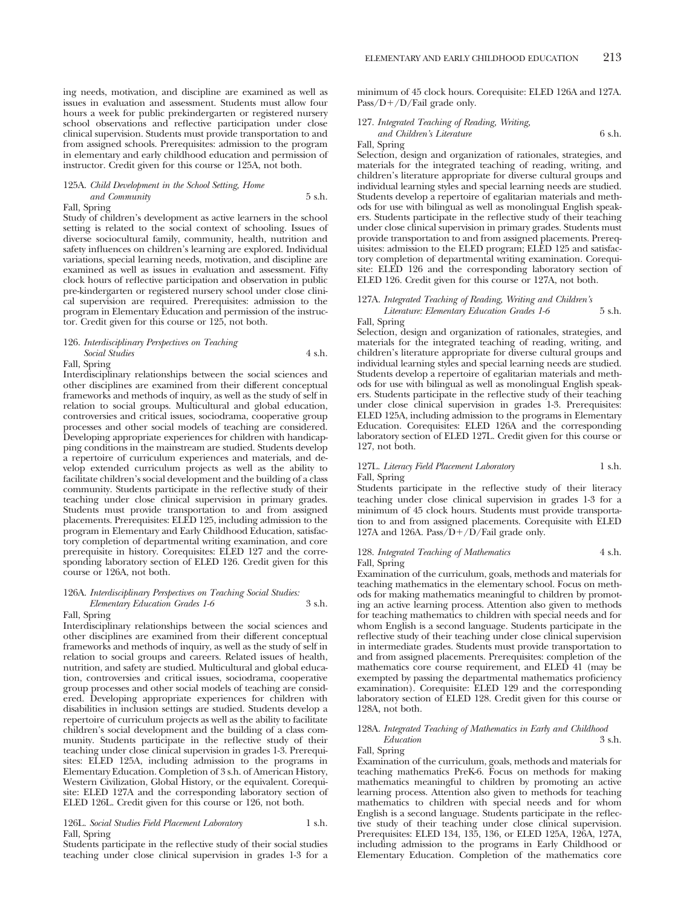# 125A. *Child Development in the School Setting, Home and Community* 5 s.h.

Fall, Spring

Study of children's development as active learners in the school setting is related to the social context of schooling. Issues of diverse sociocultural family, community, health, nutrition and safety influences on children's learning are explored. Individual variations, special learning needs, motivation, and discipline are examined as well as issues in evaluation and assessment. Fifty clock hours of reflective participation and observation in public pre-kindergarten or registered nursery school under close clinical supervision are required. Prerequisites: admission to the program in Elementary Education and permission of the instructor. Credit given for this course or 125, not both.

### 126. *Interdisciplinary Perspectives on Teaching Social Studies* 4 s.h.

### Fall, Spring

Interdisciplinary relationships between the social sciences and other disciplines are examined from their different conceptual frameworks and methods of inquiry, as well as the study of self in relation to social groups. Multicultural and global education, controversies and critical issues, sociodrama, cooperative group processes and other social models of teaching are considered. Developing appropriate experiences for children with handicapping conditions in the mainstream are studied. Students develop a repertoire of curriculum experiences and materials, and develop extended curriculum projects as well as the ability to facilitate children's social development and the building of a class community. Students participate in the reflective study of their teaching under close clinical supervision in primary grades. Students must provide transportation to and from assigned placements. Prerequisites: ELED 125, including admission to the program in Elementary and Early Childhood Education, satisfactory completion of departmental writing examination, and core prerequisite in history. Corequisites: ELED 127 and the corresponding laboratory section of ELED 126. Credit given for this course or 126A, not both.

# 126A. *Interdisciplinary Perspectives on Teaching Social Studies: Elementary Education Grades 1-6* 3 s.h.

Fall, Spring

Interdisciplinary relationships between the social sciences and other disciplines are examined from their different conceptual frameworks and methods of inquiry, as well as the study of self in relation to social groups and careers. Related issues of health, nutrition, and safety are studied. Multicultural and global education, controversies and critical issues, sociodrama, cooperative group processes and other social models of teaching are considered. Developing appropriate experiences for children with disabilities in inclusion settings are studied. Students develop a repertoire of curriculum projects as well as the ability to facilitate children's social development and the building of a class community. Students participate in the reflective study of their teaching under close clinical supervision in grades 1-3. Prerequisites: ELED 125A, including admission to the programs in Elementary Education. Completion of 3 s.h. of American History, Western Civilization, Global History, or the equivalent. Corequisite: ELED 127A and the corresponding laboratory section of ELED 126L. Credit given for this course or 126, not both.

### 126L. *Social Studies Field Placement Laboratory* 1 s.h. Fall, Spring

Students participate in the reflective study of their social studies teaching under close clinical supervision in grades 1-3 for a minimum of 45 clock hours. Corequisite: ELED 126A and 127A. Pass/ $D+$ /D/Fail grade only.

# 127. *Integrated Teaching of Reading, Writing, and Children's Literature* 6 s.h.

Fall, Spring

Selection, design and organization of rationales, strategies, and materials for the integrated teaching of reading, writing, and children's literature appropriate for diverse cultural groups and individual learning styles and special learning needs are studied. Students develop a repertoire of egalitarian materials and methods for use with bilingual as well as monolingual English speakers. Students participate in the reflective study of their teaching under close clinical supervision in primary grades. Students must provide transportation to and from assigned placements. Prerequisites: admission to the ELED program; ELED 125 and satisfactory completion of departmental writing examination. Corequisite: ELED 126 and the corresponding laboratory section of ELED 126. Credit given for this course or 127A, not both.

### 127A. *Integrated Teaching of Reading, Writing and Children's Literature: Elementary Education Grades 1-6* 5 s.h.

Fall, Spring

Selection, design and organization of rationales, strategies, and materials for the integrated teaching of reading, writing, and children's literature appropriate for diverse cultural groups and individual learning styles and special learning needs are studied. Students develop a repertoire of egalitarian materials and methods for use with bilingual as well as monolingual English speakers. Students participate in the reflective study of their teaching under close clinical supervision in grades 1-3. Prerequisites: ELED 125A, including admission to the programs in Elementary Education. Corequisites: ELED 126A and the corresponding laboratory section of ELED 127L. Credit given for this course or 127, not both.

### 127L. *Literacy Field Placement Laboratory* 1 s.h. Fall, Spring

Students participate in the reflective study of their literacy teaching under close clinical supervision in grades 1-3 for a minimum of 45 clock hours. Students must provide transportation to and from assigned placements. Corequisite with ELED 127A and 126A. Pass $\overrightarrow{D}$ + $\overrightarrow{D}$ /Fail grade only.

### 128. *Integrated Teaching of Mathematics* 4 s.h. Fall, Spring

Examination of the curriculum, goals, methods and materials for teaching mathematics in the elementary school. Focus on methods for making mathematics meaningful to children by promoting an active learning process. Attention also given to methods for teaching mathematics to children with special needs and for whom English is a second language. Students participate in the reflective study of their teaching under close clinical supervision in intermediate grades. Students must provide transportation to and from assigned placements. Prerequisites: completion of the mathematics core course requirement, and ELED 41 (may be exempted by passing the departmental mathematics proficiency examination). Corequisite: ELED 129 and the corresponding laboratory section of ELED 128. Credit given for this course or 128A, not both.

### 128A. *Integrated Teaching of Mathematics in Early and Childhood*  $Education$

### Fall, Spring

Examination of the curriculum, goals, methods and materials for teaching mathematics PreK-6. Focus on methods for making mathematics meaningful to children by promoting an active learning process. Attention also given to methods for teaching mathematics to children with special needs and for whom English is a second language. Students participate in the reflective study of their teaching under close clinical supervision. Prerequisites: ELED 134, 135, 136, or ELED 125A, 126A, 127A, including admission to the programs in Early Childhood or Elementary Education. Completion of the mathematics core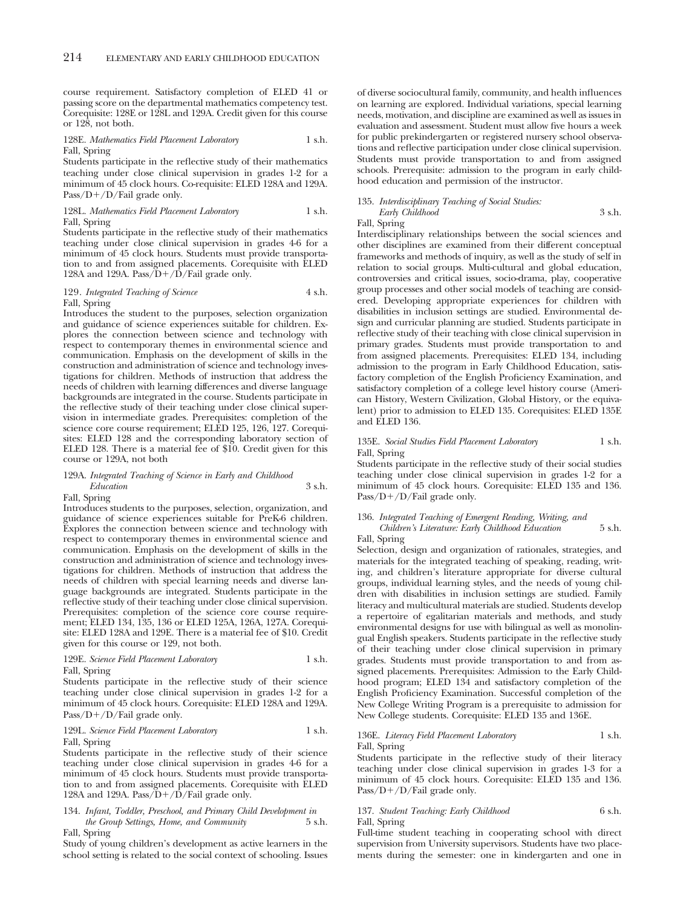course requirement. Satisfactory completion of ELED 41 or passing score on the departmental mathematics competency test. Corequisite: 128E or 128L and 129A. Credit given for this course or 128, not both.

### 128E. *Mathematics Field Placement Laboratory* 1 s.h. Fall, Spring

Students participate in the reflective study of their mathematics teaching under close clinical supervision in grades 1-2 for a minimum of 45 clock hours. Co-requisite: ELED 128A and 129A. Pass/ $D+/D$ /Fail grade only.

128L. *Mathematics Field Placement Laboratory* 1 s.h. Fall, Spring

Students participate in the reflective study of their mathematics teaching under close clinical supervision in grades 4-6 for a minimum of 45 clock hours. Students must provide transportation to and from assigned placements. Corequisite with ELED 128A and 129A. Pass $\overline{D}$ + $\overline{D}$ /Fail grade only.

### 129. *Integrated Teaching of Science* 4 s.h. Fall, Spring

Introduces the student to the purposes, selection organization and guidance of science experiences suitable for children. Explores the connection between science and technology with respect to contemporary themes in environmental science and communication. Emphasis on the development of skills in the construction and administration of science and technology investigations for children. Methods of instruction that address the needs of children with learning differences and diverse language backgrounds are integrated in the course. Students participate in the reflective study of their teaching under close clinical supervision in intermediate grades. Prerequisites: completion of the science core course requirement; ELED 125, 126, 127. Corequisites: ELED 128 and the corresponding laboratory section of ELED 128. There is a material fee of \$10. Credit given for this course or 129A, not both

### 129A. *Integrated Teaching of Science in Early and Childhood Education* 3 s.h.

Fall, Spring

Introduces students to the purposes, selection, organization, and guidance of science experiences suitable for PreK-6 children. Explores the connection between science and technology with respect to contemporary themes in environmental science and communication. Emphasis on the development of skills in the construction and administration of science and technology investigations for children. Methods of instruction that address the needs of children with special learning needs and diverse language backgrounds are integrated. Students participate in the reflective study of their teaching under close clinical supervision. Prerequisites: completion of the science core course requirement; ELED 134, 135, 136 or ELED 125A, 126A, 127A. Corequisite: ELED 128A and 129E. There is a material fee of \$10. Credit given for this course or 129, not both.

### 129E. *Science Field Placement Laboratory* 1 s.h. Fall, Spring

Students participate in the reflective study of their science teaching under close clinical supervision in grades 1-2 for a minimum of 45 clock hours. Corequisite: ELED 128A and 129A. Pass/ $D+/D$ /Fail grade only.

### 129L. *Science Field Placement Laboratory* 1 s.h. Fall, Spring

Students participate in the reflective study of their science teaching under close clinical supervision in grades 4-6 for a minimum of 45 clock hours. Students must provide transportation to and from assigned placements. Corequisite with ELED 128A and 129A. Pass/ $\overline{D}$ +/ $\overline{D}$ /Fail grade only.

### 134. *Infant, Toddler, Preschool, and Primary Child Development in the Group Settings, Home, and Community* 5 s.h. Fall, Spring

Study of young children's development as active learners in the school setting is related to the social context of schooling. Issues of diverse sociocultural family, community, and health influences on learning are explored. Individual variations, special learning needs, motivation, and discipline are examined as well as issues in evaluation and assessment. Student must allow five hours a week for public prekindergarten or registered nursery school observations and reflective participation under close clinical supervision. Students must provide transportation to and from assigned schools. Prerequisite: admission to the program in early childhood education and permission of the instructor.

# 135. *Interdisciplinary Teaching of Social Studies: Early Childhood* 3 s.h.

Fall, Spring

Interdisciplinary relationships between the social sciences and other disciplines are examined from their different conceptual frameworks and methods of inquiry, as well as the study of self in relation to social groups. Multi-cultural and global education, controversies and critical issues, socio-drama, play, cooperative group processes and other social models of teaching are considered. Developing appropriate experiences for children with disabilities in inclusion settings are studied. Environmental design and curricular planning are studied. Students participate in reflective study of their teaching with close clinical supervision in primary grades. Students must provide transportation to and from assigned placements. Prerequisites: ELED 134, including admission to the program in Early Childhood Education, satisfactory completion of the English Proficiency Examination, and satisfactory completion of a college level history course (American History, Western Civilization, Global History, or the equivalent) prior to admission to ELED 135. Corequisites: ELED 135E and ELED 136.

### 135E. *Social Studies Field Placement Laboratory* 1 s.h. Fall, Spring

Students participate in the reflective study of their social studies teaching under close clinical supervision in grades 1-2 for a minimum of 45 clock hours. Corequisite: ELED 135 and 136. Pass/ $D+/D$ /Fail grade only.

### 136. *Integrated Teaching of Emergent Reading, Writing, and Children's Literature: Early Childhood Education* 5 s.h.

Fall, Spring

Selection, design and organization of rationales, strategies, and materials for the integrated teaching of speaking, reading, writing, and children's literature appropriate for diverse cultural groups, individual learning styles, and the needs of young children with disabilities in inclusion settings are studied. Family literacy and multicultural materials are studied. Students develop a repertoire of egalitarian materials and methods, and study environmental designs for use with bilingual as well as monolingual English speakers. Students participate in the reflective study of their teaching under close clinical supervision in primary grades. Students must provide transportation to and from assigned placements. Prerequisites: Admission to the Early Childhood program; ELED 134 and satisfactory completion of the English Proficiency Examination. Successful completion of the New College Writing Program is a prerequisite to admission for New College students. Corequisite: ELED 135 and 136E.

### 136E. *Literacy Field Placement Laboratory* 1 s.h. Fall, Spring

Students participate in the reflective study of their literacy teaching under close clinical supervision in grades 1-3 for a minimum of 45 clock hours. Corequisite: ELED 135 and 136. Pass/D+/D/Fail grade only.

### 137. *Student Teaching: Early Childhood* 6 s.h. Fall, Spring

Full-time student teaching in cooperating school with direct supervision from University supervisors. Students have two placements during the semester: one in kindergarten and one in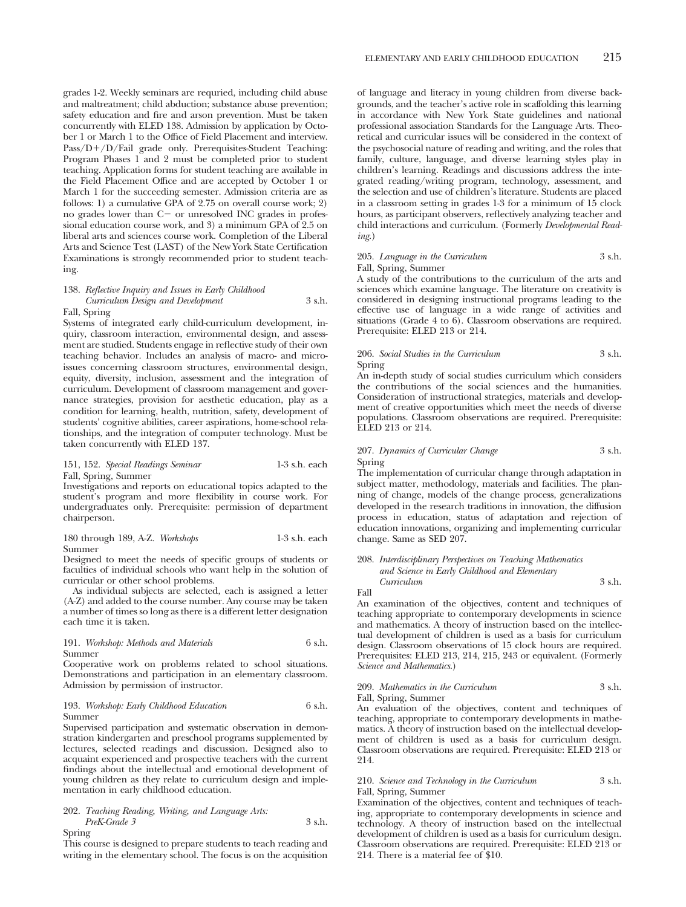grades 1-2. Weekly seminars are requried, including child abuse and maltreatment; child abduction; substance abuse prevention; safety education and fire and arson prevention. Must be taken concurrently with ELED 138. Admission by application by October 1 or March 1 to the Office of Field Placement and interview. Pass/D+/D/Fail grade only. Prerequisites-Student Teaching: Program Phases 1 and 2 must be completed prior to student teaching. Application forms for student teaching are available in the Field Placement Office and are accepted by October 1 or March 1 for the succeeding semester. Admission criteria are as follows: 1) a cumulative GPA of 2.75 on overall course work; 2) no grades lower than C- or unresolved INC grades in professional education course work, and 3) a minimum GPA of 2.5 on liberal arts and sciences course work. Completion of the Liberal Arts and Science Test (LAST) of the New York State Certification Examinations is strongly recommended prior to student teaching.

### 138. *Reflective Inquiry and Issues in Early Childhood Curriculum Design and Development* 3 s.h. Fall, Spring

Systems of integrated early child-curriculum development, inquiry, classroom interaction, environmental design, and assessment are studied. Students engage in reflective study of their own teaching behavior. Includes an analysis of macro- and microissues concerning classroom structures, environmental design, equity, diversity, inclusion, assessment and the integration of curriculum. Development of classroom management and governance strategies, provision for aesthetic education, play as a condition for learning, health, nutrition, safety, development of students' cognitive abilities, career aspirations, home-school relationships, and the integration of computer technology. Must be taken concurrently with ELED 137.

### 151, 152. *Special Readings Seminar* 1-3 s.h. each Fall, Spring, Summer

Investigations and reports on educational topics adapted to the student's program and more flexibility in course work. For undergraduates only. Prerequisite: permission of department chairperson.

### 180 through 189, A-Z. *Workshops* 1-3 s.h. each Summer

Designed to meet the needs of specific groups of students or faculties of individual schools who want help in the solution of curricular or other school problems.

As individual subjects are selected, each is assigned a letter (A-Z) and added to the course number. Any course may be taken a number of times so long as there is a different letter designation each time it is taken.

### 191. *Workshop: Methods and Materials* 6 s.h. Summer

Cooperative work on problems related to school situations. Demonstrations and participation in an elementary classroom. Admission by permission of instructor.

### 193. *Workshop: Early Childhood Education* 6 s.h. Summer

Supervised participation and systematic observation in demonstration kindergarten and preschool programs supplemented by lectures, selected readings and discussion. Designed also to acquaint experienced and prospective teachers with the current findings about the intellectual and emotional development of young children as they relate to curriculum design and implementation in early childhood education.

# 202. *Teaching Reading, Writing, and Language Arts: PreK-Grade 3* 3 s.h.

Spring

This course is designed to prepare students to teach reading and writing in the elementary school. The focus is on the acquisition

of language and literacy in young children from diverse backgrounds, and the teacher's active role in scaffolding this learning in accordance with New York State guidelines and national professional association Standards for the Language Arts. Theoretical and curricular issues will be considered in the context of the psychosocial nature of reading and writing, and the roles that family, culture, language, and diverse learning styles play in children's learning. Readings and discussions address the integrated reading/writing program, technology, assessment, and the selection and use of children's literature. Students are placed in a classroom setting in grades 1-3 for a minimum of 15 clock hours, as participant observers, reflectively analyzing teacher and child interactions and curriculum. (Formerly *Developmental Reading*.)

### 205. *Language in the Curriculum* 3 s.h. Fall, Spring, Summer

A study of the contributions to the curriculum of the arts and sciences which examine language. The literature on creativity is considered in designing instructional programs leading to the effective use of language in a wide range of activities and situations (Grade 4 to 6). Classroom observations are required. Prerequisite: ELED 213 or 214.

## 206. *Social Studies in the Curriculum* 3 s.h. Spring

An in-depth study of social studies curriculum which considers the contributions of the social sciences and the humanities. Consideration of instructional strategies, materials and development of creative opportunities which meet the needs of diverse populations. Classroom observations are required. Prerequisite: ELED 213 or 214.

### 207. *Dynamics of Curricular Change* 3 s.h. Spring

The implementation of curricular change through adaptation in subject matter, methodology, materials and facilities. The planning of change, models of the change process, generalizations developed in the research traditions in innovation, the diffusion process in education, status of adaptation and rejection of education innovations, organizing and implementing curricular change. Same as SED 207.

# 208. *Interdisciplinary Perspectives on Teaching Mathematics and Science in Early Childhood and Elementary Curriculum* 3 s.h.

Fall

An examination of the objectives, content and techniques of teaching appropriate to contemporary developments in science and mathematics. A theory of instruction based on the intellectual development of children is used as a basis for curriculum design. Classroom observations of 15 clock hours are required. Prerequisites: ELED 213, 214, 215, 243 or equivalent. (Formerly *Science and Mathematics*.)

### 209. Mathematics in the Curriculum 3 s.h. Fall, Spring, Summer

An evaluation of the objectives, content and techniques of teaching, appropriate to contemporary developments in mathematics. A theory of instruction based on the intellectual development of children is used as a basis for curriculum design. Classroom observations are required. Prerequisite: ELED 213 or 214.

### 210. Science and Technology in the Curriculum 3 s.h. Fall, Spring, Summer

Examination of the objectives, content and techniques of teaching, appropriate to contemporary developments in science and technology. A theory of instruction based on the intellectual development of children is used as a basis for curriculum design. Classroom observations are required. Prerequisite: ELED 213 or 214. There is a material fee of \$10.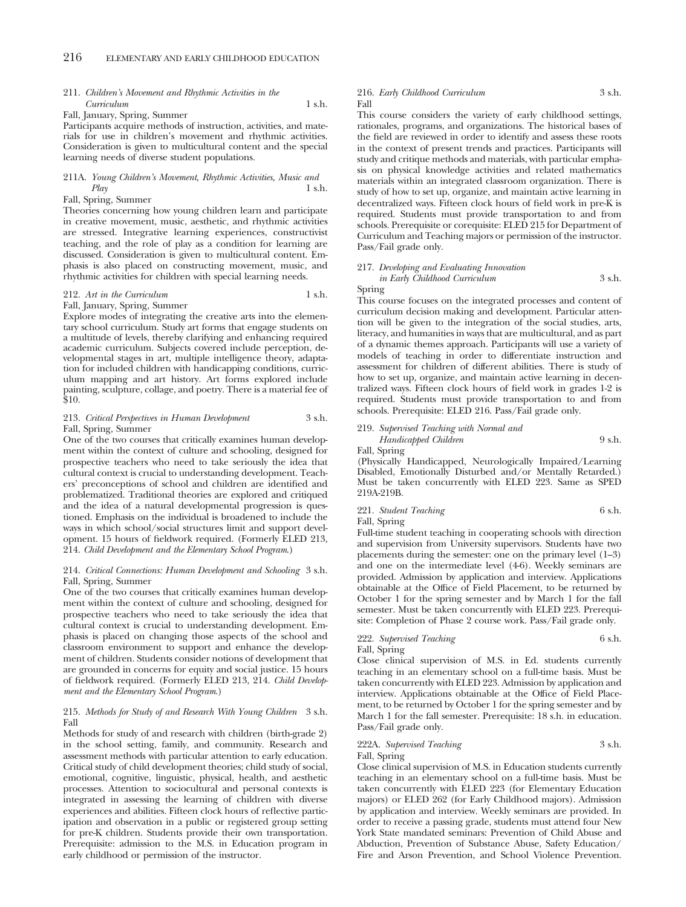## 211. *Children's Movement and Rhythmic Activities in the Curriculum* 1 s.h.

Fall, January, Spring, Summer

Participants acquire methods of instruction, activities, and materials for use in children's movement and rhythmic activities. Consideration is given to multicultural content and the special learning needs of diverse student populations.

### 211A. *Young Children's Movement, Rhythmic Activities, Music and Play* 1 s.h.

### Fall, Spring, Summer

Theories concerning how young children learn and participate in creative movement, music, aesthetic, and rhythmic activities are stressed. Integrative learning experiences, constructivist teaching, and the role of play as a condition for learning are discussed. Consideration is given to multicultural content. Emphasis is also placed on constructing movement, music, and rhythmic activities for children with special learning needs.

## 212. Art in the Curriculum 1 s.h.

\$10.

Fall, January, Spring, Summer Explore modes of integrating the creative arts into the elementary school curriculum. Study art forms that engage students on a multitude of levels, thereby clarifying and enhancing required academic curriculum. Subjects covered include perception, developmental stages in art, multiple intelligence theory, adaptation for included children with handicapping conditions, curriculum mapping and art history. Art forms explored include painting, sculpture, collage, and poetry. There is a material fee of

### 213. *Critical Perspectives in Human Development* 3 s.h. Fall, Spring, Summer

One of the two courses that critically examines human development within the context of culture and schooling, designed for prospective teachers who need to take seriously the idea that cultural context is crucial to understanding development. Teachers' preconceptions of school and children are identified and problematized. Traditional theories are explored and critiqued and the idea of a natural developmental progression is questioned. Emphasis on the individual is broadened to include the ways in which school/social structures limit and support development. 15 hours of fieldwork required. (Formerly ELED 213, 214. *Child Development and the Elementary School Program*.)

### 214. *Critical Connections: Human Development and Schooling* 3 s.h. Fall, Spring, Summer

One of the two courses that critically examines human development within the context of culture and schooling, designed for prospective teachers who need to take seriously the idea that cultural context is crucial to understanding development. Emphasis is placed on changing those aspects of the school and classroom environment to support and enhance the development of children. Students consider notions of development that are grounded in concerns for equity and social justice. 15 hours of fieldwork required. (Formerly ELED 213, 214. *Child Development and the Elementary School Program*.)

### 215. *Methods for Study of and Research With Young Children* 3 s.h. Fall

Methods for study of and research with children (birth-grade 2) in the school setting, family, and community. Research and assessment methods with particular attention to early education. Critical study of child development theories; child study of social, emotional, cognitive, linguistic, physical, health, and aesthetic processes. Attention to sociocultural and personal contexts is integrated in assessing the learning of children with diverse experiences and abilities. Fifteen clock hours of reflective participation and observation in a public or registered group setting for pre-K children. Students provide their own transportation. Prerequisite: admission to the M.S. in Education program in early childhood or permission of the instructor.

### 216. *Early Childhood Curriculum* 3 s.h. Fall

This course considers the variety of early childhood settings, rationales, programs, and organizations. The historical bases of the field are reviewed in order to identify and assess these roots in the context of present trends and practices. Participants will study and critique methods and materials, with particular emphasis on physical knowledge activities and related mathematics materials within an integrated classroom organization. There is study of how to set up, organize, and maintain active learning in decentralized ways. Fifteen clock hours of field work in pre-K is required. Students must provide transportation to and from schools. Prerequisite or corequisite: ELED 215 for Department of Curriculum and Teaching majors or permission of the instructor. Pass/Fail grade only.

# 217. *Developing and Evaluating Innovation in Early Childhood Curriculum* 3 s.h.

Spring

This course focuses on the integrated processes and content of curriculum decision making and development. Particular attention will be given to the integration of the social studies, arts, literacy, and humanities in ways that are multicultural, and as part of a dynamic themes approach. Participants will use a variety of models of teaching in order to differentiate instruction and assessment for children of different abilities. There is study of how to set up, organize, and maintain active learning in decentralized ways. Fifteen clock hours of field work in grades 1-2 is required. Students must provide transportation to and from schools. Prerequisite: ELED 216. Pass/Fail grade only.

### 219. *Supervised Teaching with Normal and Handicapped Children* 9 s.h. Fall, Spring

(Physically Handicapped, Neurologically Impaired/Learning Disabled, Emotionally Disturbed and/or Mentally Retarded.) Must be taken concurrently with ELED 223. Same as SPED 219A-219B.

# 221. *Student Teaching* 6 s.h.

Fall, Spring

Full-time student teaching in cooperating schools with direction and supervision from University supervisors. Students have two placements during the semester: one on the primary level (1–3) and one on the intermediate level (4-6). Weekly seminars are provided. Admission by application and interview. Applications obtainable at the Office of Field Placement, to be returned by October 1 for the spring semester and by March 1 for the fall semester. Must be taken concurrently with ELED 223. Prerequisite: Completion of Phase 2 course work. Pass/Fail grade only.

### 222. *Supervised Teaching* 6 s.h. Fall, Spring

Close clinical supervision of M.S. in Ed. students currently teaching in an elementary school on a full-time basis. Must be taken concurrently with ELED 223. Admission by application and interview. Applications obtainable at the Office of Field Placement, to be returned by October 1 for the spring semester and by March 1 for the fall semester. Prerequisite: 18 s.h. in education. Pass/Fail grade only.

# 222A. *Supervised Teaching* 3 s.h. Fall, Spring

Close clinical supervision of M.S. in Education students currently teaching in an elementary school on a full-time basis. Must be taken concurrently with ELED 223 (for Elementary Education majors) or ELED 262 (for Early Childhood majors). Admission by application and interview. Weekly seminars are provided. In order to receive a passing grade, students must attend four New York State mandated seminars: Prevention of Child Abuse and Abduction, Prevention of Substance Abuse, Safety Education/ Fire and Arson Prevention, and School Violence Prevention.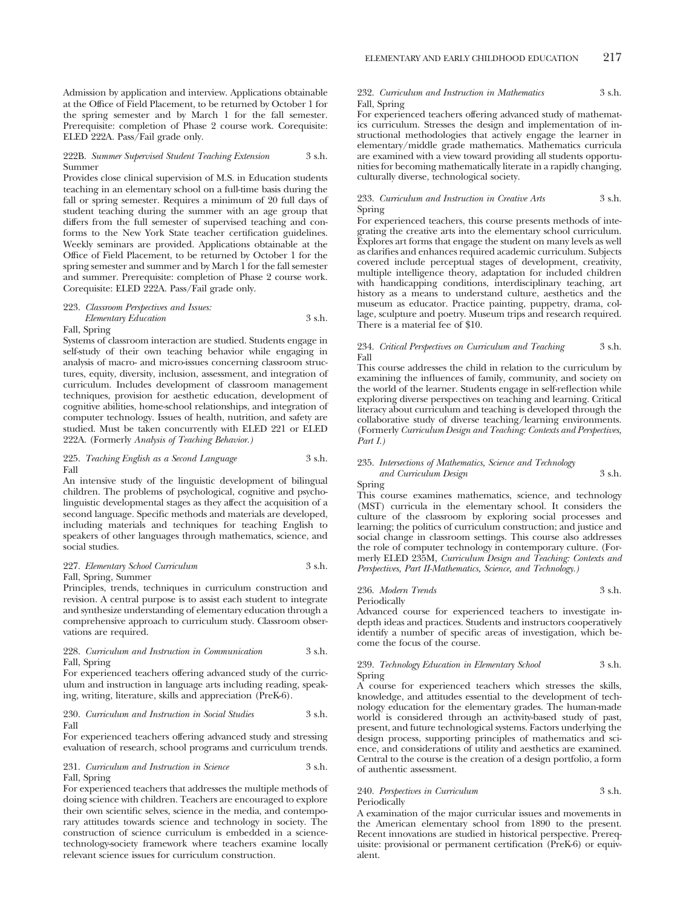Admission by application and interview. Applications obtainable at the Office of Field Placement, to be returned by October 1 for the spring semester and by March 1 for the fall semester. Prerequisite: completion of Phase 2 course work. Corequisite: ELED 222A. Pass/Fail grade only.

### 222B. *Summer Supervised Student Teaching Extension* 3 s.h. Summer

Provides close clinical supervision of M.S. in Education students teaching in an elementary school on a full-time basis during the fall or spring semester. Requires a minimum of 20 full days of student teaching during the summer with an age group that differs from the full semester of supervised teaching and conforms to the New York State teacher certification guidelines. Weekly seminars are provided. Applications obtainable at the Office of Field Placement, to be returned by October 1 for the spring semester and summer and by March 1 for the fall semester and summer. Prerequisite: completion of Phase 2 course work. Corequisite: ELED 222A. Pass/Fail grade only.

### 223. *Classroom Perspectives and Issues: Elementary Education* 3 s.h.

Fall, Spring

Systems of classroom interaction are studied. Students engage in self-study of their own teaching behavior while engaging in analysis of macro- and micro-issues concerning classroom structures, equity, diversity, inclusion, assessment, and integration of curriculum. Includes development of classroom management techniques, provision for aesthetic education, development of cognitive abilities, home-school relationships, and integration of computer technology. Issues of health, nutrition, and safety are studied. Must be taken concurrently with ELED 221 or ELED 222A. (Formerly *Analysis of Teaching Behavior.)*

### 225. *Teaching English as a Second Language* 3 s.h. Fall

An intensive study of the linguistic development of bilingual children. The problems of psychological, cognitive and psycholinguistic developmental stages as they affect the acquisition of a second language. Specific methods and materials are developed, including materials and techniques for teaching English to speakers of other languages through mathematics, science, and social studies.

### 227. *Elementary School Curriculum* 3 s.h. Fall, Spring, Summer

Principles, trends, techniques in curriculum construction and revision. A central purpose is to assist each student to integrate and synthesize understanding of elementary education through a comprehensive approach to curriculum study. Classroom observations are required.

### 228. *Curriculum and Instruction in Communication* 3 s.h. Fall, Spring

For experienced teachers offering advanced study of the curriculum and instruction in language arts including reading, speaking, writing, literature, skills and appreciation (PreK-6).

### 230. *Curriculum and Instruction in Social Studies* 3 s.h. Fall

For experienced teachers offering advanced study and stressing evaluation of research, school programs and curriculum trends.

231. *Curriculum and Instruction in Science* 3 s.h. Fall, Spring

For experienced teachers that addresses the multiple methods of doing science with children. Teachers are encouraged to explore their own scientific selves, science in the media, and contemporary attitudes towards science and technology in society. The construction of science curriculum is embedded in a sciencetechnology-society framework where teachers examine locally relevant science issues for curriculum construction.

### 232. *Curriculum and Instruction in Mathematics* 3 s.h. Fall, Spring

For experienced teachers offering advanced study of mathematics curriculum. Stresses the design and implementation of instructional methodologies that actively engage the learner in elementary/middle grade mathematics. Mathematics curricula are examined with a view toward providing all students opportunities for becoming mathematically literate in a rapidly changing, culturally diverse, technological society.

### 233. *Curriculum and Instruction in Creative Arts* 3 s.h. Spring

For experienced teachers, this course presents methods of integrating the creative arts into the elementary school curriculum. Explores art forms that engage the student on many levels as well as clarifies and enhances required academic curriculum. Subjects covered include perceptual stages of development, creativity, multiple intelligence theory, adaptation for included children with handicapping conditions, interdisciplinary teaching, art history as a means to understand culture, aesthetics and the museum as educator. Practice painting, puppetry, drama, collage, sculpture and poetry. Museum trips and research required. There is a material fee of \$10.

### 234. *Critical Perspectives on Curriculum and Teaching* 3 s.h. Fall

This course addresses the child in relation to the curriculum by examining the influences of family, community, and society on the world of the learner. Students engage in self-reflection while exploring diverse perspectives on teaching and learning. Critical literacy about curriculum and teaching is developed through the collaborative study of diverse teaching/learning environments. (Formerly *Curriculum Design and Teaching: Contexts and Perspectives, Part I.)*

### 235. *Intersections of Mathematics, Science and Technology and Curriculum Design* 3 s.h.

Spring

This course examines mathematics, science, and technology (MST) curricula in the elementary school. It considers the culture of the classroom by exploring social processes and learning; the politics of curriculum construction; and justice and social change in classroom settings. This course also addresses the role of computer technology in contemporary culture. (Formerly ELED 235M, *Curriculum Design and Teaching: Contexts and Perspectives, Part II-Mathematics, Science, and Technology.)*

236. *Modern Trends* 3 s.h. Periodically

Advanced course for experienced teachers to investigate indepth ideas and practices. Students and instructors cooperatively identify a number of specific areas of investigation, which become the focus of the course.

### 239. *Technology Education in Elementary School* 3 s.h. Spring

A course for experienced teachers which stresses the skills, knowledge, and attitudes essential to the development of technology education for the elementary grades. The human-made world is considered through an activity-based study of past, present, and future technological systems. Factors underlying the design process, supporting principles of mathematics and science, and considerations of utility and aesthetics are examined. Central to the course is the creation of a design portfolio, a form of authentic assessment.

### 240. *Perspectives in Curriculum* 3 s.h. Periodically

A examination of the major curricular issues and movements in the American elementary school from 1890 to the present. Recent innovations are studied in historical perspective. Prerequisite: provisional or permanent certification (PreK-6) or equivalent.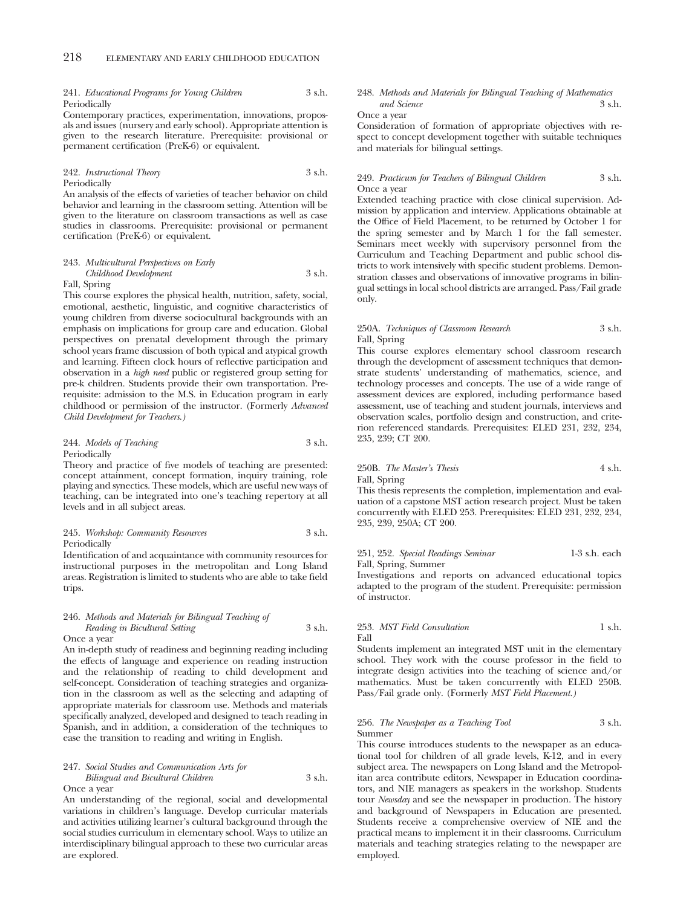### 241. *Educational Programs for Young Children* 3 s.h. Periodically

Contemporary practices, experimentation, innovations, proposals and issues (nursery and early school). Appropriate attention is given to the research literature. Prerequisite: provisional or permanent certification (PreK-6) or equivalent.

### 242. *Instructional Theory* 3 s.h. Periodically

An analysis of the effects of varieties of teacher behavior on child behavior and learning in the classroom setting. Attention will be given to the literature on classroom transactions as well as case studies in classrooms. Prerequisite: provisional or permanent certification (PreK-6) or equivalent.

# 243. *Multicultural Perspectives on Early Childhood Development* 3 s.h.

Fall, Spring

This course explores the physical health, nutrition, safety, social, emotional, aesthetic, linguistic, and cognitive characteristics of young children from diverse sociocultural backgrounds with an emphasis on implications for group care and education. Global perspectives on prenatal development through the primary school years frame discussion of both typical and atypical growth and learning. Fifteen clock hours of reflective participation and observation in a *high need* public or registered group setting for pre-k children. Students provide their own transportation. Prerequisite: admission to the M.S. in Education program in early childhood or permission of the instructor. (Formerly *Advanced Child Development for Teachers.)*

### 244. *Models of Teaching* 3 s.h. Periodically

Theory and practice of five models of teaching are presented: concept attainment, concept formation, inquiry training, role playing and synectics. These models, which are useful new ways of teaching, can be integrated into one's teaching repertory at all levels and in all subject areas.

### 245. *Workshop: Community Resources* 3 s.h. Periodically

Identification of and acquaintance with community resources for instructional purposes in the metropolitan and Long Island areas. Registration is limited to students who are able to take field trips.

### 246. *Methods and Materials for Bilingual Teaching of Reading in Bicultural Setting* 3 s.h. Once a year

An in-depth study of readiness and beginning reading including the effects of language and experience on reading instruction and the relationship of reading to child development and self-concept. Consideration of teaching strategies and organization in the classroom as well as the selecting and adapting of appropriate materials for classroom use. Methods and materials specifically analyzed, developed and designed to teach reading in Spanish, and in addition, a consideration of the techniques to ease the transition to reading and writing in English.

### 247. *Social Studies and Communication Arts for Bilingual and Bicultural Children* 3 s.h. Once a year

An understanding of the regional, social and developmental variations in children's language. Develop curricular materials and activities utilizing learner's cultural background through the social studies curriculum in elementary school. Ways to utilize an interdisciplinary bilingual approach to these two curricular areas are explored.

### 248. *Methods and Materials for Bilingual Teaching of Mathematics and Science* 3 s.h.

Once a year

Consideration of formation of appropriate objectives with respect to concept development together with suitable techniques and materials for bilingual settings.

### 249. *Practicum for Teachers of Bilingual Children* 3 s.h. Once a year

Extended teaching practice with close clinical supervision. Admission by application and interview. Applications obtainable at the Office of Field Placement, to be returned by October 1 for the spring semester and by March 1 for the fall semester. Seminars meet weekly with supervisory personnel from the Curriculum and Teaching Department and public school districts to work intensively with specific student problems. Demonstration classes and observations of innovative programs in bilingual settings in local school districts are arranged. Pass/Fail grade only.

### 250A. *Techniques of Classroom Research* 3 s.h. Fall, Spring

This course explores elementary school classroom research through the development of assessment techniques that demonstrate students' understanding of mathematics, science, and technology processes and concepts. The use of a wide range of assessment devices are explored, including performance based assessment, use of teaching and student journals, interviews and observation scales, portfolio design and construction, and criterion referenced standards. Prerequisites: ELED 231, 232, 234, 235, 239; CT 200.

# 250B. *The Master's Thesis* 4 s.h. Fall, Spring

This thesis represents the completion, implementation and evaluation of a capstone MST action research project. Must be taken concurrently with ELED 253. Prerequisites: ELED 231, 232, 234, 235, 239, 250A; CT 200.

### 251, 252. *Special Readings Seminar* 1-3 s.h. each Fall, Spring, Summer

Investigations and reports on advanced educational topics adapted to the program of the student. Prerequisite: permission of instructor.

### 253. *MST Field Consultation* 1 s.h. Fall

Students implement an integrated MST unit in the elementary school. They work with the course professor in the field to integrate design activities into the teaching of science and/or mathematics. Must be taken concurrently with ELED 250B. Pass/Fail grade only. (Formerly *MST Field Placement.)*

### 256. *The Newspaper as a Teaching Tool* 3 s.h. Summer

This course introduces students to the newspaper as an educational tool for children of all grade levels, K-12, and in every subject area. The newspapers on Long Island and the Metropolitan area contribute editors, Newspaper in Education coordinators, and NIE managers as speakers in the workshop. Students tour *Newsday* and see the newspaper in production. The history and background of Newspapers in Education are presented. Students receive a comprehensive overview of NIE and the practical means to implement it in their classrooms. Curriculum materials and teaching strategies relating to the newspaper are employed.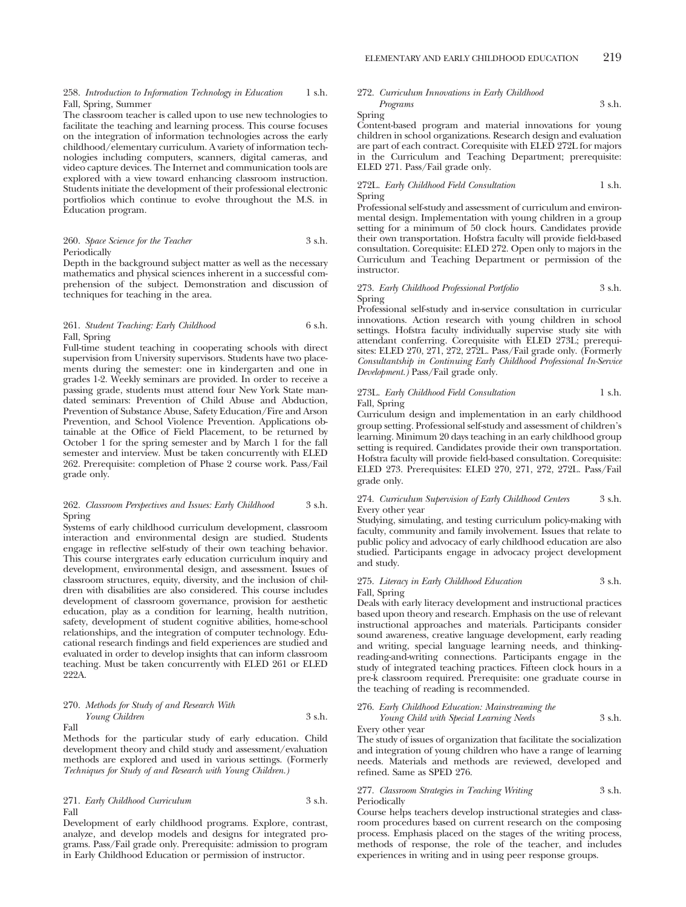258. *Introduction to Information Technology in Education* 1 s.h. Fall, Spring, Summer

The classroom teacher is called upon to use new technologies to facilitate the teaching and learning process. This course focuses on the integration of information technologies across the early childhood/elementary curriculum. A variety of information technologies including computers, scanners, digital cameras, and video capture devices. The Internet and communication tools are explored with a view toward enhancing classroom instruction. Students initiate the development of their professional electronic portfiolios which continue to evolve throughout the M.S. in Education program.

### 260. *Space Science for the Teacher* 3 s.h. Periodically

Depth in the background subject matter as well as the necessary mathematics and physical sciences inherent in a successful comprehension of the subject. Demonstration and discussion of techniques for teaching in the area.

### 261. *Student Teaching: Early Childhood* 6 s.h. Fall, Spring

Full-time student teaching in cooperating schools with direct supervision from University supervisors. Students have two placements during the semester: one in kindergarten and one in grades 1-2. Weekly seminars are provided. In order to receive a passing grade, students must attend four New York State mandated seminars: Prevention of Child Abuse and Abduction, Prevention of Substance Abuse, Safety Education/Fire and Arson Prevention, and School Violence Prevention. Applications obtainable at the Office of Field Placement, to be returned by October 1 for the spring semester and by March 1 for the fall semester and interview. Must be taken concurrently with ELED 262. Prerequisite: completion of Phase 2 course work. Pass/Fail grade only.

### 262. *Classroom Perspectives and Issues: Early Childhood* 3 s.h. Spring

Systems of early childhood curriculum development, classroom interaction and environmental design are studied. Students engage in reflective self-study of their own teaching behavior. This course intergrates early education curriculum inquiry and development, environmental design, and assessment. Issues of classroom structures, equity, diversity, and the inclusion of children with disabilities are also considered. This course includes development of classroom governance, provision for aesthetic education, play as a condition for learning, health nutrition, safety, development of student cognitive abilities, home-school relationships, and the integration of computer technology. Educational research findings and field experiences are studied and evaluated in order to develop insights that can inform classroom teaching. Must be taken concurrently with ELED 261 or ELED 222A.

### 270. *Methods for Study of and Research With Young Children* 3 s.h. Fall

Methods for the particular study of early education. Child development theory and child study and assessment/evaluation methods are explored and used in various settings. (Formerly *Techniques for Study of and Research with Young Children.)*

### 271. *Early Childhood Curriculum* 3 s.h. Fall

Development of early childhood programs. Explore, contrast, analyze, and develop models and designs for integrated programs. Pass/Fail grade only. Prerequisite: admission to program in Early Childhood Education or permission of instructor.

### 272. *Curriculum Innovations in Early Childhood Programs* 3 s.h.

Spring

Content-based program and material innovations for young children in school organizations. Research design and evaluation are part of each contract. Corequisite with ELED 272L for majors in the Curriculum and Teaching Department; prerequisite: ELED 271. Pass/Fail grade only.

## 272L. *Early Childhood Field Consultation* 1 s.h. Spring

Professional self-study and assessment of curriculum and environmental design. Implementation with young children in a group setting for a minimum of 50 clock hours. Candidates provide their own transportation. Hofstra faculty will provide field-based consultation. Corequisite: ELED 272. Open only to majors in the Curriculum and Teaching Department or permission of the instructor.

### 273. *Early Childhood Professional Portfolio* 3 s.h. Spring

Professional self-study and in-service consultation in curricular innovations. Action research with young children in school settings. Hofstra faculty individually supervise study site with attendant conferring. Corequisite with ELED 273L; prerequisites: ELED 270, 271, 272, 272L. Pass/Fail grade only. (Formerly *Consultantship in Continuing Early Childhood Professional In-Service Development.)* Pass/Fail grade only.

### 273L. *Early Childhood Field Consultation* 1 s.h. Fall, Spring

Curriculum design and implementation in an early childhood group setting. Professional self-study and assessment of children's learning. Minimum 20 days teaching in an early childhood group setting is required. Candidates provide their own transportation. Hofstra faculty will provide field-based consultation. Corequisite: ELED 273. Prerequisites: ELED 270, 271, 272, 272L. Pass/Fail grade only.

### 274. *Curriculum Supervision of Early Childhood Centers* 3 s.h. Every other year

Studying, simulating, and testing curriculum policy-making with faculty, community and family involvement. Issues that relate to public policy and advocacy of early childhood education are also studied. Participants engage in advocacy project development and study.

### 275. *Literacy in Early Childhood Education* 3 s.h. Fall, Spring

Deals with early literacy development and instructional practices based upon theory and research. Emphasis on the use of relevant instructional approaches and materials. Participants consider sound awareness, creative language development, early reading and writing, special language learning needs, and thinkingreading-and-writing connections. Participants engage in the study of integrated teaching practices. Fifteen clock hours in a pre-k classroom required. Prerequisite: one graduate course in the teaching of reading is recommended.

### 276. *Early Childhood Education: Mainstreaming the*

*Young Child with Special Learning Needs* 3 s.h. Every other year

The study of issues of organization that facilitate the socialization and integration of young children who have a range of learning needs. Materials and methods are reviewed, developed and refined. Same as SPED 276.

### 277. *Classroom Strategies in Teaching Writing* 3 s.h. Periodically

Course helps teachers develop instructional strategies and classroom procedures based on current research on the composing process. Emphasis placed on the stages of the writing process, methods of response, the role of the teacher, and includes experiences in writing and in using peer response groups.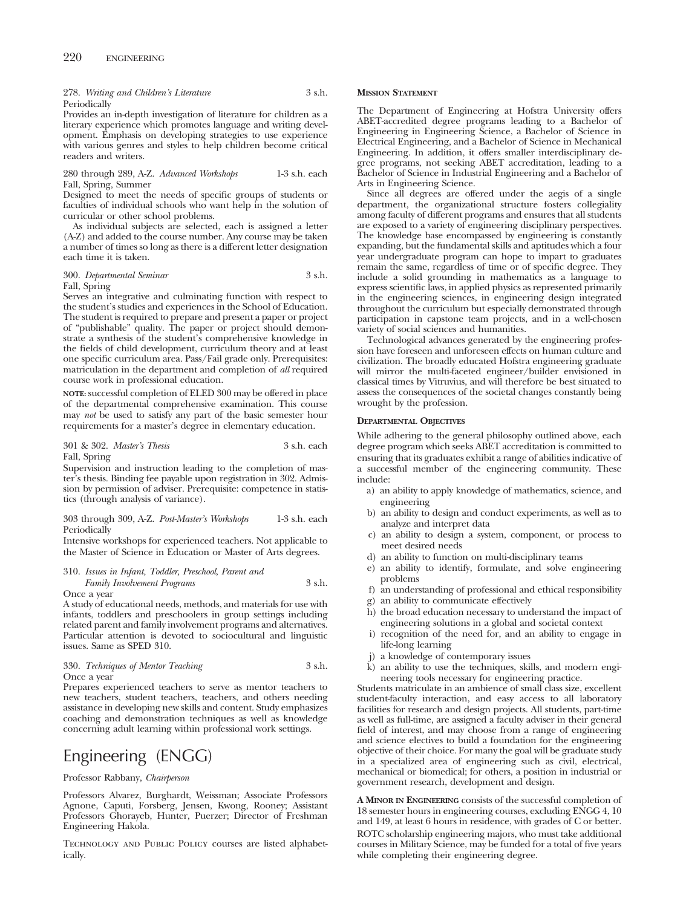### 278. *Writing and Children's Literature* 3 s.h. Periodically

Provides an in-depth investigation of literature for children as a literary experience which promotes language and writing development. Emphasis on developing strategies to use experience with various genres and styles to help children become critical readers and writers.

### 280 through 289, A-Z. *Advanced Workshops* 1-3 s.h. each Fall, Spring, Summer

Designed to meet the needs of specific groups of students or faculties of individual schools who want help in the solution of curricular or other school problems.

As individual subjects are selected, each is assigned a letter (A-Z) and added to the course number. Any course may be taken a number of times so long as there is a different letter designation each time it is taken.

### 300. *Departmental Seminar* 3 s.h. Fall, Spring

Serves an integrative and culminating function with respect to the student's studies and experiences in the School of Education. The student is required to prepare and present a paper or project of "publishable" quality. The paper or project should demonstrate a synthesis of the student's comprehensive knowledge in the fields of child development, curriculum theory and at least one specific curriculum area. Pass/Fail grade only. Prerequisites: matriculation in the department and completion of *all* required course work in professional education.

**NOTE:** successful completion of ELED 300 may be offered in place of the departmental comprehensive examination. This course may *not* be used to satisfy any part of the basic semester hour requirements for a master's degree in elementary education.

### 301 & 302. *Master's Thesis* 3 s.h. each Fall, Spring

Supervision and instruction leading to the completion of master's thesis. Binding fee payable upon registration in 302. Admission by permission of adviser. Prerequisite: competence in statistics (through analysis of variance).

### 303 through 309, A-Z. *Post-Master's Workshops* 1-3 s.h. each Periodically

Intensive workshops for experienced teachers. Not applicable to the Master of Science in Education or Master of Arts degrees.

### 310. *Issues in Infant, Toddler, Preschool, Parent and Family Involvement Programs* 3 s.h. Once a year

A study of educational needs, methods, and materials for use with infants, toddlers and preschoolers in group settings including related parent and family involvement programs and alternatives. Particular attention is devoted to sociocultural and linguistic issues. Same as SPED 310.

330. *Techniques of Mentor Teaching* 3 s.h. Once a year

Prepares experienced teachers to serve as mentor teachers to new teachers, student teachers, teachers, and others needing assistance in developing new skills and content. Study emphasizes coaching and demonstration techniques as well as knowledge concerning adult learning within professional work settings.

# Engineering (ENGG)

### Professor Rabbany, *Chairperson*

Professors Alvarez, Burghardt, Weissman; Associate Professors Agnone, Caputi, Forsberg, Jensen, Kwong, Rooney; Assistant Professors Ghorayeb, Hunter, Puerzer; Director of Freshman Engineering Hakola.

Technology and Public Policy courses are listed alphabetically.

### **MISSION STATEMENT**

The Department of Engineering at Hofstra University offers ABET-accredited degree programs leading to a Bachelor of Engineering in Engineering Science, a Bachelor of Science in Electrical Engineering, and a Bachelor of Science in Mechanical Engineering. In addition, it offers smaller interdisciplinary degree programs, not seeking ABET accreditation, leading to a Bachelor of Science in Industrial Engineering and a Bachelor of Arts in Engineering Science.

Since all degrees are offered under the aegis of a single department, the organizational structure fosters collegiality among faculty of different programs and ensures that all students are exposed to a variety of engineering disciplinary perspectives. The knowledge base encompassed by engineering is constantly expanding, but the fundamental skills and aptitudes which a four year undergraduate program can hope to impart to graduates remain the same, regardless of time or of specific degree. They include a solid grounding in mathematics as a language to express scientific laws, in applied physics as represented primarily in the engineering sciences, in engineering design integrated throughout the curriculum but especially demonstrated through participation in capstone team projects, and in a well-chosen variety of social sciences and humanities.

Technological advances generated by the engineering profession have foreseen and unforeseen effects on human culture and civilization. The broadly educated Hofstra engineering graduate will mirror the multi-faceted engineer/builder envisioned in classical times by Vitruvius, and will therefore be best situated to assess the consequences of the societal changes constantly being wrought by the profession.

### **DEPARTMENTAL OBJECTIVES**

While adhering to the general philosophy outlined above, each degree program which seeks ABET accreditation is committed to ensuring that its graduates exhibit a range of abilities indicative of a successful member of the engineering community. These include:

- a) an ability to apply knowledge of mathematics, science, and engineering
- b) an ability to design and conduct experiments, as well as to analyze and interpret data
- c) an ability to design a system, component, or process to meet desired needs
- d) an ability to function on multi-disciplinary teams
- e) an ability to identify, formulate, and solve engineering problems
- f) an understanding of professional and ethical responsibility
- g) an ability to communicate effectively
- h) the broad education necessary to understand the impact of engineering solutions in a global and societal context
- i) recognition of the need for, and an ability to engage in life-long learning
- j) a knowledge of contemporary issues
- k) an ability to use the techniques, skills, and modern engineering tools necessary for engineering practice.

Students matriculate in an ambience of small class size, excellent student-faculty interaction, and easy access to all laboratory facilities for research and design projects. All students, part-time as well as full-time, are assigned a faculty adviser in their general field of interest, and may choose from a range of engineering and science electives to build a foundation for the engineering objective of their choice. For many the goal will be graduate study in a specialized area of engineering such as civil, electrical, mechanical or biomedical; for others, a position in industrial or government research, development and design.

**A MINOR IN ENGINEERING** consists of the successful completion of 18 semester hours in engineering courses, excluding ENGG 4, 10 and 149, at least 6 hours in residence, with grades of C or better. ROTC scholarship engineering majors, who must take additional courses in Military Science, may be funded for a total of five years while completing their engineering degree.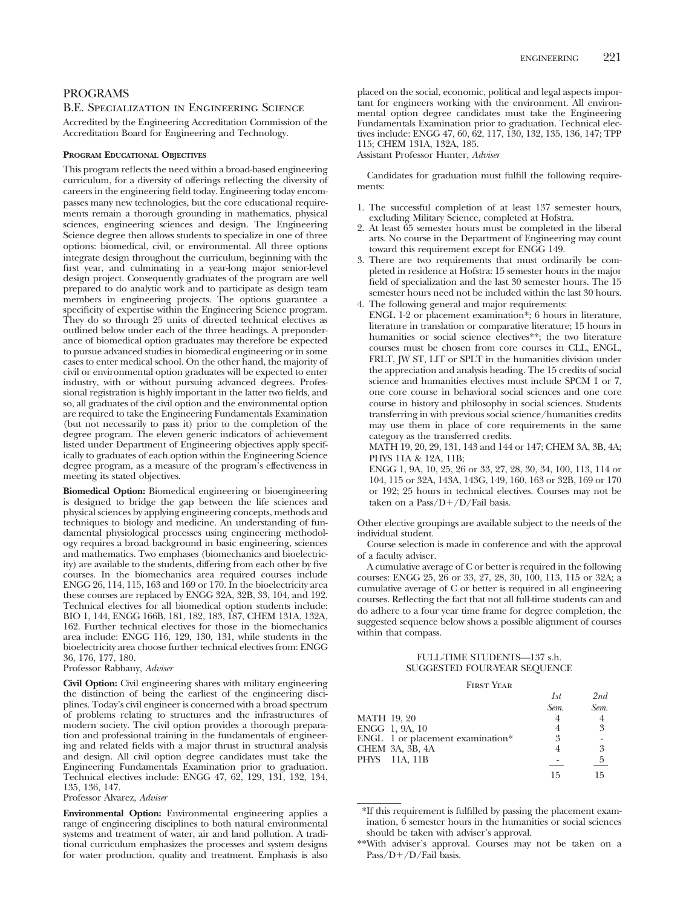## PROGRAMS B.E. Specialization in Engineering Science

Accredited by the Engineering Accreditation Commission of the Accreditation Board for Engineering and Technology.

## **PROGRAM EDUCATIONAL OBJECTIVES**

This program reflects the need within a broad-based engineering curriculum, for a diversity of offerings reflecting the diversity of careers in the engineering field today. Engineering today encompasses many new technologies, but the core educational requirements remain a thorough grounding in mathematics, physical sciences, engineering sciences and design. The Engineering Science degree then allows students to specialize in one of three options: biomedical, civil, or environmental. All three options integrate design throughout the curriculum, beginning with the first year, and culminating in a year-long major senior-level design project. Consequently graduates of the program are well prepared to do analytic work and to participate as design team members in engineering projects. The options guarantee a specificity of expertise within the Engineering Science program. They do so through 25 units of directed technical electives as outlined below under each of the three headings. A preponderance of biomedical option graduates may therefore be expected to pursue advanced studies in biomedical engineering or in some cases to enter medical school. On the other hand, the majority of civil or environmental option graduates will be expected to enter industry, with or without pursuing advanced degrees. Professional registration is highly important in the latter two fields, and so, all graduates of the civil option and the environmental option are required to take the Engineering Fundamentals Examination (but not necessarily to pass it) prior to the completion of the degree program. The eleven generic indicators of achievement listed under Department of Engineering objectives apply specifically to graduates of each option within the Engineering Science degree program, as a measure of the program's effectiveness in meeting its stated objectives.

**Biomedical Option:** Biomedical engineering or bioengineering is designed to bridge the gap between the life sciences and physical sciences by applying engineering concepts, methods and techniques to biology and medicine. An understanding of fundamental physiological processes using engineering methodology requires a broad background in basic engineering, sciences and mathematics. Two emphases (biomechanics and bioelectricity) are available to the students, differing from each other by five courses. In the biomechanics area required courses include ENGG 26, 114, 115, 163 and 169 or 170. In the bioelectricity area these courses are replaced by ENGG 32A, 32B, 33, 104, and 192. Technical electives for all biomedical option students include: BIO 1, 144, ENGG 166B, 181, 182, 183, 187, CHEM 131A, 132A, 162. Further technical electives for those in the biomechanics area include: ENGG 116, 129, 130, 131, while students in the bioelectricity area choose further technical electives from: ENGG 36, 176, 177, 180.

Professor Rabbany, *Adviser*

**Civil Option:** Civil engineering shares with military engineering the distinction of being the earliest of the engineering disciplines. Today's civil engineer is concerned with a broad spectrum of problems relating to structures and the infrastructures of modern society. The civil option provides a thorough preparation and professional training in the fundamentals of engineering and related fields with a major thrust in structural analysis and design. All civil option degree candidates must take the Engineering Fundamentals Examination prior to graduation. Technical electives include: ENGG 47, 62, 129, 131, 132, 134, 135, 136, 147.

Professor Alvarez, *Adviser*

**Environmental Option:** Environmental engineering applies a range of engineering disciplines to both natural environmental systems and treatment of water, air and land pollution. A traditional curriculum emphasizes the processes and system designs for water production, quality and treatment. Emphasis is also

placed on the social, economic, political and legal aspects important for engineers working with the environment. All environmental option degree candidates must take the Engineering Fundamentals Examination prior to graduation. Technical electives include: ENGG 47, 60, 62, 117, 130, 132, 135, 136, 147; TPP 115; CHEM 131A, 132A, 185.

Assistant Professor Hunter, *Adviser*

Candidates for graduation must fulfill the following requirements:

- 1. The successful completion of at least 137 semester hours, excluding Military Science, completed at Hofstra.
- 2. At least 65 semester hours must be completed in the liberal arts. No course in the Department of Engineering may count toward this requirement except for ENGG 149.
- 3. There are two requirements that must ordinarily be completed in residence at Hofstra: 15 semester hours in the major field of specialization and the last 30 semester hours. The 15 semester hours need not be included within the last 30 hours.
- 4. The following general and major requirements: ENGL 1-2 or placement examination\*; 6 hours in literature, literature in translation or comparative literature; 15 hours in humanities or social science electives\*\*; the two literature courses must be chosen from core courses in CLL, ENGL, FRLT, JW ST, LIT or SPLT in the humanities division under the appreciation and analysis heading. The 15 credits of social science and humanities electives must include SPCM 1 or 7, one core course in behavioral social sciences and one core course in history and philosophy in social sciences. Students transferring in with previous social science/humanities credits may use them in place of core requirements in the same category as the transferred credits.

MATH 19, 20, 29, 131, 143 and 144 or 147; CHEM 3A, 3B, 4A; PHYS 11A & 12A, 11B;

ENGG 1, 9A, 10, 25, 26 or 33, 27, 28, 30, 34, 100, 113, 114 or 104, 115 or 32A, 143A, 143G, 149, 160, 163 or 32B, 169 or 170 or 192; 25 hours in technical electives. Courses may not be taken on a Pass/D+/D/Fail basis.

Other elective groupings are available subject to the needs of the individual student.

Course selection is made in conference and with the approval of a faculty adviser.

A cumulative average of C or better is required in the following courses: ENGG 25, 26 or 33, 27, 28, 30, 100, 113, 115 or 32A; a cumulative average of C or better is required in all engineering courses. Reflecting the fact that not all full-time students can and do adhere to a four year time frame for degree completion, the suggested sequence below shows a possible alignment of courses within that compass.

# FULL-TIME STUDENTS—137 s.h. SUGGESTED FOUR-YEAR SEQUENCE

### FIRST YEAR

|                                  | 1st  | 2nd  |
|----------------------------------|------|------|
|                                  | Sem. | Sem. |
| MATH 19, 20                      |      |      |
| ENGG 1, 9A, 10                   |      | 3    |
| ENGL 1 or placement examination* | 3    |      |
| CHEM 3A, 3B, 4A                  |      | 3    |
| PHYS 11A, 11B                    |      | 5    |
|                                  | 15   |      |

<sup>\*</sup>If this requirement is fulfilled by passing the placement examination, 6 semester hours in the humanities or social sciences should be taken with adviser's approval.

<sup>\*\*</sup>With adviser's approval. Courses may not be taken on a  $Pass/D+ /D/Fail basis.$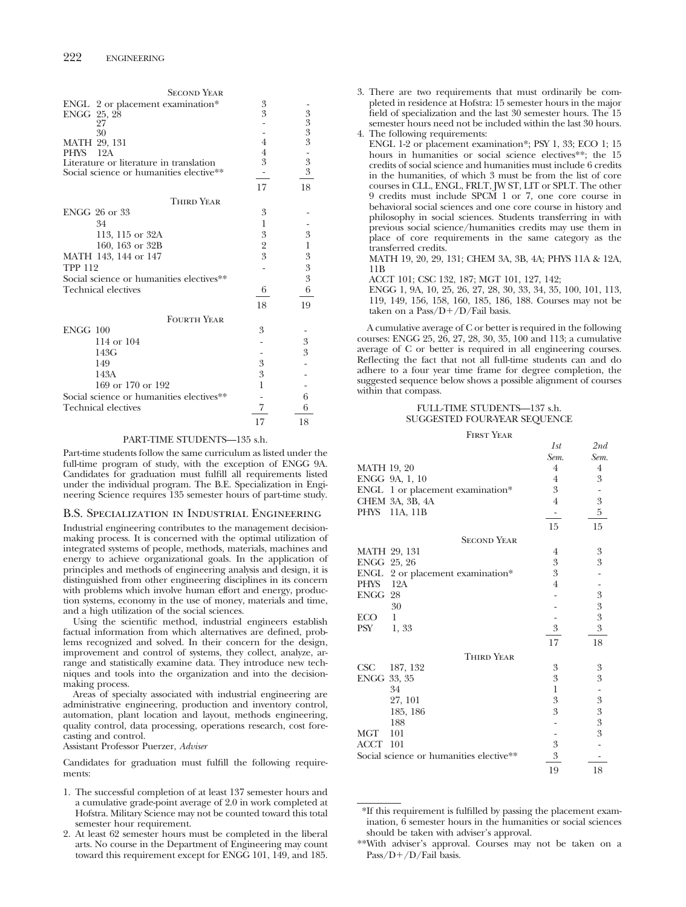| 3  |                                                                             |
|----|-----------------------------------------------------------------------------|
| 3  |                                                                             |
|    |                                                                             |
|    |                                                                             |
|    | $3333$<br>$335$                                                             |
|    |                                                                             |
|    |                                                                             |
|    |                                                                             |
| 17 | 18                                                                          |
|    |                                                                             |
| 3  |                                                                             |
| 1  |                                                                             |
| 3  | 3                                                                           |
|    | $\mathbf{1}$                                                                |
| 3  | $\boldsymbol{\mathcal{S}}$                                                  |
|    |                                                                             |
|    | $\frac{3}{3}$                                                               |
|    | 6                                                                           |
|    |                                                                             |
|    | 19                                                                          |
|    |                                                                             |
| 3  |                                                                             |
|    | $\boldsymbol{3}$                                                            |
|    | 3                                                                           |
| 3  |                                                                             |
| 3  |                                                                             |
| 1  |                                                                             |
|    | 6                                                                           |
| 7  | 6                                                                           |
| 17 | 18                                                                          |
|    | $\overline{4}$<br>$\overline{4}$<br>3<br>$\overline{\mathbf{2}}$<br>6<br>18 |

### PART-TIME STUDENTS—135 s.h.

Part-time students follow the same curriculum as listed under the full-time program of study, with the exception of ENGG 9A. Candidates for graduation must fulfill all requirements listed under the individual program. The B.E. Specialization in Engineering Science requires 135 semester hours of part-time study.

### B.S. Specialization in Industrial Engineering

Industrial engineering contributes to the management decisionmaking process. It is concerned with the optimal utilization of integrated systems of people, methods, materials, machines and energy to achieve organizational goals. In the application of principles and methods of engineering analysis and design, it is distinguished from other engineering disciplines in its concern with problems which involve human effort and energy, production systems, economy in the use of money, materials and time, and a high utilization of the social sciences.

Using the scientific method, industrial engineers establish factual information from which alternatives are defined, problems recognized and solved. In their concern for the design, improvement and control of systems, they collect, analyze, arrange and statistically examine data. They introduce new techniques and tools into the organization and into the decisionmaking process.

Areas of specialty associated with industrial engineering are administrative engineering, production and inventory control, automation, plant location and layout, methods engineering, quality control, data processing, operations research, cost forecasting and control.

Assistant Professor Puerzer, *Adviser*

Candidates for graduation must fulfill the following requirements:

- 1. The successful completion of at least 137 semester hours and a cumulative grade-point average of 2.0 in work completed at Hofstra. Military Science may not be counted toward this total semester hour requirement.
- 2. At least 62 semester hours must be completed in the liberal arts. No course in the Department of Engineering may count toward this requirement except for ENGG 101, 149, and 185.
- 3. There are two requirements that must ordinarily be completed in residence at Hofstra: 15 semester hours in the major field of specialization and the last 30 semester hours. The 15 semester hours need not be included within the last 30 hours. 4. The following requirements:
- ENGL 1-2 or placement examination\*; PSY 1, 33; ECO 1; 15 hours in humanities or social science electives\*\*; the 15 credits of social science and humanities must include 6 credits in the humanities, of which 3 must be from the list of core courses in CLL, ENGL, FRLT, JW ST, LIT or SPLT. The other 9 credits must include SPCM 1 or 7, one core course in behavioral social sciences and one core course in history and philosophy in social sciences. Students transferring in with previous social science/humanities credits may use them in place of core requirements in the same category as the transferred credits.

MATH 19, 20, 29, 131; CHEM 3A, 3B, 4A; PHYS 11A & 12A, 11B

ACCT 101; CSC 132, 187; MGT 101, 127, 142;

ENGG 1, 9A, 10, 25, 26, 27, 28, 30, 33, 34, 35, 100, 101, 113, 119, 149, 156, 158, 160, 185, 186, 188. Courses may not be taken on a Pass/ $D+/D$ /Fail basis.

A cumulative average of C or better is required in the following courses: ENGG 25, 26, 27, 28, 30, 35, 100 and 113; a cumulative average of C or better is required in all engineering courses. Reflecting the fact that not all full-time students can and do adhere to a four year time frame for degree completion, the suggested sequence below shows a possible alignment of courses within that compass.

### FULL-TIME STUDENTS—137 s.h. SUGGESTED FOUR-YEAR SEQUENCE

First Year

|                    |                                         | 1st              | 2nd              |
|--------------------|-----------------------------------------|------------------|------------------|
|                    |                                         | Sem.             | Sem.             |
| <b>MATH 19, 20</b> |                                         | $\overline{4}$   | $\overline{4}$   |
|                    | ENGG 9A, 1, 10                          | 4                | 3                |
|                    | ENGL 1 or placement examination*        | 3                |                  |
|                    | CHEM 3A, 3B, 4A                         | 4                | 3                |
|                    | PHYS 11A, 11B                           |                  | 5                |
|                    |                                         | 15               | 15               |
|                    | <b>SECOND YEAR</b>                      |                  |                  |
| MATH 29, 131       |                                         | 4                | 3                |
| ENGG 25, 26        |                                         | 3                | 3                |
|                    | ENGL 2 or placement examination*        | 3                |                  |
| PHYS               | 12A                                     | $\overline{4}$   |                  |
| ENGG               | 28                                      |                  | $\overline{3}$   |
|                    | 30                                      |                  | $\boldsymbol{3}$ |
| ECO-               | 1                                       |                  | $\overline{3}$   |
| PSY                | 1,33                                    | $\boldsymbol{3}$ | $\overline{3}$   |
|                    |                                         | 17               | 18               |
|                    | <b>THIRD YEAR</b>                       |                  |                  |
| CSC                | 187, 132                                | 3                | 3                |
| ENGG 33, 35        |                                         | 3                | $\boldsymbol{3}$ |
|                    | 34                                      | 1                |                  |
|                    | 27, 101                                 | $\boldsymbol{3}$ | $\overline{3}$   |
|                    | 185, 186                                | 3                | $\overline{3}$   |
|                    | 188                                     |                  | $\overline{3}$   |
| MGT                | 101                                     |                  | $\overline{3}$   |
| ACCT 101           |                                         | $\boldsymbol{3}$ |                  |
|                    | Social science or humanities elective** | 3                |                  |
|                    |                                         | 19               | 18               |

<sup>\*</sup>If this requirement is fulfilled by passing the placement examination, 6 semester hours in the humanities or social sciences should be taken with adviser's approval.

<sup>\*\*</sup>With adviser's approval. Courses may not be taken on a  $Pass/D+ /D/Fail basis.$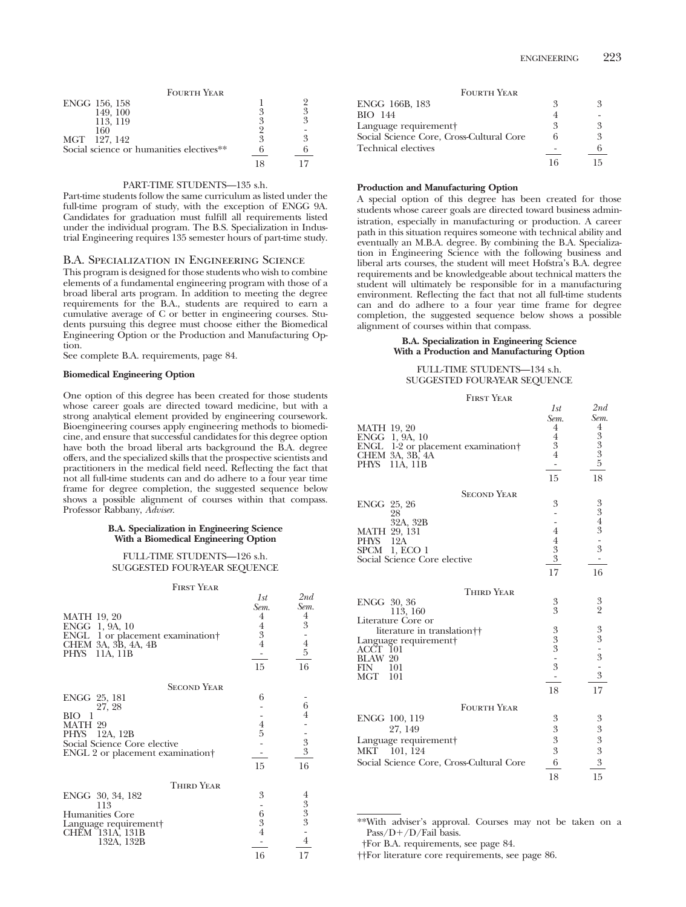| <b>FOURTH YEAR</b>                       |   |
|------------------------------------------|---|
| ENGG 156, 158                            |   |
| 149.100                                  | 3 |
| 113, 119                                 | 3 |
| 160                                      |   |
| MGT 127, 142                             | ዳ |
| Social science or humanities electives** |   |
|                                          |   |

# PART-TIME STUDENTS—135 s.h.

Part-time students follow the same curriculum as listed under the full-time program of study, with the exception of ENGG 9A. Candidates for graduation must fulfill all requirements listed under the individual program. The B.S. Specialization in Industrial Engineering requires 135 semester hours of part-time study.

### B.A. Specialization in Engineering Science

This program is designed for those students who wish to combine elements of a fundamental engineering program with those of a broad liberal arts program. In addition to meeting the degree requirements for the B.A., students are required to earn a cumulative average of C or better in engineering courses. Students pursuing this degree must choose either the Biomedical Engineering Option or the Production and Manufacturing Option.

See complete B.A. requirements, page 84.

### **Biomedical Engineering Option**

One option of this degree has been created for those students whose career goals are directed toward medicine, but with a strong analytical element provided by engineering coursework. Bioengineering courses apply engineering methods to biomedicine, and ensure that successful candidates for this degree option have both the broad liberal arts background the B.A. degree offers, and the specialized skills that the prospective scientists and practitioners in the medical field need. Reflecting the fact that not all full-time students can and do adhere to a four year time frame for degree completion, the suggested sequence below shows a possible alignment of courses within that compass. Professor Rabbany, *Adviser*.

### **B.A. Specialization in Engineering Science With a Biomedical Engineering Option**

## FULL-TIME STUDENTS—126 s.h. SUGGESTED FOUR-YEAR SEQUENCE

| <b>FIRST YEAR</b>                                                                                                             |                                                           |                                              |
|-------------------------------------------------------------------------------------------------------------------------------|-----------------------------------------------------------|----------------------------------------------|
| <b>MATH 19, 20</b><br>ENGG 1, 9A, 10<br>ENGL 1 or placement examination<br>CHEM 3A, 3B, 4A, 4B<br>PHYS<br>11A, 11B            | 1st<br>Sem.<br>4<br>$\frac{4}{3}$<br>$\overline{4}$<br>15 | 2nd<br>Sem.<br>4<br>3<br>$\frac{1}{4}$<br>16 |
| <b>SECOND YEAR</b>                                                                                                            |                                                           |                                              |
| ENGG 25, 181<br>27, 28<br>BIO-<br>MATH 29<br>PHYS 12A, 12B<br>Social Science Core elective<br>ENGL 2 or placement examination | 6<br>$\frac{4}{5}$<br>15                                  | 6<br>$\frac{1}{3}$<br>16                     |
| <b>THIRD YEAR</b>                                                                                                             |                                                           |                                              |
| ENGG 30, 34, 182<br>113<br>Humanities Core<br>Language requirement<br>CHĚM [131A, 131B<br>132A, 132B                          | 3<br>$\frac{6}{3}$<br>$\overline{4}$<br>16                | $4\,3\,3\,3\,-\,4$<br>17                     |

*1st 2nd*

| <b>FOURTH YEAR</b>                       |   |   |
|------------------------------------------|---|---|
| ENGG 166B, 183                           | 3 | 2 |
| BIO 144                                  |   |   |
| Language requirement†                    | 2 | 3 |
| Social Science Core, Cross-Cultural Core | 6 | 3 |
| Technical electives                      |   |   |
|                                          |   |   |

### **Production and Manufacturing Option**

A special option of this degree has been created for those students whose career goals are directed toward business administration, especially in manufacturing or production. A career path in this situation requires someone with technical ability and eventually an M.B.A. degree. By combining the B.A. Specialization in Engineering Science with the following business and liberal arts courses, the student will meet Hofstra's B.A. degree requirements and be knowledgeable about technical matters the student will ultimately be responsible for in a manufacturing environment. Reflecting the fact that not all full-time students can and do adhere to a four year time frame for degree completion, the suggested sequence below shows a possible alignment of courses within that compass.

### **B.A. Specialization in Engineering Science With a Production and Manufacturing Option**

# FULL-TIME STUDENTS—134 s.h. SUGGESTED FOUR-YEAR SEQUENCE

First Year

|                                          | ェっし            | 201 vi                  |
|------------------------------------------|----------------|-------------------------|
|                                          | Sem.           | Sem.                    |
| MATH 19, 20                              | 4              | 4                       |
| ENGG 1, 9A, 10                           | 4              |                         |
| ENGL 1-2 or placement examination        | 3              | 3<br>3<br>3<br>5<br>5   |
| CHEM 3A, 3B, 4A                          | $\overline{4}$ |                         |
| PHYS<br>11A, 11B                         | ۰              |                         |
|                                          | 15             | 18                      |
| <b>SECOND YEAR</b>                       |                |                         |
| ENGG 25, 26                              | 3              | 3                       |
| 28                                       |                | $\overline{\mathbf{3}}$ |
| 32A, 32B                                 |                | $\frac{4}{3}$           |
| MATH 29, 131                             | $\overline{4}$ |                         |
| PHYS<br>12A                              | $\overline{4}$ | $\frac{1}{3}$           |
| SPCM<br>1, ECO 1                         | $\frac{3}{3}$  |                         |
| Social Science Core elective             |                |                         |
|                                          | 17             | 16                      |
| <b>THIRD YEAR</b>                        |                |                         |
| ENGG 30, 36                              |                |                         |
| 113, 160                                 | $\frac{3}{3}$  | $\frac{3}{2}$           |
| Literature Core or                       |                |                         |
| literature in translation <sup>††</sup>  |                |                         |
| Language requirement†                    | $\frac{3}{3}$  | $\frac{3}{3}$           |
| ACCT 101                                 |                |                         |
| BLAW 20                                  |                | $\frac{1}{3}$           |
| FIN<br>101                               | $\frac{1}{3}$  |                         |
| MGT<br>101                               |                | 3                       |
|                                          | 18             | 17                      |
| <b>FOURTH YEAR</b>                       |                |                         |
| ENGG 100, 119                            | 3              | 3                       |
| 27, 149                                  | 3              | $\boldsymbol{3}$        |
|                                          | 3              |                         |
| Language requirement                     |                | $\boldsymbol{3}$        |
| MKT 101, 124                             | 3              | $\boldsymbol{3}$        |
| Social Science Core, Cross-Cultural Core | 6              | $\,3$                   |
|                                          | 18             | 15                      |

\*\*With adviser's approval. Courses may not be taken on a  $Pass/D+ /D/Fail basis.$ 

†For B.A. requirements, see page 84.

††For literature core requirements, see page 86.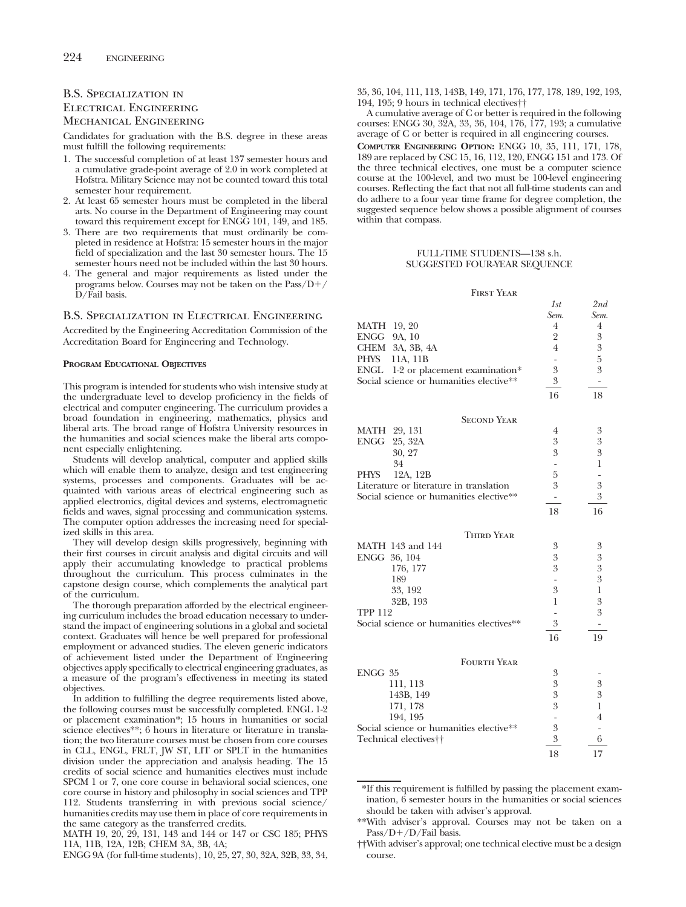# B.S. Specialization in Electrical Engineering Mechanical Engineering

Candidates for graduation with the B.S. degree in these areas must fulfill the following requirements:

- 1. The successful completion of at least 137 semester hours and a cumulative grade-point average of 2.0 in work completed at Hofstra. Military Science may not be counted toward this total semester hour requirement.
- 2. At least 65 semester hours must be completed in the liberal arts. No course in the Department of Engineering may count toward this requirement except for ENGG 101, 149, and 185.
- 3. There are two requirements that must ordinarily be completed in residence at Hofstra: 15 semester hours in the major field of specialization and the last 30 semester hours. The 15 semester hours need not be included within the last 30 hours.
- 4. The general and major requirements as listed under the programs below. Courses may not be taken on the  $Pass/D+$ D/Fail basis.

### B.S. Specialization in Electrical Engineering

Accredited by the Engineering Accreditation Commission of the Accreditation Board for Engineering and Technology.

### **PROGRAM EDUCATIONAL OBJECTIVES**

This program is intended for students who wish intensive study at the undergraduate level to develop proficiency in the fields of electrical and computer engineering. The curriculum provides a broad foundation in engineering, mathematics, physics and liberal arts. The broad range of Hofstra University resources in the humanities and social sciences make the liberal arts component especially enlightening.

Students will develop analytical, computer and applied skills which will enable them to analyze, design and test engineering systems, processes and components. Graduates will be acquainted with various areas of electrical engineering such as applied electronics, digital devices and systems, electromagnetic fields and waves, signal processing and communication systems. The computer option addresses the increasing need for specialized skills in this area.

They will develop design skills progressively, beginning with their first courses in circuit analysis and digital circuits and will apply their accumulating knowledge to practical problems throughout the curriculum. This process culminates in the capstone design course, which complements the analytical part of the curriculum.

The thorough preparation afforded by the electrical engineering curriculum includes the broad education necessary to understand the impact of engineering solutions in a global and societal context. Graduates will hence be well prepared for professional employment or advanced studies. The eleven generic indicators of achievement listed under the Department of Engineering objectives apply specifically to electrical engineering graduates, as a measure of the program's effectiveness in meeting its stated objectives.

In addition to fulfilling the degree requirements listed above, the following courses must be successfully completed. ENGL 1-2 or placement examination\*; 15 hours in humanities or social science electives\*\*; 6 hours in literature or literature in translation; the two literature courses must be chosen from core courses in CLL, ENGL, FRLT, JW ST, LIT or SPLT in the humanities division under the appreciation and analysis heading. The 15 credits of social science and humanities electives must include SPCM 1 or 7, one core course in behavioral social sciences, one core course in history and philosophy in social sciences and TPP 112. Students transferring in with previous social science/ humanities credits may use them in place of core requirements in the same category as the transferred credits.

MATH 19, 20, 29, 131, 143 and 144 or 147 or CSC 185; PHYS 11A, 11B, 12A, 12B; CHEM 3A, 3B, 4A;

ENGG 9A (for full-time students), 10, 25, 27, 30, 32A, 32B, 33, 34,

35, 36, 104, 111, 113, 143B, 149, 171, 176, 177, 178, 189, 192, 193, 194, 195; 9 hours in technical electives††

A cumulative average of C or better is required in the following courses: ENGG 30, 32A, 33, 36, 104, 176, 177, 193; a cumulative average of C or better is required in all engineering courses.

**COMPUTER ENGINEERING OPTION:** ENGG 10, 35, 111, 171, 178, 189 are replaced by CSC 15, 16, 112, 120, ENGG 151 and 173. Of the three technical electives, one must be a computer science course at the 100-level, and two must be 100-level engineering courses. Reflecting the fact that not all full-time students can and do adhere to a four year time frame for degree completion, the suggested sequence below shows a possible alignment of courses within that compass.

### FULL-TIME STUDENTS—138 s.h. SUGGESTED FOUR-YEAR SEQUENCE

|                                   | <b>FIRST YEAR</b>                        |                          |                |
|-----------------------------------|------------------------------------------|--------------------------|----------------|
|                                   |                                          | 1st                      | 2nd            |
|                                   |                                          | Sem.                     | Sem.           |
| MATH 19, 20                       |                                          | $\overline{4}$           | $\overline{4}$ |
| ENGG 9A, 10                       |                                          | $\overline{2}$           | 3              |
| CHEM                              | 3A, 3B, 4A                               | $\overline{4}$           | 3              |
| PHYS                              | 11A, 11B                                 |                          | 5              |
| <b>ENGL</b>                       | 1-2 or placement examination*            | 3                        | 3              |
|                                   | Social science or humanities elective**  | 3                        | ۰              |
|                                   |                                          | 16                       | 18             |
|                                   |                                          |                          |                |
|                                   | <b>SECOND YEAR</b>                       |                          |                |
| MATH 29, 131                      |                                          | 4                        | 3              |
| ENGG<br>25, 32A                   |                                          | 3                        | 3              |
| 30, 27                            |                                          | 3                        | 3              |
| 34                                |                                          | $\overline{\phantom{0}}$ | 1              |
| PHYS                              | 12A, 12B                                 | 5                        | $\overline{a}$ |
|                                   | Literature or literature in translation  | 3                        | 3<br>3         |
|                                   | Social science or humanities elective**  | -                        |                |
|                                   |                                          | 18                       | 16             |
|                                   | <b>THIRD YEAR</b>                        |                          |                |
| MATH 143 and 144                  |                                          | 3                        | 3              |
| ENGG 36, 104                      |                                          | 3                        | 3              |
| 176, 177                          |                                          | 3                        | 3              |
| 189                               |                                          | $\overline{a}$           | 3              |
| 33, 192                           |                                          | 3                        | $\mathbf{1}$   |
|                                   | 32B, 193                                 | 1                        | 3              |
| TPP 112                           |                                          | $\overline{a}$           | 3              |
|                                   | Social science or humanities electives** | 3                        | -              |
|                                   |                                          | 16                       | 19             |
|                                   | <b>FOURTH YEAR</b>                       |                          |                |
| ENGG 35                           |                                          | 3                        |                |
| 111, 113                          |                                          | 3                        | 3              |
|                                   | 143B, 149                                | 3                        | 3              |
| 171, 178                          |                                          | 3                        | 1              |
| 194, 195                          |                                          |                          | 4              |
|                                   | Social science or humanities elective**  | 3                        |                |
| Technical electives <sup>††</sup> |                                          | 3                        | 6              |
|                                   |                                          | 18                       | 17             |

\*If this requirement is fulfilled by passing the placement examination, 6 semester hours in the humanities or social sciences should be taken with adviser's approval.

<sup>\*\*</sup>With adviser's approval. Courses may not be taken on a  $Pass/D+ /D/Fail basis.$ 

<sup>††</sup>With adviser's approval; one technical elective must be a design course.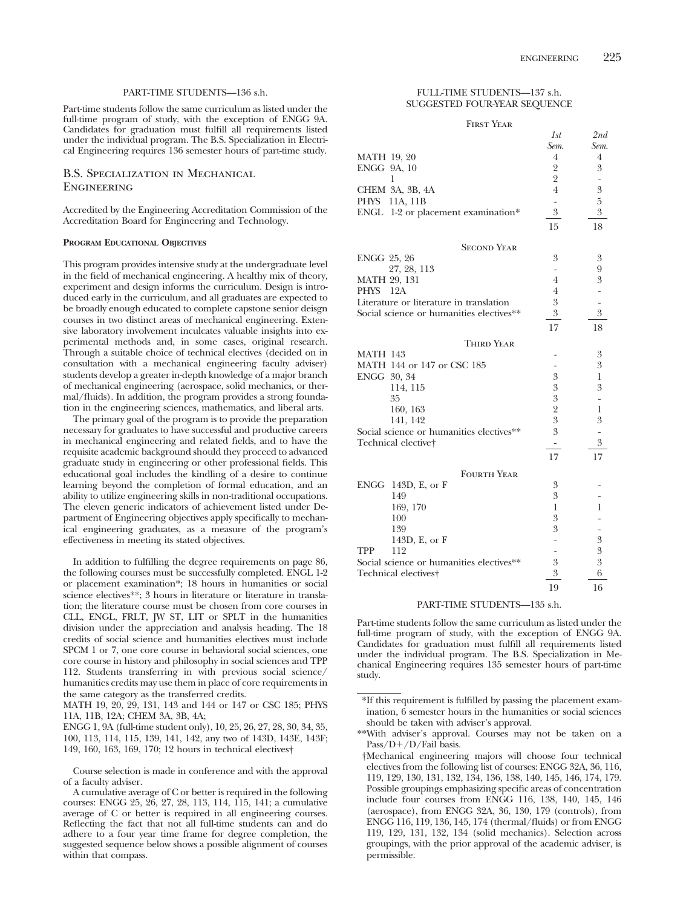### PART-TIME STUDENTS—136 s.h.

Part-time students follow the same curriculum as listed under the full-time program of study, with the exception of ENGG 9A. Candidates for graduation must fulfill all requirements listed under the individual program. The B.S. Specialization in Electrical Engineering requires 136 semester hours of part-time study.

# B.S. Specialization in Mechanical **ENGINEERING**

Accredited by the Engineering Accreditation Commission of the Accreditation Board for Engineering and Technology.

### **PROGRAM EDUCATIONAL OBJECTIVES**

This program provides intensive study at the undergraduate level in the field of mechanical engineering. A healthy mix of theory, experiment and design informs the curriculum. Design is introduced early in the curriculum, and all graduates are expected to be broadly enough educated to complete capstone senior deisgn courses in two distinct areas of mechanical engineering. Extensive laboratory involvement inculcates valuable insights into experimental methods and, in some cases, original research. Through a suitable choice of technical electives (decided on in consultation with a mechanical engineering faculty adviser) students develop a greater in-depth knowledge of a major branch of mechanical engineering (aerospace, solid mechanics, or thermal/fluids). In addition, the program provides a strong foundation in the engineering sciences, mathematics, and liberal arts.

The primary goal of the program is to provide the preparation necessary for graduates to have successful and productive careers in mechanical engineering and related fields, and to have the requisite academic background should they proceed to advanced graduate study in engineering or other professional fields. This educational goal includes the kindling of a desire to continue learning beyond the completion of formal education, and an ability to utilize engineering skills in non-traditional occupations. The eleven generic indicators of achievement listed under Department of Engineering objectives apply specifically to mechanical engineering graduates, as a measure of the program's effectiveness in meeting its stated objectives.

In addition to fulfilling the degree requirements on page 86, the following courses must be successfully completed. ENGL 1-2 or placement examination\*; 18 hours in humanities or social science electives\*\*; 3 hours in literature or literature in translation; the literature course must be chosen from core courses in CLL, ENGL, FRLT, JW ST, LIT or SPLT in the humanities division under the appreciation and analysis heading. The 18 credits of social science and humanities electives must include SPCM 1 or 7, one core course in behavioral social sciences, one core course in history and philosophy in social sciences and TPP 112. Students transferring in with previous social science/ humanities credits may use them in place of core requirements in the same category as the transferred credits.

MATH 19, 20, 29, 131, 143 and 144 or 147 or CSC 185; PHYS 11A, 11B, 12A; CHEM 3A, 3B, 4A;

ENGG 1, 9A (full-time student only), 10, 25, 26, 27, 28, 30, 34, 35, 100, 113, 114, 115, 139, 141, 142, any two of 143D, 143E, 143F; 149, 160, 163, 169, 170; 12 hours in technical electives†

Course selection is made in conference and with the approval of a faculty adviser.

### FULL-TIME STUDENTS—137 s.h. SUGGESTED FOUR-YEAR SEQUENCE

### First Year

|                                          | 1st                      | 2nd                      |
|------------------------------------------|--------------------------|--------------------------|
|                                          | Sem.                     | Sem.                     |
| <b>MATH 19, 20</b>                       | 4                        | 4                        |
| ENGG 9A, 10                              | $\overline{2}$           | 3                        |
| 1                                        | $\overline{2}$           | $\overline{\phantom{m}}$ |
| CHEM 3A, 3B, 4A                          | $\overline{4}$           | $\boldsymbol{3}$         |
| PHYS<br>11A, 11B                         |                          | $\overline{5}$           |
| ENGL 1-2 or placement examination*       | $\overline{3}$           | $\overline{3}$           |
|                                          | 15                       | 18                       |
| <b>SECOND YEAR</b>                       |                          |                          |
| ENGG 25, 26                              | 3                        | 3                        |
| 27, 28, 113                              |                          | 9                        |
| <b>MATH 29, 131</b>                      | $\overline{4}$           | 3                        |
| PHYS 12A                                 | $\overline{4}$           |                          |
| Literature or literature in translation  | $\mathfrak{Z}$           |                          |
| Social science or humanities electives** | $\mathfrak{Z}$           | 3                        |
|                                          | 17                       | 18                       |
| <b>THIRD YEAR</b>                        |                          |                          |
| MATH 143                                 |                          | 3                        |
| MATH 144 or 147 or CSC 185               |                          | 3                        |
| ENGG 30, 34                              | 3                        | $\mathbf{1}$             |
| 114, 115                                 | 3                        | 3                        |
| 35                                       | 3                        |                          |
| 160, 163                                 | $\frac{2}{3}$            | $\mathbf{1}$             |
| 141, 142                                 |                          | 3                        |
| Social science or humanities electives** | 3                        |                          |
| Technical elective†                      | $\overline{\phantom{a}}$ | $\mathfrak{Z}$           |
|                                          | 17                       | 17                       |
| <b>FOURTH YEAR</b>                       |                          |                          |
| ENGG $143D$ , E, or F                    | 3                        |                          |
| 149                                      | 3                        |                          |
| 169, 170                                 | $\mathbf{1}$             | 1                        |
| 100                                      | 3                        |                          |
| 139                                      | 3                        |                          |
| 143D, E, or F                            |                          | $\boldsymbol{3}$         |
| 112<br>TPP                               |                          | 3                        |
| Social science or humanities electives** | $\mathfrak{Z}$           | $\overline{3}$           |
| Technical electives <sup>†</sup>         | $\overline{3}$           | 6                        |
|                                          | 19                       | 16                       |

### PART-TIME STUDENTS—135 s.h.

Part-time students follow the same curriculum as listed under the full-time program of study, with the exception of ENGG 9A. Candidates for graduation must fulfill all requirements listed under the individual program. The B.S. Specialization in Mechanical Engineering requires 135 semester hours of part-time study.

A cumulative average of C or better is required in the following courses: ENGG 25, 26, 27, 28, 113, 114, 115, 141; a cumulative average of C or better is required in all engineering courses. Reflecting the fact that not all full-time students can and do adhere to a four year time frame for degree completion, the suggested sequence below shows a possible alignment of courses within that compass.

<sup>\*</sup>If this requirement is fulfilled by passing the placement examination, 6 semester hours in the humanities or social sciences should be taken with adviser's approval.

<sup>\*\*</sup>With adviser's approval. Courses may not be taken on a  $Pass/D+ /D/Fail basis.$ 

<sup>†</sup>Mechanical engineering majors will choose four technical electives from the following list of courses: ENGG 32A, 36, 116, 119, 129, 130, 131, 132, 134, 136, 138, 140, 145, 146, 174, 179. Possible groupings emphasizing specific areas of concentration include four courses from ENGG 116, 138, 140, 145, 146 (aerospace), from ENGG 32A, 36, 130, 179 (controls), from ENGG 116, 119, 136, 145, 174 (thermal/fluids) or from ENGG 119, 129, 131, 132, 134 (solid mechanics). Selection across groupings, with the prior approval of the academic adviser, is permissible.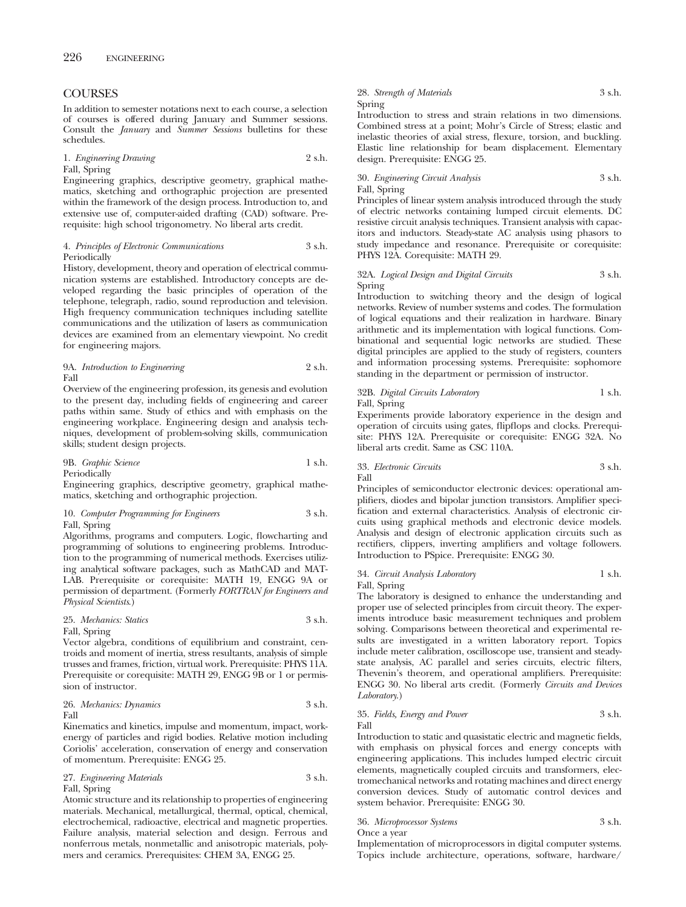# **COURSES**

In addition to semester notations next to each course, a selection of courses is offered during January and Summer sessions. Consult the *January* and *Summer Sessions* bulletins for these schedules.

1. *Engineering Drawing* 2 s.h.

Fall, Spring

Engineering graphics, descriptive geometry, graphical mathematics, sketching and orthographic projection are presented within the framework of the design process. Introduction to, and extensive use of, computer-aided drafting (CAD) software. Prerequisite: high school trigonometry. No liberal arts credit.

4. *Principles of Electronic Communications* 3 s.h. Periodically

History, development, theory and operation of electrical communication systems are established. Introductory concepts are developed regarding the basic principles of operation of the telephone, telegraph, radio, sound reproduction and television. High frequency communication techniques including satellite communications and the utilization of lasers as communication devices are examined from an elementary viewpoint. No credit for engineering majors.

9A. *Introduction to Engineering* 2 s.h. Fall

Overview of the engineering profession, its genesis and evolution to the present day, including fields of engineering and career paths within same. Study of ethics and with emphasis on the engineering workplace. Engineering design and analysis techniques, development of problem-solving skills, communication skills; student design projects.

9B. *Graphic Science* 1 s.h. Periodically

Engineering graphics, descriptive geometry, graphical mathematics, sketching and orthographic projection.

10. *Computer Programming for Engineers* 3 s.h. Fall, Spring

Algorithms, programs and computers. Logic, flowcharting and programming of solutions to engineering problems. Introduction to the programming of numerical methods. Exercises utilizing analytical software packages, such as MathCAD and MAT-LAB. Prerequisite or corequisite: MATH 19, ENGG 9A or permission of department. (Formerly *FORTRAN for Engineers and Physical Scientists*.)

25. *Mechanics: Statics* 3 s.h. Fall, Spring

Vector algebra, conditions of equilibrium and constraint, centroids and moment of inertia, stress resultants, analysis of simple trusses and frames, friction, virtual work. Prerequisite: PHYS 11A. Prerequisite or corequisite: MATH 29, ENGG 9B or 1 or permission of instructor.

26. *Mechanics: Dynamics* 3 s.h. Fall

Kinematics and kinetics, impulse and momentum, impact, workenergy of particles and rigid bodies. Relative motion including Coriolis' acceleration, conservation of energy and conservation of momentum. Prerequisite: ENGG 25.

27. *Engineering Materials* 3 s.h. Fall, Spring

Atomic structure and its relationship to properties of engineering materials. Mechanical, metallurgical, thermal, optical, chemical, electrochemical, radioactive, electrical and magnetic properties. Failure analysis, material selection and design. Ferrous and nonferrous metals, nonmetallic and anisotropic materials, polymers and ceramics. Prerequisites: CHEM 3A, ENGG 25.

# 28. *Strength of Materials* 3 s.h. Spring

Introduction to stress and strain relations in two dimensions. Combined stress at a point; Mohr's Circle of Stress; elastic and inelastic theories of axial stress, flexure, torsion, and buckling. Elastic line relationship for beam displacement. Elementary design. Prerequisite: ENGG 25.

## 30. *Engineering Circuit Analysis* 3 s.h. Fall, Spring

Principles of linear system analysis introduced through the study of electric networks containing lumped circuit elements. DC resistive circuit analysis techniques. Transient analysis with capacitors and inductors. Steady-state AC analysis using phasors to study impedance and resonance. Prerequisite or corequisite: PHYS 12A. Corequisite: MATH 29.

### 32A. *Logical Design and Digital Circuits* 3 s.h. Spring

Introduction to switching theory and the design of logical networks. Review of number systems and codes. The formulation of logical equations and their realization in hardware. Binary arithmetic and its implementation with logical functions. Combinational and sequential logic networks are studied. These digital principles are applied to the study of registers, counters and information processing systems. Prerequisite: sophomore standing in the department or permission of instructor.

### 32B. *Digital Circuits Laboratory* 1 s.h. Fall, Spring

Experiments provide laboratory experience in the design and operation of circuits using gates, flipflops and clocks. Prerequisite: PHYS 12A. Prerequisite or corequisite: ENGG 32A. No liberal arts credit. Same as CSC 110A.

# 33. *Electronic Circuits* 3 s.h. Fall

Principles of semiconductor electronic devices: operational amplifiers, diodes and bipolar junction transistors. Amplifier specification and external characteristics. Analysis of electronic circuits using graphical methods and electronic device models. Analysis and design of electronic application circuits such as rectifiers, clippers, inverting amplifiers and voltage followers. Introduction to PSpice. Prerequisite: ENGG 30.

### 34. *Circuit Analysis Laboratory* 1 s.h. Fall, Spring

The laboratory is designed to enhance the understanding and proper use of selected principles from circuit theory. The experiments introduce basic measurement techniques and problem solving. Comparisons between theoretical and experimental results are investigated in a written laboratory report. Topics include meter calibration, oscilloscope use, transient and steadystate analysis, AC parallel and series circuits, electric filters, Thevenin's theorem, and operational amplifiers. Prerequisite: ENGG 30. No liberal arts credit. (Formerly *Circuits and Devices Laboratory*.)

### 35. *Fields, Energy and Power* 3 s.h. Fall

Introduction to static and quasistatic electric and magnetic fields, with emphasis on physical forces and energy concepts with engineering applications. This includes lumped electric circuit elements, magnetically coupled circuits and transformers, electromechanical networks and rotating machines and direct energy conversion devices. Study of automatic control devices and system behavior. Prerequisite: ENGG 30.

# 36. *Microprocessor Systems* 3 s.h.

Once a year

Implementation of microprocessors in digital computer systems. Topics include architecture, operations, software, hardware/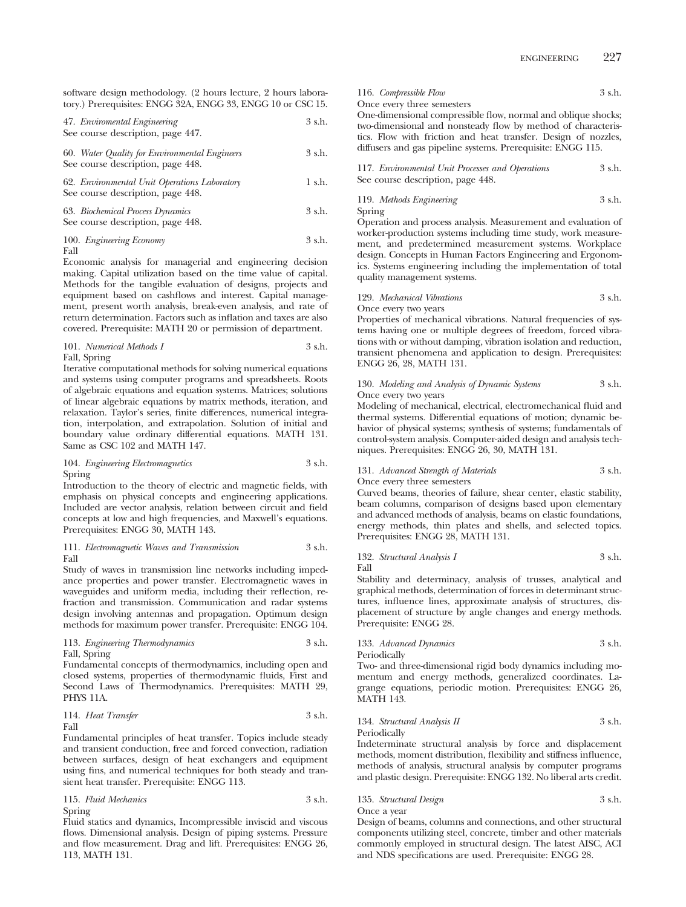ENGINEERING 227

software design methodology. (2 hours lecture, 2 hours laboratory.) Prerequisites: ENGG 32A, ENGG 33, ENGG 10 or CSC 15.

| 47. Enviromental Engineering      | 3 s.h. |
|-----------------------------------|--------|
| See course description, page 447. |        |

60. *Water Quality for Environmental Engineers* 3 s.h. See course description, page 448.

62. *Environmental Unit Operations Laboratory* 1 s.h. See course description, page 448.

## 63. *Biochemical Process Dynamics* 3 s.h. See course description, page 448.

# 100. *Engineering Economy* 3 s.h.

Fall

Economic analysis for managerial and engineering decision making. Capital utilization based on the time value of capital. Methods for the tangible evaluation of designs, projects and equipment based on cashflows and interest. Capital management, present worth analysis, break-even analysis, and rate of return determination. Factors such as inflation and taxes are also covered. Prerequisite: MATH 20 or permission of department.

# 101. *Numerical Methods I* 3 s.h. Fall, Spring

Iterative computational methods for solving numerical equations and systems using computer programs and spreadsheets. Roots of algebraic equations and equation systems. Matrices; solutions of linear algebraic equations by matrix methods, iteration, and relaxation. Taylor's series, finite differences, numerical integration, interpolation, and extrapolation. Solution of initial and boundary value ordinary differential equations. MATH 131. Same as CSC 102 and MATH 147.

### 104. *Engineering Electromagnetics* 3 s.h. Spring

Introduction to the theory of electric and magnetic fields, with emphasis on physical concepts and engineering applications. Included are vector analysis, relation between circuit and field concepts at low and high frequencies, and Maxwell's equations. Prerequisites: ENGG 30, MATH 143.

### 111. *Electromagnetic Waves and Transmission* 3 s.h. Fall

Study of waves in transmission line networks including impedance properties and power transfer. Electromagnetic waves in waveguides and uniform media, including their reflection, refraction and transmission. Communication and radar systems design involving antennas and propagation. Optimum design methods for maximum power transfer. Prerequisite: ENGG 104.

### 113. *Engineering Thermodynamics* Fall, Spring

Fundamental concepts of thermodynamics, including open and closed systems, properties of thermodynamic fluids, First and Second Laws of Thermodynamics. Prerequisites: MATH 29, PHYS 11A.

$$
114. \textit{ Heat Transfer} \hspace{20pt} 3 \text{ s.h.}
$$
 Fall

Fundamental principles of heat transfer. Topics include steady and transient conduction, free and forced convection, radiation between surfaces, design of heat exchangers and equipment using fins, and numerical techniques for both steady and transient heat transfer. Prerequisite: ENGG 113.

115. *Fluid Mechanics* 3 s.h.

Spring

Fluid statics and dynamics, Incompressible inviscid and viscous flows. Dimensional analysis. Design of piping systems. Pressure and flow measurement. Drag and lift. Prerequisites: ENGG 26, 113, MATH 131.

116. *Compressible Flow* 3 s.h. Once every three semesters

One-dimensional compressible flow, normal and oblique shocks; two-dimensional and nonsteady flow by method of characteristics. Flow with friction and heat transfer. Design of nozzles, diffusers and gas pipeline systems. Prerequisite: ENGG 115.

| 117. Environmental Unit Processes and Operations | 3 s.h. |
|--------------------------------------------------|--------|
| See course description, page 448.                |        |

|        | 119. Methods Engineering | 3 s.h. |
|--------|--------------------------|--------|
| Spring |                          |        |

Operation and process analysis. Measurement and evaluation of worker-production systems including time study, work measurement, and predetermined measurement systems. Workplace design. Concepts in Human Factors Engineering and Ergonomics. Systems engineering including the implementation of total quality management systems.

129. *Mechanical Vibrations* 3 s.h. Once every two years

Properties of mechanical vibrations. Natural frequencies of systems having one or multiple degrees of freedom, forced vibrations with or without damping, vibration isolation and reduction, transient phenomena and application to design. Prerequisites: ENGG 26, 28, MATH 131.

### 130. *Modeling and Analysis of Dynamic Systems* 3 s.h. Once every two years

Modeling of mechanical, electrical, electromechanical fluid and thermal systems. Differential equations of motion; dynamic behavior of physical systems; synthesis of systems; fundamentals of control-system analysis. Computer-aided design and analysis techniques. Prerequisites: ENGG 26, 30, MATH 131.

### 131. *Advanced Strength of Materials* 3 s.h. Once every three semesters

Curved beams, theories of failure, shear center, elastic stability, beam columns, comparison of designs based upon elementary and advanced methods of analysis, beams on elastic foundations, energy methods, thin plates and shells, and selected topics. Prerequisites: ENGG 28, MATH 131.

132. *Structural Analysis I* 3 s.h.

Fall

Stability and determinacy, analysis of trusses, analytical and graphical methods, determination of forces in determinant structures, influence lines, approximate analysis of structures, displacement of structure by angle changes and energy methods. Prerequisite: ENGG 28.

133. *Advanced Dynamics* 3 s.h. Periodically

Two- and three-dimensional rigid body dynamics including momentum and energy methods, generalized coordinates. Lagrange equations, periodic motion. Prerequisites: ENGG 26, MATH 143.

134. *Structural Analysis II* 3 s.h. Periodically

Indeterminate structural analysis by force and displacement methods, moment distribution, flexibility and stiffness influence, methods of analysis, structural analysis by computer programs and plastic design. Prerequisite: ENGG 132. No liberal arts credit.

# 135. *Structural Design* 3 s.h. Once a year

Design of beams, columns and connections, and other structural components utilizing steel, concrete, timber and other materials commonly employed in structural design. The latest AISC, ACI and NDS specifications are used. Prerequisite: ENGG 28.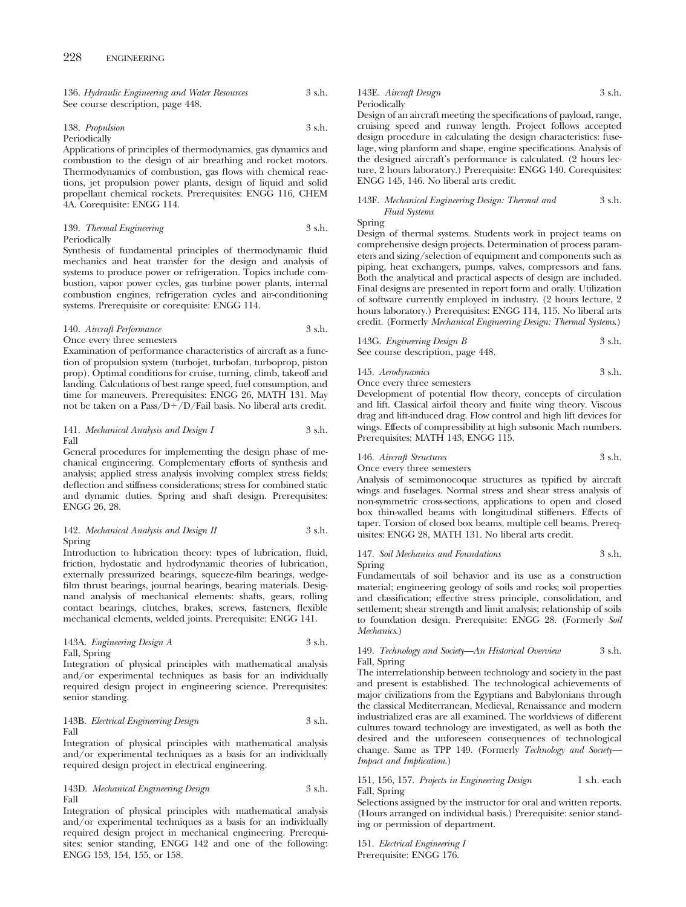| 136. Hydraulic Engineering and Water Resources | 3 s.h. |
|------------------------------------------------|--------|
| See course description, page 448.              |        |

| 138. Propulsion | 3 s.h. |
|-----------------|--------|
| Periodically    |        |

Applications of principles of thermodynamics, gas dynamics and combustion to the design of air breathing and rocket motors. Thermodynamics of combustion, gas flows with chemical reactions, jet propulsion power plants, design of liquid and solid propellant chemical rockets. Prerequisites: ENGG 116, CHEM 4A. Corequisite: ENGG 114.

### 139. *Thermal Engineering* 3 s.h. Periodically

Synthesis of fundamental principles of thermodynamic fluid mechanics and heat transfer for the design and analysis of systems to produce power or refrigeration. Topics include combustion, vapor power cycles, gas turbine power plants, internal combustion engines, refrigeration cycles and air-conditioning systems. Prerequisite or corequisite: ENGG 114.

# 140. *Aircraft Performance* 3 s.h.

Once every three semesters

Examination of performance characteristics of aircraft as a function of propulsion system (turbojet, turbofan, turboprop, piston prop). Optimal conditions for cruise, turning, climb, takeoff and landing. Calculations of best range speed, fuel consumption, and time for maneuvers. Prerequisites: ENGG 26, MATH 131. May not be taken on a Pass/D+/D/Fail basis. No liberal arts credit.

### 141. *Mechanical Analysis and Design I* 3 s.h. Fall

General procedures for implementing the design phase of mechanical engineering. Complementary efforts of synthesis and analysis; applied stress analysis involving complex stress fields; deflection and stiffness considerations; stress for combined static and dynamic duties. Spring and shaft design. Prerequisites: ENGG 26, 28.

### 142. *Mechanical Analysis and Design II* 3 s.h. Spring

Introduction to lubrication theory: types of lubrication, fluid, friction, hydostatic and hydrodynamic theories of lubrication, externally pressurized bearings, squeeze-film bearings, wedgefilm thrust bearings, journal bearings, bearing materials. Designand analysis of mechanical elements: shafts, gears, rolling contact bearings, clutches, brakes, screws, fasteners, flexible mechanical elements, welded joints. Prerequisite: ENGG 141.

143A. *Engineering Design A* 3 s.h. Fall, Spring

Integration of physical principles with mathematical analysis and/or experimental techniques as basis for an individually required design project in engineering science. Prerequisites: senior standing.

### 143B. *Electrical Engineering Design* 3 s.h. Fall

Integration of physical principles with mathematical analysis and/or experimental techniques as a basis for an individually required design project in electrical engineering.

### 143D. *Mechanical Engineering Design* 3 s.h. Fall

Integration of physical principles with mathematical analysis and/or experimental techniques as a basis for an individually required design project in mechanical engineering. Prerequisites: senior standing, ENGG 142 and one of the following: ENGG 153, 154, 155, or 158.

143E. *Aircraft Design* 3 s.h. Periodically

Design of an aircraft meeting the specifications of payload, range, cruising speed and runway length. Project follows accepted design procedure in calculating the design characteristics: fuselage, wing planform and shape, engine specifications. Analysis of the designed aircraft's performance is calculated. (2 hours lecture, 2 hours laboratory.) Prerequisite: ENGG 140. Corequisites: ENGG 145, 146. No liberal arts credit.

## 143F. *Mechanical Engineering Design: Thermal and* 3 s.h. *Fluid Systems*

Spring

Design of thermal systems. Students work in project teams on comprehensive design projects. Determination of process parameters and sizing/selection of equipment and components such as piping, heat exchangers, pumps, valves, compressors and fans. Both the analytical and practical aspects of design are included. Final designs are presented in report form and orally. Utilization of software currently employed in industry. (2 hours lecture, 2 hours laboratory.) Prerequisites: ENGG 114, 115. No liberal arts credit. (Formerly *Mechanical Engineering Design: Thermal Systems*.)

| 143G. Engineering Design B        | 3 s.h. |
|-----------------------------------|--------|
| See course description, page 448. |        |

145. *Aerodynamics* 3 s.h.

Once every three semesters Development of potential flow theory, concepts of circulation and lift. Classical airfoil theory and finite wing theory. Viscous drag and lift-induced drag. Flow control and high lift devices for wings. Effects of compressibility at high subsonic Mach numbers. Prerequisites: MATH 143, ENGG 115.

# 146. *Aircraft Structures* 3 s.h.

Once every three semesters

Analysis of semimonocoque structures as typified by aircraft wings and fuselages. Normal stress and shear stress analysis of non-symmetric cross-sections, applications to open and closed box thin-walled beams with longitudinal stiffeners. Effects of taper. Torsion of closed box beams, multiple cell beams. Prerequisites: ENGG 28, MATH 131. No liberal arts credit.

### 147. *Soil Mechanics and Foundations* 3 s.h. Spring

Fundamentals of soil behavior and its use as a construction material; engineering geology of soils and rocks; soil properties and classification; effective stress principle, consolidation, and settlement; shear strength and limit analysis; relationship of soils to foundation design. Prerequisite: ENGG 28. (Formerly *Soil Mechanics*.)

### 149. *Technology and Society—An Historical Overview* 3 s.h. Fall, Spring

The interrelationship between technology and society in the past and present is established. The technological achievements of major civilizations from the Egyptians and Babylonians through the classical Mediterranean, Medieval, Renaissance and modern industrialized eras are all examined. The worldviews of different cultures toward technology are investigated, as well as both the desired and the unforeseen consequences of technological change. Same as TPP 149. (Formerly *Technology and Society— Impact and Implication*.)

### 151, 156, 157. *Projects in Engineering Design* 1 s.h. each Fall, Spring

Selections assigned by the instructor for oral and written reports. (Hours arranged on individual basis.) Prerequisite: senior standing or permission of department.

151. *Electrical Engineering I* Prerequisite: ENGG 176.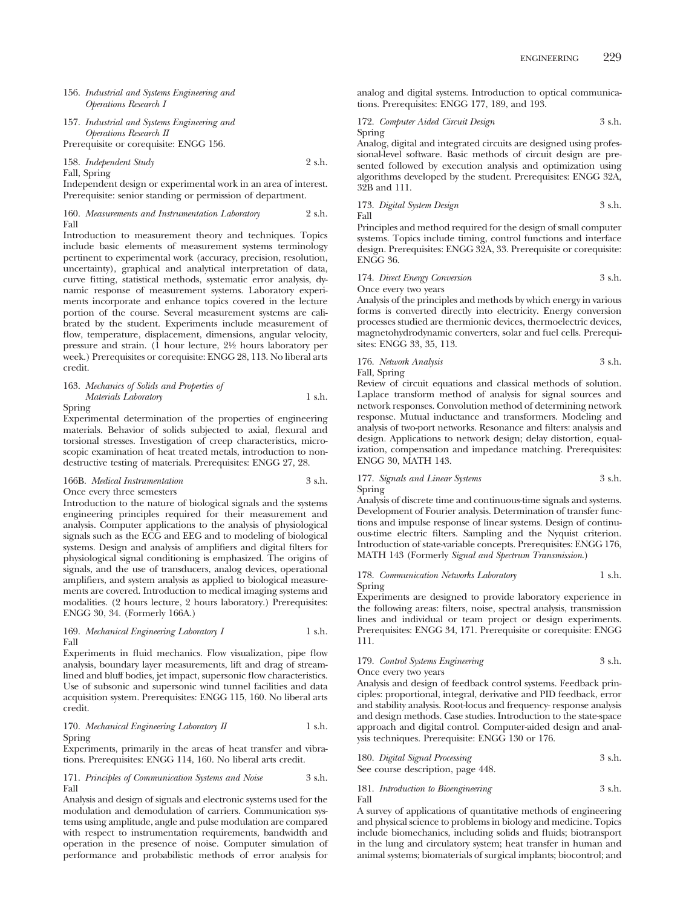- 156. *Industrial and Systems Engineering and Operations Research I*
- 157. *Industrial and Systems Engineering and Operations Research II*

Prerequisite or corequisite: ENGG 156.

158. *Independent Study* 2 s.h.

Fall, Spring

Independent design or experimental work in an area of interest. Prerequisite: senior standing or permission of department.

160. *Measurements and Instrumentation Laboratory* 2 s.h. Fall

Introduction to measurement theory and techniques. Topics include basic elements of measurement systems terminology pertinent to experimental work (accuracy, precision, resolution, uncertainty), graphical and analytical interpretation of data, curve fitting, statistical methods, systematic error analysis, dynamic response of measurement systems. Laboratory experiments incorporate and enhance topics covered in the lecture portion of the course. Several measurement systems are calibrated by the student. Experiments include measurement of flow, temperature, displacement, dimensions, angular velocity, pressure and strain. (1 hour lecture, 21⁄2 hours laboratory per week.) Prerequisites or corequisite: ENGG 28, 113. No liberal arts credit.

163. *Mechanics of Solids and Properties of Materials Laboratory* 1 s.h.

Spring

Experimental determination of the properties of engineering materials. Behavior of solids subjected to axial, flexural and torsional stresses. Investigation of creep characteristics, microscopic examination of heat treated metals, introduction to nondestructive testing of materials. Prerequisites: ENGG 27, 28.

166B. *Medical Instrumentation* 3 s.h. Once every three semesters

Introduction to the nature of biological signals and the systems engineering principles required for their measurement and analysis. Computer applications to the analysis of physiological signals such as the ECG and EEG and to modeling of biological systems. Design and analysis of amplifiers and digital filters for physiological signal conditioning is emphasized. The origins of signals, and the use of transducers, analog devices, operational amplifiers, and system analysis as applied to biological measurements are covered. Introduction to medical imaging systems and modalities. (2 hours lecture, 2 hours laboratory.) Prerequisites: ENGG 30, 34. (Formerly 166A.)

### 169. *Mechanical Engineering Laboratory I* 1 s.h. Fall

Experiments in fluid mechanics. Flow visualization, pipe flow analysis, boundary layer measurements, lift and drag of streamlined and bluff bodies, jet impact, supersonic flow characteristics. Use of subsonic and supersonic wind tunnel facilities and data acquisition system. Prerequisites: ENGG 115, 160. No liberal arts credit.

170. *Mechanical Engineering Laboratory II* 1 s.h. Spring

Experiments, primarily in the areas of heat transfer and vibrations. Prerequisites: ENGG 114, 160. No liberal arts credit.

171. *Principles of Communication Systems and Noise* 3 s.h. Fall

Analysis and design of signals and electronic systems used for the modulation and demodulation of carriers. Communication systems using amplitude, angle and pulse modulation are compared with respect to instrumentation requirements, bandwidth and operation in the presence of noise. Computer simulation of performance and probabilistic methods of error analysis for

analog and digital systems. Introduction to optical communications. Prerequisites: ENGG 177, 189, and 193.

172. *Computer Aided Circuit Design* 3 s.h. Spring

Analog, digital and integrated circuits are designed using professional-level software. Basic methods of circuit design are presented followed by execution analysis and optimization using algorithms developed by the student. Prerequisites: ENGG 32A, 32B and 111.

173. *Digital System Design* 3 s.h. Fall

Principles and method required for the design of small computer systems. Topics include timing, control functions and interface design. Prerequisites: ENGG 32A, 33. Prerequisite or corequisite: ENGG 36.

174. *Direct Energy Conversion* 3 s.h. Once every two years

Analysis of the principles and methods by which energy in various forms is converted directly into electricity. Energy conversion processes studied are thermionic devices, thermoelectric devices, magnetohydrodynamic converters, solar and fuel cells. Prerequisites: ENGG 33, 35, 113.

176. *Network Analysis* 3 s.h. Fall, Spring

Review of circuit equations and classical methods of solution. Laplace transform method of analysis for signal sources and network responses. Convolution method of determining network response. Mutual inductance and transformers. Modeling and analysis of two-port networks. Resonance and filters: analysis and design. Applications to network design; delay distortion, equalization, compensation and impedance matching. Prerequisites: ENGG 30, MATH 143.

### 177. *Signals and Linear Systems* 3 s.h. Spring

Analysis of discrete time and continuous-time signals and systems. Development of Fourier analysis. Determination of transfer functions and impulse response of linear systems. Design of continuous-time electric filters. Sampling and the Nyquist criterion. Introduction of state-variable concepts. Prerequisites: ENGG 176, MATH 143 (Formerly *Signal and Spectrum Transmission*.)

178. *Communication Networks Laboratory* 1 s.h. Spring

Experiments are designed to provide laboratory experience in the following areas: filters, noise, spectral analysis, transmission lines and individual or team project or design experiments. Prerequisites: ENGG 34, 171. Prerequisite or corequisite: ENGG 111.

### 179. *Control Systems Engineering* 3 s.h. Once every two years

Analysis and design of feedback control systems. Feedback principles: proportional, integral, derivative and PID feedback, error and stability analysis. Root-locus and frequency- response analysis and design methods. Case studies. Introduction to the state-space approach and digital control. Computer-aided design and analysis techniques. Prerequisite: ENGG 130 or 176.

180. *Digital Signal Processing* 3 s.h. See course description, page 448.

181. *Introduction to Bioengineering* 3 s.h. Fall

A survey of applications of quantitative methods of engineering and physical science to problems in biology and medicine. Topics include biomechanics, including solids and fluids; biotransport in the lung and circulatory system; heat transfer in human and animal systems; biomaterials of surgical implants; biocontrol; and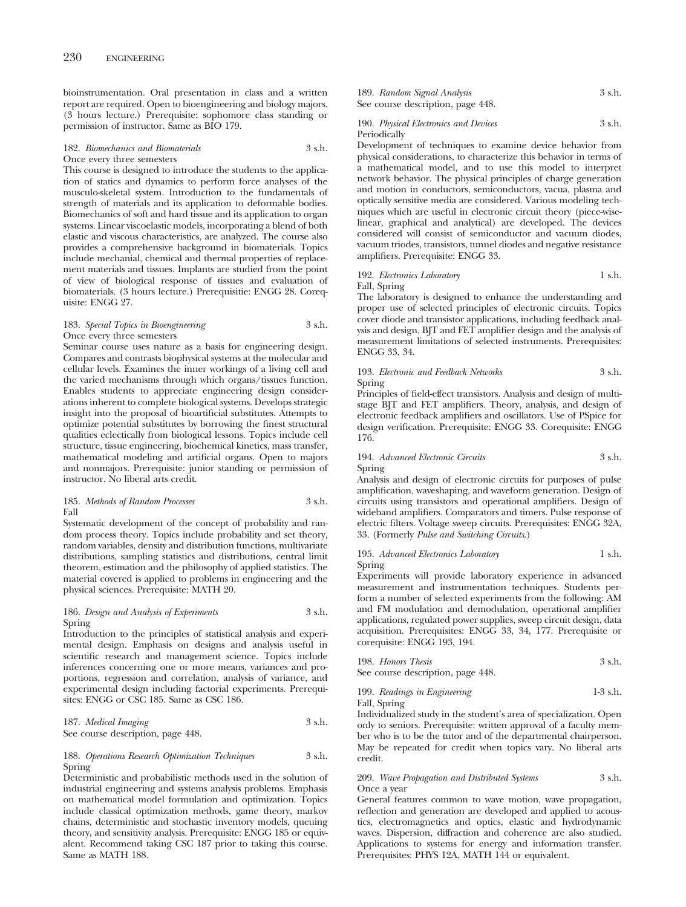bioinstrumentation. Oral presentation in class and a written report are required. Open to bioengineering and biology majors. (3 hours lecture.) Prerequisite: sophomore class standing or permission of instructor. Same as BIO 179.

### 182. *Biomechanics and Biomaterials* 3 s.h. Once every three semesters

This course is designed to introduce the students to the application of statics and dynamics to perform force analyses of the musculo-skeletal system. Introduction to the fundamentals of strength of materials and its application to deformable bodies. Biomechanics of soft and hard tissue and its application to organ systems. Linear viscoelastic models, incorporating a blend of both elastic and viscous characteristics, are analyzed. The course also provides a comprehensive background in biomaterials. Topics include mechanial, chemical and thermal properties of replacement materials and tissues. Implants are studied from the point of view of biological response of tissues and evaluation of biomaterials. (3 hours lecture.) Prerequisitie: ENGG 28. Corequisite: ENGG 27.

### 183. *Special Topics in Bioengineering* 3 s.h. Once every three semesters

Seminar course uses nature as a basis for engineering design. Compares and contrasts biophysical systems at the molecular and cellular levels. Examines the inner workings of a living cell and the varied mechanisms through which organs/tissues function. Enables students to appreciate engineering design considerations inherent to complete biological systems. Develops strategic insight into the proposal of bioartificial substitutes. Attempts to optimize potential substitutes by borrowing the finest structural qualities eclectically from biological lessons. Topics include cell structure, tissue engineering, biochemical kinetics, mass transfer, mathematical modeling and artificial organs. Open to majors and nonmajors. Prerequisite: junior standing or permission of instructor. No liberal arts credit.

### 185. *Methods of Random Processes* 3 s.h. Fall

Systematic development of the concept of probability and random process theory. Topics include probability and set theory, random variables, density and distribution functions, multivariate distributions, sampling statistics and distributions, central limit theorem, estimation and the philosophy of applied statistics. The material covered is applied to problems in engineering and the physical sciences. Prerequisite: MATH 20.

### 186. *Design and Analysis of Experiments* 3 s.h. Spring

Introduction to the principles of statistical analysis and experimental design. Emphasis on designs and analysis useful in scientific research and management science. Topics include inferences concerning one or more means, variances and proportions, regression and correlation, analysis of variance, and experimental design including factorial experiments. Prerequisites: ENGG or CSC 185. Same as CSC 186.

187. *Medical Imaging* 3 s.h. See course description, page 448.

### 188. *Operations Research Optimization Techniques* 3 s.h. Spring

Deterministic and probabilistic methods used in the solution of industrial engineering and systems analysis problems. Emphasis on mathematical model formulation and optimization. Topics include classical optimization methods, game theory, markov chains, deterministic and stochastic inventory models, queuing theory, and sensitivity analysis. Prerequisite: ENGG 185 or equivalent. Recommend taking CSC 187 prior to taking this course. Same as MATH 188.

189. *Random Signal Analysis* 3 s.h. See course description, page 448.

### 190. *Physical Electronics and Devices* 3 s.h. Periodically

Development of techniques to examine device behavior from physical considerations, to characterize this behavior in terms of a mathematical model, and to use this model to interpret network behavior. The physical principles of charge generation and motion in conductors, semiconductors, vacua, plasma and optically sensitive media are considered. Various modeling techniques which are useful in electronic circuit theory (piece-wiselinear, graphical and analytical) are developed. The devices considered will consist of semiconductor and vacuum diodes, vacuum triodes, transistors, tunnel diodes and negative resistance amplifiers. Prerequisite: ENGG 33.

### 192. *Electronics Laboratory* 1 s.h. Fall, Spring

The laboratory is designed to enhance the understanding and proper use of selected principles of electronic circuits. Topics cover diode and transistor applications, including feedback analysis and design, BJT and FET amplifier design and the analysis of measurement limitations of selected instruments. Prerequisites: ENGG 33, 34.

### 193. *Electronic and Feedback Networks* 3 s.h. Spring

Principles of field-effect transistors. Analysis and design of multistage BJT and FET amplifiers. Theory, analysis, and design of electronic feedback amplifiers and oscillators. Use of PSpice for design verification. Prerequisite: ENGG 33. Corequisite: ENGG 176.

### 194. *Advanced Electronic Circuits* 3 s.h. Spring

Analysis and design of electronic circuits for purposes of pulse amplification, waveshaping, and waveform generation. Design of circuits using transistors and operational amplifiers. Design of wideband amplifiers. Comparators and timers. Pulse response of electric filters. Voltage sweep circuits. Prerequisites: ENGG 32A, 33. (Formerly *Pulse and Switching Circuits*.)

### 195. *Advanced Electronics Laboratory* 1 s.h. Spring

Experiments will provide laboratory experience in advanced measurement and instrumentation techniques. Students perform a number of selected experiments from the following: AM and FM modulation and demodulation, operational amplifier applications, regulated power supplies, sweep circuit design, data acquisition. Prerequisites: ENGG 33, 34, 177. Prerequisite or corequisite: ENGG 193, 194.

| 198. Honors Thesis                | 3 s.h. |
|-----------------------------------|--------|
| See course description, page 448. |        |

199. *Readings in Engineering* 1-3 s.h. Fall, Spring

Individualized study in the student's area of specialization. Open only to seniors. Prerequisite: written approval of a faculty member who is to be the tutor and of the departmental chairperson. May be repeated for credit when topics vary. No liberal arts credit.

### 209. *Wave Propagation and Distributed Systems* 3 s.h. Once a year

General features common to wave motion, wave propagation, reflection and generation are developed and applied to acoustics, electromagnetics and optics, elastic and hydrodynamic waves. Dispersion, diffraction and coherence are also studied. Applications to systems for energy and information transfer. Prerequisites: PHYS 12A, MATH 144 or equivalent.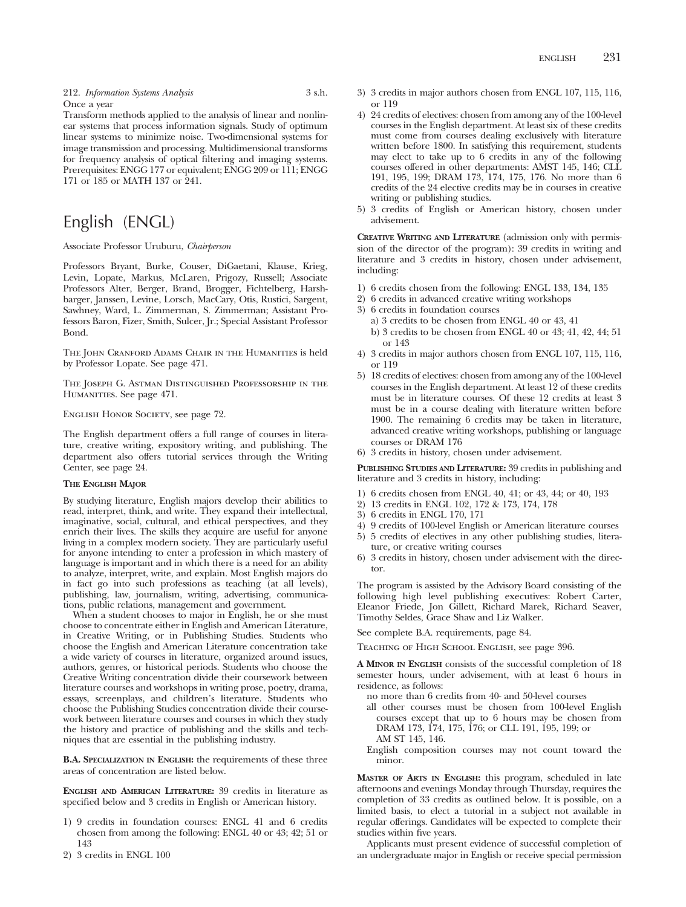212. *Information Systems Analysis* 3 s.h. Once a year

Transform methods applied to the analysis of linear and nonlinear systems that process information signals. Study of optimum linear systems to minimize noise. Two-dimensional systems for image transmission and processing. Multidimensional transforms for frequency analysis of optical filtering and imaging systems. Prerequisites: ENGG 177 or equivalent; ENGG 209 or 111; ENGG 171 or 185 or MATH 137 or 241.

# English (ENGL)

Associate Professor Uruburu, *Chairperson*

Professors Bryant, Burke, Couser, DiGaetani, Klause, Krieg, Levin, Lopate, Markus, McLaren, Prigozy, Russell; Associate Professors Alter, Berger, Brand, Brogger, Fichtelberg, Harshbarger, Janssen, Levine, Lorsch, MacCary, Otis, Rustici, Sargent, Sawhney, Ward, L. Zimmerman, S. Zimmerman; Assistant Professors Baron, Fizer, Smith, Sulcer, Jr.; Special Assistant Professor Bond.

The John Cranford Adams Chair in the Humanities is held by Professor Lopate. See page 471.

The Joseph G. Astman Distinguished Professorship in the HUMANITIES. See page 471.

ENGLISH HONOR SOCIETY, see page 72.

The English department offers a full range of courses in literature, creative writing, expository writing, and publishing. The department also offers tutorial services through the Writing Center, see page 24.

### **THE ENGLISH MAJOR**

By studying literature, English majors develop their abilities to read, interpret, think, and write. They expand their intellectual, imaginative, social, cultural, and ethical perspectives, and they enrich their lives. The skills they acquire are useful for anyone living in a complex modern society. They are particularly useful for anyone intending to enter a profession in which mastery of language is important and in which there is a need for an ability to analyze, interpret, write, and explain. Most English majors do in fact go into such professions as teaching (at all levels), publishing, law, journalism, writing, advertising, communications, public relations, management and government.

When a student chooses to major in English, he or she must choose to concentrate either in English and American Literature, in Creative Writing, or in Publishing Studies. Students who choose the English and American Literature concentration take a wide variety of courses in literature, organized around issues, authors, genres, or historical periods. Students who choose the Creative Writing concentration divide their coursework between literature courses and workshops in writing prose, poetry, drama, essays, screenplays, and children's literature. Students who choose the Publishing Studies concentration divide their coursework between literature courses and courses in which they study the history and practice of publishing and the skills and techniques that are essential in the publishing industry.

**B.A. SPECIALIZATION IN ENGLISH:** the requirements of these three areas of concentration are listed below.

**ENGLISH AND AMERICAN LITERATURE:** 39 credits in literature as specified below and 3 credits in English or American history.

- 1) 9 credits in foundation courses: ENGL 41 and 6 credits chosen from among the following: ENGL 40 or 43; 42; 51 or 143
- 2) 3 credits in ENGL 100
- 3) 3 credits in major authors chosen from ENGL 107, 115, 116, or 119
- 4) 24 credits of electives: chosen from among any of the 100-level courses in the English department. At least six of these credits must come from courses dealing exclusively with literature written before 1800. In satisfying this requirement, students may elect to take up to 6 credits in any of the following courses offered in other departments: AMST 145, 146; CLL 191, 195, 199; DRAM 173, 174, 175, 176. No more than 6 credits of the 24 elective credits may be in courses in creative writing or publishing studies.
- 5) 3 credits of English or American history, chosen under advisement.

**CREATIVE WRITING AND LITERATURE** (admission only with permission of the director of the program): 39 credits in writing and literature and 3 credits in history, chosen under advisement, including:

- 1) 6 credits chosen from the following: ENGL 133, 134, 135
- 2) 6 credits in advanced creative writing workshops
- 3) 6 credits in foundation courses
	- a) 3 credits to be chosen from ENGL 40 or 43, 41
	- b) 3 credits to be chosen from ENGL 40 or 43; 41, 42, 44; 51 or 143
- 4) 3 credits in major authors chosen from ENGL 107, 115, 116, or 119
- 5) 18 credits of electives: chosen from among any of the 100-level courses in the English department. At least 12 of these credits must be in literature courses. Of these 12 credits at least 3 must be in a course dealing with literature written before 1900. The remaining 6 credits may be taken in literature, advanced creative writing workshops, publishing or language courses or DRAM 176
- 6) 3 credits in history, chosen under advisement.

**PUBLISHING STUDIES AND LITERATURE:** 39 credits in publishing and literature and 3 credits in history, including:

- 1) 6 credits chosen from ENGL 40, 41; or 43, 44; or 40, 193
- 2) 13 credits in ENGL 102, 172 & 173, 174, 178
- 3) 6 credits in ENGL 170, 171
- 4) 9 credits of 100-level English or American literature courses 5) 5 credits of electives in any other publishing studies, litera-
- ture, or creative writing courses 6) 3 credits in history, chosen under advisement with the director.

The program is assisted by the Advisory Board consisting of the following high level publishing executives: Robert Carter, Eleanor Friede, Jon Gillett, Richard Marek, Richard Seaver, Timothy Seldes, Grace Shaw and Liz Walker.

See complete B.A. requirements, page 84.

Teaching of High School English, see page 396.

**A MINOR IN ENGLISH** consists of the successful completion of 18 semester hours, under advisement, with at least 6 hours in residence, as follows:

- no more than 6 credits from 40- and 50-level courses
- all other courses must be chosen from 100-level English courses except that up to 6 hours may be chosen from DRAM 173, 174, 175, 176; or CLL 191, 195, 199; or AM ST 145, 146.
- English composition courses may not count toward the minor.

**MASTER OF ARTS IN ENGLISH:** this program, scheduled in late afternoons and evenings Monday through Thursday, requires the completion of 33 credits as outlined below. It is possible, on a limited basis, to elect a tutorial in a subject not available in regular offerings. Candidates will be expected to complete their studies within five years.

Applicants must present evidence of successful completion of an undergraduate major in English or receive special permission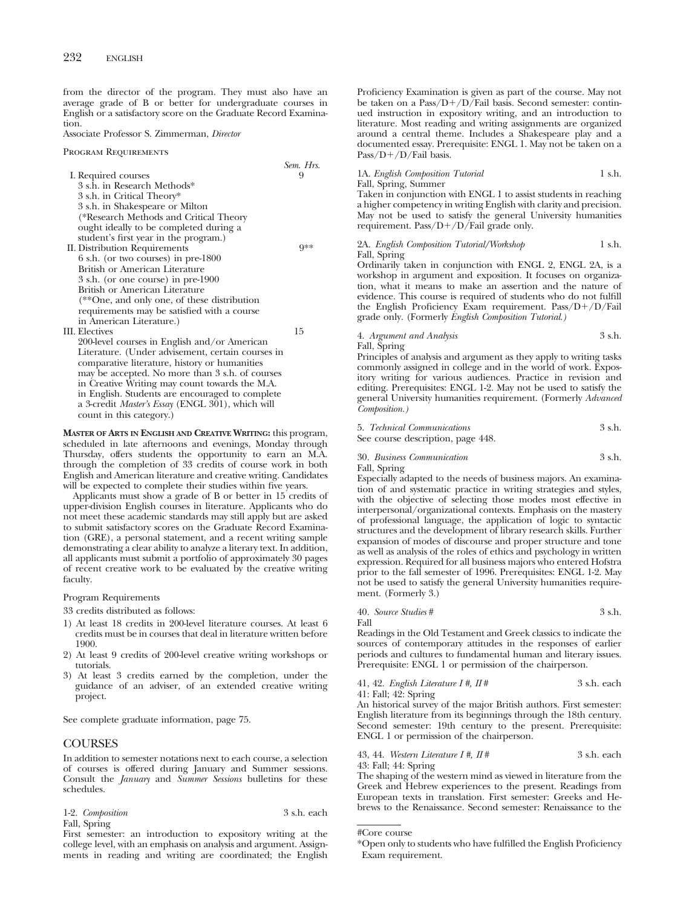from the director of the program. They must also have an average grade of B or better for undergraduate courses in English or a satisfactory score on the Graduate Record Examination.

Associate Professor S. Zimmerman, *Director*

Program Requirements

|                                                   | Sem. Hrs. |
|---------------------------------------------------|-----------|
| I. Required courses                               | 9         |
| 3 s.h. in Research Methods*                       |           |
| 3 s.h. in Critical Theory*                        |           |
| 3 s.h. in Shakespeare or Milton                   |           |
| (*Research Methods and Critical Theory            |           |
| ought ideally to be completed during a            |           |
| student's first year in the program.)             |           |
| II. Distribution Requirements                     | $9**$     |
| 6 s.h. (or two courses) in pre-1800               |           |
| British or American Literature                    |           |
| 3 s.h. (or one course) in pre-1900                |           |
| British or American Literature                    |           |
| (**One, and only one, of these distribution       |           |
| requirements may be satisfied with a course       |           |
| in American Literature.)                          |           |
| III. Electives                                    | 15        |
| 200-level courses in English and/or American      |           |
| Literature. (Under advisement, certain courses in |           |
| comparative literature, history or humanities     |           |
| may be accepted. No more than 3 s.h. of courses   |           |
| in Creative Writing may count towards the M.A.    |           |
| in English. Students are encouraged to complete   |           |
| a 3-credit Master's Essay (ENGL 301), which will  |           |
| count in this category.)                          |           |

**MASTER OF ARTS IN ENGLISH AND CREATIVE WRITING:** this program, scheduled in late afternoons and evenings, Monday through Thursday, offers students the opportunity to earn an M.A. through the completion of 33 credits of course work in both English and American literature and creative writing. Candidates will be expected to complete their studies within five years.

Applicants must show a grade of B or better in 15 credits of upper-division English courses in literature. Applicants who do not meet these academic standards may still apply but are asked to submit satisfactory scores on the Graduate Record Examination (GRE), a personal statement, and a recent writing sample demonstrating a clear ability to analyze a literary text. In addition, all applicants must submit a portfolio of approximately 30 pages of recent creative work to be evaluated by the creative writing faculty.

Program Requirements

33 credits distributed as follows:

- 1) At least 18 credits in 200-level literature courses. At least 6 credits must be in courses that deal in literature written before 1900.
- 2) At least 9 credits of 200-level creative writing workshops or tutorials.
- 3) At least 3 credits earned by the completion, under the guidance of an adviser, of an extended creative writing project.

See complete graduate information, page 75.

# **COURSES**

In addition to semester notations next to each course, a selection of courses is offered during January and Summer sessions. Consult the *January* and *Summer Sessions* bulletins for these schedules.

| 1-2. Composition | 3 s.h. each |
|------------------|-------------|
| Fall, Spring     |             |

First semester: an introduction to expository writing at the college level, with an emphasis on analysis and argument. Assignments in reading and writing are coordinated; the English Proficiency Examination is given as part of the course. May not be taken on a Pass/D+/D/Fail basis. Second semester: continued instruction in expository writing, and an introduction to literature. Most reading and writing assignments are organized around a central theme. Includes a Shakespeare play and a documented essay. Prerequisite: ENGL 1. May not be taken on a  $Pass/D+ /D/Fail$  basis.

## 1A. *English Composition Tutorial* 1 s.h.

Fall, Spring, Summer

Taken in conjunction with ENGL 1 to assist students in reaching a higher competency in writing English with clarity and precision. May not be used to satisfy the general University humanities requirement. Pass/ $D+/D$ /Fail grade only.

### 2A. *English Composition Tutorial/Workshop* 1 s.h. Fall, Spring

Ordinarily taken in conjunction with ENGL 2, ENGL 2A, is a workshop in argument and exposition. It focuses on organization, what it means to make an assertion and the nature of evidence. This course is required of students who do not fulfill the English Proficiency Exam requirement. Pass/D+/D/Fail grade only. (Formerly *English Composition Tutorial.)*

4. *Argument and Analysis* 3 s.h. Fall, Spring

Principles of analysis and argument as they apply to writing tasks commonly assigned in college and in the world of work. Expository writing for various audiences. Practice in revision and editing. Prerequisites: ENGL 1-2. May not be used to satisfy the general University humanities requirement. (Formerly *Advanced Composition.)*

|  |  | 5. Technical Communications | 3 s.h. |  |
|--|--|-----------------------------|--------|--|
|--|--|-----------------------------|--------|--|

See course description, page 448.

### 30. *Business Communication* 3 s.h. Fall, Spring

Especially adapted to the needs of business majors. An examination of and systematic practice in writing strategies and styles, with the objective of selecting those modes most effective in interpersonal/organizational contexts. Emphasis on the mastery of professional language, the application of logic to syntactic structures and the development of library research skills. Further expansion of modes of discourse and proper structure and tone as well as analysis of the roles of ethics and psychology in written expression. Required for all business majors who entered Hofstra prior to the fall semester of 1996. Prerequisites: ENGL 1-2. May not be used to satisfy the general University humanities requirement. (Formerly 3.)

### 40. *Source Studies* # 3 s.h. Fall

Readings in the Old Testament and Greek classics to indicate the sources of contemporary attitudes in the responses of earlier periods and cultures to fundamental human and literary issues. Prerequisite: ENGL 1 or permission of the chairperson.

41, 42. *English Literature I #, II* # 3 s.h. each 41: Fall; 42: Spring

An historical survey of the major British authors. First semester: English literature from its beginnings through the 18th century. Second semester: 19th century to the present. Prerequisite: ENGL 1 or permission of the chairperson.

### 43, 44. *Western Literature I #, II #* 3 s.h. each 43: Fall; 44: Spring

The shaping of the western mind as viewed in literature from the Greek and Hebrew experiences to the present. Readings from European texts in translation. First semester: Greeks and Hebrews to the Renaissance. Second semester: Renaissance to the

<sup>#</sup>Core course

<sup>\*</sup>Open only to students who have fulfilled the English Proficiency Exam requirement.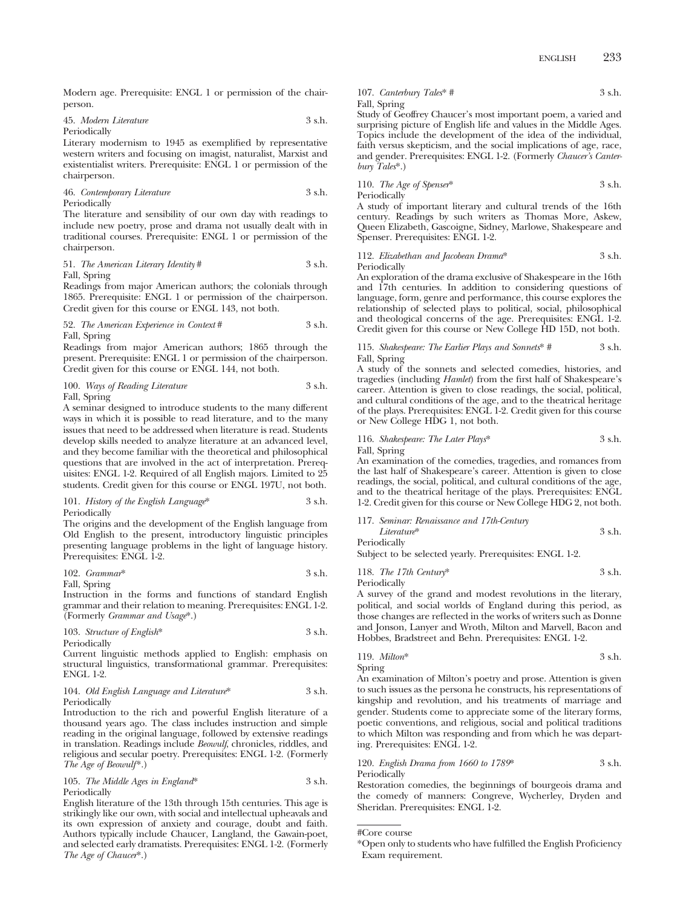Modern age. Prerequisite: ENGL 1 or permission of the chairperson.

| 45. Modern Literature | 3 s.h. |
|-----------------------|--------|
| Periodically          |        |

Literary modernism to 1945 as exemplified by representative western writers and focusing on imagist, naturalist, Marxist and existentialist writers. Prerequisite: ENGL 1 or permission of the chairperson.

46. *Contemporary Literature* 3 s.h. Periodically

The literature and sensibility of our own day with readings to include new poetry, prose and drama not usually dealt with in traditional courses. Prerequisite: ENGL 1 or permission of the chairperson.

51. *The American Literary Identity* # 3 s.h. Fall, Spring

Readings from major American authors; the colonials through 1865. Prerequisite: ENGL 1 or permission of the chairperson. Credit given for this course or ENGL 143, not both.

52. *The American Experience in Context* # 3 s.h. Fall, Spring

Readings from major American authors; 1865 through the present. Prerequisite: ENGL 1 or permission of the chairperson. Credit given for this course or ENGL 144, not both.

100. *Ways of Reading Literature* 3 s.h. Fall, Spring

A seminar designed to introduce students to the many different ways in which it is possible to read literature, and to the many issues that need to be addressed when literature is read. Students develop skills needed to analyze literature at an advanced level, and they become familiar with the theoretical and philosophical questions that are involved in the act of interpretation. Prerequisites: ENGL 1-2. Required of all English majors. Limited to 25 students. Credit given for this course or ENGL 197U, not both.

101. *History of the English Language*\* 3 s.h. Periodically

The origins and the development of the English language from Old English to the present, introductory linguistic principles presenting language problems in the light of language history. Prerequisites: ENGL 1-2.

102. *Grammar*\* 3 s.h.

Fall, Spring

Instruction in the forms and functions of standard English grammar and their relation to meaning. Prerequisites: ENGL 1-2. (Formerly *Grammar and Usage*\*.)

103. *Structure of English*\* 3 s.h.

Periodically

Current linguistic methods applied to English: emphasis on structural linguistics, transformational grammar. Prerequisites: ENGL 1-2.

### 104. *Old English Language and Literature*\* 3 s.h. Periodically

Introduction to the rich and powerful English literature of a thousand years ago. The class includes instruction and simple reading in the original language, followed by extensive readings in translation. Readings include *Beowulf*, chronicles, riddles, and religious and secular poetry. Prerequisites: ENGL 1-2. (Formerly *The Age of Beowulf*\*.)

105. *The Middle Ages in England*\* 3 s.h. Periodically

English literature of the 13th through 15th centuries. This age is strikingly like our own, with social and intellectual upheavals and its own expression of anxiety and courage, doubt and faith. Authors typically include Chaucer, Langland, the Gawain-poet, and selected early dramatists. Prerequisites: ENGL 1-2. (Formerly *The Age of Chaucer*\*.)

107. *Canterbury Tales*\* # 3 s.h. Fall, Spring

Study of Geoffrey Chaucer's most important poem, a varied and surprising picture of English life and values in the Middle Ages. Topics include the development of the idea of the individual, faith versus skepticism, and the social implications of age, race, and gender. Prerequisites: ENGL 1-2. (Formerly *Chaucer's Canterbury Tales*\*.)

110. *The Age of Spenser*\* 3 s.h. Periodically

A study of important literary and cultural trends of the 16th century. Readings by such writers as Thomas More, Askew, Queen Elizabeth, Gascoigne, Sidney, Marlowe, Shakespeare and Spenser. Prerequisites: ENGL 1-2.

### 112. *Elizabethan and Jacobean Drama*\* 3 s.h. Periodically

An exploration of the drama exclusive of Shakespeare in the 16th and 17th centuries. In addition to considering questions of language, form, genre and performance, this course explores the relationship of selected plays to political, social, philosophical and theological concerns of the age. Prerequisites: ENGL 1-2. Credit given for this course or New College HD 15D, not both.

115. *Shakespeare: The Earlier Plays and Sonnets*\* # 3 s.h. Fall, Spring

A study of the sonnets and selected comedies, histories, and tragedies (including *Hamlet*) from the first half of Shakespeare's career. Attention is given to close readings, the social, political, and cultural conditions of the age, and to the theatrical heritage of the plays. Prerequisites: ENGL 1-2. Credit given for this course or New College HDG 1, not both.

### 116. *Shakespeare: The Later Plays*\* 3 s.h. Fall, Spring

An examination of the comedies, tragedies, and romances from the last half of Shakespeare's career. Attention is given to close readings, the social, political, and cultural conditions of the age, and to the theatrical heritage of the plays. Prerequisites: ENGL 1-2. Credit given for this course or New College HDG 2, not both.

117. *Seminar: Renaissance and 17th-Century Literature*\* 3 s.h. Periodically

Subject to be selected yearly. Prerequisites: ENGL 1-2.

118. *The 17th Century*\* 3 s.h. Periodically

A survey of the grand and modest revolutions in the literary, political, and social worlds of England during this period, as those changes are reflected in the works of writers such as Donne and Jonson, Lanyer and Wroth, Milton and Marvell, Bacon and Hobbes, Bradstreet and Behn. Prerequisites: ENGL 1-2.

$$
119. \text{ Milton*} \qquad \qquad 3 \text{ s.h.}
$$

ing. Prerequisites: ENGL 1-2.

Spring An examination of Milton's poetry and prose. Attention is given to such issues as the persona he constructs, his representations of kingship and revolution, and his treatments of marriage and gender. Students come to appreciate some of the literary forms, poetic conventions, and religious, social and political traditions to which Milton was responding and from which he was depart-

# 120. *English Drama from 1660 to 1789*\* 3 s.h. Periodically

Restoration comedies, the beginnings of bourgeois drama and the comedy of manners: Congreve, Wycherley, Dryden and Sheridan. Prerequisites: ENGL 1-2.

```
#Core course
```
<sup>\*</sup>Open only to students who have fulfilled the English Proficiency Exam requirement.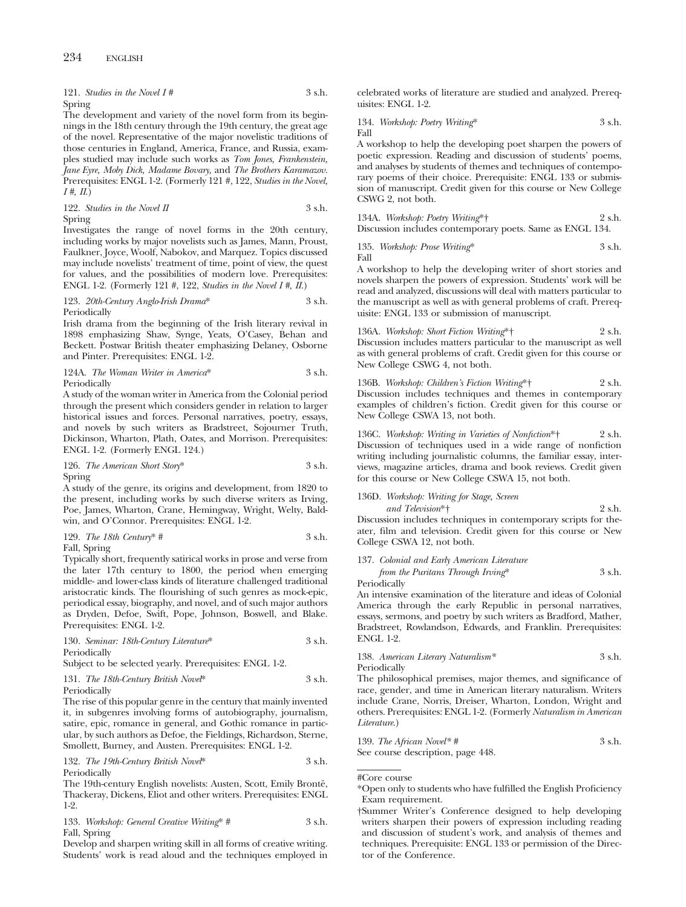|        | 121. Studies in the Novel $I#$ | 3 s.h. |
|--------|--------------------------------|--------|
| Spring |                                |        |

The development and variety of the novel form from its beginnings in the 18th century through the 19th century, the great age of the novel. Representative of the major novelistic traditions of those centuries in England, America, France, and Russia, examples studied may include such works as *Tom Jones, Frankenstein, Jane Eyre, Moby Dick, Madame Bovary,* and *The Brothers Karamazov.* Prerequisites: ENGL 1-2. (Formerly 121 #, 122, *Studies in the Novel, I #, II*.)

122. *Studies in the Novel II* 3 s.h. Spring

Investigates the range of novel forms in the 20th century, including works by major novelists such as James, Mann, Proust, Faulkner, Joyce, Woolf, Nabokov, and Marquez. Topics discussed may include novelists' treatment of time, point of view, the quest for values, and the possibilities of modern love. Prerequisites: ENGL 1-2. (Formerly 121 #, 122, *Studies in the Novel I #, II*.)

### 123. *20th-Century Anglo-Irish Drama*\* 3 s.h. Periodically

Irish drama from the beginning of the Irish literary revival in 1898 emphasizing Shaw, Synge, Yeats, O'Casey, Behan and Beckett. Postwar British theater emphasizing Delaney, Osborne and Pinter. Prerequisites: ENGL 1-2.

### 124A. *The Woman Writer in America*\* 3 s.h. Periodically

A study of the woman writer in America from the Colonial period through the present which considers gender in relation to larger historical issues and forces. Personal narratives, poetry, essays, and novels by such writers as Bradstreet, Sojourner Truth, Dickinson, Wharton, Plath, Oates, and Morrison. Prerequisites: ENGL 1-2. (Formerly ENGL 124.)

126. *The American Short Story*\* 3 s.h. Spring

A study of the genre, its origins and development, from 1820 to the present, including works by such diverse writers as Irving, Poe, James, Wharton, Crane, Hemingway, Wright, Welty, Baldwin, and O'Connor. Prerequisites: ENGL 1-2.

129. The 18th Century\* 
$$
\#
$$
 3 s.h.

Fall, Spring

Typically short, frequently satirical works in prose and verse from the later 17th century to 1800, the period when emerging middle- and lower-class kinds of literature challenged traditional aristocratic kinds. The flourishing of such genres as mock-epic, periodical essay, biography, and novel, and of such major authors as Dryden, Defoe, Swift, Pope, Johnson, Boswell, and Blake. Prerequisites: ENGL 1-2.

130. *Seminar: 18th-Century Literature*\* 3 s.h. Periodically

Subject to be selected yearly. Prerequisites: ENGL 1-2.

### 131. *The 18th-Century British Novel*<sup>\*</sup> 3 s.h. Periodically

The rise of this popular genre in the century that mainly invented it, in subgenres involving forms of autobiography, journalism, satire, epic, romance in general, and Gothic romance in particular, by such authors as Defoe, the Fieldings, Richardson, Sterne, Smollett, Burney, and Austen. Prerequisites: ENGL 1-2.

132. *The 19th-Century British Novel*\* 3 s.h. Periodically

The 19th-century English novelists: Austen, Scott, Emily Brontë, Thackeray, Dickens, Eliot and other writers. Prerequisites: ENGL 1-2.

133. *Workshop: General Creative Writing*\* # 3 s.h. Fall, Spring

Develop and sharpen writing skill in all forms of creative writing. Students' work is read aloud and the techniques employed in celebrated works of literature are studied and analyzed. Prerequisites: ENGL 1-2.

134. *Workshop: Poetry Writing*\* 3 s.h. Fall

A workshop to help the developing poet sharpen the powers of poetic expression. Reading and discussion of students' poems, and analyses by students of themes and techniques of contemporary poems of their choice. Prerequisite: ENGL 133 or submission of manuscript. Credit given for this course or New College CSWG 2, not both.

134A. *Workshop: Poetry Writing*\*† 2 s.h. Discussion includes contemporary poets. Same as ENGL 134.

135. *Workshop: Prose Writing\** 
$$
$3 \, \text{s.h.}
$$
 Fall

A workshop to help the developing writer of short stories and novels sharpen the powers of expression. Students' work will be read and analyzed, discussions will deal with matters particular to the manuscript as well as with general problems of craft. Prerequisite: ENGL 133 or submission of manuscript.

136A. *Workshop: Short Fiction Writing*\*† 2 s.h. Discussion includes matters particular to the manuscript as well as with general problems of craft. Credit given for this course or New College CSWG 4, not both.

136B. *Workshop: Children's Fiction Writing*\*† 2 s.h. Discussion includes techniques and themes in contemporary examples of children's fiction. Credit given for this course or New College CSWA 13, not both.

136C. *Workshop: Writing in Varieties of Nonfiction*\*† 2 s.h. Discussion of techniques used in a wide range of nonfiction writing including journalistic columns, the familiar essay, interviews, magazine articles, drama and book reviews. Credit given for this course or New College CSWA 15, not both.

# 136D. *Workshop: Writing for Stage, Screen*

*and Television*\*† 2 s.h. Discussion includes techniques in contemporary scripts for theater, film and television. Credit given for this course or New College CSWA 12, not both.

137. *Colonial and Early American Literature*

*from the Puritans Through Irving*\* 3 s.h. Periodically

An intensive examination of the literature and ideas of Colonial America through the early Republic in personal narratives, essays, sermons, and poetry by such writers as Bradford, Mather, Bradstreet, Rowlandson, Edwards, and Franklin. Prerequisites: ENGL 1-2.

138. *American Literary Naturalism\** 3 s.h. Periodically

The philosophical premises, major themes, and significance of race, gender, and time in American literary naturalism. Writers include Crane, Norris, Dreiser, Wharton, London, Wright and others. Prerequisites: ENGL 1-2. (Formerly *Naturalism in American Literature*.)

139. *The African Novel\* #* 3 s.h. See course description, page 448.

#Core course

<sup>\*</sup>Open only to students who have fulfilled the English Proficiency Exam requirement.

<sup>†</sup>Summer Writer's Conference designed to help developing writers sharpen their powers of expression including reading and discussion of student's work, and analysis of themes and techniques. Prerequisite: ENGL 133 or permission of the Director of the Conference.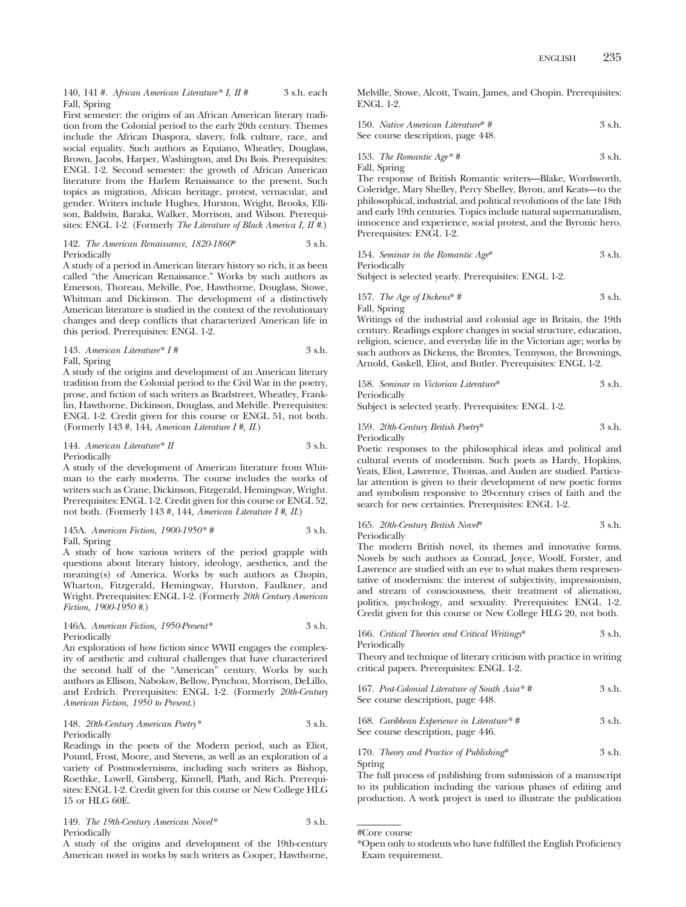140, 141 #. *African American Literature\* I, II #* 3 s.h. each Fall, Spring

First semester: the origins of an African American literary tradition from the Colonial period to the early 20th century. Themes include the African Diaspora, slavery, folk culture, race, and social equality. Such authors as Equiano, Wheatley, Douglass, Brown, Jacobs, Harper, Washington, and Du Bois. Prerequisites: ENGL 1-2. Second semester: the growth of African American literature from the Harlem Renaissance to the present. Such topics as migration, African heritage, protest, vernacular, and gender. Writers include Hughes, Hurston, Wright, Brooks, Ellison, Baldwin, Baraka, Walker, Morrison, and Wilson. Prerequisites: ENGL 1-2. (Formerly *The Literature of Black America I, II #*.)

### 142. *The American Renaissance, 1820-1860*\* 3 s.h. Periodically

A study of a period in American literary history so rich, it as been called "the American Renaissance." Works by such authors as Emerson, Thoreau, Melville, Poe, Hawthorne, Douglass, Stowe, Whitman and Dickinson. The development of a distinctively American literature is studied in the context of the revolutionary changes and deep conflicts that characterized American life in this period. Prerequisites: ENGL 1-2.

143. *American Literature\* I #* 3 s.h. Fall, Spring

A study of the origins and development of an American literary tradition from the Colonial period to the Civil War in the poetry, prose, and fiction of such writers as Bradstreet, Wheatley, Franklin, Hawthorne, Dickinson, Douglass, and Melville. Prerequisites: ENGL 1-2. Credit given for this course or ENGL 51, not both. (Formerly 143 #, 144, *American Literature I #, II*.)

### 144. *American Literature*\* *II* 3 s.h. Periodically

A study of the development of American literature from Whitman to the early moderns. The course includes the works of writers such as Crane, Dickinson, Fitzgerald, Hemingway, Wright. Prerequisites: ENGL 1-2. Credit given for this course or ENGL 52, not both. (Formerly 143 #, 144, *American Literature I #, II*.)

145A. *American Fiction, 1900-1950\* #* 3 s.h. Fall, Spring

A study of how various writers of the period grapple with questions about literary history, ideology, aesthetics, and the meaning(s) of America. Works by such authors as Chopin, Wharton, Fitzgerald, Hemingway, Hurston, Faulkner, and Wright. Prerequisites: ENGL 1-2. (Formerly *20th Century American Fiction, 1900-1950 #*.)

146A. *American Fiction, 1950-Present\** 3 s.h. Periodically

An exploration of how fiction since WWII engages the complexity of aesthetic and cultural challenges that have characterized the second half of the "American" century. Works by such authors as Ellison, Nabokov, Bellow, Pynchon, Morrison, DeLillo, and Erdrich. Prerequisites: ENGL 1-2. (Formerly *20th-Century American Fiction, 1950 to Present*.)

148. *20th-Century American Poetry\** 3 s.h. Periodically

Readings in the poets of the Modern period, such as Eliot, Pound, Frost, Moore, and Stevens, as well as an exploration of a variety of Postmodernisms, including such writers as Bishop, Roethke, Lowell, Ginsberg, Kinnell, Plath, and Rich. Prerequisites: ENGL 1-2. Credit given for this course or New College HLG 15 or HLG 60E.

149. *The 19th-Century American Novel\** 3 s.h. Periodically

A study of the origins and development of the 19th-century American novel in works by such writers as Cooper, Hawthorne, Melville, Stowe, Alcott, Twain, James, and Chopin. Prerequisites: ENGL 1-2.

| 150. Native American Literature* # | 3 s.h. |
|------------------------------------|--------|
| See course description, page 448.  |        |

153. *The Romantic Age\* #* 3 s.h. Fall, Spring

The response of British Romantic writers—Blake, Wordsworth, Coleridge, Mary Shelley, Percy Shelley, Byron, and Keats—to the philosophical, industrial, and political revolutions of the late 18th and early 19th centuries. Topics include natural supernaturalism, innocence and experience, social protest, and the Byronic hero. Prerequisites: ENGL 1-2.

154. *Seminar in the Romantic Age*<sup>\*</sup> 
$$
3 \text{ s.h.}
$$
 Periodically

Subject is selected yearly. Prerequisites: ENGL 1-2.

157. *The Age of Dickens*\* # 3 s.h. Fall, Spring

Writings of the industrial and colonial age in Britain, the 19th century. Readings explore changes in social structure, education, religion, science, and everyday life in the Victorian age; works by such authors as Dickens, the Brontes, Tennyson, the Brownings, Arnold, Gaskell, Eliot, and Butler. Prerequisites: ENGL 1-2.

158. *Seminar in Victorian Literature*\* 3 s.h. Periodically

Subject is selected yearly. Prerequisites: ENGL 1-2.

### 159. *20th-Century British Poetry*\* 3 s.h. Periodically

Poetic responses to the philosophical ideas and political and cultural events of modernism. Such poets as Hardy, Hopkins, Yeats, Eliot, Lawrence, Thomas, and Auden are studied. Particular attention is given to their development of new poetic forms and symbolism responsive to 20-century crises of faith and the search for new certainties. Prerequisites: ENGL 1-2.

### 165. *20th-Century British Novel*\* 3 s.h. Periodically

The modern British novel, its themes and innovative forms. Novels by such authors as Conrad, Joyce, Woolf, Forster, and Lawrence are studied with an eye to what makes them respresentative of modernism: the interest of subjectivity, impressionism, and stream of consciousness, their treatment of alienation, politics, psychology, and sexuality. Prerequisites: ENGL 1-2. Credit given for this course or New College HLG 20, not both.

166. *Critical Theories and Critical Writings*\* 3 s.h. Periodically

Theory and technique of literary criticism with practice in writing critical papers. Prerequisites: ENGL 1-2.

| 167. Post-Colonial Literature of South Asia* #<br>See course description, page 448. | 3 s.h. |
|-------------------------------------------------------------------------------------|--------|
| 168. Caribbean Experience in Literature*#<br>See course description, page 446.      | 3 s.h. |

170. *Theory and Practice of Publishing*\* 3 s.h. Spring

The full process of publishing from submission of a manuscript to its publication including the various phases of editing and production. A work project is used to illustrate the publication

<sup>#</sup>Core course

<sup>\*</sup>Open only to students who have fulfilled the English Proficiency Exam requirement.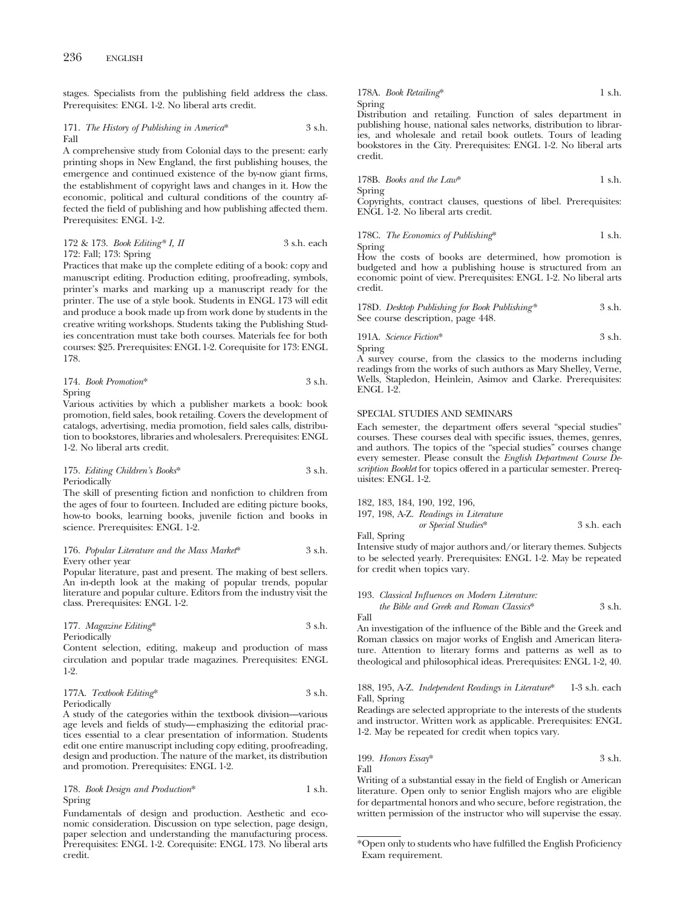stages. Specialists from the publishing field address the class. Prerequisites: ENGL 1-2. No liberal arts credit.

171. *The History of Publishing in America*\* 3 s.h. Fall

A comprehensive study from Colonial days to the present: early printing shops in New England, the first publishing houses, the emergence and continued existence of the by-now giant firms, the establishment of copyright laws and changes in it. How the economic, political and cultural conditions of the country affected the field of publishing and how publishing affected them. Prerequisites: ENGL 1-2.

172 & 173. *Book Editing\* I, II* 3 s.h. each 172: Fall; 173: Spring

Practices that make up the complete editing of a book: copy and manuscript editing. Production editing, proofreading, symbols, printer's marks and marking up a manuscript ready for the printer. The use of a style book. Students in ENGL 173 will edit and produce a book made up from work done by students in the creative writing workshops. Students taking the Publishing Studies concentration must take both courses. Materials fee for both courses: \$25. Prerequisites: ENGL 1-2. Corequisite for 173: ENGL 178.

174. *Book Promotion*\* 3 s.h. Spring

Various activities by which a publisher markets a book: book promotion, field sales, book retailing. Covers the development of catalogs, advertising, media promotion, field sales calls, distribution to bookstores, libraries and wholesalers. Prerequisites: ENGL 1-2. No liberal arts credit.

### 175. *Editing Children's Books*\* 3 s.h. Periodically

The skill of presenting fiction and nonfiction to children from the ages of four to fourteen. Included are editing picture books, how-to books, learning books, juvenile fiction and books in science. Prerequisites: ENGL 1-2.

### 176. *Popular Literature and the Mass Market*\* 3 s.h. Every other year

Popular literature, past and present. The making of best sellers. An in-depth look at the making of popular trends, popular literature and popular culture. Editors from the industry visit the class. Prerequisites: ENGL 1-2.

177. *Magazine Editing*\* 3 s.h. Periodically

Content selection, editing, makeup and production of mass circulation and popular trade magazines. Prerequisites: ENGL 1-2.

177A. *Textbook Editing*\* 3 s.h. Periodically

A study of the categories within the textbook division—various age levels and fields of study—emphasizing the editorial practices essential to a clear presentation of information. Students edit one entire manuscript including copy editing, proofreading, design and production. The nature of the market, its distribution and promotion. Prerequisites: ENGL 1-2.

178. *Book Design and Production*\* 1 s.h. Spring

Fundamentals of design and production. Aesthetic and economic consideration. Discussion on type selection, page design, paper selection and understanding the manufacturing process. Prerequisites: ENGL 1-2. Corequisite: ENGL 173. No liberal arts credit.

178A. *Book Retailing*\* 1 s.h. Spring

Distribution and retailing. Function of sales department in publishing house, national sales networks, distribution to libraries, and wholesale and retail book outlets. Tours of leading bookstores in the City. Prerequisites: ENGL 1-2. No liberal arts credit.

178B. *Books and the Law*\* 1 s.h. Spring

Copyrights, contract clauses, questions of libel. Prerequisites: ENGL 1-2. No liberal arts credit.

### 178C. *The Economics of Publishing*\* 1 s.h. Spring

How the costs of books are determined, how promotion is budgeted and how a publishing house is structured from an economic point of view. Prerequisites: ENGL 1-2. No liberal arts credit.

| 178D. Desktop Publishing for Book Publishing* | 3 s.h. |
|-----------------------------------------------|--------|
| See course description, page 448.             |        |

191A. *Science Fiction*\* 3 s.h. Spring

A survey course, from the classics to the moderns including readings from the works of such authors as Mary Shelley, Verne, Wells, Stapledon, Heinlein, Asimov and Clarke. Prerequisites: ENGL 1-2.

### SPECIAL STUDIES AND SEMINARS

Each semester, the department offers several "special studies" courses. These courses deal with specific issues, themes, genres, and authors. The topics of the "special studies" courses change every semester. Please consult the *English Department Course Description Booklet* for topics offered in a particular semester. Prerequisites: ENGL 1-2.

| 182, 183, 184, 190, 192, 196,         |             |
|---------------------------------------|-------------|
| 197, 198, A-Z. Readings in Literature |             |
| or Special Studies*                   | 3 s.h. each |

Fall, Spring

Intensive study of major authors and/or literary themes. Subjects to be selected yearly. Prerequisites: ENGL 1-2. May be repeated for credit when topics vary.

193. *Classical Influences on Modern Literature:*

*the Bible and Greek and Roman Classics*\* 3 s.h. Fall

An investigation of the influence of the Bible and the Greek and Roman classics on major works of English and American literature. Attention to literary forms and patterns as well as to theological and philosophical ideas. Prerequisites: ENGL 1-2, 40.

### 188, 195, A-Z. *Independent Readings in Literature*\* 1-3 s.h. each Fall, Spring

Readings are selected appropriate to the interests of the students and instructor. Written work as applicable. Prerequisites: ENGL 1-2. May be repeated for credit when topics vary.

199. *Honors Essay*\*
$$
3 \, \text{s.h.}
$$
 Fall

Writing of a substantial essay in the field of English or American literature. Open only to senior English majors who are eligible for departmental honors and who secure, before registration, the written permission of the instructor who will supervise the essay.

<sup>\*</sup>Open only to students who have fulfilled the English Proficiency Exam requirement.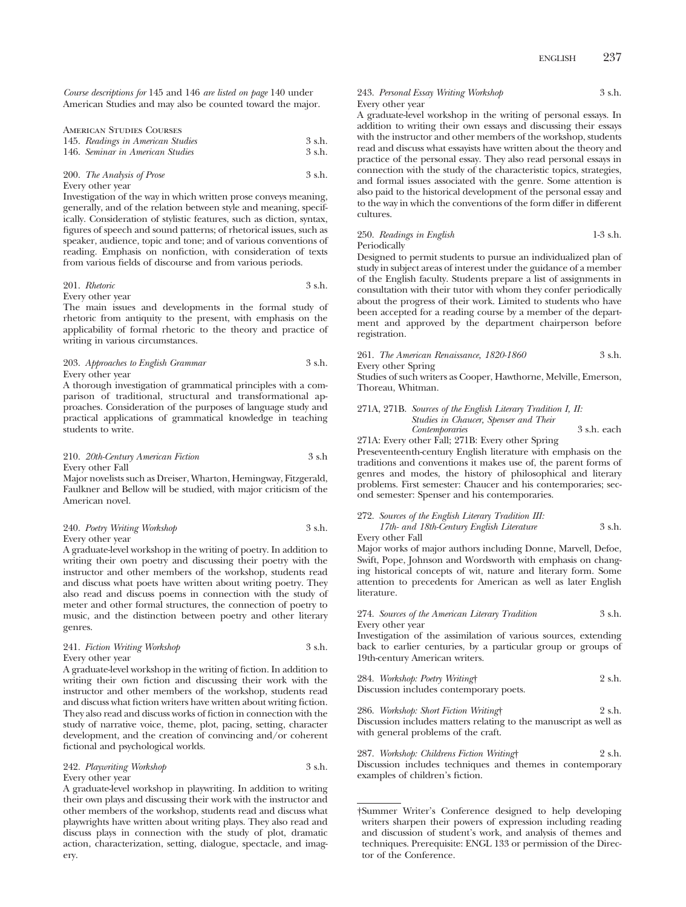*Course descriptions for* 145 and 146 *are listed on page* 140 under American Studies and may also be counted toward the major.

| AMERICAN STUDIES COURSES          |          |
|-----------------------------------|----------|
| 145. Readings in American Studies | 3 s.h.   |
| 146. Seminar in American Studies  | $3$ s.h. |

### 200. *The Analysis of Prose* 3 s.h. Every other year

Investigation of the way in which written prose conveys meaning, generally, and of the relation between style and meaning, specifically. Consideration of stylistic features, such as diction, syntax, figures of speech and sound patterns; of rhetorical issues, such as speaker, audience, topic and tone; and of various conventions of reading. Emphasis on nonfiction, with consideration of texts from various fields of discourse and from various periods.

# 201. *Rhetoric* 3 s.h.

# Every other year

The main issues and developments in the formal study of rhetoric from antiquity to the present, with emphasis on the applicability of formal rhetoric to the theory and practice of writing in various circumstances.

203. *Approaches to English Grammar* 3 s.h. Every other year

A thorough investigation of grammatical principles with a comparison of traditional, structural and transformational approaches. Consideration of the purposes of language study and practical applications of grammatical knowledge in teaching students to write.

### 210. *20th-Century American Fiction* 3 s.h Every other Fall

Major novelists such as Dreiser, Wharton, Hemingway, Fitzgerald, Faulkner and Bellow will be studied, with major criticism of the American novel.

### 240. *Poetry Writing Workshop* 3 s.h. Every other year

A graduate-level workshop in the writing of poetry. In addition to writing their own poetry and discussing their poetry with the instructor and other members of the workshop, students read and discuss what poets have written about writing poetry. They also read and discuss poems in connection with the study of meter and other formal structures, the connection of poetry to music, and the distinction between poetry and other literary genres.

### 241. *Fiction Writing Workshop* 3 s.h. Every other year

A graduate-level workshop in the writing of fiction. In addition to writing their own fiction and discussing their work with the instructor and other members of the workshop, students read and discuss what fiction writers have written about writing fiction. They also read and discuss works of fiction in connection with the study of narrative voice, theme, plot, pacing, setting, character development, and the creation of convincing and/or coherent fictional and psychological worlds.

### 242. *Playwriting Workshop* 3 s.h. Every other year

A graduate-level workshop in playwriting. In addition to writing their own plays and discussing their work with the instructor and other members of the workshop, students read and discuss what playwrights have written about writing plays. They also read and discuss plays in connection with the study of plot, dramatic action, characterization, setting, dialogue, spectacle, and imagery.

### 243. *Personal Essay Writing Workshop* 3 s.h. Every other year

A graduate-level workshop in the writing of personal essays. In addition to writing their own essays and discussing their essays with the instructor and other members of the workshop, students read and discuss what essayists have written about the theory and practice of the personal essay. They also read personal essays in connection with the study of the characteristic topics, strategies, and formal issues associated with the genre. Some attention is also paid to the historical development of the personal essay and to the way in which the conventions of the form differ in different cultures.

### 250. *Readings in English* 1-3 s.h. Periodically

Designed to permit students to pursue an individualized plan of study in subject areas of interest under the guidance of a member of the English faculty. Students prepare a list of assignments in consultation with their tutor with whom they confer periodically about the progress of their work. Limited to students who have been accepted for a reading course by a member of the department and approved by the department chairperson before registration.

261. *The American Renaissance, 1820-1860* 3 s.h. Every other Spring

Studies of such writers as Cooper, Hawthorne, Melville, Emerson, Thoreau, Whitman.

271A, 271B. *Sources of the English Literary Tradition I, II: Studies in Chaucer, Spenser and Their Contemporaries* 3 s.h. each

271A: Every other Fall; 271B: Every other Spring

Preseventeenth-century English literature with emphasis on the traditions and conventions it makes use of, the parent forms of genres and modes, the history of philosophical and literary problems. First semester: Chaucer and his contemporaries; second semester: Spenser and his contemporaries.

| 272. Sources of the English Literary Tradition III: |        |
|-----------------------------------------------------|--------|
| 17th- and 18th-Century English Literature           | 3 s.h. |
| Every other Fall                                    |        |

Major works of major authors including Donne, Marvell, Defoe, Swift, Pope, Johnson and Wordsworth with emphasis on changing historical concepts of wit, nature and literary form. Some attention to precedents for American as well as later English literature.

### 274. *Sources of the American Literary Tradition* 3 s.h. Every other year

Investigation of the assimilation of various sources, extending back to earlier centuries, by a particular group or groups of 19th-century American writers.

284. *Workshop: Poetry Writing*† 2 s.h. Discussion includes contemporary poets.

286. *Workshop: Short Fiction Writing*† 2 s.h. Discussion includes matters relating to the manuscript as well as with general problems of the craft.

287. *Workshop: Childrens Fiction Writing*† 2 s.h. Discussion includes techniques and themes in contemporary examples of children's fiction.

<sup>†</sup>Summer Writer's Conference designed to help developing writers sharpen their powers of expression including reading and discussion of student's work, and analysis of themes and techniques. Prerequisite: ENGL 133 or permission of the Director of the Conference.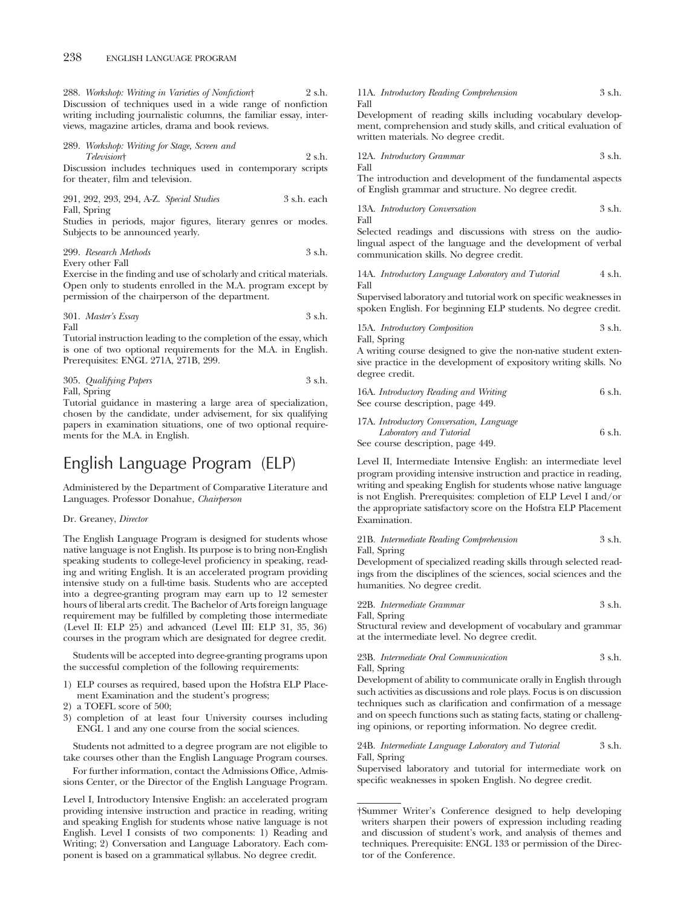288. *Workshop: Writing in Varieties of Nonfiction*† 2 s.h. Discussion of techniques used in a wide range of nonfiction writing including journalistic columns, the familiar essay, interviews, magazine articles, drama and book reviews.

289. *Workshop: Writing for Stage, Screen and Television*† 2 s.h.

Discussion includes techniques used in contemporary scripts for theater, film and television.

291, 292, 293, 294, A-Z. *Special Studies* 3 s.h. each Fall, Spring

Studies in periods, major figures, literary genres or modes. Subjects to be announced yearly.

### 299. *Research Methods* 3 s.h. Every other Fall

Exercise in the finding and use of scholarly and critical materials.

Open only to students enrolled in the M.A. program except by permission of the chairperson of the department.

301. *Master's Essay* 3 s.h. Fall

Tutorial instruction leading to the completion of the essay, which is one of two optional requirements for the M.A. in English. Prerequisites: ENGL 271A, 271B, 299.

### 305. *Qualifying Papers* 3 s.h. Fall, Spring

Tutorial guidance in mastering a large area of specialization, chosen by the candidate, under advisement, for six qualifying papers in examination situations, one of two optional requirements for the M.A. in English.

# English Language Program (ELP)

Administered by the Department of Comparative Literature and Languages. Professor Donahue, *Chairperson*

### Dr. Greaney, *Director*

The English Language Program is designed for students whose native language is not English. Its purpose is to bring non-English speaking students to college-level proficiency in speaking, reading and writing English. It is an accelerated program providing intensive study on a full-time basis. Students who are accepted into a degree-granting program may earn up to 12 semester hours of liberal arts credit. The Bachelor of Arts foreign language requirement may be fulfilled by completing those intermediate (Level II: ELP 25) and advanced (Level III: ELP 31, 35, 36) courses in the program which are designated for degree credit.

Students will be accepted into degree-granting programs upon the successful completion of the following requirements:

- 1) ELP courses as required, based upon the Hofstra ELP Placement Examination and the student's progress;
- 2) a TOEFL score of 500;
- 3) completion of at least four University courses including ENGL 1 and any one course from the social sciences.

Students not admitted to a degree program are not eligible to take courses other than the English Language Program courses.

For further information, contact the Admissions Office, Admissions Center, or the Director of the English Language Program.

Level I, Introductory Intensive English: an accelerated program providing intensive instruction and practice in reading, writing and speaking English for students whose native language is not English. Level I consists of two components: 1) Reading and Writing; 2) Conversation and Language Laboratory. Each component is based on a grammatical syllabus. No degree credit.

11A. *Introductory Reading Comprehension* 3 s.h. Fall

Development of reading skills including vocabulary development, comprehension and study skills, and critical evaluation of written materials. No degree credit.

12A. *Introductory Grammar* 3 s.h. Fall

The introduction and development of the fundamental aspects of English grammar and structure. No degree credit.

$$
13A. \ Introduction \ Conversion \qquad \qquad 3 s.h. \qquad
$$

Selected readings and discussions with stress on the audiolingual aspect of the language and the development of verbal communication skills. No degree credit.

14A. *Introductory Language Laboratory and Tutorial* 4 s.h. Fall

Supervised laboratory and tutorial work on specific weaknesses in spoken English. For beginning ELP students. No degree credit.

15A. *Introductory Composition* 3 s.h.

Fall, Spring

A writing course designed to give the non-native student extensive practice in the development of expository writing skills. No degree credit.

16A. *Introductory Reading and Writing* 6 s.h. See course description, page 449.

# 17A. *Introductory Conversation, Language*

*Laboratory and Tutorial* 6 s.h. See course description, page 449.

Level II, Intermediate Intensive English: an intermediate level program providing intensive instruction and practice in reading, writing and speaking English for students whose native language is not English. Prerequisites: completion of ELP Level I and/or the appropriate satisfactory score on the Hofstra ELP Placement Examination.

### 21B. *Intermediate Reading Comprehension* 3 s.h. Fall, Spring

Development of specialized reading skills through selected readings from the disciplines of the sciences, social sciences and the humanities. No degree credit.

| 22B. Intermediate Grammar | 3 s.h. |
|---------------------------|--------|
| Fall, Spring              |        |

Structural review and development of vocabulary and grammar at the intermediate level. No degree credit.

### 23B. *Intermediate Oral Communication* 3 s.h. Fall, Spring

Development of ability to communicate orally in English through such activities as discussions and role plays. Focus is on discussion techniques such as clarification and confirmation of a message and on speech functions such as stating facts, stating or challenging opinions, or reporting information. No degree credit.

### 24B. *Intermediate Language Laboratory and Tutorial* 3 s.h. Fall, Spring

Supervised laboratory and tutorial for intermediate work on specific weaknesses in spoken English. No degree credit.

<sup>†</sup>Summer Writer's Conference designed to help developing writers sharpen their powers of expression including reading and discussion of student's work, and analysis of themes and techniques. Prerequisite: ENGL 133 or permission of the Director of the Conference.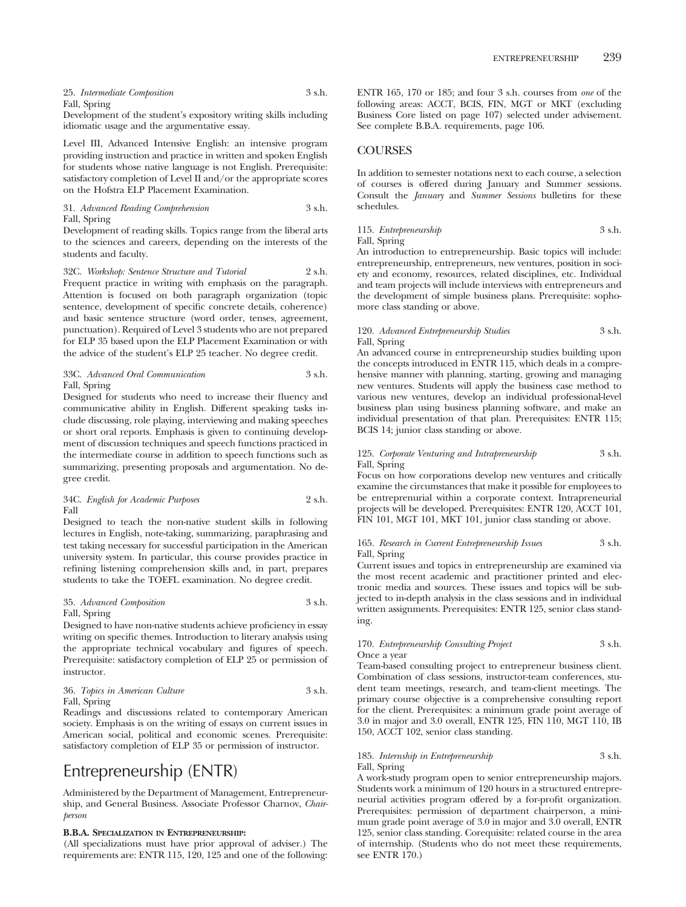25. *Intermediate Composition* 3 s.h. Fall, Spring

Development of the student's expository writing skills including idiomatic usage and the argumentative essay.

Level III, Advanced Intensive English: an intensive program providing instruction and practice in written and spoken English for students whose native language is not English. Prerequisite: satisfactory completion of Level II and/or the appropriate scores on the Hofstra ELP Placement Examination.

31. *Advanced Reading Comprehension* 3 s.h. Fall, Spring

Development of reading skills. Topics range from the liberal arts to the sciences and careers, depending on the interests of the students and faculty.

32C. *Workshop: Sentence Structure and Tutorial* 2 s.h. Frequent practice in writing with emphasis on the paragraph. Attention is focused on both paragraph organization (topic sentence, development of specific concrete details, coherence) and basic sentence structure (word order, tenses, agreement, punctuation). Required of Level 3 students who are not prepared for ELP 35 based upon the ELP Placement Examination or with the advice of the student's ELP 25 teacher. No degree credit.

### 33C. *Advanced Oral Communication* 3 s.h. Fall, Spring

Designed for students who need to increase their fluency and communicative ability in English. Different speaking tasks include discussing, role playing, interviewing and making speeches or short oral reports. Emphasis is given to continuing development of discussion techniques and speech functions practiced in the intermediate course in addition to speech functions such as summarizing, presenting proposals and argumentation. No degree credit.

### 34C. *English for Academic Purposes* 2 s.h. Fall

Designed to teach the non-native student skills in following lectures in English, note-taking, summarizing, paraphrasing and test taking necessary for successful participation in the American university system. In particular, this course provides practice in refining listening comprehension skills and, in part, prepares students to take the TOEFL examination. No degree credit.

### 35. *Advanced Composition* 3 s.h. Fall, Spring

Designed to have non-native students achieve proficiency in essay writing on specific themes. Introduction to literary analysis using the appropriate technical vocabulary and figures of speech. Prerequisite: satisfactory completion of ELP 25 or permission of instructor.

### 36. *Topics in American Culture* 3 s.h. Fall, Spring

Readings and discussions related to contemporary American society. Emphasis is on the writing of essays on current issues in American social, political and economic scenes. Prerequisite: satisfactory completion of ELP 35 or permission of instructor.

# Entrepreneurship (ENTR)

Administered by the Department of Management, Entrepreneurship, and General Business. Associate Professor Charnov, *Chairperson*

### **B.B.A. SPECIALIZATION IN ENTREPRENEURSHIP:**

(All specializations must have prior approval of adviser.) The requirements are: ENTR 115, 120, 125 and one of the following:

ENTR 165, 170 or 185; and four 3 s.h. courses from *one* of the following areas: ACCT, BCIS, FIN, MGT or MKT (excluding Business Core listed on page 107) selected under advisement. See complete B.B.A. requirements, page 106.

# **COURSES**

In addition to semester notations next to each course, a selection of courses is offered during January and Summer sessions. Consult the *January* and *Summer Sessions* bulletins for these schedules.

### 115. *Entrepreneurship* 3 s.h. Fall, Spring

An introduction to entrepreneurship. Basic topics will include: entrepreneurship, entrepreneurs, new ventures, position in society and economy, resources, related disciplines, etc. Individual and team projects will include interviews with entrepreneurs and the development of simple business plans. Prerequisite: sophomore class standing or above.

### 120. *Advanced Entrepreneurship Studies* 3 s.h. Fall, Spring

An advanced course in entrepreneurship studies building upon the concepts introduced in ENTR 115, which deals in a comprehensive manner with planning, starting, growing and managing new ventures. Students will apply the business case method to various new ventures, develop an individual professional-level business plan using business planning software, and make an individual presentation of that plan. Prerequisites: ENTR 115; BCIS 14; junior class standing or above.

### 125. *Corporate Venturing and Intrapreneurship* 3 s.h. Fall, Spring

Focus on how corporations develop new ventures and critically examine the circumstances that make it possible for employees to be entreprenurial within a corporate context. Intrapreneurial projects will be developed. Prerequisites: ENTR 120, ACCT 101, FIN 101, MGT 101, MKT 101, junior class standing or above.

### 165. *Research in Current Entrepreneurship Issues* 3 s.h. Fall, Spring

Current issues and topics in entrepreneurship are examined via the most recent academic and practitioner printed and electronic media and sources. These issues and topics will be subjected to in-depth analysis in the class sessions and in individual written assignments. Prerequisites: ENTR 125, senior class standing.

### 170. *Entrepreneurship Consulting Project* 3 s.h. Once a year

Team-based consulting project to entrepreneur business client. Combination of class sessions, instructor-team conferences, student team meetings, research, and team-client meetings. The primary course objective is a comprehensive consulting report for the client. Prerequisites: a minimum grade point average of 3.0 in major and 3.0 overall, ENTR 125, FIN 110, MGT 110, IB 150, ACCT 102, senior class standing.

### 185. *Internship in Entrepreneurship* 3 s.h. Fall, Spring

A work-study program open to senior entrepreneurship majors. Students work a minimum of 120 hours in a structured entrepreneurial activities program offered by a for-profit organization. Prerequisites: permission of department chairperson, a minimum grade point average of 3.0 in major and 3.0 overall, ENTR 125, senior class standing. Corequisite: related course in the area of internship. (Students who do not meet these requirements, see ENTR 170.)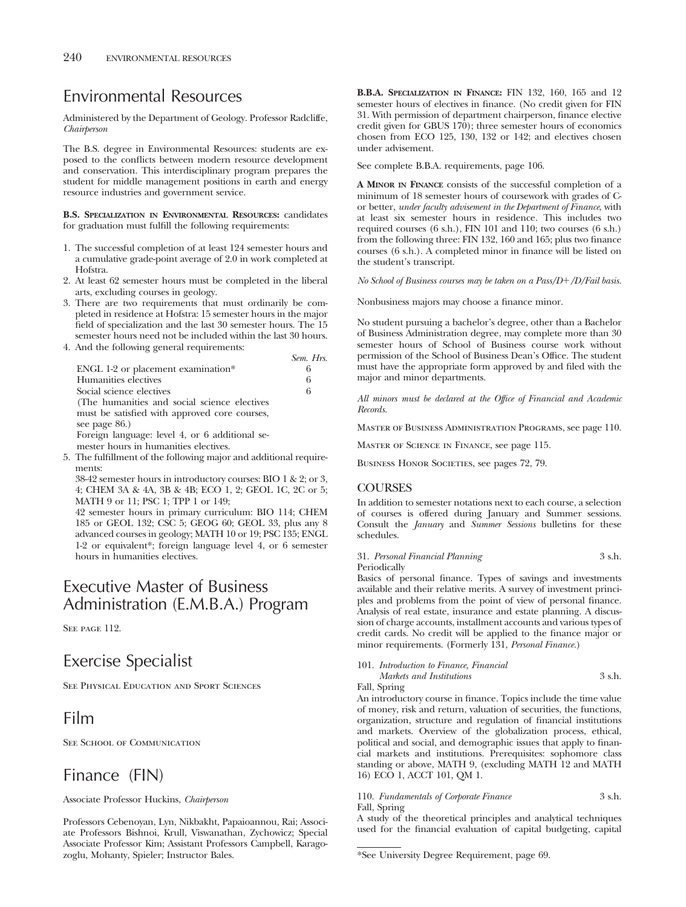# Environmental Resources

Administered by the Department of Geology. Professor Radcliffe, *Chairperson*

The B.S. degree in Environmental Resources: students are exposed to the conflicts between modern resource development and conservation. This interdisciplinary program prepares the student for middle management positions in earth and energy resource industries and government service.

**B.S. SPECIALIZATION IN ENVIRONMENTAL RESOURCES:** candidates for graduation must fulfill the following requirements:

- 1. The successful completion of at least 124 semester hours and a cumulative grade-point average of 2.0 in work completed at Hofstra.
- 2. At least 62 semester hours must be completed in the liberal arts, excluding courses in geology.
- 3. There are two requirements that must ordinarily be completed in residence at Hofstra: 15 semester hours in the major field of specialization and the last 30 semester hours. The 15 semester hours need not be included within the last 30 hours.
- 4. And the following general requirements:

|                                                | Sem. Hrs. |
|------------------------------------------------|-----------|
| ENGL 1-2 or placement examination*             | 6         |
| Humanities electives                           | 6         |
| Social science electives                       | 6         |
| (The humanities and social science electives)  |           |
| must be satisfied with approved core courses,  |           |
| see page 86.)                                  |           |
| Foreign language: level 4, or 6 additional se- |           |
| mester hours in humanities electives.          |           |

5. The fulfillment of the following major and additional requirements:

38-42 semester hours in introductory courses: BIO 1 & 2; or 3, 4; CHEM 3A & 4A, 3B & 4B; ECO 1, 2; GEOL 1C, 2C or 5; MATH 9 or 11; PSC 1; TPP 1 or 149;

42 semester hours in primary curriculum: BIO 114; CHEM 185 or GEOL 132; CSC 5; GEOG 60; GEOL 33, plus any 8 advanced courses in geology; MATH 10 or 19; PSC 135; ENGL 1-2 or equivalent\*; foreign language level 4, or 6 semester hours in humanities electives.

# Executive Master of Business Administration (E.M.B.A.) Program

SEE PAGE 112.

# Exercise Specialist

See Physical Education and Sport Sciences

# Film

SEE SCHOOL OF COMMUNICATION

# Finance (FIN)

Associate Professor Huckins, *Chairperson*

Professors Cebenoyan, Lyn, Nikbakht, Papaioannou, Rai; Associate Professors Bishnoi, Krull, Viswanathan, Zychowicz; Special Associate Professor Kim; Assistant Professors Campbell, Karagozoglu, Mohanty, Spieler; Instructor Bales.

**B.B.A. SPECIALIZATION IN FINANCE:** FIN 132, 160, 165 and 12 semester hours of electives in finance. (No credit given for FIN 31. With permission of department chairperson, finance elective credit given for GBUS 170); three semester hours of economics chosen from ECO 125, 130, 132 or 142; and electives chosen under advisement.

See complete B.B.A. requirements, page 106.

**A MINOR IN FINANCE** consists of the successful completion of a minimum of 18 semester hours of coursework with grades of Cor better, *under faculty advisement in the Department of Finance*, with at least six semester hours in residence. This includes two required courses (6 s.h.), FIN 101 and 110; two courses (6 s.h.) from the following three: FIN 132, 160 and 165; plus two finance courses (6 s.h.). A completed minor in finance will be listed on the student's transcript.

*No School of Business courses may be taken on a Pass/D/D/Fail basis.*

Nonbusiness majors may choose a finance minor.

No student pursuing a bachelor's degree, other than a Bachelor of Business Administration degree, may complete more than 30 semester hours of School of Business course work without permission of the School of Business Dean's Office. The student must have the appropriate form approved by and filed with the major and minor departments.

*All minors must be declared at the Office of Financial and Academic Records.*

Master of Business Administration Programs, see page 110.

Master of Science in Finance, see page 115.

BUSINESS HONOR SOCIETIES, see pages 72, 79.

# **COURSES**

In addition to semester notations next to each course, a selection of courses is offered during January and Summer sessions. Consult the *January* and *Summer Sessions* bulletins for these schedules.

31. *Personal Financial Planning* 3 s.h. Periodically

Basics of personal finance. Types of savings and investments available and their relative merits. A survey of investment principles and problems from the point of view of personal finance. Analysis of real estate, insurance and estate planning. A discussion of charge accounts, installment accounts and various types of credit cards. No credit will be applied to the finance major or minor requirements. (Formerly 131, *Personal Finance.*)

|       | 101. Introduction to Finance, Financial |        |
|-------|-----------------------------------------|--------|
|       | Markets and Institutions                | 3 s.h. |
| - - - |                                         |        |

Fall, Spring

An introductory course in finance. Topics include the time value of money, risk and return, valuation of securities, the functions, organization, structure and regulation of financial institutions and markets. Overview of the globalization process, ethical, political and social, and demographic issues that apply to financial markets and institutions. Prerequisites: sophomore class standing or above, MATH 9, (excluding MATH 12 and MATH 16) ECO 1, ACCT 101, QM 1.

110. *Fundamentals of Corporate Finance* 3 s.h. Fall, Spring

A study of the theoretical principles and analytical techniques used for the financial evaluation of capital budgeting, capital

<sup>\*</sup>See University Degree Requirement, page 69.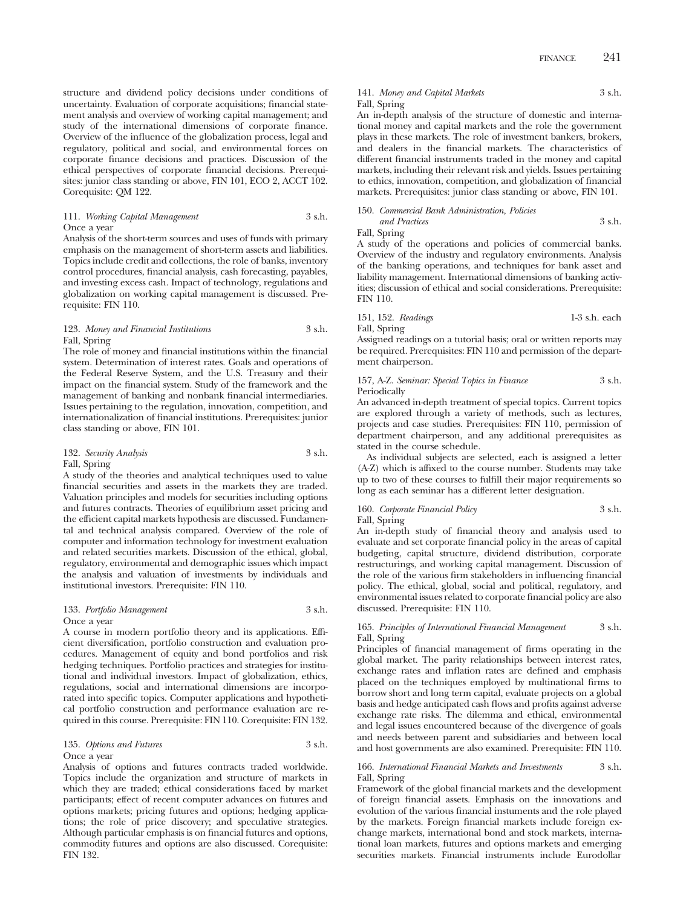structure and dividend policy decisions under conditions of uncertainty. Evaluation of corporate acquisitions; financial statement analysis and overview of working capital management; and study of the international dimensions of corporate finance. Overview of the influence of the globalization process, legal and regulatory, political and social, and environmental forces on corporate finance decisions and practices. Discussion of the ethical perspectives of corporate financial decisions. Prerequisites: junior class standing or above, FIN 101, ECO 2, ACCT 102. Corequisite: QM 122.

111. *Working Capital Management* 3 s.h. Once a year

Analysis of the short-term sources and uses of funds with primary emphasis on the management of short-term assets and liabilities. Topics include credit and collections, the role of banks, inventory control procedures, financial analysis, cash forecasting, payables, and investing excess cash. Impact of technology, regulations and globalization on working capital management is discussed. Prerequisite: FIN 110.

### 123. *Money and Financial Institutions* 3 s.h. Fall, Spring

The role of money and financial institutions within the financial system. Determination of interest rates. Goals and operations of the Federal Reserve System, and the U.S. Treasury and their impact on the financial system. Study of the framework and the management of banking and nonbank financial intermediaries. Issues pertaining to the regulation, innovation, competition, and internationalization of financial institutions. Prerequisites: junior class standing or above, FIN 101.

### 132. *Security Analysis* 3 s.h. Fall, Spring

A study of the theories and analytical techniques used to value financial securities and assets in the markets they are traded. Valuation principles and models for securities including options and futures contracts. Theories of equilibrium asset pricing and the efficient capital markets hypothesis are discussed. Fundamental and technical analysis compared. Overview of the role of computer and information technology for investment evaluation and related securities markets. Discussion of the ethical, global, regulatory, environmental and demographic issues which impact the analysis and valuation of investments by individuals and institutional investors. Prerequisite: FIN 110.

### 133. *Portfolio Management* 3 s.h. Once a year

A course in modern portfolio theory and its applications. Efficient diversification, portfolio construction and evaluation procedures. Management of equity and bond portfolios and risk hedging techniques. Portfolio practices and strategies for institutional and individual investors. Impact of globalization, ethics, regulations, social and international dimensions are incorporated into specific topics. Computer applications and hypothetical portfolio construction and performance evaluation are required in this course. Prerequisite: FIN 110. Corequisite: FIN 132.

# 135. *Options and Futures* 3 s.h.

# Once a year

Analysis of options and futures contracts traded worldwide. Topics include the organization and structure of markets in which they are traded; ethical considerations faced by market participants; effect of recent computer advances on futures and options markets; pricing futures and options; hedging applications; the role of price discovery; and speculative strategies. Although particular emphasis is on financial futures and options, commodity futures and options are also discussed. Corequisite: FIN 132.

# 141. *Money and Capital Markets* 3 s.h. Fall, Spring

An in-depth analysis of the structure of domestic and international money and capital markets and the role the government plays in these markets. The role of investment bankers, brokers, and dealers in the financial markets. The characteristics of different financial instruments traded in the money and capital markets, including their relevant risk and yields. Issues pertaining to ethics, innovation, competition, and globalization of financial markets. Prerequisites: junior class standing or above, FIN 101.

150. *Commercial Bank Administration, Policies and Practices* 3 s.h. Fall, Spring

A study of the operations and policies of commercial banks. Overview of the industry and regulatory environments. Analysis of the banking operations, and techniques for bank asset and liability management. International dimensions of banking activities; discussion of ethical and social considerations. Prerequisite: FIN 110.

151, 152. *Readings* 1-3 s.h. each Fall, Spring

Assigned readings on a tutorial basis; oral or written reports may be required. Prerequisites: FIN 110 and permission of the department chairperson.

### 157, A-Z. *Seminar: Special Topics in Finance* 3 s.h. Periodically

An advanced in-depth treatment of special topics. Current topics are explored through a variety of methods, such as lectures, projects and case studies. Prerequisites: FIN 110, permission of department chairperson, and any additional prerequisites as stated in the course schedule.

As individual subjects are selected, each is assigned a letter (A-Z) which is affixed to the course number. Students may take up to two of these courses to fulfill their major requirements so long as each seminar has a different letter designation.

160. *Corporate Financial Policy* 3 s.h. Fall, Spring

An in-depth study of financial theory and analysis used to evaluate and set corporate financial policy in the areas of capital budgeting, capital structure, dividend distribution, corporate restructurings, and working capital management. Discussion of the role of the various firm stakeholders in influencing financial policy. The ethical, global, social and political, regulatory, and environmental issues related to corporate financial policy are also discussed. Prerequisite: FIN 110.

### 165. *Principles of International Financial Management* 3 s.h. Fall, Spring

Principles of financial management of firms operating in the global market. The parity relationships between interest rates, exchange rates and inflation rates are defined and emphasis placed on the techniques employed by multinational firms to borrow short and long term capital, evaluate projects on a global basis and hedge anticipated cash flows and profits against adverse exchange rate risks. The dilemma and ethical, environmental and legal issues encountered because of the divergence of goals and needs between parent and subsidiaries and between local and host governments are also examined. Prerequisite: FIN 110.

### 166. *International Financial Markets and Investments* 3 s.h. Fall, Spring

Framework of the global financial markets and the development of foreign financial assets. Emphasis on the innovations and evolution of the various financial instuments and the role played by the markets. Foreign financial markets include foreign exchange markets, international bond and stock markets, international loan markets, futures and options markets and emerging securities markets. Financial instruments include Eurodollar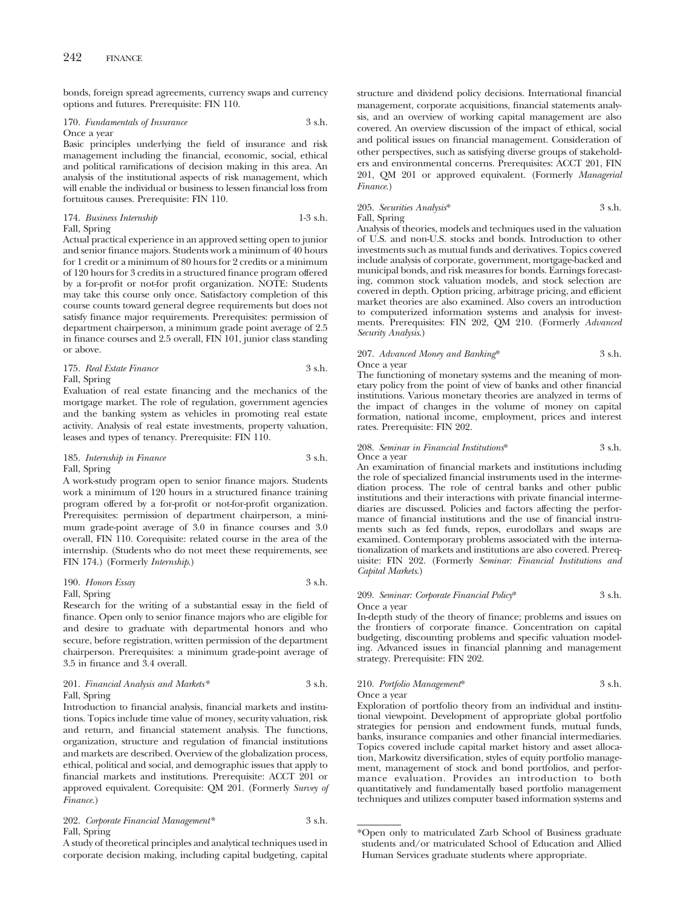bonds, foreign spread agreements, currency swaps and currency options and futures. Prerequisite: FIN 110.

### 170. *Fundamentals of Insurance* 3 s.h. Once a year

Basic principles underlying the field of insurance and risk management including the financial, economic, social, ethical and political ramifications of decision making in this area. An analysis of the institutional aspects of risk management, which will enable the individual or business to lessen financial loss from fortuitous causes. Prerequisite: FIN 110.

174. *Business Internship* 1-3 s.h.

Fall, Spring

Actual practical experience in an approved setting open to junior and senior finance majors. Students work a minimum of 40 hours for 1 credit or a minimum of 80 hours for 2 credits or a minimum of 120 hours for 3 credits in a structured finance program offered by a for-profit or not-for profit organization. NOTE: Students may take this course only once. Satisfactory completion of this course counts toward general degree requirements but does not satisfy finance major requirements. Prerequisites: permission of department chairperson, a minimum grade point average of 2.5 in finance courses and 2.5 overall, FIN 101, junior class standing or above.

### 175. *Real Estate Finance* 3 s.h. Fall, Spring

Evaluation of real estate financing and the mechanics of the mortgage market. The role of regulation, government agencies and the banking system as vehicles in promoting real estate activity. Analysis of real estate investments, property valuation, leases and types of tenancy. Prerequisite: FIN 110.

### 185. *Internship in Finance* 3 s.h. Fall, Spring

A work-study program open to senior finance majors. Students work a minimum of 120 hours in a structured finance training program offered by a for-profit or not-for-profit organization. Prerequisites: permission of department chairperson, a minimum grade-point average of 3.0 in finance courses and 3.0 overall, FIN 110. Corequisite: related course in the area of the internship. (Students who do not meet these requirements, see FIN 174.) (Formerly *Internship*.)

### 190. *Honors Essay* 3 s.h. Fall, Spring

Research for the writing of a substantial essay in the field of finance. Open only to senior finance majors who are eligible for and desire to graduate with departmental honors and who secure, before registration, written permission of the department chairperson. Prerequisites: a minimum grade-point average of 3.5 in finance and 3.4 overall.

### 201. *Financial Analysis and Markets\** 3 s.h. Fall, Spring

Introduction to financial analysis, financial markets and institutions. Topics include time value of money, security valuation, risk and return, and financial statement analysis. The functions, organization, structure and regulation of financial institutions and markets are described. Overview of the globalization process, ethical, political and social, and demographic issues that apply to financial markets and institutions. Prerequisite: ACCT 201 or approved equivalent. Corequisite: QM 201. (Formerly *Survey of Finance.*)

202. *Corporate Financial Management\** 3 s.h. Fall, Spring

A study of theoretical principles and analytical techniques used in corporate decision making, including capital budgeting, capital structure and dividend policy decisions. International financial management, corporate acquisitions, financial statements analysis, and an overview of working capital management are also covered. An overview discussion of the impact of ethical, social and political issues on financial management. Consideration of other perspectives, such as satisfying diverse groups of stakeholders and environmental concerns. Prerequisites: ACCT 201, FIN 201, QM 201 or approved equivalent. (Formerly *Managerial Finance.*)

# 205. *Securities Analysis*\* 3 s.h. Fall, Spring

Analysis of theories, models and techniques used in the valuation of U.S. and non-U.S. stocks and bonds. Introduction to other investments such as mutual funds and derivatives. Topics covered include analysis of corporate, government, mortgage-backed and municipal bonds, and risk measures for bonds. Earnings forecasting, common stock valuation models, and stock selection are covered in depth. Option pricing, arbitrage pricing, and efficient market theories are also examined. Also covers an introduction to computerized information systems and analysis for investments. Prerequisites: FIN 202, QM 210. (Formerly *Advanced Security Analysis*.)

## 207. *Advanced Money and Banking*\* 3 s.h. Once a year

The functioning of monetary systems and the meaning of monetary policy from the point of view of banks and other financial institutions. Various monetary theories are analyzed in terms of the impact of changes in the volume of money on capital formation, national income, employment, prices and interest rates. Prerequisite: FIN 202.

### 208. *Seminar in Financial Institutions*\* 3 s.h. Once a year

An examination of financial markets and institutions including the role of specialized financial instruments used in the intermediation process. The role of central banks and other public institutions and their interactions with private financial intermediaries are discussed. Policies and factors affecting the performance of financial institutions and the use of financial instruments such as fed funds, repos, eurodollars and swaps are examined. Contemporary problems associated with the internationalization of markets and institutions are also covered. Prerequisite: FIN 202. (Formerly *Seminar: Financial Institutions and Capital Markets*.)

### 209. *Seminar: Corporate Financial Policy*\* 3 s.h. Once a year

In-depth study of the theory of finance; problems and issues on the frontiers of corporate finance. Concentration on capital budgeting, discounting problems and specific valuation modeling. Advanced issues in financial planning and management strategy. Prerequisite: FIN 202.

# 210. *Portfolio Management*\* 3 s.h. Once a year

Exploration of portfolio theory from an individual and institutional viewpoint. Development of appropriate global portfolio strategies for pension and endowment funds, mutual funds, banks, insurance companies and other financial intermediaries. Topics covered include capital market history and asset allocation, Markowitz diversification, styles of equity portfolio management, management of stock and bond portfolios, and performance evaluation. Provides an introduction to both quantitatively and fundamentally based portfolio management techniques and utilizes computer based information systems and

<sup>\*</sup>Open only to matriculated Zarb School of Business graduate students and/or matriculated School of Education and Allied Human Services graduate students where appropriate.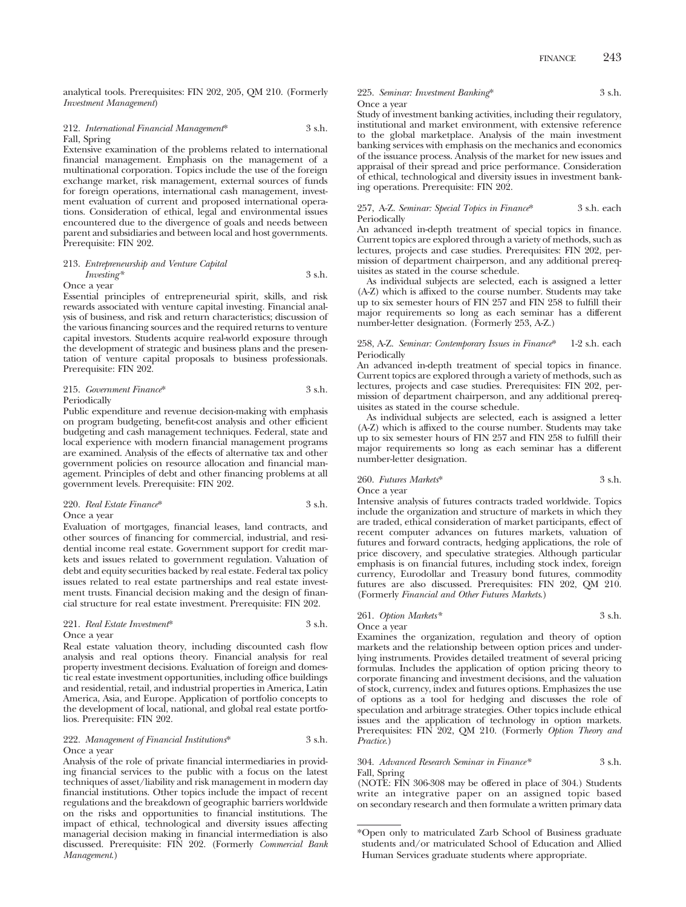analytical tools. Prerequisites: FIN 202, 205, QM 210. (Formerly *Investment Management*)

### 212. *International Financial Management*\* 3 s.h. Fall, Spring

Extensive examination of the problems related to international financial management. Emphasis on the management of a multinational corporation. Topics include the use of the foreign exchange market, risk management, external sources of funds for foreign operations, international cash management, investment evaluation of current and proposed international operations. Consideration of ethical, legal and environmental issues encountered due to the divergence of goals and needs between parent and subsidiaries and between local and host governments. Prerequisite: FIN 202.

### 213. *Entrepreneurship and Venture Capital Investing\** 3 s.h.

### Once a year

Essential principles of entrepreneurial spirit, skills, and risk rewards associated with venture capital investing. Financial analysis of business, and risk and return characteristics; discussion of the various financing sources and the required returns to venture capital investors. Students acquire real-world exposure through the development of strategic and business plans and the presentation of venture capital proposals to business professionals. Prerequisite: FIN 202.

### 215. *Government Finance*\* 3 s.h. Periodically

Public expenditure and revenue decision-making with emphasis on program budgeting, benefit-cost analysis and other efficient budgeting and cash management techniques. Federal, state and local experience with modern financial management programs are examined. Analysis of the effects of alternative tax and other government policies on resource allocation and financial management. Principles of debt and other financing problems at all government levels. Prerequisite: FIN 202.

### 220. *Real Estate Finance*\* 3 s.h. Once a year

Evaluation of mortgages, financial leases, land contracts, and other sources of financing for commercial, industrial, and residential income real estate. Government support for credit markets and issues related to government regulation. Valuation of debt and equity securities backed by real estate. Federal tax policy issues related to real estate partnerships and real estate investment trusts. Financial decision making and the design of financial structure for real estate investment. Prerequisite: FIN 202.

### 221. *Real Estate Investment*\* 3 s.h. Once a year

Real estate valuation theory, including discounted cash flow analysis and real options theory. Financial analysis for real property investment decisions. Evaluation of foreign and domestic real estate investment opportunities, including office buildings and residential, retail, and industrial properties in America, Latin America, Asia, and Europe. Application of portfolio concepts to the development of local, national, and global real estate portfolios. Prerequisite: FIN 202.

### 222. *Management of Financial Institutions*\* 3 s.h. Once a year

Analysis of the role of private financial intermediaries in providing financial services to the public with a focus on the latest techniques of asset/liability and risk management in modern day financial institutions. Other topics include the impact of recent regulations and the breakdown of geographic barriers worldwide on the risks and opportunities to financial institutions. The impact of ethical, technological and diversity issues affecting managerial decision making in financial intermediation is also discussed. Prerequisite: FIN 202. (Formerly *Commercial Bank Management*.)

225. *Seminar: Investment Banking*\* 3 s.h. Once a year

Study of investment banking activities, including their regulatory, institutional and market environment, with extensive reference to the global marketplace. Analysis of the main investment banking services with emphasis on the mechanics and economics of the issuance process. Analysis of the market for new issues and appraisal of their spread and price performance. Consideration of ethical, technological and diversity issues in investment banking operations. Prerequisite: FIN 202.

257, A-Z. *Seminar: Special Topics in Finance*\* 3 s.h. each Periodically

An advanced in-depth treatment of special topics in finance. Current topics are explored through a variety of methods, such as lectures, projects and case studies. Prerequisites: FIN 202, permission of department chairperson, and any additional prerequisites as stated in the course schedule.

As individual subjects are selected, each is assigned a letter (A-Z) which is affixed to the course number. Students may take up to six semester hours of FIN 257 and FIN 258 to fulfill their major requirements so long as each seminar has a different number-letter designation. (Formerly 253, A-Z.)

### 258, A-Z. *Seminar: Contemporary Issues in Finance*\* 1-2 s.h. each Periodically

An advanced in-depth treatment of special topics in finance. Current topics are explored through a variety of methods, such as lectures, projects and case studies. Prerequisites: FIN 202, permission of department chairperson, and any additional prerequisites as stated in the course schedule.

As individual subjects are selected, each is assigned a letter (A-Z) which is affixed to the course number. Students may take up to six semester hours of FIN 257 and FIN 258 to fulfill their major requirements so long as each seminar has a different number-letter designation.

# 260. *Futures Markets*\* 3 s.h. Once a year

Intensive analysis of futures contracts traded worldwide. Topics include the organization and structure of markets in which they are traded, ethical consideration of market participants, effect of recent computer advances on futures markets, valuation of futures and forward contracts, hedging applications, the role of price discovery, and speculative strategies. Although particular emphasis is on financial futures, including stock index, foreign currency, Eurodollar and Treasury bond futures, commodity futures are also discussed. Prerequisites: FIN 202, QM 210. (Formerly *Financial and Other Futures Markets*.)

### 261. *Option Markets\** 3 s.h. Once a year

Examines the organization, regulation and theory of option markets and the relationship between option prices and underlying instruments. Provides detailed treatment of several pricing formulas. Includes the application of option pricing theory to corporate financing and investment decisions, and the valuation of stock, currency, index and futures options. Emphasizes the use of options as a tool for hedging and discusses the role of speculation and arbitrage strategies. Other topics include ethical issues and the application of technology in option markets. Prerequisites: FIN 202, QM 210. (Formerly *Option Theory and Practice*.)

### 304. *Advanced Research Seminar in Finance\** 3 s.h. Fall, Spring

(NOTE: FIN 306-308 may be offered in place of 304.) Students write an integrative paper on an assigned topic based on secondary research and then formulate a written primary data

<sup>\*</sup>Open only to matriculated Zarb School of Business graduate students and/or matriculated School of Education and Allied Human Services graduate students where appropriate.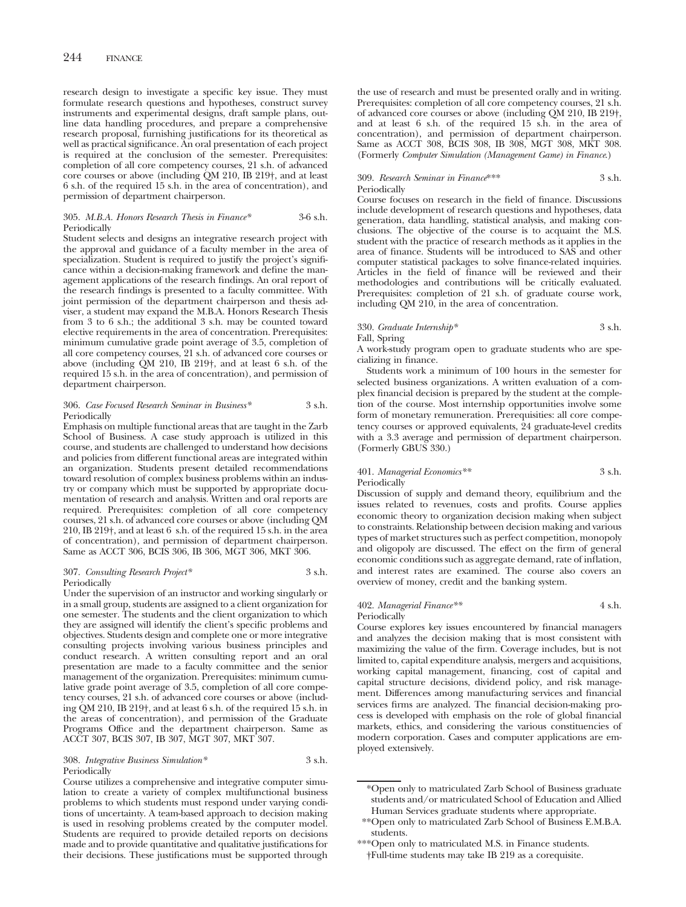research design to investigate a specific key issue. They must formulate research questions and hypotheses, construct survey instruments and experimental designs, draft sample plans, outline data handling procedures, and prepare a comprehensive research proposal, furnishing justifications for its theoretical as well as practical significance. An oral presentation of each project is required at the conclusion of the semester. Prerequisites: completion of all core competency courses, 21 s.h. of advanced core courses or above (including QM 210, IB 219†, and at least 6 s.h. of the required 15 s.h. in the area of concentration), and permission of department chairperson.

### 305. *M.B.A. Honors Research Thesis in Finance\** 3-6 s.h. Periodically

Student selects and designs an integrative research project with the approval and guidance of a faculty member in the area of specialization. Student is required to justify the project's significance within a decision-making framework and define the management applications of the research findings. An oral report of the research findings is presented to a faculty committee. With joint permission of the department chairperson and thesis adviser, a student may expand the M.B.A. Honors Research Thesis from 3 to 6 s.h.; the additional 3 s.h. may be counted toward elective requirements in the area of concentration. Prerequisites: minimum cumulative grade point average of 3.5, completion of all core competency courses, 21 s.h. of advanced core courses or above (including QM 210, IB 219†, and at least 6 s.h. of the required 15 s.h. in the area of concentration), and permission of department chairperson.

### 306. *Case Focused Research Seminar in Business\** 3 s.h. **Periodically**

Emphasis on multiple functional areas that are taught in the Zarb School of Business. A case study approach is utilized in this course, and students are challenged to understand how decisions and policies from different functional areas are integrated within an organization. Students present detailed recommendations toward resolution of complex business problems within an industry or company which must be supported by appropriate documentation of research and analysis. Written and oral reports are required. Prerequisites: completion of all core competency courses, 21 s.h. of advanced core courses or above (including QM 210, IB 219†, and at least 6 s.h. of the required 15 s.h. in the area of concentration), and permission of department chairperson. Same as ACCT 306, BCIS 306, IB 306, MGT 306, MKT 306.

### 307. *Consulting Research Project\** 3 s.h. Periodically

Under the supervision of an instructor and working singularly or in a small group, students are assigned to a client organization for one semester. The students and the client organization to which they are assigned will identify the client's specific problems and objectives. Students design and complete one or more integrative consulting projects involving various business principles and conduct research. A written consulting report and an oral presentation are made to a faculty committee and the senior management of the organization. Prerequisites: minimum cumulative grade point average of 3.5, completion of all core competency courses, 21 s.h. of advanced core courses or above (including QM 210, IB 219†, and at least 6 s.h. of the required 15 s.h. in the areas of concentration), and permission of the Graduate Programs Office and the department chairperson. Same as ACCT 307, BCIS 307, IB 307, MGT 307, MKT 307.

308. *Integrative Business Simulation\** 3 s.h. **Periodically** 

Course utilizes a comprehensive and integrative computer simulation to create a variety of complex multifunctional business problems to which students must respond under varying conditions of uncertainty. A team-based approach to decision making is used in resolving problems created by the computer model. Students are required to provide detailed reports on decisions made and to provide quantitative and qualitative justifications for their decisions. These justifications must be supported through

the use of research and must be presented orally and in writing. Prerequisites: completion of all core competency courses, 21 s.h. of advanced core courses or above (including QM 210, IB 219†, and at least 6 s.h. of the required 15 s.h. in the area of concentration), and permission of department chairperson. Same as ACCT 308, BCIS 308, IB 308, MGT 308, MKT 308. (Formerly *Computer Simulation (Management Game) in Finance*.)

### 309. *Research Seminar in Finance*\*\*\* 3 s.h. Periodically

Course focuses on research in the field of finance. Discussions include development of research questions and hypotheses, data generation, data handling, statistical analysis, and making conclusions. The objective of the course is to acquaint the M.S. student with the practice of research methods as it applies in the area of finance. Students will be introduced to SAS and other computer statistical packages to solve finance-related inquiries. Articles in the field of finance will be reviewed and their methodologies and contributions will be critically evaluated. Prerequisites: completion of 21 s.h. of graduate course work, including QM 210, in the area of concentration.

### 330. *Graduate Internship\** 3 s.h. Fall, Spring

A work-study program open to graduate students who are specializing in finance.

Students work a minimum of 100 hours in the semester for selected business organizations. A written evaluation of a complex financial decision is prepared by the student at the completion of the course. Most internship opportunities involve some form of monetary remuneration. Prerequisities: all core competency courses or approved equivalents, 24 graduate-level credits with a 3.3 average and permission of department chairperson. (Formerly GBUS 330.)

## 401. *Managerial Economics\*\** 3 s.h. Periodically

Discussion of supply and demand theory, equilibrium and the issues related to revenues, costs and profits. Course applies economic theory to organization decision making when subject to constraints. Relationship between decision making and various types of market structures such as perfect competition, monopoly and oligopoly are discussed. The effect on the firm of general economic conditions such as aggregate demand, rate of inflation, and interest rates are examined. The course also covers an overview of money, credit and the banking system.

### 402. *Managerial Finance\*\** 4 s.h. Periodically

Course explores key issues encountered by financial managers and analyzes the decision making that is most consistent with maximizing the value of the firm. Coverage includes, but is not limited to, capital expenditure analysis, mergers and acquisitions, working capital management, financing, cost of capital and capital structure decisions, dividend policy, and risk management. Differences among manufacturing services and financial services firms are analyzed. The financial decision-making process is developed with emphasis on the role of global financial markets, ethics, and considering the various constituencies of modern corporation. Cases and computer applications are employed extensively.

\*\*\*Open only to matriculated M.S. in Finance students. †Full-time students may take IB 219 as a corequisite.

<sup>\*</sup>Open only to matriculated Zarb School of Business graduate students and/or matriculated School of Education and Allied Human Services graduate students where appropriate.

<sup>\*\*</sup>Open only to matriculated Zarb School of Business E.M.B.A. students.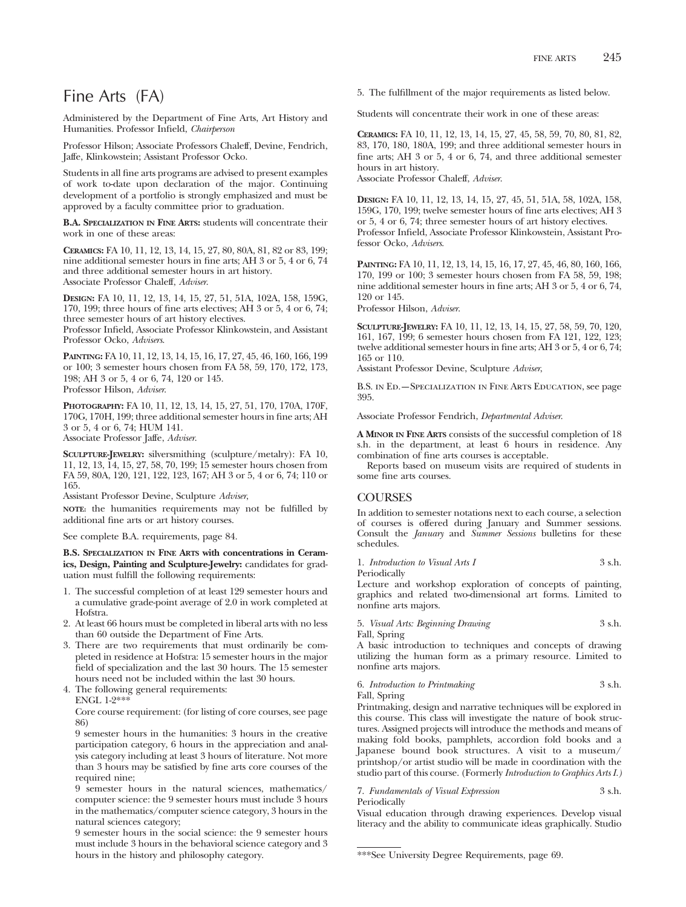# Fine Arts (FA)

Administered by the Department of Fine Arts, Art History and Humanities. Professor Infield, *Chairperson*

Professor Hilson; Associate Professors Chaleff, Devine, Fendrich, Jaffe, Klinkowstein; Assistant Professor Ocko.

Students in all fine arts programs are advised to present examples of work to-date upon declaration of the major. Continuing development of a portfolio is strongly emphasized and must be approved by a faculty committee prior to graduation.

**B.A. SPECIALIZATION IN FINE ARTS:** students will concentrate their work in one of these areas:

**CERAMICS:** FA 10, 11, 12, 13, 14, 15, 27, 80, 80A, 81, 82 or 83, 199; nine additional semester hours in fine arts; AH 3 or 5, 4 or 6, 74 and three additional semester hours in art history. Associate Professor Chaleff, *Adviser*.

**DESIGN:** FA 10, 11, 12, 13, 14, 15, 27, 51, 51A, 102A, 158, 159G, 170, 199; three hours of fine arts electives; AH 3 or 5, 4 or 6, 74; three semester hours of art history electives.

Professor Infield, Associate Professor Klinkowstein, and Assistant Professor Ocko, *Advisers*.

**PAINTING:** FA 10, 11, 12, 13, 14, 15, 16, 17, 27, 45, 46, 160, 166, 199 or 100; 3 semester hours chosen from FA 58, 59, 170, 172, 173, 198; AH 3 or 5, 4 or 6, 74, 120 or 145. Professor Hilson, *Adviser*.

**PHOTOGRAPHY:** FA 10, 11, 12, 13, 14, 15, 27, 51, 170, 170A, 170F, 170G, 170H, 199; three additional semester hours in fine arts; AH 3 or 5, 4 or 6, 74; HUM 141. Associate Professor Jaffe, *Adviser*.

**SCULPTURE-JEWELRY:** silversmithing (sculpture/metalry): FA 10, 11, 12, 13, 14, 15, 27, 58, 70, 199; 15 semester hours chosen from FA 59, 80A, 120, 121, 122, 123, 167; AH 3 or 5, 4 or 6, 74; 110 or 165.

Assistant Professor Devine, Sculpture *Adviser*,

**NOTE:** the humanities requirements may not be fulfilled by additional fine arts or art history courses.

See complete B.A. requirements, page 84.

**B.S. SPECIALIZATION IN FINE ARTS with concentrations in Ceramics, Design, Painting and Sculpture-Jewelry:** candidates for graduation must fulfill the following requirements:

- 1. The successful completion of at least 129 semester hours and a cumulative grade-point average of 2.0 in work completed at Hofstra.
- 2. At least 66 hours must be completed in liberal arts with no less than 60 outside the Department of Fine Arts.
- 3. There are two requirements that must ordinarily be completed in residence at Hofstra: 15 semester hours in the major field of specialization and the last 30 hours. The 15 semester hours need not be included within the last 30 hours.

4. The following general requirements: ENGL 1-2\*\*\*

Core course requirement: (for listing of core courses, see page 86)

9 semester hours in the humanities: 3 hours in the creative participation category, 6 hours in the appreciation and analysis category including at least 3 hours of literature. Not more than 3 hours may be satisfied by fine arts core courses of the required nine;

9 semester hours in the natural sciences, mathematics/ computer science: the 9 semester hours must include 3 hours in the mathematics/computer science category, 3 hours in the natural sciences category;

9 semester hours in the social science: the 9 semester hours must include 3 hours in the behavioral science category and 3 hours in the history and philosophy category.

5. The fulfillment of the major requirements as listed below.

Students will concentrate their work in one of these areas:

**CERAMICS:** FA 10, 11, 12, 13, 14, 15, 27, 45, 58, 59, 70, 80, 81, 82, 83, 170, 180, 180A, 199; and three additional semester hours in fine arts; AH 3 or 5, 4 or 6, 74, and three additional semester hours in art history.

Associate Professor Chaleff, *Adviser*.

**DESIGN:** FA 10, 11, 12, 13, 14, 15, 27, 45, 51, 51A, 58, 102A, 158, 159G, 170, 199; twelve semester hours of fine arts electives; AH 3 or 5, 4 or 6, 74; three semester hours of art history electives. Professor Infield, Associate Professor Klinkowstein, Assistant Professor Ocko, *Advisers*.

**PAINTING:** FA 10, 11, 12, 13, 14, 15, 16, 17, 27, 45, 46, 80, 160, 166, 170, 199 or 100; 3 semester hours chosen from FA 58, 59, 198; nine additional semester hours in fine arts; AH 3 or 5, 4 or 6, 74, 120 or 145.

Professor Hilson, *Adviser*.

**SCULPTURE-JEWELRY:** FA 10, 11, 12, 13, 14, 15, 27, 58, 59, 70, 120, 161, 167, 199; 6 semester hours chosen from FA 121, 122, 123; twelve additional semester hours in fine arts; AH 3 or 5, 4 or 6, 74; 165 or 110.

Assistant Professor Devine, Sculpture *Adviser*,

B.S. in Ed.—Specialization in Fine Arts Education, see page 395.

Associate Professor Fendrich, *Departmental Adviser*.

**A MINOR IN FINE ARTS** consists of the successful completion of 18 s.h. in the department, at least 6 hours in residence. Any combination of fine arts courses is acceptable.

Reports based on museum visits are required of students in some fine arts courses.

# COURSES

In addition to semester notations next to each course, a selection of courses is offered during January and Summer sessions. Consult the *January* and *Summer Sessions* bulletins for these schedules.

## 1. *Introduction to Visual Arts I* 3 s.h.

Periodically

Lecture and workshop exploration of concepts of painting, graphics and related two-dimensional art forms. Limited to nonfine arts majors.

5. *Visual Arts: Beginning Drawing* 3 s.h. Fall, Spring

A basic introduction to techniques and concepts of drawing utilizing the human form as a primary resource. Limited to nonfine arts majors.

# 6. *Introduction to Printmaking* 3 s.h.

Fall, Spring

Printmaking, design and narrative techniques will be explored in this course. This class will investigate the nature of book structures. Assigned projects will introduce the methods and means of making fold books, pamphlets, accordion fold books and a Japanese bound book structures. A visit to a museum/ printshop/or artist studio will be made in coordination with the studio part of this course. (Formerly *Introduction to Graphics Arts I.)*

### 7. *Fundamentals of Visual Expression* 3 s.h. Periodically

Visual education through drawing experiences. Develop visual literacy and the ability to communicate ideas graphically. Studio

<sup>\*\*\*</sup>See University Degree Requirements, page 69.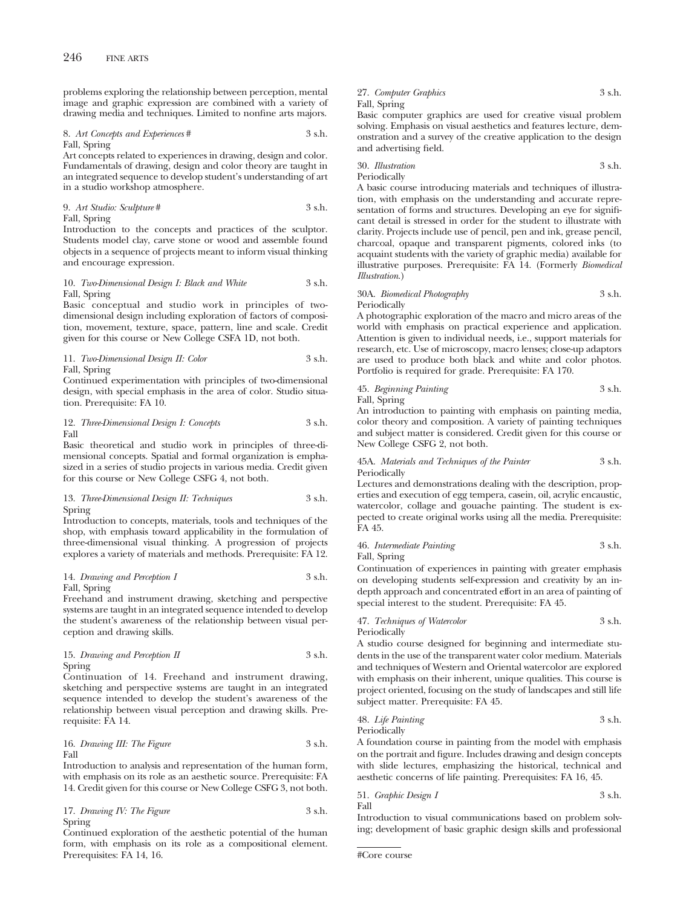problems exploring the relationship between perception, mental image and graphic expression are combined with a variety of drawing media and techniques. Limited to nonfine arts majors.

8. *Art Concepts and Experiences* # 3 s.h. Fall, Spring

Art concepts related to experiences in drawing, design and color. Fundamentals of drawing, design and color theory are taught in an integrated sequence to develop student's understanding of art in a studio workshop atmosphere.

9. *Art Studio: Sculpture* # 3 s.h. Fall, Spring

Introduction to the concepts and practices of the sculptor. Students model clay, carve stone or wood and assemble found objects in a sequence of projects meant to inform visual thinking and encourage expression.

### 10. *Two-Dimensional Design I: Black and White* 3 s.h. Fall, Spring

Basic conceptual and studio work in principles of twodimensional design including exploration of factors of composition, movement, texture, space, pattern, line and scale. Credit given for this course or New College CSFA 1D, not both.

11. *Two-Dimensional Design II: Color* 3 s.h. Fall, Spring

Continued experimentation with principles of two-dimensional design, with special emphasis in the area of color. Studio situation. Prerequisite: FA 10.

12. *Three-Dimensional Design I: Concepts* 3 s.h. Fall

Basic theoretical and studio work in principles of three-dimensional concepts. Spatial and formal organization is emphasized in a series of studio projects in various media. Credit given for this course or New College CSFG 4, not both.

### 13. *Three-Dimensional Design II: Techniques* 3 s.h. Spring

Introduction to concepts, materials, tools and techniques of the shop, with emphasis toward applicability in the formulation of three-dimensional visual thinking. A progression of projects explores a variety of materials and methods. Prerequisite: FA 12.

### 14. *Drawing and Perception I* 3 s.h. Fall, Spring

Freehand and instrument drawing, sketching and perspective systems are taught in an integrated sequence intended to develop the student's awareness of the relationship between visual perception and drawing skills.

### 15. *Drawing and Perception II* 3 s.h. Spring

Continuation of 14. Freehand and instrument drawing, sketching and perspective systems are taught in an integrated sequence intended to develop the student's awareness of the relationship between visual perception and drawing skills. Prerequisite: FA 14.

16. *Drawing III: The Figure* 3 s.h. Fall

Introduction to analysis and representation of the human form, with emphasis on its role as an aesthetic source. Prerequisite: FA 14. Credit given for this course or New College CSFG 3, not both.

17. *Drawing IV: The Figure* 3 s.h. Spring

Continued exploration of the aesthetic potential of the human form, with emphasis on its role as a compositional element. Prerequisites: FA 14, 16.

## 27. *Computer Graphics* 3 s.h. Fall, Spring Basic computer graphics are used for creative visual problem

solving. Emphasis on visual aesthetics and features lecture, demonstration and a survey of the creative application to the design and advertising field.

30. *Illustration* 3 s.h. Periodically

A basic course introducing materials and techniques of illustration, with emphasis on the understanding and accurate representation of forms and structures. Developing an eye for significant detail is stressed in order for the student to illustrate with clarity. Projects include use of pencil, pen and ink, grease pencil, charcoal, opaque and transparent pigments, colored inks (to acquaint students with the variety of graphic media) available for illustrative purposes. Prerequisite: FA 14. (Formerly *Biomedical Illustration*.)

# 30A. *Biomedical Photography* 3 s.h. Periodically

A photographic exploration of the macro and micro areas of the world with emphasis on practical experience and application. Attention is given to individual needs, i.e., support materials for research, etc. Use of microscopy, macro lenses; close-up adaptors are used to produce both black and white and color photos. Portfolio is required for grade. Prerequisite: FA 170.

45. *Beginning Painting* 3 s.h. Fall, Spring

An introduction to painting with emphasis on painting media, color theory and composition. A variety of painting techniques and subject matter is considered. Credit given for this course or New College CSFG 2, not both.

### 45A. *Materials and Techniques of the Painter* 3 s.h. Periodically

Lectures and demonstrations dealing with the description, properties and execution of egg tempera, casein, oil, acrylic encaustic, watercolor, collage and gouache painting. The student is expected to create original works using all the media. Prerequisite: FA 45.

46. *Intermediate Painting* 3 s.h. Fall, Spring

Continuation of experiences in painting with greater emphasis on developing students self-expression and creativity by an indepth approach and concentrated effort in an area of painting of special interest to the student. Prerequisite: FA 45.

47. *Techniques of Watercolor* 3 s.h. Periodically

A studio course designed for beginning and intermediate students in the use of the transparent water color medium. Materials and techniques of Western and Oriental watercolor are explored with emphasis on their inherent, unique qualities. This course is project oriented, focusing on the study of landscapes and still life subject matter. Prerequisite: FA 45.

48. *Life Painting* 3 s.h. Periodically

A foundation course in painting from the model with emphasis on the portrait and figure. Includes drawing and design concepts with slide lectures, emphasizing the historical, technical and aesthetic concerns of life painting. Prerequisites: FA 16, 45.

51. *Graphic Design I* 3 s.h. Fall

Introduction to visual communications based on problem solving; development of basic graphic design skills and professional

```
#Core course
```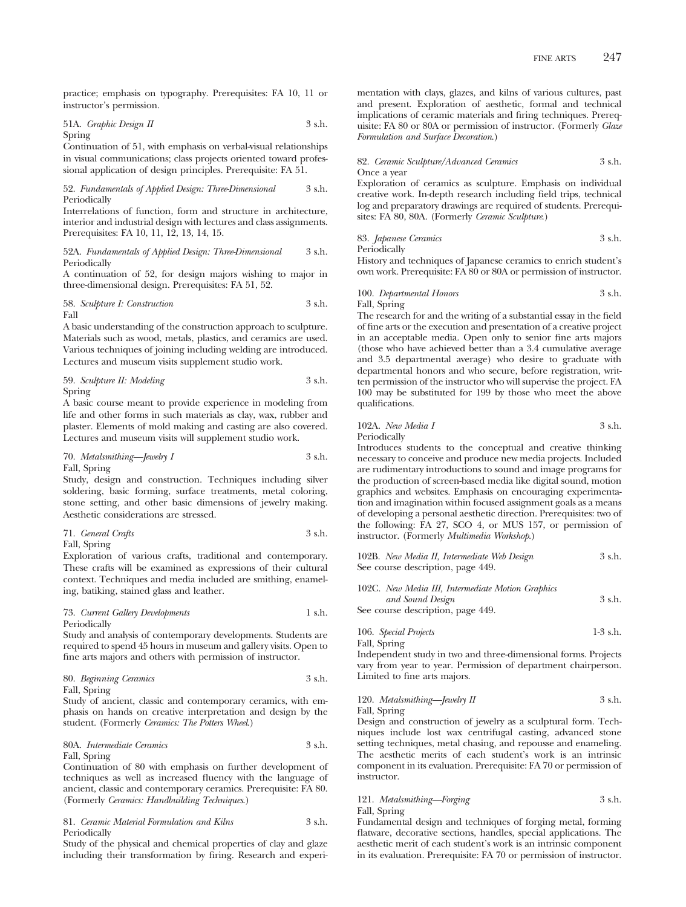practice; emphasis on typography. Prerequisites: FA 10, 11 or instructor's permission.

# 51A. *Graphic Design II* 3 s.h. Spring

Continuation of 51, with emphasis on verbal-visual relationships in visual communications; class projects oriented toward professional application of design principles. Prerequisite: FA 51.

### 52. *Fundamentals of Applied Design: Three-Dimensional* 3 s.h. Periodically

Interrelations of function, form and structure in architecture, interior and industrial design with lectures and class assignments. Prerequisites: FA 10, 11, 12, 13, 14, 15.

### 52A. *Fundamentals of Applied Design: Three-Dimensional* 3 s.h. Periodically

A continuation of 52, for design majors wishing to major in three-dimensional design. Prerequisites: FA 51, 52.

58. *Sculpture I: Construction* 3 s.h. Fall

A basic understanding of the construction approach to sculpture. Materials such as wood, metals, plastics, and ceramics are used. Various techniques of joining including welding are introduced. Lectures and museum visits supplement studio work.

59. *Sculpture II: Modeling* 3 s.h. Spring

A basic course meant to provide experience in modeling from life and other forms in such materials as clay, wax, rubber and plaster. Elements of mold making and casting are also covered. Lectures and museum visits will supplement studio work.

70. *Metalsmithing—Jewelry I* 3 s.h. Fall, Spring

Study, design and construction. Techniques including silver soldering, basic forming, surface treatments, metal coloring, stone setting, and other basic dimensions of jewelry making. Aesthetic considerations are stressed.

71. *General Crafts* 3 s.h. Fall, Spring

Exploration of various crafts, traditional and contemporary. These crafts will be examined as expressions of their cultural context. Techniques and media included are smithing, enameling, batiking, stained glass and leather.

### 73. *Current Gallery Developments* 1 s.h. Periodically

Study and analysis of contemporary developments. Students are required to spend 45 hours in museum and gallery visits. Open to fine arts majors and others with permission of instructor.

80. *Beginning Ceramics* 3 s.h. Fall, Spring

Study of ancient, classic and contemporary ceramics, with emphasis on hands on creative interpretation and design by the student. (Formerly *Ceramics: The Potters Wheel*.)

## 80A. *Intermediate Ceramics* 3 s.h. Fall, Spring

Continuation of 80 with emphasis on further development of techniques as well as increased fluency with the language of ancient, classic and contemporary ceramics. Prerequisite: FA 80. (Formerly *Ceramics: Handbuilding Techniques*.)

81. *Ceramic Material Formulation and Kilns* 3 s.h. Periodically

Study of the physical and chemical properties of clay and glaze including their transformation by firing. Research and experimentation with clays, glazes, and kilns of various cultures, past and present. Exploration of aesthetic, formal and technical implications of ceramic materials and firing techniques. Prerequisite: FA 80 or 80A or permission of instructor. (Formerly *Glaze Formulation and Surface Decoration*.)

### 82. *Ceramic Sculpture/Advanced Ceramics* 3 s.h. Once a year

Exploration of ceramics as sculpture. Emphasis on individual creative work. In-depth research including field trips, technical log and preparatory drawings are required of students. Prerequisites: FA 80, 80A. (Formerly *Ceramic Sculpture*.)

83. *Japanese Ceramics* 3 s.h. Periodically

History and techniques of Japanese ceramics to enrich student's own work. Prerequisite: FA 80 or 80A or permission of instructor.

100. *Departmental Honors* 3 s.h. Fall, Spring

The research for and the writing of a substantial essay in the field of fine arts or the execution and presentation of a creative project in an acceptable media. Open only to senior fine arts majors (those who have achieved better than a 3.4 cumulative average and 3.5 departmental average) who desire to graduate with departmental honors and who secure, before registration, written permission of the instructor who will supervise the project. FA 100 may be substituted for 199 by those who meet the above qualifications.

102A. *New Media I* 3 s.h. Periodically

Introduces students to the conceptual and creative thinking necessary to conceive and produce new media projects. Included are rudimentary introductions to sound and image programs for the production of screen-based media like digital sound, motion graphics and websites. Emphasis on encouraging experimentation and imagination within focused assignment goals as a means of developing a personal aesthetic direction. Prerequisites: two of the following: FA 27, SCO 4, or MUS 157, or permission of instructor. (Formerly *Multimedia Workshop*.)

| 102B. New Media II, Intermediate Web Design | 3 s.h. |
|---------------------------------------------|--------|
| See course description, page 449.           |        |

| 102C. New Media III, Intermediate Motion Graphics |        |
|---------------------------------------------------|--------|
| and Sound Design                                  | 3 s.h. |
| See course description, page 449.                 |        |

106. *Special Projects* 1-3 s.h. Fall, Spring

Independent study in two and three-dimensional forms. Projects vary from year to year. Permission of department chairperson. Limited to fine arts majors.

### 120. *Metalsmithing—Jewelry II* 3 s.h. Fall, Spring

Design and construction of jewelry as a sculptural form. Techniques include lost wax centrifugal casting, advanced stone setting techniques, metal chasing, and repousse and enameling. The aesthetic merits of each student's work is an intrinsic component in its evaluation. Prerequisite: FA 70 or permission of instructor.

# 121. *Metalsmithing—Forging* 3 s.h.

Fall, Spring

Fundamental design and techniques of forging metal, forming flatware, decorative sections, handles, special applications. The aesthetic merit of each student's work is an intrinsic component in its evaluation. Prerequisite: FA 70 or permission of instructor.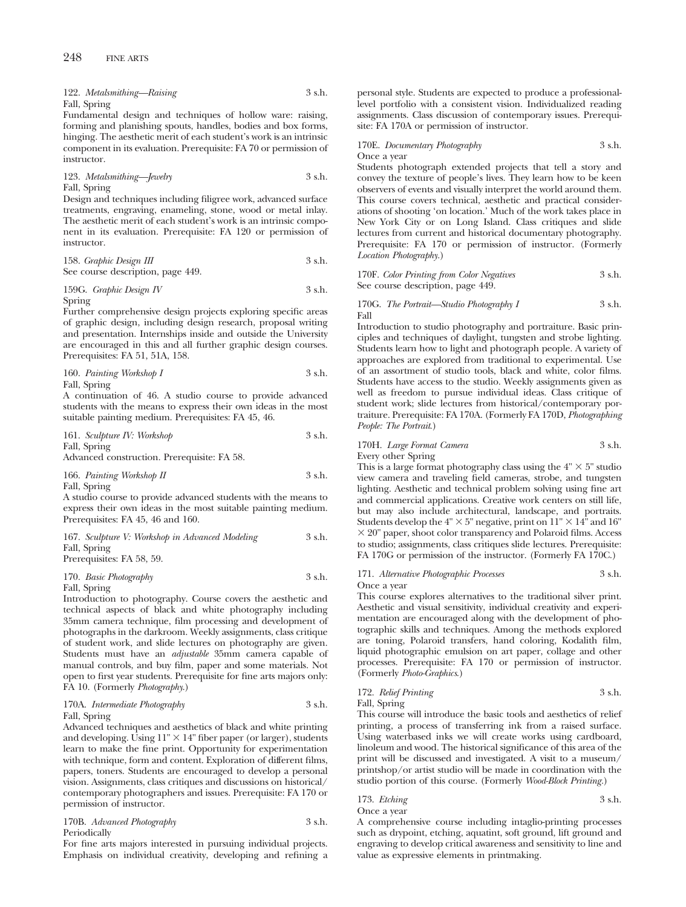122. *Metalsmithing—Raising* 3 s.h. Fall, Spring

Fundamental design and techniques of hollow ware: raising, forming and planishing spouts, handles, bodies and box forms, hinging. The aesthetic merit of each student's work is an intrinsic component in its evaluation. Prerequisite: FA 70 or permission of instructor.

123. *Metalsmithing—Jewelry* 3 s.h. Fall, Spring

Design and techniques including filigree work, advanced surface treatments, engraving, enameling, stone, wood or metal inlay. The aesthetic merit of each student's work is an intrinsic component in its evaluation. Prerequisite: FA 120 or permission of instructor.

158. *Graphic Design III* 3 s.h. See course description, page 449.

## 159G. *Graphic Design IV* 3 s.h. Spring

Further comprehensive design projects exploring specific areas of graphic design, including design research, proposal writing and presentation. Internships inside and outside the University are encouraged in this and all further graphic design courses. Prerequisites: FA 51, 51A, 158.

160. *Painting Workshop I* 3 s.h. Fall, Spring

A continuation of 46. A studio course to provide advanced students with the means to express their own ideas in the most suitable painting medium. Prerequisites: FA 45, 46.

161. *Sculpture IV: Workshop* 3 s.h. Fall, Spring

Advanced construction. Prerequisite: FA 58.

166. *Painting Workshop II* 3 s.h. Fall, Spring

A studio course to provide advanced students with the means to express their own ideas in the most suitable painting medium. Prerequisites: FA 45, 46 and 160.

| 167. Sculpture V: Workshop in Advanced Modeling | 3 s.h. |
|-------------------------------------------------|--------|
| Fall, Spring                                    |        |
| Prerequisites: FA 58, 59.                       |        |

```
170. Basic Photography 3 s.h.
```
Fall, Spring

Introduction to photography. Course covers the aesthetic and technical aspects of black and white photography including 35mm camera technique, film processing and development of photographs in the darkroom. Weekly assignments, class critique of student work, and slide lectures on photography are given. Students must have an *adjustable* 35mm camera capable of manual controls, and buy film, paper and some materials. Not open to first year students. Prerequisite for fine arts majors only: FA 10. (Formerly *Photography*.)

#### 170A. *Intermediate Photography* 3 s.h. Fall, Spring

Advanced techniques and aesthetics of black and white printing and developing. Using  $11" \times 14"$  fiber paper (or larger), students learn to make the fine print. Opportunity for experimentation with technique, form and content. Exploration of different films, papers, toners. Students are encouraged to develop a personal vision. Assignments, class critiques and discussions on historical/ contemporary photographers and issues. Prerequisite: FA 170 or permission of instructor.

| 170B. Advanced Photography | 3 s.h. |
|----------------------------|--------|
| Periodically               |        |

For fine arts majors interested in pursuing individual projects. Emphasis on individual creativity, developing and refining a personal style. Students are expected to produce a professionallevel portfolio with a consistent vision. Individualized reading assignments. Class discussion of contemporary issues. Prerequisite: FA 170A or permission of instructor.

#### 170E. *Documentary Photography* 3 s.h. Once a year

Students photograph extended projects that tell a story and convey the texture of people's lives. They learn how to be keen observers of events and visually interpret the world around them. This course covers technical, aesthetic and practical considerations of shooting 'on location.' Much of the work takes place in New York City or on Long Island. Class critiques and slide lectures from current and historical documentary photography. Prerequisite: FA 170 or permission of instructor. (Formerly *Location Photography.*)

170F. *Color Printing from Color Negatives* 3 s.h. See course description, page 449.

170G. *The Portrait—Studio Photography I* 3 s.h. Fall

Introduction to studio photography and portraiture. Basic principles and techniques of daylight, tungsten and strobe lighting. Students learn how to light and photograph people. A variety of approaches are explored from traditional to experimental. Use of an assortment of studio tools, black and white, color films. Students have access to the studio. Weekly assignments given as well as freedom to pursue individual ideas. Class critique of student work; slide lectures from historical/contemporary portraiture. Prerequisite: FA 170A. (Formerly FA 170D, *Photographing People: The Portrait*.)

## 170H. *Large Format Camera* 3 s.h.

Every other Spring

This is a large format photography class using the  $4" \times 5"$  studio view camera and traveling field cameras, strobe, and tungsten lighting. Aesthetic and technical problem solving using fine art and commercial applications. Creative work centers on still life, but may also include architectural, landscape, and portraits. Students develop the  $4" \times 5"$  negative, print on  $11" \times 14"$  and  $16"$  $\times$  20" paper, shoot color transparency and Polaroid films. Access to studio; assignments, class critiques slide lectures. Prerequisite: FA 170G or permission of the instructor. (Formerly FA 170C.)

171. *Alternative Photographic Processes* 3 s.h. Once a year

This course explores alternatives to the traditional silver print. Aesthetic and visual sensitivity, individual creativity and experimentation are encouraged along with the development of photographic skills and techniques. Among the methods explored are toning, Polaroid transfers, hand coloring, Kodalith film, liquid photographic emulsion on art paper, collage and other processes. Prerequisite: FA 170 or permission of instructor. (Formerly *Photo-Graphics*.)

## 172. *Relief Printing* 3 s.h. Fall, Spring

This course will introduce the basic tools and aesthetics of relief printing, a process of transferring ink from a raised surface. Using waterbased inks we will create works using cardboard, linoleum and wood. The historical significance of this area of the print will be discussed and investigated. A visit to a museum/ printshop/or artist studio will be made in coordination with the studio portion of this course. (Formerly *Wood-Block Printing.*)

173. *Etching* 3 s.h. Once a year

A comprehensive course including intaglio-printing processes such as drypoint, etching, aquatint, soft ground, lift ground and engraving to develop critical awareness and sensitivity to line and value as expressive elements in printmaking.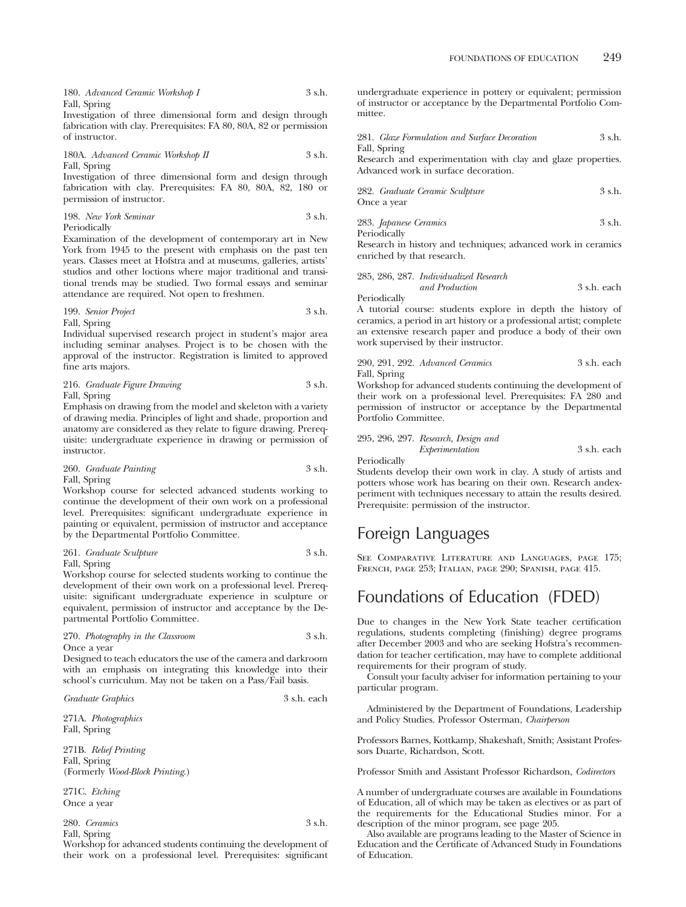Investigation of three dimensional form and design through fabrication with clay. Prerequisites: FA 80, 80A, 82 or permission of instructor.

180A. *Advanced Ceramic Workshop II* 3 s.h. Fall, Spring

Investigation of three dimensional form and design through fabrication with clay. Prerequisites: FA 80, 80A, 82, 180 or permission of instructor.

198. *New York Seminar* 3 s.h. Periodically

Examination of the development of contemporary art in New York from 1945 to the present with emphasis on the past ten years. Classes meet at Hofstra and at museums, galleries, artists' studios and other loctions where major traditional and transitional trends may be studied. Two formal essays and seminar attendance are required. Not open to freshmen.

199. *Senior Project* 3 s.h. Fall, Spring

Individual supervised research project in student's major area including seminar analyses. Project is to be chosen with the approval of the instructor. Registration is limited to approved fine arts majors.

216. *Graduate Figure Drawing* 3 s.h. Fall, Spring

Emphasis on drawing from the model and skeleton with a variety of drawing media. Principles of light and shade, proportion and anatomy are considered as they relate to figure drawing. Prerequisite: undergraduate experience in drawing or permission of instructor.

260. *Graduate Painting* 3 s.h. Fall, Spring

Workshop course for selected advanced students working to continue the development of their own work on a professional level. Prerequisites: significant undergraduate experience in painting or equivalent, permission of instructor and acceptance by the Departmental Portfolio Committee.

261. *Graduate Sculpture* 3 s.h. Fall, Spring

Workshop course for selected students working to continue the development of their own work on a professional level. Prerequisite: significant undergraduate experience in sculpture or equivalent, permission of instructor and acceptance by the Departmental Portfolio Committee.

#### 270. *Photography in the Classroom* 3 s.h. Once a year

Designed to teach educators the use of the camera and darkroom with an emphasis on integrating this knowledge into their school's curriculum. May not be taken on a Pass/Fail basis.

*Graduate Graphics* 3 s.h. each

271A. *Photographics* Fall, Spring

271B. *Relief Printing* Fall, Spring (Formerly *Wood-Block Printing*.)

271C. *Etching* Once a year

280. *Ceramics* 3 s.h. Fall, Spring

Workshop for advanced students continuing the development of their work on a professional level. Prerequisites: significant undergraduate experience in pottery or equivalent; permission of instructor or acceptance by the Departmental Portfolio Committee.

|              | 281. Glaze Formulation and Surface Decoration | 3 s.h. |
|--------------|-----------------------------------------------|--------|
| Fall, Spring |                                               |        |

Research and experimentation with clay and glaze properties. Advanced work in surface decoration.

| 282. Graduate Ceramic Sculpture | 3 s.h. |
|---------------------------------|--------|
| Once a year                     |        |

283. *Japanese Ceramics* 3 s.h. Periodically

Research in history and techniques; advanced work in ceramics enriched by that research.

285, 286, 287. *Individualized Research and Production* 3 s.h. each Periodically

A tutorial course: students explore in depth the history of ceramics, a period in art history or a professional artist; complete an extensive research paper and produce a body of their own work supervised by their instructor.

290, 291, 292. *Advanced Ceramics* 3 s.h. each Fall, Spring

Workshop for advanced students continuing the development of their work on a professional level. Prerequisites: FA 280 and permission of instructor or acceptance by the Departmental Portfolio Committee.

295, 296, 297. *Research, Design and Experimentation* 3 s.h. each Periodically

Students develop their own work in clay. A study of artists and potters whose work has bearing on their own. Research andexperiment with techniques necessary to attain the results desired. Prerequisite: permission of the instructor.

# Foreign Languages

See Comparative Literature and Languages, page 175; French, page 253; Italian, page 290; Spanish, page 415.

# Foundations of Education (FDED)

Due to changes in the New York State teacher certification regulations, students completing (finishing) degree programs after December 2003 and who are seeking Hofstra's recommendation for teacher certification, may have to complete additional requirements for their program of study.

Consult your faculty adviser for information pertaining to your particular program.

Administered by the Department of Foundations, Leadership and Policy Studies. Professor Osterman, *Chairperson*

Professors Barnes, Kottkamp, Shakeshaft, Smith; Assistant Professors Duarte, Richardson, Scott.

Professor Smith and Assistant Professor Richardson, *Codirectors*

A number of undergraduate courses are available in Foundations of Education, all of which may be taken as electives or as part of the requirements for the Educational Studies minor. For a description of the minor program, see page 205.

Also available are programs leading to the Master of Science in Education and the Certificate of Advanced Study in Foundations of Education.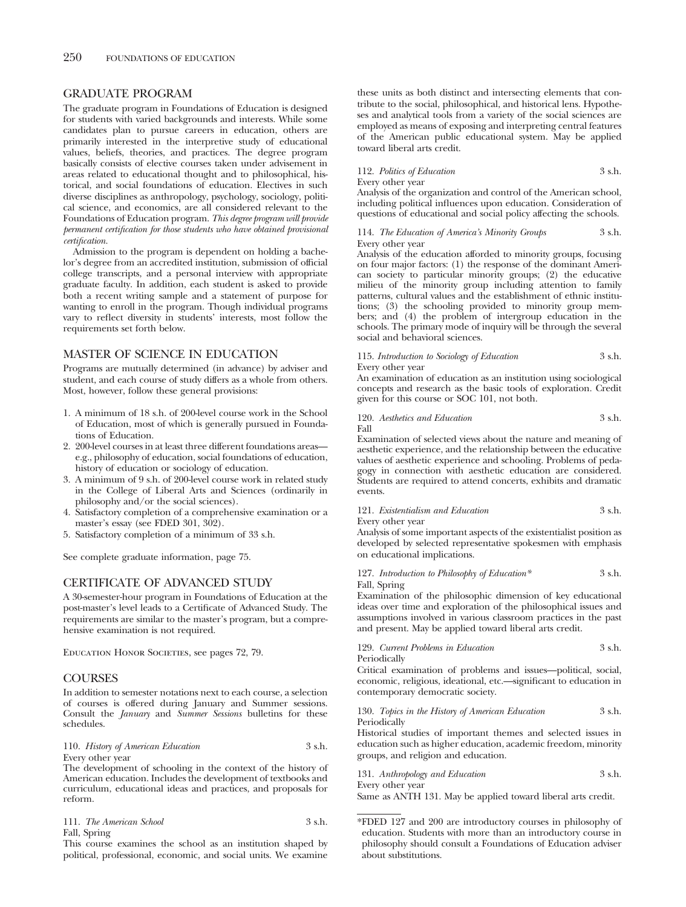## GRADUATE PROGRAM

The graduate program in Foundations of Education is designed for students with varied backgrounds and interests. While some candidates plan to pursue careers in education, others are primarily interested in the interpretive study of educational values, beliefs, theories, and practices. The degree program basically consists of elective courses taken under advisement in areas related to educational thought and to philosophical, historical, and social foundations of education. Electives in such diverse disciplines as anthropology, psychology, sociology, political science, and economics, are all considered relevant to the Foundations of Education program. *This degree program will provide permanent certification for those students who have obtained provisional certification.*

Admission to the program is dependent on holding a bachelor's degree from an accredited institution, submission of official college transcripts, and a personal interview with appropriate graduate faculty. In addition, each student is asked to provide both a recent writing sample and a statement of purpose for wanting to enroll in the program. Though individual programs vary to reflect diversity in students' interests, most follow the requirements set forth below.

## MASTER OF SCIENCE IN EDUCATION

Programs are mutually determined (in advance) by adviser and student, and each course of study differs as a whole from others. Most, however, follow these general provisions:

- 1. A minimum of 18 s.h. of 200-level course work in the School of Education, most of which is generally pursued in Foundations of Education.
- 2. 200-level courses in at least three different foundations areas e.g., philosophy of education, social foundations of education, history of education or sociology of education.
- 3. A minimum of 9 s.h. of 200-level course work in related study in the College of Liberal Arts and Sciences (ordinarily in philosophy and/or the social sciences).
- 4. Satisfactory completion of a comprehensive examination or a master's essay (see FDED 301, 302).
- 5. Satisfactory completion of a minimum of 33 s.h.

See complete graduate information, page 75.

## CERTIFICATE OF ADVANCED STUDY

A 30-semester-hour program in Foundations of Education at the post-master's level leads to a Certificate of Advanced Study. The requirements are similar to the master's program, but a comprehensive examination is not required.

EDUCATION HONOR SOCIETIES, see pages 72, 79.

## **COURSES**

In addition to semester notations next to each course, a selection of courses is offered during January and Summer sessions. Consult the *January* and *Summer Sessions* bulletins for these schedules.

#### 110. *History of American Education* 3 s.h. Every other year

The development of schooling in the context of the history of American education. Includes the development of textbooks and curriculum, educational ideas and practices, and proposals for reform.

| 111. The American School | 3 s.h. |  |
|--------------------------|--------|--|
|                          |        |  |

Fall, Spring

This course examines the school as an institution shaped by political, professional, economic, and social units. We examine these units as both distinct and intersecting elements that contribute to the social, philosophical, and historical lens. Hypotheses and analytical tools from a variety of the social sciences are employed as means of exposing and interpreting central features of the American public educational system. May be applied toward liberal arts credit.

| 112. Politics of Education | 3 s.h. |
|----------------------------|--------|
| Every other year           |        |

Analysis of the organization and control of the American school, including political influences upon education. Consideration of questions of educational and social policy affecting the schools.

114. *The Education of America's Minority Groups* 3 s.h. Every other year

Analysis of the education afforded to minority groups, focusing on four major factors: (1) the response of the dominant American society to particular minority groups; (2) the educative milieu of the minority group including attention to family patterns, cultural values and the establishment of ethnic institutions; (3) the schooling provided to minority group members; and (4) the problem of intergroup education in the schools. The primary mode of inquiry will be through the several social and behavioral sciences.

115. *Introduction to Sociology of Education* 3 s.h. Every other year

An examination of education as an institution using sociological concepts and research as the basic tools of exploration. Credit given for this course or SOC 101, not both.

120. *Aesthetics and Education* 3 s.h. Fall

Examination of selected views about the nature and meaning of aesthetic experience, and the relationship between the educative values of aesthetic experience and schooling. Problems of pedagogy in connection with aesthetic education are considered. Students are required to attend concerts, exhibits and dramatic events.

121. *Existentialism and Education* 3 s.h. Every other year

Analysis of some important aspects of the existentialist position as developed by selected representative spokesmen with emphasis on educational implications.

127. *Introduction to Philosophy of Education\** 3 s.h. Fall, Spring

Examination of the philosophic dimension of key educational ideas over time and exploration of the philosophical issues and assumptions involved in various classroom practices in the past and present. May be applied toward liberal arts credit.

129. *Current Problems in Education* 3 s.h. Periodically Critical examination of problems and issues—political, social,

economic, religious, ideational, etc.—significant to education in contemporary democratic society.

### 130. *Topics in the History of American Education* 3 s.h. Periodically

Historical studies of important themes and selected issues in education such as higher education, academic freedom, minority groups, and religion and education.

131. *Anthropology and Education* 3 s.h. Every other year

Same as ANTH 131. May be applied toward liberal arts credit.

\*FDED 127 and 200 are introductory courses in philosophy of education. Students with more than an introductory course in philosophy should consult a Foundations of Education adviser about substitutions.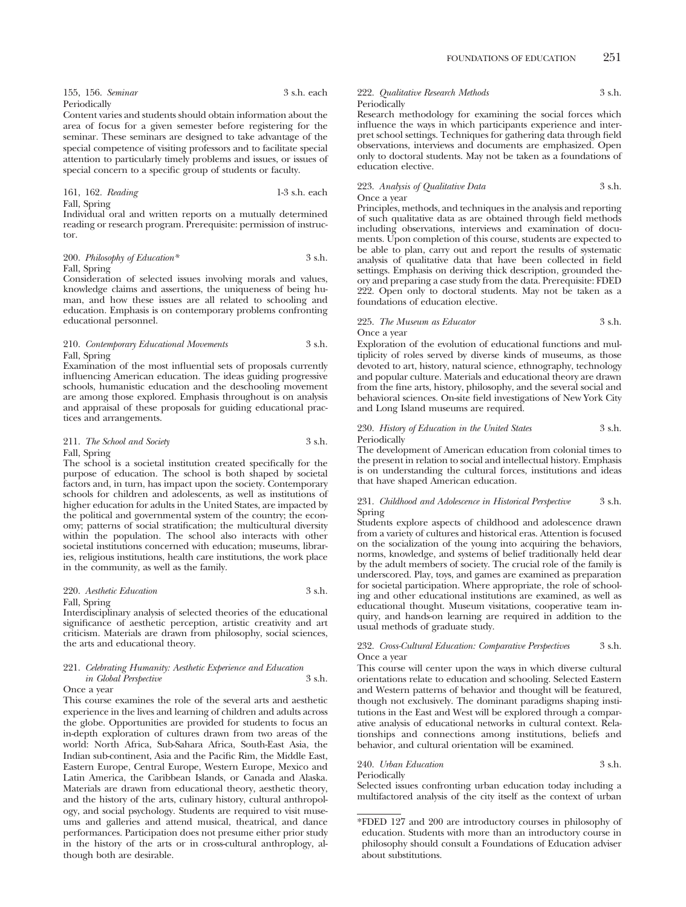| 155, 156. Seminar | 3 s.h. each |
|-------------------|-------------|
| Periodically      |             |

Content varies and students should obtain information about the area of focus for a given semester before registering for the seminar. These seminars are designed to take advantage of the special competence of visiting professors and to facilitate special attention to particularly timely problems and issues, or issues of special concern to a specific group of students or faculty.

161, 162. *Reading* 1-3 s.h. each Fall, Spring

Individual oral and written reports on a mutually determined reading or research program. Prerequisite: permission of instructor.

#### 200. *Philosophy of Education\** 3 s.h. Fall, Spring

Consideration of selected issues involving morals and values, knowledge claims and assertions, the uniqueness of being human, and how these issues are all related to schooling and education. Emphasis is on contemporary problems confronting educational personnel.

#### 210. *Contemporary Educational Movements* 3 s.h. Fall, Spring

Examination of the most influential sets of proposals currently influencing American education. The ideas guiding progressive schools, humanistic education and the deschooling movement are among those explored. Emphasis throughout is on analysis and appraisal of these proposals for guiding educational practices and arrangements.

#### 211. *The School and Society* 3 s.h. Fall, Spring

The school is a societal institution created specifically for the purpose of education. The school is both shaped by societal factors and, in turn, has impact upon the society. Contemporary schools for children and adolescents, as well as institutions of higher education for adults in the United States, are impacted by the political and governmental system of the country; the economy; patterns of social stratification; the multicultural diversity within the population. The school also interacts with other societal institutions concerned with education; museums, libraries, religious institutions, health care institutions, the work place in the community, as well as the family.

#### 220. *Aesthetic Education* 3 s.h. Fall, Spring

Interdisciplinary analysis of selected theories of the educational significance of aesthetic perception, artistic creativity and art criticism. Materials are drawn from philosophy, social sciences, the arts and educational theory.

## 221. *Celebrating Humanity: Aesthetic Experience and Education in Global Perspective* 3 s.h.

## Once a year

This course examines the role of the several arts and aesthetic experience in the lives and learning of children and adults across the globe. Opportunities are provided for students to focus an in-depth exploration of cultures drawn from two areas of the world: North Africa, Sub-Sahara Africa, South-East Asia, the Indian sub-continent, Asia and the Pacific Rim, the Middle East, Eastern Europe, Central Europe, Western Europe, Mexico and Latin America, the Caribbean Islands, or Canada and Alaska. Materials are drawn from educational theory, aesthetic theory, and the history of the arts, culinary history, cultural anthropology, and social psychology. Students are required to visit museums and galleries and attend musical, theatrical, and dance performances. Participation does not presume either prior study in the history of the arts or in cross-cultural anthroplogy, although both are desirable.

## 222. *Qualitative Research Methods* 3 s.h. Periodically

Research methodology for examining the social forces which influence the ways in which participants experience and interpret school settings. Techniques for gathering data through field observations, interviews and documents are emphasized. Open only to doctoral students. May not be taken as a foundations of education elective.

#### 223. *Analysis of Qualitative Data* 3 s.h. Once a year

Principles, methods, and techniques in the analysis and reporting of such qualitative data as are obtained through field methods including observations, interviews and examination of documents. Upon completion of this course, students are expected to be able to plan, carry out and report the results of systematic analysis of qualitative data that have been collected in field settings. Emphasis on deriving thick description, grounded theory and preparing a case study from the data. Prerequisite: FDED 222. Open only to doctoral students. May not be taken as a foundations of education elective.

#### 225. *The Museum as Educator* 3 s.h. Once a year

Exploration of the evolution of educational functions and multiplicity of roles served by diverse kinds of museums, as those devoted to art, history, natural science, ethnography, technology and popular culture. Materials and educational theory are drawn from the fine arts, history, philosophy, and the several social and behavioral sciences. On-site field investigations of New York City and Long Island museums are required.

#### 230. *History of Education in the United States* 3 s.h. Periodically

The development of American education from colonial times to the present in relation to social and intellectual history. Emphasis is on understanding the cultural forces, institutions and ideas that have shaped American education.

#### 231. *Childhood and Adolescence in Historical Perspective* 3 s.h. Spring

Students explore aspects of childhood and adolescence drawn from a variety of cultures and historical eras. Attention is focused on the socialization of the young into acquiring the behaviors, norms, knowledge, and systems of belief traditionally held dear by the adult members of society. The crucial role of the family is underscored. Play, toys, and games are examined as preparation for societal participation. Where appropriate, the role of schooling and other educational institutions are examined, as well as educational thought. Museum visitations, cooperative team inquiry, and hands-on learning are required in addition to the usual methods of graduate study.

#### 232. *Cross-Cultural Education: Comparative Perspectives* 3 s.h. Once a year

This course will center upon the ways in which diverse cultural orientations relate to education and schooling. Selected Eastern and Western patterns of behavior and thought will be featured, though not exclusively. The dominant paradigms shaping institutions in the East and West will be explored through a comparative analysis of educational networks in cultural context. Relationships and connections among institutions, beliefs and behavior, and cultural orientation will be examined.

## 240. *Urban Education* 3 s.h.

Periodically

Selected issues confronting urban education today including a multifactored analysis of the city itself as the context of urban

<sup>\*</sup>FDED 127 and 200 are introductory courses in philosophy of education. Students with more than an introductory course in philosophy should consult a Foundations of Education adviser about substitutions.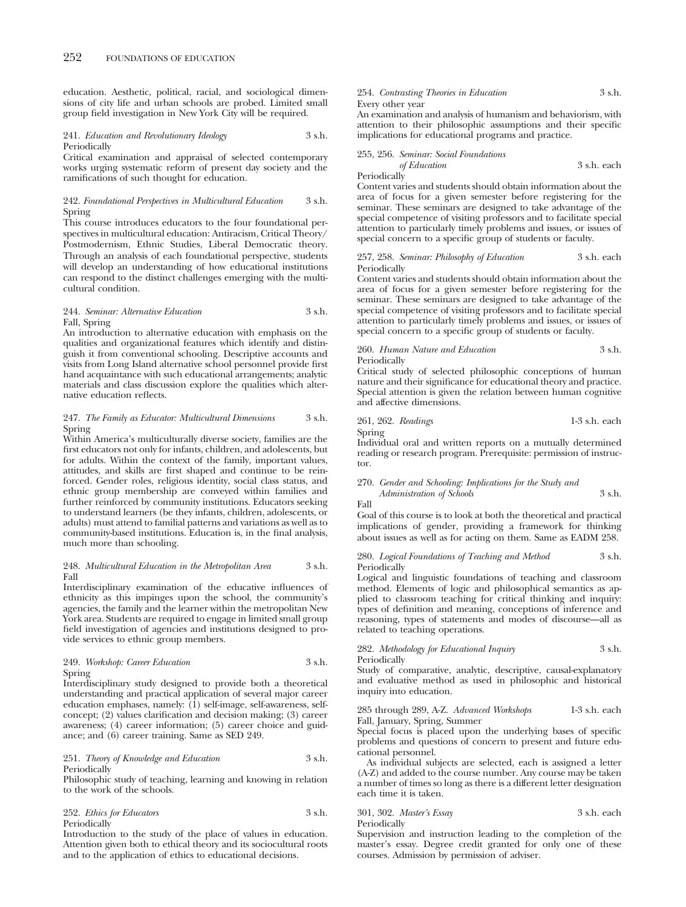education. Aesthetic, political, racial, and sociological dimensions of city life and urban schools are probed. Limited small group field investigation in New York City will be required.

#### 241. *Education and Revolutionary Ideology* 3 s.h. Periodically

Critical examination and appraisal of selected contemporary works urging systematic reform of present day society and the ramifications of such thought for education.

#### 242. *Foundational Perspectives in Multicultural Education* 3 s.h. Spring

This course introduces educators to the four foundational perspectives in multicultural education: Antiracism, Critical Theory/ Postmodernism, Ethnic Studies, Liberal Democratic theory. Through an analysis of each foundational perspective, students will develop an understanding of how educational institutions can respond to the distinct challenges emerging with the multicultural condition.

#### 244. *Seminar: Alternative Education* 3 s.h. Fall, Spring

An introduction to alternative education with emphasis on the qualities and organizational features which identify and distinguish it from conventional schooling. Descriptive accounts and visits from Long Island alternative school personnel provide first hand acquaintance with such educational arrangements; analytic materials and class discussion explore the qualities which alternative education reflects.

#### 247. *The Family as Educator: Multicultural Dimensions* 3 s.h. Spring

Within America's multiculturally diverse society, families are the first educators not only for infants, children, and adolescents, but for adults. Within the context of the family, important values, attitudes, and skills are first shaped and continue to be reinforced. Gender roles, religious identity, social class status, and ethnic group membership are conveyed within families and further reinforced by community institutions. Educators seeking to understand learners (be they infants, children, adolescents, or adults) must attend to familial patterns and variations as well as to community-based institutions. Education is, in the final analysis, much more than schooling.

#### 248. *Multicultural Education in the Metropolitan Area* 3 s.h. Fall

Interdisciplinary examination of the educative influences of ethnicity as this impinges upon the school, the community's agencies, the family and the learner within the metropolitan New York area. Students are required to engage in limited small group field investigation of agencies and institutions designed to provide services to ethnic group members.

#### 249. *Workshop: Career Education* 3 s.h. Spring

Interdisciplinary study designed to provide both a theoretical understanding and practical application of several major career education emphases, namely: (1) self-image, self-awareness, selfconcept; (2) values clarification and decision making; (3) career awareness; (4) career information; (5) career choice and guidance; and (6) career training. Same as SED 249.

#### 251. *Theory of Knowledge and Education* 3 s.h. Periodically

Philosophic study of teaching, learning and knowing in relation to the work of the schools.

#### 252. *Ethics for Educators* 3 s.h. Periodically

Introduction to the study of the place of values in education. Attention given both to ethical theory and its sociocultural roots and to the application of ethics to educational decisions.

#### 254. *Contrasting Theories in Education* 3 s.h. Every other year

An examination and analysis of humanism and behaviorism, with attention to their philosophic assumptions and their specific implications for educational programs and practice.

#### 255, 256. *Seminar: Social Foundations*

Periodically

*of Education* 3 s.h. each

Content varies and students should obtain information about the area of focus for a given semester before registering for the seminar. These seminars are designed to take advantage of the special competence of visiting professors and to facilitate special attention to particularly timely problems and issues, or issues of special concern to a specific group of students or faculty.

#### 257, 258. *Seminar: Philosophy of Education* 3 s.h. each Periodically

Content varies and students should obtain information about the area of focus for a given semester before registering for the seminar. These seminars are designed to take advantage of the special competence of visiting professors and to facilitate special attention to particularly timely problems and issues, or issues of special concern to a specific group of students or faculty.

#### 260. *Human Nature and Education* 3 s.h. Periodically

Critical study of selected philosophic conceptions of human nature and their significance for educational theory and practice. Special attention is given the relation between human cognitive and affective dimensions.

261, 262. *Readings* 1-3 s.h. each Spring

Individual oral and written reports on a mutually determined reading or research program. Prerequisite: permission of instructor.

#### 270. *Gender and Schooling: Implications for the Study and Administration of Schools* 3 s.h.

Fall

Goal of this course is to look at both the theoretical and practical implications of gender, providing a framework for thinking about issues as well as for acting on them. Same as EADM 258.

280. *Logical Foundations of Teaching and Method* 3 s.h. Periodically

Logical and linguistic foundations of teaching and classroom method. Elements of logic and philosophical semantics as applied to classroom teaching for critical thinking and inquiry: types of definition and meaning, conceptions of inference and reasoning, types of statements and modes of discourse—all as related to teaching operations.

282. *Methodology for Educational Inquiry* 3 s.h. Periodically

Study of comparative, analytic, descriptive, causal-explanatory and evaluative method as used in philosophic and historical inquiry into education.

285 through 289, A-Z. *Advanced Workshops* 1-3 s.h. each Fall, January, Spring, Summer

Special focus is placed upon the underlying bases of specific problems and questions of concern to present and future educational personnel.

As individual subjects are selected, each is assigned a letter (A-Z) and added to the course number. Any course may be taken a number of times so long as there is a different letter designation each time it is taken.

301, 302. *Master's Essay* 3 s.h. each Periodically

Supervision and instruction leading to the completion of the master's essay. Degree credit granted for only one of these courses. Admission by permission of adviser.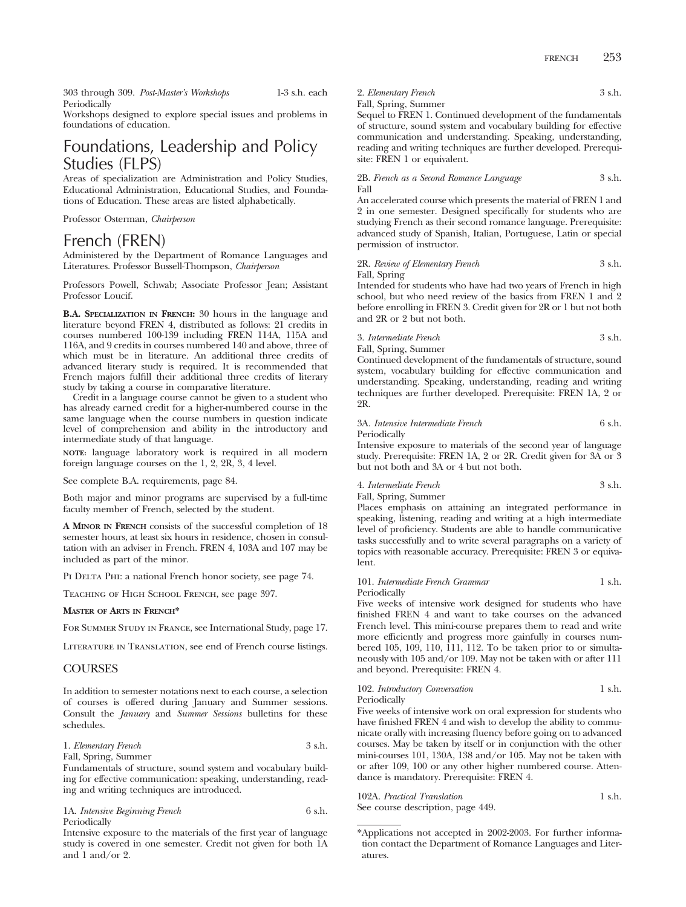303 through 309. *Post-Master's Workshops* 1-3 s.h. each Periodically

Workshops designed to explore special issues and problems in foundations of education.

# Foundations, Leadership and Policy Studies (FLPS)

Areas of specialization are Administration and Policy Studies, Educational Administration, Educational Studies, and Foundations of Education. These areas are listed alphabetically.

Professor Osterman, *Chairperson*

# French (FREN)

Administered by the Department of Romance Languages and Literatures. Professor Bussell-Thompson, *Chairperson*

Professors Powell, Schwab; Associate Professor Jean; Assistant Professor Loucif.

**B.A. SPECIALIZATION IN FRENCH:** 30 hours in the language and literature beyond FREN 4, distributed as follows: 21 credits in courses numbered 100-139 including FREN 114A, 115A and 116A, and 9 credits in courses numbered 140 and above, three of which must be in literature. An additional three credits of advanced literary study is required. It is recommended that French majors fulfill their additional three credits of literary study by taking a course in comparative literature.

Credit in a language course cannot be given to a student who has already earned credit for a higher-numbered course in the same language when the course numbers in question indicate level of comprehension and ability in the introductory and intermediate study of that language.

**NOTE:** language laboratory work is required in all modern foreign language courses on the 1, 2, 2R, 3, 4 level.

See complete B.A. requirements, page 84.

Both major and minor programs are supervised by a full-time faculty member of French, selected by the student.

**A MINOR IN FRENCH** consists of the successful completion of 18 semester hours, at least six hours in residence, chosen in consultation with an adviser in French. FREN 4, 103A and 107 may be included as part of the minor.

PI DELTA PHI: a national French honor society, see page 74.

Teaching of High School French, see page 397.

#### **MASTER OF ARTS IN FRENCH\***

For Summer Study in France, see International Study, page 17.

Literature in Translation, see end of French course listings.

#### **COURSES**

In addition to semester notations next to each course, a selection of courses is offered during January and Summer sessions. Consult the *January* and *Summer Sessions* bulletins for these schedules.

| 1. Elementary French | 3 s.h. |
|----------------------|--------|
| Fall, Spring, Summer |        |

Fundamentals of structure, sound system and vocabulary build-

ing for effective communication: speaking, understanding, reading and writing techniques are introduced.

1A. *Intensive Beginning French* 6 s.h. Periodically

Intensive exposure to the materials of the first year of language study is covered in one semester. Credit not given for both 1A and 1 and/or 2.

2. *Elementary French* 3 s.h.

## Fall, Spring, Summer

Sequel to FREN 1. Continued development of the fundamentals of structure, sound system and vocabulary building for effective communication and understanding. Speaking, understanding, reading and writing techniques are further developed. Prerequisite: FREN 1 or equivalent.

2B. *French as a Second Romance Language* 3 s.h. Fall

An accelerated course which presents the material of FREN 1 and 2 in one semester. Designed specifically for students who are studying French as their second romance language. Prerequisite: advanced study of Spanish, Italian, Portuguese, Latin or special permission of instructor.

2R. *Review of Elementary French* 3 s.h. Fall, Spring

Intended for students who have had two years of French in high school, but who need review of the basics from FREN 1 and 2 before enrolling in FREN 3. Credit given for 2R or 1 but not both and 2R or 2 but not both.

3. *Intermediate French* 3 s.h.

Fall, Spring, Summer Continued development of the fundamentals of structure, sound system, vocabulary building for effective communication and understanding. Speaking, understanding, reading and writing techniques are further developed. Prerequisite: FREN 1A, 2 or 2R.

#### 3A. *Intensive Intermediate French* 6 s.h. Periodically

Intensive exposure to materials of the second year of language study. Prerequisite: FREN 1A, 2 or 2R. Credit given for 3A or 3 but not both and 3A or 4 but not both.

## 4. *Intermediate French* 3 s.h.

Fall, Spring, Summer

Places emphasis on attaining an integrated performance in speaking, listening, reading and writing at a high intermediate level of proficiency. Students are able to handle communicative tasks successfully and to write several paragraphs on a variety of topics with reasonable accuracy. Prerequisite: FREN 3 or equivalent.

#### 101. *Intermediate French Grammar* 1 s.h. Periodically

Five weeks of intensive work designed for students who have finished FREN 4 and want to take courses on the advanced French level. This mini-course prepares them to read and write more efficiently and progress more gainfully in courses numbered 105, 109, 110, 111, 112. To be taken prior to or simultaneously with 105 and/or 109. May not be taken with or after 111 and beyond. Prerequisite: FREN 4.

102. *Introductory Conversation* 1 s.h. Periodically

Five weeks of intensive work on oral expression for students who have finished FREN 4 and wish to develop the ability to communicate orally with increasing fluency before going on to advanced courses. May be taken by itself or in conjunction with the other mini-courses 101, 130A, 138 and/or 105. May not be taken with or after 109, 100 or any other higher numbered course. Attendance is mandatory. Prerequisite: FREN 4.

102A. *Practical Translation* 1 s.h.

See course description, page 449.

<sup>\*</sup>Applications not accepted in 2002-2003. For further information contact the Department of Romance Languages and Literatures.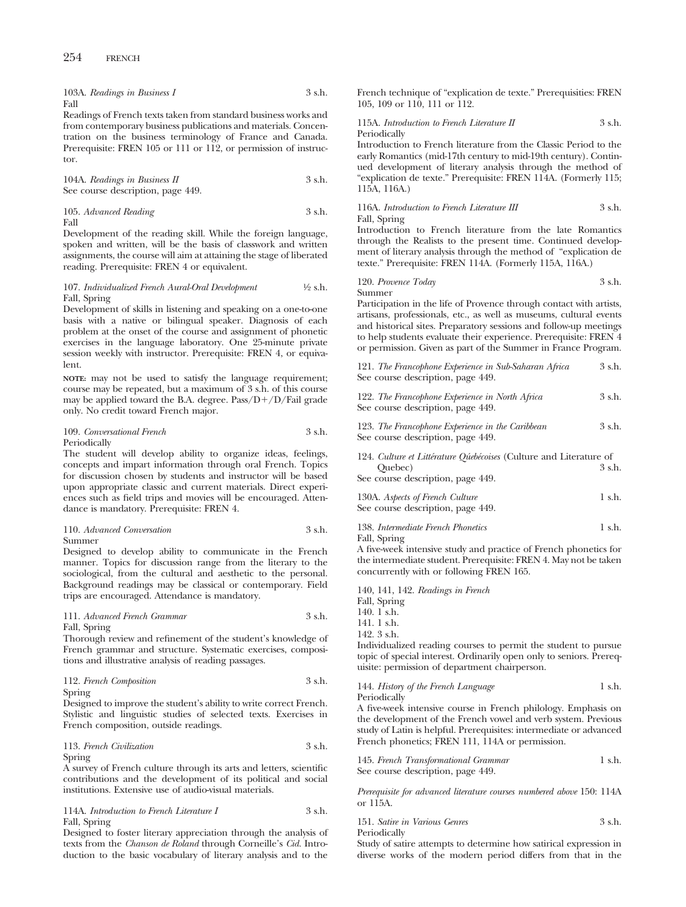|      | 103A. Readings in Business I | 3 s.h. |
|------|------------------------------|--------|
| Fall |                              |        |

Readings of French texts taken from standard business works and from contemporary business publications and materials. Concentration on the business terminology of France and Canada. Prerequisite: FREN 105 or 111 or 112, or permission of instructor.

104A. *Readings in Business II* 3 s.h. See course description, page 449.

105. *Advanced Reading* 3 s.h. Fall

Development of the reading skill. While the foreign language, spoken and written, will be the basis of classwork and written assignments, the course will aim at attaining the stage of liberated reading. Prerequisite: FREN 4 or equivalent.

#### 107. *Individualized French Aural-Oral Development* 1⁄2 s.h. Fall, Spring

Development of skills in listening and speaking on a one-to-one basis with a native or bilingual speaker. Diagnosis of each problem at the onset of the course and assignment of phonetic exercises in the language laboratory. One 25-minute private session weekly with instructor. Prerequisite: FREN 4, or equivalent.

**NOTE:** may not be used to satisfy the language requirement; course may be repeated, but a maximum of 3 s.h. of this course may be applied toward the B.A. degree.  $Pass/D+/D/Fall$  grade only. No credit toward French major.

| 109. Conversational French | 3 s.h. |
|----------------------------|--------|
| Periodically               |        |

The student will develop ability to organize ideas, feelings, concepts and impart information through oral French. Topics for discussion chosen by students and instructor will be based upon appropriate classic and current materials. Direct experiences such as field trips and movies will be encouraged. Attendance is mandatory. Prerequisite: FREN 4.

#### 110. *Advanced Conversation* 3 s.h. Summer

Designed to develop ability to communicate in the French manner. Topics for discussion range from the literary to the sociological, from the cultural and aesthetic to the personal. Background readings may be classical or contemporary. Field trips are encouraged. Attendance is mandatory.

#### 111. *Advanced French Grammar* 3 s.h. Fall, Spring

Thorough review and refinement of the student's knowledge of French grammar and structure. Systematic exercises, compositions and illustrative analysis of reading passages.

#### 112. *French Composition* 3 s.h. Spring

Designed to improve the student's ability to write correct French. Stylistic and linguistic studies of selected texts. Exercises in French composition, outside readings.

### 113. *French Civilization* 3 s.h. Spring

A survey of French culture through its arts and letters, scientific contributions and the development of its political and social institutions. Extensive use of audio-visual materials.

114A. *Introduction to French Literature I* 3 s.h. Fall, Spring

Designed to foster literary appreciation through the analysis of texts from the *Chanson de Roland* through Corneille's *Cid.* Introduction to the basic vocabulary of literary analysis and to the

French technique of "explication de texte." Prerequisities: FREN 105, 109 or 110, 111 or 112.

#### 115A. *Introduction to French Literature II* 3 s.h. Periodically

Introduction to French literature from the Classic Period to the early Romantics (mid-17th century to mid-19th century). Continued development of literary analysis through the method of "explication de texte." Prerequisite: FREN 114A. (Formerly 115; 115A, 116A.)

#### 116A. *Introduction to French Literature III* 3 s.h. Fall, Spring

Introduction to French literature from the late Romantics through the Realists to the present time. Continued development of literary analysis through the method of "explication de texte." Prerequisite: FREN 114A. (Formerly 115A, 116A.)

120. *Provence Today* 3 s.h. Summer

Participation in the life of Provence through contact with artists, artisans, professionals, etc., as well as museums, cultural events and historical sites. Preparatory sessions and follow-up meetings to help students evaluate their experience. Prerequisite: FREN 4 or permission. Given as part of the Summer in France Program.

121. *The Francophone Experience in Sub-Saharan Africa* 3 s.h. See course description, page 449.

122. *The Francophone Experience in North Africa* 3 s.h. See course description, page 449.

123. *The Francophone Experience in the Caribbean* 3 s.h. See course description, page 449.

124. Culture et Littérature Qúebécoises (Culture and Literature of Quebec) 3 s.h.

See course description, page 449.

| 130A. Aspects of French Culture   | 1 s.h. |
|-----------------------------------|--------|
| See course description, page 449. |        |

138. *Intermediate French Phonetics* 1 s.h. Fall, Spring

A five-week intensive study and practice of French phonetics for the intermediate student. Prerequisite: FREN 4. May not be taken concurrently with or following FREN 165.

140, 141, 142. *Readings in French*

- Fall, Spring
- 140. 1 s.h.
- 141. 1 s.h.
- 142. 3 s.h.

Individualized reading courses to permit the student to pursue topic of special interest. Ordinarily open only to seniors. Prerequisite: permission of department chairperson.

144. *History of the French Language* 1 s.h. Periodically

A five-week intensive course in French philology. Emphasis on the development of the French vowel and verb system. Previous study of Latin is helpful. Prerequisites: intermediate or advanced French phonetics; FREN 111, 114A or permission.

| 145. French Transformational Grammar | 1 s.h. |
|--------------------------------------|--------|
| See course description, page 449.    |        |

*Prerequisite for advanced literature courses numbered above* 150: 114A or 115A.

| 151. Satire in Various Genres | 3 s.h. |
|-------------------------------|--------|
| Periodically                  |        |

Study of satire attempts to determine how satirical expression in diverse works of the modern period differs from that in the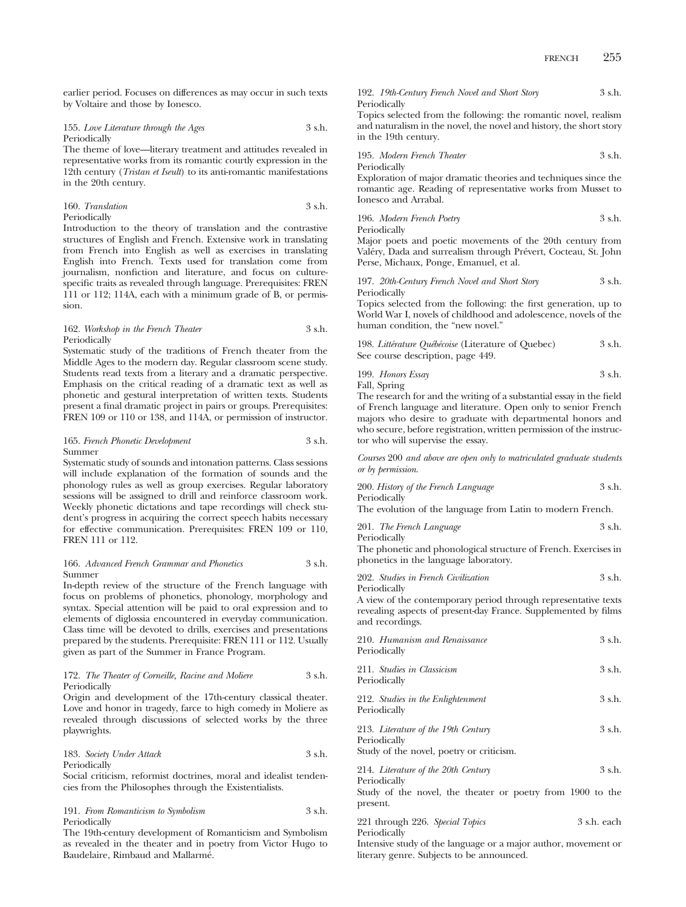earlier period. Focuses on differences as may occur in such texts by Voltaire and those by Ionesco.

#### 155. *Love Literature through the Ages* 3 s.h. Periodically

The theme of love—literary treatment and attitudes revealed in representative works from its romantic courtly expression in the 12th century (*Tristan et Iseult*) to its anti-romantic manifestations in the 20th century.

| 160. Translation | 3 s.h. |
|------------------|--------|
| Periodically     |        |

Introduction to the theory of translation and the contrastive structures of English and French. Extensive work in translating from French into English as well as exercises in translating English into French. Texts used for translation come from journalism, nonfiction and literature, and focus on culturespecific traits as revealed through language. Prerequisites: FREN 111 or 112; 114A, each with a minimum grade of B, or permission.

#### 162. *Workshop in the French Theater* 3 s.h. Periodically

Systematic study of the traditions of French theater from the Middle Ages to the modern day. Regular classroom scene study. Students read texts from a literary and a dramatic perspective. Emphasis on the critical reading of a dramatic text as well as phonetic and gestural interpretation of written texts. Students present a final dramatic project in pairs or groups. Prerequisites: FREN 109 or 110 or 138, and 114A, or permission of instructor.

#### 165. *French Phonetic Development* 3 s.h. Summer

Systematic study of sounds and intonation patterns. Class sessions will include explanation of the formation of sounds and the phonology rules as well as group exercises. Regular laboratory sessions will be assigned to drill and reinforce classroom work. Weekly phonetic dictations and tape recordings will check student's progress in acquiring the correct speech habits necessary for effective communication. Prerequisites: FREN 109 or 110, FREN 111 or 112.

#### 166. *Advanced French Grammar and Phonetics* 3 s.h. Summer

In-depth review of the structure of the French language with focus on problems of phonetics, phonology, morphology and syntax. Special attention will be paid to oral expression and to elements of diglossia encountered in everyday communication. Class time will be devoted to drills, exercises and presentations prepared by the students. Prerequisite: FREN 111 or 112. Usually given as part of the Summer in France Program.

#### 172. *The Theater of Corneille, Racine and Moliere* 3 s.h. Periodically

Origin and development of the 17th-century classical theater. Love and honor in tragedy, farce to high comedy in Moliere as revealed through discussions of selected works by the three playwrights.

| 183. Society Under Attack | 3 s.h. |
|---------------------------|--------|
| Periodically              |        |

Social criticism, reformist doctrines, moral and idealist tendencies from the Philosophes through the Existentialists.

191. *From Romanticism to Symbolism* 3 s.h. Periodically

The 19th-century development of Romanticism and Symbolism as revealed in the theater and in poetry from Victor Hugo to Baudelaire, Rimbaud and Mallarmé.

192. *19th-Century French Novel and Short Story* 3 s.h. Periodically

Topics selected from the following: the romantic novel, realism and naturalism in the novel, the novel and history, the short story in the 19th century.

195. *Modern French Theater* 3 s.h. Periodically

Exploration of major dramatic theories and techniques since the romantic age. Reading of representative works from Musset to Ionesco and Arrabal.

196. *Modern French Poetry* 3 s.h.

Periodically

Major poets and poetic movements of the 20th century from Valéry, Dada and surrealism through Prévert, Cocteau, St. John Perse, Michaux, Ponge, Emanuel, et al.

197. *20th-Century French Novel and Short Story* 3 s.h. Periodically

Topics selected from the following: the first generation, up to World War I, novels of childhood and adolescence, novels of the human condition, the "new novel."

| 198. Littérature Québécoise (Literature of Quebec) | 3 s.h. |
|----------------------------------------------------|--------|
| See course description, page 449.                  |        |

199. *Honors Essay* 3 s.h. Fall, Spring

The research for and the writing of a substantial essay in the field of French language and literature. Open only to senior French majors who desire to graduate with departmental honors and who secure, before registration, written permission of the instructor who will supervise the essay.

*Courses* 200 *and above are open only to matriculated graduate students or by permission*.

| 200. History of the French Language | 3 s.h. |
|-------------------------------------|--------|
| Periodically                        |        |

The evolution of the language from Latin to modern French.

```
201. The French Language 3 s.h.
Periodically
```
The phonetic and phonological structure of French. Exercises in phonetics in the language laboratory.

202. *Studies in French Civilization* 3 s.h. Periodically

A view of the contemporary period through representative texts revealing aspects of present-day France. Supplemented by films and recordings.

| 210. Humanism and Renaissance<br>Periodically                                                   | 3 s.h. |
|-------------------------------------------------------------------------------------------------|--------|
| 211. Studies in Classicism<br>Periodically                                                      | 3 s.h. |
| 212. Studies in the Enlightenment<br>Periodically                                               | 3 s.h. |
| 213. Literature of the 19th Century<br>Periodically<br>Study of the novel, poetry or criticism. | 3 s.h. |
| 214. Literature of the 20th Century<br>Periodically                                             | 3 s.h. |
| Study of the novel, the theater or poetry from 1900 to the<br>present.                          |        |

221 through 226. *Special Topics* 3 s.h. each Periodically

Intensive study of the language or a major author, movement or literary genre. Subjects to be announced.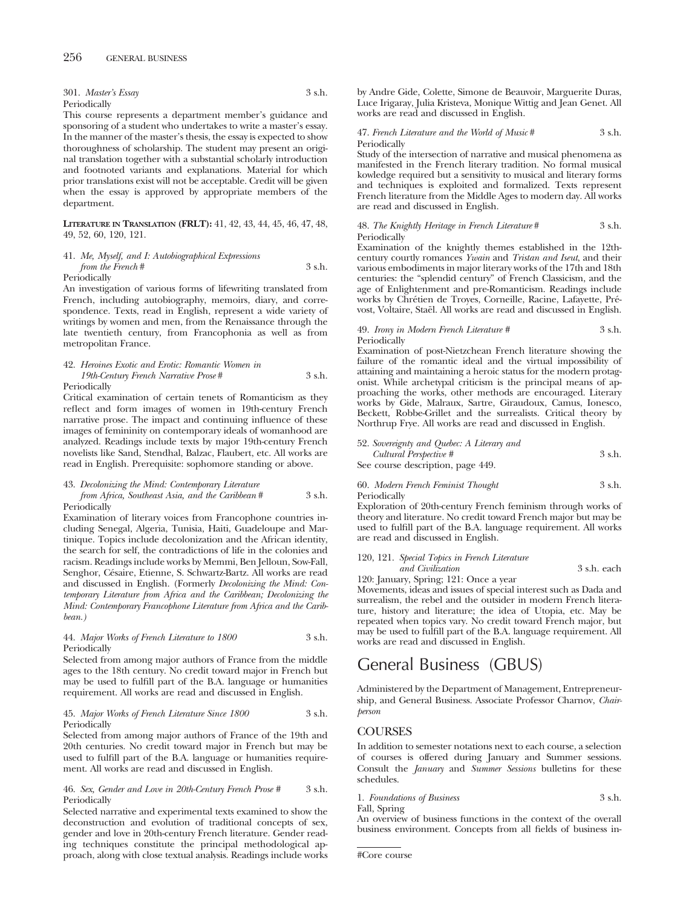301. *Master's Essay* 3 s.h. Periodically

This course represents a department member's guidance and sponsoring of a student who undertakes to write a master's essay. In the manner of the master's thesis, the essay is expected to show thoroughness of scholarship. The student may present an original translation together with a substantial scholarly introduction and footnoted variants and explanations. Material for which prior translations exist will not be acceptable. Credit will be given when the essay is approved by appropriate members of the department.

**LITERATURE IN TRANSLATION (FRLT):** 41, 42, 43, 44, 45, 46, 47, 48, 49, 52, 60, 120, 121.

#### 41. *Me, Myself, and I: Autobiographical Expressions from the French* # 3 s.h. Periodically

An investigation of various forms of lifewriting translated from French, including autobiography, memoirs, diary, and correspondence. Texts, read in English, represent a wide variety of writings by women and men, from the Renaissance through the late twentieth century, from Francophonia as well as from metropolitan France.

#### 42. *Heroines Exotic and Erotic: Romantic Women in 19th-Century French Narrative Prose* # 3 s.h. Periodically

Critical examination of certain tenets of Romanticism as they reflect and form images of women in 19th-century French narrative prose. The impact and continuing influence of these images of femininity on contemporary ideals of womanhood are analyzed. Readings include texts by major 19th-century French novelists like Sand, Stendhal, Balzac, Flaubert, etc. All works are read in English. Prerequisite: sophomore standing or above.

#### 43. *Decolonizing the Mind: Contemporary Literature*

#### *from Africa, Southeast Asia, and the Caribbean* # 3 s.h. Periodically

Examination of literary voices from Francophone countries including Senegal, Algeria, Tunisia, Haiti, Guadeloupe and Martinique. Topics include decolonization and the African identity, the search for self, the contradictions of life in the colonies and racism. Readings include works by Memmi, Ben Jelloun, Sow-Fall, Senghor, Césaire, Etienne, S. Schwartz-Bartz. All works are read and discussed in English. (Formerly *Decolonizing the Mind: Contemporary Literature from Africa and the Caribbean; Decolonizing the Mind: Contemporary Francophone Literature from Africa and the Caribbean.)*

#### 44. *Major Works of French Literature to 1800* 3 s.h. Periodically

Selected from among major authors of France from the middle ages to the 18th century. No credit toward major in French but may be used to fulfill part of the B.A. language or humanities requirement. All works are read and discussed in English.

#### 45. *Major Works of French Literature Since 1800* 3 s.h. Periodically

Selected from among major authors of France of the 19th and 20th centuries. No credit toward major in French but may be used to fulfill part of the B.A. language or humanities requirement. All works are read and discussed in English.

#### 46. *Sex, Gender and Love in 20th-Century French Prose #* 3 s.h. Periodically

Selected narrative and experimental texts examined to show the deconstruction and evolution of traditional concepts of sex, gender and love in 20th-century French literature. Gender reading techniques constitute the principal methodological approach, along with close textual analysis. Readings include works by Andre Gide, Colette, Simone de Beauvoir, Marguerite Duras, Luce Irigaray, Julia Kristeva, Monique Wittig and Jean Genet. All works are read and discussed in English.

#### 47. *French Literature and the World of Music* # 3 s.h. Periodically

Study of the intersection of narrative and musical phenomena as manifested in the French literary tradition. No formal musical kowledge required but a sensitivity to musical and literary forms and techniques is exploited and formalized. Texts represent French literature from the Middle Ages to modern day. All works are read and discussed in English.

#### 48. *The Knightly Heritage in French Literature* # 3 s.h. Periodically

Examination of the knightly themes established in the 12thcentury courtly romances *Ywain* and *Tristan and Iseut*, and their various embodiments in major literary works of the 17th and 18th centuries: the "splendid century" of French Classicism, and the age of Enlightenment and pre-Romanticism. Readings include works by Chrétien de Troyes, Corneille, Racine, Lafayette, Prévost, Voltaire, Staël. All works are read and discussed in English.

#### 49. *Irony in Modern French Literature #* 3 s.h. Periodically

Examination of post-Nietzchean French literature showing the failure of the romantic ideal and the virtual impossibility of attaining and maintaining a heroic status for the modern protagonist. While archetypal criticism is the principal means of approaching the works, other methods are encouraged. Literary works by Gide, Malraux, Sartre, Giraudoux, Camus, Ionesco, Beckett, Robbe-Grillet and the surrealists. Critical theory by Northrup Frye. All works are read and discussed in English.

#### 52. *Sovereignty and Quebec: A Literary and*

| Cultural Perspective #            | 3 s.h. |
|-----------------------------------|--------|
| See course description, page 449. |        |

#### 60. *Modern French Feminist Thought* 3 s.h. Periodically

Exploration of 20th-century French feminism through works of theory and literature. No credit toward French major but may be used to fulfill part of the B.A. language requirement. All works are read and discussed in English.

#### 120, 121. *Special Topics in French Literature*

*and Civilization* 3 s.h. each

120: January, Spring; 121: Once a year Movements, ideas and issues of special interest such as Dada and surrealism, the rebel and the outsider in modern French literature, history and literature; the idea of Utopia, etc. May be repeated when topics vary. No credit toward French major, but may be used to fulfill part of the B.A. language requirement. All works are read and discussed in English.

# General Business (GBUS)

Administered by the Department of Management, Entrepreneurship, and General Business. Associate Professor Charnov, *Chairperson*

## **COURSES**

In addition to semester notations next to each course, a selection of courses is offered during January and Summer sessions. Consult the *January* and *Summer Sessions* bulletins for these schedules.

1. Foundations of Business 3 s.h. Fall, Spring

An overview of business functions in the context of the overall business environment. Concepts from all fields of business in-

#Core course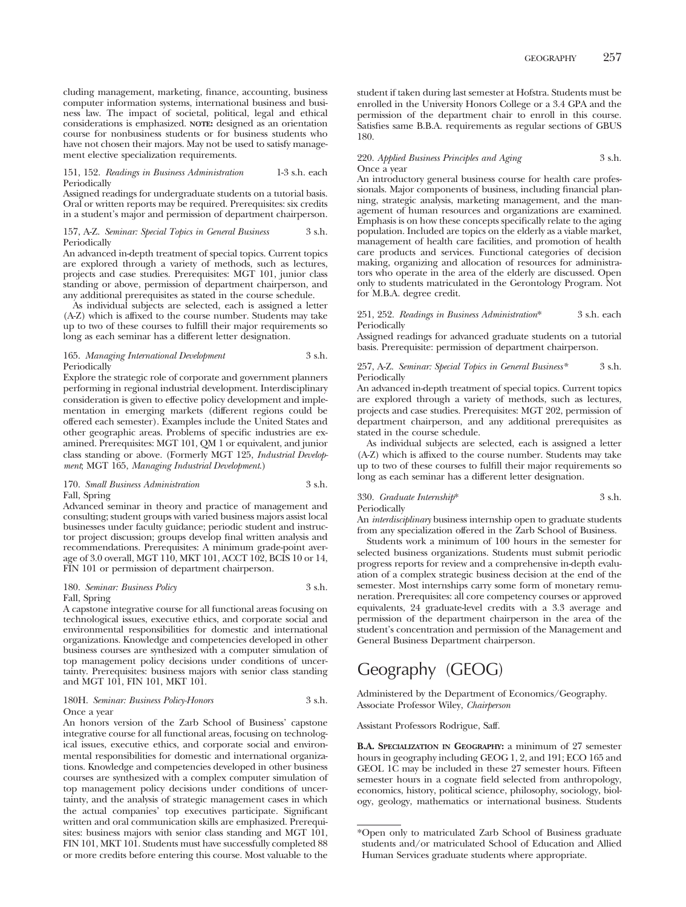cluding management, marketing, finance, accounting, business computer information systems, international business and business law. The impact of societal, political, legal and ethical considerations is emphasized. **NOTE:** designed as an orientation course for nonbusiness students or for business students who have not chosen their majors. May not be used to satisfy management elective specialization requirements.

#### 151, 152. *Readings in Business Administration* 1-3 s.h. each Periodically

Assigned readings for undergraduate students on a tutorial basis. Oral or written reports may be required. Prerequisites: six credits in a student's major and permission of department chairperson.

#### 157, A-Z. *Seminar: Special Topics in General Business* 3 s.h. Periodically

An advanced in-depth treatment of special topics. Current topics are explored through a variety of methods, such as lectures, projects and case studies. Prerequisites: MGT 101, junior class standing or above, permission of department chairperson, and any additional prerequisites as stated in the course schedule.

As individual subjects are selected, each is assigned a letter (A-Z) which is affixed to the course number. Students may take up to two of these courses to fulfill their major requirements so long as each seminar has a different letter designation.

#### 165. *Managing International Development* 3 s.h. **Periodically**

Explore the strategic role of corporate and government planners performing in regional industrial development. Interdisciplinary consideration is given to effective policy development and implementation in emerging markets (different regions could be offered each semester). Examples include the United States and other geographic areas. Problems of specific industries are examined. Prerequisites: MGT 101, QM 1 or equivalent, and junior class standing or above. (Formerly MGT 125, *Industrial Development*; MGT 165, *Managing Industrial Development*.)

#### 170. *Small Business Administration* 3 s.h. Fall, Spring

Advanced seminar in theory and practice of management and consulting; student groups with varied business majors assist local businesses under faculty guidance; periodic student and instructor project discussion; groups develop final written analysis and recommendations. Prerequisites: A minimum grade-point average of 3.0 overall, MGT 110, MKT 101, ACCT 102, BCIS 10 or 14, FIN 101 or permission of department chairperson.

#### 180. *Seminar: Business Policy* 3 s.h. Fall, Spring

A capstone integrative course for all functional areas focusing on technological issues, executive ethics, and corporate social and environmental responsibilities for domestic and international organizations. Knowledge and competencies developed in other business courses are synthesized with a computer simulation of top management policy decisions under conditions of uncertainty. Prerequisites: business majors with senior class standing and MGT 101, FIN 101, MKT 101.

#### 180H. *Seminar: Business Policy-Honors* 3 s.h. Once a year

An honors version of the Zarb School of Business' capstone integrative course for all functional areas, focusing on technological issues, executive ethics, and corporate social and environmental responsibilities for domestic and international organizations. Knowledge and competencies developed in other business courses are synthesized with a complex computer simulation of top management policy decisions under conditions of uncertainty, and the analysis of strategic management cases in which the actual companies' top executives participate. Significant written and oral communication skills are emphasized. Prerequisites: business majors with senior class standing and MGT 101, FIN 101, MKT 101. Students must have successfully completed 88 or more credits before entering this course. Most valuable to the

student if taken during last semester at Hofstra. Students must be enrolled in the University Honors College or a 3.4 GPA and the permission of the department chair to enroll in this course. Satisfies same B.B.A. requirements as regular sections of GBUS 180.

#### 220. *Applied Business Principles and Aging* 3 s.h. Once a year

An introductory general business course for health care professionals. Major components of business, including financial planning, strategic analysis, marketing management, and the management of human resources and organizations are examined. Emphasis is on how these concepts specifically relate to the aging population. Included are topics on the elderly as a viable market, management of health care facilities, and promotion of health care products and services. Functional categories of decision making, organizing and allocation of resources for administrators who operate in the area of the elderly are discussed. Open only to students matriculated in the Gerontology Program. Not for M.B.A. degree credit.

#### 251, 252. *Readings in Business Administration*\* 3 s.h. each Periodically

Assigned readings for advanced graduate students on a tutorial basis. Prerequisite: permission of department chairperson.

#### 257, A-Z. *Seminar: Special Topics in General Business\** 3 s.h. Periodically

An advanced in-depth treatment of special topics. Current topics are explored through a variety of methods, such as lectures, projects and case studies. Prerequisites: MGT 202, permission of department chairperson, and any additional prerequisites as stated in the course schedule.

As individual subjects are selected, each is assigned a letter (A-Z) which is affixed to the course number. Students may take up to two of these courses to fulfill their major requirements so long as each seminar has a different letter designation.

## 330. *Graduate Internship*\* 3 s.h. Periodically

An *interdisciplinary* business internship open to graduate students from any specialization offered in the Zarb School of Business.

Students work a minimum of 100 hours in the semester for selected business organizations. Students must submit periodic progress reports for review and a comprehensive in-depth evaluation of a complex strategic business decision at the end of the semester. Most internships carry some form of monetary remuneration. Prerequisites: all core competency courses or approved equivalents, 24 graduate-level credits with a 3.3 average and permission of the department chairperson in the area of the student's concentration and permission of the Management and General Business Department chairperson.

# Geography (GEOG)

Administered by the Department of Economics/Geography. Associate Professor Wiley, *Chairperson*

#### Assistant Professors Rodrigue, Saff.

**B.A. SPECIALIZATION IN GEOGRAPHY:** a minimum of 27 semester hours in geography including GEOG 1, 2, and 191; ECO 165 and GEOL 1C may be included in these 27 semester hours. Fifteen semester hours in a cognate field selected from anthropology, economics, history, political science, philosophy, sociology, biology, geology, mathematics or international business. Students

<sup>\*</sup>Open only to matriculated Zarb School of Business graduate students and/or matriculated School of Education and Allied Human Services graduate students where appropriate.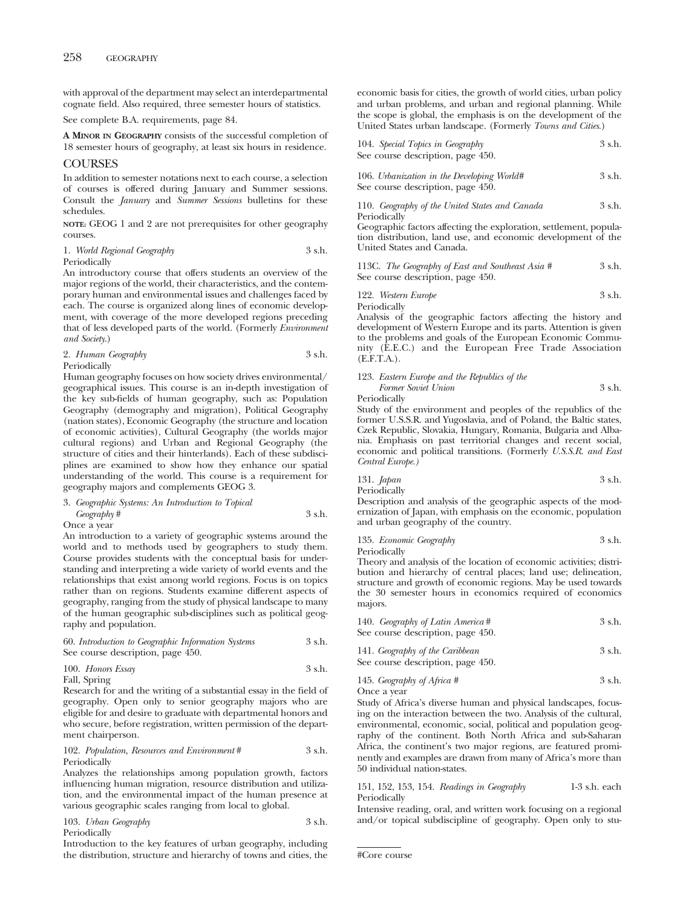with approval of the department may select an interdepartmental cognate field. Also required, three semester hours of statistics.

See complete B.A. requirements, page 84.

**A MINOR IN GEOGRAPHY** consists of the successful completion of 18 semester hours of geography, at least six hours in residence.

#### COURSES

In addition to semester notations next to each course, a selection of courses is offered during January and Summer sessions. Consult the *January* and *Summer Sessions* bulletins for these schedules.

**NOTE:** GEOG 1 and 2 are not prerequisites for other geography courses.

1. *World Regional Geography* 3 s.h. Periodically

An introductory course that offers students an overview of the major regions of the world, their characteristics, and the contemporary human and environmental issues and challenges faced by each. The course is organized along lines of economic development, with coverage of the more developed regions preceding that of less developed parts of the world. (Formerly *Environment and Society*.)

| 2. Human Geography<br>3 s.h. |  |
|------------------------------|--|
|------------------------------|--|

Periodically

Human geography focuses on how society drives environmental/ geographical issues. This course is an in-depth investigation of the key sub-fields of human geography, such as: Population Geography (demography and migration), Political Geography (nation states), Economic Geography (the structure and location of economic activities), Cultural Geography (the worlds major cultural regions) and Urban and Regional Geography (the structure of cities and their hinterlands). Each of these subdisciplines are examined to show how they enhance our spatial understanding of the world. This course is a requirement for geography majors and complements GEOG 3.

| 3. Geographic Systems: An Introduction to Topical |  |        |  |
|---------------------------------------------------|--|--------|--|
| Geography#                                        |  | 3 s.h. |  |

Once a year

An introduction to a variety of geographic systems around the world and to methods used by geographers to study them. Course provides students with the conceptual basis for understanding and interpreting a wide variety of world events and the relationships that exist among world regions. Focus is on topics rather than on regions. Students examine different aspects of geography, ranging from the study of physical landscape to many of the human geographic sub-disciplines such as political geography and population.

| 60. Introduction to Geographic Information Systems | 3 s.h. |
|----------------------------------------------------|--------|
| See course description, page 450.                  |        |

|  | 100. Honors Essay | 3 s.h. |
|--|-------------------|--------|
|--|-------------------|--------|

```
Fall, Spring
```
Research for and the writing of a substantial essay in the field of geography. Open only to senior geography majors who are eligible for and desire to graduate with departmental honors and who secure, before registration, written permission of the department chairperson.

#### 102. *Population, Resources and Environment* # 3 s.h. Periodically

Analyzes the relationships among population growth, factors influencing human migration, resource distribution and utilization, and the environmental impact of the human presence at various geographic scales ranging from local to global.

| 103. Urban Geography | 3 s.h. |
|----------------------|--------|
| Periodically         |        |

Introduction to the key features of urban geography, including the distribution, structure and hierarchy of towns and cities, the economic basis for cities, the growth of world cities, urban policy and urban problems, and urban and regional planning. While the scope is global, the emphasis is on the development of the United States urban landscape. (Formerly *Towns and Cities*.)

| 104. Special Topics in Geography  | 3 s.h. |
|-----------------------------------|--------|
| See course description, page 450. |        |
|                                   |        |

| 106. Urbanization in the Developing World# | 3 s.h. |
|--------------------------------------------|--------|
| See course description, page 450.          |        |

110. *Geography of the United States and Canada* 3 s.h. Periodically

Geographic factors affecting the exploration, settlement, population distribution, land use, and economic development of the United States and Canada.

113C. *The Geography of East and Southeast Asia* # 3 s.h. See course description, page 450.

122. *Western Europe* 3 s.h.

Periodically

Analysis of the geographic factors affecting the history and development of Western Europe and its parts. Attention is given to the problems and goals of the European Economic Community (E.E.C.) and the European Free Trade Association (E.F.T.A.).

## 123. *Eastern Europe and the Republics of the Former Soviet Union* 3 s.h.

Periodically

Study of the environment and peoples of the republics of the former U.S.S.R. and Yugoslavia, and of Poland, the Baltic states, Czek Republic, Slovakia, Hungary, Romania, Bulgaria and Albania. Emphasis on past territorial changes and recent social, economic and political transitions. (Formerly *U.S.S.R. and East Central Europe.)*

$$
131. Japan \t\t 3 s.h.
$$

Periodically

Description and analysis of the geographic aspects of the modernization of Japan, with emphasis on the economic, population and urban geography of the country.

135. *Economic Geography* 3 s.h. Periodically

Theory and analysis of the location of economic activities; distribution and hierarchy of central places; land use; delineation, structure and growth of economic regions. May be used towards the 30 semester hours in economics required of economics majors.

| 140. Geography of Latin America #<br>See course description, page 450. | 3 s.h. |
|------------------------------------------------------------------------|--------|
| 141. Geography of the Caribbean<br>See course description, page 450.   | 3 s.h. |

145. *Geography of Africa* # 3 s.h. Once a year

Study of Africa's diverse human and physical landscapes, focusing on the interaction between the two. Analysis of the cultural, environmental, economic, social, political and population geography of the continent. Both North Africa and sub-Saharan Africa, the continent's two major regions, are featured prominently and examples are drawn from many of Africa's more than 50 individual nation-states.

151, 152, 153, 154. *Readings in Geography* 1-3 s.h. each Periodically

Intensive reading, oral, and written work focusing on a regional and/or topical subdiscipline of geography. Open only to stu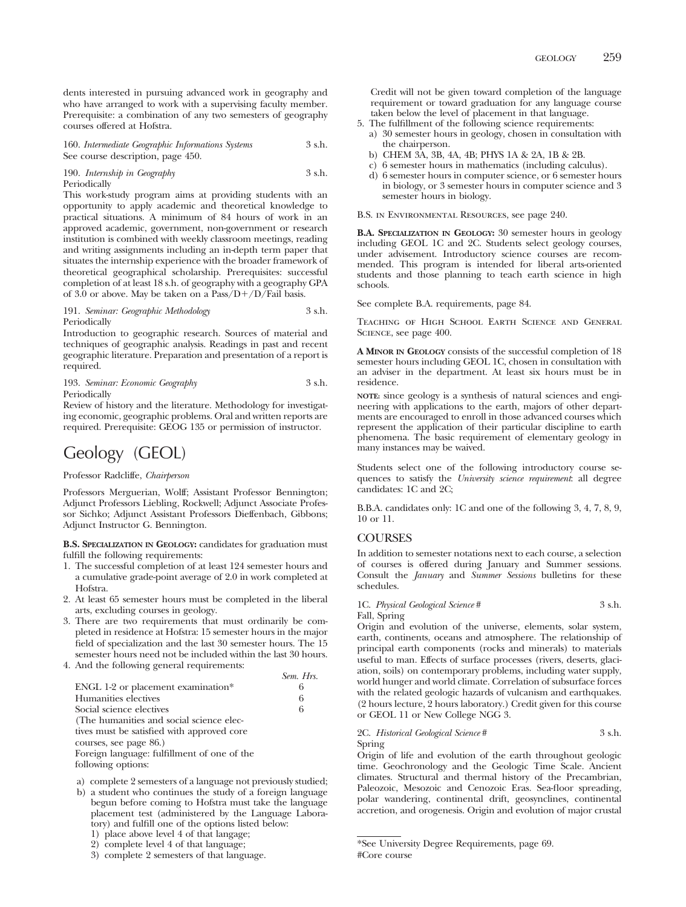dents interested in pursuing advanced work in geography and who have arranged to work with a supervising faculty member. Prerequisite: a combination of any two semesters of geography courses offered at Hofstra.

160. *Intermediate Geographic Informations Systems* 3 s.h. See course description, page 450.

190. *Internship in Geography* 3 s.h. Periodically

This work-study program aims at providing students with an opportunity to apply academic and theoretical knowledge to practical situations. A minimum of 84 hours of work in an approved academic, government, non-government or research institution is combined with weekly classroom meetings, reading and writing assignments including an in-depth term paper that situates the internship experience with the broader framework of theoretical geographical scholarship. Prerequisites: successful completion of at least 18 s.h. of geography with a geography GPA of 3.0 or above. May be taken on a  $Pass/D+/D/Fall$  basis.

#### 191. *Seminar: Geographic Methodology* 3 s.h. Periodically

Introduction to geographic research. Sources of material and techniques of geographic analysis. Readings in past and recent geographic literature. Preparation and presentation of a report is required.

193. *Seminar: Economic Geography* 3 s.h. Periodically

Review of history and the literature. Methodology for investigating economic, geographic problems. Oral and written reports are required. Prerequisite: GEOG 135 or permission of instructor.

# Geology (GEOL)

Professor Radcliffe, *Chairperson*

Professors Merguerian, Wolff; Assistant Professor Bennington; Adjunct Professors Liebling, Rockwell; Adjunct Associate Professor Sichko; Adjunct Assistant Professors Dieffenbach, Gibbons; Adjunct Instructor G. Bennington.

**B.S. SPECIALIZATION IN GEOLOGY:** candidates for graduation must fulfill the following requirements:

- 1. The successful completion of at least 124 semester hours and a cumulative grade-point average of 2.0 in work completed at Hofstra.
- 2. At least 65 semester hours must be completed in the liberal arts, excluding courses in geology.
- 3. There are two requirements that must ordinarily be completed in residence at Hofstra: 15 semester hours in the major field of specialization and the last 30 semester hours. The 15 semester hours need not be included within the last 30 hours.

*Sem. Hrs.*

4. And the following general requirements:

| ENGL 1-2 or placement examination*          | 6 |
|---------------------------------------------|---|
| Humanities electives                        | 6 |
| Social science electives                    | 6 |
| (The humanities and social science elec-    |   |
| tives must be satisfied with approved core  |   |
| courses, see page 86.)                      |   |
| Foreign language: fulfillment of one of the |   |
| Called data and and                         |   |

following options:

- a) complete 2 semesters of a language not previously studied; b) a student who continues the study of a foreign language
- begun before coming to Hofstra must take the language placement test (administered by the Language Laboratory) and fulfill one of the options listed below:
	- 1) place above level 4 of that langage;
	- 2) complete level 4 of that language;

Credit will not be given toward completion of the language requirement or toward graduation for any language course taken below the level of placement in that language.

- 5. The fulfillment of the following science requirements:
	- a) 30 semester hours in geology, chosen in consultation with the chairperson.
	- b) CHEM 3A, 3B, 4A, 4B; PHYS 1A & 2A, 1B & 2B.
	- c) 6 semester hours in mathematics (including calculus).
	- d) 6 semester hours in computer science, or 6 semester hours in biology, or 3 semester hours in computer science and 3 semester hours in biology.

B.S. in Environmental Resources, see page 240.

**B.A. SPECIALIZATION IN GEOLOGY:** 30 semester hours in geology including GEOL 1C and 2C. Students select geology courses, under advisement. Introductory science courses are recommended. This program is intended for liberal arts-oriented students and those planning to teach earth science in high schools.

See complete B.A. requirements, page 84.

Teaching of High School Earth Science and General SCIENCE, see page 400.

**A MINOR IN GEOLOGY** consists of the successful completion of 18 semester hours including GEOL 1C, chosen in consultation with an adviser in the department. At least six hours must be in residence.

**NOTE:** since geology is a synthesis of natural sciences and engineering with applications to the earth, majors of other departments are encouraged to enroll in those advanced courses which represent the application of their particular discipline to earth phenomena. The basic requirement of elementary geology in many instances may be waived.

Students select one of the following introductory course sequences to satisfy the *University science requirement*: all degree candidates: 1C and 2C;

B.B.A. candidates only: 1C and one of the following 3, 4, 7, 8, 9, 10 or 11.

## COURSES

In addition to semester notations next to each course, a selection of courses is offered during January and Summer sessions. Consult the *January* and *Summer Sessions* bulletins for these schedules.

#### 1C. *Physical Geological Science* # 3 s.h. Fall, Spring

Origin and evolution of the universe, elements, solar system, earth, continents, oceans and atmosphere. The relationship of principal earth components (rocks and minerals) to materials useful to man. Effects of surface processes (rivers, deserts, glaciation, soils) on contemporary problems, including water supply, world hunger and world climate. Correlation of subsurface forces with the related geologic hazards of vulcanism and earthquakes. (2 hours lecture, 2 hours laboratory.) Credit given for this course or GEOL 11 or New College NGG 3.

#### 2C. *Historical Geological Science* # 3 s.h. Spring

Origin of life and evolution of the earth throughout geologic time. Geochronology and the Geologic Time Scale. Ancient climates. Structural and thermal history of the Precambrian, Paleozoic, Mesozoic and Cenozoic Eras. Sea-floor spreading, polar wandering, continental drift, geosynclines, continental accretion, and orogenesis. Origin and evolution of major crustal

<sup>3)</sup> complete 2 semesters of that language.

<sup>\*</sup>See University Degree Requirements, page 69. #Core course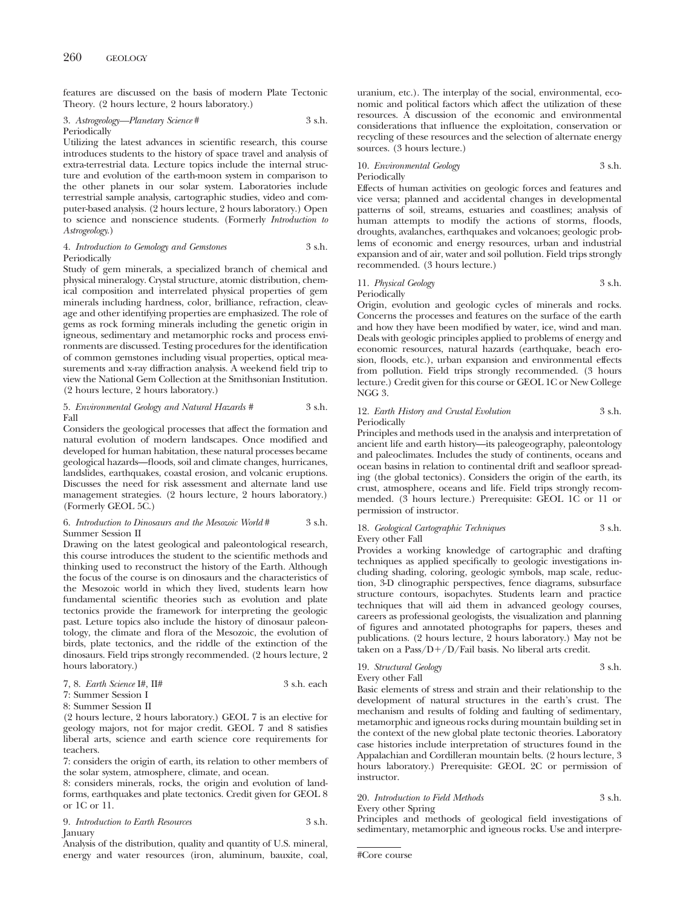features are discussed on the basis of modern Plate Tectonic Theory. (2 hours lecture, 2 hours laboratory.)

#### 3. *Astrogeology—Planetary Science* # 3 s.h. Periodically

Utilizing the latest advances in scientific research, this course introduces students to the history of space travel and analysis of extra-terrestrial data. Lecture topics include the internal structure and evolution of the earth-moon system in comparison to the other planets in our solar system. Laboratories include terrestrial sample analysis, cartographic studies, video and computer-based analysis. (2 hours lecture, 2 hours laboratory.) Open to science and nonscience students. (Formerly *Introduction to Astrogeology*.)

#### 4. *Introduction to Gemology and Gemstones* 3 s.h. Periodically

Study of gem minerals, a specialized branch of chemical and physical mineralogy. Crystal structure, atomic distribution, chemical composition and interrelated physical properties of gem minerals including hardness, color, brilliance, refraction, cleavage and other identifying properties are emphasized. The role of gems as rock forming minerals including the genetic origin in igneous, sedimentary and metamorphic rocks and process environments are discussed. Testing procedures for the identification of common gemstones including visual properties, optical measurements and x-ray diffraction analysis. A weekend field trip to view the National Gem Collection at the Smithsonian Institution. (2 hours lecture, 2 hours laboratory.)

#### 5. *Environmental Geology and Natural Hazards #* 3 s.h. Fall

Considers the geological processes that affect the formation and natural evolution of modern landscapes. Once modified and developed for human habitation, these natural processes became geological hazards—floods, soil and climate changes, hurricanes, landslides, earthquakes, coastal erosion, and volcanic eruptions. Discusses the need for risk assessment and alternate land use management strategies. (2 hours lecture, 2 hours laboratory.) (Formerly GEOL 5C.)

#### 6. *Introduction to Dinosaurs and the Mesozoic World* # 3 s.h. Summer Session II

Drawing on the latest geological and paleontological research, this course introduces the student to the scientific methods and thinking used to reconstruct the history of the Earth. Although the focus of the course is on dinosaurs and the characteristics of the Mesozoic world in which they lived, students learn how fundamental scientific theories such as evolution and plate tectonics provide the framework for interpreting the geologic past. Leture topics also include the history of dinosaur paleontology, the climate and flora of the Mesozoic, the evolution of birds, plate tectonics, and the riddle of the extinction of the dinosaurs. Field trips strongly recommended. (2 hours lecture, 2 hours laboratory.)

|  | 7, 8. Earth Science I#, $II#$ | 3 s.h. each |
|--|-------------------------------|-------------|
|  |                               |             |

7: Summer Session I 8: Summer Session II

(2 hours lecture, 2 hours laboratory.) GEOL 7 is an elective for geology majors, not for major credit. GEOL 7 and 8 satisfies liberal arts, science and earth science core requirements for teachers.

7: considers the origin of earth, its relation to other members of the solar system, atmosphere, climate, and ocean.

8: considers minerals, rocks, the origin and evolution of landforms, earthquakes and plate tectonics. Credit given for GEOL 8 or 1C or 11.

9. *Introduction to Earth Resources* 3 s.h. **January** 

Analysis of the distribution, quality and quantity of U.S. mineral, energy and water resources (iron, aluminum, bauxite, coal, uranium, etc.). The interplay of the social, environmental, economic and political factors which affect the utilization of these resources. A discussion of the economic and environmental considerations that influence the exploitation, conservation or recycling of these resources and the selection of alternate energy sources. (3 hours lecture.)

### 10. *Environmental Geology* 3 s.h. Periodically

Effects of human activities on geologic forces and features and vice versa; planned and accidental changes in developmental patterns of soil, streams, estuaries and coastlines; analysis of human attempts to modify the actions of storms, floods, droughts, avalanches, earthquakes and volcanoes; geologic problems of economic and energy resources, urban and industrial expansion and of air, water and soil pollution. Field trips strongly recommended. (3 hours lecture.)

## 11. *Physical Geology* 3 s.h. Periodically

Origin, evolution and geologic cycles of minerals and rocks. Concerns the processes and features on the surface of the earth and how they have been modified by water, ice, wind and man. Deals with geologic principles applied to problems of energy and economic resources, natural hazards (earthquake, beach erosion, floods, etc.), urban expansion and environmental effects from pollution. Field trips strongly recommended. (3 hours lecture.) Credit given for this course or GEOL 1C or New College NGG 3.

## 12. *Earth History and Crustal Evolution* 3 s.h. Periodically

Principles and methods used in the analysis and interpretation of ancient life and earth history—its paleogeography, paleontology and paleoclimates. Includes the study of continents, oceans and ocean basins in relation to continental drift and seafloor spreading (the global tectonics). Considers the origin of the earth, its crust, atmosphere, oceans and life. Field trips strongly recommended. (3 hours lecture.) Prerequisite: GEOL 1C or 11 or permission of instructor.

#### 18. *Geological Cartographic Techniques* 3 s.h. Every other Fall

Provides a working knowledge of cartographic and drafting techniques as applied specifically to geologic investigations including shading, coloring, geologic symbols, map scale, reduction, 3-D clinographic perspectives, fence diagrams, subsurface structure contours, isopachytes. Students learn and practice techniques that will aid them in advanced geology courses, careers as professional geologists, the visualization and planning of figures and annotated photographs for papers, theses and publications. (2 hours lecture, 2 hours laboratory.) May not be taken on a  $Pass/D+/D/fail$  basis. No liberal arts credit.

19. *Structural Geology* 3 s.h. Every other Fall

Basic elements of stress and strain and their relationship to the development of natural structures in the earth's crust. The mechanism and results of folding and faulting of sedimentary, metamorphic and igneous rocks during mountain building set in the context of the new global plate tectonic theories. Laboratory case histories include interpretation of structures found in the Appalachian and Cordilleran mountain belts. (2 hours lecture, 3 hours laboratory.) Prerequisite: GEOL 2C or permission of instructor.

#### 20. *Introduction to Field Methods* 3 s.h. Every other Spring

Principles and methods of geological field investigations of sedimentary, metamorphic and igneous rocks. Use and interpre-

#Core course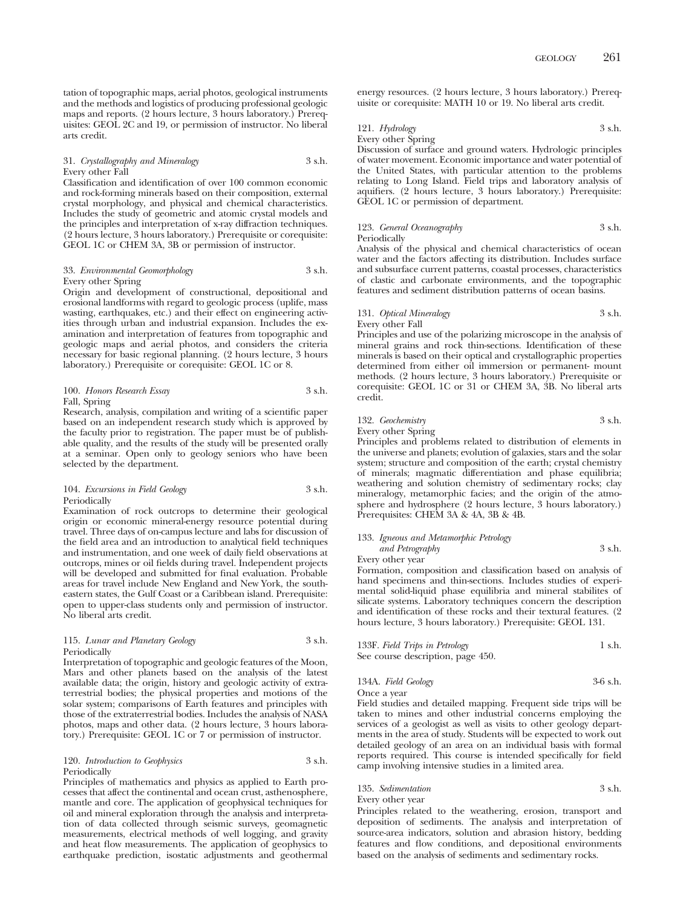tation of topographic maps, aerial photos, geological instruments and the methods and logistics of producing professional geologic maps and reports. (2 hours lecture, 3 hours laboratory.) Prerequisites: GEOL 2C and 19, or permission of instructor. No liberal arts credit.

#### 31. *Crystallography and Mineralogy* 3 s.h. Every other Fall

Classification and identification of over 100 common economic and rock-forming minerals based on their composition, external crystal morphology, and physical and chemical characteristics. Includes the study of geometric and atomic crystal models and the principles and interpretation of x-ray diffraction techniques. (2 hours lecture, 3 hours laboratory.) Prerequisite or corequisite: GEOL 1C or CHEM 3A, 3B or permission of instructor.

#### 33. *Environmental Geomorphology* 3 s.h. Every other Spring

Origin and development of constructional, depositional and erosional landforms with regard to geologic process (uplife, mass wasting, earthquakes, etc.) and their effect on engineering activities through urban and industrial expansion. Includes the examination and interpretation of features from topographic and geologic maps and aerial photos, and considers the criteria necessary for basic regional planning. (2 hours lecture, 3 hours laboratory.) Prerequisite or corequisite: GEOL 1C or 8.

#### 100. *Honors Research Essay* 3 s.h. Fall, Spring

Research, analysis, compilation and writing of a scientific paper based on an independent research study which is approved by the faculty prior to registration. The paper must be of publishable quality, and the results of the study will be presented orally at a seminar. Open only to geology seniors who have been selected by the department.

#### 104. *Excursions in Field Geology* 3 s.h. Periodically

Examination of rock outcrops to determine their geological origin or economic mineral-energy resource potential during travel. Three days of on-campus lecture and labs for discussion of the field area and an introduction to analytical field techniques and instrumentation, and one week of daily field observations at outcrops, mines or oil fields during travel. Independent projects will be developed and submitted for final evaluation. Probable areas for travel include New England and New York, the southeastern states, the Gulf Coast or a Caribbean island. Prerequisite: open to upper-class students only and permission of instructor. No liberal arts credit.

#### 115. *Lunar and Planetary Geology* 3 s.h. Periodically

Interpretation of topographic and geologic features of the Moon, Mars and other planets based on the analysis of the latest available data; the origin, history and geologic activity of extraterrestrial bodies; the physical properties and motions of the solar system; comparisons of Earth features and principles with those of the extraterrestrial bodies. Includes the analysis of NASA photos, maps and other data. (2 hours lecture, 3 hours laboratory.) Prerequisite: GEOL 1C or 7 or permission of instructor.

#### 120. *Introduction to Geophysics* 3 s.h. Periodically

Principles of mathematics and physics as applied to Earth processes that affect the continental and ocean crust, asthenosphere, mantle and core. The application of geophysical techniques for oil and mineral exploration through the analysis and interpretation of data collected through seismic surveys, geomagnetic measurements, electrical methods of well logging, and gravity and heat flow measurements. The application of geophysics to earthquake prediction, isostatic adjustments and geothermal energy resources. (2 hours lecture, 3 hours laboratory.) Prerequisite or corequisite: MATH 10 or 19. No liberal arts credit.

#### 121. *Hydrology* 3 s.h.

Every other Spring

Discussion of surface and ground waters. Hydrologic principles of water movement. Economic importance and water potential of the United States, with particular attention to the problems relating to Long Island. Field trips and laboratory analysis of aquifiers. (2 hours lecture, 3 hours laboratory.) Prerequisite: GEOL 1C or permission of department.

## 123. *General Oceanography* 3 s.h. Periodically

Analysis of the physical and chemical characteristics of ocean water and the factors affecting its distribution. Includes surface and subsurface current patterns, coastal processes, characteristics of clastic and carbonate environments, and the topographic features and sediment distribution patterns of ocean basins.

#### 131. *Optical Mineralogy* 3 s.h. Every other Fall

Principles and use of the polarizing microscope in the analysis of mineral grains and rock thin-sections. Identification of these minerals is based on their optical and crystallographic properties determined from either oil immersion or permanent- mount methods. (2 hours lecture, 3 hours laboratory.) Prerequisite or corequisite: GEOL 1C or 31 or CHEM 3A, 3B. No liberal arts credit.

## 132. *Geochemistry* 3 s.h.

Principles and problems related to distribution of elements in the universe and planets; evolution of galaxies, stars and the solar system; structure and composition of the earth; crystal chemistry of minerals; magmatic differentiation and phase equilibria; weathering and solution chemistry of sedimentary rocks; clay mineralogy, metamorphic facies; and the origin of the atmosphere and hydrosphere (2 hours lecture, 3 hours laboratory.) Prerequisites: CHEM 3A & 4A, 3B & 4B.

#### 133. *Igneous and Metamorphic Petrology and Petrography* 3 s.h.

Every other year

Formation, composition and classification based on analysis of hand specimens and thin-sections. Includes studies of experimental solid-liquid phase equilibria and mineral stabilites of silicate systems. Laboratory techniques concern the description and identification of these rocks and their textural features. (2 hours lecture, 3 hours laboratory.) Prerequisite: GEOL 131.

| 133F. Field Trips in Petrology    | 1 s.h. |
|-----------------------------------|--------|
| See course description, page 450. |        |

#### 134A. *Field Geology* 3-6 s.h. Once a year

Field studies and detailed mapping. Frequent side trips will be taken to mines and other industrial concerns employing the services of a geologist as well as visits to other geology departments in the area of study. Students will be expected to work out detailed geology of an area on an individual basis with formal reports required. This course is intended specifically for field camp involving intensive studies in a limited area.

### 135. *Sedimentation* 3 s.h. Every other year

Principles related to the weathering, erosion, transport and deposition of sediments. The analysis and interpretation of source-area indicators, solution and abrasion history, bedding features and flow conditions, and depositional environments based on the analysis of sediments and sedimentary rocks.

## Every other Spring